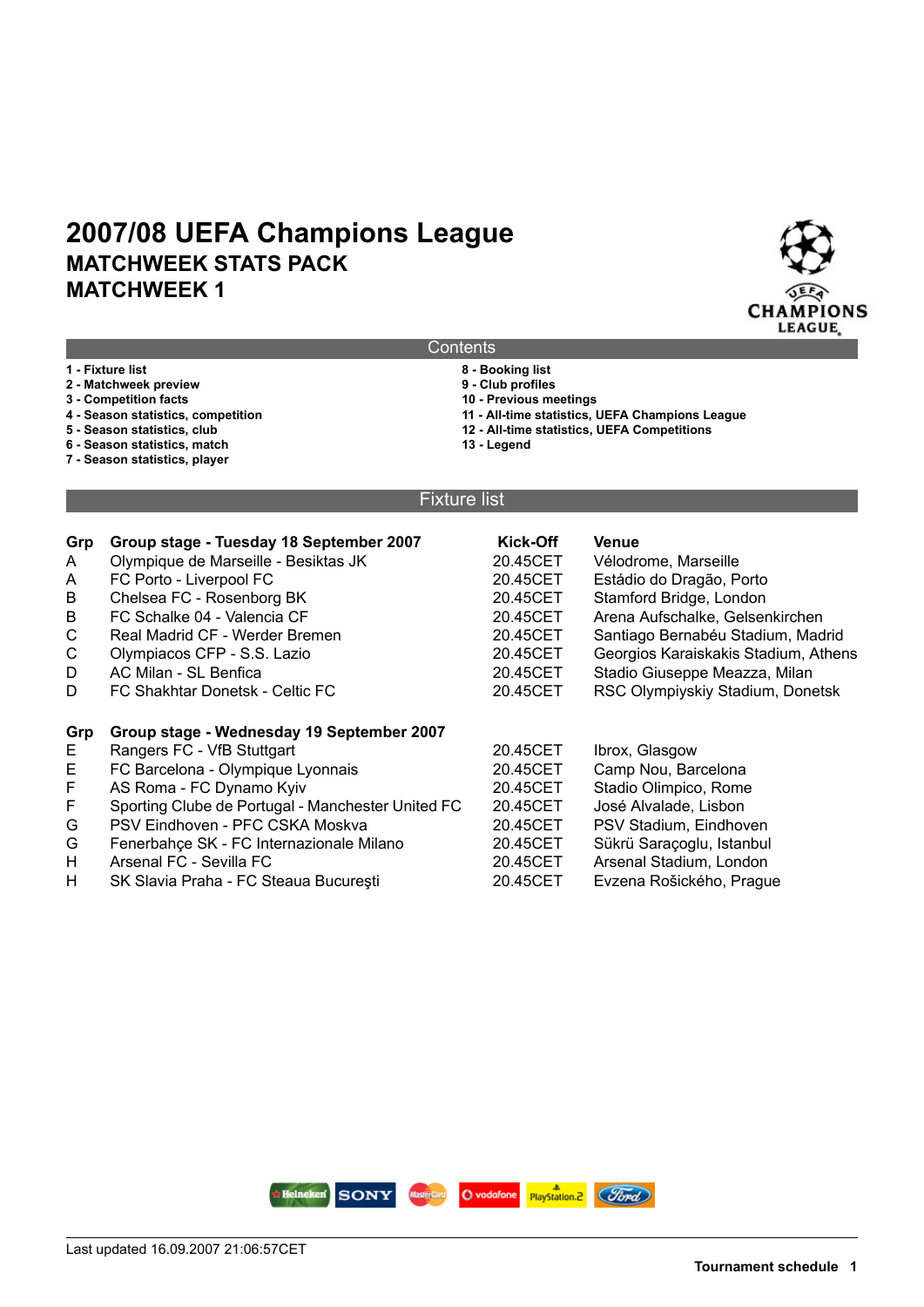

| Contents |  |
|----------|--|
|          |  |

- **1 Fixture list 8 Booking list 2 - Matchweek preview<br>3 - Competition facts 3 - Competition facts 10 - Previous meetings 11 - All-time statistics, UEFA Champions League 5 - Season statistics, club 12 - All-time statistics, UEFA Competitions**
	-
- **6 Season statistics, match**
- **7 Season statistics, player**
- -
- 

#### Fixture list

| Grp          | Group stage - Tuesday 18 September 2007           | Kick-Off | <b>Venue</b>                         |
|--------------|---------------------------------------------------|----------|--------------------------------------|
| A            | Olympique de Marseille - Besiktas JK              | 20.45CET | Vélodrome, Marseille                 |
| A            | FC Porto - Liverpool FC                           | 20.45CET | Estádio do Dragão, Porto             |
| B            | Chelsea FC - Rosenborg BK                         | 20.45CET | Stamford Bridge, London              |
| B            | FC Schalke 04 - Valencia CF                       | 20.45CET | Arena Aufschalke, Gelsenkirchen      |
| $\mathsf{C}$ | Real Madrid CF - Werder Bremen                    | 20.45CET | Santiago Bernabéu Stadium, Madrid    |
| C            | Olympiacos CFP - S.S. Lazio                       | 20.45CET | Georgios Karaiskakis Stadium, Athens |
| D            | AC Milan - SL Benfica                             | 20.45CET | Stadio Giuseppe Meazza, Milan        |
| D            | FC Shakhtar Donetsk - Celtic FC                   | 20.45CET | RSC Olympiyskiy Stadium, Donetsk     |
|              |                                                   |          |                                      |
| Grp          | Group stage - Wednesday 19 September 2007         |          |                                      |
| E            | Rangers FC - VfB Stuttgart                        | 20.45CET | Ibrox, Glasgow                       |
| E            | FC Barcelona - Olympique Lyonnais                 | 20.45CET | Camp Nou, Barcelona                  |
| F            | AS Roma - FC Dynamo Kyiv                          | 20.45CET | Stadio Olimpico, Rome                |
| F            | Sporting Clube de Portugal - Manchester United FC | 20.45CET | José Alvalade, Lisbon                |
| G            | PSV Eindhoven - PFC CSKA Moskva                   | 20.45CET | PSV Stadium, Eindhoven               |
| G            | Fenerbahçe SK - FC Internazionale Milano          | 20.45CET | Sükrü Saraçoglu, Istanbul            |
| H            | Arsenal FC - Sevilla FC                           | 20.45CET | Arsenal Stadium, London              |
| H            | SK Slavia Praha - FC Steaua București             | 20.45CET | Evzena Rošického, Prague             |

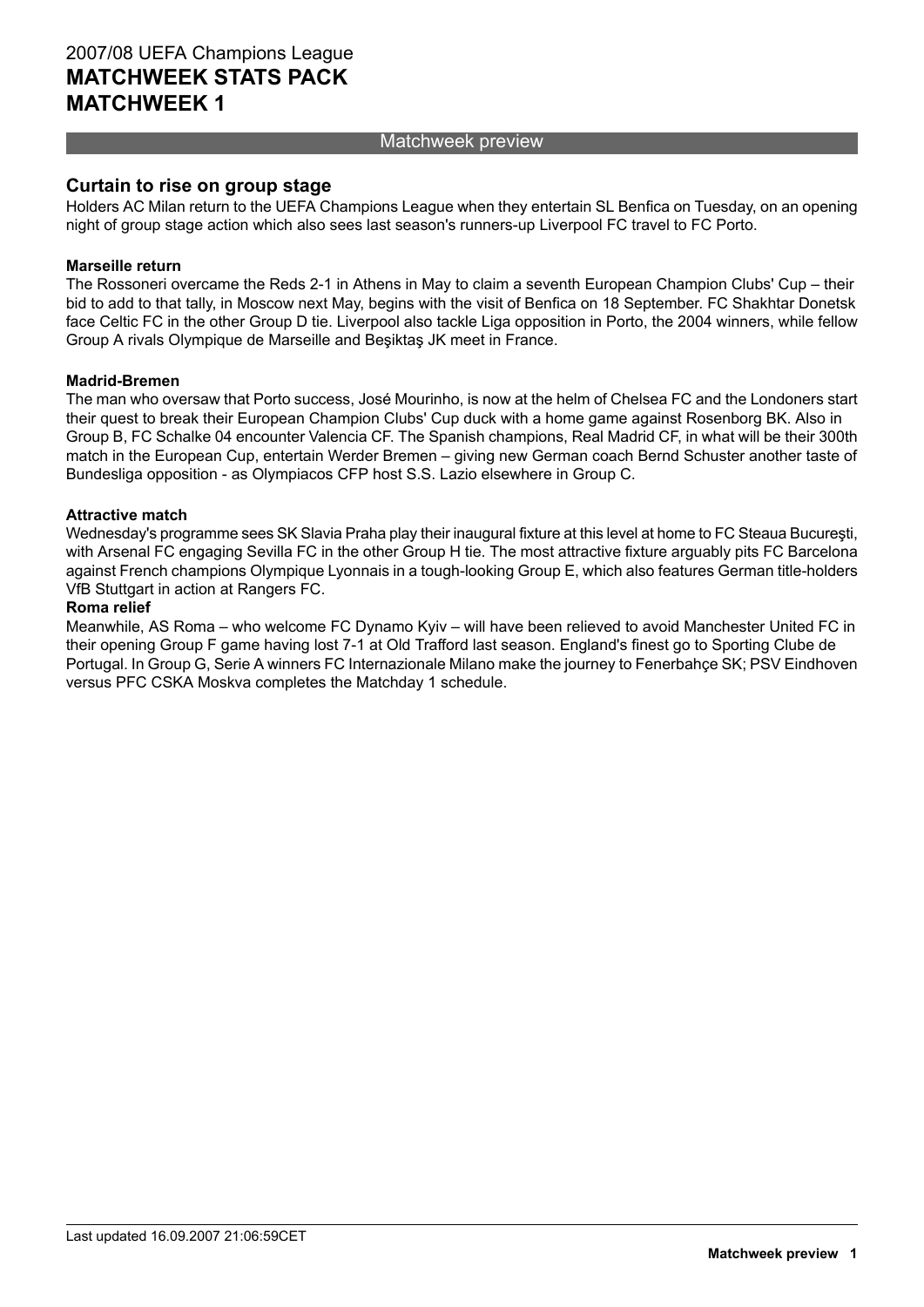#### Matchweek preview

#### **Curtain to rise on group stage**

Holders AC Milan return to the UEFA Champions League when they entertain SL Benfica on Tuesday, on an opening night of group stage action which also sees last season's runners-up Liverpool FC travel to FC Porto.

#### **Marseille return**

The Rossoneri overcame the Reds 2-1 in Athens in May to claim a seventh European Champion Clubs' Cup – their bid to add to that tally, in Moscow next May, begins with the visit of Benfica on 18 September. FC Shakhtar Donetsk face Celtic FC in the other Group D tie. Liverpool also tackle Liga opposition in Porto, the 2004 winners, while fellow Group A rivals Olympique de Marseille and Beşiktaş JK meet in France.

#### **Madrid-Bremen**

The man who oversaw that Porto success, José Mourinho, is now at the helm of Chelsea FC and the Londoners start their quest to break their European Champion Clubs' Cup duck with a home game against Rosenborg BK. Also in Group B, FC Schalke 04 encounter Valencia CF. The Spanish champions, Real Madrid CF, in what will be their 300th match in the European Cup, entertain Werder Bremen – giving new German coach Bernd Schuster another taste of Bundesliga opposition - as Olympiacos CFP host S.S. Lazio elsewhere in Group C.

#### **Attractive match**

Wednesday's programme sees SK Slavia Praha play their inaugural fixture at this level at home to FC Steaua Bucureşti, with Arsenal FC engaging Sevilla FC in the other Group H tie. The most attractive fixture arguably pits FC Barcelona against French champions Olympique Lyonnais in a tough-looking Group E, which also features German title-holders VfB Stuttgart in action at Rangers FC.

#### **Roma relief**

Meanwhile, AS Roma – who welcome FC Dynamo Kyiv – will have been relieved to avoid Manchester United FC in their opening Group F game having lost 7-1 at Old Trafford last season. England's finest go to Sporting Clube de Portugal. In Group G, Serie A winners FC Internazionale Milano make the journey to Fenerbahçe SK; PSV Eindhoven versus PFC CSKA Moskva completes the Matchday 1 schedule.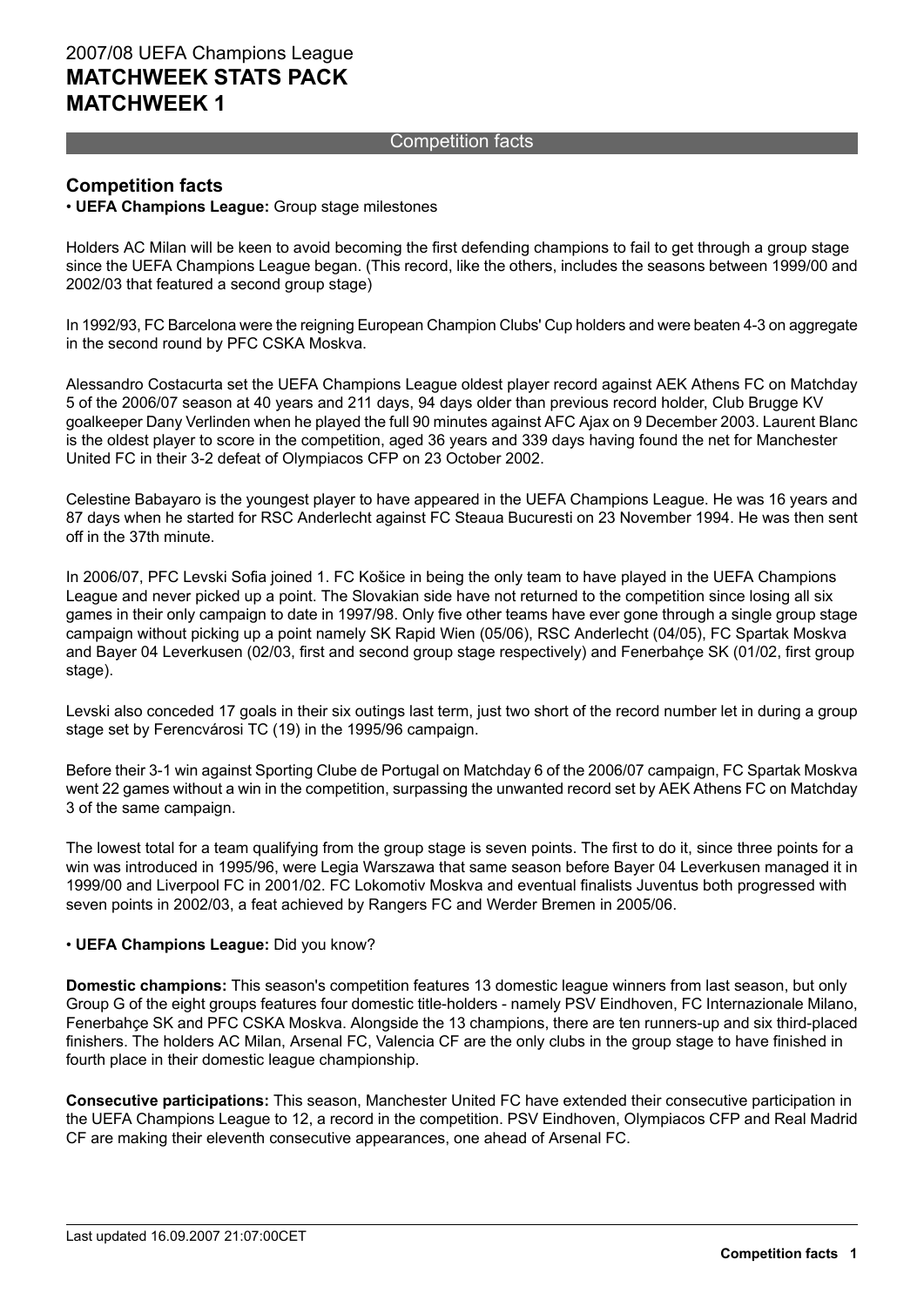#### Competition facts

#### **Competition facts**

#### • **UEFA Champions League:** Group stage milestones

Holders AC Milan will be keen to avoid becoming the first defending champions to fail to get through a group stage since the UEFA Champions League began. (This record, like the others, includes the seasons between 1999/00 and 2002/03 that featured a second group stage)

In 1992/93, FC Barcelona were the reigning European Champion Clubs' Cup holders and were beaten 4-3 on aggregate in the second round by PFC CSKA Moskva.

Alessandro Costacurta set the UEFA Champions League oldest player record against AEK Athens FC on Matchday 5 of the 2006/07 season at 40 years and 211 days, 94 days older than previous record holder, Club Brugge KV goalkeeper Dany Verlinden when he played the full 90 minutes against AFC Ajax on 9 December 2003. Laurent Blanc is the oldest player to score in the competition, aged 36 years and 339 days having found the net for Manchester United FC in their 3-2 defeat of Olympiacos CFP on 23 October 2002.

Celestine Babayaro is the youngest player to have appeared in the UEFA Champions League. He was 16 years and 87 days when he started for RSC Anderlecht against FC Steaua Bucuresti on 23 November 1994. He was then sent off in the 37th minute.

In 2006/07, PFC Levski Sofia joined 1. FC Košice in being the only team to have played in the UEFA Champions League and never picked up a point. The Slovakian side have not returned to the competition since losing all six games in their only campaign to date in 1997/98. Only five other teams have ever gone through a single group stage campaign without picking up a point namely SK Rapid Wien (05/06), RSC Anderlecht (04/05), FC Spartak Moskva and Bayer 04 Leverkusen (02/03, first and second group stage respectively) and Fenerbahçe SK (01/02, first group stage).

Levski also conceded 17 goals in their six outings last term, just two short of the record number let in during a group stage set by Ferencvárosi TC (19) in the 1995/96 campaign.

Before their 3-1 win against Sporting Clube de Portugal on Matchday 6 of the 2006/07 campaign, FC Spartak Moskva went 22 games without a win in the competition, surpassing the unwanted record set by AEK Athens FC on Matchday 3 of the same campaign.

The lowest total for a team qualifying from the group stage is seven points. The first to do it, since three points for a win was introduced in 1995/96, were Legia Warszawa that same season before Bayer 04 Leverkusen managed it in 1999/00 and Liverpool FC in 2001/02. FC Lokomotiv Moskva and eventual finalists Juventus both progressed with seven points in 2002/03, a feat achieved by Rangers FC and Werder Bremen in 2005/06.

#### • **UEFA Champions League:** Did you know?

**Domestic champions:** This season's competition features 13 domestic league winners from last season, but only Group G of the eight groups features four domestic title-holders - namely PSV Eindhoven, FC Internazionale Milano, Fenerbahçe SK and PFC CSKA Moskva. Alongside the 13 champions, there are ten runners-up and six third-placed finishers. The holders AC Milan, Arsenal FC, Valencia CF are the only clubs in the group stage to have finished in fourth place in their domestic league championship.

**Consecutive participations:** This season, Manchester United FC have extended their consecutive participation in the UEFA Champions League to 12, a record in the competition. PSV Eindhoven, Olympiacos CFP and Real Madrid CF are making their eleventh consecutive appearances, one ahead of Arsenal FC.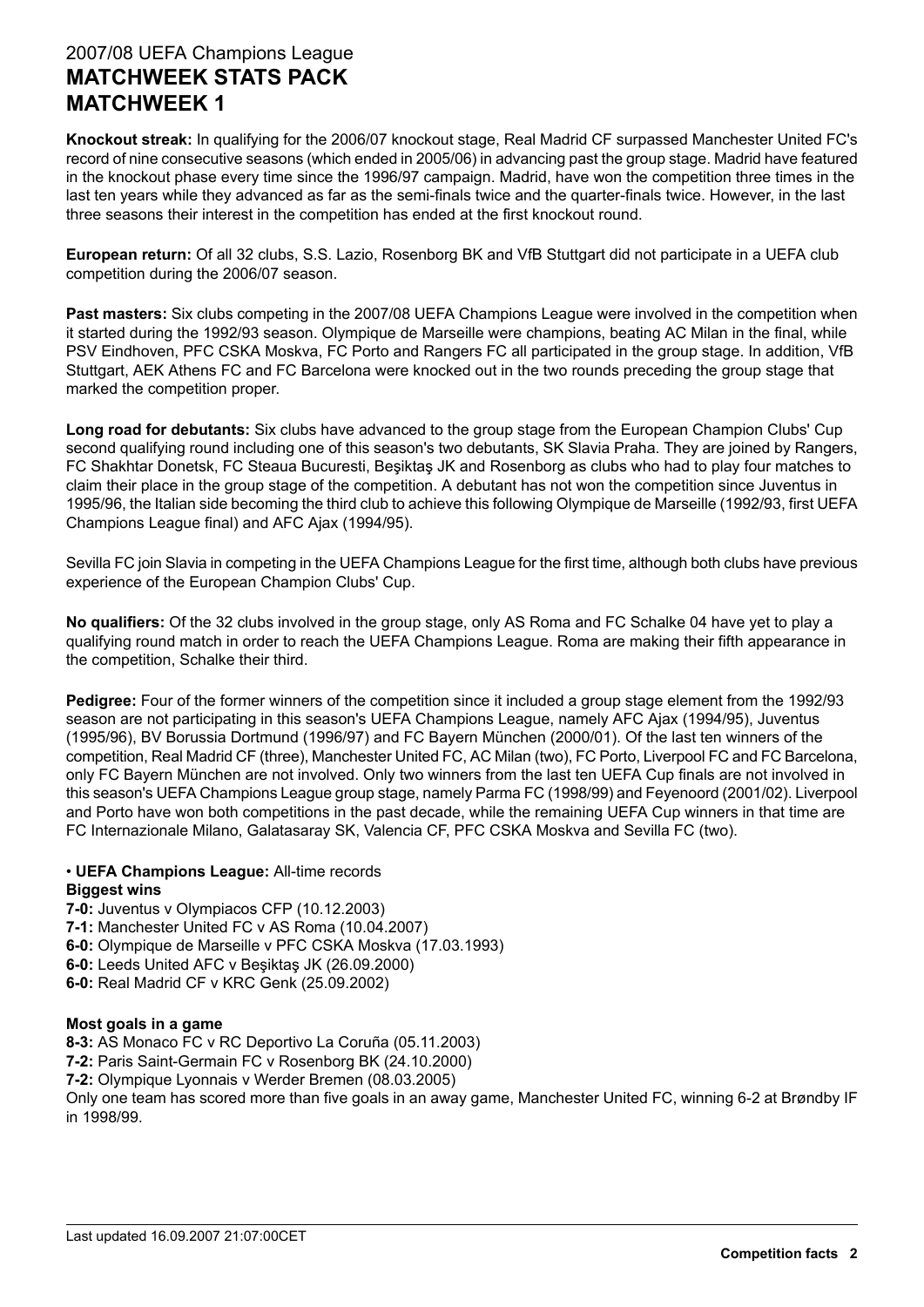**Knockout streak:** In qualifying for the 2006/07 knockout stage, Real Madrid CF surpassed Manchester United FC's record of nine consecutive seasons (which ended in 2005/06) in advancing past the group stage. Madrid have featured in the knockout phase every time since the 1996/97 campaign. Madrid, have won the competition three times in the last ten years while they advanced as far as the semi-finals twice and the quarter-finals twice. However, in the last three seasons their interest in the competition has ended at the first knockout round.

**European return:** Of all 32 clubs, S.S. Lazio, Rosenborg BK and VfB Stuttgart did not participate in a UEFA club competition during the 2006/07 season.

**Past masters:** Six clubs competing in the 2007/08 UEFA Champions League were involved in the competition when it started during the 1992/93 season. Olympique de Marseille were champions, beating AC Milan in the final, while PSV Eindhoven, PFC CSKA Moskva, FC Porto and Rangers FC all participated in the group stage. In addition, VfB Stuttgart, AEK Athens FC and FC Barcelona were knocked out in the two rounds preceding the group stage that marked the competition proper.

**Long road for debutants:** Six clubs have advanced to the group stage from the European Champion Clubs' Cup second qualifying round including one of this season's two debutants, SK Slavia Praha. They are joined by Rangers, FC Shakhtar Donetsk, FC Steaua Bucuresti, Beşiktaş JK and Rosenborg as clubs who had to play four matches to claim their place in the group stage of the competition. A debutant has not won the competition since Juventus in 1995/96, the Italian side becoming the third club to achieve this following Olympique de Marseille (1992/93, first UEFA Champions League final) and AFC Ajax (1994/95).

Sevilla FC join Slavia in competing in the UEFA Champions League for the first time, although both clubs have previous experience of the European Champion Clubs' Cup.

**No qualifiers:** Of the 32 clubs involved in the group stage, only AS Roma and FC Schalke 04 have yet to play a qualifying round match in order to reach the UEFA Champions League. Roma are making their fifth appearance in the competition, Schalke their third.

**Pedigree:** Four of the former winners of the competition since it included a group stage element from the 1992/93 season are not participating in this season's UEFA Champions League, namely AFC Ajax (1994/95), Juventus (1995/96), BV Borussia Dortmund (1996/97) and FC Bayern München (2000/01). Of the last ten winners of the competition, Real Madrid CF (three), Manchester United FC, AC Milan (two), FC Porto, Liverpool FC and FC Barcelona, only FC Bayern München are not involved. Only two winners from the last ten UEFA Cup finals are not involved in this season's UEFA Champions League group stage, namely Parma FC (1998/99) and Feyenoord (2001/02). Liverpool and Porto have won both competitions in the past decade, while the remaining UEFA Cup winners in that time are FC Internazionale Milano, Galatasaray SK, Valencia CF, PFC CSKA Moskva and Sevilla FC (two).

#### • **UEFA Champions League:** All-time records **Biggest wins**

**7-0:** Juventus v Olympiacos CFP (10.12.2003) **7-1:** Manchester United FC v AS Roma (10.04.2007) **6-0:** Olympique de Marseille v PFC CSKA Moskva (17.03.1993) **6-0:** Leeds United AFC v Beşiktaş JK (26.09.2000) **6-0:** Real Madrid CF v KRC Genk (25.09.2002)

#### **Most goals in a game**

**8-3:** AS Monaco FC v RC Deportivo La Coruña (05.11.2003)

**7-2:** Paris Saint-Germain FC v Rosenborg BK (24.10.2000)

**7-2:** Olympique Lyonnais v Werder Bremen (08.03.2005)

Only one team has scored more than five goals in an away game, Manchester United FC, winning 6-2 at Brøndby IF in 1998/99.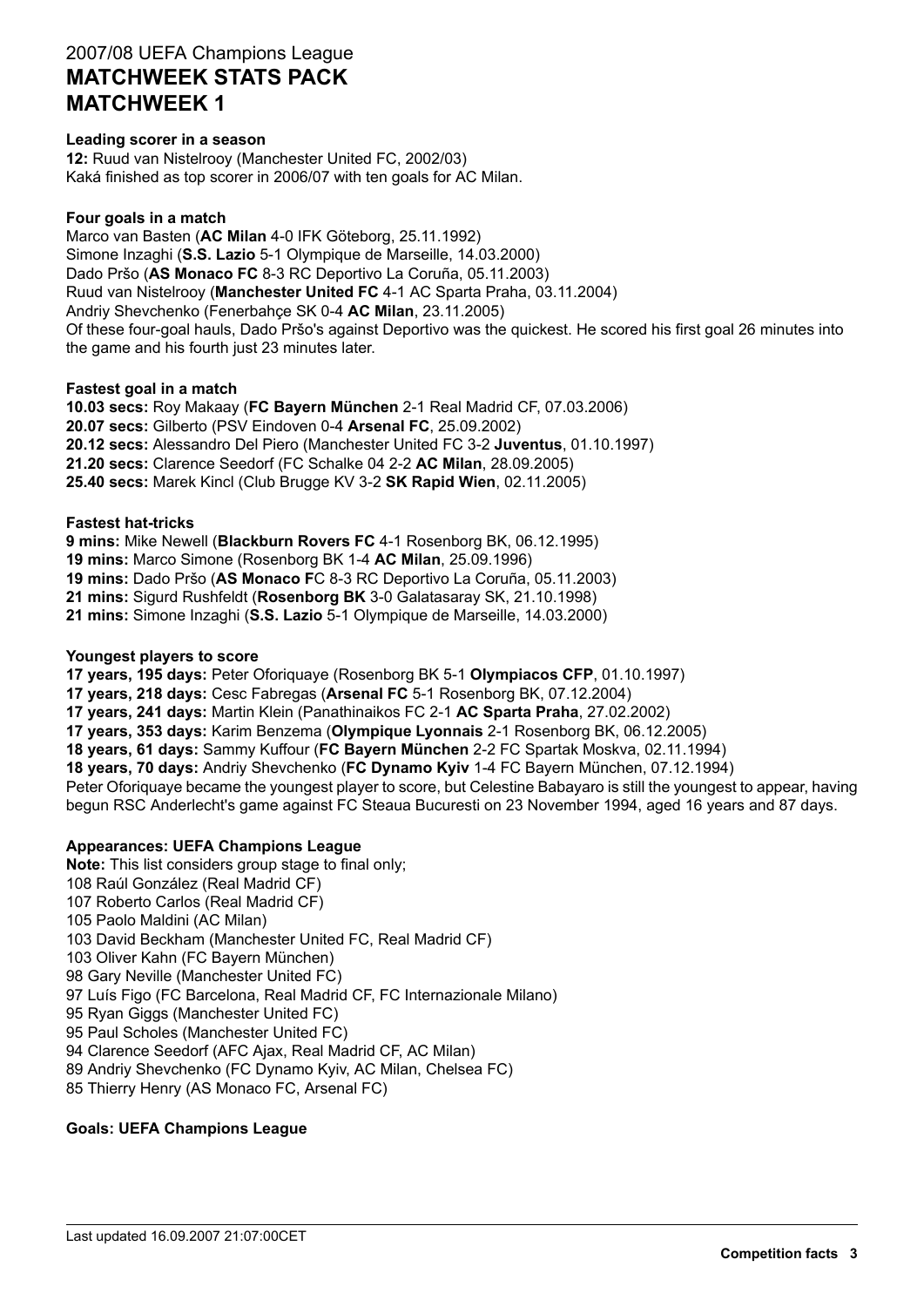#### **Leading scorer in a season**

**12:** Ruud van Nistelrooy (Manchester United FC, 2002/03) Kaká finished as top scorer in 2006/07 with ten goals for AC Milan.

#### **Four goals in a match**

Marco van Basten (**AC Milan** 4-0 IFK Göteborg, 25.11.1992) Simone Inzaghi (**S.S. Lazio** 5-1 Olympique de Marseille, 14.03.2000) Dado Pršo (**AS Monaco FC** 8-3 RC Deportivo La Coruña, 05.11.2003) Ruud van Nistelrooy (**Manchester United FC** 4-1 AC Sparta Praha, 03.11.2004) Andriy Shevchenko (Fenerbahçe SK 0-4 **AC Milan**, 23.11.2005) Of these four-goal hauls, Dado Pršo's against Deportivo was the quickest. He scored his first goal 26 minutes into the game and his fourth just 23 minutes later.

#### **Fastest goal in a match**

**10.03 secs:** Roy Makaay (**FC Bayern München** 2-1 Real Madrid CF, 07.03.2006) **20.07 secs:** Gilberto (PSV Eindoven 0-4 **Arsenal FC**, 25.09.2002) **20.12 secs:** Alessandro Del Piero (Manchester United FC 3-2 **Juventus**, 01.10.1997) **21.20 secs:** Clarence Seedorf (FC Schalke 04 2-2 **AC Milan**, 28.09.2005) **25.40 secs:** Marek Kincl (Club Brugge KV 3-2 **SK Rapid Wien**, 02.11.2005)

#### **Fastest hat-tricks**

**9 mins:** Mike Newell (**Blackburn Rovers FC** 4-1 Rosenborg BK, 06.12.1995)

**19 mins:** Marco Simone (Rosenborg BK 1-4 **AC Milan**, 25.09.1996)

**19 mins:** Dado Pršo (**AS Monaco F**C 8-3 RC Deportivo La Coruña, 05.11.2003)

**21 mins:** Sigurd Rushfeldt (**Rosenborg BK** 3-0 Galatasaray SK, 21.10.1998)

**21 mins:** Simone Inzaghi (**S.S. Lazio** 5-1 Olympique de Marseille, 14.03.2000)

#### **Youngest players to score**

**17 years, 195 days:** Peter Oforiquaye (Rosenborg BK 5-1 **Olympiacos CFP**, 01.10.1997)

**17 years, 218 days:** Cesc Fabregas (**Arsenal FC** 5-1 Rosenborg BK, 07.12.2004)

**17 years, 241 days:** Martin Klein (Panathinaikos FC 2-1 **AC Sparta Praha**, 27.02.2002)

**17 years, 353 days:** Karim Benzema (**Olympique Lyonnais** 2-1 Rosenborg BK, 06.12.2005)

**18 years, 61 days:** Sammy Kuffour (**FC Bayern München** 2-2 FC Spartak Moskva, 02.11.1994)

**18 years, 70 days:** Andriy Shevchenko (**FC Dynamo Kyiv** 1-4 FC Bayern München, 07.12.1994)

Peter Oforiquaye became the youngest player to score, but Celestine Babayaro is still the youngest to appear, having begun RSC Anderlecht's game against FC Steaua Bucuresti on 23 November 1994, aged 16 years and 87 days.

#### **Appearances: UEFA Champions League**

**Note:** This list considers group stage to final only; 108 Raúl González (Real Madrid CF) 107 Roberto Carlos (Real Madrid CF) 105 Paolo Maldini (AC Milan) 103 David Beckham (Manchester United FC, Real Madrid CF) 103 Oliver Kahn (FC Bayern München) 98 Gary Neville (Manchester United FC) 97 Luís Figo (FC Barcelona, Real Madrid CF, FC Internazionale Milano) 95 Ryan Giggs (Manchester United FC) 95 Paul Scholes (Manchester United FC) 94 Clarence Seedorf (AFC Ajax, Real Madrid CF, AC Milan) 89 Andriy Shevchenko (FC Dynamo Kyiv, AC Milan, Chelsea FC)

85 Thierry Henry (AS Monaco FC, Arsenal FC)

#### **Goals: UEFA Champions League**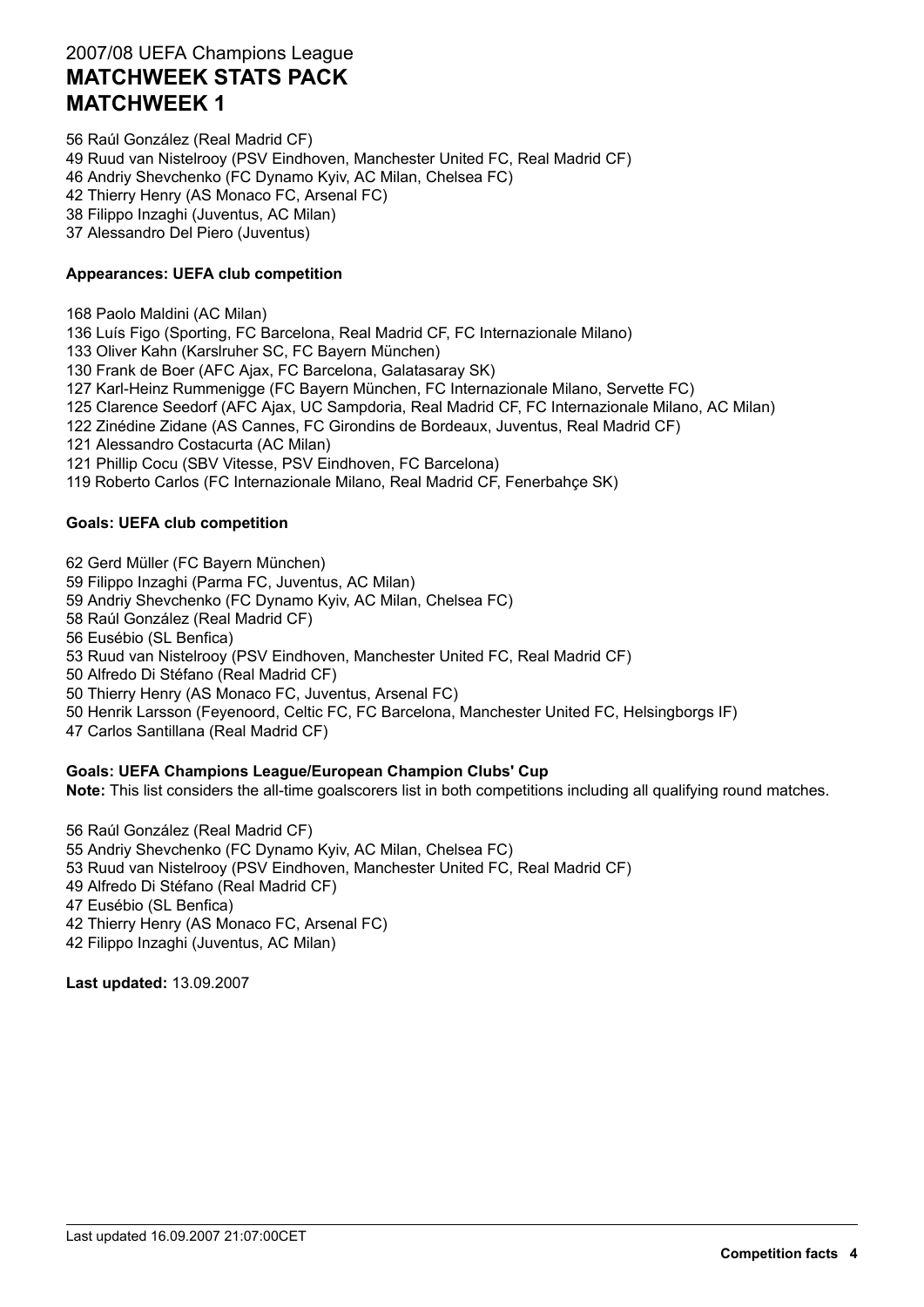56 Raúl González (Real Madrid CF) 49 Ruud van Nistelrooy (PSV Eindhoven, Manchester United FC, Real Madrid CF) 46 Andriy Shevchenko (FC Dynamo Kyiv, AC Milan, Chelsea FC) 42 Thierry Henry (AS Monaco FC, Arsenal FC) 38 Filippo Inzaghi (Juventus, AC Milan) 37 Alessandro Del Piero (Juventus)

#### **Appearances: UEFA club competition**

168 Paolo Maldini (AC Milan)

136 Luís Figo (Sporting, FC Barcelona, Real Madrid CF, FC Internazionale Milano)

133 Oliver Kahn (Karslruher SC, FC Bayern München)

130 Frank de Boer (AFC Ajax, FC Barcelona, Galatasaray SK)

127 Karl-Heinz Rummenigge (FC Bayern München, FC Internazionale Milano, Servette FC)

125 Clarence Seedorf (AFC Ajax, UC Sampdoria, Real Madrid CF, FC Internazionale Milano, AC Milan)

122 Zinédine Zidane (AS Cannes, FC Girondins de Bordeaux, Juventus, Real Madrid CF)

121 Alessandro Costacurta (AC Milan)

121 Phillip Cocu (SBV Vitesse, PSV Eindhoven, FC Barcelona)

119 Roberto Carlos (FC Internazionale Milano, Real Madrid CF, Fenerbahçe SK)

#### **Goals: UEFA club competition**

62 Gerd Müller (FC Bayern München)

59 Filippo Inzaghi (Parma FC, Juventus, AC Milan)

59 Andriy Shevchenko (FC Dynamo Kyiv, AC Milan, Chelsea FC)

58 Raúl González (Real Madrid CF)

56 Eusébio (SL Benfica)

53 Ruud van Nistelrooy (PSV Eindhoven, Manchester United FC, Real Madrid CF)

50 Alfredo Di Stéfano (Real Madrid CF)

50 Thierry Henry (AS Monaco FC, Juventus, Arsenal FC)

50 Henrik Larsson (Feyenoord, Celtic FC, FC Barcelona, Manchester United FC, Helsingborgs IF)

47 Carlos Santillana (Real Madrid CF)

#### **Goals: UEFA Champions League/European Champion Clubs' Cup**

**Note:** This list considers the all-time goalscorers list in both competitions including all qualifying round matches.

56 Raúl González (Real Madrid CF) 55 Andriy Shevchenko (FC Dynamo Kyiv, AC Milan, Chelsea FC) 53 Ruud van Nistelrooy (PSV Eindhoven, Manchester United FC, Real Madrid CF) 49 Alfredo Di Stéfano (Real Madrid CF) 47 Eusébio (SL Benfica) 42 Thierry Henry (AS Monaco FC, Arsenal FC) 42 Filippo Inzaghi (Juventus, AC Milan)

**Last updated:** 13.09.2007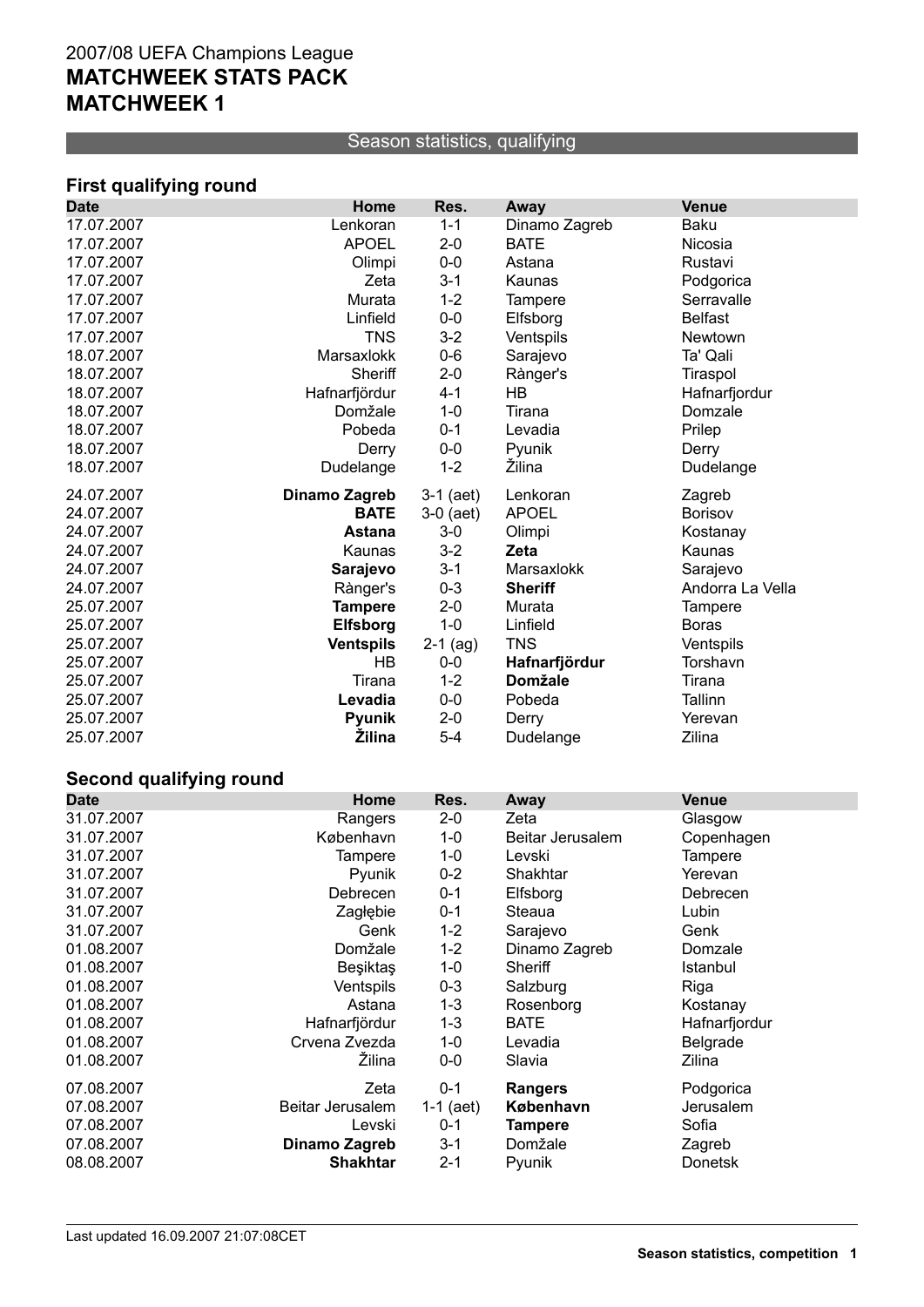#### Season statistics, qualifying

# **First qualifying round**

| <b>Date</b> | Home             | Res.        | Away           | <b>Venue</b>     |
|-------------|------------------|-------------|----------------|------------------|
| 17.07.2007  | Lenkoran         | $1 - 1$     | Dinamo Zagreb  | <b>Baku</b>      |
| 17.07.2007  | <b>APOEL</b>     | $2 - 0$     | <b>BATE</b>    | Nicosia          |
| 17.07.2007  | Olimpi           | $0-0$       | Astana         | Rustavi          |
| 17.07.2007  | Zeta             | $3 - 1$     | Kaunas         | Podgorica        |
| 17.07.2007  | Murata           | $1 - 2$     | <b>Tampere</b> | Serravalle       |
| 17.07.2007  | Linfield         | $0-0$       | Elfsborg       | <b>Belfast</b>   |
| 17.07.2007  | <b>TNS</b>       | $3 - 2$     | Ventspils      | Newtown          |
| 18.07.2007  | Marsaxlokk       | $0-6$       | Sarajevo       | Ta' Qali         |
| 18.07.2007  | Sheriff          | $2 - 0$     | Rànger's       | Tiraspol         |
| 18.07.2007  | Hafnarfjördur    | $4 - 1$     | <b>HB</b>      | Hafnarfjordur    |
| 18.07.2007  | Domžale          | $1 - 0$     | Tirana         | Domzale          |
| 18.07.2007  | Pobeda           | $0 - 1$     | Levadia        | Prilep           |
| 18.07.2007  | Derry            | $0-0$       | Pyunik         | Derry            |
| 18.07.2007  | Dudelange        | $1 - 2$     | Žilina         | Dudelange        |
| 24.07.2007  | Dinamo Zagreb    | $3-1$ (aet) | Lenkoran       | Zagreb           |
| 24.07.2007  | <b>BATE</b>      | $3-0$ (aet) | <b>APOEL</b>   | <b>Borisov</b>   |
| 24.07.2007  | <b>Astana</b>    | $3-0$       | Olimpi         | Kostanay         |
| 24.07.2007  | Kaunas           | $3 - 2$     | Zeta           | Kaunas           |
| 24.07.2007  | Sarajevo         | $3 - 1$     | Marsaxlokk     | Sarajevo         |
| 24.07.2007  | Rànger's         | $0 - 3$     | <b>Sheriff</b> | Andorra La Vella |
| 25.07.2007  | <b>Tampere</b>   | $2 - 0$     | Murata         | Tampere          |
| 25.07.2007  | <b>Elfsborg</b>  | $1 - 0$     | Linfield       | <b>Boras</b>     |
| 25.07.2007  | <b>Ventspils</b> | $2-1$ (ag)  | <b>TNS</b>     | Ventspils        |
| 25.07.2007  | <b>HB</b>        | $0-0$       | Hafnarfjördur  | Torshavn         |
| 25.07.2007  | Tirana           | $1 - 2$     | <b>Domžale</b> | Tirana           |
| 25.07.2007  | Levadia          | $0-0$       | Pobeda         | Tallinn          |
| 25.07.2007  | <b>Pyunik</b>    | $2 - 0$     | Derry          | Yerevan          |
| 25.07.2007  | <b>Žilina</b>    | $5 - 4$     | Dudelange      | Zilina           |

# **Second qualifying round**

| <b>Date</b> | Home             | Res.      | Away             | <b>Venue</b>   |
|-------------|------------------|-----------|------------------|----------------|
| 31.07.2007  | Rangers          | $2 - 0$   | Zeta             | Glasgow        |
| 31.07.2007  | København        | 1-0       | Beitar Jerusalem | Copenhagen     |
| 31.07.2007  | Tampere          | $1 - 0$   | Levski           | Tampere        |
| 31.07.2007  | Pyunik           | $0 - 2$   | Shakhtar         | Yerevan        |
| 31.07.2007  | Debrecen         | $0 - 1$   | Elfsborg         | Debrecen       |
| 31.07.2007  | Zagłębie         | $0 - 1$   | Steaua           | Lubin          |
| 31.07.2007  | Genk             | $1 - 2$   | Sarajevo         | Genk           |
| 01.08.2007  | Domžale          | $1 - 2$   | Dinamo Zagreb    | Domzale        |
| 01.08.2007  | <b>Beşiktaş</b>  | $1 - 0$   | Sheriff          | Istanbul       |
| 01.08.2007  | Ventspils        | $0 - 3$   | Salzburg         | Riga           |
| 01.08.2007  | Astana           | $1 - 3$   | Rosenborg        | Kostanay       |
| 01.08.2007  | Hafnarfjördur    | $1 - 3$   | <b>BATE</b>      | Hafnarfjordur  |
| 01.08.2007  | Crvena Zvezda    | $1 - 0$   | Levadia          | Belgrade       |
| 01.08.2007  | Žilina           | $0-0$     | Slavia           | Zilina         |
| 07.08.2007  | Zeta             | $0 - 1$   | <b>Rangers</b>   | Podgorica      |
| 07.08.2007  | Beitar Jerusalem | 1-1 (aet) | København        | Jerusalem      |
| 07.08.2007  | Levski           | $0 - 1$   | Tampere          | Sofia          |
| 07.08.2007  | Dinamo Zagreb    | $3 - 1$   | Domžale          | Zagreb         |
| 08.08.2007  | <b>Shakhtar</b>  | $2 - 1$   | Pyunik           | <b>Donetsk</b> |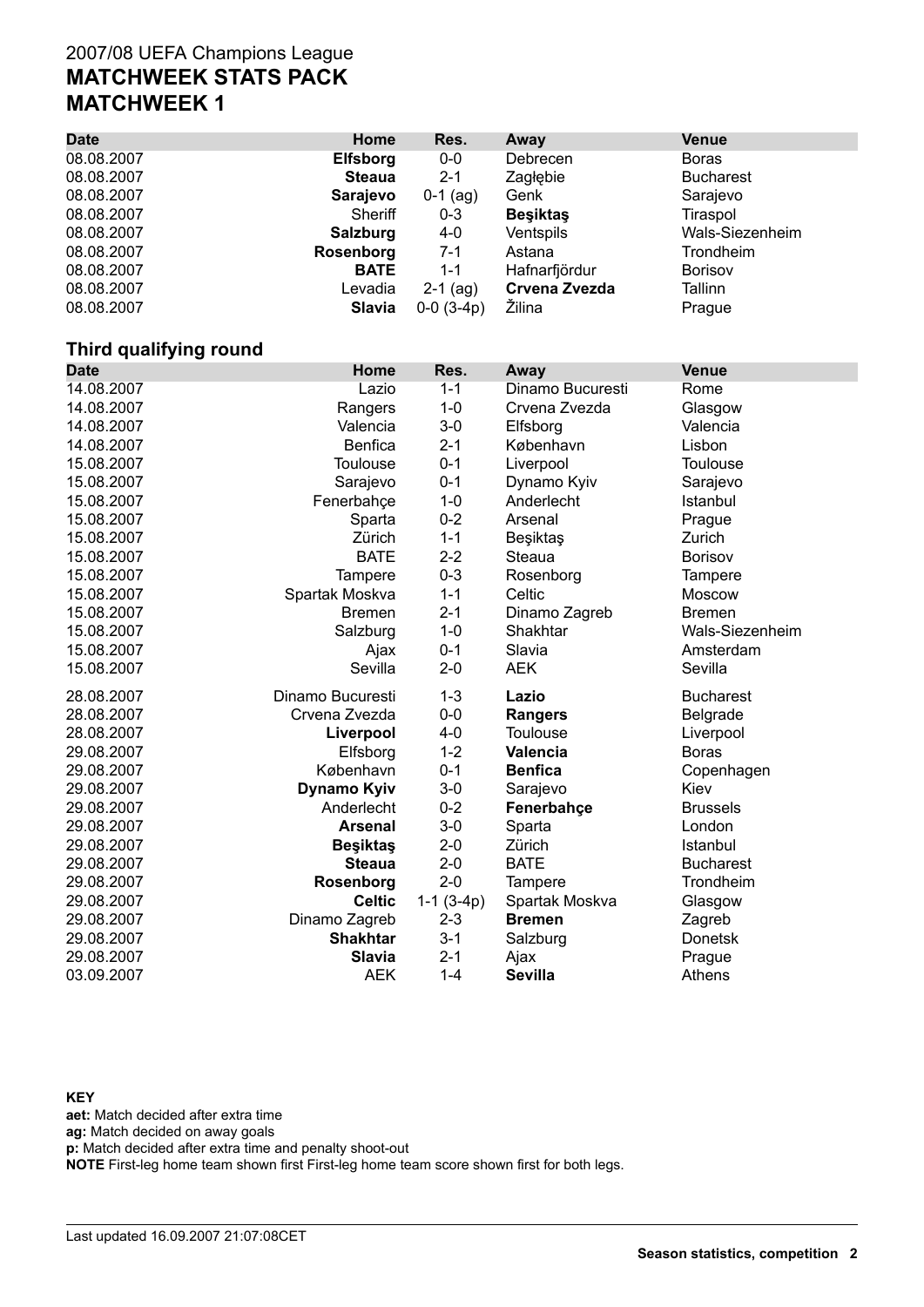| <b>Date</b> | Home            | Res.         | Away            | <b>Venue</b>     |
|-------------|-----------------|--------------|-----------------|------------------|
| 08.08.2007  | <b>Elfsborg</b> | $0-0$        | Debrecen        | <b>Boras</b>     |
| 08.08.2007  | <b>Steaua</b>   | $2 - 1$      | Zagłębie        | <b>Bucharest</b> |
| 08.08.2007  | Sarajevo        | $0-1$ (ag)   | Genk            | Sarajevo         |
| 08.08.2007  | Sheriff         | $0 - 3$      | <b>Besiktas</b> | Tiraspol         |
| 08.08.2007  | Salzburg        | $4-0$        | Ventspils       | Wals-Siezenheim  |
| 08.08.2007  | Rosenborg       | $7 - 1$      | Astana          | Trondheim        |
| 08.08.2007  | <b>BATE</b>     | 1-1          | Hafnarfjördur   | <b>Borisov</b>   |
| 08.08.2007  | Levadia         | $2-1$ (ag)   | Crvena Zvezda   | Tallinn          |
| 08.08.2007  | <b>Slavia</b>   | $0-0$ (3-4p) | Žilina          | Prague           |

#### **Third qualifying round**

| <b>Date</b> | Home               | Res.        | Away             | <b>Venue</b>     |
|-------------|--------------------|-------------|------------------|------------------|
| 14.08.2007  | Lazio              | $1 - 1$     | Dinamo Bucuresti | Rome             |
| 14.08.2007  | Rangers            | $1 - 0$     | Crvena Zvezda    | Glasgow          |
| 14.08.2007  | Valencia           | $3-0$       | Elfsborg         | Valencia         |
| 14.08.2007  | <b>Benfica</b>     | $2 - 1$     | København        | Lisbon           |
| 15.08.2007  | <b>Toulouse</b>    | $0 - 1$     | Liverpool        | <b>Toulouse</b>  |
| 15.08.2007  | Sarajevo           | $0 - 1$     | Dynamo Kyiv      | Sarajevo         |
| 15.08.2007  | Fenerbahçe         | $1 - 0$     | Anderlecht       | Istanbul         |
| 15.08.2007  | Sparta             | $0 - 2$     | Arsenal          | Prague           |
| 15.08.2007  | Zürich             | $1 - 1$     | Beşiktaş         | Zurich           |
| 15.08.2007  | <b>BATE</b>        | $2 - 2$     | Steaua           | <b>Borisov</b>   |
| 15.08.2007  | <b>Tampere</b>     | $0 - 3$     | Rosenborg        | Tampere          |
| 15.08.2007  | Spartak Moskva     | $1 - 1$     | Celtic           | Moscow           |
| 15.08.2007  | <b>Bremen</b>      | $2 - 1$     | Dinamo Zagreb    | <b>Bremen</b>    |
| 15.08.2007  | Salzburg           | $1 - 0$     | Shakhtar         | Wals-Siezenheim  |
| 15.08.2007  | Ajax               | $0 - 1$     | Slavia           | Amsterdam        |
| 15.08.2007  | Sevilla            | $2 - 0$     | <b>AEK</b>       | Sevilla          |
| 28.08.2007  | Dinamo Bucuresti   | $1 - 3$     | Lazio            | <b>Bucharest</b> |
| 28.08.2007  | Crvena Zvezda      | $0-0$       | <b>Rangers</b>   | Belgrade         |
| 28.08.2007  | Liverpool          | $4 - 0$     | <b>Toulouse</b>  | Liverpool        |
| 29.08.2007  | Elfsborg           | $1 - 2$     | <b>Valencia</b>  | <b>Boras</b>     |
| 29.08.2007  | København          | $0 - 1$     | <b>Benfica</b>   | Copenhagen       |
| 29.08.2007  | <b>Dynamo Kyiv</b> | $3-0$       | Sarajevo         | Kiev             |
| 29.08.2007  | Anderlecht         | $0 - 2$     | Fenerbahçe       | <b>Brussels</b>  |
| 29.08.2007  | <b>Arsenal</b>     | $3-0$       | Sparta           | London           |
| 29.08.2007  | <b>Besiktas</b>    | $2 - 0$     | Zürich           | Istanbul         |
| 29.08.2007  | <b>Steaua</b>      | $2 - 0$     | BATE             | <b>Bucharest</b> |
| 29.08.2007  | Rosenborg          | $2 - 0$     | <b>Tampere</b>   | Trondheim        |
| 29.08.2007  | <b>Celtic</b>      | $1-1(3-4p)$ | Spartak Moskva   | Glasgow          |
| 29.08.2007  | Dinamo Zagreb      | $2 - 3$     | <b>Bremen</b>    | Zagreb           |
| 29.08.2007  | <b>Shakhtar</b>    | $3 - 1$     | Salzburg         | <b>Donetsk</b>   |
| 29.08.2007  | Slavia             | $2 - 1$     | Ajax             | Prague           |
| 03.09.2007  | <b>AEK</b>         | $1 - 4$     | <b>Sevilla</b>   | Athens           |

**KEY**

**aet:** Match decided after extra time

**ag:** Match decided on away goals

**p:** Match decided after extra time and penalty shoot-out

**NOTE** First-leg home team shown first First-leg home team score shown first for both legs.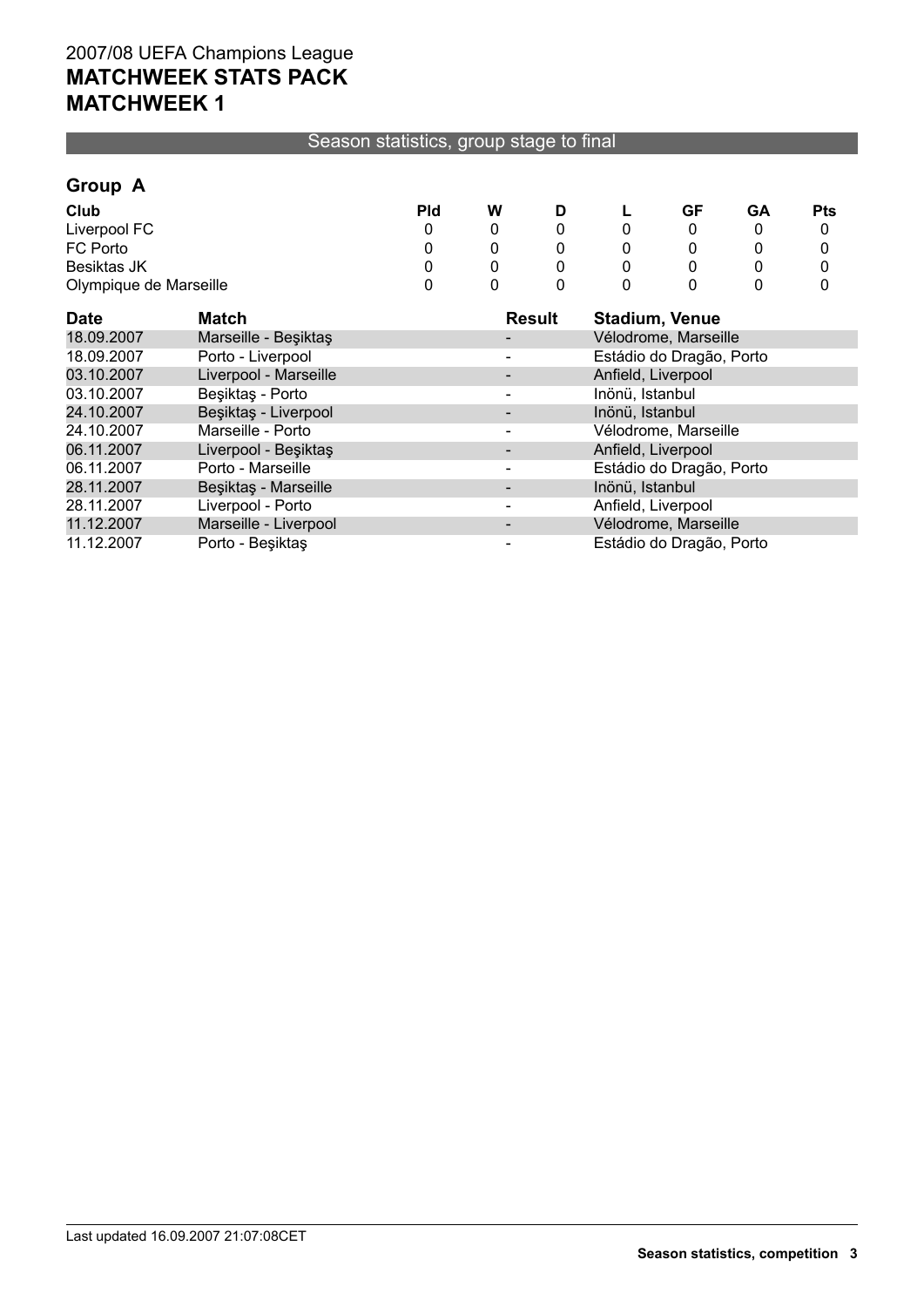#### Season statistics, group stage to final

#### **Group A**

| Club                   | Pld | W | ┗ | GF | GΑ | <b>Pts</b> |
|------------------------|-----|---|---|----|----|------------|
| Liverpool FC           |     |   |   |    |    |            |
| FC Porto               |     |   |   |    |    |            |
| <b>Besiktas JK</b>     |     |   |   |    |    |            |
| Olympique de Marseille |     |   |   |    |    |            |

| <b>Date</b> | Match                 | <b>Result</b> | <b>Stadium, Venue</b>    |
|-------------|-----------------------|---------------|--------------------------|
| 18.09.2007  | Marseille - Beşiktaş  |               | Vélodrome, Marseille     |
| 18.09.2007  | Porto - Liverpool     |               | Estádio do Dragão, Porto |
| 03.10.2007  | Liverpool - Marseille |               | Anfield, Liverpool       |
| 03.10.2007  | Beşiktaş - Porto      |               | Inönü, Istanbul          |
| 24.10.2007  | Beşiktaş - Liverpool  |               | Inönü, Istanbul          |
| 24.10.2007  | Marseille - Porto     |               | Vélodrome, Marseille     |
| 06.11.2007  | Liverpool - Beşiktaş  |               | Anfield, Liverpool       |
| 06.11.2007  | Porto - Marseille     |               | Estádio do Dragão, Porto |
| 28.11.2007  | Beşiktaş - Marseille  |               | Inönü, Istanbul          |
| 28.11.2007  | Liverpool - Porto     |               | Anfield, Liverpool       |
| 11.12.2007  | Marseille - Liverpool |               | Vélodrome, Marseille     |
| 11.12.2007  | Porto - Beşiktaş      |               | Estádio do Dragão, Porto |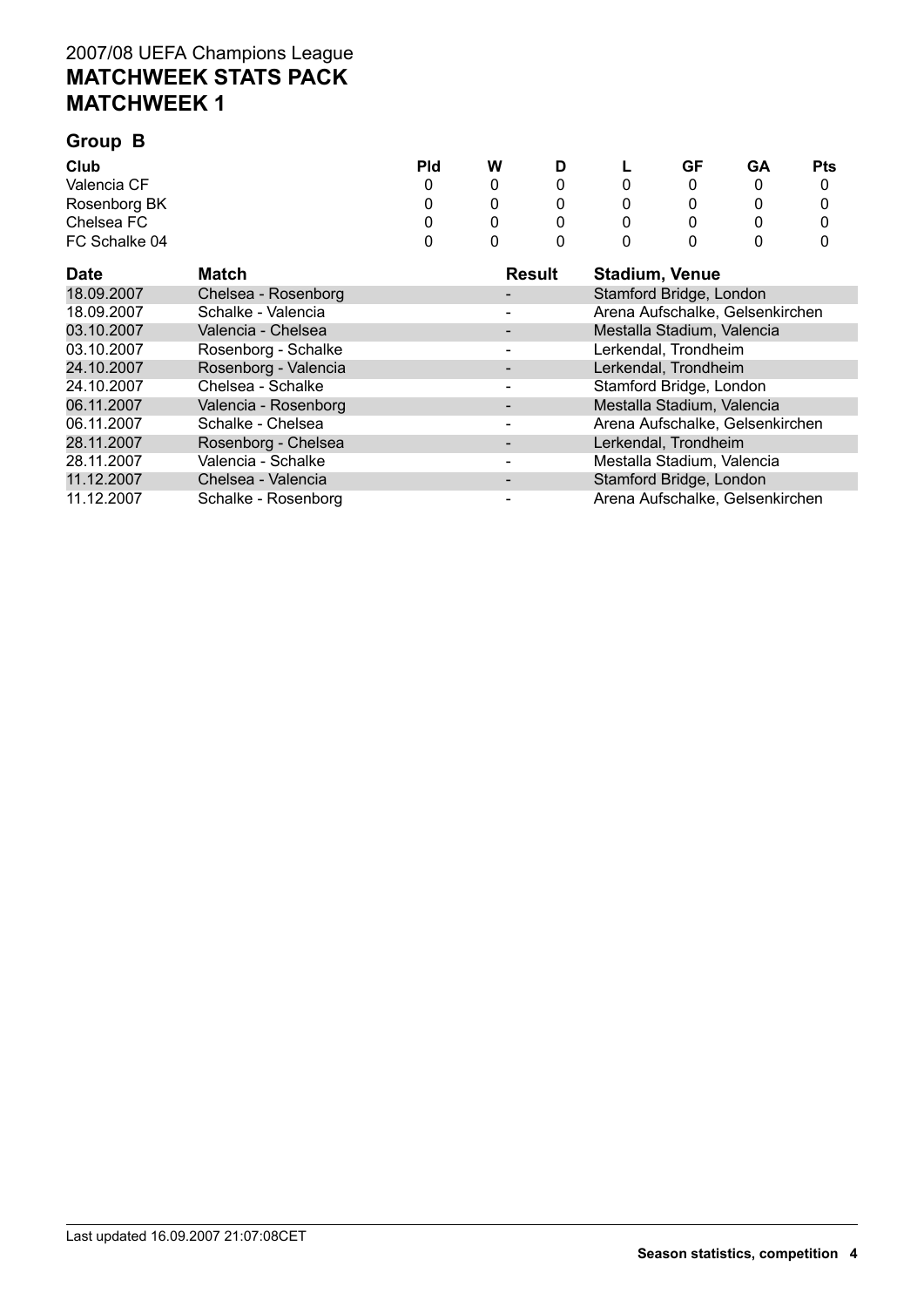#### **Group B**

| Club          | Pld | W | D | ч | GF | GA | <b>Pts</b> |
|---------------|-----|---|---|---|----|----|------------|
| Valencia CF   |     |   |   |   |    |    |            |
| Rosenborg BK  |     |   |   |   |    |    |            |
| Chelsea FC    |     |   |   |   |    |    |            |
| FC Schalke 04 |     |   |   |   |    |    |            |

| <b>Date</b> | Match                | <b>Result</b> | <b>Stadium, Venue</b>           |
|-------------|----------------------|---------------|---------------------------------|
| 18.09.2007  | Chelsea - Rosenborg  |               | Stamford Bridge, London         |
| 18.09.2007  | Schalke - Valencia   |               | Arena Aufschalke, Gelsenkirchen |
| 03.10.2007  | Valencia - Chelsea   |               | Mestalla Stadium, Valencia      |
| 03.10.2007  | Rosenborg - Schalke  |               | Lerkendal, Trondheim            |
| 24.10.2007  | Rosenborg - Valencia |               | Lerkendal, Trondheim            |
| 24.10.2007  | Chelsea - Schalke    |               | Stamford Bridge, London         |
| 06.11.2007  | Valencia - Rosenborg |               | Mestalla Stadium, Valencia      |
| 06.11.2007  | Schalke - Chelsea    |               | Arena Aufschalke, Gelsenkirchen |
| 28.11.2007  | Rosenborg - Chelsea  |               | Lerkendal, Trondheim            |
| 28.11.2007  | Valencia - Schalke   |               | Mestalla Stadium, Valencia      |
| 11.12.2007  | Chelsea - Valencia   |               | Stamford Bridge, London         |
| 11.12.2007  | Schalke - Rosenborg  |               | Arena Aufschalke, Gelsenkirchen |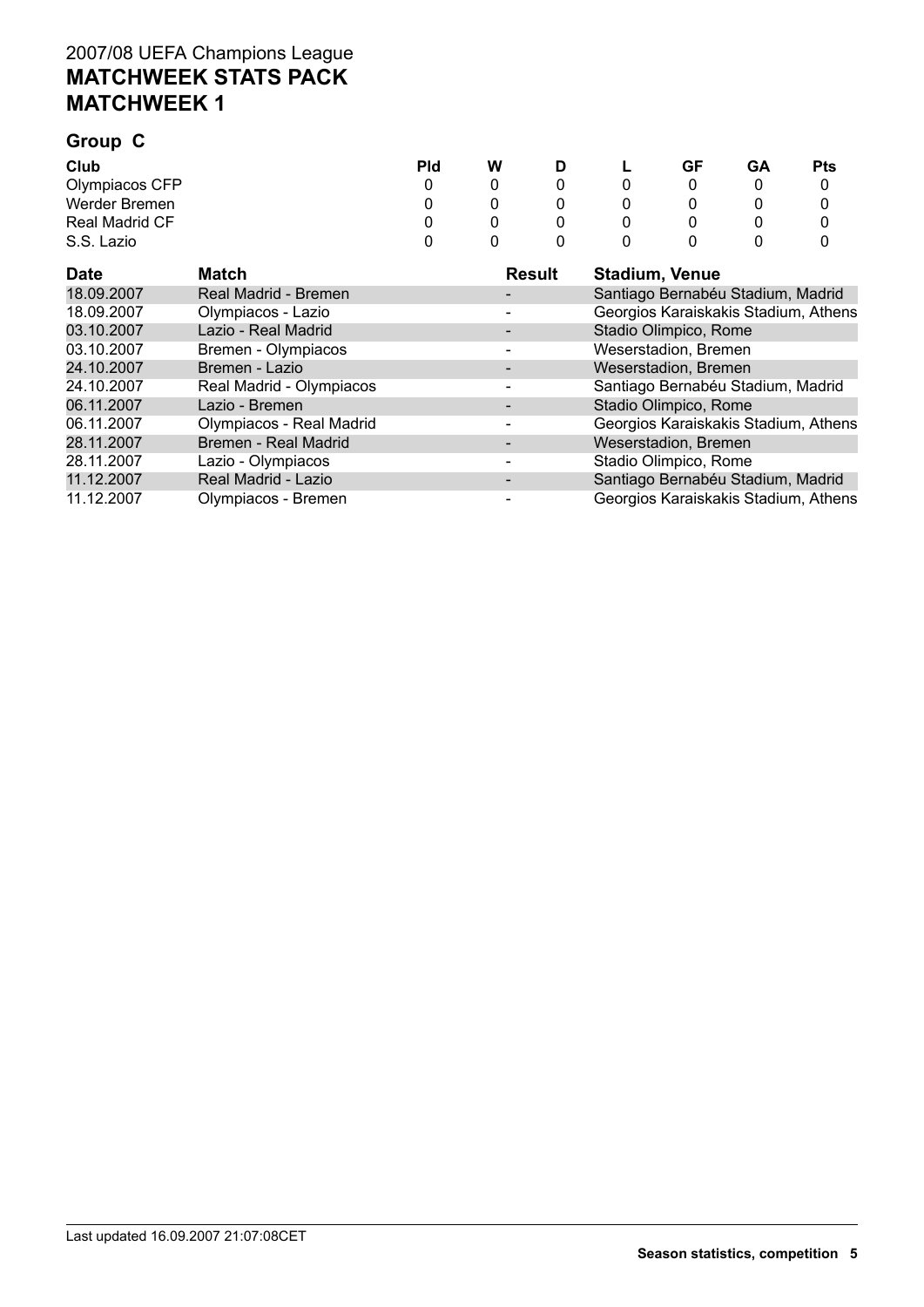# **Group C**

| Club                  | Pld | W | D | ┗ | GF | GΑ | <b>Pts</b> |
|-----------------------|-----|---|---|---|----|----|------------|
| Olympiacos CFP        |     |   |   |   |    |    |            |
| Werder Bremen         |     |   |   |   |    |    |            |
| <b>Real Madrid CF</b> |     |   |   |   |    |    |            |
| S.S. Lazio            |     |   |   |   |    |    |            |

| <b>Date</b> | Match                    | Result | <b>Stadium, Venue</b>                |
|-------------|--------------------------|--------|--------------------------------------|
| 18.09.2007  | Real Madrid - Bremen     |        | Santiago Bernabéu Stadium, Madrid    |
| 18.09.2007  | Olympiacos - Lazio       |        | Georgios Karaiskakis Stadium, Athens |
| 03.10.2007  | Lazio - Real Madrid      |        | Stadio Olimpico, Rome                |
| 03.10.2007  | Bremen - Olympiacos      |        | Weserstadion, Bremen                 |
| 24.10.2007  | Bremen - Lazio           |        | Weserstadion, Bremen                 |
| 24.10.2007  | Real Madrid - Olympiacos |        | Santiago Bernabéu Stadium, Madrid    |
| 06.11.2007  | Lazio - Bremen           |        | Stadio Olimpico, Rome                |
| 06.11.2007  | Olympiacos - Real Madrid |        | Georgios Karaiskakis Stadium, Athens |
| 28.11.2007  | Bremen - Real Madrid     |        | Weserstadion, Bremen                 |
| 28.11.2007  | Lazio - Olympiacos       |        | Stadio Olimpico, Rome                |
| 11.12.2007  | Real Madrid - Lazio      |        | Santiago Bernabéu Stadium, Madrid    |
| 11.12.2007  | Olympiacos - Bremen      |        | Georgios Karaiskakis Stadium, Athens |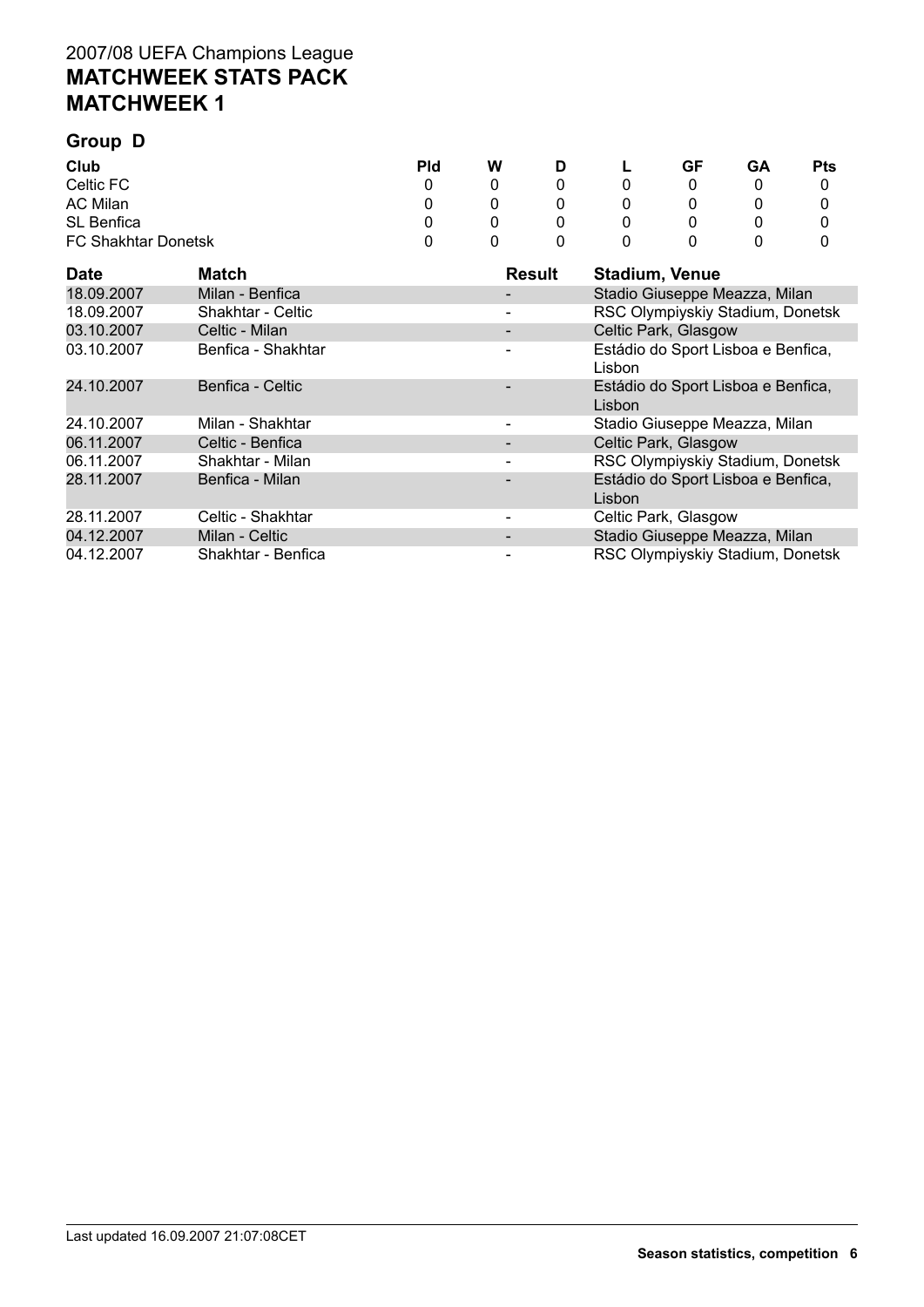# **Group D**

| Club                       | <b>Pld</b> | W | D | L | GF | GΑ | <b>Pts</b> |
|----------------------------|------------|---|---|---|----|----|------------|
| Celtic FC                  |            |   |   | 0 |    |    |            |
| AC Milan                   |            |   |   | 0 |    |    |            |
| SL Benfica                 |            |   |   | 0 |    |    |            |
| <b>FC Shakhtar Donetsk</b> |            |   |   | 0 |    |    |            |

| <b>Date</b> | Match              | Result | <b>Stadium, Venue</b>                        |
|-------------|--------------------|--------|----------------------------------------------|
| 18.09.2007  | Milan - Benfica    |        | Stadio Giuseppe Meazza, Milan                |
| 18.09.2007  | Shakhtar - Celtic  |        | RSC Olympiyskiy Stadium, Donetsk             |
| 03.10.2007  | Celtic - Milan     |        | Celtic Park, Glasgow                         |
| 03.10.2007  | Benfica - Shakhtar |        | Estádio do Sport Lisboa e Benfica,<br>Lisbon |
| 24.10.2007  | Benfica - Celtic   |        | Estádio do Sport Lisboa e Benfica,<br>Lisbon |
| 24.10.2007  | Milan - Shakhtar   |        | Stadio Giuseppe Meazza, Milan                |
| 06.11.2007  | Celtic - Benfica   |        | Celtic Park, Glasgow                         |
| 06.11.2007  | Shakhtar - Milan   |        | RSC Olympiyskiy Stadium, Donetsk             |
| 28.11.2007  | Benfica - Milan    |        | Estádio do Sport Lisboa e Benfica,<br>Lisbon |
| 28.11.2007  | Celtic - Shakhtar  |        | Celtic Park, Glasgow                         |
| 04.12.2007  | Milan - Celtic     |        | Stadio Giuseppe Meazza, Milan                |
| 04.12.2007  | Shakhtar - Benfica |        | RSC Olympiyskiy Stadium, Donetsk             |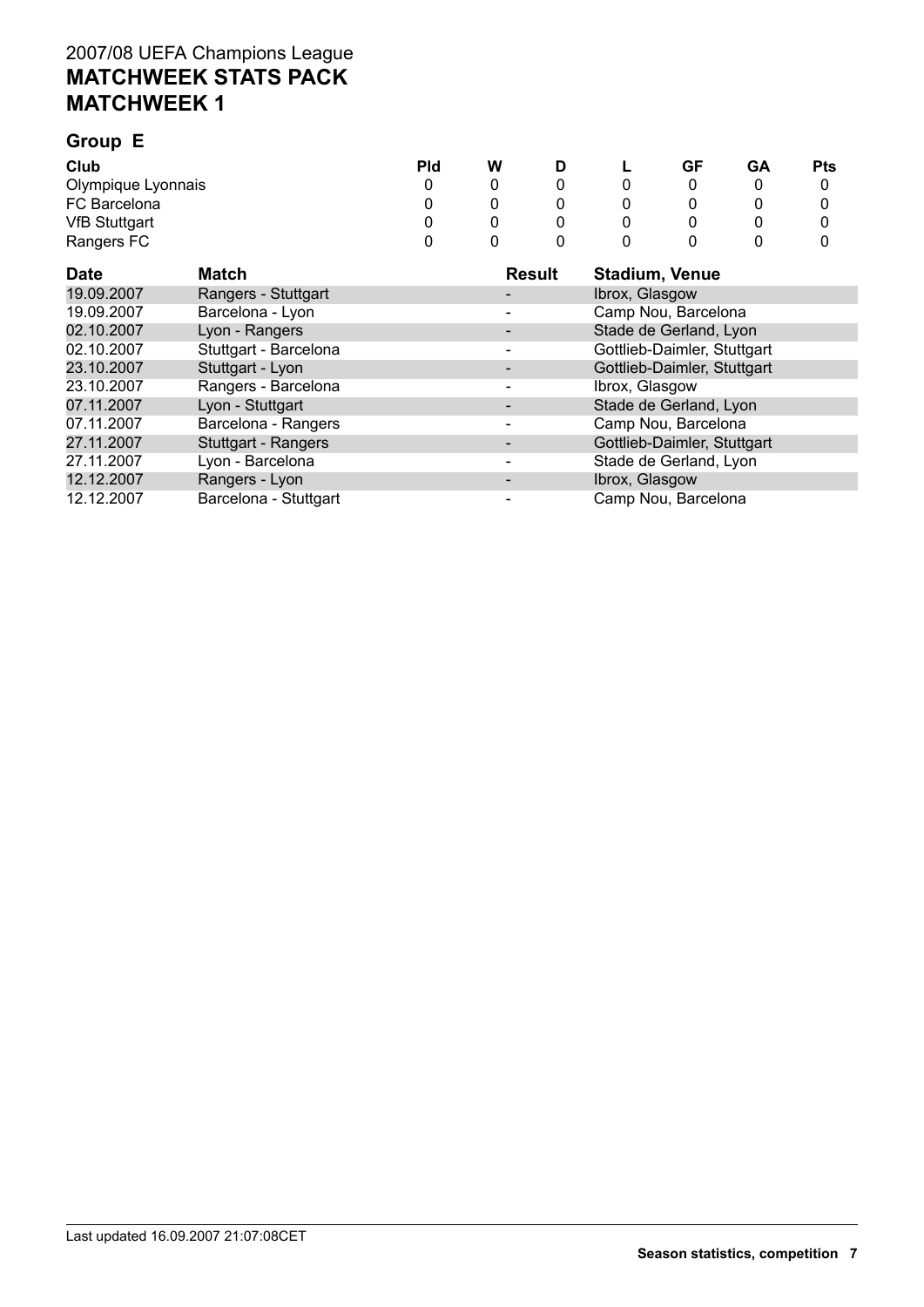#### **Group E Club Pld W D L GF GA Pts** Olympique Lyonnais 0 0 0 0 0 0 0 FC Barcelona<br>
VfB Stuttgart<br>
VfB Stuttgart<br>
O 0 0 0 0 0 0 0 VfB Stuttgart 0 0 0 0 0 0 0 Rangers FC

| <b>Date</b> | <b>Match</b>          | <b>Result</b> | <b>Stadium, Venue</b>       |
|-------------|-----------------------|---------------|-----------------------------|
| 19.09.2007  | Rangers - Stuttgart   |               | Ibrox, Glasgow              |
| 19.09.2007  | Barcelona - Lyon      |               | Camp Nou, Barcelona         |
| 02.10.2007  | Lyon - Rangers        |               | Stade de Gerland, Lyon      |
| 02.10.2007  | Stuttgart - Barcelona |               | Gottlieb-Daimler, Stuttgart |
| 23.10.2007  | Stuttgart - Lyon      |               | Gottlieb-Daimler, Stuttgart |
| 23.10.2007  | Rangers - Barcelona   |               | Ibrox, Glasgow              |
| 07.11.2007  | Lyon - Stuttgart      |               | Stade de Gerland, Lyon      |
| 07.11.2007  | Barcelona - Rangers   |               | Camp Nou, Barcelona         |
| 27.11.2007  | Stuttgart - Rangers   |               | Gottlieb-Daimler, Stuttgart |
| 27.11.2007  | Lyon - Barcelona      |               | Stade de Gerland, Lyon      |
| 12.12.2007  | Rangers - Lyon        |               | Ibrox, Glasgow              |
| 12.12.2007  | Barcelona - Stuttgart |               | Camp Nou, Barcelona         |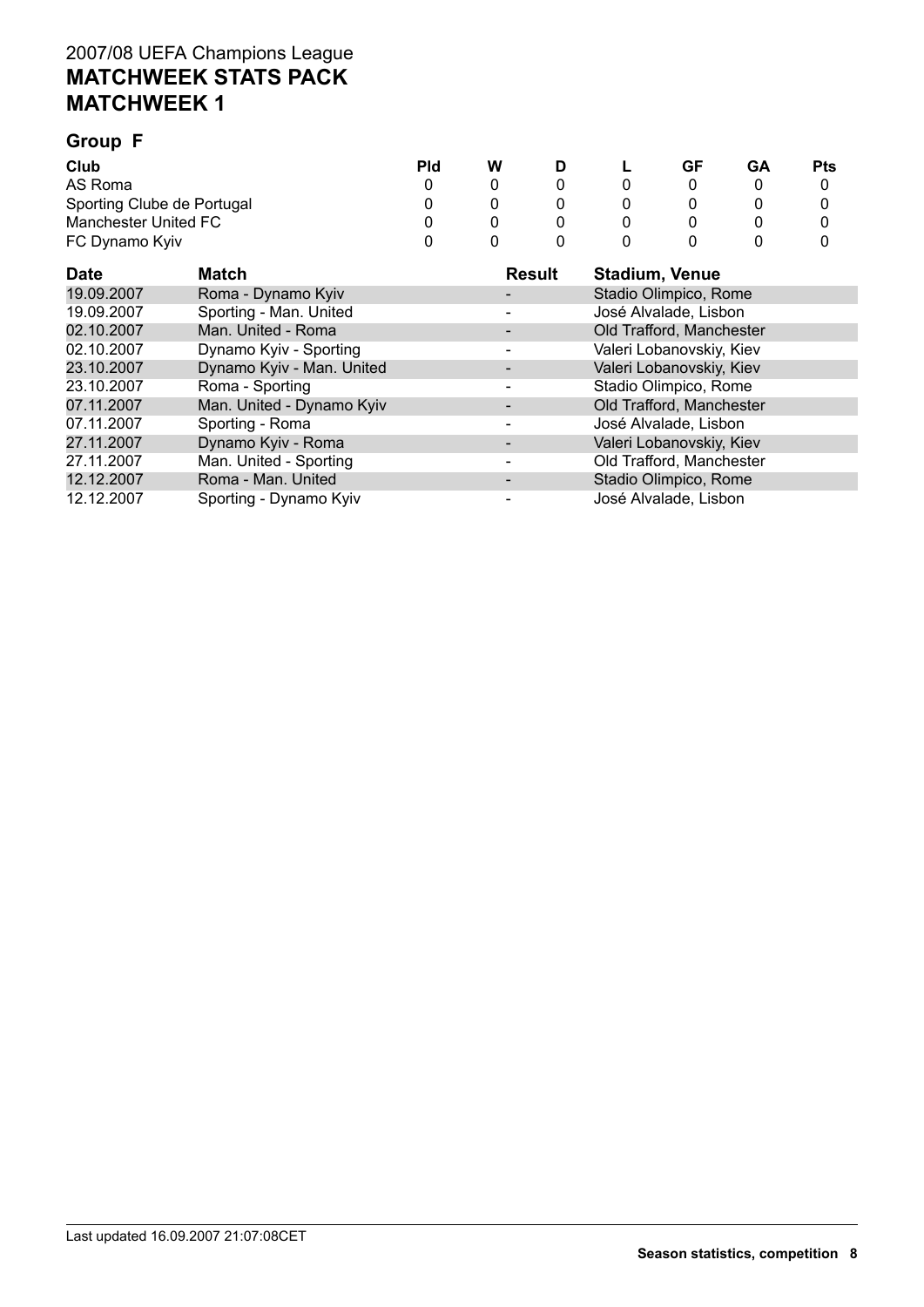# **Group F**

| Club                       | Pld | W |  | GF | GA | <b>Pts</b> |
|----------------------------|-----|---|--|----|----|------------|
| AS Roma                    |     |   |  |    |    |            |
| Sporting Clube de Portugal |     |   |  |    |    |            |
| Manchester United FC       |     |   |  |    |    |            |
| FC Dynamo Kyiv             |     |   |  |    |    |            |

| <b>Date</b> | <b>Match</b>              | <b>Result</b> | <b>Stadium, Venue</b>    |
|-------------|---------------------------|---------------|--------------------------|
| 19.09.2007  | Roma - Dynamo Kyiv        |               | Stadio Olimpico, Rome    |
| 19.09.2007  | Sporting - Man. United    |               | José Alvalade, Lisbon    |
| 02.10.2007  | Man. United - Roma        |               | Old Trafford, Manchester |
| 02.10.2007  | Dynamo Kyiv - Sporting    |               | Valeri Lobanovskiy, Kiev |
| 23.10.2007  | Dynamo Kyiv - Man. United |               | Valeri Lobanovskiy, Kiev |
| 23.10.2007  | Roma - Sporting           |               | Stadio Olimpico, Rome    |
| 07.11.2007  | Man. United - Dynamo Kyiv |               | Old Trafford, Manchester |
| 07.11.2007  | Sporting - Roma           |               | José Alvalade, Lisbon    |
| 27.11.2007  | Dynamo Kyiv - Roma        |               | Valeri Lobanovskiy, Kiev |
| 27.11.2007  | Man. United - Sporting    |               | Old Trafford, Manchester |
| 12.12.2007  | Roma - Man. United        |               | Stadio Olimpico, Rome    |
| 12.12.2007  | Sporting - Dynamo Kyiv    |               | José Alvalade, Lisbon    |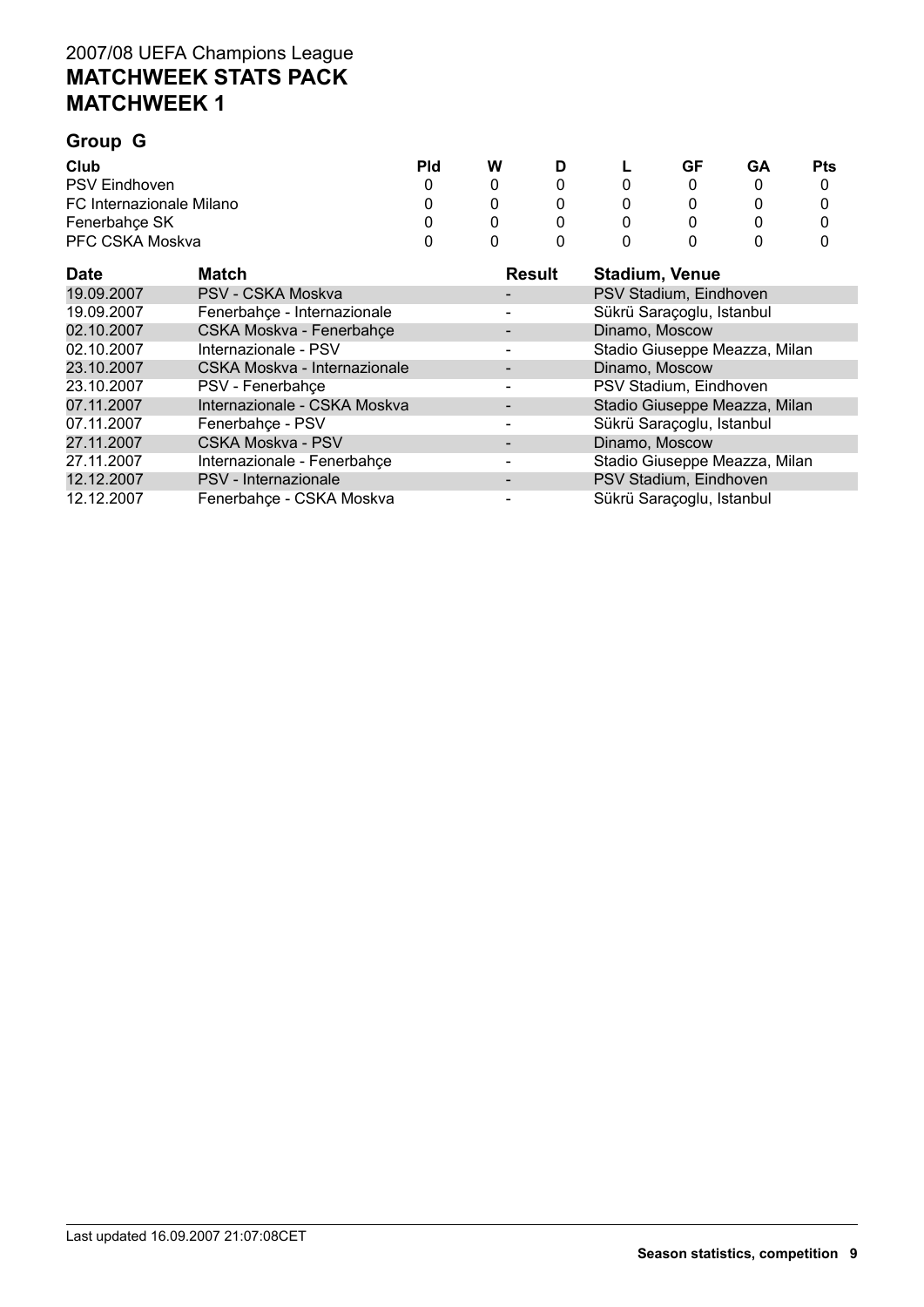# **Group G**

| Club                     | Pld | W |  | GF | GΑ | Pts |
|--------------------------|-----|---|--|----|----|-----|
| <b>PSV Eindhoven</b>     |     |   |  |    |    |     |
| FC Internazionale Milano |     |   |  |    |    |     |
| Fenerbahce SK            |     |   |  |    |    |     |
| PFC CSKA Moskva          |     |   |  |    |    |     |

| <b>Date</b> | Match                        | <b>Result</b> | <b>Stadium, Venue</b>         |
|-------------|------------------------------|---------------|-------------------------------|
| 19.09.2007  | PSV - CSKA Moskva            |               | PSV Stadium, Eindhoven        |
| 19.09.2007  | Fenerbahçe - Internazionale  |               | Sükrü Saraçoglu, Istanbul     |
| 02.10.2007  | CSKA Moskva - Fenerbahçe     |               | Dinamo, Moscow                |
| 02.10.2007  | Internazionale - PSV         |               | Stadio Giuseppe Meazza, Milan |
| 23.10.2007  | CSKA Moskva - Internazionale |               | Dinamo, Moscow                |
| 23.10.2007  | PSV - Fenerbahçe             |               | PSV Stadium, Eindhoven        |
| 07.11.2007  | Internazionale - CSKA Moskva |               | Stadio Giuseppe Meazza, Milan |
| 07.11.2007  | Fenerbahçe - PSV             |               | Sükrü Saraçoglu, Istanbul     |
| 27.11.2007  | <b>CSKA Moskva - PSV</b>     |               | Dinamo, Moscow                |
| 27.11.2007  | Internazionale - Fenerbahçe  |               | Stadio Giuseppe Meazza, Milan |
| 12.12.2007  | PSV - Internazionale         |               | PSV Stadium, Eindhoven        |
| 12.12.2007  | Fenerbahce - CSKA Moskva     |               | Sükrü Saraçoglu, Istanbul     |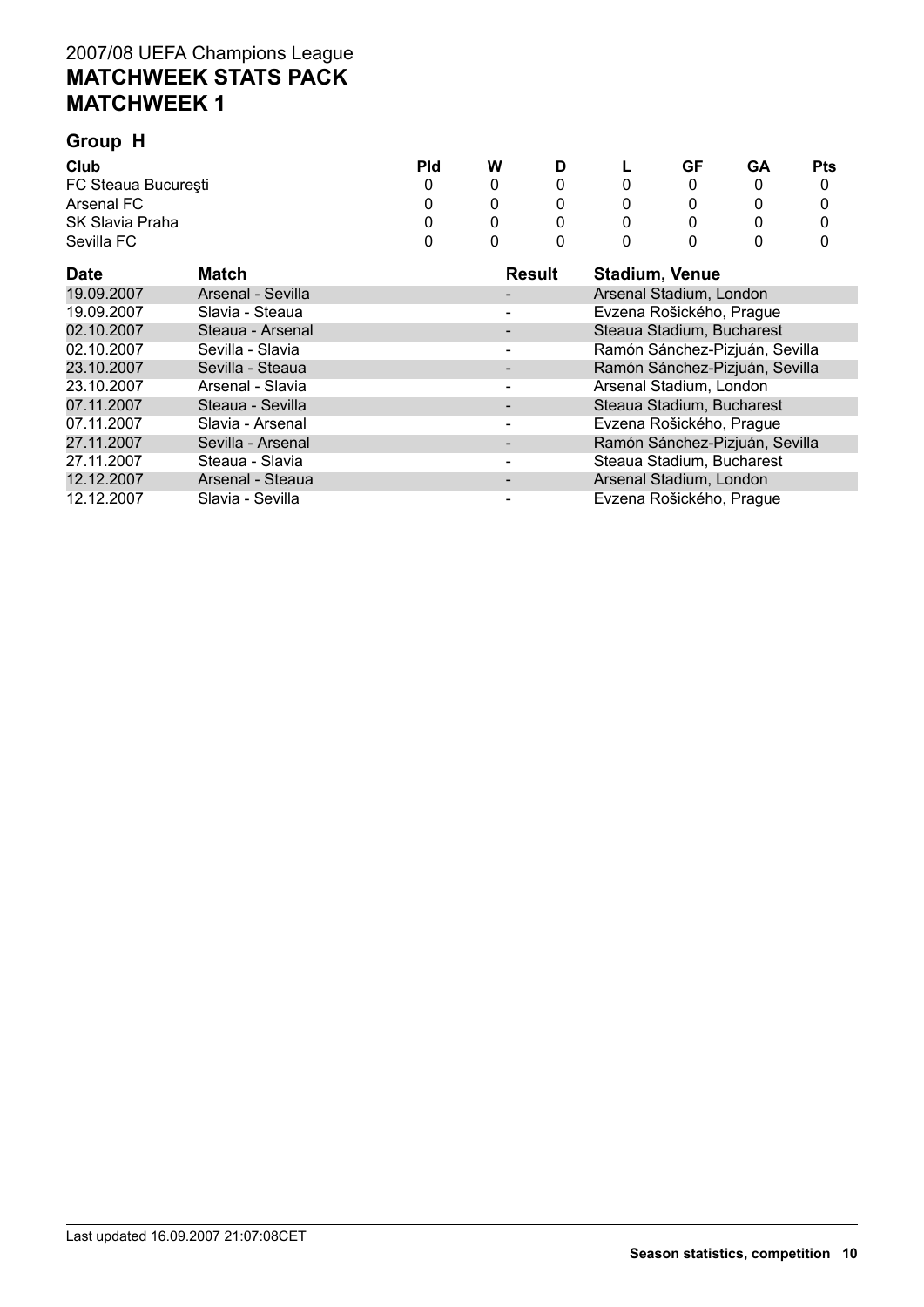| Group H                        |                   |            |   |               |                           |                         |    |            |  |
|--------------------------------|-------------------|------------|---|---------------|---------------------------|-------------------------|----|------------|--|
| Club                           |                   | <b>Pld</b> | W | D             |                           | GF                      | GА | <b>Pts</b> |  |
| FC Steaua București            |                   | 0          | 0 | 0             | 0                         | 0                       | 0  | 0          |  |
| Arsenal FC                     | 0                 | 0          | 0 |               | 0                         | 0                       | 0  |            |  |
| <b>SK Slavia Praha</b>         | 0                 | 0          | 0 |               | 0                         |                         | 0  |            |  |
| Sevilla FC                     |                   | 0          | 0 | 0             |                           | 0                       |    | 0          |  |
| <b>Date</b>                    | Match             |            |   | <b>Result</b> |                           | <b>Stadium, Venue</b>   |    |            |  |
| 19.09.2007                     | Arsenal - Sevilla |            |   |               |                           | Arsenal Stadium, London |    |            |  |
| 19.09.2007                     | Slavia - Steaua   |            |   |               | Evzena Rošického, Prague  |                         |    |            |  |
| 02.10.2007<br>Steaua - Arsenal |                   |            |   |               | Steaua Stadium, Bucharest |                         |    |            |  |

| <b>Date</b> | Match             | <b>Result</b> | <b>Stadium, Venue</b>          |
|-------------|-------------------|---------------|--------------------------------|
| 19.09.2007  | Arsenal - Sevilla |               | Arsenal Stadium, London        |
| 19.09.2007  | Slavia - Steaua   |               | Evzena Rošického, Prague       |
| 02.10.2007  | Steaua - Arsenal  |               | Steaua Stadium, Bucharest      |
| 02.10.2007  | Sevilla - Slavia  |               | Ramón Sánchez-Pizjuán, Sevilla |
| 23.10.2007  | Sevilla - Steaua  |               | Ramón Sánchez-Pizjuán, Sevilla |
| 23.10.2007  | Arsenal - Slavia  |               | Arsenal Stadium, London        |
| 07.11.2007  | Steaua - Sevilla  |               | Steaua Stadium, Bucharest      |
| 07.11.2007  | Slavia - Arsenal  |               | Evzena Rošického, Prague       |
| 27.11.2007  | Sevilla - Arsenal |               | Ramón Sánchez-Pizjuán, Sevilla |
| 27.11.2007  | Steaua - Slavia   |               | Steaua Stadium, Bucharest      |
| 12.12.2007  | Arsenal - Steaua  |               | Arsenal Stadium, London        |
| 12.12.2007  | Slavia - Sevilla  |               | Evzena Rošického, Prague       |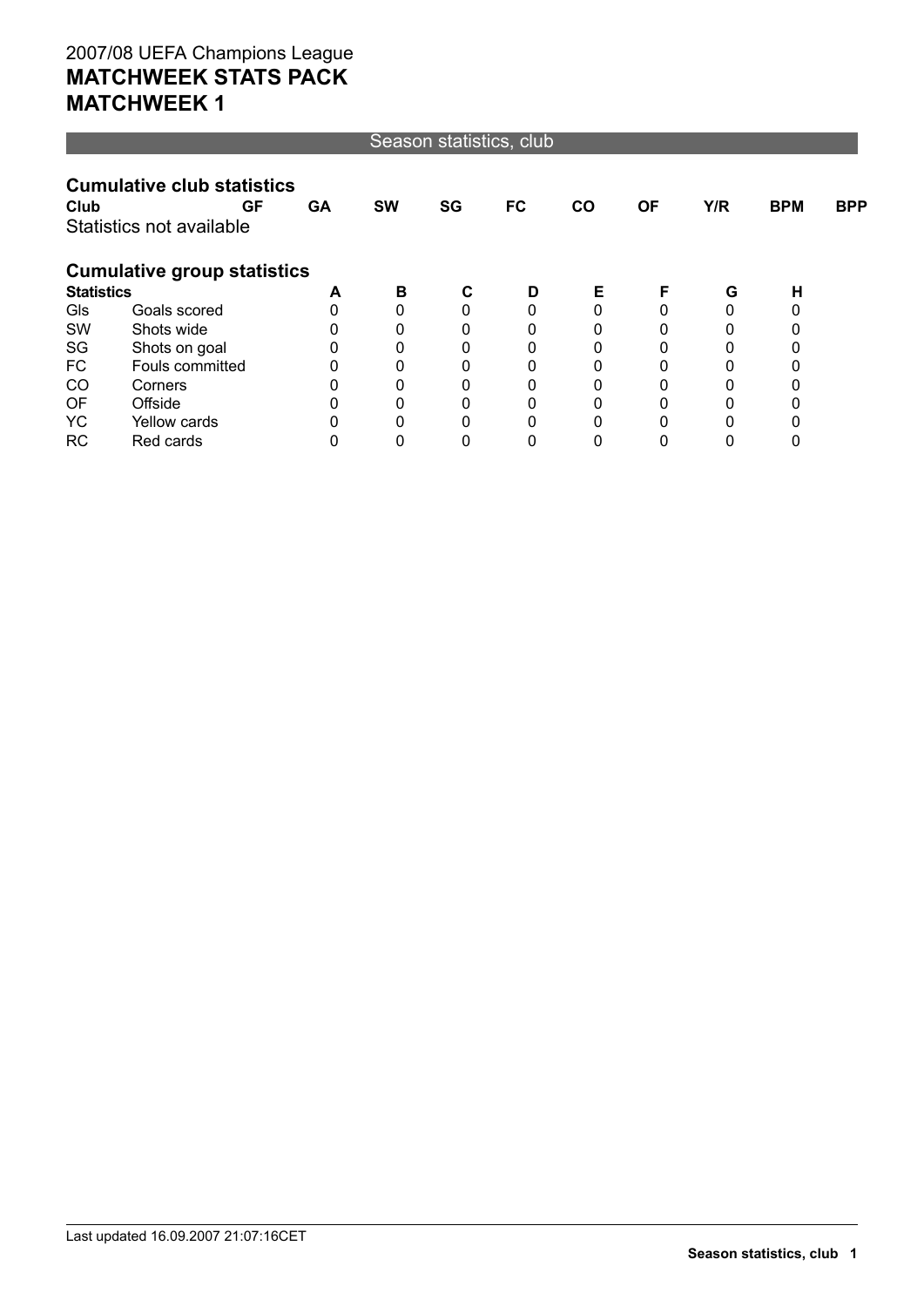#### Season statistics, club

|                   | <b>Cumulative club statistics</b>  |    |           |          |    |    |    |     |            |            |
|-------------------|------------------------------------|----|-----------|----------|----|----|----|-----|------------|------------|
| Club              | GF                                 | GA | <b>SW</b> | SG       | FC | CO | ΟF | Y/R | <b>BPM</b> | <b>BPP</b> |
|                   | Statistics not available           |    |           |          |    |    |    |     |            |            |
|                   | <b>Cumulative group statistics</b> |    |           |          |    |    |    |     |            |            |
| <b>Statistics</b> |                                    | A  | в         | C        | D  | Е  | F  | G   | н          |            |
| Gls               | Goals scored                       |    | 0         | 0        |    |    |    | 0   |            |            |
| SW                | Shots wide                         |    | 0         | 0        |    |    |    | 0   | 0          |            |
| SG                | Shots on goal                      |    | 0         | 0        |    |    |    |     |            |            |
| FC                | Fouls committed                    |    | 0         | 0        | 0  | 0  |    | 0   | 0          |            |
| CO                | Corners                            |    | 0         | $\Omega$ |    |    |    |     |            |            |
| OF                | Offside                            |    | 0         | 0        |    |    |    | 0   | 0          |            |
| <b>YC</b>         | Yellow cards                       |    | 0         | 0        |    |    |    |     |            |            |
| RC                | Red cards                          |    | 0         |          |    |    |    |     | 0          |            |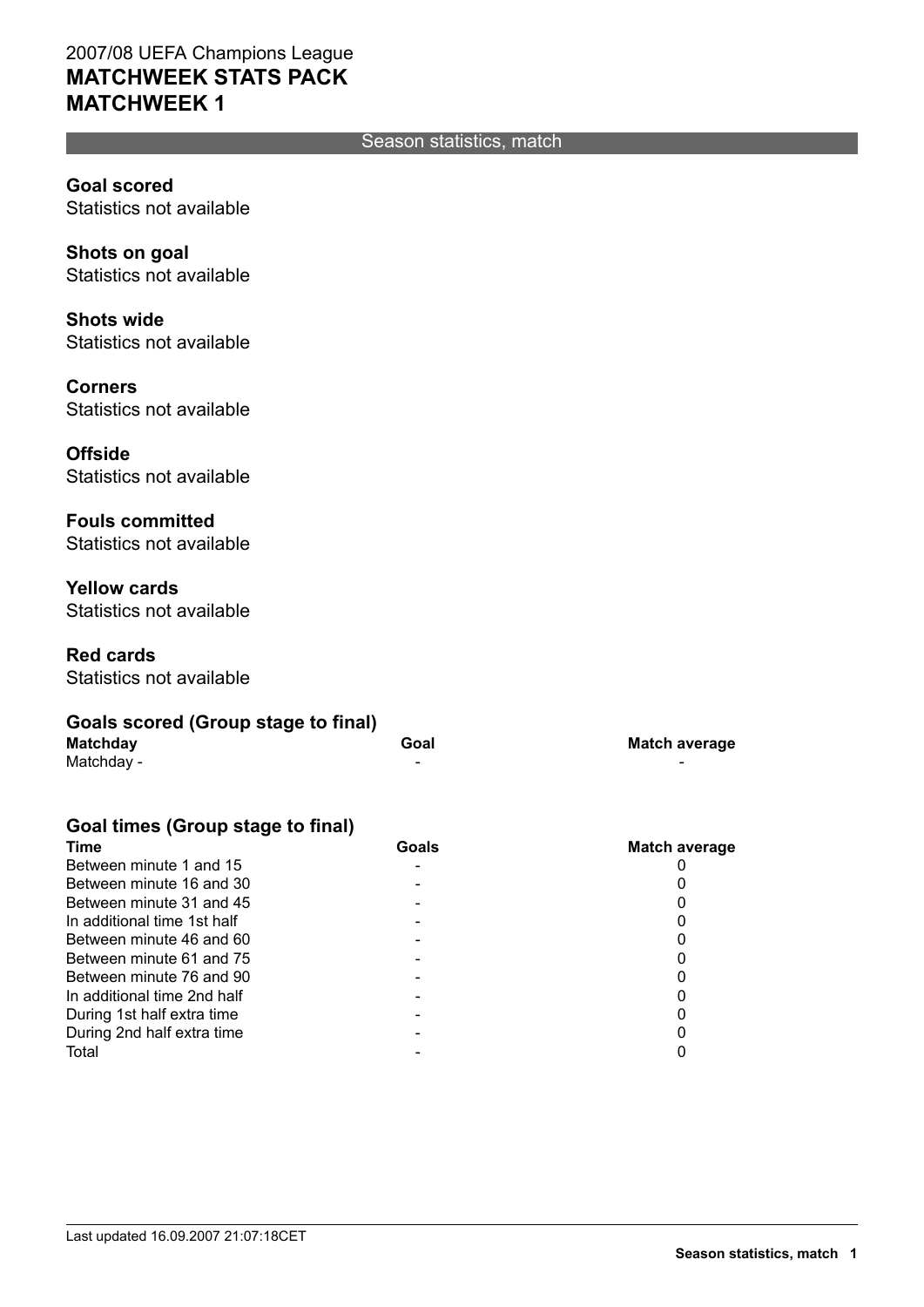#### Season statistics, match

**Goal scored** Statistics not available

**Shots on goal** Statistics not available

**Shots wide** Statistics not available

**Corners** Statistics not available

**Offside** Statistics not available

**Fouls committed** Statistics not available

**Yellow cards** Statistics not available

**Red cards** Statistics not available

| Goals scored (Group stage to final) |      |                      |
|-------------------------------------|------|----------------------|
| <b>Matchday</b>                     | Goal | <b>Match average</b> |
| Matchday -                          | -    | -                    |

#### **Goal times (Group stage to final)**

| Goals | Match average |
|-------|---------------|
|       |               |
|       |               |
|       |               |
|       |               |
|       |               |
|       |               |
|       |               |
|       |               |
|       |               |
|       |               |
|       |               |
|       |               |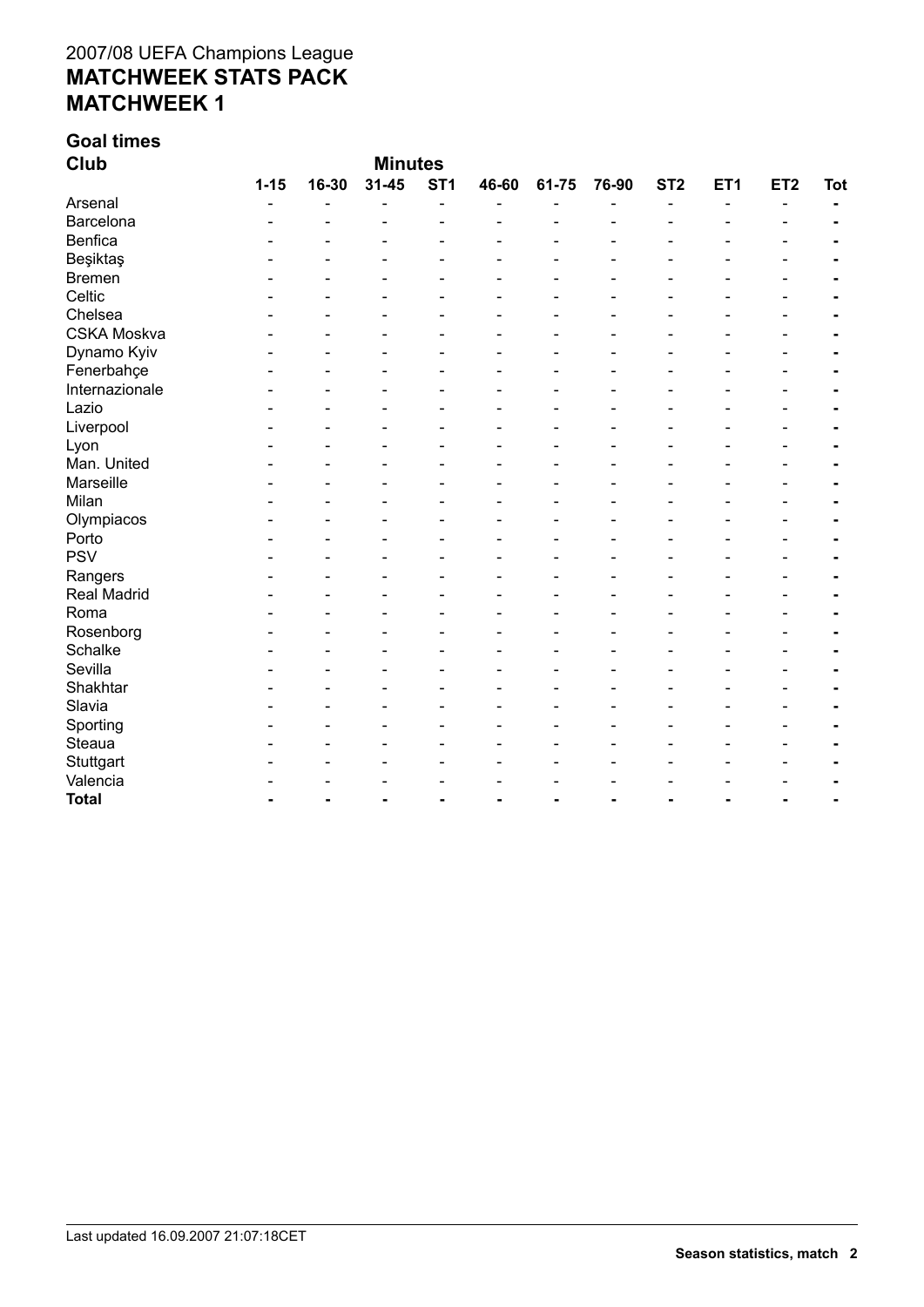# **Goal times**

| <b>Club</b>        | <b>Minutes</b> |       |           |                 |                |       |       |                 |                 |                 |            |
|--------------------|----------------|-------|-----------|-----------------|----------------|-------|-------|-----------------|-----------------|-----------------|------------|
|                    | $1 - 15$       | 16-30 | $31 - 45$ | ST <sub>1</sub> | 46-60          | 61-75 | 76-90 | ST <sub>2</sub> | ET <sub>1</sub> | ET <sub>2</sub> | <b>Tot</b> |
| Arsenal            |                |       |           | $\overline{a}$  |                |       |       | $\blacksquare$  | $\blacksquare$  | $\blacksquare$  |            |
| Barcelona          |                |       |           |                 |                |       |       |                 |                 |                 |            |
| Benfica            |                |       |           |                 |                |       |       |                 |                 |                 |            |
| Beşiktaş           |                |       |           |                 |                |       |       |                 |                 |                 |            |
| <b>Bremen</b>      |                |       |           |                 |                |       |       |                 |                 |                 |            |
| Celtic             |                |       |           |                 |                |       |       |                 |                 |                 |            |
| Chelsea            |                |       |           |                 |                |       |       |                 |                 |                 |            |
| <b>CSKA Moskva</b> |                |       |           |                 |                |       |       |                 |                 |                 |            |
| Dynamo Kyiv        |                |       |           |                 |                |       |       |                 |                 |                 |            |
| Fenerbahçe         |                |       |           |                 |                |       |       |                 |                 |                 |            |
| Internazionale     |                |       |           |                 |                |       |       |                 |                 |                 |            |
| Lazio              |                |       |           |                 |                |       |       |                 |                 |                 |            |
| Liverpool          |                |       |           |                 |                |       |       |                 |                 |                 |            |
| Lyon               |                |       |           |                 |                |       |       |                 |                 |                 |            |
| Man. United        |                |       |           |                 |                |       |       |                 |                 |                 |            |
| Marseille          |                |       |           |                 |                |       |       |                 |                 |                 |            |
| Milan              |                |       |           |                 |                |       |       |                 |                 |                 |            |
| Olympiacos         |                |       |           |                 |                |       |       |                 |                 |                 |            |
| Porto              |                |       |           |                 |                |       |       |                 |                 |                 |            |
| <b>PSV</b>         |                |       |           |                 |                |       |       |                 |                 |                 |            |
| Rangers            |                |       |           |                 |                |       |       |                 |                 |                 |            |
| <b>Real Madrid</b> |                |       |           |                 |                |       |       |                 |                 |                 |            |
| Roma               |                |       |           |                 |                |       |       |                 |                 |                 |            |
| Rosenborg          |                |       |           |                 |                |       |       |                 |                 |                 |            |
| Schalke            |                |       |           |                 |                |       |       |                 |                 |                 |            |
| Sevilla            |                |       |           |                 |                |       |       |                 |                 |                 |            |
| Shakhtar           |                |       |           |                 |                |       |       |                 |                 |                 |            |
| Slavia             |                |       |           |                 |                |       |       |                 |                 |                 |            |
| Sporting           |                |       |           |                 |                |       |       |                 |                 |                 |            |
| Steaua             |                |       |           |                 |                |       |       |                 |                 |                 |            |
| Stuttgart          |                |       |           |                 |                |       |       |                 |                 |                 |            |
| Valencia           |                |       |           |                 |                |       |       |                 |                 |                 |            |
| <b>Total</b>       |                |       | ۰         |                 | $\overline{a}$ |       |       |                 |                 |                 |            |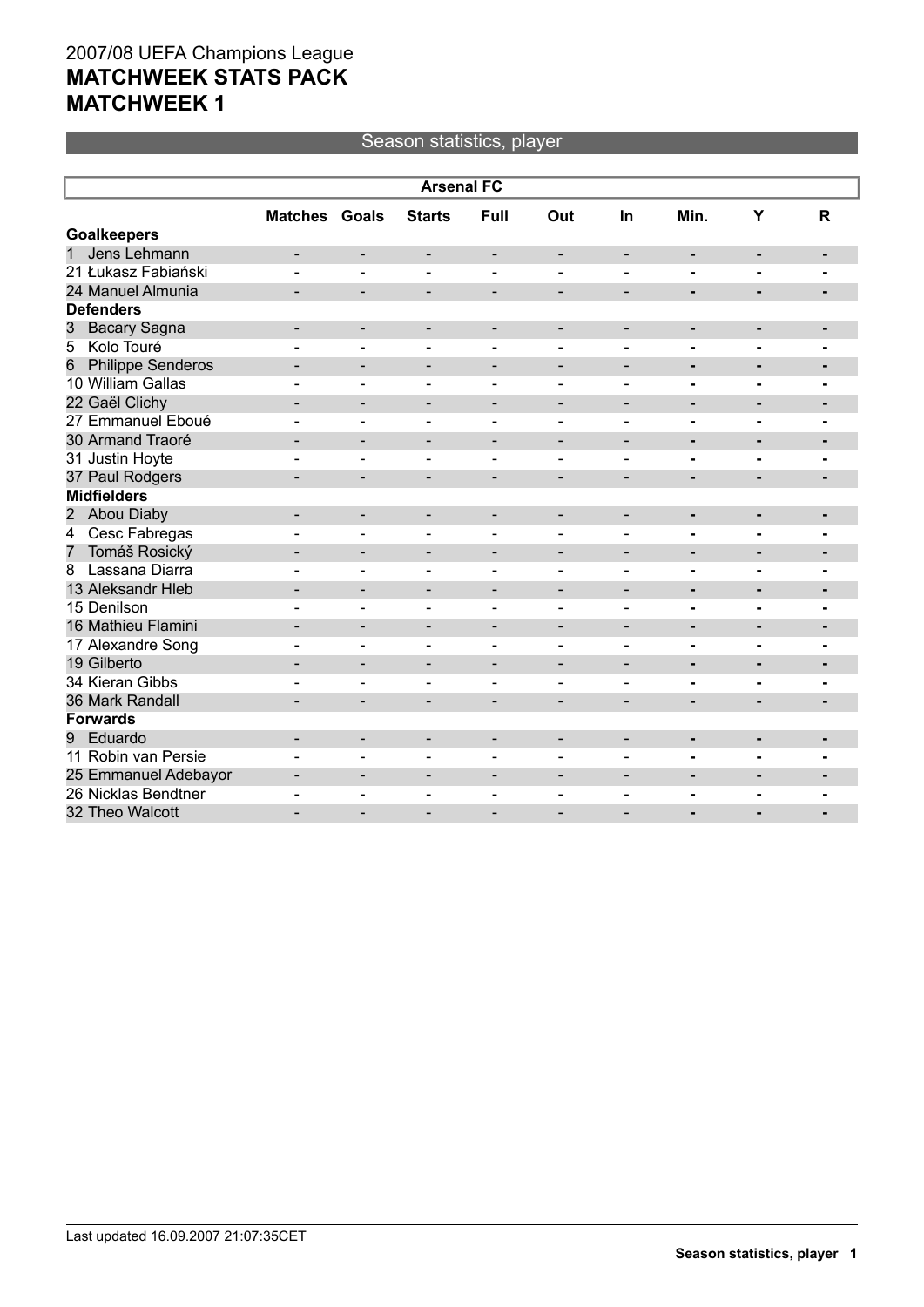#### Season statistics, player

|                                 | <b>Arsenal FC</b>        |                          |                              |                              |                          |                              |                              |                |                |  |
|---------------------------------|--------------------------|--------------------------|------------------------------|------------------------------|--------------------------|------------------------------|------------------------------|----------------|----------------|--|
|                                 | <b>Matches Goals</b>     |                          | <b>Starts</b>                | Full                         | Out                      | In                           | Min.                         | Y              | $\mathsf{R}$   |  |
| <b>Goalkeepers</b>              |                          |                          |                              |                              |                          |                              |                              |                |                |  |
| 1<br>Jens Lehmann               | $\overline{\phantom{a}}$ | $\overline{\phantom{a}}$ | $\overline{\phantom{a}}$     | $\overline{\phantom{a}}$     | $\overline{\phantom{a}}$ | $\overline{\phantom{a}}$     | $\qquad \qquad \blacksquare$ | $\blacksquare$ | ٠              |  |
| 21 Łukasz Fabiański             |                          |                          | $\overline{a}$               | $\blacksquare$               | $\overline{a}$           |                              |                              | $\blacksquare$ |                |  |
| 24 Manuel Almunia               |                          |                          | -                            |                              |                          |                              | $\blacksquare$               | ÷,             |                |  |
| <b>Defenders</b>                |                          |                          |                              |                              |                          |                              |                              |                |                |  |
| <b>Bacary Sagna</b><br>3        | $\overline{\phantom{a}}$ | $\overline{\phantom{a}}$ | -                            | $\overline{\phantom{a}}$     | $\overline{\phantom{a}}$ | $\overline{\phantom{a}}$     | ٠                            | ٠              |                |  |
| Kolo Touré<br>5                 |                          | $\blacksquare$           | $\blacksquare$               | $\blacksquare$               |                          |                              | $\blacksquare$               | ۰              | $\blacksquare$ |  |
| <b>Philippe Senderos</b><br>6   |                          |                          | $\blacksquare$               | $\overline{\phantom{a}}$     | $\overline{\phantom{a}}$ |                              | $\blacksquare$               | $\blacksquare$ |                |  |
| 10 William Gallas               |                          |                          | ۳                            |                              |                          |                              | $\blacksquare$               | $\blacksquare$ | $\blacksquare$ |  |
| 22 Gaël Clichy                  | $\overline{\phantom{0}}$ | $\overline{\phantom{a}}$ | $\qquad \qquad -$            | $\overline{\phantom{a}}$     | $\overline{\phantom{a}}$ | $\overline{\phantom{a}}$     | $\blacksquare$               | $\blacksquare$ | -              |  |
| 27 Emmanuel Eboué               |                          | $\blacksquare$           | ۳                            | $\overline{a}$               | $\sim$                   |                              | $\blacksquare$               | $\blacksquare$ | $\overline{a}$ |  |
| 30 Armand Traoré                |                          |                          | -                            |                              |                          |                              |                              | $\blacksquare$ |                |  |
| 31 Justin Hoyte                 |                          |                          |                              |                              |                          |                              |                              | $\blacksquare$ |                |  |
| 37 Paul Rodgers                 | $\overline{\phantom{a}}$ | $\overline{\phantom{a}}$ | -                            | $\qquad \qquad$              | $\overline{\phantom{a}}$ | $\qquad \qquad \blacksquare$ | $\blacksquare$               | ۰              |                |  |
| <b>Midfielders</b>              |                          |                          |                              |                              |                          |                              |                              |                |                |  |
| 2 Abou Diaby                    |                          |                          | $\qquad \qquad \blacksquare$ | $\overline{\phantom{0}}$     |                          |                              |                              | ۰              | ٠              |  |
| Cesc Fabregas<br>$\overline{4}$ |                          |                          |                              |                              |                          |                              |                              | -              |                |  |
| Tomáš Rosický<br>$\overline{7}$ | $\overline{\phantom{a}}$ | $\overline{\phantom{a}}$ | $\qquad \qquad -$            | $\overline{\phantom{a}}$     | $\overline{\phantom{a}}$ | $\overline{\phantom{a}}$     | $\blacksquare$               | $\blacksquare$ | ٠              |  |
| Lassana Diarra<br>8             |                          | ÷                        | $\blacksquare$               | $\overline{a}$               | $\overline{a}$           |                              | $\blacksquare$               | ۰              |                |  |
| 13 Aleksandr Hleb               |                          |                          | $\overline{\phantom{0}}$     | $\overline{\phantom{a}}$     | $\overline{\phantom{0}}$ |                              | $\blacksquare$               | $\blacksquare$ | $\blacksquare$ |  |
| 15 Denilson                     |                          | $\blacksquare$           | $\blacksquare$               | $\blacksquare$               | $\overline{\phantom{a}}$ | $\blacksquare$               | $\blacksquare$               | -              |                |  |
| 16 Mathieu Flamini              | -                        | $\overline{\phantom{a}}$ | $\qquad \qquad \blacksquare$ | $\overline{\phantom{a}}$     | $\blacksquare$           | $\overline{\phantom{a}}$     | $\blacksquare$               | ٠              | $\blacksquare$ |  |
| 17 Alexandre Song               | ۳                        | $\blacksquare$           | $\blacksquare$               | $\blacksquare$               | $\blacksquare$           | $\overline{a}$               | $\blacksquare$               | -              | $\blacksquare$ |  |
| 19 Gilberto                     |                          | $\overline{\phantom{0}}$ | $\overline{\phantom{0}}$     | $\qquad \qquad \blacksquare$ | $\overline{\phantom{a}}$ |                              | $\blacksquare$               | ٠              | $\blacksquare$ |  |
| 34 Kieran Gibbs                 |                          |                          | ۳                            |                              |                          |                              |                              |                |                |  |
| 36 Mark Randall                 | $\blacksquare$           | $\blacksquare$           | $\overline{\phantom{0}}$     | $\overline{\phantom{0}}$     | $\overline{\phantom{0}}$ |                              | $\blacksquare$               | $\blacksquare$ | -              |  |
| <b>Forwards</b>                 |                          |                          |                              |                              |                          |                              |                              |                |                |  |
| Eduardo<br>9                    |                          | $\overline{\phantom{a}}$ | $\qquad \qquad \blacksquare$ | $\overline{\phantom{a}}$     | $\overline{\phantom{a}}$ |                              | $\blacksquare$               | ٠              | $\blacksquare$ |  |
| 11 Robin van Persie             |                          |                          |                              |                              |                          |                              |                              | ۰              |                |  |
| 25 Emmanuel Adebayor            | $\overline{\phantom{0}}$ | $\overline{\phantom{a}}$ | $\qquad \qquad \blacksquare$ |                              | $\overline{\phantom{0}}$ | $\overline{\phantom{0}}$     | $\blacksquare$               | $\blacksquare$ | $\blacksquare$ |  |
| 26 Nicklas Bendtner             |                          |                          |                              |                              |                          |                              |                              | $\blacksquare$ |                |  |
| 32 Theo Walcott                 |                          |                          |                              |                              |                          |                              |                              |                |                |  |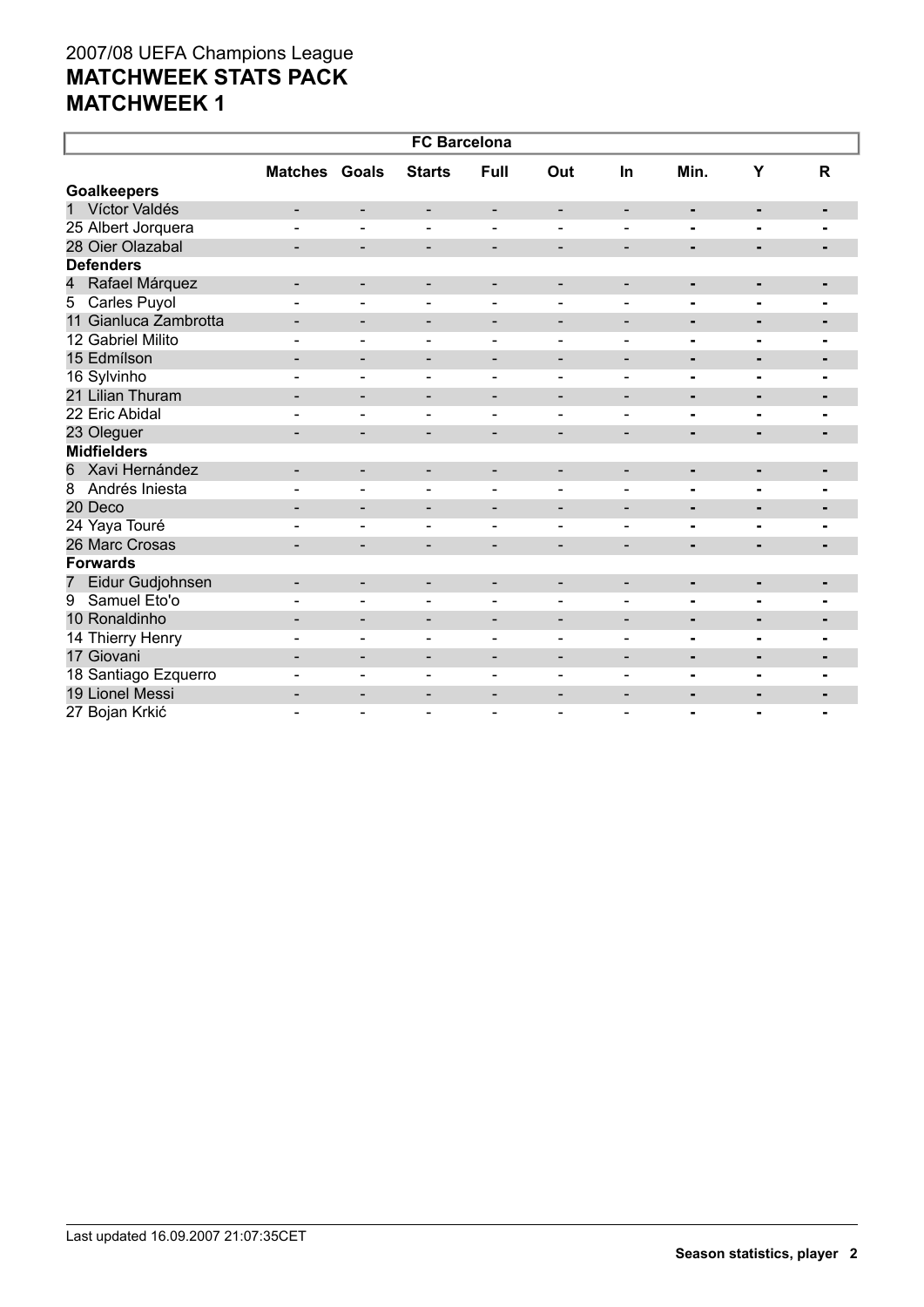| <b>FC Barcelona</b>              |                          |                              |                          |                              |                              |                          |                |                |                |  |
|----------------------------------|--------------------------|------------------------------|--------------------------|------------------------------|------------------------------|--------------------------|----------------|----------------|----------------|--|
|                                  | <b>Matches Goals</b>     |                              | <b>Starts</b>            | Full                         | Out                          | In                       | Min.           | Y              | R              |  |
| <b>Goalkeepers</b>               |                          |                              |                          |                              |                              |                          |                |                |                |  |
| 1 Víctor Valdés                  | -                        | -                            | -                        | -                            | -                            | -                        | ٠              | ٠              | ٠              |  |
| 25 Albert Jorquera               | $\overline{a}$           | $\overline{\phantom{0}}$     | $\blacksquare$           | $\blacksquare$               | $\overline{a}$               |                          |                | $\blacksquare$ | $\blacksquare$ |  |
| 28 Oier Olazabal                 |                          | $\overline{\phantom{0}}$     | $\overline{\phantom{a}}$ | $\overline{\phantom{a}}$     | $\overline{\phantom{a}}$     | $\overline{\phantom{a}}$ | $\blacksquare$ | $\blacksquare$ | $\blacksquare$ |  |
| <b>Defenders</b>                 |                          |                              |                          |                              |                              |                          |                |                |                |  |
| Rafael Márquez<br>$\overline{4}$ | -                        | $\overline{\phantom{a}}$     | -                        | $\overline{\phantom{a}}$     | $\overline{\phantom{a}}$     | $\overline{\phantom{a}}$ | $\blacksquare$ | ٠              | ٠              |  |
| 5 Carles Puyol                   |                          |                              |                          |                              |                              |                          |                |                |                |  |
| 11 Gianluca Zambrotta            | -                        | $\overline{\phantom{a}}$     | $\overline{\phantom{a}}$ | $\qquad \qquad \blacksquare$ | $\overline{\phantom{a}}$     | $\overline{\phantom{a}}$ | ٠              | $\blacksquare$ | ٠              |  |
| 12 Gabriel Milito                | ۰                        | $\qquad \qquad \blacksquare$ | $\overline{\phantom{a}}$ | $\overline{\phantom{a}}$     | $\qquad \qquad \blacksquare$ | $\overline{\phantom{a}}$ | Ξ.             | $\blacksquare$ | $\blacksquare$ |  |
| 15 Edmílson                      |                          | $\overline{\phantom{0}}$     | $\overline{\phantom{a}}$ | $\overline{\phantom{a}}$     | $\overline{\phantom{0}}$     | $\overline{\phantom{0}}$ | $\blacksquare$ | ٠              |                |  |
| 16 Sylvinho                      |                          |                              | $\qquad \qquad -$        | $\overline{\phantom{0}}$     | $\qquad \qquad \blacksquare$ |                          |                | ۰              |                |  |
| 21 Lilian Thuram                 |                          | $\overline{\phantom{0}}$     | $\overline{\phantom{a}}$ | $\overline{\phantom{a}}$     | $\overline{\phantom{0}}$     | $\overline{\phantom{0}}$ | ٠              | $\blacksquare$ | $\blacksquare$ |  |
| 22 Eric Abidal                   |                          | $\blacksquare$               | $\overline{\phantom{a}}$ | $\overline{\phantom{a}}$     | $\blacksquare$               | $\sim$                   | $\blacksquare$ | $\blacksquare$ |                |  |
| 23 Oleguer                       | $\qquad \qquad -$        | $\overline{\phantom{0}}$     | $\overline{\phantom{a}}$ | $\overline{\phantom{a}}$     | $\overline{\phantom{a}}$     | $\overline{\phantom{a}}$ | ٠              | ٠              | ٠              |  |
| <b>Midfielders</b>               |                          |                              |                          |                              |                              |                          |                |                |                |  |
| Xavi Hernández<br>6              | -                        | $\overline{\phantom{a}}$     | $\overline{\phantom{a}}$ | $\qquad \qquad \blacksquare$ | $\qquad \qquad \blacksquare$ | $\overline{\phantom{a}}$ | ٠              | ٠              |                |  |
| $\overline{8}$<br>Andrés Iniesta |                          | $\frac{1}{2}$                | $\overline{\phantom{a}}$ | $\overline{\phantom{a}}$     | $\blacksquare$               | $\overline{\phantom{0}}$ | ۰              | $\blacksquare$ | $\blacksquare$ |  |
| 20 Deco                          | -                        | $\overline{\phantom{a}}$     | $\overline{\phantom{a}}$ | $\overline{\phantom{a}}$     | $\overline{\phantom{a}}$     | $\overline{\phantom{a}}$ | $\blacksquare$ | $\blacksquare$ | ٠              |  |
| 24 Yaya Touré                    |                          | $\qquad \qquad \blacksquare$ | $\overline{\phantom{a}}$ | $\overline{\phantom{a}}$     | $\overline{\phantom{a}}$     | $\blacksquare$           | Ξ.             | $\blacksquare$ |                |  |
| 26 Marc Crosas                   |                          | $\overline{\phantom{0}}$     | -                        | $\overline{\phantom{a}}$     | $\overline{\phantom{0}}$     | $\overline{\phantom{a}}$ | $\blacksquare$ | ۰.             | $\blacksquare$ |  |
| <b>Forwards</b>                  |                          |                              |                          |                              |                              |                          |                |                |                |  |
| Eidur Gudjohnsen<br>7            | $\qquad \qquad -$        | -                            | $\overline{\phantom{a}}$ | $\overline{\phantom{a}}$     | $\overline{\phantom{a}}$     |                          | ٠              | ٠              | ٠              |  |
| Samuel Eto'o<br>9                | ÷                        | $\qquad \qquad \blacksquare$ | $\overline{\phantom{a}}$ |                              | $\qquad \qquad \blacksquare$ | -                        |                | ۰              |                |  |
| 10 Ronaldinho                    | $\blacksquare$           | $\overline{\phantom{0}}$     | $\overline{\phantom{a}}$ | $\overline{\phantom{a}}$     | $\overline{\phantom{a}}$     | $\overline{\phantom{a}}$ | $\blacksquare$ | $\blacksquare$ | -              |  |
| 14 Thierry Henry                 |                          | $\blacksquare$               | $\blacksquare$           | $\blacksquare$               | $\blacksquare$               | $\blacksquare$           | $\blacksquare$ | $\blacksquare$ | $\blacksquare$ |  |
| 17 Giovani                       |                          | $\overline{\phantom{0}}$     | $\overline{\phantom{a}}$ | $\overline{\phantom{a}}$     | $\overline{\phantom{a}}$     | $\overline{\phantom{a}}$ | $\blacksquare$ | $\blacksquare$ | $\blacksquare$ |  |
| 18 Santiago Ezquerro             |                          | $\equiv$                     | $\sim$                   | $\sim$                       | $\overline{\phantom{0}}$     | $\overline{\phantom{0}}$ | $\blacksquare$ | ۰              |                |  |
| 19 Lionel Messi                  | $\overline{\phantom{a}}$ | -                            | $\overline{\phantom{a}}$ | $\overline{\phantom{a}}$     | $\qquad \qquad \blacksquare$ | $\overline{\phantom{a}}$ | ٠              | ٠              | ٠              |  |
| 27 Bojan Krkić                   |                          |                              | $\blacksquare$           |                              | $\blacksquare$               |                          | $\blacksquare$ | $\blacksquare$ | -              |  |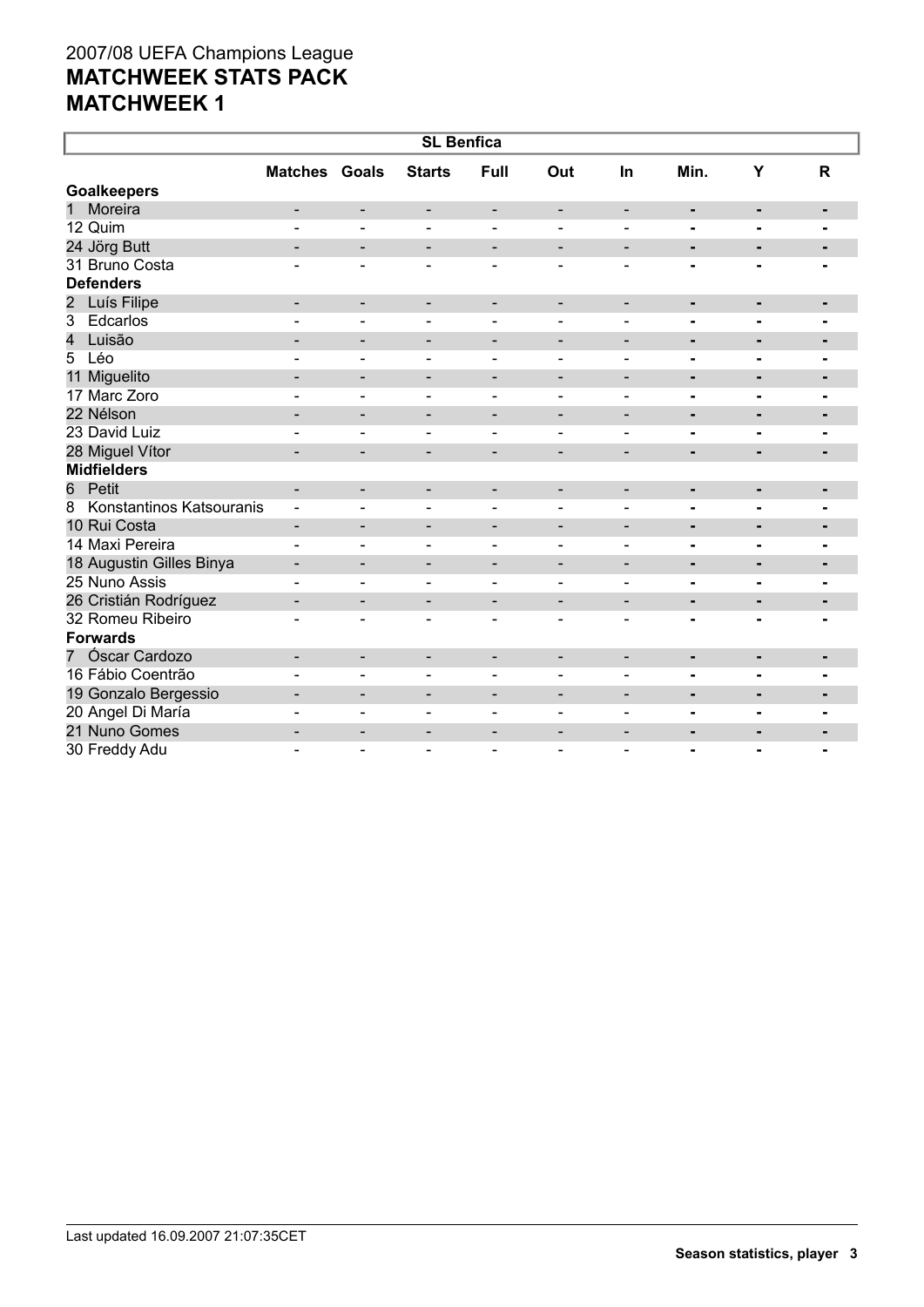| <b>SL Benfica</b>                          |                          |                          |                          |                              |                          |                          |                |                |                |  |
|--------------------------------------------|--------------------------|--------------------------|--------------------------|------------------------------|--------------------------|--------------------------|----------------|----------------|----------------|--|
|                                            | <b>Matches Goals</b>     |                          | <b>Starts</b>            | Full                         | Out                      | In                       | Min.           | Υ              | $\mathbf R$    |  |
| <b>Goalkeepers</b>                         |                          |                          |                          |                              |                          |                          |                |                |                |  |
| Moreira<br>$\mathbf 1$                     | $\overline{\phantom{0}}$ | -                        | $\overline{\phantom{a}}$ | $\overline{\phantom{a}}$     | $\overline{\phantom{a}}$ | $\overline{\phantom{a}}$ | ۰              | $\blacksquare$ | $\blacksquare$ |  |
| 12 Quim                                    |                          | $\overline{a}$           | ۳                        | $\blacksquare$               |                          |                          | $\blacksquare$ | $\blacksquare$ | $\blacksquare$ |  |
| 24 Jörg Butt                               |                          | $\overline{\phantom{a}}$ | $\overline{\phantom{a}}$ | $\overline{\phantom{a}}$     | $\overline{\phantom{a}}$ | $\overline{\phantom{a}}$ | $\blacksquare$ | $\blacksquare$ | $\blacksquare$ |  |
| 31 Bruno Costa                             |                          | $\overline{\phantom{0}}$ | $\blacksquare$           | $\blacksquare$               | $\blacksquare$           | $\overline{\phantom{0}}$ | $\blacksquare$ | $\blacksquare$ |                |  |
| <b>Defenders</b>                           |                          |                          |                          |                              |                          |                          |                |                |                |  |
| Luís Filipe<br>$\overline{2}$              | $\overline{\phantom{0}}$ | $\overline{\phantom{a}}$ | $\overline{\phantom{a}}$ | $\overline{\phantom{a}}$     | $\overline{\phantom{a}}$ | $\overline{\phantom{a}}$ | ۰              | $\blacksquare$ | $\blacksquare$ |  |
| $\overline{3}$<br>Edcarlos                 |                          | L.                       |                          |                              |                          |                          | $\overline{a}$ |                |                |  |
| Luisão<br>4                                |                          | $\overline{\phantom{a}}$ | $\overline{\phantom{a}}$ | $\overline{\phantom{a}}$     | $\overline{\phantom{a}}$ | $\overline{\phantom{a}}$ | $\blacksquare$ | $\blacksquare$ | -              |  |
| 5<br>Léo                                   |                          | $\blacksquare$           | ۳                        | $\blacksquare$               | $\overline{a}$           |                          |                | $\blacksquare$ | $\blacksquare$ |  |
| 11 Miguelito                               |                          | $\overline{\phantom{a}}$ | -                        | $\overline{\phantom{a}}$     | $\overline{\phantom{a}}$ | $\overline{\phantom{a}}$ | ۰              | ٠              | ٠              |  |
| 17 Marc Zoro                               |                          | $\blacksquare$           | $\blacksquare$           | $\blacksquare$               |                          | $\overline{\phantom{0}}$ | $\blacksquare$ | $\blacksquare$ |                |  |
| 22 Nélson                                  | $\overline{\phantom{0}}$ | $\overline{\phantom{a}}$ | $\overline{\phantom{a}}$ | $\overline{\phantom{a}}$     | $\overline{\phantom{a}}$ | $\overline{\phantom{a}}$ | $\blacksquare$ | $\blacksquare$ | ٠              |  |
| 23 David Luiz                              |                          | $\blacksquare$           | $\sim$                   | $\blacksquare$               | $\blacksquare$           | $\blacksquare$           |                | $\blacksquare$ |                |  |
| 28 Miguel Vítor                            |                          | $\overline{\phantom{a}}$ | $\overline{\phantom{0}}$ | $\overline{\phantom{a}}$     | $\overline{\phantom{a}}$ | $\overline{\phantom{a}}$ | ٠              | ٠              | $\blacksquare$ |  |
| <b>Midfielders</b>                         |                          |                          |                          |                              |                          |                          |                |                |                |  |
| Petit<br>6                                 | ۰                        | $\overline{\phantom{a}}$ | -                        | $\overline{\phantom{a}}$     | $\overline{\phantom{a}}$ | $\blacksquare$           | ٠              | ٠              | $\blacksquare$ |  |
| Konstantinos Katsouranis<br>$\overline{8}$ |                          | $\blacksquare$           | $\blacksquare$           | $\overline{\phantom{a}}$     | $\overline{\phantom{0}}$ | $\blacksquare$           | $\blacksquare$ | $\blacksquare$ | $\blacksquare$ |  |
| 10 Rui Costa                               |                          | $\overline{\phantom{a}}$ | $\overline{\phantom{a}}$ | $\qquad \qquad \blacksquare$ |                          | $\overline{\phantom{0}}$ | ٠              | ٠              |                |  |
| 14 Maxi Pereira                            | $\blacksquare$           | $\blacksquare$           | $\blacksquare$           | $\overline{\phantom{a}}$     | $\overline{\phantom{0}}$ | $\blacksquare$           | -              | $\blacksquare$ |                |  |
| 18 Augustin Gilles Binya                   | $\overline{\phantom{a}}$ | $\overline{\phantom{a}}$ | $\overline{\phantom{a}}$ | $\overline{\phantom{a}}$     | $\overline{\phantom{a}}$ | $\overline{\phantom{a}}$ | ٠              | $\blacksquare$ | $\blacksquare$ |  |
| 25 Nuno Assis                              |                          | $\blacksquare$           | $\blacksquare$           | $\blacksquare$               |                          |                          | $\blacksquare$ | $\blacksquare$ |                |  |
| 26 Cristián Rodríguez                      | $\overline{\phantom{0}}$ | $\overline{\phantom{a}}$ | $\overline{\phantom{a}}$ | $\overline{\phantom{a}}$     | $\overline{\phantom{a}}$ | $\blacksquare$           | $\blacksquare$ | $\blacksquare$ | $\blacksquare$ |  |
| 32 Romeu Ribeiro                           |                          | $\overline{\phantom{0}}$ | $\blacksquare$           | $\blacksquare$               | $\overline{\phantom{0}}$ |                          |                |                |                |  |
| <b>Forwards</b>                            |                          |                          |                          |                              |                          |                          |                |                |                |  |
| Óscar Cardozo<br>7 <sup>7</sup>            | $\blacksquare$           | $\overline{\phantom{a}}$ | $\overline{\phantom{a}}$ | $\overline{\phantom{a}}$     | $\overline{\phantom{a}}$ | $\overline{\phantom{a}}$ | ۰              | ٠              | ٠              |  |
| 16 Fábio Coentrão                          |                          | $\overline{a}$           | $\blacksquare$           | $\blacksquare$               | $\blacksquare$           | $\overline{\phantom{0}}$ | $\blacksquare$ |                |                |  |
| 19 Gonzalo Bergessio                       | $\blacksquare$           | $\overline{\phantom{a}}$ | $\overline{\phantom{a}}$ | $\overline{\phantom{a}}$     | $\overline{\phantom{0}}$ | $\overline{\phantom{0}}$ | $\blacksquare$ | $\blacksquare$ | $\blacksquare$ |  |
| 20 Angel Di María                          |                          | $\blacksquare$           | $\overline{a}$           | $\sim$                       | $\blacksquare$           | $\overline{a}$           | $\blacksquare$ | $\blacksquare$ |                |  |
| 21 Nuno Gomes                              |                          | $\overline{\phantom{a}}$ | $\overline{\phantom{0}}$ | $\qquad \qquad$              |                          | $\overline{\phantom{0}}$ | $\blacksquare$ | $\blacksquare$ | -              |  |
| 30 Freddy Adu                              |                          | $\overline{a}$           | Ξ.                       | $\blacksquare$               |                          |                          | $\blacksquare$ |                | $\blacksquare$ |  |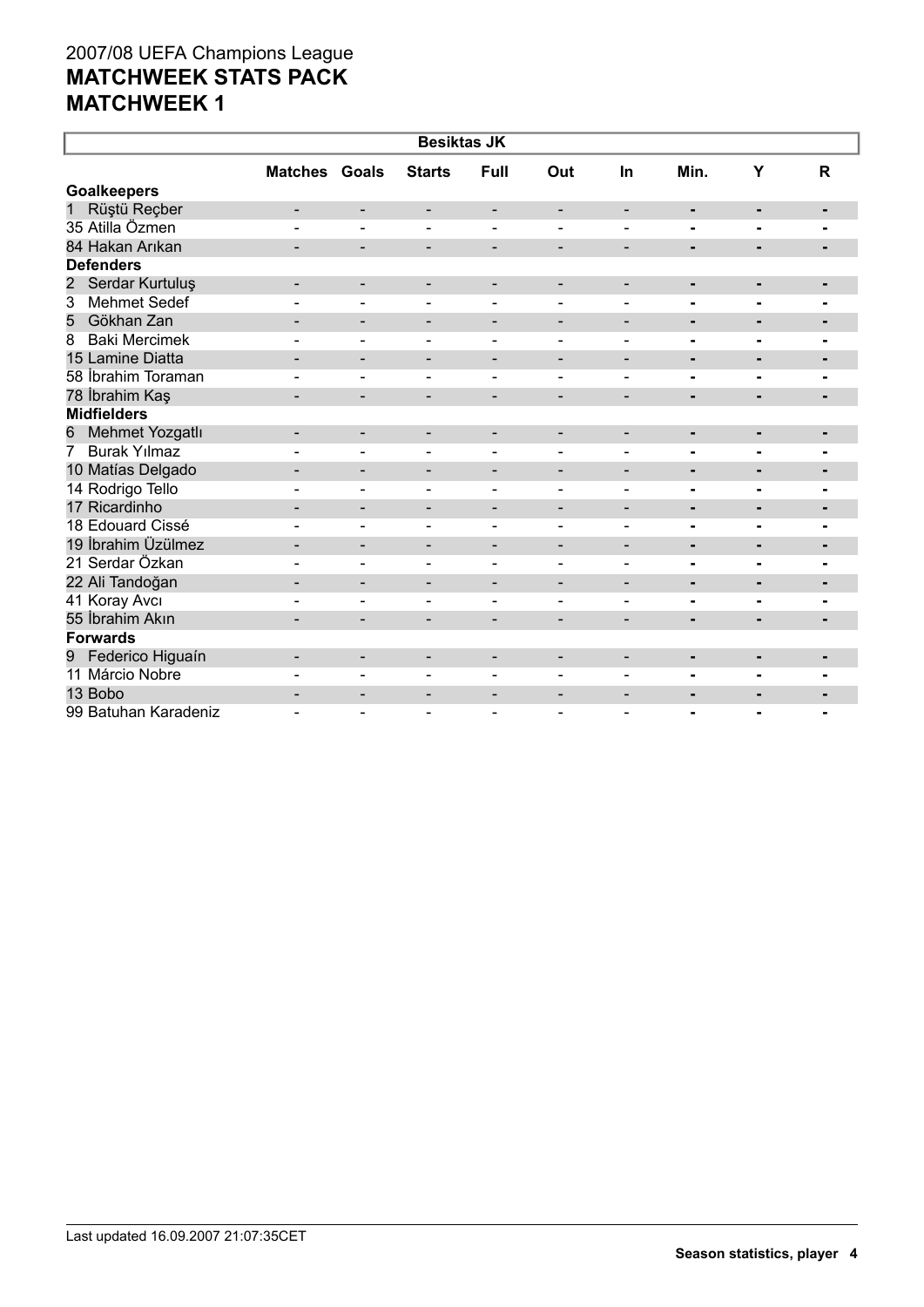| <b>Besiktas JK</b>                    |                          |                              |                              |                          |                              |                          |                |                |                |  |
|---------------------------------------|--------------------------|------------------------------|------------------------------|--------------------------|------------------------------|--------------------------|----------------|----------------|----------------|--|
|                                       | <b>Matches Goals</b>     |                              | <b>Starts</b>                | Full                     | Out                          | In                       | Min.           | Y              | $\mathsf{R}$   |  |
| <b>Goalkeepers</b>                    |                          |                              |                              |                          |                              |                          |                |                |                |  |
| Rüştü Reçber<br>1                     | $\overline{\phantom{0}}$ | $\overline{\phantom{a}}$     | -                            | $\overline{\phantom{a}}$ | $\overline{\phantom{a}}$     | $\overline{\phantom{a}}$ | ٠              | ٠              | ٠              |  |
| 35 Atilla Özmen                       |                          | $\overline{a}$               | $\overline{\phantom{0}}$     |                          |                              |                          | $\blacksquare$ | $\blacksquare$ |                |  |
| 84 Hakan Arıkan                       |                          | $\overline{\phantom{a}}$     | $\overline{\phantom{0}}$     | $\overline{\phantom{a}}$ | $\overline{\phantom{a}}$     | $\overline{\phantom{0}}$ | $\blacksquare$ | $\blacksquare$ |                |  |
| <b>Defenders</b>                      |                          |                              |                              |                          |                              |                          |                |                |                |  |
| Serdar Kurtuluş<br>$\overline{2}$     | $\overline{\phantom{a}}$ | $\overline{\phantom{a}}$     | -                            | $\overline{\phantom{a}}$ | $\overline{\phantom{a}}$     | $\overline{\phantom{a}}$ | ٠              | ٠              | $\blacksquare$ |  |
| $\overline{3}$<br><b>Mehmet Sedef</b> |                          |                              |                              | $\blacksquare$           |                              |                          |                |                |                |  |
| Gökhan Zan<br>5                       |                          | $\qquad \qquad \blacksquare$ | -                            | $\overline{\phantom{a}}$ | $\qquad \qquad \blacksquare$ | $\overline{\phantom{a}}$ | ٠              | $\blacksquare$ | ٠              |  |
| <b>Baki Mercimek</b><br>8             | ۳                        | $\blacksquare$               | ۰                            | $\overline{\phantom{a}}$ | $\overline{\phantom{a}}$     | $\overline{\phantom{0}}$ | $\blacksquare$ | $\blacksquare$ | $\blacksquare$ |  |
| 15 Lamine Diatta                      |                          | $\overline{\phantom{a}}$     | $\qquad \qquad \blacksquare$ | $\overline{\phantom{a}}$ | $\overline{\phantom{a}}$     | $\overline{\phantom{0}}$ | $\blacksquare$ |                |                |  |
| 58 İbrahim Toraman                    |                          |                              |                              |                          |                              |                          | $\blacksquare$ | $\blacksquare$ |                |  |
| 78 İbrahim Kaş                        |                          | $\overline{\phantom{0}}$     |                              |                          |                              |                          | $\blacksquare$ | $\blacksquare$ |                |  |
| <b>Midfielders</b>                    |                          |                              |                              |                          |                              |                          |                |                |                |  |
| Mehmet Yozgatlı<br>6                  | $\overline{\phantom{a}}$ | $\overline{\phantom{a}}$     | -                            | $\overline{\phantom{a}}$ | $\overline{\phantom{a}}$     | $\overline{\phantom{a}}$ | ٠              | ٠              | ٠              |  |
| <b>Burak Yılmaz</b><br>$7^{\circ}$    |                          | $\overline{a}$               | Ξ.                           | $\blacksquare$           |                              |                          | $\overline{a}$ | $\blacksquare$ | ٠.             |  |
| 10 Matías Delgado                     |                          | $\overline{\phantom{a}}$     | $\qquad \qquad -$            | $\overline{\phantom{a}}$ | $\overline{\phantom{a}}$     | $\overline{\phantom{a}}$ | ۰              | ٠              |                |  |
| 14 Rodrigo Tello                      |                          | $\overline{\phantom{a}}$     | $\overline{\phantom{0}}$     | $\blacksquare$           | $\blacksquare$               | $\blacksquare$           | ۰              | $\blacksquare$ | $\blacksquare$ |  |
| 17 Ricardinho                         | -                        | $\overline{\phantom{a}}$     | -                            | -                        | $\overline{\phantom{a}}$     | $\overline{\phantom{a}}$ | ۰              | ٠              | ۰              |  |
| 18 Edouard Cissé                      |                          | $\blacksquare$               | $\blacksquare$               | $\blacksquare$           | $\blacksquare$               | $\blacksquare$           | $\blacksquare$ | $\blacksquare$ | ۰              |  |
| 19 İbrahim Üzülmez                    | $\blacksquare$           | $\overline{\phantom{a}}$     | -                            | $\overline{\phantom{a}}$ | $\overline{\phantom{a}}$     | $\overline{\phantom{a}}$ | ٠              | $\blacksquare$ | ٠              |  |
| 21 Serdar Özkan                       |                          |                              |                              | $\blacksquare$           |                              |                          |                |                |                |  |
| 22 Ali Tandoğan                       |                          | -                            | -                            | -                        | $\qquad \qquad$              | $\overline{\phantom{0}}$ | ۰              | ٠              | $\blacksquare$ |  |
| 41 Koray Avcı                         |                          | $\blacksquare$               |                              | $\overline{\phantom{0}}$ |                              |                          | -              | $\blacksquare$ |                |  |
| 55 İbrahim Akın                       |                          | $\overline{\phantom{0}}$     | $\overline{\phantom{0}}$     | $\overline{\phantom{0}}$ |                              |                          | $\blacksquare$ | ٠              | $\blacksquare$ |  |
| <b>Forwards</b>                       |                          |                              |                              |                          |                              |                          |                |                |                |  |
| Federico Higuaín<br>9                 |                          | $\overline{\phantom{a}}$     | $\qquad \qquad -$            | $\overline{\phantom{a}}$ | $\overline{\phantom{a}}$     | $\overline{\phantom{0}}$ | ٠              | $\blacksquare$ | $\blacksquare$ |  |
| 11 Márcio Nobre                       |                          | $\overline{\phantom{0}}$     |                              | $\overline{\phantom{0}}$ |                              |                          |                |                |                |  |
| 13 Bobo                               |                          | $\overline{\phantom{a}}$     | -                            | $\qquad \qquad$          |                              | $\overline{\phantom{0}}$ | $\blacksquare$ | $\blacksquare$ | $\blacksquare$ |  |
| 99 Batuhan Karadeniz                  |                          |                              |                              |                          |                              |                          |                |                |                |  |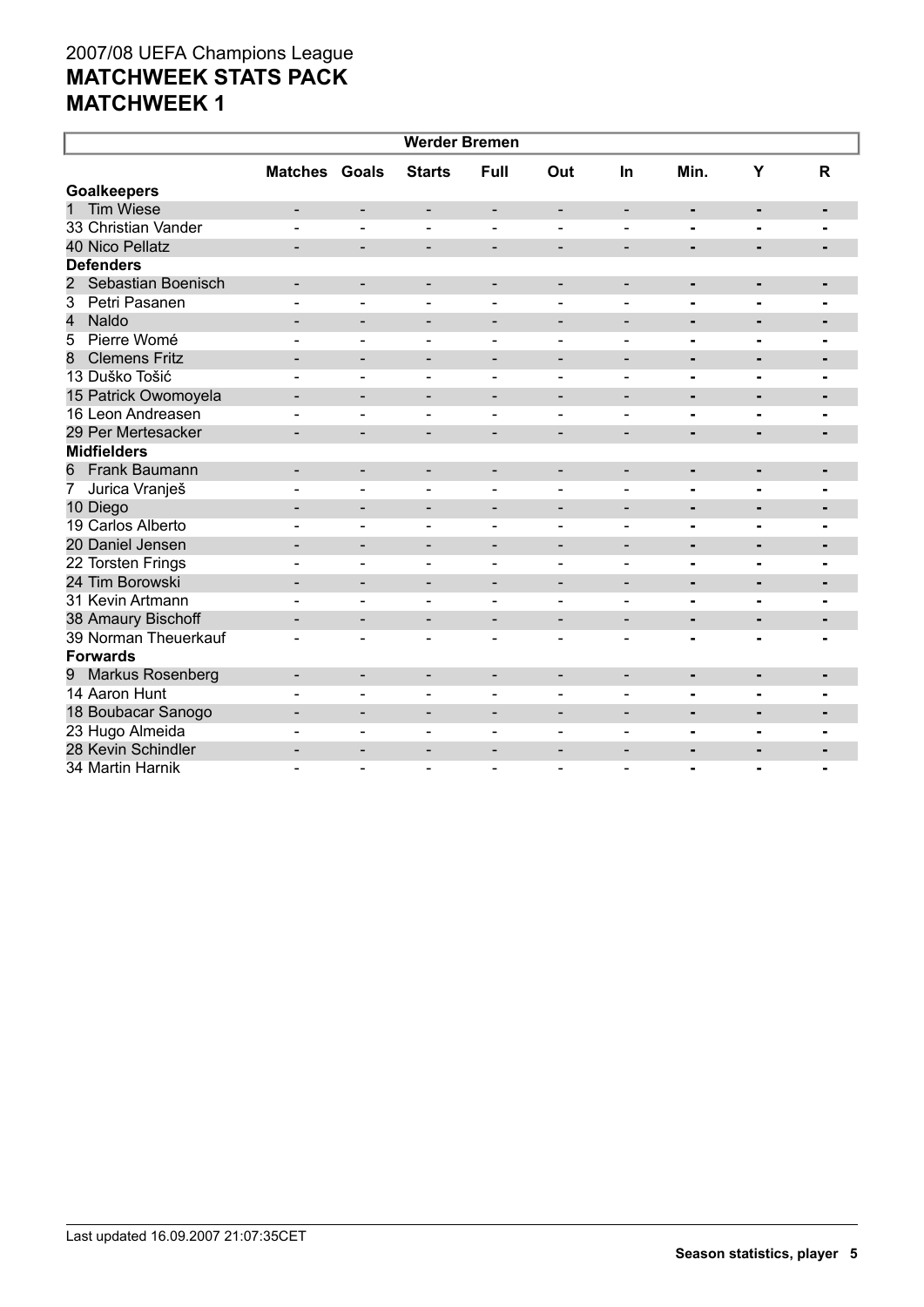| <b>Werder Bremen</b>                 |                              |                              |                              |                              |                              |                          |                              |                |                |  |
|--------------------------------------|------------------------------|------------------------------|------------------------------|------------------------------|------------------------------|--------------------------|------------------------------|----------------|----------------|--|
|                                      | <b>Matches Goals</b>         |                              | <b>Starts</b>                | Full                         | Out                          | In                       | Min.                         | Y              | $\mathsf{R}$   |  |
| <b>Goalkeepers</b>                   |                              |                              |                              |                              |                              |                          |                              |                |                |  |
| <b>Tim Wiese</b><br>1                |                              | -                            | -                            | $\overline{\phantom{a}}$     | $\qquad \qquad \blacksquare$ | $\overline{\phantom{a}}$ | $\blacksquare$               | $\blacksquare$ | $\blacksquare$ |  |
| 33 Christian Vander                  |                              |                              |                              |                              |                              |                          |                              |                |                |  |
| 40 Nico Pellatz                      |                              | $\overline{\phantom{a}}$     | -                            | $\overline{\phantom{a}}$     | $\overline{\phantom{a}}$     | $\overline{\phantom{a}}$ | ٠                            | $\blacksquare$ |                |  |
| <b>Defenders</b>                     |                              |                              |                              |                              |                              |                          |                              |                |                |  |
| Sebastian Boenisch<br>$\overline{2}$ |                              | $\blacksquare$               | $\qquad \qquad \blacksquare$ | $\qquad \qquad \blacksquare$ |                              |                          | ٠                            | $\blacksquare$ | $\blacksquare$ |  |
| $\overline{3}$<br>Petri Pasanen      |                              |                              |                              |                              |                              |                          | $\blacksquare$               | $\blacksquare$ |                |  |
| $\overline{\mathcal{L}}$<br>Naldo    | $\overline{\phantom{0}}$     | $\overline{\phantom{0}}$     | $\overline{\phantom{a}}$     | $\overline{\phantom{a}}$     | $\overline{\phantom{a}}$     | $\blacksquare$           | $\blacksquare$               | $\blacksquare$ | $\blacksquare$ |  |
| Pierre Womé<br>5                     |                              | $\blacksquare$               | $\blacksquare$               | $\blacksquare$               | $\blacksquare$               | $\blacksquare$           | $\blacksquare$               | $\blacksquare$ | $\blacksquare$ |  |
| <b>Clemens Fritz</b><br>8            | $\qquad \qquad \blacksquare$ | $\overline{\phantom{a}}$     | -                            | $\overline{\phantom{a}}$     | $\overline{\phantom{a}}$     | $\overline{\phantom{a}}$ | ۰                            | ٠              | ٠              |  |
| 13 Duško Tošić                       |                              | $\blacksquare$               | $\blacksquare$               | $\blacksquare$               | $\blacksquare$               | $\blacksquare$           | $\blacksquare$               | $\blacksquare$ | $\blacksquare$ |  |
| 15 Patrick Owomoyela                 |                              | $\qquad \qquad \blacksquare$ | -                            | $\overline{\phantom{a}}$     | $\overline{\phantom{0}}$     | $\overline{\phantom{0}}$ | $\blacksquare$               | -              | $\blacksquare$ |  |
| 16 Leon Andreasen                    |                              |                              |                              |                              |                              |                          |                              | $\blacksquare$ | $\blacksquare$ |  |
| 29 Per Mertesacker                   |                              | $\overline{\phantom{0}}$     | $\qquad \qquad \blacksquare$ | $\blacksquare$               | $\overline{\phantom{a}}$     |                          | $\blacksquare$               |                |                |  |
| <b>Midfielders</b>                   |                              |                              |                              |                              |                              |                          |                              |                |                |  |
| <b>Frank Baumann</b><br>6            |                              | $\overline{\phantom{0}}$     | -                            | $\qquad \qquad \blacksquare$ | $\overline{\phantom{0}}$     |                          | $\qquad \qquad \blacksquare$ | $\blacksquare$ | $\blacksquare$ |  |
| 7<br>Jurica Vranješ                  |                              | $\blacksquare$               |                              | $\blacksquare$               |                              | $\blacksquare$           | $\blacksquare$               |                |                |  |
| 10 Diego                             |                              | $\overline{\phantom{0}}$     | $\overline{\phantom{0}}$     | $\overline{\phantom{a}}$     | $\overline{\phantom{a}}$     | $\blacksquare$           | -                            | $\blacksquare$ | $\blacksquare$ |  |
| 19 Carlos Alberto                    |                              | $\blacksquare$               |                              |                              |                              | $\overline{\phantom{0}}$ | $\blacksquare$               | $\blacksquare$ |                |  |
| 20 Daniel Jensen                     |                              | $\blacksquare$               | $\qquad \qquad \blacksquare$ | $\overline{\phantom{a}}$     | $\overline{\phantom{a}}$     | $\overline{\phantom{a}}$ | $\blacksquare$               | $\blacksquare$ | $\blacksquare$ |  |
| 22 Torsten Frings                    |                              | $\blacksquare$               | $\overline{\phantom{0}}$     | $\blacksquare$               | $\overline{\phantom{a}}$     | $\blacksquare$           | $\blacksquare$               | $\blacksquare$ |                |  |
| 24 Tim Borowski                      | $\blacksquare$               | $\overline{\phantom{a}}$     | $\qquad \qquad \blacksquare$ | $\overline{\phantom{a}}$     | $\overline{\phantom{a}}$     | $\blacksquare$           | $\blacksquare$               | $\blacksquare$ | $\blacksquare$ |  |
| 31 Kevin Artmann                     |                              | $\overline{a}$               | $\overline{\phantom{0}}$     | $\blacksquare$               | $\blacksquare$               | $\overline{\phantom{0}}$ | $\blacksquare$               | $\blacksquare$ | $\blacksquare$ |  |
| 38 Amaury Bischoff                   | $\overline{\phantom{0}}$     | $\overline{\phantom{a}}$     | -                            | $\overline{\phantom{a}}$     | $\overline{\phantom{a}}$     | $\overline{\phantom{a}}$ |                              | ٠              |                |  |
| 39 Norman Theuerkauf                 | $\blacksquare$               | $\blacksquare$               | $\overline{\phantom{a}}$     | $\blacksquare$               | $\blacksquare$               | $\blacksquare$           | $\blacksquare$               | $\blacksquare$ | $\blacksquare$ |  |
| <b>Forwards</b>                      |                              |                              |                              |                              |                              |                          |                              |                |                |  |
| <b>Markus Rosenberg</b><br>9         | $\overline{\phantom{0}}$     | $\overline{\phantom{a}}$     | $\overline{\phantom{a}}$     | $\overline{\phantom{a}}$     | $\overline{\phantom{a}}$     | $\overline{\phantom{a}}$ | ۰                            | $\blacksquare$ | $\blacksquare$ |  |
| 14 Aaron Hunt                        |                              | $\blacksquare$               | $\overline{\phantom{0}}$     | $\blacksquare$               | $\blacksquare$               | $\blacksquare$           | $\blacksquare$               | $\blacksquare$ | $\blacksquare$ |  |
| 18 Boubacar Sanogo                   | $\blacksquare$               | $\overline{\phantom{a}}$     | $\blacksquare$               | $\blacksquare$               | $\overline{\phantom{a}}$     | $\blacksquare$           | ۰                            | $\blacksquare$ |                |  |
| 23 Hugo Almeida                      |                              | $\blacksquare$               |                              | $\sim$                       |                              |                          | $\blacksquare$               |                |                |  |
| 28 Kevin Schindler                   |                              | -                            |                              |                              |                              | $\overline{\phantom{0}}$ |                              |                |                |  |
| 34 Martin Harnik                     |                              | $\overline{a}$               | $\blacksquare$               | $\blacksquare$               | $\overline{\phantom{a}}$     |                          | $\blacksquare$               | $\blacksquare$ | $\blacksquare$ |  |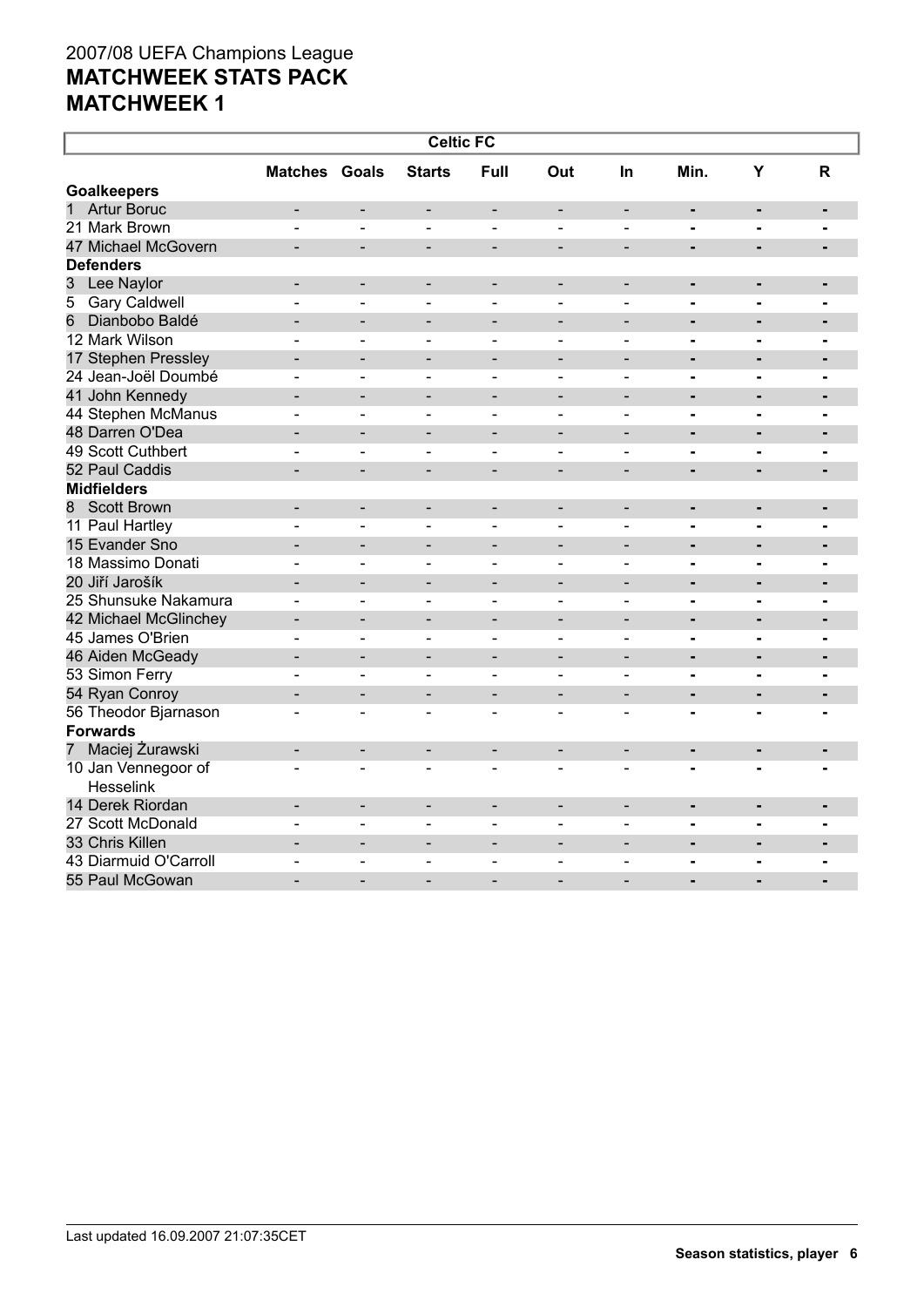| <b>Celtic FC</b>                   |                          |                              |                              |                              |                              |                              |                |                |                |  |
|------------------------------------|--------------------------|------------------------------|------------------------------|------------------------------|------------------------------|------------------------------|----------------|----------------|----------------|--|
|                                    | <b>Matches Goals</b>     |                              | <b>Starts</b>                | Full                         | Out                          | <b>In</b>                    | Min.           | Y              | R              |  |
| <b>Goalkeepers</b>                 |                          |                              |                              |                              |                              |                              |                |                |                |  |
| $\mathbf{1}$<br><b>Artur Boruc</b> |                          |                              | $\qquad \qquad \blacksquare$ | $\overline{\phantom{a}}$     | $\qquad \qquad -$            | $\blacksquare$               | $\blacksquare$ | $\blacksquare$ | $\blacksquare$ |  |
| 21 Mark Brown                      |                          | $\overline{a}$               | ٠                            | $\blacksquare$               | $\blacksquare$               | $\blacksquare$               | $\blacksquare$ | $\blacksquare$ | $\blacksquare$ |  |
| 47 Michael McGovern                |                          | $\qquad \qquad -$            | $\overline{\phantom{a}}$     | $\overline{\phantom{a}}$     | $\qquad \qquad -$            | $\overline{\phantom{a}}$     | $\blacksquare$ |                | $\blacksquare$ |  |
| <b>Defenders</b>                   |                          |                              |                              |                              |                              |                              |                |                |                |  |
| 3<br>Lee Naylor                    | $\blacksquare$           | $\overline{\phantom{a}}$     | $\blacksquare$               | $\overline{\phantom{a}}$     | $\overline{\phantom{a}}$     | $\blacksquare$               | ۰              | $\blacksquare$ | $\blacksquare$ |  |
| <b>Gary Caldwell</b><br>5          |                          | $\blacksquare$               | $\qquad \qquad \blacksquare$ | $\blacksquare$               | $\overline{\phantom{0}}$     | $\blacksquare$               | $\blacksquare$ |                | $\blacksquare$ |  |
| 6<br>Dianbobo Baldé                |                          |                              |                              |                              |                              |                              | $\blacksquare$ | $\blacksquare$ | -              |  |
| 12 Mark Wilson                     | ۳                        | $\overline{a}$               | $\sim$                       | $\blacksquare$               | $\blacksquare$               | $\blacksquare$               | $\blacksquare$ | $\blacksquare$ | $\blacksquare$ |  |
| 17 Stephen Pressley                | ۰                        | $\overline{\phantom{a}}$     | $\overline{\phantom{a}}$     | $\overline{\phantom{a}}$     | $\qquad \qquad -$            | $\overline{\phantom{a}}$     | $\blacksquare$ |                | $\blacksquare$ |  |
| 24 Jean-Joël Doumbé                |                          | L.                           |                              | $\overline{a}$               | $\overline{a}$               | $\overline{a}$               | $\blacksquare$ | $\blacksquare$ | ۰              |  |
| 41 John Kennedy                    | $\overline{\phantom{0}}$ | $\blacksquare$               | ۰                            | $\blacksquare$               | $\qquad \qquad -$            | $\overline{\phantom{0}}$     | $\blacksquare$ | $\blacksquare$ | $\blacksquare$ |  |
| 44 Stephen McManus                 | $\overline{\phantom{0}}$ | $\blacksquare$               | $\overline{\phantom{a}}$     | $\qquad \qquad \blacksquare$ | $\qquad \qquad \blacksquare$ | $\qquad \qquad \blacksquare$ | -              | $\blacksquare$ | $\blacksquare$ |  |
| 48 Darren O'Dea                    |                          | $\overline{\phantom{0}}$     |                              | $\overline{\phantom{0}}$     | $\overline{\phantom{0}}$     | $\overline{\phantom{0}}$     | $\blacksquare$ | $\blacksquare$ | $\blacksquare$ |  |
| 49 Scott Cuthbert                  | ۳                        | $\blacksquare$               | ٠                            | $\blacksquare$               | $\blacksquare$               | $\blacksquare$               | $\blacksquare$ | $\blacksquare$ | ۰              |  |
| 52 Paul Caddis                     |                          | $\qquad \qquad -$            | $\qquad \qquad -$            | $\qquad \qquad$              | $\overline{a}$               | $\overline{\phantom{0}}$     | $\blacksquare$ |                | $\blacksquare$ |  |
| <b>Midfielders</b>                 |                          |                              |                              |                              |                              |                              |                |                |                |  |
| 8 Scott Brown                      | $\blacksquare$           | $\overline{\phantom{a}}$     | $\blacksquare$               | $\overline{\phantom{a}}$     | $\overline{\phantom{a}}$     | $\blacksquare$               | ۰              | $\blacksquare$ |                |  |
| 11 Paul Hartley                    |                          | $\overline{\phantom{0}}$     | $\qquad \qquad \blacksquare$ | $\blacksquare$               | $\overline{\phantom{0}}$     | $\blacksquare$               | $\blacksquare$ | $\blacksquare$ | $\blacksquare$ |  |
| 15 Evander Sno                     |                          | $\overline{\phantom{0}}$     |                              |                              |                              |                              | $\blacksquare$ | $\blacksquare$ | -              |  |
| 18 Massimo Donati                  | ۳                        | $\blacksquare$               | $\overline{\phantom{a}}$     | $\blacksquare$               | $\blacksquare$               | $\blacksquare$               | $\blacksquare$ | $\blacksquare$ | $\blacksquare$ |  |
| 20 Jiří Jarošík                    |                          | $\overline{\phantom{a}}$     | $\qquad \qquad -$            | $\overline{\phantom{a}}$     | $\qquad \qquad -$            | $\overline{\phantom{a}}$     | $\blacksquare$ |                | $\blacksquare$ |  |
| 25 Shunsuke Nakamura               |                          |                              |                              |                              |                              |                              | Ē.             | $\blacksquare$ |                |  |
| 42 Michael McGlinchey              | $\blacksquare$           | $\blacksquare$               | $\blacksquare$               | $\blacksquare$               | $\overline{\phantom{a}}$     | $\overline{\phantom{0}}$     | $\blacksquare$ | $\blacksquare$ | $\blacksquare$ |  |
| 45 James O'Brien                   |                          | $\overline{\phantom{a}}$     | $\blacksquare$               | $\blacksquare$               | $\qquad \qquad \blacksquare$ | $\blacksquare$               | $\blacksquare$ | $\blacksquare$ | $\blacksquare$ |  |
| 46 Aiden McGeady                   |                          | $\overline{\phantom{0}}$     | $\overline{\phantom{0}}$     | $\overline{\phantom{0}}$     | $\overline{\phantom{0}}$     | $\overline{\phantom{0}}$     | $\blacksquare$ | $\blacksquare$ | $\blacksquare$ |  |
| 53 Simon Ferry                     | ۳                        | $\sim$                       | ٠                            | $\blacksquare$               | $\blacksquare$               | ÷                            | $\blacksquare$ | $\blacksquare$ | $\blacksquare$ |  |
| 54 Ryan Conroy                     |                          | $\overline{\phantom{a}}$     | -                            | $\overline{\phantom{a}}$     | $\qquad \qquad -$            | $\overline{\phantom{a}}$     | $\blacksquare$ |                | $\blacksquare$ |  |
| 56 Theodor Bjarnason               |                          | L.                           | ۳                            | $\overline{a}$               |                              |                              |                |                |                |  |
| <b>Forwards</b>                    |                          |                              |                              |                              |                              |                              |                |                |                |  |
| Maciej Żurawski<br>$\overline{7}$  | ۰                        | $\overline{\phantom{a}}$     | $\overline{\phantom{a}}$     | $\overline{\phantom{a}}$     | $\qquad \qquad -$            | $\overline{\phantom{a}}$     | ۰              | $\blacksquare$ | $\blacksquare$ |  |
| 10 Jan Vennegoor of                |                          | L.                           | $\sim$                       |                              |                              |                              |                |                |                |  |
| Hesselink                          |                          |                              |                              |                              |                              |                              |                |                |                |  |
| 14 Derek Riordan                   | ۰                        | $\overline{\phantom{a}}$     | $\overline{\phantom{a}}$     | $\overline{\phantom{a}}$     | $\qquad \qquad -$            | $\overline{\phantom{a}}$     | ۰              | $\blacksquare$ | $\blacksquare$ |  |
| 27 Scott McDonald                  |                          | $\blacksquare$               |                              | $\blacksquare$               |                              |                              | $\blacksquare$ | $\blacksquare$ |                |  |
| 33 Chris Killen                    | $\overline{\phantom{0}}$ | $\blacksquare$               | $\blacksquare$               | $\blacksquare$               | $\qquad \qquad -$            | $\blacksquare$               | ۰              | $\blacksquare$ |                |  |
| 43 Diarmuid O'Carroll              | $\overline{\phantom{0}}$ | $\qquad \qquad \blacksquare$ | $\overline{\phantom{0}}$     | $\qquad \qquad \blacksquare$ | $\qquad \qquad \blacksquare$ | $\blacksquare$               | $\blacksquare$ | $\blacksquare$ | $\blacksquare$ |  |
| 55 Paul McGowan                    |                          |                              |                              |                              |                              |                              | $\overline{a}$ |                |                |  |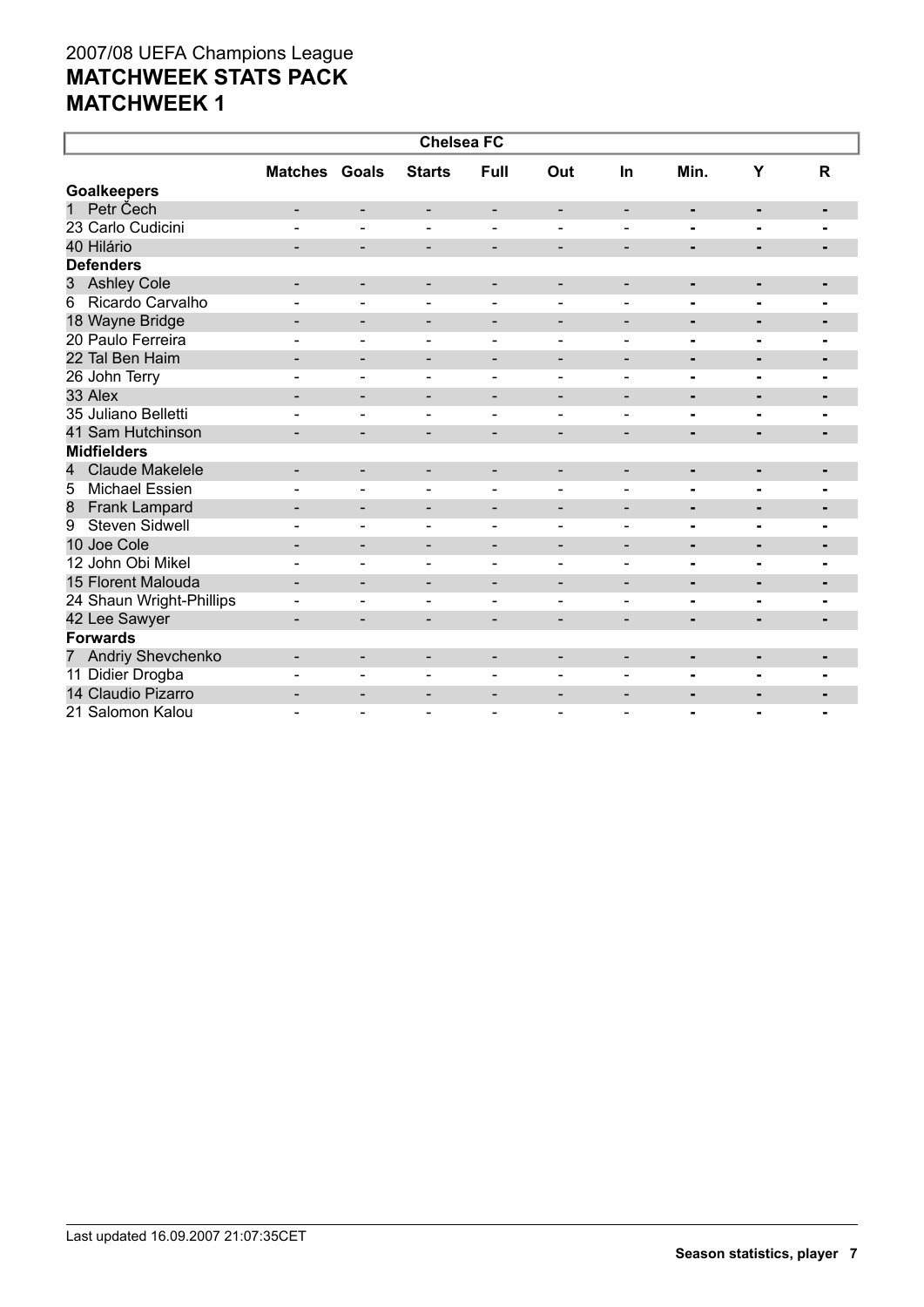| <b>Chelsea FC</b>           |                              |                              |                              |                          |                          |                              |                |                          |                |  |
|-----------------------------|------------------------------|------------------------------|------------------------------|--------------------------|--------------------------|------------------------------|----------------|--------------------------|----------------|--|
|                             | <b>Matches Goals</b>         |                              | <b>Starts</b>                | Full                     | Out                      | In                           | Min.           | Y                        | $\mathsf{R}$   |  |
| <b>Goalkeepers</b>          |                              |                              |                              |                          |                          |                              |                |                          |                |  |
| Petr Čech<br>1              | -                            | -                            | -                            | -                        | $\overline{\phantom{a}}$ | $\overline{\phantom{a}}$     | ٠              | ٠                        | ٠              |  |
| 23 Carlo Cudicini           |                              | $\blacksquare$               | $\blacksquare$               | $\blacksquare$           |                          |                              | $\blacksquare$ | $\blacksquare$           | $\blacksquare$ |  |
| 40 Hilário                  |                              | $\overline{\phantom{0}}$     | $\qquad \qquad \blacksquare$ | $\overline{\phantom{a}}$ | $\overline{\phantom{a}}$ | $\overline{\phantom{a}}$     | $\blacksquare$ | ٠                        | $\blacksquare$ |  |
| <b>Defenders</b>            |                              |                              |                              |                          |                          |                              |                |                          |                |  |
| <b>Ashley Cole</b><br>3     | $\qquad \qquad \blacksquare$ | $\overline{\phantom{a}}$     | $\overline{\phantom{a}}$     | $\overline{\phantom{a}}$ | $\overline{\phantom{a}}$ | $\overline{\phantom{a}}$     | ٠              | $\blacksquare$           | ٠              |  |
| Ricardo Carvalho<br>6       |                              |                              |                              |                          |                          |                              |                |                          |                |  |
| 18 Wayne Bridge             | $\qquad \qquad -$            | $\qquad \qquad \blacksquare$ | -                            | $\overline{\phantom{a}}$ | $\overline{\phantom{a}}$ | $\overline{\phantom{a}}$     | ٠              | ٠                        | $\blacksquare$ |  |
| 20 Paulo Ferreira           | $\overline{\phantom{a}}$     | $\qquad \qquad \blacksquare$ | $\qquad \qquad \blacksquare$ | $\overline{\phantom{a}}$ | $\overline{\phantom{a}}$ | $\qquad \qquad \blacksquare$ | $\blacksquare$ | ۰                        | ۰.             |  |
| 22 Tal Ben Haim             |                              | $\overline{\phantom{0}}$     | -                            | $\overline{\phantom{a}}$ | $\qquad \qquad$          | $\overline{\phantom{0}}$     | $\blacksquare$ | $\blacksquare$           | $\blacksquare$ |  |
| 26 John Terry               |                              | $\blacksquare$               | $\overline{\phantom{a}}$     | $\blacksquare$           | $\blacksquare$           | $\overline{\phantom{0}}$     | -              | $\blacksquare$           |                |  |
| 33 Alex                     |                              | $\overline{\phantom{a}}$     | -                            | $\overline{\phantom{a}}$ | $\overline{\phantom{0}}$ | $\overline{\phantom{0}}$     | $\blacksquare$ | $\blacksquare$           | ٠              |  |
| 35 Juliano Belletti         |                              | $\overline{\phantom{0}}$     | $\sim$                       | $\sim$                   | $\blacksquare$           | $\blacksquare$               | $\blacksquare$ | $\overline{\phantom{0}}$ |                |  |
| 41 Sam Hutchinson           |                              | $\overline{\phantom{0}}$     | $\overline{\phantom{0}}$     | $\overline{\phantom{a}}$ | $\overline{\phantom{a}}$ | $\overline{\phantom{a}}$     | ٠              | $\blacksquare$           | ۰              |  |
| <b>Midfielders</b>          |                              |                              |                              |                          |                          |                              |                |                          |                |  |
| <b>Claude Makelele</b><br>4 | $\overline{\phantom{0}}$     | $\overline{\phantom{a}}$     | -                            | $\overline{\phantom{a}}$ | $\overline{\phantom{a}}$ | $\overline{\phantom{a}}$     | ٠              | ۰                        | ٠              |  |
| <b>Michael Essien</b><br>5  |                              | $\blacksquare$               | $\overline{\phantom{0}}$     | $\blacksquare$           | $\overline{\phantom{0}}$ | $\blacksquare$               | ۰              | $\blacksquare$           | $\blacksquare$ |  |
| Frank Lampard<br>8          | -                            | $\overline{\phantom{a}}$     | -                            | -                        | $\overline{\phantom{a}}$ | $\overline{\phantom{0}}$     | ۰              | ٠                        | ٠              |  |
| <b>Steven Sidwell</b><br>9  |                              | $\overline{\phantom{0}}$     | $\qquad \qquad \blacksquare$ | $\blacksquare$           | $\overline{\phantom{a}}$ | $\overline{\phantom{a}}$     | $\blacksquare$ | $\blacksquare$           | ۰              |  |
| 10 Joe Cole                 | $\overline{\phantom{0}}$     | $\overline{\phantom{a}}$     | $\overline{\phantom{a}}$     | $\overline{\phantom{a}}$ | $\overline{\phantom{a}}$ | $\overline{\phantom{a}}$     | ٠              | $\blacksquare$           | ٠              |  |
| 12 John Obi Mikel           |                              | $\blacksquare$               | $\overline{\phantom{0}}$     | $\blacksquare$           |                          |                              | $\blacksquare$ | $\blacksquare$           |                |  |
| 15 Florent Malouda          |                              | $\overline{\phantom{a}}$     | -                            | -                        | $\qquad \qquad$          | $\overline{\phantom{0}}$     | ۰              | ٠                        | $\blacksquare$ |  |
| 24 Shaun Wright-Phillips    | $\overline{\phantom{0}}$     | $\qquad \qquad \blacksquare$ | -                            | $\overline{\phantom{a}}$ | $\blacksquare$           | $\blacksquare$               | -              | ٠                        | $\blacksquare$ |  |
| 42 Lee Sawyer               |                              | $\overline{\phantom{0}}$     | -                            | $\overline{\phantom{a}}$ | $\overline{\phantom{0}}$ | $\overline{\phantom{0}}$     | $\blacksquare$ | ٠                        | $\blacksquare$ |  |
| <b>Forwards</b>             |                              |                              |                              |                          |                          |                              |                |                          |                |  |
| 7 Andriy Shevchenko         |                              | $\overline{\phantom{a}}$     | -                            | $\overline{\phantom{a}}$ | $\overline{\phantom{a}}$ | $\overline{\phantom{a}}$     | ۰              | ٠                        | ۰              |  |
| 11 Didier Drogba            |                              | $\overline{\phantom{0}}$     | $\equiv$                     | $\sim$                   | $\overline{\phantom{0}}$ |                              | $\blacksquare$ | ۰.                       | $\blacksquare$ |  |
| 14 Claudio Pizarro          | $\qquad \qquad \blacksquare$ | -                            | -                            | $\overline{\phantom{a}}$ | $\overline{\phantom{a}}$ | $\overline{\phantom{a}}$     | ٠              |                          | ٠              |  |
| 21 Salomon Kalou            |                              | $\blacksquare$               |                              | $\blacksquare$           |                          |                              | $\blacksquare$ | $\blacksquare$           | $\blacksquare$ |  |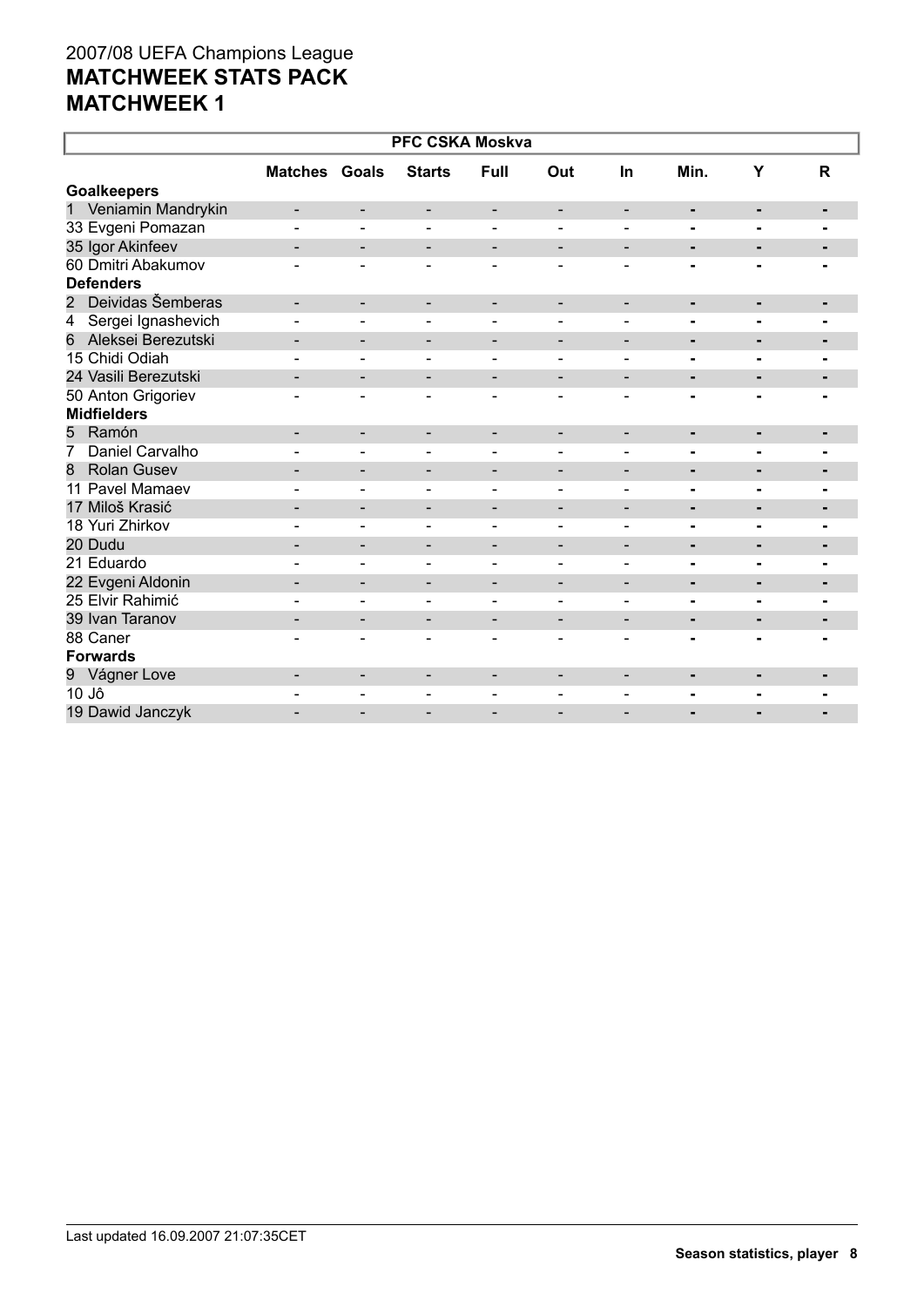| <b>PFC CSKA Moskva</b>  |                          |                              |                          |                              |                              |                          |                |                |                |  |  |
|-------------------------|--------------------------|------------------------------|--------------------------|------------------------------|------------------------------|--------------------------|----------------|----------------|----------------|--|--|
|                         | <b>Matches Goals</b>     |                              | <b>Starts</b>            | <b>Full</b>                  | Out                          | In                       | Min.           | Υ              | $\mathsf{R}$   |  |  |
| <b>Goalkeepers</b>      |                          |                              |                          |                              |                              |                          |                |                |                |  |  |
| 1 Veniamin Mandrykin    |                          | $\overline{\phantom{a}}$     | $\overline{\phantom{a}}$ | -                            | -                            | $\overline{\phantom{a}}$ |                | ۰              | ٠              |  |  |
| 33 Evgeni Pomazan       |                          |                              | $\overline{\phantom{a}}$ |                              |                              |                          | Ξ.             | ٠              |                |  |  |
| 35 Igor Akinfeev        |                          | $\overline{\phantom{a}}$     | $\overline{\phantom{a}}$ | $\overline{\phantom{a}}$     | $\qquad \qquad -$            | $\overline{\phantom{a}}$ | ٠              | $\blacksquare$ |                |  |  |
| 60 Dmitri Abakumov      |                          |                              |                          |                              |                              |                          |                |                |                |  |  |
| <b>Defenders</b>        |                          |                              |                          |                              |                              |                          |                |                |                |  |  |
| 2 Deividas Šemberas     | $\blacksquare$           | $\overline{\phantom{a}}$     | $\overline{\phantom{a}}$ | $\overline{\phantom{a}}$     | $\overline{\phantom{0}}$     | $\overline{\phantom{a}}$ | ٠              | ٠              |                |  |  |
| Sergei Ignashevich<br>4 |                          |                              | $\overline{\phantom{a}}$ | $\overline{\phantom{a}}$     | $\qquad \qquad$              | $\overline{\phantom{a}}$ | Ξ.             | $\blacksquare$ |                |  |  |
| Aleksei Berezutski<br>6 | $\overline{\phantom{0}}$ | $\qquad \qquad \blacksquare$ | $\overline{\phantom{a}}$ | $\overline{\phantom{a}}$     | $\qquad \qquad \blacksquare$ | $\overline{\phantom{a}}$ | $\blacksquare$ | ٠              | -              |  |  |
| 15 Chidi Odiah          |                          |                              |                          |                              |                              |                          | -              | $\blacksquare$ |                |  |  |
| 24 Vasili Berezutski    |                          | -                            | $\overline{\phantom{a}}$ | $\qquad \qquad \blacksquare$ | $\overline{\phantom{0}}$     | $\overline{\phantom{a}}$ | ۰              | ٠              |                |  |  |
| 50 Anton Grigoriev      |                          | $\blacksquare$               | $\overline{\phantom{a}}$ | $\overline{\phantom{0}}$     | ۰                            |                          | Ξ.             |                |                |  |  |
| <b>Midfielders</b>      |                          |                              |                          |                              |                              |                          |                |                |                |  |  |
| Ramón<br>5              | -                        | $\overline{\phantom{a}}$     | $\overline{\phantom{a}}$ | -                            | $\overline{\phantom{a}}$     | $\overline{\phantom{a}}$ | ٠              | ٠              | $\blacksquare$ |  |  |
| Daniel Carvalho<br>7    |                          | $\overline{\phantom{0}}$     | $\blacksquare$           | $\overline{\phantom{a}}$     | $\overline{\phantom{0}}$     | $\blacksquare$           | Ξ.             | $\blacksquare$ |                |  |  |
| <b>Rolan Gusev</b><br>8 |                          | $\blacksquare$               | $\overline{\phantom{a}}$ | $\qquad \qquad \blacksquare$ | $\overline{\phantom{0}}$     | $\overline{\phantom{a}}$ | Ξ.             | $\blacksquare$ |                |  |  |
| 11 Pavel Mamaev         |                          |                              | $\blacksquare$           |                              | $\blacksquare$               | $\blacksquare$           | Ξ.             | $\blacksquare$ |                |  |  |
| 17 Miloš Krasić         |                          |                              | $\overline{\phantom{a}}$ |                              | $\overline{\phantom{0}}$     | $\overline{\phantom{a}}$ | -              | ٠              | ٠              |  |  |
| 18 Yuri Zhirkov         |                          | ۳                            | $\sim$                   | $\overline{\phantom{a}}$     | $\blacksquare$               | $\sim$                   | Ξ.             | $\blacksquare$ |                |  |  |
| 20 Dudu                 | $\overline{\phantom{a}}$ | $\overline{\phantom{a}}$     | $\overline{\phantom{a}}$ | $\overline{\phantom{a}}$     | $\qquad \qquad -$            | $\overline{\phantom{a}}$ | ٠              | ٠              | ۰              |  |  |
| 21 Eduardo              |                          | $\blacksquare$               | $\overline{\phantom{a}}$ | $\overline{\phantom{a}}$     | $\blacksquare$               | $\blacksquare$           | Ξ.             | $\blacksquare$ | $\blacksquare$ |  |  |
| 22 Evgeni Aldonin       | $\overline{\phantom{0}}$ | $\qquad \qquad \blacksquare$ | $\overline{\phantom{a}}$ | $\overline{\phantom{0}}$     | $\overline{\phantom{0}}$     | $\overline{\phantom{a}}$ | ۰              | $\blacksquare$ | -              |  |  |
| 25 Elvir Rahimić        |                          |                              | $\blacksquare$           | $\blacksquare$               | $\overline{\phantom{0}}$     | $\blacksquare$           | -              | $\blacksquare$ | $\blacksquare$ |  |  |
| 39 Ivan Taranov         | $\overline{\phantom{0}}$ | $\overline{\phantom{a}}$     | $\overline{\phantom{a}}$ | $\overline{\phantom{a}}$     | $\overline{\phantom{0}}$     | $\overline{\phantom{a}}$ | -              | ٠              | ٠              |  |  |
| 88 Caner                |                          |                              |                          | $\blacksquare$               | $\blacksquare$               |                          |                |                |                |  |  |
| <b>Forwards</b>         |                          |                              |                          |                              |                              |                          |                |                |                |  |  |
| 9 Vágner Love           | $\overline{\phantom{0}}$ | $\overline{\phantom{a}}$     | $\overline{\phantom{a}}$ | $\overline{\phantom{a}}$     | $\overline{\phantom{0}}$     | $\overline{\phantom{a}}$ | ٠              | $\blacksquare$ |                |  |  |
| 10 Jô                   |                          |                              |                          |                              |                              |                          |                |                |                |  |  |
| 19 Dawid Janczyk        |                          |                              | $\overline{\phantom{0}}$ |                              |                              |                          |                |                |                |  |  |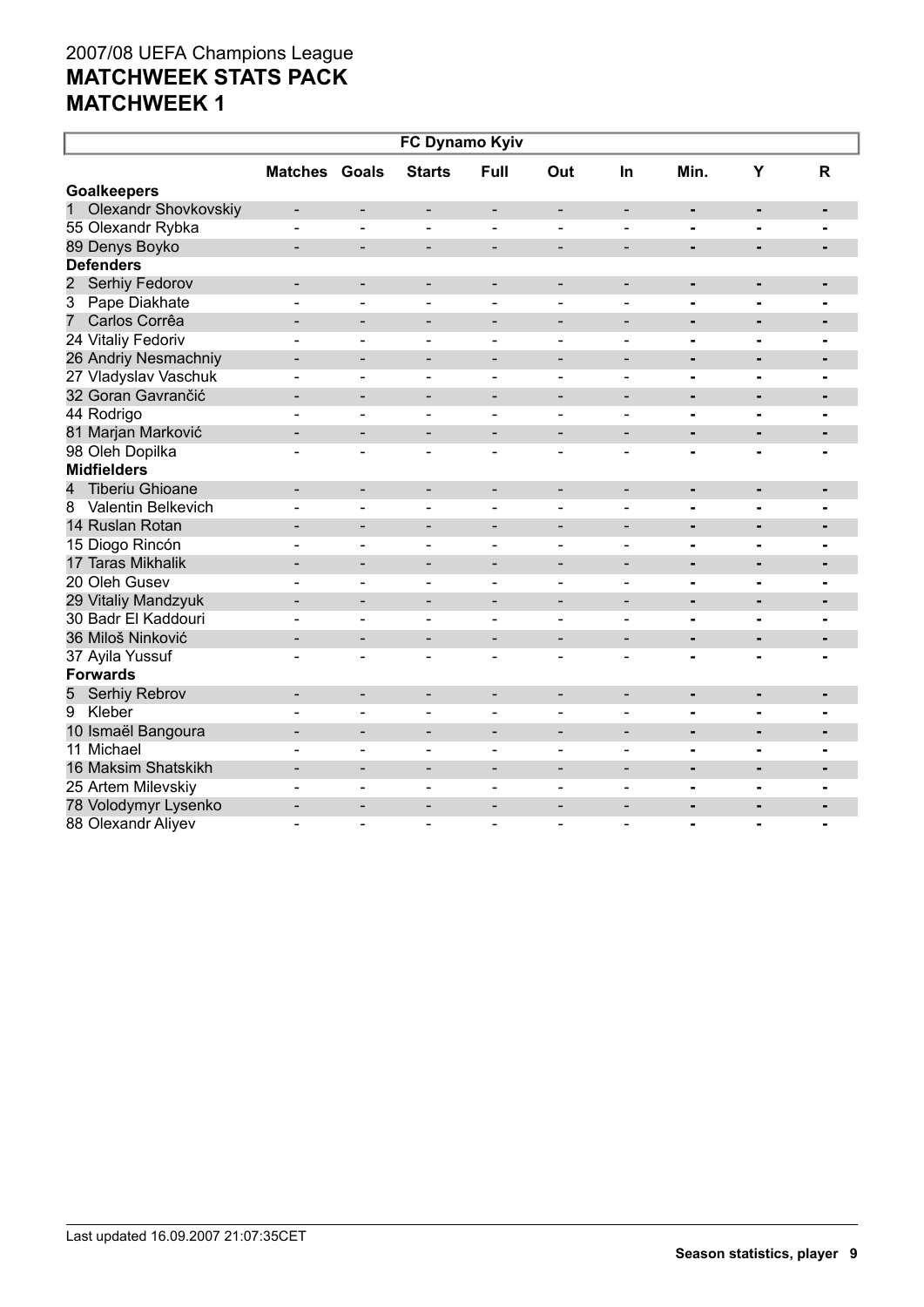| FC Dynamo Kyiv                   |                          |                              |                              |                              |                              |                              |                |                |                |  |  |
|----------------------------------|--------------------------|------------------------------|------------------------------|------------------------------|------------------------------|------------------------------|----------------|----------------|----------------|--|--|
|                                  | <b>Matches Goals</b>     |                              | <b>Starts</b>                | Full                         | Out                          | In                           | Min.           | Y              | R              |  |  |
| <b>Goalkeepers</b>               |                          |                              |                              |                              |                              |                              |                |                |                |  |  |
| 1<br>Olexandr Shovkovskiy        | $\overline{\phantom{a}}$ | $\overline{\phantom{a}}$     | -                            | -                            | $\qquad \qquad \blacksquare$ | $\overline{\phantom{a}}$     | $\blacksquare$ | ۰              | ۰              |  |  |
| 55 Olexandr Rybka                | $\blacksquare$           | $\overline{\phantom{0}}$     | $\blacksquare$               | $\qquad \qquad \blacksquare$ | $\overline{\phantom{a}}$     | $\overline{\phantom{0}}$     | $\blacksquare$ | $\blacksquare$ | $\blacksquare$ |  |  |
| 89 Denys Boyko                   | $\overline{\phantom{0}}$ | $\overline{\phantom{a}}$     | -                            | $\overline{\phantom{a}}$     | $\overline{\phantom{a}}$     | $\overline{\phantom{a}}$     | ۰              | $\blacksquare$ |                |  |  |
| <b>Defenders</b>                 |                          |                              |                              |                              |                              |                              |                |                |                |  |  |
| $\overline{2}$<br>Serhiy Fedorov | -                        | $\overline{\phantom{a}}$     | $\overline{\phantom{a}}$     | $\overline{\phantom{a}}$     | $\overline{\phantom{a}}$     | $\qquad \qquad \blacksquare$ | ۰              | -              |                |  |  |
| Pape Diakhate<br>3               | $\blacksquare$           | $\overline{\phantom{0}}$     | $\overline{\phantom{a}}$     | $\overline{\phantom{a}}$     | $\blacksquare$               | $\blacksquare$               | $\blacksquare$ | $\blacksquare$ |                |  |  |
| Carlos Corrêa<br>7               | $\overline{a}$           | $\overline{\phantom{0}}$     | -                            | $\overline{\phantom{m}}$     | $\qquad \qquad -$            | -                            |                |                |                |  |  |
| 24 Vitaliy Fedoriv               | $\overline{a}$           | $\blacksquare$               | $\overline{\phantom{0}}$     | $\blacksquare$               | $\blacksquare$               | $\sim$                       | -              |                |                |  |  |
| 26 Andriy Nesmachniy             | $\overline{\phantom{0}}$ | $\qquad \qquad \blacksquare$ | $\qquad \qquad \blacksquare$ | $\overline{\phantom{a}}$     | $\overline{\phantom{a}}$     | $\overline{\phantom{0}}$     | $\blacksquare$ |                |                |  |  |
| 27 Vladyslav Vaschuk             |                          | $\overline{\phantom{0}}$     | $\overline{a}$               | $\blacksquare$               | $\blacksquare$               | $\blacksquare$               | -              |                |                |  |  |
| 32 Goran Gavrančić               |                          | $\qquad \qquad \blacksquare$ | $\qquad \qquad \blacksquare$ | $\overline{\phantom{a}}$     | $\overline{\phantom{a}}$     | $\overline{\phantom{0}}$     | -              | -              |                |  |  |
| 44 Rodrigo                       |                          | $\overline{a}$               | ۳                            | $\blacksquare$               | $\overline{\phantom{a}}$     | $\overline{a}$               | $\blacksquare$ | $\blacksquare$ |                |  |  |
| 81 Marjan Marković               |                          | $\blacksquare$               | -                            | $\qquad \qquad \blacksquare$ | $\overline{\phantom{0}}$     | $\overline{\phantom{0}}$     | -              | -              | -              |  |  |
| 98 Oleh Dopilka                  |                          | L,                           | $\blacksquare$               | $\blacksquare$               | $\blacksquare$               |                              | -              |                |                |  |  |
| <b>Midfielders</b>               |                          |                              |                              |                              |                              |                              |                |                |                |  |  |
| <b>Tiberiu Ghioane</b><br>4      |                          | $\overline{\phantom{a}}$     | $\qquad \qquad \blacksquare$ | $\overline{\phantom{a}}$     | $\overline{\phantom{a}}$     | $\qquad \qquad \blacksquare$ | $\blacksquare$ | ٠              | $\blacksquare$ |  |  |
| Valentin Belkevich<br>8          |                          | $\blacksquare$               |                              |                              |                              |                              | $\blacksquare$ |                |                |  |  |
| 14 Ruslan Rotan                  |                          | $\overline{\phantom{0}}$     | -                            | $\qquad \qquad \blacksquare$ | $\overline{a}$               |                              | $\blacksquare$ | $\blacksquare$ |                |  |  |
| 15 Diogo Rincón                  |                          | $\blacksquare$               | $\sim$                       | $\blacksquare$               | $\blacksquare$               | $\blacksquare$               | $\blacksquare$ | $\blacksquare$ |                |  |  |
| 17 Taras Mikhalik                |                          | $\overline{\phantom{a}}$     | $\overline{\phantom{0}}$     | $\qquad \qquad -$            | $\overline{\phantom{0}}$     | $\overline{\phantom{0}}$     | $\blacksquare$ | $\blacksquare$ |                |  |  |
| 20 Oleh Gusev                    |                          | $\blacksquare$               | $\blacksquare$               | $\blacksquare$               | $\overline{\phantom{a}}$     | $\blacksquare$               | $\blacksquare$ | $\blacksquare$ | $\blacksquare$ |  |  |
| 29 Vitaliy Mandzyuk              | $\blacksquare$           | $\overline{\phantom{a}}$     | $\qquad \qquad \blacksquare$ | $\overline{\phantom{a}}$     | $\overline{\phantom{a}}$     | $\blacksquare$               | ۰              | $\blacksquare$ | $\blacksquare$ |  |  |
| 30 Badr El Kaddouri              | ۳                        | ٠                            | $\sim$                       | $\sim$                       | $\blacksquare$               | ÷                            | $\blacksquare$ | $\overline{a}$ | $\blacksquare$ |  |  |
| 36 Miloš Ninković                | $\overline{\phantom{0}}$ | $\overline{\phantom{0}}$     | $\overline{\phantom{a}}$     | $\overline{\phantom{a}}$     | $\overline{\phantom{a}}$     | $\blacksquare$               | $\blacksquare$ | $\blacksquare$ | $\blacksquare$ |  |  |
| 37 Ayila Yussuf                  | $\blacksquare$           | $\blacksquare$               | $\overline{\phantom{a}}$     | $\blacksquare$               | $\blacksquare$               | $\blacksquare$               | $\blacksquare$ | $\blacksquare$ | $\blacksquare$ |  |  |
| <b>Forwards</b>                  |                          |                              |                              |                              |                              |                              |                |                |                |  |  |
| Serhiy Rebrov<br>5               | $\overline{\phantom{0}}$ | $\overline{\phantom{a}}$     | $\overline{\phantom{a}}$     | $\overline{\phantom{a}}$     | $\overline{\phantom{a}}$     | $\overline{\phantom{a}}$     | ٠              | $\blacksquare$ | $\blacksquare$ |  |  |
| Kleber<br>9                      |                          | $\overline{a}$               | $\overline{\phantom{0}}$     | $\blacksquare$               | $\blacksquare$               | $\blacksquare$               | $\blacksquare$ | $\blacksquare$ | $\blacksquare$ |  |  |
| 10 Ismaël Bangoura               | -                        | $\overline{\phantom{a}}$     | $\overline{\phantom{a}}$     | $\overline{\phantom{a}}$     | $\overline{\phantom{a}}$     | $\overline{\phantom{a}}$     | $\blacksquare$ | $\blacksquare$ | $\blacksquare$ |  |  |
| 11 Michael                       |                          | $\blacksquare$               | $\blacksquare$               | $\blacksquare$               | $\overline{\phantom{a}}$     | $\blacksquare$               | $\blacksquare$ | $\blacksquare$ | $\blacksquare$ |  |  |
| 16 Maksim Shatskikh              | $\overline{\phantom{0}}$ | $\overline{\phantom{a}}$     | $\overline{\phantom{a}}$     | $\overline{\phantom{a}}$     | $\overline{\phantom{a}}$     | $\overline{\phantom{a}}$     | $\blacksquare$ | $\blacksquare$ | $\blacksquare$ |  |  |
| 25 Artem Milevskiy               |                          | $\overline{\phantom{0}}$     | $\overline{\phantom{a}}$     | $\overline{\phantom{a}}$     | $\blacksquare$               | $\qquad \qquad \blacksquare$ | $\blacksquare$ |                | ۰              |  |  |
| 78 Volodymyr Lysenko             |                          | $\qquad \qquad \blacksquare$ |                              |                              | $\overline{\phantom{0}}$     |                              | $\blacksquare$ |                |                |  |  |
| 88 Olexandr Aliyev               |                          |                              |                              | $\blacksquare$               | $\overline{\phantom{a}}$     | ۳                            |                |                |                |  |  |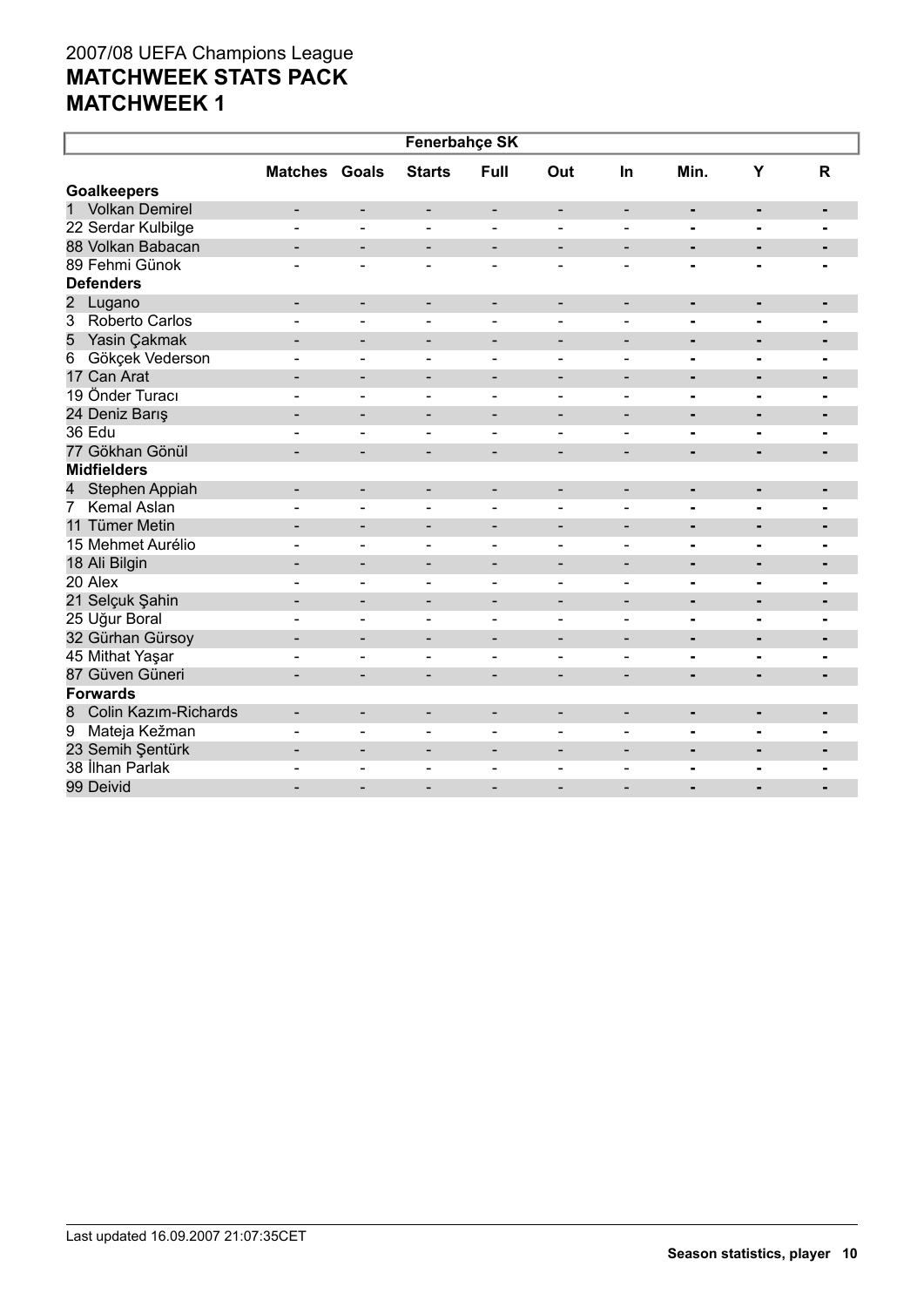| <b>Fenerbahçe SK</b>                    |                          |                              |                              |                              |                              |                          |                          |                |                |  |
|-----------------------------------------|--------------------------|------------------------------|------------------------------|------------------------------|------------------------------|--------------------------|--------------------------|----------------|----------------|--|
|                                         | <b>Matches Goals</b>     |                              | <b>Starts</b>                | <b>Full</b>                  | Out                          | <b>In</b>                | Min.                     | Y              | R              |  |
| <b>Goalkeepers</b>                      |                          |                              |                              |                              |                              |                          |                          |                |                |  |
| 1 Volkan Demirel                        | $\overline{\phantom{a}}$ | $\overline{\phantom{a}}$     | $\overline{\phantom{a}}$     | $\overline{\phantom{a}}$     | $\overline{\phantom{a}}$     | $\overline{\phantom{a}}$ | $\blacksquare$           | $\blacksquare$ | $\blacksquare$ |  |
| 22 Serdar Kulbilge                      |                          | $\blacksquare$               | $\sim$                       | $\overline{a}$               | $\sim$                       |                          | $\blacksquare$           | $\blacksquare$ | $\blacksquare$ |  |
| 88 Volkan Babacan                       |                          | $\overline{\phantom{a}}$     |                              |                              |                              | $\overline{\phantom{a}}$ | $\blacksquare$           |                |                |  |
| 89 Fehmi Günok                          |                          | $\overline{a}$               |                              |                              |                              |                          |                          |                |                |  |
| <b>Defenders</b>                        |                          |                              |                              |                              |                              |                          |                          |                |                |  |
| $\overline{2}$<br>Lugano                | -                        | $\overline{\phantom{a}}$     | $\overline{\phantom{a}}$     | $\overline{\phantom{a}}$     | $\qquad \qquad \blacksquare$ | $\overline{\phantom{a}}$ | ٠                        | ٠              |                |  |
| $\overline{3}$<br><b>Roberto Carlos</b> |                          | $\overline{\phantom{a}}$     | $\blacksquare$               | $\qquad \qquad \blacksquare$ | $\blacksquare$               | $\overline{\phantom{0}}$ | $\blacksquare$           | $\blacksquare$ | $\blacksquare$ |  |
| 5<br>Yasin Çakmak                       |                          | $\overline{\phantom{a}}$     | $\overline{\phantom{a}}$     | $\overline{\phantom{0}}$     | $\overline{\phantom{a}}$     | $\overline{\phantom{0}}$ | $\blacksquare$           | $\blacksquare$ | $\blacksquare$ |  |
| Gökçek Vederson<br>$6\overline{6}$      |                          | $\qquad \qquad \blacksquare$ |                              |                              |                              | $\blacksquare$           | -                        | ۰              |                |  |
| 17 Can Arat                             |                          | $\overline{\phantom{a}}$     | $\qquad \qquad \blacksquare$ | $\overline{\phantom{a}}$     | $\overline{\phantom{a}}$     | $\overline{\phantom{a}}$ | $\blacksquare$           | $\blacksquare$ | ٠              |  |
| 19 Önder Turacı                         |                          | $\blacksquare$               | $\blacksquare$               | $\blacksquare$               | $\overline{\phantom{0}}$     | $\blacksquare$           |                          | $\blacksquare$ | $\blacksquare$ |  |
| 24 Deniz Barış                          | $\overline{\phantom{a}}$ | $\overline{\phantom{a}}$     | $\qquad \qquad -$            | $\overline{\phantom{a}}$     | $\overline{\phantom{a}}$     | $\overline{\phantom{a}}$ | ٠                        | $\blacksquare$ | ٠              |  |
| 36 Edu                                  |                          | $\overline{a}$               | $\blacksquare$               | $\blacksquare$               | $\blacksquare$               | $\overline{\phantom{0}}$ | $\blacksquare$           | $\blacksquare$ | $\blacksquare$ |  |
| 77 Gökhan Gönül                         | $\blacksquare$           | $\blacksquare$               | $\overline{\phantom{a}}$     | $\overline{\phantom{a}}$     | $\overline{\phantom{a}}$     | $\overline{\phantom{0}}$ | $\blacksquare$           | $\blacksquare$ | $\blacksquare$ |  |
| <b>Midfielders</b>                      |                          |                              |                              |                              |                              |                          |                          |                |                |  |
| Stephen Appiah<br>4                     |                          | $\overline{\phantom{a}}$     | -                            | $\qquad \qquad \blacksquare$ | $\overline{a}$               | $\overline{\phantom{0}}$ | $\blacksquare$           | $\blacksquare$ | ٠              |  |
| <b>Kemal Aslan</b><br>7                 |                          | $\blacksquare$               | $\blacksquare$               | $\blacksquare$               | $\overline{a}$               | $\blacksquare$           | $\blacksquare$           | $\blacksquare$ | $\blacksquare$ |  |
| 11 Tümer Metin                          | $\blacksquare$           | $\overline{\phantom{a}}$     | $\qquad \qquad -$            | $\overline{\phantom{a}}$     | $\overline{\phantom{a}}$     | $\overline{\phantom{a}}$ | ٠                        | $\blacksquare$ |                |  |
| 15 Mehmet Aurélio                       |                          | $\blacksquare$               | $\blacksquare$               | $\overline{\phantom{a}}$     | $\blacksquare$               | $\blacksquare$           | $\blacksquare$           | $\blacksquare$ | $\blacksquare$ |  |
| 18 Ali Bilgin                           |                          | $\blacksquare$               | $\qquad \qquad \blacksquare$ | $\overline{\phantom{a}}$     | $\overline{\phantom{a}}$     | $\overline{\phantom{0}}$ | -                        | $\blacksquare$ | $\blacksquare$ |  |
| 20 Alex                                 | $\overline{a}$           | $\blacksquare$               | $\blacksquare$               | $\blacksquare$               | $\blacksquare$               | $\blacksquare$           | $\blacksquare$           | $\blacksquare$ | Ξ.             |  |
| 21 Selçuk Şahin                         |                          | $\qquad \qquad \blacksquare$ | -                            | $\overline{\phantom{a}}$     | $\overline{\phantom{0}}$     | $\overline{\phantom{0}}$ | $\blacksquare$           | $\blacksquare$ | $\blacksquare$ |  |
| 25 Uğur Boral                           |                          | $\blacksquare$               | $\overline{a}$               | $\blacksquare$               | $\overline{a}$               | $\blacksquare$           | $\blacksquare$           | $\blacksquare$ | $\blacksquare$ |  |
| 32 Gürhan Gürsoy                        | $\blacksquare$           | $\overline{\phantom{a}}$     | $\qquad \qquad \blacksquare$ | $\overline{\phantom{a}}$     | $\overline{\phantom{a}}$     | $\overline{\phantom{a}}$ | ٠                        | $\blacksquare$ | $\blacksquare$ |  |
| 45 Mithat Yaşar                         |                          | $\blacksquare$               |                              | $\blacksquare$               | $\overline{\phantom{a}}$     | $\overline{\phantom{0}}$ | $\blacksquare$           | $\blacksquare$ | $\blacksquare$ |  |
| 87 Güven Güneri                         |                          | $\blacksquare$               | $\overline{\phantom{0}}$     | $\overline{\phantom{0}}$     | $\overline{\phantom{0}}$     |                          | $\blacksquare$           | $\blacksquare$ | $\blacksquare$ |  |
| <b>Forwards</b>                         |                          |                              |                              |                              |                              |                          |                          |                |                |  |
| Colin Kazım-Richards<br>8               |                          | $\overline{\phantom{0}}$     | $\qquad \qquad \blacksquare$ | $\overline{\phantom{0}}$     | $\overline{\phantom{0}}$     |                          | ٠                        | $\blacksquare$ | $\blacksquare$ |  |
| Mateja Kežman<br>9                      |                          | $\blacksquare$               | $\overline{a}$               | $\blacksquare$               | $\blacksquare$               | $\blacksquare$           |                          | $\blacksquare$ | ٠              |  |
| 23 Semih Şentürk                        | $\blacksquare$           | $\overline{\phantom{a}}$     | $\qquad \qquad \blacksquare$ | $\overline{\phantom{a}}$     | $\overline{\phantom{a}}$     | $\overline{\phantom{a}}$ | ٠                        |                |                |  |
| 38 İlhan Parlak                         |                          | $\overline{\phantom{a}}$     | $\qquad \qquad \blacksquare$ | $\overline{\phantom{a}}$     | $\overline{\phantom{0}}$     | $\qquad \qquad$          |                          | ۰              | $\blacksquare$ |  |
| 99 Deivid                               |                          | $\overline{a}$               |                              |                              |                              |                          | $\overline{\phantom{0}}$ |                | $\blacksquare$ |  |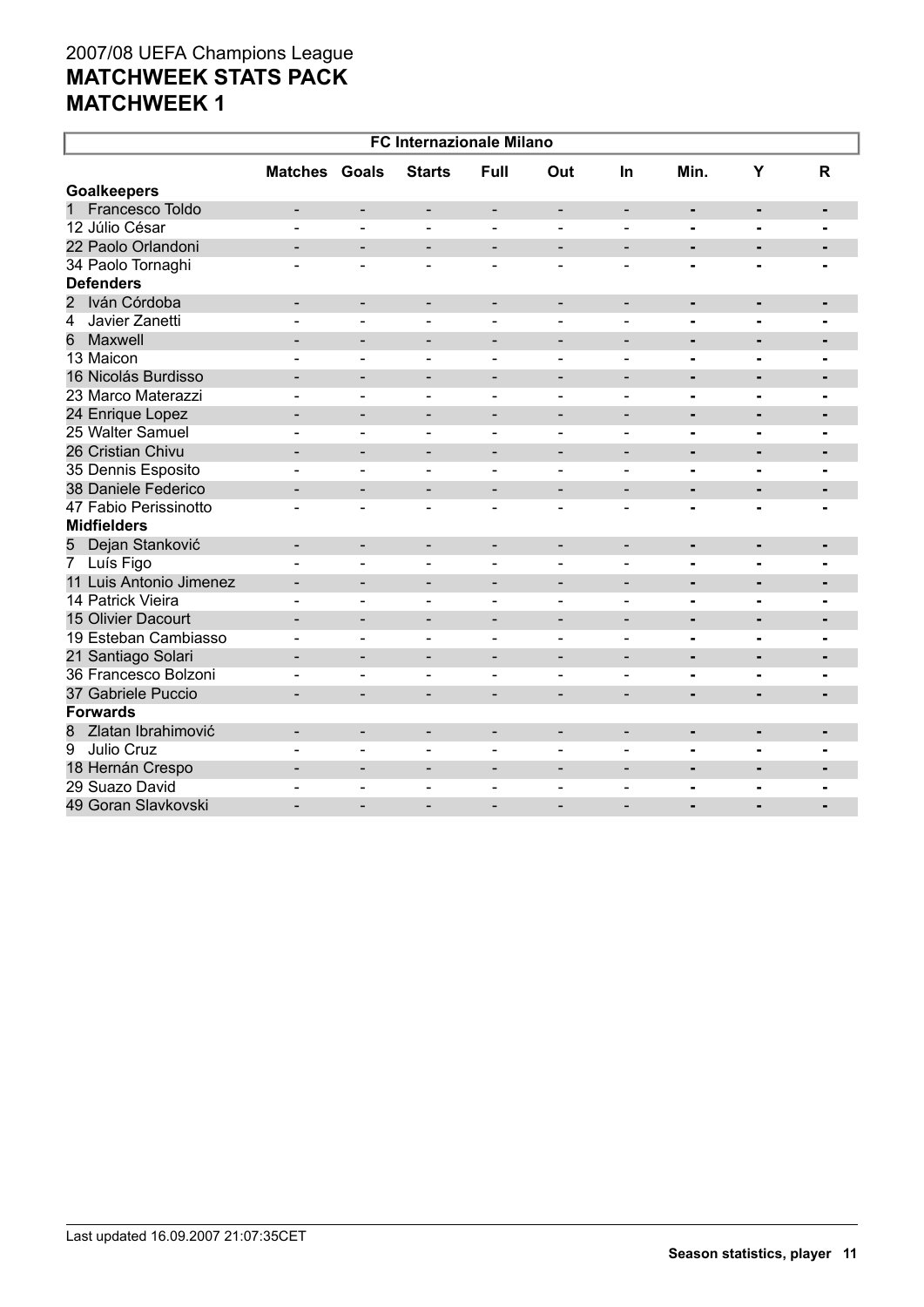| <b>FC Internazionale Milano</b>  |                          |                              |                              |                              |                              |                          |                |                          |                |
|----------------------------------|--------------------------|------------------------------|------------------------------|------------------------------|------------------------------|--------------------------|----------------|--------------------------|----------------|
|                                  | <b>Matches Goals</b>     |                              | <b>Starts</b>                | <b>Full</b>                  | Out                          | <b>In</b>                | Min.           | Y                        | $\mathsf{R}$   |
| <b>Goalkeepers</b>               |                          |                              |                              |                              |                              |                          |                |                          |                |
| $\mathbf{1}$<br>Francesco Toldo  | ۰                        | $\blacksquare$               | $\overline{\phantom{a}}$     | $\overline{\phantom{a}}$     | $\overline{\phantom{a}}$     | $\blacksquare$           | ٠              | $\blacksquare$           | $\blacksquare$ |
| 12 Júlio César                   |                          |                              |                              |                              |                              |                          | $\blacksquare$ | $\blacksquare$           |                |
| 22 Paolo Orlandoni               |                          | $\overline{\phantom{0}}$     | $\overline{\phantom{0}}$     | $\overline{\phantom{a}}$     | $\overline{\phantom{a}}$     | $\overline{\phantom{a}}$ | $\blacksquare$ | $\blacksquare$           |                |
| 34 Paolo Tornaghi                |                          |                              |                              | $\overline{a}$               |                              |                          | -              |                          |                |
| <b>Defenders</b>                 |                          |                              |                              |                              |                              |                          |                |                          |                |
| Iván Córdoba<br>$\overline{2}$   | -                        | $\overline{\phantom{a}}$     | $\overline{\phantom{a}}$     | $\overline{\phantom{a}}$     | $\overline{\phantom{a}}$     | $\overline{\phantom{a}}$ | ٠              | $\blacksquare$           | $\blacksquare$ |
| Javier Zanetti<br>$\overline{4}$ |                          | L,                           |                              |                              |                              | $\overline{a}$           | $\blacksquare$ | $\blacksquare$           | $\blacksquare$ |
| 6<br>Maxwell                     | $\overline{\phantom{0}}$ | $\overline{\phantom{a}}$     | $\overline{\phantom{a}}$     | $\overline{\phantom{a}}$     | $\overline{\phantom{a}}$     | $\overline{\phantom{a}}$ | $\blacksquare$ | $\blacksquare$           | ٠              |
| 13 Maicon                        |                          | $\blacksquare$               | $\overline{\phantom{0}}$     | $\blacksquare$               | $\blacksquare$               | $\blacksquare$           | $\blacksquare$ | $\blacksquare$           | $\blacksquare$ |
| 16 Nicolás Burdisso              | ÷                        | $\blacksquare$               | $\overline{\phantom{a}}$     | $\overline{\phantom{a}}$     | $\overline{\phantom{0}}$     | $\blacksquare$           | $\blacksquare$ | $\blacksquare$           | $\blacksquare$ |
| 23 Marco Materazzi               |                          | $\blacksquare$               | $\overline{\phantom{a}}$     | $\blacksquare$               | $\blacksquare$               | $\blacksquare$           | $\blacksquare$ | $\blacksquare$           | $\blacksquare$ |
| 24 Enrique Lopez                 | $\overline{\phantom{0}}$ | $\overline{\phantom{a}}$     | $\sim$                       | $\overline{\phantom{0}}$     | $\qquad \qquad$              | $\overline{\phantom{0}}$ | $\blacksquare$ | $\overline{\phantom{0}}$ | -              |
| 25 Walter Samuel                 |                          | ٠                            | $\sim$                       | $\sim$                       | $\blacksquare$               | ÷                        | $\blacksquare$ | $\blacksquare$           | Ξ.             |
| 26 Cristian Chivu                | $=$                      | $\overline{\phantom{0}}$     | ۰                            | $\overline{\phantom{a}}$     | $\blacksquare$               | $\blacksquare$           | ٠              | $\overline{a}$           | $\blacksquare$ |
| 35 Dennis Esposito               |                          | $\blacksquare$               | $\sim$                       | $\overline{a}$               | $\blacksquare$               | $\blacksquare$           | $\blacksquare$ | $\blacksquare$           |                |
| 38 Daniele Federico              |                          | $\qquad \qquad \blacksquare$ |                              |                              | $\overline{\phantom{0}}$     | $\overline{\phantom{a}}$ | $\blacksquare$ |                          |                |
| 47 Fabio Perissinotto            |                          |                              |                              |                              |                              |                          |                |                          |                |
| <b>Midfielders</b>               |                          |                              |                              |                              |                              |                          |                |                          |                |
| Dejan Stanković<br>5             |                          | $\overline{\phantom{0}}$     | $\blacksquare$               | $\overline{\phantom{a}}$     | $\overline{\phantom{0}}$     | $\blacksquare$           | $\blacksquare$ | $\blacksquare$           | $\blacksquare$ |
| Luís Figo<br>$\overline{7}$      |                          | $\overline{a}$               | $\sim$                       | $\blacksquare$               | $\overline{\phantom{a}}$     | $\blacksquare$           | $\blacksquare$ |                          |                |
| 11 Luis Antonio Jimenez          |                          | $\blacksquare$               | $\overline{\phantom{0}}$     | $\qquad \qquad \blacksquare$ | $\overline{\phantom{0}}$     | $\overline{\phantom{0}}$ | $\blacksquare$ |                          |                |
| 14 Patrick Vieira                | ÷                        | ۳                            | $\sim$                       | $\blacksquare$               | $\blacksquare$               | ÷                        | -              |                          |                |
| 15 Olivier Dacourt               | $\overline{\phantom{0}}$ | $\overline{\phantom{a}}$     |                              |                              |                              | $\overline{\phantom{0}}$ | $\blacksquare$ |                          |                |
| 19 Esteban Cambiasso             | $\blacksquare$           | $\blacksquare$               | $\overline{\phantom{0}}$     | $\overline{\phantom{a}}$     | $\blacksquare$               | $\blacksquare$           | $\blacksquare$ | $\blacksquare$           | $\blacksquare$ |
| 21 Santiago Solari               | $\overline{\phantom{0}}$ | $\overline{\phantom{a}}$     | -                            | $\qquad \qquad$              | $\overline{\phantom{a}}$     | $\overline{\phantom{a}}$ | ٠              | $\blacksquare$           | ٠              |
| 36 Francesco Bolzoni             |                          | $\blacksquare$               |                              | $\blacksquare$               | $\overline{\phantom{a}}$     | $\overline{\phantom{0}}$ | $\blacksquare$ | $\blacksquare$           | $\blacksquare$ |
| 37 Gabriele Puccio               | $\blacksquare$           | $\blacksquare$               | $\overline{\phantom{0}}$     | $\overline{\phantom{a}}$     | $\blacksquare$               | $\blacksquare$           | $\blacksquare$ | $\blacksquare$           | $\blacksquare$ |
| <b>Forwards</b>                  |                          |                              |                              |                              |                              |                          |                |                          |                |
| Zlatan Ibrahimović<br>8          | $\blacksquare$           | $\overline{\phantom{a}}$     | $\qquad \qquad \blacksquare$ | $\overline{\phantom{a}}$     | $\qquad \qquad \blacksquare$ | $\overline{\phantom{0}}$ | ٠              | $\blacksquare$           | ٠              |
| $\overline{9}$<br>Julio Cruz     |                          | ۳                            | $\equiv$                     | $\overline{a}$               |                              | ۳                        | $\blacksquare$ | $\blacksquare$           |                |
| 18 Hernán Crespo                 |                          | $\overline{\phantom{a}}$     | $\qquad \qquad \blacksquare$ | $\overline{\phantom{a}}$     | $\overline{\phantom{a}}$     | $\overline{\phantom{0}}$ |                | $\blacksquare$           | $\blacksquare$ |
| 29 Suazo David                   |                          | ۳                            |                              |                              |                              |                          | $\blacksquare$ | $\overline{a}$           |                |
| 49 Goran Slavkovski              |                          |                              |                              |                              |                              |                          |                |                          |                |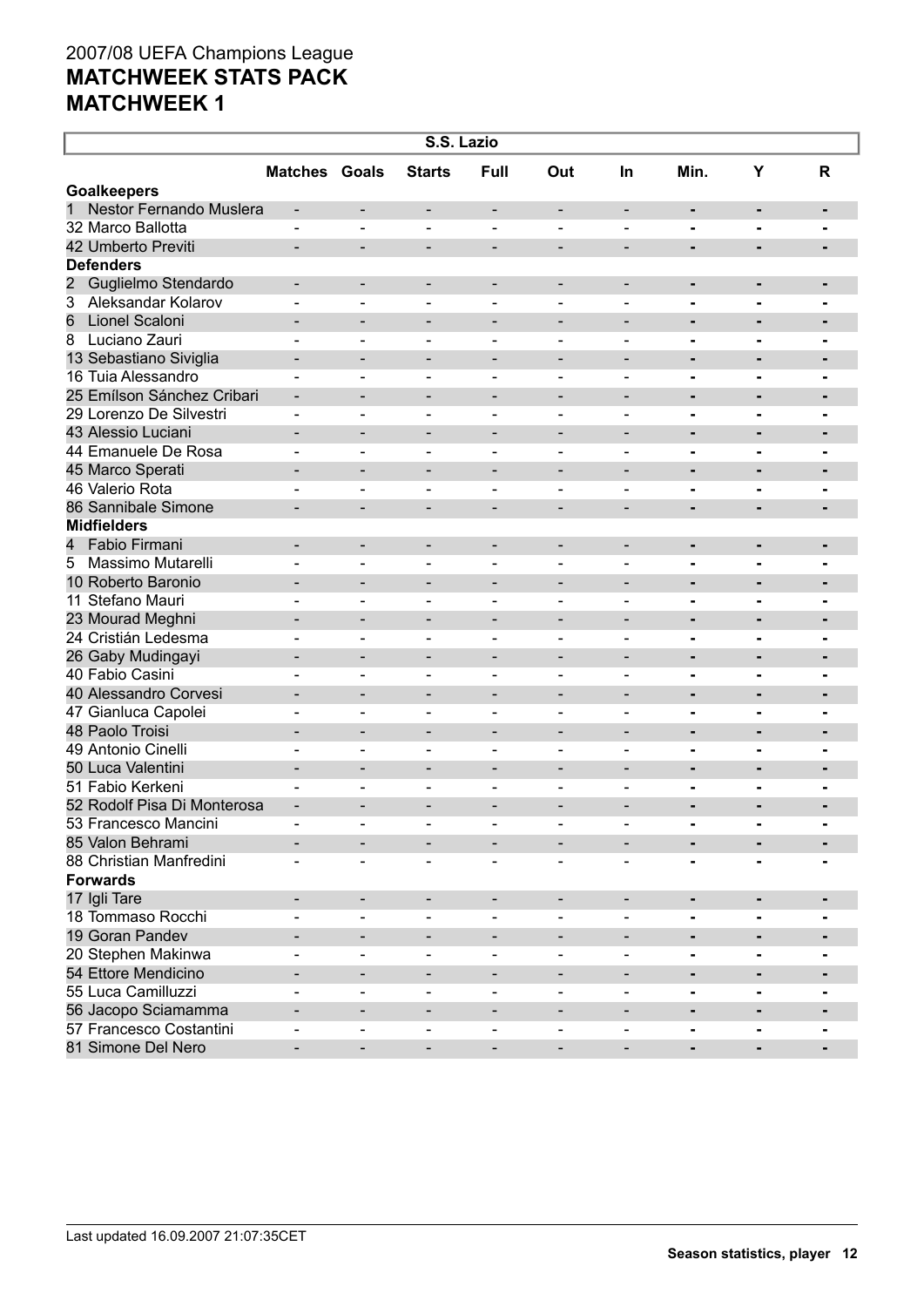| S.S. Lazio                   |                              |                              |                          |                              |                              |                          |                |                                  |                |  |
|------------------------------|------------------------------|------------------------------|--------------------------|------------------------------|------------------------------|--------------------------|----------------|----------------------------------|----------------|--|
|                              | <b>Matches Goals</b>         |                              | <b>Starts</b>            | <b>Full</b>                  | Out                          | <b>In</b>                | Min.           | Υ                                | R              |  |
| <b>Goalkeepers</b>           |                              |                              |                          |                              |                              |                          |                |                                  |                |  |
| Nestor Fernando Muslera<br>1 | $\overline{\phantom{a}}$     | -                            | -                        | -                            | $\overline{\phantom{a}}$     | $\overline{\phantom{a}}$ | ٠              | ٠                                | ٠              |  |
| 32 Marco Ballotta            | $\blacksquare$               | $\blacksquare$               | $\blacksquare$           | $\blacksquare$               | $\blacksquare$               | $\overline{\phantom{0}}$ | $\blacksquare$ | $\blacksquare$                   | $\blacksquare$ |  |
| 42 Umberto Previti           | $\blacksquare$               | $\qquad \qquad \blacksquare$ | $\overline{\phantom{a}}$ | $\qquad \qquad \blacksquare$ | $\overline{a}$               | $\overline{\phantom{a}}$ | ٠              | $\blacksquare$                   | $\blacksquare$ |  |
| <b>Defenders</b>             |                              |                              |                          |                              |                              |                          |                |                                  |                |  |
| 2<br>Guglielmo Stendardo     | -                            | -                            | $\overline{\phantom{a}}$ | $\qquad \qquad$              | $\qquad \qquad \blacksquare$ | $\overline{\phantom{a}}$ | Ξ.             | ٠                                | $\blacksquare$ |  |
| 3<br>Aleksandar Kolarov      | $\blacksquare$               | $\overline{\phantom{0}}$     | $\blacksquare$           | $\blacksquare$               | $\blacksquare$               | $\overline{\phantom{0}}$ | $\blacksquare$ | $\blacksquare$                   | $\blacksquare$ |  |
| 6<br>Lionel Scaloni          |                              | $\qquad \qquad \blacksquare$ | $\overline{\phantom{a}}$ | $\qquad \qquad \blacksquare$ | $\qquad \qquad$              | $\overline{\phantom{a}}$ | Ξ.             | $\blacksquare$                   | $\blacksquare$ |  |
| Luciano Zauri<br>8           | $\blacksquare$               | $\blacksquare$               | $\qquad \qquad -$        | $\blacksquare$               | $\qquad \qquad \blacksquare$ | $\overline{\phantom{0}}$ | Ξ.             | ۰                                | $\blacksquare$ |  |
| 13 Sebastiano Siviglia       | $\qquad \qquad \blacksquare$ | $\blacksquare$               | $\overline{\phantom{a}}$ | $\qquad \qquad \blacksquare$ | $\qquad \qquad \blacksquare$ | $\overline{\phantom{a}}$ | ٠              | $\blacksquare$                   | $\blacksquare$ |  |
| 16 Tuia Alessandro           |                              | $\blacksquare$               | $\qquad \qquad -$        | $\qquad \qquad$              | $\qquad \qquad \blacksquare$ | $\overline{\phantom{0}}$ | Ξ.             | ۰                                | $\blacksquare$ |  |
| 25 Emílson Sánchez Cribari   | $\qquad \qquad \blacksquare$ | $\blacksquare$               | $\overline{\phantom{a}}$ | $\qquad \qquad \blacksquare$ | $\qquad \qquad \blacksquare$ | $\overline{\phantom{a}}$ | ٠              | ٠                                | $\blacksquare$ |  |
| 29 Lorenzo De Silvestri      | $\qquad \qquad \blacksquare$ | $\blacksquare$               | $\overline{\phantom{a}}$ | $\qquad \qquad$              | $\qquad \qquad \blacksquare$ | $\overline{\phantom{0}}$ | Ξ.             | $\blacksquare$                   | $\blacksquare$ |  |
| 43 Alessio Luciani           |                              | $\blacksquare$               | $\overline{\phantom{a}}$ | $\qquad \qquad \blacksquare$ | $\qquad \qquad$              | $\overline{\phantom{a}}$ | Ξ.             | $\blacksquare$                   | $\blacksquare$ |  |
| 44 Emanuele De Rosa          | $\overline{\phantom{0}}$     | $\blacksquare$               | $\overline{\phantom{a}}$ | $\qquad \qquad$              | $\qquad \qquad \blacksquare$ | $\overline{\phantom{0}}$ | Ξ.             | $\blacksquare$                   | $\blacksquare$ |  |
| 45 Marco Sperati             | -                            | $\qquad \qquad \blacksquare$ | $\overline{\phantom{a}}$ | $\qquad \qquad \blacksquare$ | $\qquad \qquad \blacksquare$ | $\overline{\phantom{a}}$ | Ξ.             | $\blacksquare$                   | $\blacksquare$ |  |
| 46 Valerio Rota              |                              | $\blacksquare$               | $\overline{\phantom{a}}$ | $\blacksquare$               | $\qquad \qquad \blacksquare$ | $\overline{\phantom{0}}$ | Ξ.             | $\blacksquare$                   | $\blacksquare$ |  |
| 86 Sannibale Simone          | $\overline{\phantom{0}}$     | $\blacksquare$               | $\overline{\phantom{a}}$ | $\qquad \qquad \blacksquare$ | $\qquad \qquad \blacksquare$ | $\overline{\phantom{a}}$ | ٠              | $\blacksquare$                   | $\blacksquare$ |  |
| <b>Midfielders</b>           |                              |                              |                          |                              |                              |                          |                |                                  |                |  |
| Fabio Firmani<br>4           | $\qquad \qquad \blacksquare$ | -                            | $\overline{\phantom{a}}$ | $\qquad \qquad$              | $\qquad \qquad \blacksquare$ | $\overline{\phantom{a}}$ | ٠              | ٠                                | $\blacksquare$ |  |
| Massimo Mutarelli<br>5       | $\blacksquare$               | $\overline{\phantom{0}}$     | $\blacksquare$           | $\blacksquare$               | $\blacksquare$               | $\overline{\phantom{0}}$ | $\blacksquare$ | $\blacksquare$                   | $\blacksquare$ |  |
| 10 Roberto Baronio           | $\overline{\phantom{0}}$     | $\qquad \qquad \blacksquare$ | $\overline{\phantom{a}}$ | $\qquad \qquad \blacksquare$ | $\qquad \qquad$              | $\overline{\phantom{a}}$ | Ξ.             | $\blacksquare$                   | -              |  |
| 11 Stefano Mauri             | $\blacksquare$               | $\blacksquare$               | $\blacksquare$           | $\blacksquare$               | $\blacksquare$               | $\blacksquare$           | $\blacksquare$ | ٠.                               | $\blacksquare$ |  |
| 23 Mourad Meghni             | -                            | $\qquad \qquad \blacksquare$ | $\overline{\phantom{a}}$ | $\qquad \qquad \blacksquare$ | $\qquad \qquad \blacksquare$ | $\overline{\phantom{a}}$ |                | $\blacksquare$                   | -              |  |
| 24 Cristián Ledesma          | $\blacksquare$               | $\blacksquare$               | $\blacksquare$           | $\blacksquare$               | $\blacksquare$               | $\blacksquare$           | $\blacksquare$ | ٠.                               | $\blacksquare$ |  |
| 26 Gaby Mudingayi            |                              | $\qquad \qquad \blacksquare$ | $\overline{\phantom{a}}$ | $\qquad \qquad \blacksquare$ | $\qquad \qquad \blacksquare$ | $\overline{\phantom{a}}$ |                | $\blacksquare$                   | $\blacksquare$ |  |
| 40 Fabio Casini              |                              | $\blacksquare$               | $\blacksquare$           | $\blacksquare$               | $\blacksquare$               | $\blacksquare$           | Ξ.             | ٠.                               | $\blacksquare$ |  |
| 40 Alessandro Corvesi        | $\overline{\phantom{0}}$     | $\blacksquare$               | $\overline{\phantom{a}}$ | $\qquad \qquad \blacksquare$ | $\qquad \qquad \blacksquare$ | $\overline{\phantom{a}}$ | Ξ.             | $\blacksquare$                   | $\blacksquare$ |  |
| 47 Gianluca Capolei          | $\overline{\phantom{0}}$     | $\blacksquare$               | $\overline{\phantom{a}}$ | $\qquad \qquad$              | $\qquad \qquad \blacksquare$ | $\overline{\phantom{0}}$ | Ξ.             | ۰                                | $\blacksquare$ |  |
| 48 Paolo Troisi              | -                            | $\blacksquare$               | $\overline{\phantom{a}}$ | $\qquad \qquad \blacksquare$ | $\qquad \qquad \blacksquare$ | $\overline{\phantom{a}}$ | ٠              | $\blacksquare$                   | $\blacksquare$ |  |
| 49 Antonio Cinelli           | $\blacksquare$               | $\blacksquare$               | $\overline{\phantom{a}}$ | $\qquad \qquad$              | $\qquad \qquad \blacksquare$ | $\overline{\phantom{0}}$ | Ξ.             | ۰                                |                |  |
| 50 Luca Valentini            | $\qquad \qquad \blacksquare$ | $\overline{\phantom{0}}$     | $\overline{\phantom{a}}$ | $\qquad \qquad \blacksquare$ | $\qquad \qquad \blacksquare$ | $\overline{\phantom{a}}$ | Ξ.             | $\blacksquare$                   | $\blacksquare$ |  |
| 51 Fabio Kerkeni             | $\overline{\phantom{0}}$     | $\blacksquare$               | $\overline{\phantom{a}}$ | $\blacksquare$               | $\overline{\phantom{0}}$     | $\overline{\phantom{0}}$ | -              |                                  | $\blacksquare$ |  |
| 52 Rodolf Pisa Di Monterosa  | $\qquad \qquad \blacksquare$ | $\overline{\phantom{0}}$     | $\overline{\phantom{0}}$ |                              | $\qquad \qquad \blacksquare$ | $\overline{\phantom{0}}$ |                | $\blacksquare$<br>$\blacksquare$ | -              |  |
| 53 Francesco Mancini         |                              |                              |                          |                              |                              |                          | $\blacksquare$ |                                  |                |  |
| 85 Valon Behrami             |                              |                              | $\overline{\phantom{a}}$ |                              |                              |                          |                | ٠                                |                |  |
| 88 Christian Manfredini      |                              |                              |                          |                              |                              |                          |                |                                  |                |  |
| <b>Forwards</b>              |                              |                              | $\overline{\phantom{a}}$ |                              |                              |                          |                |                                  |                |  |
|                              |                              |                              |                          |                              |                              |                          |                |                                  |                |  |
| 17 Igli Tare                 | $\qquad \qquad \blacksquare$ | $\overline{\phantom{a}}$     | -                        | -                            |                              |                          | ٠              | ٠                                |                |  |
| 18 Tommaso Rocchi            |                              | $\blacksquare$               | $\blacksquare$           | $\blacksquare$               |                              |                          | Ξ.             | $\blacksquare$                   |                |  |
| 19 Goran Pandev              |                              | $\qquad \qquad \blacksquare$ | $\overline{\phantom{a}}$ |                              |                              | $\overline{\phantom{a}}$ | ٠              | ٠                                |                |  |
| 20 Stephen Makinwa           |                              | $\blacksquare$               | $\blacksquare$           | $\blacksquare$               | $\blacksquare$               | $\blacksquare$           | Ξ.             | ٠.                               |                |  |
| 54 Ettore Mendicino          | $\qquad \qquad \blacksquare$ | -                            | $\overline{\phantom{a}}$ | $\qquad \qquad$              |                              | -                        | ٠              | ٠                                |                |  |
| 55 Luca Camilluzzi           | $\blacksquare$               | $\overline{\phantom{0}}$     | $\blacksquare$           | $\overline{\phantom{a}}$     |                              | $\blacksquare$           | -              | ۰                                |                |  |
| 56 Jacopo Sciamamma          | $\qquad \qquad \blacksquare$ | -                            | $\overline{\phantom{a}}$ | $\qquad \qquad \blacksquare$ | $\overline{a}$               | $\overline{\phantom{a}}$ | -              | ٠                                |                |  |
| 57 Francesco Costantini      | $\overline{\phantom{0}}$     | $\overline{\phantom{0}}$     | $\blacksquare$           | $\qquad \qquad \blacksquare$ |                              | $\blacksquare$           | -              | ۰                                |                |  |
| 81 Simone Del Nero           | -                            | $\overline{\phantom{0}}$     | $\overline{\phantom{a}}$ | $\qquad \qquad \blacksquare$ | -                            | $\overline{\phantom{a}}$ | ۰              | ٠                                |                |  |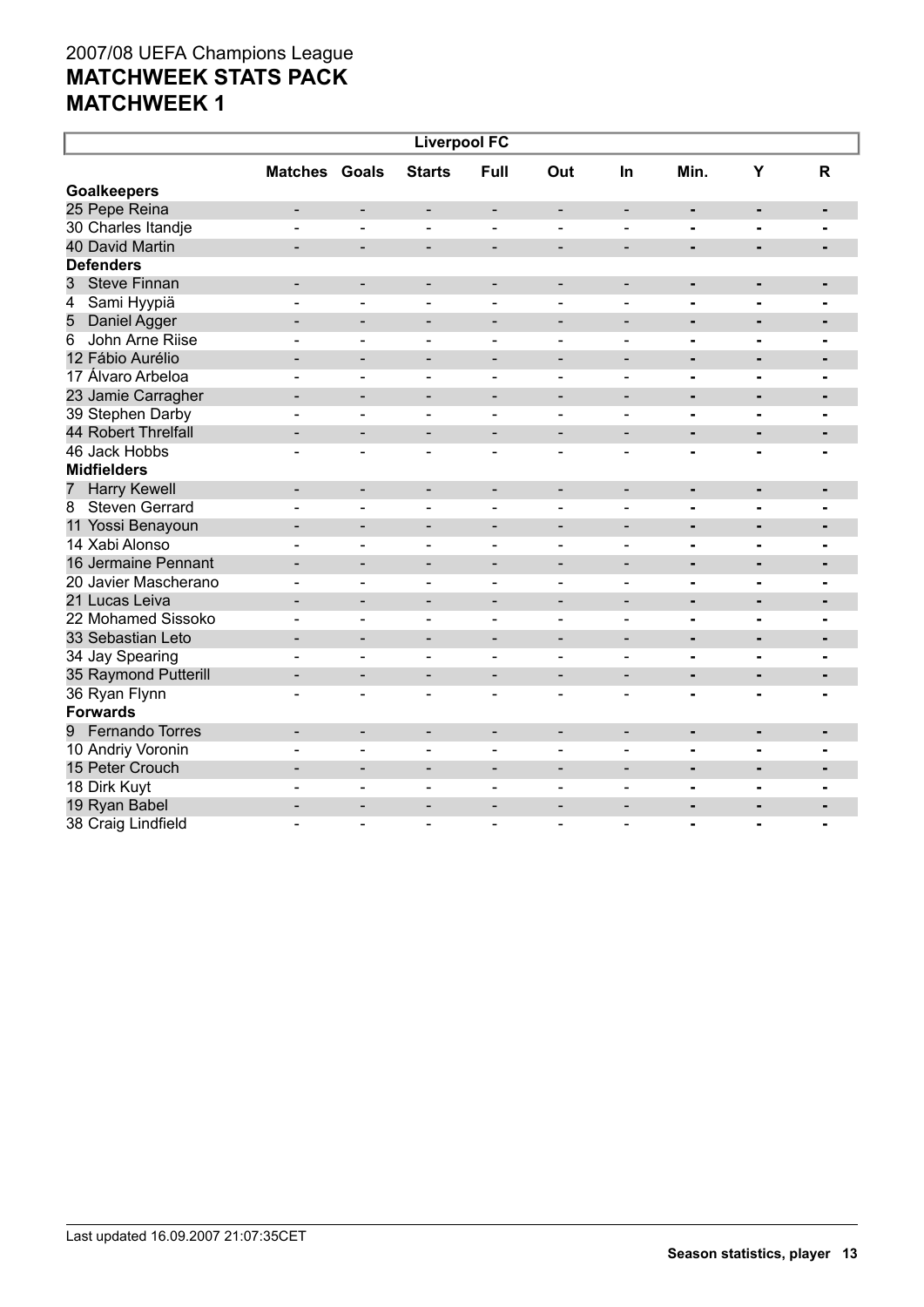| <b>Liverpool FC</b>         |                          |                              |                              |                          |                              |                              |                |                          |                |  |
|-----------------------------|--------------------------|------------------------------|------------------------------|--------------------------|------------------------------|------------------------------|----------------|--------------------------|----------------|--|
|                             | <b>Matches Goals</b>     |                              | <b>Starts</b>                | Full                     | Out                          | In                           | Min.           | Y                        | R              |  |
| <b>Goalkeepers</b>          |                          |                              |                              |                          |                              |                              |                |                          |                |  |
| 25 Pepe Reina               | -                        | $\overline{\phantom{a}}$     | $\overline{\phantom{a}}$     | $\overline{\phantom{a}}$ | -                            | $\overline{\phantom{a}}$     | ۰              | ٠                        | ٠              |  |
| 30 Charles Itandje          |                          | L,                           | $\overline{\phantom{0}}$     | $\blacksquare$           |                              | $\overline{a}$               | $\blacksquare$ | $\blacksquare$           |                |  |
| 40 David Martin             | -                        | $\overline{\phantom{a}}$     | $\overline{\phantom{a}}$     | $\overline{\phantom{a}}$ | $\overline{\phantom{a}}$     | $\overline{\phantom{a}}$     | ٠              | -                        |                |  |
| <b>Defenders</b>            |                          |                              |                              |                          |                              |                              |                |                          |                |  |
| <b>Steve Finnan</b><br>3    | -                        | $\overline{\phantom{a}}$     | $\overline{\phantom{a}}$     | $\overline{\phantom{a}}$ | $\qquad \qquad \blacksquare$ | $\overline{\phantom{a}}$     |                | -                        |                |  |
| Sami Hyypiä<br>4            | $\blacksquare$           | $\overline{\phantom{a}}$     | $\overline{\phantom{a}}$     | $\overline{\phantom{a}}$ | $\blacksquare$               | $\qquad \qquad \blacksquare$ | $\blacksquare$ | $\blacksquare$           |                |  |
| 5<br>Daniel Agger           | $\overline{\phantom{0}}$ | $\overline{\phantom{a}}$     | $\qquad \qquad \blacksquare$ | $\overline{\phantom{a}}$ | $\overline{\phantom{a}}$     | $\overline{a}$               | $\blacksquare$ |                          |                |  |
| John Arne Riise<br>6        | $\overline{a}$           | $\qquad \qquad \blacksquare$ | $\overline{\phantom{0}}$     | $\overline{\phantom{a}}$ | $\overline{\phantom{0}}$     | $\blacksquare$               | -              | $\blacksquare$           |                |  |
| 12 Fábio Aurélio            | $\overline{\phantom{0}}$ | -                            | $\qquad \qquad \blacksquare$ | $\overline{\phantom{a}}$ | $\overline{\phantom{a}}$     | $\overline{\phantom{a}}$     | $\blacksquare$ |                          |                |  |
| 17 Álvaro Arbeloa           | ÷                        | ۳                            | $\sim$                       | $\blacksquare$           | $\blacksquare$               | $\sim$                       | -              |                          |                |  |
| 23 Jamie Carragher          | $\overline{\phantom{0}}$ | $\qquad \qquad \blacksquare$ | $\qquad \qquad \blacksquare$ | $\overline{\phantom{a}}$ | $\overline{\phantom{a}}$     | $\overline{\phantom{a}}$     | $\blacksquare$ | $\blacksquare$           |                |  |
| 39 Stephen Darby            |                          | $\blacksquare$               | $\sim$                       | $\blacksquare$           | $\overline{\phantom{0}}$     | $\sim$                       | -              | $\blacksquare$           |                |  |
| 44 Robert Threlfall         |                          | $\overline{\phantom{0}}$     | $\qquad \qquad \blacksquare$ | $\overline{\phantom{a}}$ | $\qquad \qquad -$            | $\overline{\phantom{0}}$     | $\blacksquare$ | $\blacksquare$           |                |  |
| 46 Jack Hobbs               |                          | $\blacksquare$               | $\overline{\phantom{0}}$     | $\overline{\phantom{a}}$ | $\blacksquare$               | $\blacksquare$               | $\blacksquare$ |                          |                |  |
| <b>Midfielders</b>          |                          |                              |                              |                          |                              |                              |                |                          |                |  |
| <b>Harry Kewell</b><br>7    | $\blacksquare$           | $\overline{\phantom{a}}$     | $\overline{\phantom{a}}$     | $\overline{\phantom{a}}$ | $\overline{\phantom{a}}$     | $\overline{\phantom{a}}$     | $\blacksquare$ | $\blacksquare$           | $\blacksquare$ |  |
| <b>Steven Gerrard</b><br>8  |                          | L.                           |                              | $\overline{a}$           | $\overline{a}$               |                              | $\blacksquare$ | $\blacksquare$           |                |  |
| 11 Yossi Benayoun           |                          | $\blacksquare$               | $\overline{\phantom{0}}$     | $\overline{\phantom{a}}$ | $\overline{\phantom{0}}$     | $\overline{a}$               | $\blacksquare$ | $\blacksquare$           | -              |  |
| 14 Xabi Alonso              |                          | $\blacksquare$               | $\blacksquare$               | $\blacksquare$           | $\blacksquare$               | $\blacksquare$               | $\blacksquare$ | $\blacksquare$           |                |  |
| 16 Jermaine Pennant         |                          | $\overline{\phantom{a}}$     | -                            | $\overline{\phantom{a}}$ | $\overline{\phantom{a}}$     | $\blacksquare$               | $\blacksquare$ | $\blacksquare$           | $\blacksquare$ |  |
| 20 Javier Mascherano        |                          | $\blacksquare$               |                              | $\blacksquare$           | $\overline{\phantom{a}}$     | $\blacksquare$               | $\blacksquare$ |                          |                |  |
| 21 Lucas Leiva              |                          | $\overline{\phantom{a}}$     | $\qquad \qquad \blacksquare$ | $\overline{\phantom{a}}$ | $\overline{\phantom{a}}$     | $\blacksquare$               | $\blacksquare$ | $\blacksquare$           | $\blacksquare$ |  |
| 22 Mohamed Sissoko          |                          | $\overline{a}$               | $\overline{\phantom{0}}$     | $\blacksquare$           | $\blacksquare$               | $\blacksquare$               | $\blacksquare$ | $\overline{a}$           | $\blacksquare$ |  |
| 33 Sebastian Leto           |                          | $\overline{\phantom{a}}$     | -                            | $\overline{\phantom{a}}$ | $\overline{\phantom{a}}$     | $\overline{\phantom{a}}$     | $\blacksquare$ | ٠                        | $\blacksquare$ |  |
| 34 Jay Spearing             |                          | $\blacksquare$               | $\overline{\phantom{a}}$     | $\blacksquare$           | $\overline{\phantom{a}}$     | $\blacksquare$               | $\blacksquare$ | $\blacksquare$           | $\blacksquare$ |  |
| 35 Raymond Putterill        |                          | $\overline{\phantom{a}}$     | -                            |                          | $\overline{\phantom{0}}$     | $\overline{\phantom{0}}$     | $\blacksquare$ | $\blacksquare$           | $\blacksquare$ |  |
| 36 Ryan Flynn               | $\overline{a}$           | $\blacksquare$               | $\overline{\phantom{a}}$     | $\blacksquare$           | $\overline{\phantom{a}}$     | $\overline{\phantom{0}}$     | -              |                          |                |  |
| <b>Forwards</b>             |                          |                              |                              |                          |                              |                              |                |                          |                |  |
| <b>Fernando Torres</b><br>9 | ۰                        | $\overline{\phantom{a}}$     | $\overline{\phantom{a}}$     | $\overline{\phantom{a}}$ | $\overline{\phantom{0}}$     | $\qquad \qquad \blacksquare$ | ۰              | $\blacksquare$           | $\blacksquare$ |  |
| 10 Andriy Voronin           |                          | ÷                            | $\sim$                       | $\overline{a}$           | $\blacksquare$               | $\blacksquare$               | $\blacksquare$ | $\blacksquare$           |                |  |
| 15 Peter Crouch             | ۰                        | $\overline{\phantom{a}}$     | $\overline{\phantom{a}}$     | $\overline{\phantom{a}}$ | $\overline{\phantom{a}}$     | $\blacksquare$               | ۰              | $\blacksquare$           | $\blacksquare$ |  |
| 18 Dirk Kuyt                |                          | ۳                            | $\sim$                       | $\sim$                   | $\blacksquare$               | ÷                            | $\blacksquare$ | $\overline{\phantom{0}}$ |                |  |
| 19 Ryan Babel               | $\overline{\phantom{0}}$ | $\blacksquare$               | $\blacksquare$               | $\blacksquare$           | $\blacksquare$               | $\overline{\phantom{0}}$     | ٠              | $\overline{\phantom{0}}$ |                |  |
| 38 Craig Lindfield          |                          | ۳                            | $\sim$                       | $\overline{a}$           | ÷                            | ۳                            | $\blacksquare$ | $\blacksquare$           | $\blacksquare$ |  |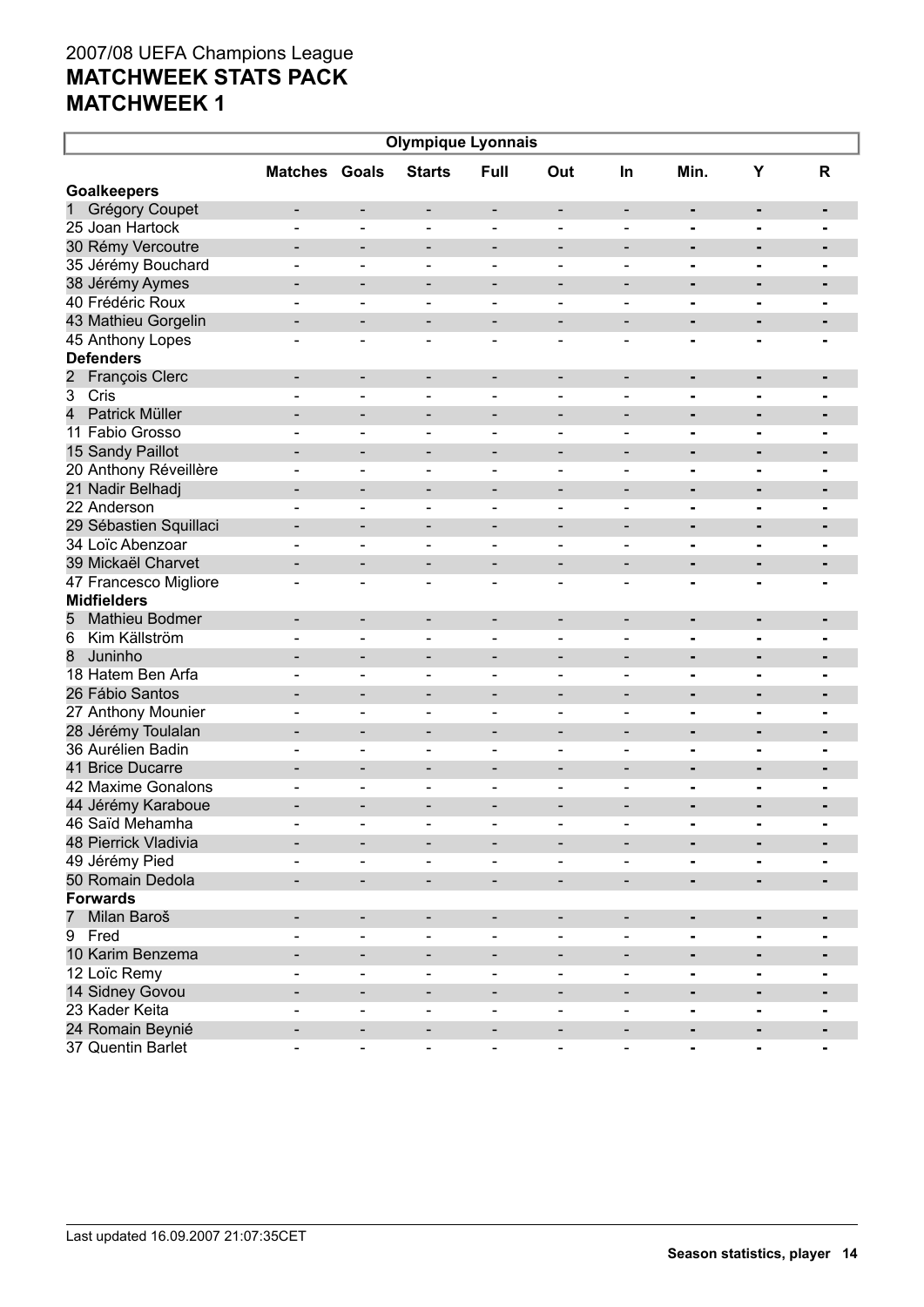| <b>Olympique Lyonnais</b>               |                              |                              |                              |                              |                              |                              |                |                |                |  |
|-----------------------------------------|------------------------------|------------------------------|------------------------------|------------------------------|------------------------------|------------------------------|----------------|----------------|----------------|--|
|                                         | <b>Matches Goals</b>         |                              | <b>Starts</b>                | Full                         | Out                          | <b>In</b>                    | Min.           | Υ              | R              |  |
| <b>Goalkeepers</b>                      |                              |                              |                              |                              |                              |                              |                |                |                |  |
| 1<br>Grégory Coupet                     | $\qquad \qquad \blacksquare$ | -                            | $\overline{\phantom{a}}$     | -                            | $\overline{\phantom{a}}$     | $\overline{\phantom{a}}$     |                | ٠              | ٠              |  |
| 25 Joan Hartock                         |                              | $\blacksquare$               | $\blacksquare$               | $\blacksquare$               | $\blacksquare$               | $\blacksquare$               | $\blacksquare$ | $\blacksquare$ | $\blacksquare$ |  |
| 30 Rémy Vercoutre                       | -                            | $\qquad \qquad \blacksquare$ | $\overline{\phantom{a}}$     | $\qquad \qquad \blacksquare$ | $\qquad \qquad \blacksquare$ | $\overline{\phantom{a}}$     | Ξ.             | $\blacksquare$ | $\blacksquare$ |  |
| 35 Jérémy Bouchard                      | $\blacksquare$               | $\blacksquare$               | $\qquad \qquad -$            | $\blacksquare$               | $\blacksquare$               | $\blacksquare$               | $\blacksquare$ | $\blacksquare$ | $\blacksquare$ |  |
| 38 Jérémy Aymes                         | $\qquad \qquad \blacksquare$ | $\qquad \qquad \blacksquare$ | $\overline{\phantom{a}}$     | $\qquad \qquad \blacksquare$ | $\qquad \qquad \blacksquare$ | $\overline{\phantom{a}}$     |                | $\blacksquare$ | $\blacksquare$ |  |
| 40 Frédéric Roux                        |                              | $\blacksquare$               | $\qquad \qquad -$            | $\blacksquare$               | $\blacksquare$               | $\blacksquare$               | $\blacksquare$ | ٠.             | $\blacksquare$ |  |
| 43 Mathieu Gorgelin                     | $\qquad \qquad \blacksquare$ | $\qquad \qquad \blacksquare$ | $\overline{\phantom{a}}$     | $\qquad \qquad \blacksquare$ | $\qquad \qquad \blacksquare$ | $\qquad \qquad \blacksquare$ | Ξ.             | $\blacksquare$ | $\blacksquare$ |  |
| 45 Anthony Lopes                        | -                            | $\blacksquare$               | $\overline{\phantom{a}}$     | $\qquad \qquad$              | $\qquad \qquad \blacksquare$ | $\blacksquare$               | -              | $\blacksquare$ | $\blacksquare$ |  |
| <b>Defenders</b>                        |                              |                              |                              |                              |                              |                              |                |                |                |  |
| $\overline{c}$<br><b>François Clerc</b> | $\qquad \qquad \blacksquare$ | $\overline{\phantom{a}}$     | -                            | -                            | $\overline{\phantom{a}}$     | $\overline{\phantom{a}}$     | ٠              | ٠              | ٠              |  |
| $\overline{3}$<br>Cris                  |                              | $\blacksquare$               | $\overline{\phantom{a}}$     | $\qquad \qquad$              |                              | $\overline{\phantom{0}}$     | Ξ.             | $\blacksquare$ | $\blacksquare$ |  |
| $\overline{4}$<br>Patrick Müller        |                              | $\overline{\phantom{0}}$     | $\overline{\phantom{a}}$     | $\qquad \qquad \blacksquare$ | $\qquad \qquad \blacksquare$ | $\overline{\phantom{a}}$     | Ξ.             | ٠              | $\blacksquare$ |  |
| 11 Fabio Grosso                         | $\overline{\phantom{0}}$     | $\blacksquare$               | $\overline{\phantom{a}}$     | $\qquad \qquad \blacksquare$ | $\qquad \qquad \blacksquare$ | $\overline{\phantom{0}}$     |                | $\blacksquare$ |                |  |
| 15 Sandy Paillot                        | -                            | $\overline{\phantom{0}}$     | $\overline{\phantom{a}}$     | $\qquad \qquad \blacksquare$ | $\qquad \qquad \blacksquare$ | $\overline{\phantom{a}}$     | Ξ.             | $\blacksquare$ | $\blacksquare$ |  |
| 20 Anthony Réveillère                   | -                            | $\blacksquare$               | $\overline{\phantom{a}}$     | $\qquad \qquad \blacksquare$ | $\qquad \qquad \blacksquare$ | $\overline{\phantom{0}}$     | Ξ.             | $\blacksquare$ |                |  |
| 21 Nadir Belhadj                        | -                            | $\qquad \qquad \blacksquare$ | $\overline{\phantom{a}}$     | $\qquad \qquad \blacksquare$ | $\qquad \qquad \blacksquare$ | $\overline{\phantom{a}}$     | Ξ.             | $\blacksquare$ | $\blacksquare$ |  |
| 22 Anderson                             | $\overline{\phantom{0}}$     | $\blacksquare$               | $\overline{\phantom{a}}$     | $\blacksquare$               | $\qquad \qquad \blacksquare$ | $\overline{\phantom{0}}$     | Ξ.             | $\blacksquare$ | $\blacksquare$ |  |
| 29 Sébastien Squillaci                  | $\qquad \qquad \blacksquare$ | $\overline{\phantom{0}}$     | $\overline{\phantom{a}}$     | $\qquad \qquad \blacksquare$ | $\qquad \qquad \blacksquare$ | $\overline{\phantom{a}}$     | Ξ.             | $\blacksquare$ | $\blacksquare$ |  |
| 34 Loïc Abenzoar                        | $\overline{\phantom{0}}$     | $\blacksquare$               | $\qquad \qquad -$            | $\blacksquare$               | $\blacksquare$               | $\blacksquare$               | $\blacksquare$ | $\blacksquare$ | $\blacksquare$ |  |
| 39 Mickaël Charvet                      | -                            | $\qquad \qquad \blacksquare$ | $\overline{\phantom{a}}$     | $\qquad \qquad \blacksquare$ | $\qquad \qquad \blacksquare$ | $\overline{\phantom{a}}$     | Ξ.             | $\blacksquare$ | $\blacksquare$ |  |
| 47 Francesco Migliore                   | $\overline{\phantom{0}}$     | $\blacksquare$               | $\overline{\phantom{0}}$     | $\blacksquare$               | $\blacksquare$               | $\blacksquare$               | $\blacksquare$ | $\blacksquare$ | $\blacksquare$ |  |
| <b>Midfielders</b>                      |                              |                              |                              |                              |                              |                              |                |                |                |  |
| Mathieu Bodmer<br>5                     | $\qquad \qquad \blacksquare$ | $\overline{\phantom{a}}$     | -                            | -                            | $\qquad \qquad \blacksquare$ | $\overline{\phantom{a}}$     | ٠              | ٠              | $\blacksquare$ |  |
| Kim Källström<br>6                      | $\overline{\phantom{0}}$     | $\blacksquare$               | $\blacksquare$               | $\blacksquare$               | $\blacksquare$               | $\blacksquare$               | $\blacksquare$ | $\blacksquare$ | $\blacksquare$ |  |
| 8<br>Juninho                            |                              | $\overline{\phantom{0}}$     | $\overline{\phantom{a}}$     | $\qquad \qquad \blacksquare$ | $\qquad \qquad \blacksquare$ | $\qquad \qquad \blacksquare$ | Ξ.             | $\blacksquare$ | -              |  |
| 18 Hatem Ben Arfa                       | $\overline{\phantom{0}}$     | $\blacksquare$               | $\qquad \qquad -$            | $\blacksquare$               | $\blacksquare$               | $\blacksquare$               | Ξ.             | $\blacksquare$ | $\blacksquare$ |  |
| 26 Fábio Santos                         | -                            | $\overline{\phantom{0}}$     | $\overline{\phantom{a}}$     | $\qquad \qquad \blacksquare$ | $\qquad \qquad \blacksquare$ | $\qquad \qquad \blacksquare$ | Ξ.             | $\blacksquare$ | $\blacksquare$ |  |
| 27 Anthony Mounier                      | $\overline{\phantom{0}}$     | $\blacksquare$               | $\overline{\phantom{a}}$     | $\qquad \qquad$              | $\qquad \qquad \blacksquare$ | $\overline{\phantom{0}}$     | Ξ.             | $\blacksquare$ |                |  |
| 28 Jérémy Toulalan                      | -                            | $\qquad \qquad \blacksquare$ | $\overline{\phantom{a}}$     | $\qquad \qquad \blacksquare$ | $\qquad \qquad \blacksquare$ | $\qquad \qquad \blacksquare$ | Ξ.             | $\blacksquare$ | $\blacksquare$ |  |
| 36 Aurélien Badin                       | -                            | $\blacksquare$               | $\overline{\phantom{a}}$     | $\qquad \qquad \blacksquare$ | $\qquad \qquad \blacksquare$ | $\overline{\phantom{0}}$     | Ξ.             | $\blacksquare$ |                |  |
| 41 Brice Ducarre                        |                              | $\overline{\phantom{0}}$     | $\overline{\phantom{a}}$     | $\qquad \qquad \blacksquare$ | $\qquad \qquad \blacksquare$ | $\qquad \qquad \blacksquare$ | Ξ.             | $\blacksquare$ | $\blacksquare$ |  |
| 42 Maxime Gonalons                      |                              | $\overline{\phantom{0}}$     | $\overline{\phantom{a}}$     |                              |                              | $\overline{\phantom{0}}$     | $\blacksquare$ | ۰              | $\blacksquare$ |  |
| 44 Jérémy Karaboue                      | $\qquad \qquad \blacksquare$ | $\overline{\phantom{0}}$     | $\qquad \qquad$              |                              | $\qquad \qquad \blacksquare$ | $\qquad \qquad \blacksquare$ | $\blacksquare$ | $\blacksquare$ |                |  |
| 46 Saïd Mehamha                         |                              |                              | $\overline{\phantom{a}}$     |                              |                              |                              | $\blacksquare$ | ٠              |                |  |
| 48 Pierrick Vladivia                    |                              |                              |                              |                              |                              |                              |                |                |                |  |
| 49 Jérémy Pied                          |                              | $\blacksquare$               | $\blacksquare$               | $\blacksquare$               |                              |                              | Ξ.             | ٠.             |                |  |
| 50 Romain Dedola                        |                              | $\overline{\phantom{a}}$     | $\overline{\phantom{a}}$     | $\qquad \qquad \blacksquare$ | $\overline{a}$               | $\overline{\phantom{a}}$     | $\blacksquare$ | $\blacksquare$ | $\blacksquare$ |  |
| <b>Forwards</b>                         |                              |                              |                              |                              |                              |                              |                |                |                |  |
| $\overline{7}$<br>Milan Baroš           |                              | -                            | -                            |                              |                              |                              | -              | ٠              |                |  |
| 9 <sup>1</sup><br>Fred                  |                              | ÷.                           | $\blacksquare$               | $\overline{\phantom{a}}$     |                              | -                            | Ξ.             | ٠.             |                |  |
| 10 Karim Benzema                        |                              | -                            | -                            | -                            | $\qquad \qquad$              | $\overline{\phantom{a}}$     | $\blacksquare$ | $\blacksquare$ | $\blacksquare$ |  |
| 12 Loïc Remy                            | $\overline{\phantom{0}}$     | $\overline{\phantom{0}}$     | $\blacksquare$               | $\qquad \qquad \blacksquare$ | $\overline{\phantom{0}}$     | $\blacksquare$               | -              | ۰              |                |  |
| 14 Sidney Govou                         |                              | -                            | $\overline{\phantom{a}}$     | $\qquad \qquad \blacksquare$ | $\overline{a}$               | $\overline{\phantom{a}}$     | -              | ٠              |                |  |
| 23 Kader Keita                          | $\blacksquare$               | $\overline{\phantom{0}}$     | $\blacksquare$               | $\qquad \qquad \blacksquare$ | $\overline{\phantom{0}}$     | $\blacksquare$               |                | ۰              |                |  |
| 24 Romain Beynié                        | -                            | -                            | $\overline{\phantom{a}}$     | -                            | -                            | -                            | -              | ٠              |                |  |
| 37 Quentin Barlet                       | Ξ.                           | $\overline{\phantom{0}}$     | $\qquad \qquad \blacksquare$ | $\qquad \qquad \blacksquare$ | -                            | -                            | -              | ۰              |                |  |
|                                         |                              |                              |                              |                              |                              |                              |                |                |                |  |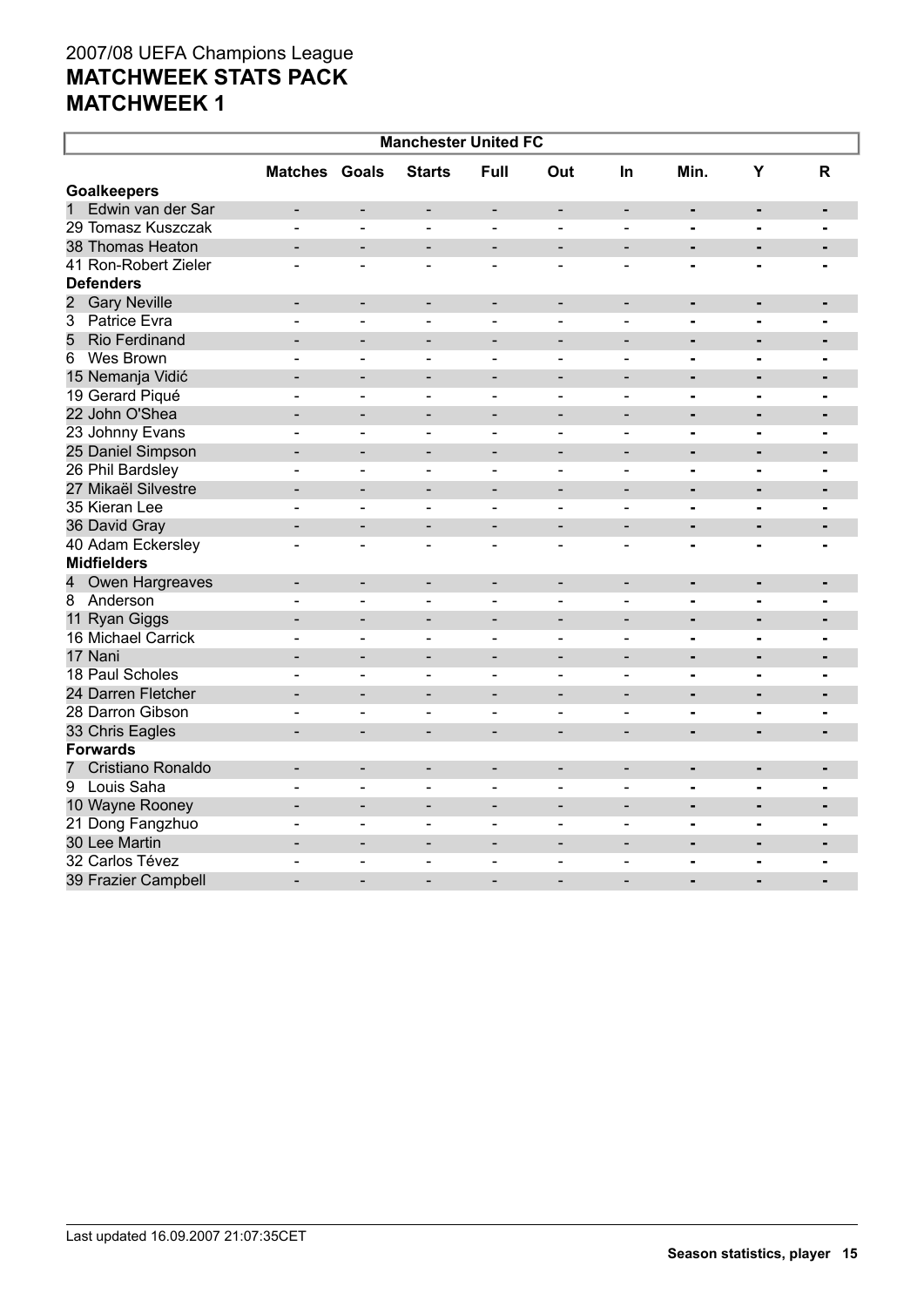| <b>Manchester United FC</b>                    |                          |                              |                              |                              |                              |                              |                              |                          |                |
|------------------------------------------------|--------------------------|------------------------------|------------------------------|------------------------------|------------------------------|------------------------------|------------------------------|--------------------------|----------------|
|                                                | <b>Matches Goals</b>     |                              | <b>Starts</b>                | Full                         | Out                          | <b>In</b>                    | Min.                         | Y                        | $\mathsf{R}$   |
| <b>Goalkeepers</b>                             |                          |                              |                              |                              |                              |                              |                              |                          |                |
| $\mathbf{1}$<br>Edwin van der Sar              | -                        |                              | $\overline{\phantom{a}}$     | $\overline{\phantom{a}}$     | $\qquad \qquad \blacksquare$ | $\overline{\phantom{a}}$     | $\qquad \qquad \blacksquare$ | $\blacksquare$           |                |
| 29 Tomasz Kuszczak                             |                          |                              |                              | L,                           |                              | $\blacksquare$               | $\blacksquare$               |                          |                |
| 38 Thomas Heaton                               | $\overline{\phantom{0}}$ | $\blacksquare$               | $\blacksquare$               | $\overline{\phantom{a}}$     | $\overline{\phantom{a}}$     | $\overline{\phantom{a}}$     | $\blacksquare$               | $\blacksquare$           | $\blacksquare$ |
| 41 Ron-Robert Zieler                           | ۳                        | $\blacksquare$               | $\overline{\phantom{a}}$     | $\blacksquare$               | $\overline{\phantom{a}}$     | $\blacksquare$               | $\blacksquare$               | $\blacksquare$           |                |
| <b>Defenders</b>                               |                          |                              |                              |                              |                              |                              |                              |                          |                |
| $\overline{\mathbf{c}}$<br><b>Gary Neville</b> | $\overline{\phantom{0}}$ | $\blacksquare$               | $\overline{\phantom{a}}$     | $\overline{\phantom{a}}$     | $\overline{\phantom{a}}$     | $\overline{\phantom{a}}$     | $\blacksquare$               | $\blacksquare$           | $\blacksquare$ |
| 3 Patrice Evra                                 | $\blacksquare$           | $\blacksquare$               | $\blacksquare$               | $\overline{\phantom{a}}$     | $\blacksquare$               | $\blacksquare$               | $\blacksquare$               | $\blacksquare$           | $\blacksquare$ |
| 5<br><b>Rio Ferdinand</b>                      |                          |                              |                              |                              |                              |                              | $\blacksquare$               | $\blacksquare$           |                |
| Wes Brown<br>6                                 | $\overline{a}$           | $\blacksquare$               | $\blacksquare$               | $\blacksquare$               | $\overline{a}$               | $\blacksquare$               | $\blacksquare$               | $\blacksquare$           | $\blacksquare$ |
| 15 Nemanja Vidić                               | $\overline{\phantom{0}}$ | $\blacksquare$               | $\blacksquare$               | $\qquad \qquad$              | $\qquad \qquad -$            | $\blacksquare$               | $\blacksquare$               | $\blacksquare$           |                |
| 19 Gerard Piqué                                |                          | $\overline{\phantom{0}}$     |                              |                              | $\overline{\phantom{0}}$     | $\blacksquare$               | $\blacksquare$               |                          |                |
| 22 John O'Shea                                 | $\overline{\phantom{0}}$ | $\overline{\phantom{0}}$     | $\overline{\phantom{a}}$     | $\overline{\phantom{0}}$     | $\qquad \qquad$              | $\overline{\phantom{0}}$     | $\blacksquare$               | $\blacksquare$           | $\blacksquare$ |
| 23 Johnny Evans                                | $\blacksquare$           | $\blacksquare$               | $\sim$                       | $\blacksquare$               | $\overline{\phantom{0}}$     | $\sim$                       | -                            | $\blacksquare$           | $\blacksquare$ |
| 25 Daniel Simpson                              |                          |                              |                              |                              |                              |                              | $\blacksquare$               | $\blacksquare$           | $\blacksquare$ |
| 26 Phil Bardsley                               | $\overline{\phantom{0}}$ | $\overline{\phantom{a}}$     | $\blacksquare$               | $\blacksquare$               | $\overline{\phantom{0}}$     | $\blacksquare$               | $\blacksquare$               | $\blacksquare$           | $\blacksquare$ |
| 27 Mikaël Silvestre                            | -                        | $\overline{\phantom{0}}$     | -                            | $\overline{\phantom{a}}$     | $\overline{\phantom{a}}$     | $\overline{\phantom{0}}$     | $\blacksquare$               | $\blacksquare$           | $\blacksquare$ |
| 35 Kieran Lee                                  |                          | $\overline{\phantom{a}}$     | $\overline{\phantom{a}}$     | $\blacksquare$               | $\overline{\phantom{0}}$     | $\blacksquare$               | $\blacksquare$               | $\blacksquare$           |                |
| 36 David Gray                                  | $\overline{\phantom{0}}$ | $\overline{\phantom{0}}$     | $\overline{\phantom{a}}$     | $\overline{\phantom{a}}$     | $\overline{\phantom{a}}$     | $\overline{\phantom{0}}$     | $\blacksquare$               | $\blacksquare$           | $\blacksquare$ |
| 40 Adam Eckersley                              | $\overline{\phantom{a}}$ | $\overline{\phantom{0}}$     | $\sim$                       | $\sim$                       | $\overline{a}$               | $\sim$                       | $\overline{\phantom{0}}$     |                          |                |
| <b>Midfielders</b>                             |                          |                              |                              |                              |                              |                              |                              |                          |                |
| Owen Hargreaves<br>4                           | $\overline{\phantom{0}}$ | $\overline{\phantom{a}}$     | $\blacksquare$               | $\blacksquare$               | $\qquad \qquad -$            | $\blacksquare$               | $\blacksquare$               | $\blacksquare$           | $\blacksquare$ |
| 8 Anderson                                     |                          | ۳                            | $\sim$                       | $\overline{\phantom{a}}$     | $\overline{\phantom{0}}$     | $\sim$                       | $\blacksquare$               | $\overline{\phantom{0}}$ |                |
| 11 Ryan Giggs                                  |                          | $\overline{a}$               |                              |                              |                              |                              | $\blacksquare$               | $\blacksquare$           |                |
| 16 Michael Carrick                             | $\blacksquare$           | $\blacksquare$               | $\overline{\phantom{a}}$     | $\blacksquare$               | $\blacksquare$               | $\blacksquare$               | $\blacksquare$               | $\blacksquare$           | $\blacksquare$ |
| 17 Nani                                        |                          | $\qquad \qquad \blacksquare$ | $\qquad \qquad \blacksquare$ | $\qquad \qquad \blacksquare$ | $\qquad \qquad -$            | $\overline{\phantom{a}}$     | $\blacksquare$               | $\blacksquare$           | $\blacksquare$ |
| 18 Paul Scholes                                | $\overline{a}$           | $\blacksquare$               | $\overline{a}$               | $\overline{\phantom{a}}$     | $\blacksquare$               | $\blacksquare$               | $\blacksquare$               | $\blacksquare$           |                |
| 24 Darren Fletcher                             |                          | $\overline{\phantom{0}}$     | $\blacksquare$               | $\blacksquare$               | $\overline{\phantom{0}}$     | $\overline{\phantom{0}}$     | $\blacksquare$               |                          | $\blacksquare$ |
| 28 Darron Gibson                               |                          | $\blacksquare$               | $\overline{\phantom{0}}$     | $\overline{\phantom{0}}$     | $\overline{\phantom{0}}$     | $\blacksquare$               | $\blacksquare$               | $\blacksquare$           |                |
| 33 Chris Eagles                                |                          | $\blacksquare$               |                              |                              |                              |                              | ۰                            |                          |                |
| <b>Forwards</b>                                |                          |                              |                              |                              |                              |                              |                              |                          |                |
| Cristiano Ronaldo<br>7                         | $\overline{\phantom{0}}$ | $\qquad \qquad \blacksquare$ | $\overline{\phantom{a}}$     | $\overline{\phantom{a}}$     | $\qquad \qquad -$            | $\overline{\phantom{a}}$     | ۰                            | $\blacksquare$           | $\blacksquare$ |
| Louis Saha<br>9                                | $\overline{\phantom{0}}$ | $\blacksquare$               | $\blacksquare$               | $\blacksquare$               | $\overline{\phantom{0}}$     | $\qquad \qquad \blacksquare$ | -                            | $\blacksquare$           | $\blacksquare$ |
| 10 Wayne Rooney                                |                          | $\qquad \qquad -$            | $\blacksquare$               | $\overline{\phantom{a}}$     | $\overline{\phantom{a}}$     | $\overline{\phantom{a}}$     | $\blacksquare$               | $\blacksquare$           | $\blacksquare$ |
| 21 Dong Fangzhuo                               |                          | $\blacksquare$               | $\blacksquare$               | $\blacksquare$               | $\overline{\phantom{a}}$     | $\blacksquare$               | $\blacksquare$               | $\blacksquare$           | $\blacksquare$ |
| 30 Lee Martin                                  | $\overline{\phantom{0}}$ | $\blacksquare$               | ۰                            | $\blacksquare$               | $\qquad \qquad -$            | $\overline{\phantom{a}}$     | $\qquad \qquad \blacksquare$ | $\blacksquare$           |                |
| 32 Carlos Tévez                                | $\blacksquare$           | $\qquad \qquad \blacksquare$ | $\blacksquare$               | $\overline{\phantom{a}}$     | $\qquad \qquad$              | $\blacksquare$               | -                            | $\blacksquare$           | $\blacksquare$ |
| 39 Frazier Campbell                            |                          |                              |                              |                              |                              |                              | $\overline{a}$               | $\overline{\phantom{0}}$ |                |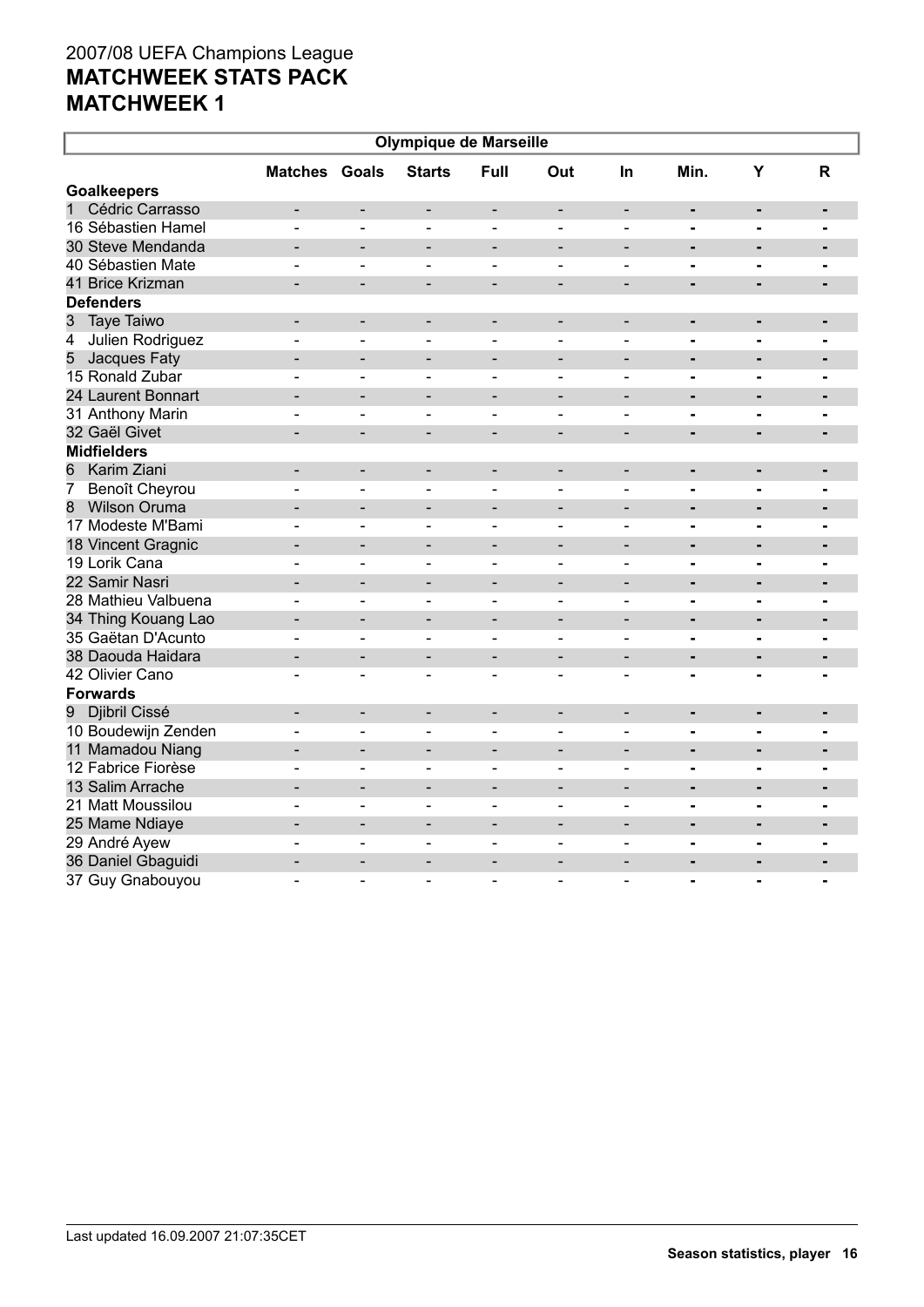| <b>Olympique de Marseille</b>      |                          |                              |                              |                              |                              |                              |                              |                          |                |  |
|------------------------------------|--------------------------|------------------------------|------------------------------|------------------------------|------------------------------|------------------------------|------------------------------|--------------------------|----------------|--|
|                                    | <b>Matches Goals</b>     |                              | <b>Starts</b>                | Full                         | Out                          | In                           | Min.                         | Y                        | $\mathsf{R}$   |  |
| <b>Goalkeepers</b>                 |                          |                              |                              |                              |                              |                              |                              |                          |                |  |
| Cédric Carrasso<br>$\mathbf{1}$    |                          | $\qquad \qquad \blacksquare$ | $\qquad \qquad \blacksquare$ | $\overline{\phantom{a}}$     | $\qquad \qquad -$            | $\blacksquare$               | $\qquad \qquad \blacksquare$ | $\blacksquare$           | $\blacksquare$ |  |
| 16 Sébastien Hamel                 | L.                       | $\blacksquare$               | $\blacksquare$               | $\overline{a}$               | $\blacksquare$               | $\blacksquare$               | $\blacksquare$               | $\blacksquare$           |                |  |
| 30 Steve Mendanda                  |                          | $\overline{\phantom{0}}$     | $\overline{\phantom{0}}$     | $\overline{\phantom{a}}$     | $\blacksquare$               | $\blacksquare$               | $\blacksquare$               | $\blacksquare$           | $\blacksquare$ |  |
| 40 Sébastien Mate                  |                          | ÷                            | $\sim$                       | $\sim$                       | $\blacksquare$               | $\sim$                       | $\blacksquare$               | $\overline{\phantom{0}}$ |                |  |
| 41 Brice Krizman                   |                          | $\overline{\phantom{a}}$     |                              |                              |                              |                              | ä,                           | $\blacksquare$           |                |  |
| <b>Defenders</b>                   |                          |                              |                              |                              |                              |                              |                              |                          |                |  |
| 3<br>Taye Taiwo                    | $\blacksquare$           | $\blacksquare$               | $\blacksquare$               | $\overline{\phantom{a}}$     | $\overline{\phantom{a}}$     | $\overline{\phantom{a}}$     | ۰                            | $\blacksquare$           | $\blacksquare$ |  |
| Julien Rodriguez<br>$\overline{4}$ |                          | L,                           | $\overline{\phantom{0}}$     | $\blacksquare$               |                              |                              | $\overline{a}$               | $\blacksquare$           |                |  |
| 5<br>Jacques Faty                  | $\overline{a}$           | $\overline{\phantom{a}}$     | $\overline{\phantom{a}}$     | $\overline{\phantom{a}}$     | $\qquad \qquad -$            | $\qquad \qquad \blacksquare$ | $\blacksquare$               | $\blacksquare$           | $\blacksquare$ |  |
| 15 Ronald Zubar                    | $\blacksquare$           | $\overline{\phantom{a}}$     | $\overline{\phantom{a}}$     | $\blacksquare$               | $\overline{\phantom{0}}$     | $\blacksquare$               | $\blacksquare$               | $\blacksquare$           | $\blacksquare$ |  |
| 24 Laurent Bonnart                 |                          | $\overline{a}$               | $\overline{\phantom{0}}$     | $\overline{\phantom{a}}$     | $\overline{a}$               | $\overline{a}$               | $\blacksquare$               | $\blacksquare$           | $\blacksquare$ |  |
| 31 Anthony Marin                   | $\blacksquare$           | $\blacksquare$               | $\overline{\phantom{a}}$     | $\blacksquare$               | $\overline{\phantom{0}}$     | $\blacksquare$               | $\blacksquare$               | $\blacksquare$           | $\blacksquare$ |  |
| 32 Gaël Givet                      |                          | $\overline{\phantom{0}}$     | $\overline{\phantom{a}}$     | $\overline{\phantom{a}}$     | $\overline{\phantom{a}}$     | $\qquad \qquad \blacksquare$ | $\blacksquare$               | $\blacksquare$           |                |  |
| <b>Midfielders</b>                 |                          |                              |                              |                              |                              |                              |                              |                          |                |  |
| 6<br>Karim Ziani                   | $\blacksquare$           | $\overline{\phantom{a}}$     | $\overline{\phantom{a}}$     | $\overline{\phantom{a}}$     | $\qquad \qquad \blacksquare$ | $\overline{\phantom{m}}$     | $\qquad \qquad \blacksquare$ | $\blacksquare$           | $\blacksquare$ |  |
| 7<br>Benoît Cheyrou                | $\overline{\phantom{0}}$ | $\qquad \qquad \blacksquare$ | $\blacksquare$               | $\blacksquare$               | $\overline{\phantom{0}}$     | $\qquad \qquad \blacksquare$ | -                            | $\blacksquare$           | $\blacksquare$ |  |
| 8<br><b>Wilson Oruma</b>           |                          | $\overline{\phantom{0}}$     |                              | $\qquad \qquad \blacksquare$ | $\overline{\phantom{0}}$     |                              | $\blacksquare$               | $\blacksquare$           | $\blacksquare$ |  |
| 17 Modeste M'Bami                  | ÷                        | $\overline{a}$               | $\sim$                       | $\sim$                       | $\blacksquare$               | ÷                            | ۰                            | $\blacksquare$           | $\blacksquare$ |  |
| 18 Vincent Gragnic                 |                          | $\blacksquare$               | $\overline{\phantom{a}}$     | $\overline{\phantom{a}}$     | $\qquad \qquad -$            | $\blacksquare$               | $\blacksquare$               |                          | $\blacksquare$ |  |
| 19 Lorik Cana                      |                          | $\overline{a}$               | $\overline{a}$               | $\blacksquare$               |                              | $\blacksquare$               | $\blacksquare$               | $\blacksquare$           | $\blacksquare$ |  |
| 22 Samir Nasri                     | ۰                        | $\blacksquare$               | $\overline{\phantom{0}}$     | $\overline{\phantom{a}}$     | $\qquad \qquad -$            | $\overline{\phantom{0}}$     |                              | $\blacksquare$           | ۰              |  |
| 28 Mathieu Valbuena                | $\blacksquare$           | $\overline{\phantom{a}}$     | $\overline{\phantom{0}}$     | $\blacksquare$               | $\qquad \qquad \blacksquare$ | $\qquad \qquad \blacksquare$ | -                            | $\blacksquare$           | $\blacksquare$ |  |
| 34 Thing Kouang Lao                | $\overline{\phantom{0}}$ | $\overline{\phantom{0}}$     | $\blacksquare$               | $\overline{\phantom{a}}$     | $\overline{\phantom{a}}$     | $\overline{\phantom{0}}$     | $\blacksquare$               | $\blacksquare$           | $\blacksquare$ |  |
| 35 Gaëtan D'Acunto                 | $\overline{a}$           | $\overline{\phantom{a}}$     | $\sim$                       | $\blacksquare$               | $\blacksquare$               | ÷                            | $\blacksquare$               | $\blacksquare$           | $\blacksquare$ |  |
| 38 Daouda Haidara                  | $\overline{\phantom{0}}$ | $\blacksquare$               | $\overline{\phantom{0}}$     | $\overline{\phantom{a}}$     | $\qquad \qquad \blacksquare$ | $\overline{\phantom{0}}$     | $\blacksquare$               | $\blacksquare$           | $\blacksquare$ |  |
| 42 Olivier Cano                    |                          | ۳                            | ۳                            | $\sim$                       | ÷                            | $\blacksquare$               | $\blacksquare$               | $\blacksquare$           |                |  |
| <b>Forwards</b>                    |                          |                              |                              |                              |                              |                              |                              |                          |                |  |
| 9 Djibril Cissé                    | ۰                        | $\blacksquare$               | $\blacksquare$               | $\qquad \qquad -$            | $\qquad \qquad -$            | $\overline{\phantom{a}}$     | $\blacksquare$               | $\blacksquare$           | $\blacksquare$ |  |
| 10 Boudewijn Zenden                | $\overline{a}$           | $\blacksquare$               | $\sim$                       | $\blacksquare$               | $\overline{a}$               | $\blacksquare$               | -                            | $\blacksquare$           |                |  |
| 11 Mamadou Niang                   |                          | $\blacksquare$               | $\overline{\phantom{0}}$     | $\overline{\phantom{a}}$     | $\qquad \qquad -$            | $\overline{\phantom{a}}$     | $\blacksquare$               | $\blacksquare$           | $\blacksquare$ |  |
| 12 Fabrice Fiorèse                 | ÷                        | $\blacksquare$               | $\overline{\phantom{a}}$     | $\blacksquare$               | $\blacksquare$               | $\sim$                       | $\blacksquare$               | $\blacksquare$           | $\blacksquare$ |  |
| 13 Salim Arrache                   | $\overline{\phantom{0}}$ | $\overline{\phantom{a}}$     | $\qquad \qquad \blacksquare$ | $\overline{\phantom{a}}$     | $\overline{\phantom{a}}$     | $\blacksquare$               | $\blacksquare$               | $\blacksquare$           | $\blacksquare$ |  |
| 21 Matt Moussilou                  |                          | $\overline{a}$               | $\blacksquare$               | $\blacksquare$               |                              | $\overline{\phantom{0}}$     | -                            |                          | $\blacksquare$ |  |
| 25 Mame Ndiaye                     | $\overline{\phantom{0}}$ | $\blacksquare$               | $\blacksquare$               | $\overline{\phantom{a}}$     | $\overline{\phantom{a}}$     | $\overline{\phantom{0}}$     | $\blacksquare$               | $\blacksquare$           | $\blacksquare$ |  |
| 29 André Ayew                      | $\overline{\phantom{0}}$ | $\overline{\phantom{a}}$     | $\overline{\phantom{a}}$     | $\qquad \qquad \blacksquare$ | $\qquad \qquad \blacksquare$ | $\qquad \qquad \blacksquare$ | $\blacksquare$               | $\blacksquare$           | $\blacksquare$ |  |
| 36 Daniel Gbaguidi                 |                          | $\overline{a}$               |                              |                              |                              |                              |                              |                          |                |  |
| 37 Guy Gnabouyou                   |                          | $\blacksquare$               | $\overline{\phantom{a}}$     | $\blacksquare$               | $\blacksquare$               | $\blacksquare$               | $\blacksquare$               | $\blacksquare$           | $\blacksquare$ |  |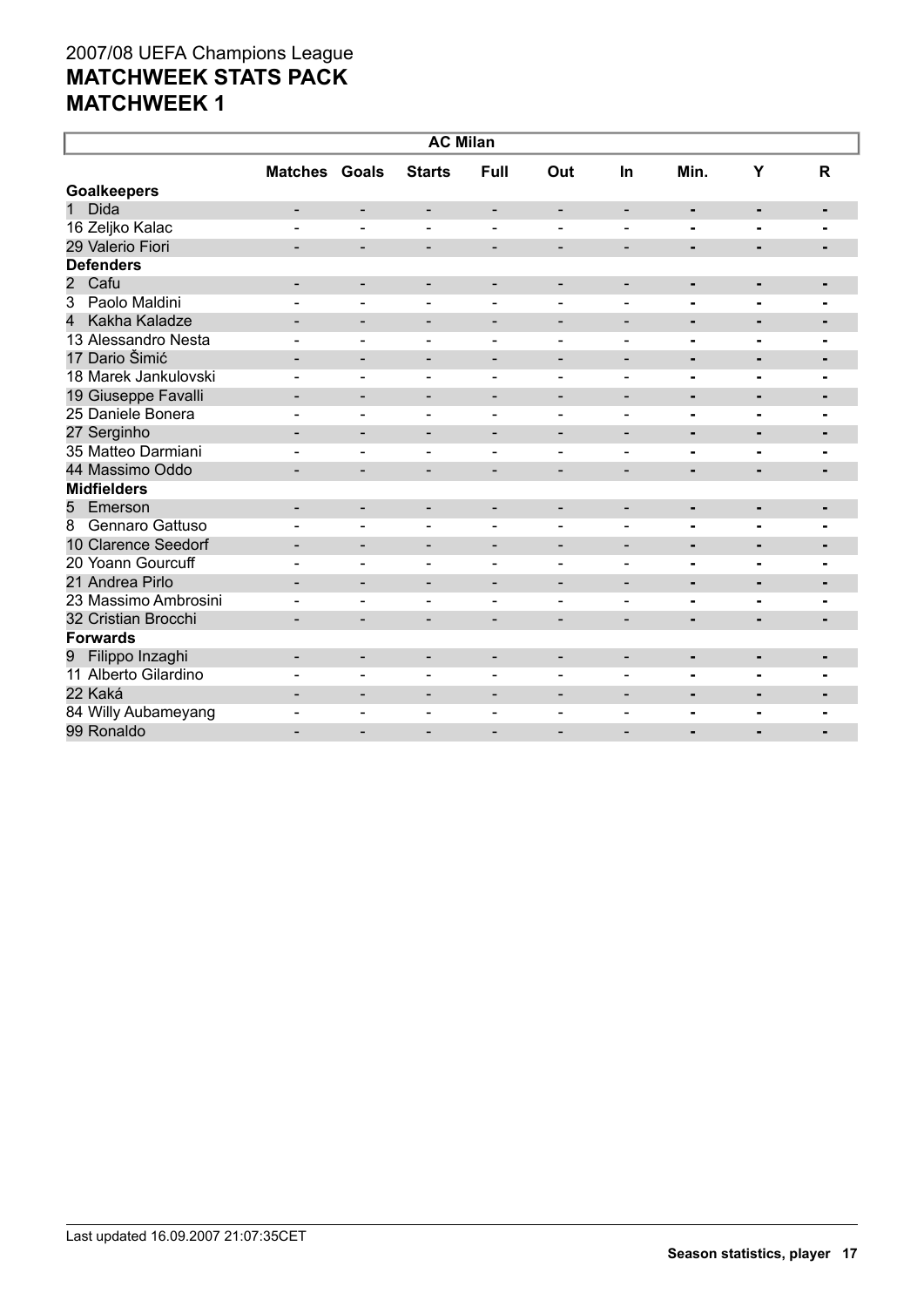| <b>AC Milan</b>             |                              |                              |                              |                          |                          |                              |                |                |                |
|-----------------------------|------------------------------|------------------------------|------------------------------|--------------------------|--------------------------|------------------------------|----------------|----------------|----------------|
|                             | <b>Matches Goals</b>         |                              | <b>Starts</b>                | Full                     | Out                      | In                           | Min.           | Y              | $\mathbf R$    |
| <b>Goalkeepers</b>          |                              |                              |                              |                          |                          |                              |                |                |                |
| $\mathbf{1}$<br><b>Dida</b> |                              | $\qquad \qquad \blacksquare$ | -                            | $\overline{\phantom{a}}$ | $\overline{\phantom{a}}$ | $\overline{\phantom{a}}$     | ۰              | ٠              | ٠              |
| 16 Zeljko Kalac             |                              | $\blacksquare$               | $\blacksquare$               | $\blacksquare$           | $\blacksquare$           |                              | $\blacksquare$ |                |                |
| 29 Valerio Fiori            | $\overline{\phantom{0}}$     | $\overline{\phantom{a}}$     | -                            | $\overline{\phantom{a}}$ | $\overline{\phantom{a}}$ | $\overline{\phantom{a}}$     | ٠              | ٠              |                |
| <b>Defenders</b>            |                              |                              |                              |                          |                          |                              |                |                |                |
| $\overline{2}$<br>Cafu      |                              | $\overline{\phantom{a}}$     | $\overline{\phantom{0}}$     | $\overline{\phantom{a}}$ | $\overline{\phantom{a}}$ | $\overline{\phantom{a}}$     | $\blacksquare$ | ٠              |                |
| Paolo Maldini<br>3          |                              | $\blacksquare$               |                              | $\overline{a}$           |                          |                              | $\blacksquare$ | $\blacksquare$ | $\blacksquare$ |
| Kakha Kaladze<br>4          |                              | $\overline{\phantom{a}}$     | $\qquad \qquad \blacksquare$ | $\overline{\phantom{a}}$ | $\overline{\phantom{a}}$ | $\overline{\phantom{0}}$     | $\blacksquare$ | $\blacksquare$ | $\blacksquare$ |
| 13 Alessandro Nesta         |                              |                              |                              |                          |                          |                              | $\blacksquare$ |                |                |
| 17 Dario Šimić              | $\blacksquare$               | $\overline{\phantom{a}}$     | -                            | $\overline{\phantom{a}}$ | $\overline{\phantom{a}}$ | $\overline{\phantom{a}}$     | ٠              | ٠              | $\blacksquare$ |
| 18 Marek Jankulovski        |                              | $\overline{\phantom{0}}$     | $\overline{\phantom{a}}$     | $\overline{\phantom{a}}$ | $\overline{\phantom{0}}$ | $\blacksquare$               |                | $\blacksquare$ | ۰              |
| 19 Giuseppe Favalli         |                              | $\overline{\phantom{a}}$     | $\qquad \qquad -$            | $\overline{\phantom{a}}$ | $\overline{\phantom{a}}$ | $\overline{\phantom{a}}$     | $\blacksquare$ | $\blacksquare$ | ٠              |
| 25 Daniele Bonera           |                              | $\blacksquare$               | $\blacksquare$               | $\overline{\phantom{a}}$ | $\blacksquare$           | $\blacksquare$               | $\blacksquare$ | $\blacksquare$ | $\blacksquare$ |
| 27 Serginho                 |                              | $\overline{\phantom{a}}$     | -                            | $\overline{\phantom{a}}$ | $\overline{a}$           | $\overline{\phantom{a}}$     | ٠              | ٠              | ٠              |
| 35 Matteo Darmiani          |                              | ۳                            | $\equiv$                     | $\overline{a}$           | $\blacksquare$           | $\overline{\phantom{0}}$     | $\blacksquare$ | $\blacksquare$ | $\blacksquare$ |
| 44 Massimo Oddo             | $\qquad \qquad \blacksquare$ | -                            | $\qquad \qquad \blacksquare$ | $\overline{\phantom{a}}$ | $\overline{\phantom{a}}$ | $\qquad \qquad \blacksquare$ | ٠              | ٠              | ۰              |
| <b>Midfielders</b>          |                              |                              |                              |                          |                          |                              |                |                |                |
| Emerson<br>5                | -                            | $\overline{\phantom{a}}$     | -                            | $\overline{\phantom{a}}$ | $\overline{\phantom{a}}$ | $\overline{\phantom{a}}$     | ٠              | ٠              | ۰              |
| Gennaro Gattuso<br>8        |                              | $\overline{a}$               | Ξ.                           | $\overline{\phantom{a}}$ |                          |                              | $\blacksquare$ | $\blacksquare$ |                |
| 10 Clarence Seedorf         |                              | $\overline{\phantom{0}}$     | $\overline{\phantom{0}}$     | $\overline{\phantom{a}}$ | $\qquad \qquad$          | $\blacksquare$               | $\blacksquare$ | ٠              | $\blacksquare$ |
| 20 Yoann Gourcuff           |                              | $\blacksquare$               | ۳                            | $\blacksquare$           | $\overline{\phantom{a}}$ | $\blacksquare$               | $\blacksquare$ | $\blacksquare$ | $\blacksquare$ |
| 21 Andrea Pirlo             |                              | $\overline{\phantom{a}}$     | $\qquad \qquad \blacksquare$ | $\overline{\phantom{a}}$ | $\overline{\phantom{a}}$ | $\qquad \qquad \blacksquare$ | ٠              | $\blacksquare$ | ٠              |
| 23 Massimo Ambrosini        |                              |                              |                              |                          |                          |                              |                |                |                |
| 32 Cristian Brocchi         |                              | $\overline{\phantom{0}}$     | -                            | $\overline{\phantom{a}}$ |                          |                              | ٠              | $\blacksquare$ |                |
| <b>Forwards</b>             |                              |                              |                              |                          |                          |                              |                |                |                |
| Filippo Inzaghi<br>9        |                              | $\overline{\phantom{a}}$     | -                            | $\overline{\phantom{a}}$ | $\overline{\phantom{a}}$ | $\overline{\phantom{a}}$     | $\blacksquare$ | ٠              | $\blacksquare$ |
| 11 Alberto Gilardino        |                              | $\blacksquare$               | ۳                            | $\blacksquare$           | $\overline{\phantom{a}}$ | $\blacksquare$               | $\blacksquare$ | $\blacksquare$ | $\blacksquare$ |
| 22 Kaká                     |                              | $\overline{\phantom{a}}$     | $\qquad \qquad \blacksquare$ | $\overline{\phantom{a}}$ | $\overline{\phantom{0}}$ | $\overline{\phantom{a}}$     | ٠              | ٠              | $\blacksquare$ |
| 84 Willy Aubameyang         |                              | $\blacksquare$               |                              |                          |                          |                              | -              | -              |                |
| 99 Ronaldo                  |                              | $\blacksquare$               |                              |                          | $\blacksquare$           | $\overline{a}$               |                |                |                |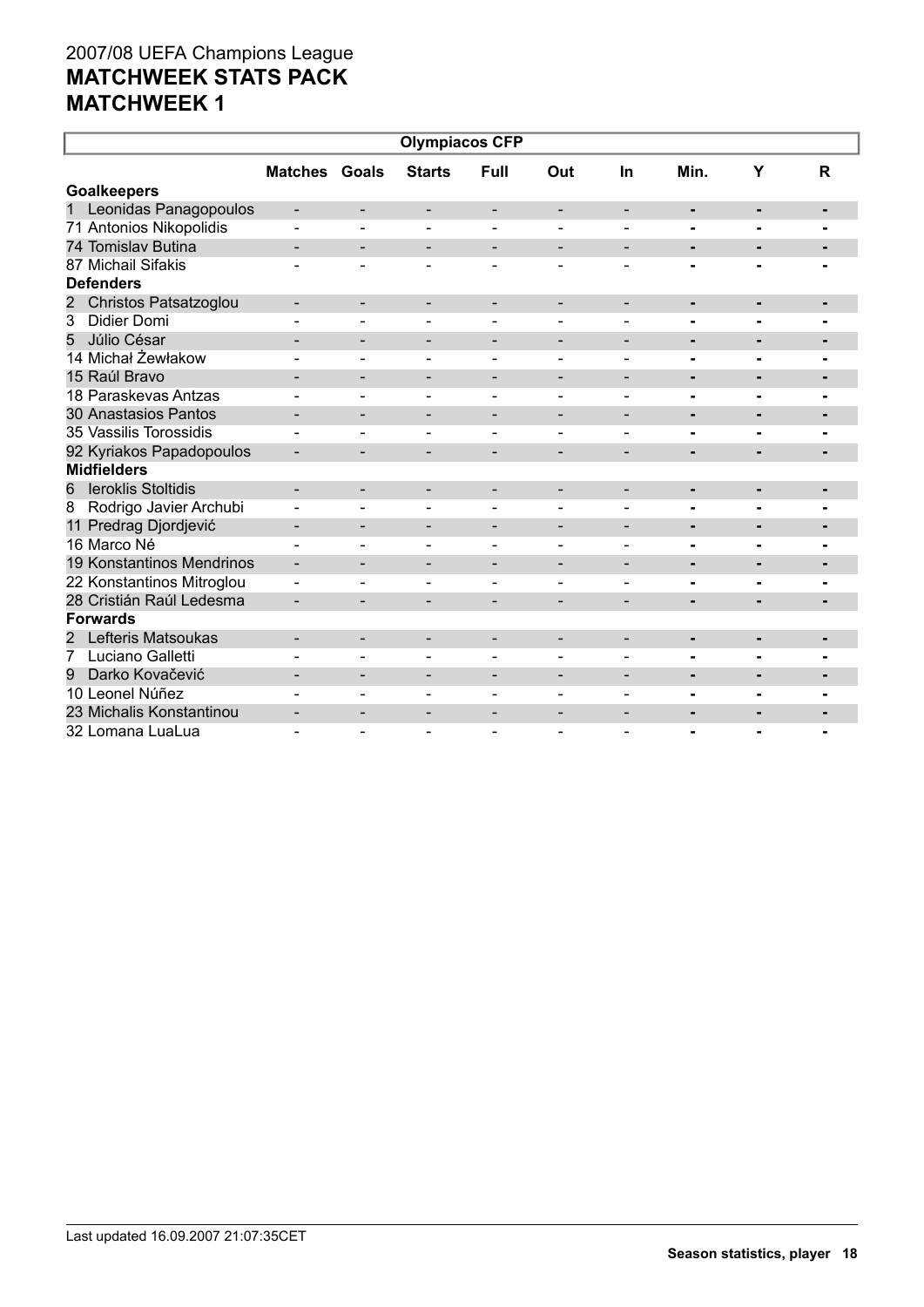| <b>Olympiacos CFP</b>          |                              |                              |                              |                              |                          |                              |                |                |                |  |
|--------------------------------|------------------------------|------------------------------|------------------------------|------------------------------|--------------------------|------------------------------|----------------|----------------|----------------|--|
|                                | <b>Matches Goals</b>         |                              | <b>Starts</b>                | Full                         | Out                      | In                           | Min.           | Y              | $\mathsf{R}$   |  |
| <b>Goalkeepers</b>             |                              |                              |                              |                              |                          |                              |                |                |                |  |
| 1<br>Leonidas Panagopoulos     |                              | -                            | -                            | -                            |                          |                              | $\blacksquare$ |                |                |  |
| 71 Antonios Nikopolidis        |                              | $\blacksquare$               | $\blacksquare$               | $\blacksquare$               |                          |                              | ۰              | $\blacksquare$ |                |  |
| 74 Tomislav Butina             | ۰                            | $\overline{\phantom{a}}$     | $\qquad \qquad \blacksquare$ | $\overline{\phantom{a}}$     | $\overline{\phantom{a}}$ | $\overline{\phantom{a}}$     | ٠              | $\blacksquare$ |                |  |
| 87 Michail Sifakis             |                              |                              | ÷                            |                              |                          |                              |                |                |                |  |
| <b>Defenders</b>               |                              |                              |                              |                              |                          |                              |                |                |                |  |
| Christos Patsatzoglou<br>2     | -                            | -                            | -                            | -                            | $\overline{\phantom{a}}$ | $\overline{\phantom{0}}$     |                |                |                |  |
| 3<br><b>Didier Domi</b>        |                              | $\overline{\phantom{0}}$     |                              |                              |                          |                              |                |                |                |  |
| 5<br>Júlio César               |                              | $\overline{\phantom{0}}$     | -                            | -                            | $\overline{\phantom{a}}$ | $\overline{\phantom{0}}$     | ۰              | ٠              |                |  |
| 14 Michał Żewłakow             |                              | $\blacksquare$               | $\overline{\phantom{0}}$     | $\blacksquare$               | $\overline{\phantom{a}}$ | $\blacksquare$               |                | $\blacksquare$ | $\blacksquare$ |  |
| 15 Raúl Bravo                  |                              | $\overline{\phantom{a}}$     | -                            | $\overline{\phantom{a}}$     | $\overline{\phantom{a}}$ | $\overline{\phantom{a}}$     | ۰              | $\blacksquare$ | -              |  |
| 18 Paraskevas Antzas           |                              |                              |                              |                              |                          |                              | $\blacksquare$ | $\overline{a}$ |                |  |
| 30 Anastasios Pantos           |                              | $\qquad \qquad \blacksquare$ | $\overline{\phantom{0}}$     | $\qquad \qquad \blacksquare$ | $\overline{\phantom{a}}$ |                              | ٠              | $\blacksquare$ |                |  |
| 35 Vassilis Torossidis         |                              |                              |                              |                              |                          | $\overline{\phantom{0}}$     |                |                |                |  |
| 92 Kyriakos Papadopoulos       |                              | $\overline{\phantom{0}}$     |                              |                              |                          |                              | $\blacksquare$ |                |                |  |
| <b>Midfielders</b>             |                              |                              |                              |                              |                          |                              |                |                |                |  |
| <b>leroklis Stoltidis</b><br>6 |                              | -                            | -                            | $\overline{\phantom{a}}$     |                          |                              | ٠              | -              | ۰              |  |
| Rodrigo Javier Archubi<br>8    | $\blacksquare$               | $\blacksquare$               | $\blacksquare$               | $\blacksquare$               |                          | $\overline{\phantom{0}}$     | $\blacksquare$ | $\blacksquare$ | $\blacksquare$ |  |
| 11 Predrag Djordjević          | $\qquad \qquad \blacksquare$ | $\overline{\phantom{a}}$     | $\blacksquare$               | $\overline{\phantom{a}}$     | $\overline{\phantom{a}}$ | $\blacksquare$               | ٠              | $\blacksquare$ |                |  |
| 16 Marco Né                    |                              |                              |                              | $\overline{a}$               |                          |                              | $\blacksquare$ |                |                |  |
| 19 Konstantinos Mendrinos      | -                            | -                            | -                            | -                            | $\overline{\phantom{a}}$ | $\overline{\phantom{a}}$     | ٠              | ٠              | ٠              |  |
| 22 Konstantinos Mitroglou      |                              | $\qquad \qquad \blacksquare$ |                              |                              |                          |                              |                |                |                |  |
| 28 Cristián Raúl Ledesma       |                              | $\overline{\phantom{0}}$     | -                            |                              |                          |                              | $\blacksquare$ |                |                |  |
| <b>Forwards</b>                |                              |                              |                              |                              |                          |                              |                |                |                |  |
| Lefteris Matsoukas<br>2        |                              | $\overline{\phantom{a}}$     | -                            | $\overline{\phantom{a}}$     | $\overline{\phantom{a}}$ | $\qquad \qquad \blacksquare$ | ٠              | ٠              | $\blacksquare$ |  |
| 7<br>Luciano Galletti          |                              |                              |                              |                              |                          |                              | $\blacksquare$ | $\blacksquare$ |                |  |
| Darko Kovačević<br>9           |                              | $\qquad \qquad \blacksquare$ | $\overline{\phantom{0}}$     | $\overline{\phantom{0}}$     |                          |                              | ٠              | $\blacksquare$ |                |  |
| 10 Leonel Núñez                |                              | $\qquad \qquad \blacksquare$ |                              |                              |                          | $\blacksquare$               |                |                |                |  |
| 23 Michalis Konstantinou       |                              | $\qquad \qquad \blacksquare$ |                              |                              |                          |                              | $\blacksquare$ |                |                |  |
| 32 Lomana LuaLua               |                              |                              |                              |                              |                          |                              |                |                |                |  |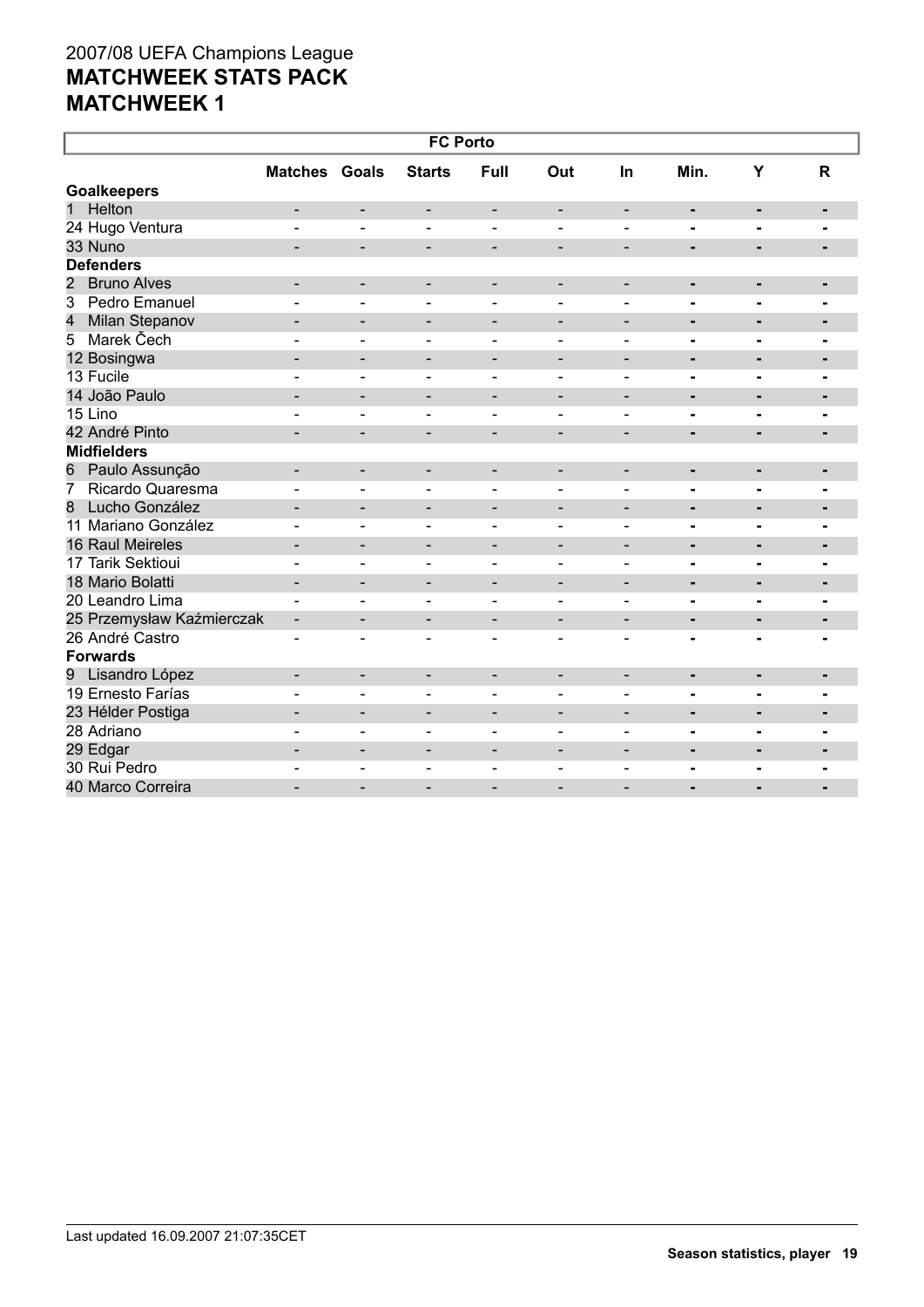| <b>FC Porto</b>                      |                          |                              |                              |                          |                              |                              |                              |                          |                |  |  |
|--------------------------------------|--------------------------|------------------------------|------------------------------|--------------------------|------------------------------|------------------------------|------------------------------|--------------------------|----------------|--|--|
|                                      | <b>Matches Goals</b>     |                              | <b>Starts</b>                | <b>Full</b>              | Out                          | In                           | Min.                         | Y                        | $\mathsf{R}$   |  |  |
| <b>Goalkeepers</b>                   |                          |                              |                              |                          |                              |                              |                              |                          |                |  |  |
| Helton<br>1                          | $\overline{\phantom{a}}$ | $\overline{\phantom{0}}$     | $\overline{\phantom{a}}$     | $\overline{\phantom{a}}$ | $\overline{\phantom{a}}$     | $\overline{\phantom{a}}$     | ۰                            | $\blacksquare$           | ٠              |  |  |
| 24 Hugo Ventura                      |                          |                              |                              |                          |                              |                              | $\blacksquare$               | $\blacksquare$           | $\blacksquare$ |  |  |
| 33 Nuno                              |                          | $\overline{\phantom{0}}$     | $\overline{\phantom{0}}$     | $\overline{\phantom{a}}$ | $\blacksquare$               | $\blacksquare$               | $\blacksquare$               | $\blacksquare$           | $\blacksquare$ |  |  |
| <b>Defenders</b>                     |                          |                              |                              |                          |                              |                              |                              |                          |                |  |  |
| $\overline{2}$<br><b>Bruno Alves</b> |                          | $\overline{\phantom{0}}$     | $\overline{\phantom{a}}$     | $\overline{\phantom{a}}$ | -                            | $\overline{\phantom{a}}$     | $\qquad \qquad \blacksquare$ | ÷,                       | ٠              |  |  |
| Pedro Emanuel<br>3                   |                          | ÷,                           | $\overline{\phantom{a}}$     | $\blacksquare$           | $\blacksquare$               | $\blacksquare$               | $\blacksquare$               | $\blacksquare$           | $\blacksquare$ |  |  |
| 4<br>Milan Stepanov                  | -                        | $\qquad \qquad \blacksquare$ | $\overline{\phantom{a}}$     | $\overline{\phantom{a}}$ | $\overline{\phantom{0}}$     | $\overline{\phantom{a}}$     | ٠                            | ٠                        |                |  |  |
| Marek Čech<br>5                      |                          | $\overline{\phantom{0}}$     | $\overline{\phantom{a}}$     | $\overline{\phantom{a}}$ | $\qquad \qquad \blacksquare$ | $\overline{\phantom{a}}$     | $\blacksquare$               | $\blacksquare$           | $\blacksquare$ |  |  |
| 12 Bosingwa                          |                          | $\blacksquare$               | $\overline{\phantom{a}}$     | $\overline{\phantom{0}}$ | $\overline{\phantom{0}}$     | $\overline{\phantom{0}}$     | $\blacksquare$               | $\blacksquare$           | $\blacksquare$ |  |  |
| 13 Fucile                            |                          | $\overline{\phantom{0}}$     | $\equiv$                     | $\blacksquare$           |                              | $\blacksquare$               |                              | ۰                        |                |  |  |
| 14 João Paulo                        |                          | $\overline{\phantom{0}}$     | $\overline{\phantom{a}}$     | $\overline{\phantom{a}}$ | $\overline{\phantom{0}}$     | $\qquad \qquad \blacksquare$ | $\blacksquare$               | $\blacksquare$           | ٠              |  |  |
| 15 Lino                              |                          |                              |                              |                          | $\blacksquare$               | $\blacksquare$               | $\blacksquare$               | $\blacksquare$           |                |  |  |
| 42 André Pinto                       | -                        | -                            | $\overline{\phantom{a}}$     | $\overline{\phantom{a}}$ | $\overline{\phantom{0}}$     | $\overline{\phantom{a}}$     | ٠                            | $\blacksquare$           |                |  |  |
| <b>Midfielders</b>                   |                          |                              |                              |                          |                              |                              |                              |                          |                |  |  |
| Paulo Assunção<br>6                  | $\overline{\phantom{0}}$ | $\overline{\phantom{0}}$     | $\overline{\phantom{a}}$     | $\overline{\phantom{a}}$ | $\overline{\phantom{a}}$     | $\blacksquare$               | $\blacksquare$               | $\blacksquare$           | $\blacksquare$ |  |  |
| Ricardo Quaresma<br>7                | $\overline{a}$           | $\overline{\phantom{0}}$     | $\blacksquare$               | $\blacksquare$           | $\overline{a}$               | $\blacksquare$               | $\blacksquare$               | $\blacksquare$           |                |  |  |
| Lucho González<br>8                  |                          | $\overline{\phantom{0}}$     | -                            | $\overline{\phantom{a}}$ | $\overline{a}$               | $\qquad \qquad -$            | $\blacksquare$               | $\blacksquare$           | $\blacksquare$ |  |  |
| 11 Mariano González                  |                          | ۳                            | $\sim$                       | $\blacksquare$           | $\blacksquare$               | $\sim$                       |                              | $\blacksquare$           | $\blacksquare$ |  |  |
| 16 Raul Meireles                     | $\overline{\phantom{0}}$ | $\overline{\phantom{0}}$     | $\overline{\phantom{a}}$     | $\overline{\phantom{a}}$ | $\qquad \qquad \blacksquare$ | $\overline{\phantom{a}}$     | $\qquad \qquad \blacksquare$ | ٠                        |                |  |  |
| 17 Tarik Sektioui                    |                          | ÷,                           | $\blacksquare$               | $\overline{\phantom{a}}$ | $\blacksquare$               | $\blacksquare$               | $\blacksquare$               | $\blacksquare$           | $\blacksquare$ |  |  |
| 18 Mario Bolatti                     | $\overline{\phantom{0}}$ | $\overline{\phantom{0}}$     | $\overline{\phantom{a}}$     | $\overline{\phantom{0}}$ | $\overline{\phantom{0}}$     | $\overline{\phantom{0}}$     | $\blacksquare$               | $\overline{\phantom{0}}$ | $\blacksquare$ |  |  |
| 20 Leandro Lima                      | L.                       | ÷,                           | $\blacksquare$               | $\blacksquare$           |                              | $\overline{\phantom{0}}$     | $\blacksquare$               | Ξ.                       | $\blacksquare$ |  |  |
| 25 Przemysław Kaźmierczak            | $\blacksquare$           | $\overline{\phantom{a}}$     | $\qquad \qquad \blacksquare$ | $\overline{\phantom{a}}$ | $\overline{\phantom{0}}$     | $\qquad \qquad \blacksquare$ | $\blacksquare$               | $\blacksquare$           | $\blacksquare$ |  |  |
| 26 André Castro                      |                          |                              |                              |                          |                              |                              |                              |                          |                |  |  |
| <b>Forwards</b>                      |                          |                              |                              |                          |                              |                              |                              |                          |                |  |  |
| 9 Lisandro López                     | $\sim$                   | $\overline{\phantom{a}}$     | $\blacksquare$               | $\overline{\phantom{a}}$ | $\overline{\phantom{a}}$     | $\overline{\phantom{a}}$     | $\blacksquare$               | $\blacksquare$           | $\blacksquare$ |  |  |
| 19 Ernesto Farías                    |                          | ۳                            | $\sim$                       | $\overline{a}$           |                              |                              | $\blacksquare$               | $\blacksquare$           |                |  |  |
| 23 Hélder Postiga                    |                          | -                            |                              |                          |                              |                              | $\blacksquare$               | $\blacksquare$           |                |  |  |
| 28 Adriano                           |                          | $\overline{\phantom{0}}$     | $\overline{a}$               | $\blacksquare$           | $\blacksquare$               | $\blacksquare$               | $\blacksquare$               | $\blacksquare$           | ۰              |  |  |
| 29 Edgar                             | $\overline{\phantom{0}}$ | $\qquad \qquad \blacksquare$ | $\overline{\phantom{0}}$     | $\overline{\phantom{a}}$ | $\overline{\phantom{0}}$     | $\blacksquare$               | $\blacksquare$               |                          |                |  |  |
| 30 Rui Pedro                         |                          | $\qquad \qquad \blacksquare$ |                              |                          |                              | $\qquad \qquad$              | $\blacksquare$               | ۰                        | $\blacksquare$ |  |  |
| 40 Marco Correira                    |                          | $\overline{\phantom{0}}$     | $\overline{\phantom{a}}$     | $\overline{\phantom{0}}$ | $\overline{\phantom{0}}$     |                              | $\overline{\phantom{0}}$     |                          | $\blacksquare$ |  |  |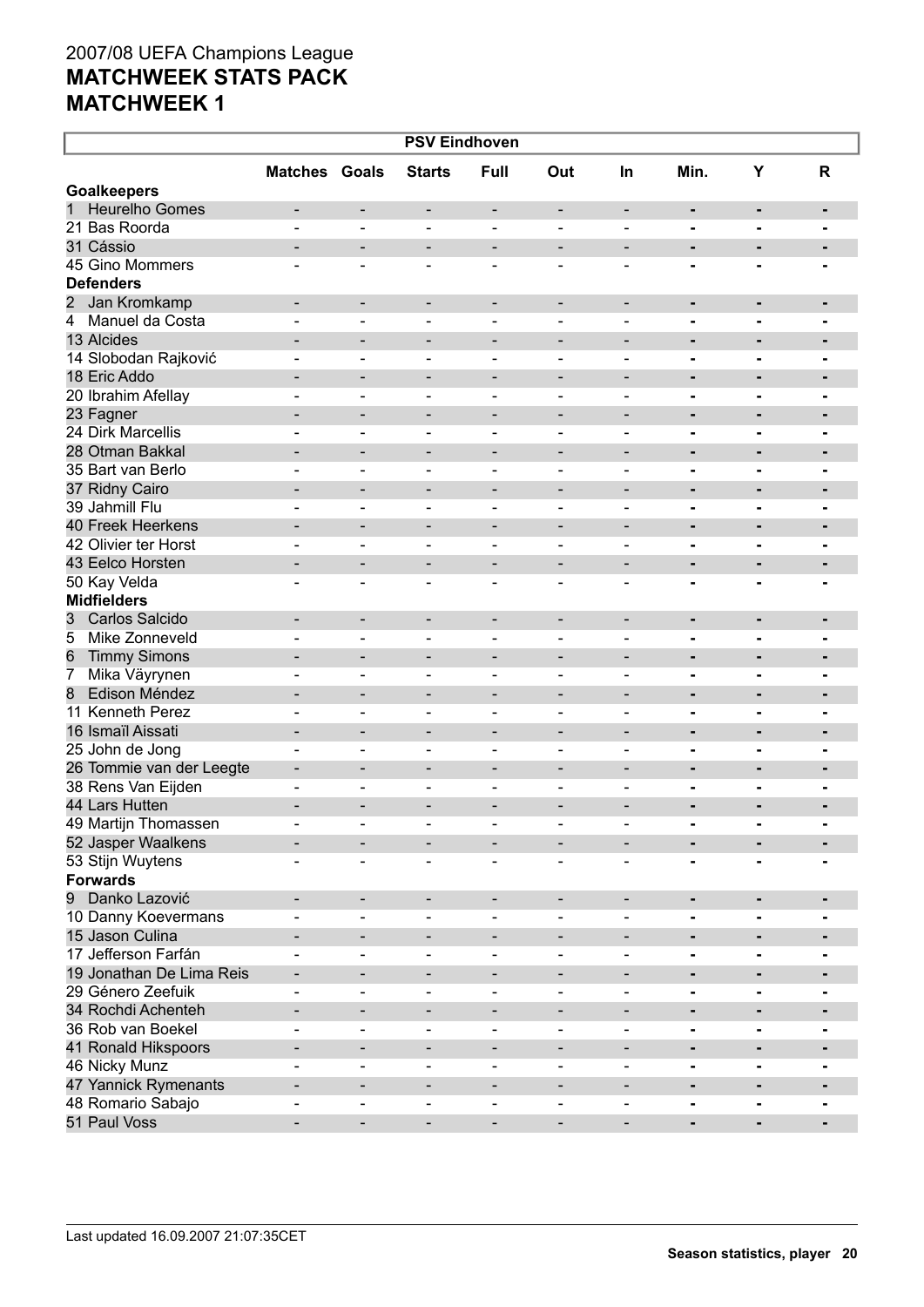| <b>PSV Eindhoven</b>              |                              |                              |                              |                              |                              |                              |                |                |                |  |  |
|-----------------------------------|------------------------------|------------------------------|------------------------------|------------------------------|------------------------------|------------------------------|----------------|----------------|----------------|--|--|
|                                   | <b>Matches Goals</b>         |                              | <b>Starts</b>                | <b>Full</b>                  | Out                          | <b>In</b>                    | Min.           | Y              | R              |  |  |
| <b>Goalkeepers</b>                |                              |                              |                              |                              |                              |                              |                |                |                |  |  |
| <b>Heurelho Gomes</b><br>1        | $\qquad \qquad \blacksquare$ | -                            | $\overline{\phantom{a}}$     | $\qquad \qquad$              | $\overline{\phantom{a}}$     | $\overline{\phantom{a}}$     |                | $\blacksquare$ | ٠              |  |  |
| 21 Bas Roorda                     |                              |                              |                              |                              |                              |                              |                | $\blacksquare$ |                |  |  |
| 31 Cássio                         |                              |                              | $\qquad \qquad$              |                              | $\qquad \qquad$              |                              |                | $\blacksquare$ |                |  |  |
| 45 Gino Mommers                   |                              |                              | $\overline{\phantom{a}}$     |                              |                              |                              |                | $\blacksquare$ |                |  |  |
| <b>Defenders</b>                  |                              |                              |                              |                              |                              |                              |                |                |                |  |  |
| 2 Jan Kromkamp                    |                              |                              |                              |                              |                              |                              |                |                |                |  |  |
| $\overline{4}$<br>Manuel da Costa | $\qquad \qquad$              | $\overline{\phantom{a}}$     | $\overline{\phantom{a}}$     | $\qquad \qquad$              | $\overline{\phantom{a}}$     | $\overline{\phantom{a}}$     | ٠              | ٠              | ٠              |  |  |
| 13 Alcides                        |                              |                              |                              |                              |                              |                              | -              | $\blacksquare$ |                |  |  |
|                                   |                              |                              | $\qquad \qquad \blacksquare$ |                              | $\qquad \qquad$              |                              |                | ۰              | $\blacksquare$ |  |  |
| 14 Slobodan Rajković              |                              |                              |                              |                              |                              |                              | -              | $\blacksquare$ |                |  |  |
| 18 Eric Addo                      |                              |                              | $\qquad \qquad \blacksquare$ |                              | $\qquad \qquad$              |                              |                | ٠              | $\blacksquare$ |  |  |
| 20 Ibrahim Afellay                |                              |                              |                              |                              |                              |                              |                | $\blacksquare$ |                |  |  |
| 23 Fagner                         |                              |                              | $\qquad \qquad \blacksquare$ |                              | $\qquad \qquad$              |                              |                | ٠              | $\blacksquare$ |  |  |
| 24 Dirk Marcellis                 |                              |                              | $\overline{\phantom{a}}$     |                              |                              |                              |                | $\blacksquare$ |                |  |  |
| 28 Otman Bakkal                   |                              |                              | $\qquad \qquad \blacksquare$ |                              | $\qquad \qquad$              |                              |                | ٠              | $\blacksquare$ |  |  |
| 35 Bart van Berlo                 |                              |                              | $\overline{\phantom{a}}$     |                              |                              |                              |                | $\blacksquare$ |                |  |  |
| 37 Ridny Cairo                    |                              |                              | $\qquad \qquad \blacksquare$ |                              | $\qquad \qquad$              |                              |                | ٠              | $\blacksquare$ |  |  |
| 39 Jahmill Flu                    |                              |                              | $\overline{\phantom{a}}$     |                              |                              |                              |                | $\blacksquare$ |                |  |  |
| <b>40 Freek Heerkens</b>          |                              |                              | $\qquad \qquad \blacksquare$ |                              | $\qquad \qquad$              |                              |                | ٠              | $\blacksquare$ |  |  |
| 42 Olivier ter Horst              |                              | $\qquad \qquad \blacksquare$ | $\overline{\phantom{a}}$     |                              |                              | $\overline{\phantom{0}}$     |                | $\blacksquare$ |                |  |  |
| 43 Eelco Horsten                  |                              |                              | $\qquad \qquad \blacksquare$ |                              | $\qquad \qquad$              |                              |                | $\blacksquare$ | $\blacksquare$ |  |  |
| 50 Kay Velda                      |                              |                              | $\overline{\phantom{a}}$     |                              |                              |                              |                |                |                |  |  |
| <b>Midfielders</b>                |                              |                              |                              |                              |                              |                              |                |                |                |  |  |
| 3<br>Carlos Salcido               | $\qquad \qquad \blacksquare$ | -                            | $\overline{\phantom{a}}$     | $\qquad \qquad$              | $\overline{\phantom{a}}$     | $\overline{\phantom{a}}$     | ٠              | $\blacksquare$ | ٠              |  |  |
| Mike Zonneveld<br>5               |                              |                              |                              |                              |                              |                              |                | $\blacksquare$ |                |  |  |
| <b>Timmy Simons</b><br>6          |                              | -                            | $\qquad \qquad \blacksquare$ |                              | $\qquad \qquad$              |                              |                | ٠              | $\blacksquare$ |  |  |
| Mika Väyrynen<br>$\overline{7}$   |                              |                              |                              |                              |                              | $\overline{\phantom{0}}$     | -              | $\blacksquare$ |                |  |  |
| Edison Méndez<br>8                |                              |                              | $\qquad \qquad \blacksquare$ |                              | $\qquad \qquad$              |                              |                | $\blacksquare$ | $\blacksquare$ |  |  |
| 11 Kenneth Perez                  |                              |                              |                              |                              |                              | $\overline{\phantom{0}}$     | -              | $\blacksquare$ |                |  |  |
| 16 Ismaïl Aissati                 | $\overline{\phantom{0}}$     | -                            | $\qquad \qquad \blacksquare$ |                              | $\qquad \qquad$              |                              |                | $\blacksquare$ | $\blacksquare$ |  |  |
| 25 John de Jong                   |                              | $\qquad \qquad \blacksquare$ | $\overline{\phantom{a}}$     |                              |                              |                              | -              | $\blacksquare$ |                |  |  |
| 26 Tommie van der Leegte          | $\overline{\phantom{0}}$     |                              | $\qquad \qquad \blacksquare$ |                              | $\qquad \qquad$              |                              |                | $\blacksquare$ | $\blacksquare$ |  |  |
| 38 Rens Van Eijden                |                              |                              |                              |                              |                              |                              |                |                |                |  |  |
|                                   |                              |                              |                              |                              |                              |                              |                |                |                |  |  |
| 44 Lars Hutten                    | $\overline{\phantom{0}}$     |                              |                              |                              | $\qquad \qquad \blacksquare$ |                              |                |                |                |  |  |
| 49 Martijn Thomassen              |                              |                              |                              |                              |                              |                              |                |                |                |  |  |
| 52 Jasper Waalkens                |                              |                              |                              |                              |                              |                              |                |                |                |  |  |
| 53 Stijn Wuytens                  |                              |                              | $\overline{\phantom{a}}$     |                              |                              |                              |                |                |                |  |  |
| <b>Forwards</b>                   |                              |                              |                              |                              |                              |                              |                |                |                |  |  |
| Danko Lazović<br>9                |                              | -                            | $\overline{\phantom{a}}$     |                              |                              |                              | -              | ٠              |                |  |  |
| 10 Danny Koevermans               |                              |                              | $\overline{\phantom{a}}$     |                              |                              |                              |                | $\blacksquare$ |                |  |  |
| 15 Jason Culina                   |                              |                              | $\qquad \qquad \blacksquare$ |                              |                              |                              |                | ۰              |                |  |  |
| 17 Jefferson Farfán               |                              | $\qquad \qquad \blacksquare$ | $\overline{\phantom{a}}$     |                              |                              |                              |                | $\blacksquare$ |                |  |  |
| 19 Jonathan De Lima Reis          | $\qquad \qquad \blacksquare$ | -                            | $\overline{\phantom{a}}$     | $\qquad \qquad \blacksquare$ | $\qquad \qquad$              |                              | Ξ.             | $\blacksquare$ | $\blacksquare$ |  |  |
| 29 Género Zeefuik                 |                              |                              | $\overline{\phantom{a}}$     |                              |                              |                              | -              | $\blacksquare$ |                |  |  |
| 34 Rochdi Achenteh                |                              | $\qquad \qquad \blacksquare$ | $\overline{\phantom{a}}$     | $\qquad \qquad \blacksquare$ | $\qquad \qquad$              | $\qquad \qquad \blacksquare$ | Ξ.             | $\blacksquare$ | $\blacksquare$ |  |  |
| 36 Rob van Boekel                 |                              | $\qquad \qquad \blacksquare$ | $\overline{\phantom{a}}$     |                              |                              | $\overline{\phantom{0}}$     | -              | $\blacksquare$ |                |  |  |
| 41 Ronald Hikspoors               |                              | -                            | $\overline{\phantom{a}}$     | $\qquad \qquad \blacksquare$ | $\qquad \qquad$              | $\overline{\phantom{a}}$     | $\blacksquare$ | $\blacksquare$ | $\blacksquare$ |  |  |
| 46 Nicky Munz                     |                              | $\qquad \qquad \blacksquare$ | $\overline{\phantom{a}}$     | $\qquad \qquad$              | $\qquad \qquad \blacksquare$ | $\overline{\phantom{0}}$     | Ξ.             | $\blacksquare$ |                |  |  |
| 47 Yannick Rymenants              |                              | $\qquad \qquad \blacksquare$ | $\overline{\phantom{a}}$     | $\qquad \qquad$              | $\overline{\phantom{0}}$     | -                            | Ξ.             | $\blacksquare$ |                |  |  |
| 48 Romario Sabajo                 |                              | $\qquad \qquad \blacksquare$ | $\overline{\phantom{a}}$     | $\blacksquare$               | $\qquad \qquad \blacksquare$ |                              | -              | $\blacksquare$ |                |  |  |
| 51 Paul Voss                      | -                            | $\overline{\phantom{0}}$     | $\overline{\phantom{a}}$     | $\qquad \qquad \blacksquare$ | -                            | $\overline{\phantom{0}}$     | ٠              | ۰              |                |  |  |
|                                   |                              |                              |                              |                              |                              |                              |                |                |                |  |  |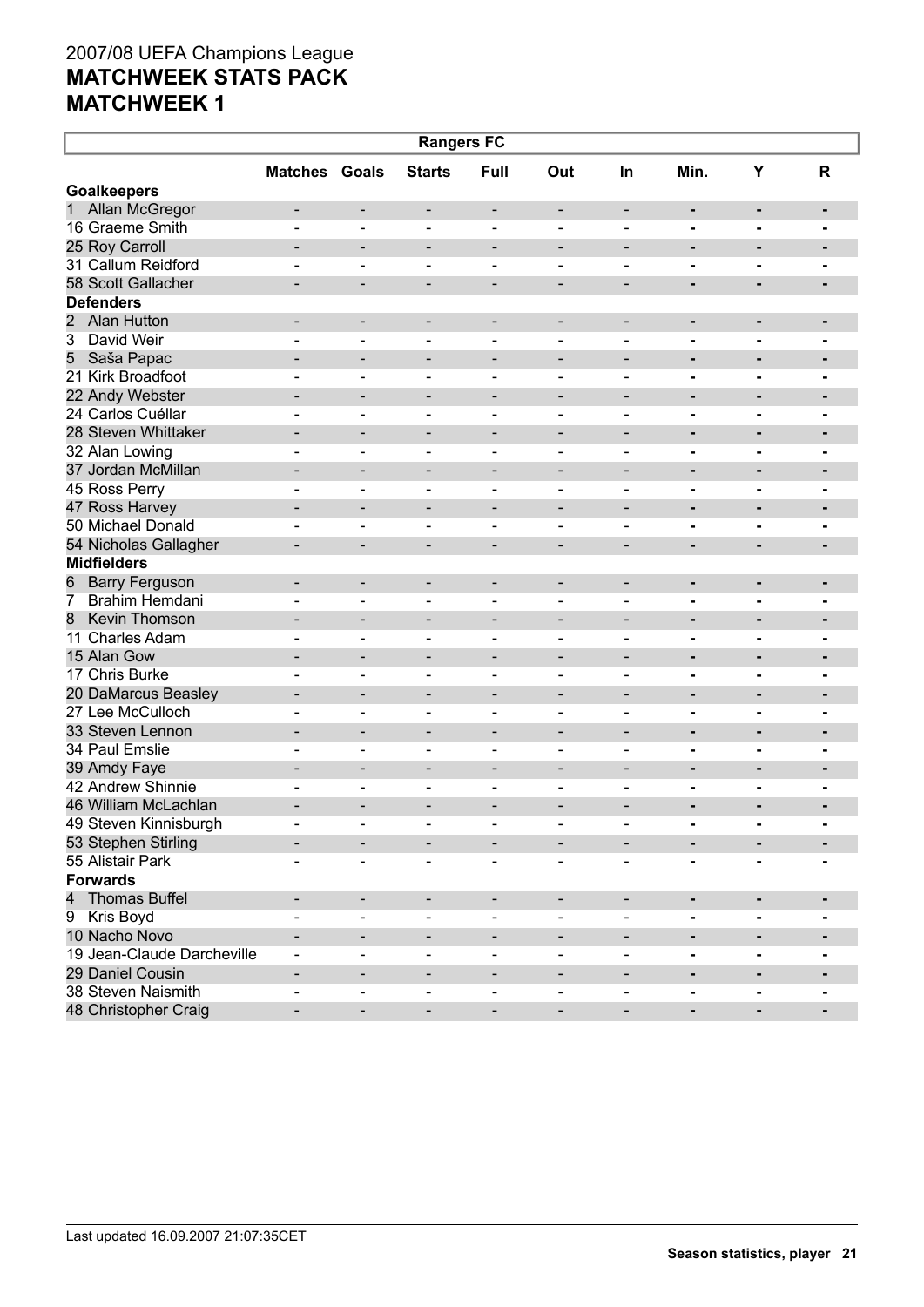| <b>Rangers FC</b>                    |                              |                              |                          |                              |                              |                              |                |                |                |  |
|--------------------------------------|------------------------------|------------------------------|--------------------------|------------------------------|------------------------------|------------------------------|----------------|----------------|----------------|--|
|                                      | <b>Matches Goals</b>         |                              | <b>Starts</b>            | Full                         | Out                          | <b>In</b>                    | Min.           | Υ              | R              |  |
| <b>Goalkeepers</b>                   |                              |                              |                          |                              |                              |                              |                |                |                |  |
| Allan McGregor<br>1                  | $\overline{\phantom{a}}$     | -                            | -                        | -                            | $\overline{\phantom{a}}$     | $\overline{\phantom{a}}$     | $\blacksquare$ | ٠              |                |  |
| 16 Graeme Smith                      | $\blacksquare$               | $\blacksquare$               | $\blacksquare$           | $\blacksquare$               | $\blacksquare$               | $\blacksquare$               | $\blacksquare$ | $\blacksquare$ | $\blacksquare$ |  |
| 25 Roy Carroll                       | $\qquad \qquad \blacksquare$ | $\qquad \qquad \blacksquare$ | $\overline{\phantom{a}}$ | $\qquad \qquad \blacksquare$ | $\qquad \qquad \blacksquare$ | $\overline{\phantom{a}}$     | -              | $\blacksquare$ | -              |  |
| 31 Callum Reidford                   | $\blacksquare$               | $\blacksquare$               | $\qquad \qquad -$        | $\blacksquare$               | $\blacksquare$               | $\blacksquare$               | $\blacksquare$ | $\blacksquare$ |                |  |
| 58 Scott Gallacher                   | $\qquad \qquad \blacksquare$ | $\qquad \qquad \blacksquare$ | $\overline{\phantom{a}}$ | $\qquad \qquad$              | $\qquad \qquad \blacksquare$ | $\overline{\phantom{a}}$     | $\blacksquare$ | ٠              | $\blacksquare$ |  |
| <b>Defenders</b>                     |                              |                              |                          |                              |                              |                              |                |                |                |  |
| $\overline{2}$<br><b>Alan Hutton</b> | $\qquad \qquad \blacksquare$ | -                            | $\overline{\phantom{a}}$ | -                            | $\overline{\phantom{a}}$     | $\overline{\phantom{a}}$     | $\blacksquare$ | $\blacksquare$ | -              |  |
| 3<br>David Weir                      | $\blacksquare$               | $\blacksquare$               | $\overline{\phantom{a}}$ | $\qquad \qquad \blacksquare$ | $\qquad \qquad \blacksquare$ | $\blacksquare$               | -              | $\blacksquare$ |                |  |
| 5<br>Saša Papac                      |                              | $\qquad \qquad \blacksquare$ | $\overline{\phantom{a}}$ | $\qquad \qquad \blacksquare$ | $\qquad \qquad$              | $\overline{\phantom{a}}$     | $\blacksquare$ | ٠              | $\blacksquare$ |  |
| 21 Kirk Broadfoot                    | $\blacksquare$               | $\blacksquare$               | $\overline{\phantom{a}}$ | $\qquad \qquad$              | $\qquad \qquad \blacksquare$ | $\overline{\phantom{a}}$     | -              | $\blacksquare$ | -              |  |
| 22 Andy Webster                      | $\overline{\phantom{0}}$     | $\qquad \qquad \blacksquare$ | $\overline{\phantom{a}}$ | $\qquad \qquad \blacksquare$ | $\qquad \qquad \blacksquare$ | $\overline{\phantom{a}}$     | $\blacksquare$ | $\blacksquare$ | $\blacksquare$ |  |
| 24 Carlos Cuéllar                    | $\blacksquare$               | $\blacksquare$               | $\overline{\phantom{0}}$ | $\blacksquare$               | $\blacksquare$               | $\blacksquare$               | $\blacksquare$ | $\blacksquare$ | $\blacksquare$ |  |
| 28 Steven Whittaker                  | $\overline{\phantom{0}}$     | $\qquad \qquad \blacksquare$ | $\overline{\phantom{a}}$ | $\qquad \qquad \blacksquare$ | $\qquad \qquad \blacksquare$ | $\overline{\phantom{a}}$     | $\blacksquare$ | $\blacksquare$ | -              |  |
| 32 Alan Lowing                       | $\blacksquare$               | $\blacksquare$               | $\overline{\phantom{0}}$ | $\blacksquare$               | $\blacksquare$               | $\blacksquare$               | $\blacksquare$ | $\blacksquare$ | $\blacksquare$ |  |
| 37 Jordan McMillan                   | $\overline{\phantom{0}}$     | $\qquad \qquad \blacksquare$ | $\overline{\phantom{a}}$ | $\qquad \qquad \blacksquare$ | $\qquad \qquad \blacksquare$ | $\overline{\phantom{a}}$     | $\blacksquare$ | $\blacksquare$ | -              |  |
| 45 Ross Perry                        | $\blacksquare$               | $\blacksquare$               | $\overline{\phantom{0}}$ | $\blacksquare$               | $\blacksquare$               | $\blacksquare$               | $\blacksquare$ | $\blacksquare$ | -              |  |
| 47 Ross Harvey                       | $\overline{\phantom{0}}$     | $\qquad \qquad \blacksquare$ | $\overline{\phantom{a}}$ | $\qquad \qquad \blacksquare$ | $\qquad \qquad \blacksquare$ | $\qquad \qquad \blacksquare$ | -              | $\blacksquare$ | $\blacksquare$ |  |
| 50 Michael Donald                    | $\blacksquare$               | $\blacksquare$               | $\overline{\phantom{a}}$ | $\qquad \qquad$              | $\qquad \qquad \blacksquare$ | $\overline{\phantom{a}}$     | -              | $\blacksquare$ | -              |  |
| 54 Nicholas Gallagher                | $\qquad \qquad \blacksquare$ | $\qquad \qquad \blacksquare$ | $\overline{\phantom{a}}$ | $\qquad \qquad \blacksquare$ | $\qquad \qquad$              | $\overline{\phantom{a}}$     | $\blacksquare$ | $\blacksquare$ | $\blacksquare$ |  |
| <b>Midfielders</b>                   |                              |                              |                          |                              |                              |                              |                |                |                |  |
| <b>Barry Ferguson</b><br>6           | $\qquad \qquad \blacksquare$ | -                            | $\overline{\phantom{a}}$ | $\qquad \qquad$              | $\qquad \qquad \blacksquare$ | $\overline{\phantom{a}}$     | $\blacksquare$ | ۰              | $\blacksquare$ |  |
| 7<br>Brahim Hemdani                  | $\blacksquare$               | $\blacksquare$               | $\overline{\phantom{a}}$ | $\qquad \qquad \blacksquare$ | $\qquad \qquad \blacksquare$ | $\blacksquare$               | -              | $\blacksquare$ | -              |  |
| 8<br>Kevin Thomson                   | $\overline{\phantom{0}}$     | $\qquad \qquad \blacksquare$ | $\overline{\phantom{a}}$ | $\qquad \qquad \blacksquare$ | $\qquad \qquad \blacksquare$ | $\overline{\phantom{a}}$     | $\blacksquare$ | $\blacksquare$ | $\blacksquare$ |  |
| 11 Charles Adam                      | $\blacksquare$               | $\blacksquare$               | $\overline{\phantom{0}}$ | $\blacksquare$               | $\blacksquare$               | $\blacksquare$               | $\blacksquare$ | $\blacksquare$ | -              |  |
| 15 Alan Gow                          | $\overline{\phantom{0}}$     | $\qquad \qquad \blacksquare$ | $\overline{\phantom{a}}$ | $\qquad \qquad \blacksquare$ | $\qquad \qquad \blacksquare$ | $\overline{\phantom{a}}$     | $\blacksquare$ | $\blacksquare$ | -              |  |
| 17 Chris Burke                       | $\blacksquare$               | $\blacksquare$               | $\overline{\phantom{0}}$ | $\blacksquare$               | $\blacksquare$               | $\blacksquare$               | $\blacksquare$ | $\blacksquare$ | $\blacksquare$ |  |
| 20 DaMarcus Beasley                  | $\qquad \qquad \blacksquare$ | $\qquad \qquad \blacksquare$ | $\overline{\phantom{a}}$ | $\qquad \qquad \blacksquare$ | $\qquad \qquad \blacksquare$ | $\overline{\phantom{a}}$     | $\blacksquare$ | $\blacksquare$ | -              |  |
| 27 Lee McCulloch                     | $\blacksquare$               | $\blacksquare$               | $\overline{\phantom{0}}$ | $\blacksquare$               | $\blacksquare$               | $\blacksquare$               | $\blacksquare$ | $\blacksquare$ | -              |  |
| 33 Steven Lennon                     | $\overline{\phantom{0}}$     | $\qquad \qquad \blacksquare$ | $\overline{\phantom{a}}$ | $\qquad \qquad \blacksquare$ | $\qquad \qquad \blacksquare$ | $\overline{\phantom{a}}$     | $\blacksquare$ | $\blacksquare$ | $\blacksquare$ |  |
| 34 Paul Emslie                       | $\blacksquare$               | $\blacksquare$               | $\overline{\phantom{a}}$ | $\qquad \qquad$              | $\qquad \qquad \blacksquare$ | $\blacksquare$               | -              | $\blacksquare$ |                |  |
| 39 Amdy Faye                         |                              | $\qquad \qquad \blacksquare$ | $\overline{\phantom{a}}$ | $\qquad \qquad \blacksquare$ | $\qquad \qquad \blacksquare$ | $\overline{\phantom{0}}$     | $\blacksquare$ | $\blacksquare$ | $\blacksquare$ |  |
| 42 Andrew Shinnie                    | $\qquad \qquad$              | $\overline{\phantom{0}}$     | $\overline{\phantom{a}}$ | $\overline{\phantom{0}}$     | $\overline{\phantom{0}}$     | $\overline{\phantom{0}}$     | -              | ۰              | -              |  |
| 46 William McLachlan                 | $\qquad \qquad \blacksquare$ | -                            | $\qquad \qquad$          |                              | $\qquad \qquad \blacksquare$ | $\overline{\phantom{0}}$     | $\blacksquare$ | $\blacksquare$ | -              |  |
| 49 Steven Kinnisburgh                |                              | -                            | $\overline{\phantom{a}}$ |                              |                              |                              |                | ٠              |                |  |
| 53 Stephen Stirling                  |                              |                              |                          |                              |                              |                              |                |                |                |  |
| 55 Alistair Park                     |                              | $\blacksquare$               | $\overline{\phantom{a}}$ |                              |                              |                              |                |                |                |  |
| <b>Forwards</b>                      |                              |                              |                          |                              |                              |                              |                |                |                |  |
| 4<br><b>Thomas Buffel</b>            | $\overline{\phantom{a}}$     | -                            | $\overline{\phantom{a}}$ | -                            | $\overline{\phantom{a}}$     |                              | ٠              | ٠              | -              |  |
| Kris Boyd<br>9                       | $\blacksquare$               | $\overline{\phantom{0}}$     | $\blacksquare$           | $\overline{\phantom{a}}$     |                              | $\blacksquare$               | Ξ.             | ۰              |                |  |
| 10 Nacho Novo                        | $\qquad \qquad \blacksquare$ | -                            | -                        | -                            |                              |                              | $\blacksquare$ | ٠              |                |  |
| 19 Jean-Claude Darcheville           | $\blacksquare$               | $\overline{\phantom{0}}$     | $\blacksquare$           | $\overline{\phantom{a}}$     | $\qquad \qquad \blacksquare$ | $\overline{\phantom{a}}$     | -              | ٠              |                |  |
| 29 Daniel Cousin                     | $\qquad \qquad \blacksquare$ | -                            | $\overline{\phantom{a}}$ | $\qquad \qquad$              | $\overline{a}$               | $\overline{\phantom{a}}$     | $\blacksquare$ | ٠              |                |  |
| 38 Steven Naismith                   | $\qquad \qquad \blacksquare$ | $\overline{\phantom{0}}$     | $\overline{\phantom{a}}$ | $\qquad \qquad \blacksquare$ | $\overline{\phantom{0}}$     | $\blacksquare$               |                | ۰              |                |  |
| 48 Christopher Craig                 | $\overline{\phantom{0}}$     | $\overline{\phantom{0}}$     | $\overline{\phantom{a}}$ | $\overline{\phantom{a}}$     | $\qquad \qquad \blacksquare$ | $\overline{\phantom{a}}$     | $\blacksquare$ | ٠              |                |  |
|                                      |                              |                              |                          |                              |                              |                              |                |                |                |  |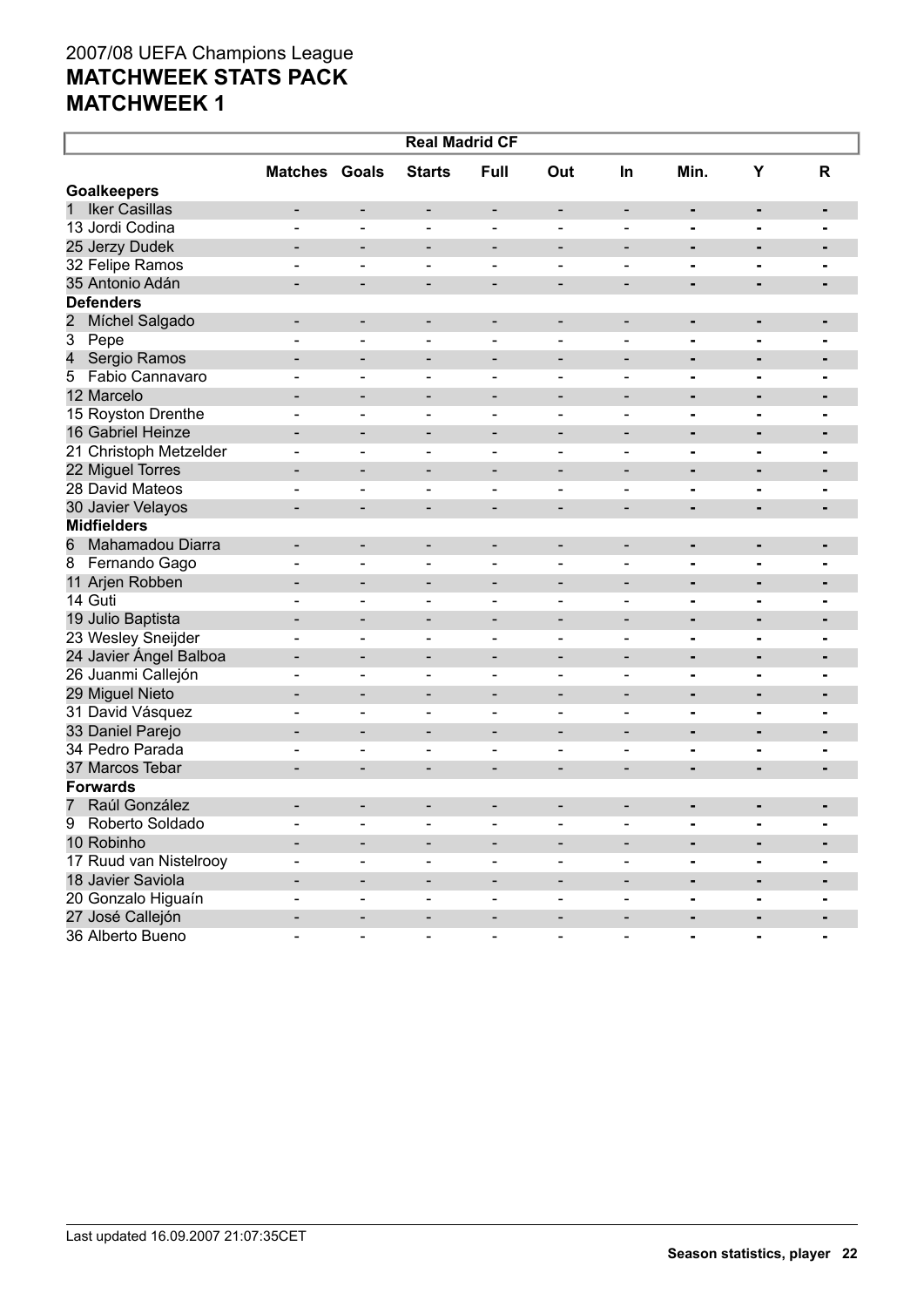| <b>Real Madrid CF</b>               |                              |                              |                              |                              |                              |                          |                |                |                |  |  |
|-------------------------------------|------------------------------|------------------------------|------------------------------|------------------------------|------------------------------|--------------------------|----------------|----------------|----------------|--|--|
|                                     | <b>Matches Goals</b>         |                              | <b>Starts</b>                | Full                         | Out                          | <b>In</b>                | Min.           | Υ              | R              |  |  |
| <b>Goalkeepers</b>                  |                              |                              |                              |                              |                              |                          |                |                |                |  |  |
| <b>Iker Casillas</b><br>$\mathbf 1$ | $\qquad \qquad \blacksquare$ | $\overline{\phantom{0}}$     | -                            | $\overline{\phantom{0}}$     | $\qquad \qquad \blacksquare$ | -                        | ۰              |                | $\blacksquare$ |  |  |
| 13 Jordi Codina                     | $\overline{a}$               | $\blacksquare$               | $\blacksquare$               | $\blacksquare$               | $\blacksquare$               | $\blacksquare$           | $\blacksquare$ | $\blacksquare$ | $\blacksquare$ |  |  |
| 25 Jerzy Dudek                      |                              | $\qquad \qquad \blacksquare$ |                              |                              |                              | $\overline{\phantom{0}}$ | ۰              |                | $\blacksquare$ |  |  |
| 32 Felipe Ramos                     |                              | $\blacksquare$               | $\overline{\phantom{0}}$     | $\blacksquare$               | $\blacksquare$               | $\overline{\phantom{0}}$ | -              | $\blacksquare$ |                |  |  |
| 35 Antonio Adán                     |                              | $\qquad \qquad \blacksquare$ | -                            | $\qquad \qquad \blacksquare$ | $\overline{\phantom{a}}$     | $\overline{\phantom{0}}$ | ٠              | -              | $\blacksquare$ |  |  |
| <b>Defenders</b>                    |                              |                              |                              |                              |                              |                          |                |                |                |  |  |
| 2<br>Míchel Salgado                 | $\qquad \qquad \blacksquare$ | -                            | -                            | $\overline{\phantom{0}}$     |                              |                          | ۰              |                |                |  |  |
| 3<br>Pepe                           |                              | $\qquad \qquad \blacksquare$ | -                            | $\qquad \qquad$              |                              | $\overline{\phantom{0}}$ | -              |                | $\blacksquare$ |  |  |
| 4<br>Sergio Ramos                   |                              | $\overline{\phantom{0}}$     |                              |                              |                              |                          | ۰              |                | $\blacksquare$ |  |  |
| Fabio Cannavaro<br>5                | $\blacksquare$               | $\qquad \qquad \blacksquare$ | $\qquad \qquad \blacksquare$ | $\qquad \qquad$              |                              | -                        | -              | $\blacksquare$ | $\blacksquare$ |  |  |
| 12 Marcelo                          |                              | $\overline{\phantom{0}}$     |                              |                              |                              |                          | ۰              | -              | ٠              |  |  |
| 15 Royston Drenthe                  | $\blacksquare$               | $\qquad \qquad \blacksquare$ | -                            | $\qquad \qquad$              |                              | $\overline{\phantom{0}}$ | -              | $\blacksquare$ |                |  |  |
| 16 Gabriel Heinze                   |                              | $\overline{\phantom{0}}$     |                              |                              |                              |                          | ۰              |                | ٠              |  |  |
| 21 Christoph Metzelder              | $\blacksquare$               | $\overline{\phantom{0}}$     | $\qquad \qquad \blacksquare$ | $\qquad \qquad$              | $\overline{\phantom{0}}$     | $\overline{\phantom{0}}$ | -              | $\blacksquare$ |                |  |  |
| 22 Miguel Torres                    |                              | $\overline{\phantom{0}}$     | -                            |                              |                              |                          | ۰              |                | ٠              |  |  |
| 28 David Mateos                     |                              | $\blacksquare$               | $\overline{\phantom{0}}$     | $\blacksquare$               |                              | $\overline{\phantom{0}}$ | $\blacksquare$ | $\blacksquare$ | $\blacksquare$ |  |  |
| 30 Javier Velayos                   |                              | $\qquad \qquad \blacksquare$ | -                            | $\qquad \qquad \blacksquare$ | $\overline{\phantom{a}}$     | $\overline{\phantom{0}}$ | ۰              |                | $\blacksquare$ |  |  |
| <b>Midfielders</b>                  |                              |                              |                              |                              |                              |                          |                |                |                |  |  |
| 6<br>Mahamadou Diarra               | $\overline{\phantom{0}}$     | -                            | -                            | $\qquad \qquad \blacksquare$ | $\qquad \qquad$              | -                        | ۰              |                | ٠              |  |  |
| $\overline{8}$<br>Fernando Gago     | ۳                            | $\blacksquare$               | $\blacksquare$               | $\blacksquare$               |                              | $\overline{\phantom{0}}$ | $\blacksquare$ | $\blacksquare$ | $\blacksquare$ |  |  |
| 11 Arjen Robben                     |                              | $\overline{\phantom{0}}$     | -                            | $\overline{\phantom{0}}$     |                              | $\overline{\phantom{0}}$ | ۰              |                |                |  |  |
| 14 Guti                             | $\overline{a}$               | $\blacksquare$               | $\blacksquare$               | $\qquad \qquad \blacksquare$ | $\blacksquare$               | $\overline{\phantom{0}}$ |                | $\blacksquare$ | $\blacksquare$ |  |  |
| 19 Julio Baptista                   |                              | $\qquad \qquad \blacksquare$ | -                            | $\overline{\phantom{0}}$     |                              | $\overline{\phantom{0}}$ | ۰              |                | $\blacksquare$ |  |  |
| 23 Wesley Sneijder                  | $\blacksquare$               | $\overline{\phantom{0}}$     | $\overline{\phantom{0}}$     | $\qquad \qquad$              | $\blacksquare$               | $\overline{\phantom{0}}$ | -              | $\blacksquare$ | $\blacksquare$ |  |  |
| 24 Javier Ángel Balboa              | $\overline{\phantom{0}}$     | $\overline{\phantom{0}}$     | -                            | $\overline{\phantom{0}}$     |                              | $\overline{\phantom{0}}$ | ۰              | -              | $\blacksquare$ |  |  |
| 26 Juanmi Callejón                  | $\blacksquare$               | $\qquad \qquad \blacksquare$ | -                            | $\qquad \qquad$              | $\overline{\phantom{0}}$     | $\overline{\phantom{0}}$ | -              | $\blacksquare$ | $\blacksquare$ |  |  |
| 29 Miguel Nieto                     |                              | $\overline{\phantom{0}}$     | -                            | $\overline{a}$               | $\qquad \qquad$              | $\overline{\phantom{0}}$ | ۰              | -              | ٠              |  |  |
| 31 David Vásquez                    | $\blacksquare$               | $\overline{\phantom{0}}$     | $\qquad \qquad \blacksquare$ | $\qquad \qquad$              | $\overline{\phantom{a}}$     | -                        | -              | $\blacksquare$ | $\blacksquare$ |  |  |
| 33 Daniel Parejo                    |                              | $\overline{\phantom{0}}$     | -                            | $\overline{a}$               | $\qquad \qquad$              | $\overline{\phantom{0}}$ | ۰              | -              | ٠              |  |  |
| 34 Pedro Parada                     |                              | $\qquad \qquad \blacksquare$ | -                            | $\qquad \qquad$              |                              | $\overline{\phantom{0}}$ | -              |                |                |  |  |
| 37 Marcos Tebar                     |                              | $\qquad \qquad \blacksquare$ |                              |                              |                              |                          | ۰              |                | $\blacksquare$ |  |  |
| <b>Forwards</b>                     |                              |                              |                              |                              |                              |                          |                |                |                |  |  |
| Raúl González<br>7 <sup>1</sup>     |                              |                              |                              |                              |                              |                          | ۰              |                |                |  |  |
| Q<br>Roberto Soldado                |                              |                              |                              |                              |                              |                          |                |                |                |  |  |
| 10 Robinho                          |                              |                              |                              |                              |                              |                          |                |                |                |  |  |
| 17 Ruud van Nistelrooy              |                              | $\overline{\phantom{0}}$     | -                            | $\qquad \qquad$              |                              |                          | -              |                |                |  |  |
| 18 Javier Saviola                   |                              | -                            | -                            | $\overline{\phantom{0}}$     |                              | -                        | ۰              | ۰              | ٠              |  |  |
| 20 Gonzalo Higuaín                  | $\overline{\phantom{0}}$     | $\overline{\phantom{0}}$     | $\qquad \qquad \blacksquare$ | $\overline{\phantom{a}}$     |                              | $\overline{\phantom{0}}$ | -              | $\blacksquare$ |                |  |  |
| 27 José Callejón                    |                              | -                            | -                            | -                            |                              |                          | -              |                |                |  |  |
| 36 Alberto Bueno                    | $\overline{\phantom{0}}$     | $\qquad \qquad \blacksquare$ | $\blacksquare$               | $\blacksquare$               | $\overline{\phantom{a}}$     | $\overline{\phantom{0}}$ | $\blacksquare$ | $\blacksquare$ |                |  |  |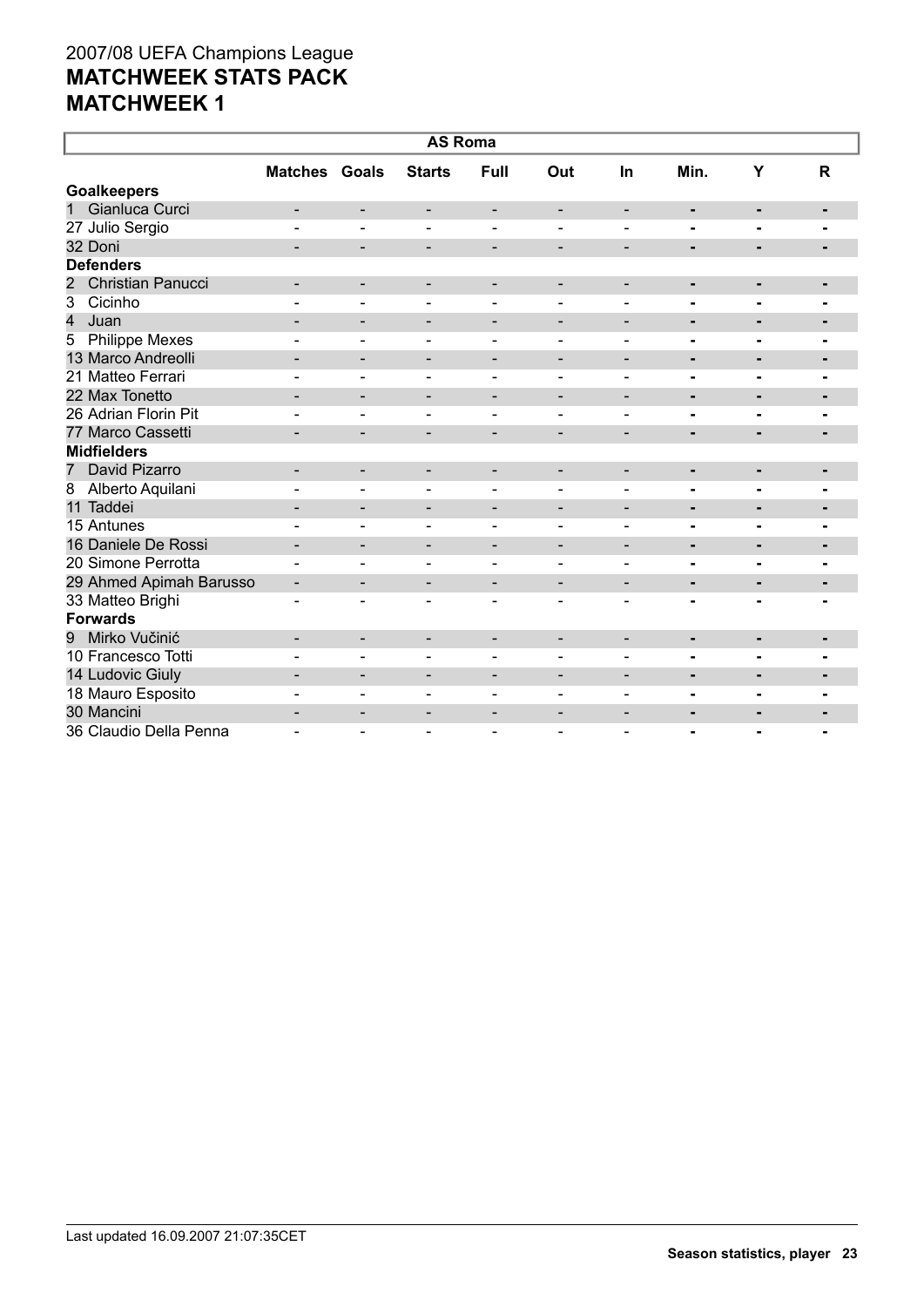| <b>AS Roma</b>                  |                              |                          |                          |                              |                              |                          |                |                |                |  |
|---------------------------------|------------------------------|--------------------------|--------------------------|------------------------------|------------------------------|--------------------------|----------------|----------------|----------------|--|
|                                 | <b>Matches Goals</b>         |                          | <b>Starts</b>            | Full                         | Out                          | In                       | Min.           | Y              | R              |  |
| <b>Goalkeepers</b>              |                              |                          |                          |                              |                              |                          |                |                |                |  |
| Gianluca Curci<br>1             | -                            | -                        | $\overline{\phantom{a}}$ | $\overline{\phantom{a}}$     | $\overline{\phantom{a}}$     | $\overline{\phantom{a}}$ | ٠              | $\blacksquare$ |                |  |
| 27 Julio Sergio                 | $\blacksquare$               | $\overline{\phantom{0}}$ | $\blacksquare$           | $\blacksquare$               | $\blacksquare$               | $\blacksquare$           |                |                |                |  |
| 32 Doni                         | $\qquad \qquad -$            | $\overline{\phantom{a}}$ | $\overline{\phantom{a}}$ | -                            | $\overline{\phantom{a}}$     | $\overline{\phantom{a}}$ | ۰              | ٠              | $\blacksquare$ |  |
| <b>Defenders</b>                |                              |                          |                          |                              |                              |                          |                |                |                |  |
| <b>Christian Panucci</b><br>2   | -                            | $\overline{\phantom{a}}$ | $\overline{\phantom{a}}$ | $\overline{\phantom{a}}$     | $\overline{\phantom{a}}$     | $\overline{\phantom{a}}$ | $\blacksquare$ | $\blacksquare$ |                |  |
| Cicinho<br>3                    |                              |                          | ÷                        |                              |                              |                          |                | $\blacksquare$ |                |  |
| 4<br>Juan                       | $\blacksquare$               | $\overline{\phantom{a}}$ | $\overline{\phantom{a}}$ | $\overline{\phantom{a}}$     | $\overline{\phantom{a}}$     | $\overline{\phantom{a}}$ | $\blacksquare$ | $\blacksquare$ | ٠              |  |
| <b>Philippe Mexes</b><br>5      |                              |                          |                          |                              | $\qquad \qquad \blacksquare$ |                          | -              | $\blacksquare$ |                |  |
| 13 Marco Andreolli              | $\qquad \qquad -$            | $\overline{\phantom{0}}$ | $\overline{\phantom{a}}$ | $\qquad \qquad \blacksquare$ | $\qquad \qquad \blacksquare$ | $\overline{\phantom{a}}$ | ۰              | $\blacksquare$ | ٠              |  |
| 21 Matteo Ferrari               |                              | $\blacksquare$           | $\overline{\phantom{a}}$ | $\overline{\phantom{a}}$     | $\blacksquare$               | $\overline{\phantom{0}}$ | ۰              | $\blacksquare$ |                |  |
| 22 Max Tonetto                  | $\overline{\phantom{0}}$     | $\overline{\phantom{0}}$ | $\overline{\phantom{0}}$ | $\overline{\phantom{a}}$     | $\overline{\phantom{a}}$     | $\overline{\phantom{a}}$ | ۰              | $\blacksquare$ | $\blacksquare$ |  |
| 26 Adrian Florin Pit            |                              |                          | $\overline{\phantom{0}}$ | $\overline{a}$               | $\overline{\phantom{a}}$     |                          | $\overline{a}$ | $\blacksquare$ |                |  |
| 77 Marco Cassetti               | $\qquad \qquad \blacksquare$ | -                        | $\overline{\phantom{a}}$ | $\overline{\phantom{a}}$     | $\qquad \qquad \blacksquare$ |                          | ٠              | ٠              |                |  |
| <b>Midfielders</b>              |                              |                          |                          |                              |                              |                          |                |                |                |  |
| David Pizarro<br>$\overline{7}$ | -                            | $\overline{\phantom{0}}$ | $\overline{\phantom{a}}$ | $\overline{\phantom{a}}$     | $\overline{\phantom{a}}$     | $\overline{\phantom{a}}$ | ٠              | $\blacksquare$ |                |  |
| Alberto Aquilani<br>8           |                              |                          | $\overline{\phantom{a}}$ | $\blacksquare$               | $\overline{\phantom{a}}$     | $\blacksquare$           | Ξ.             | $\blacksquare$ |                |  |
| 11 Taddei                       | $\blacksquare$               | $\blacksquare$           | $\overline{\phantom{a}}$ | $\overline{\phantom{a}}$     | $\overline{\phantom{a}}$     | $\overline{\phantom{a}}$ | $\blacksquare$ | $\blacksquare$ | -              |  |
| 15 Antunes                      |                              | $\blacksquare$           | $\blacksquare$           | $\blacksquare$               | $\blacksquare$               | ۳                        | Ξ.             | $\blacksquare$ | $\blacksquare$ |  |
| 16 Daniele De Rossi             | ۰                            | $\overline{\phantom{0}}$ | $\overline{\phantom{a}}$ | $\overline{\phantom{0}}$     | $\overline{\phantom{a}}$     | $\overline{\phantom{a}}$ | $\blacksquare$ | $\blacksquare$ | $\blacksquare$ |  |
| 20 Simone Perrotta              |                              | $\blacksquare$           | $\qquad \qquad -$        | $\overline{\phantom{0}}$     | $\blacksquare$               | $\blacksquare$           |                | $\blacksquare$ |                |  |
| 29 Ahmed Apimah Barusso         | $\overline{\phantom{a}}$     | $\overline{\phantom{a}}$ | $\overline{\phantom{a}}$ | $\overline{\phantom{a}}$     | $\overline{\phantom{0}}$     | $\overline{\phantom{a}}$ | $\blacksquare$ | $\blacksquare$ |                |  |
| 33 Matteo Brighi                |                              |                          | $\blacksquare$           | $\blacksquare$               | $\blacksquare$               |                          |                | $\blacksquare$ |                |  |
| <b>Forwards</b>                 |                              |                          |                          |                              |                              |                          |                |                |                |  |
| Mirko Vučinić<br>9              | $\qquad \qquad -$            | $\overline{\phantom{a}}$ | $\overline{\phantom{a}}$ | $\qquad \qquad \blacksquare$ | $\overline{\phantom{a}}$     | $\overline{\phantom{a}}$ | $\blacksquare$ | ٠              | ٠              |  |
| 10 Francesco Totti              |                              | $\blacksquare$           | $\overline{\phantom{0}}$ | $\blacksquare$               | $\blacksquare$               |                          | $\blacksquare$ | $\blacksquare$ |                |  |
| 14 Ludovic Giuly                | $\overline{\phantom{0}}$     | $\overline{\phantom{a}}$ | $\overline{\phantom{a}}$ | $\qquad \qquad \blacksquare$ | $\qquad \qquad \blacksquare$ | $\overline{\phantom{a}}$ | ٠              | $\blacksquare$ |                |  |
| 18 Mauro Esposito               | $\overline{\phantom{0}}$     | $\blacksquare$           | $\blacksquare$           |                              |                              | $\blacksquare$           |                |                |                |  |
| 30 Mancini                      | $\qquad \qquad \blacksquare$ | $\overline{\phantom{0}}$ | $\overline{\phantom{a}}$ |                              |                              |                          | $\blacksquare$ | $\blacksquare$ |                |  |
| 36 Claudio Della Penna          |                              |                          |                          |                              | $\blacksquare$               |                          |                | $\blacksquare$ |                |  |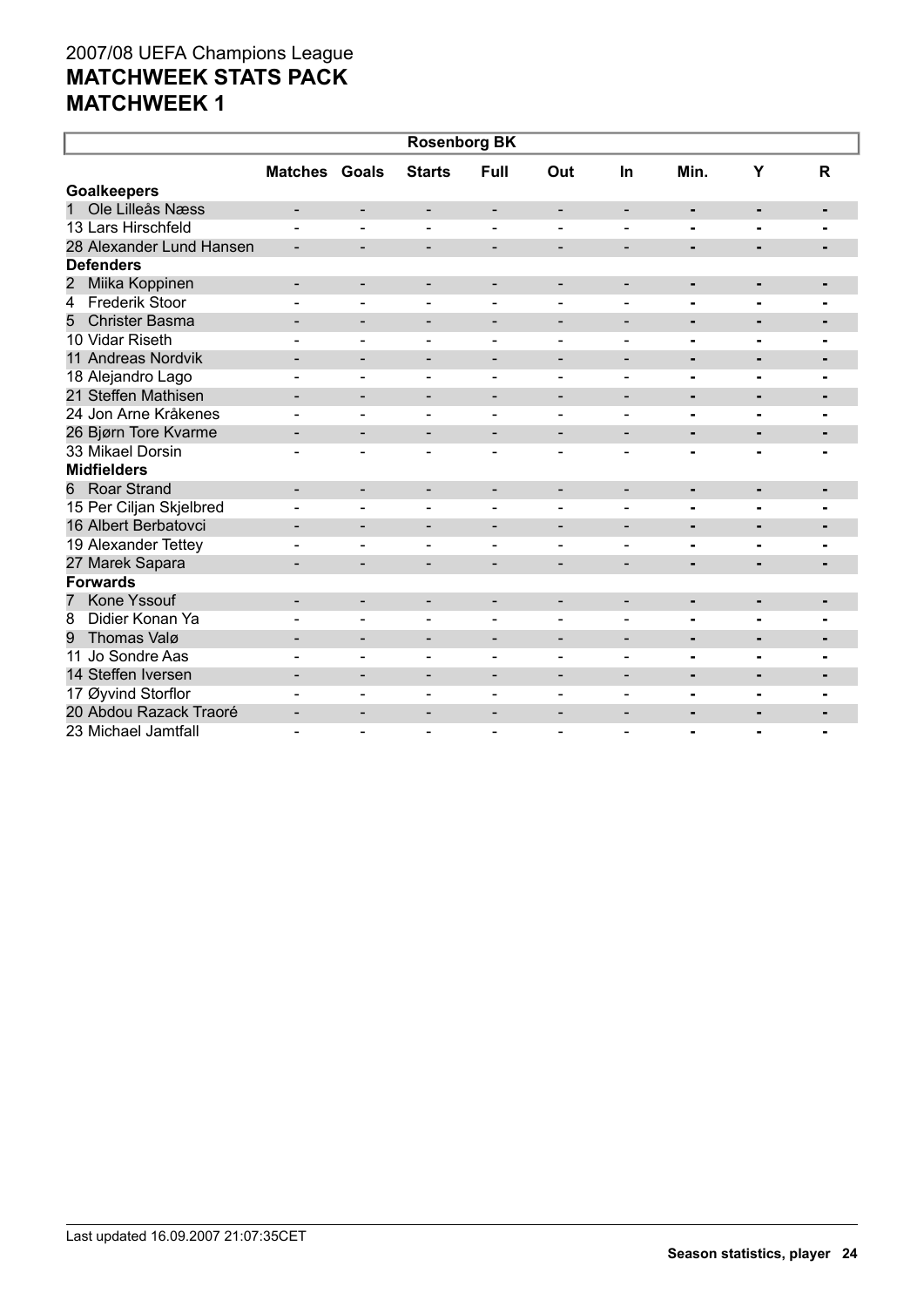| <b>Rosenborg BK</b>           |                              |                              |                              |                              |                          |                          |                |                |                          |  |
|-------------------------------|------------------------------|------------------------------|------------------------------|------------------------------|--------------------------|--------------------------|----------------|----------------|--------------------------|--|
|                               | <b>Matches Goals</b>         |                              | <b>Starts</b>                | Full                         | Out                      | In                       | Min.           | Y              | $\mathsf{R}$             |  |
| <b>Goalkeepers</b>            |                              |                              |                              |                              |                          |                          |                |                |                          |  |
| Ole Lilleås Næss<br>1         | $\overline{\phantom{0}}$     | -                            | -                            | $\overline{\phantom{a}}$     |                          | $\overline{\phantom{a}}$ | $\blacksquare$ | ٠              |                          |  |
| 13 Lars Hirschfeld            |                              | $\overline{\phantom{0}}$     | $\blacksquare$               | $\blacksquare$               |                          |                          |                |                |                          |  |
| 28 Alexander Lund Hansen      |                              | $\overline{\phantom{a}}$     | -                            | $\overline{\phantom{a}}$     | $\overline{\phantom{a}}$ | $\overline{\phantom{a}}$ | ٠              |                |                          |  |
| <b>Defenders</b>              |                              |                              |                              |                              |                          |                          |                |                |                          |  |
| Miika Koppinen<br>2           |                              | $\overline{\phantom{a}}$     | -                            | $\overline{\phantom{a}}$     | $\overline{\phantom{a}}$ | $\overline{\phantom{a}}$ | $\blacksquare$ | $\blacksquare$ |                          |  |
| <b>Frederik Stoor</b><br>4    |                              |                              |                              |                              |                          |                          | $\blacksquare$ |                |                          |  |
| <b>Christer Basma</b><br>5    |                              | $\overline{\phantom{a}}$     | $\qquad \qquad -$            | $\overline{\phantom{a}}$     | $\overline{\phantom{a}}$ | $\blacksquare$           | ٠              | ٠              | ٠                        |  |
| 10 Vidar Riseth               |                              |                              |                              |                              |                          |                          | $\blacksquare$ |                |                          |  |
| 11 Andreas Nordvik            |                              | $\overline{\phantom{0}}$     | -                            | $\qquad \qquad \blacksquare$ | $\overline{a}$           |                          | $\blacksquare$ | $\blacksquare$ | ٠                        |  |
| 18 Alejandro Lago             |                              | $\blacksquare$               | $\overline{\phantom{0}}$     | $\overline{\phantom{a}}$     |                          | $\blacksquare$           | ۰              | $\blacksquare$ |                          |  |
| 21 Steffen Mathisen           |                              | $\overline{\phantom{a}}$     | -                            | $\overline{\phantom{a}}$     | $\overline{\phantom{a}}$ | $\blacksquare$           | $\blacksquare$ | ٠              | $\blacksquare$           |  |
| 24 Jon Arne Kråkenes          |                              |                              | $\equiv$                     | $\blacksquare$               |                          |                          | $\blacksquare$ | $\blacksquare$ |                          |  |
| 26 Bjørn Tore Kvarme          | $\qquad \qquad \blacksquare$ | -                            | -                            | $\overline{\phantom{a}}$     | $\overline{\phantom{a}}$ | -                        | ٠              |                |                          |  |
| 33 Mikael Dorsin              |                              | $\blacksquare$               | $\overline{\phantom{0}}$     | $\blacksquare$               |                          |                          |                |                |                          |  |
| <b>Midfielders</b>            |                              |                              |                              |                              |                          |                          |                |                |                          |  |
| <b>Roar Strand</b><br>6       |                              | $\overline{\phantom{a}}$     | -                            | $\overline{\phantom{a}}$     |                          |                          | ٠              | ٠              | ٠                        |  |
| 15 Per Ciljan Skjelbred       |                              | $\blacksquare$               | $\blacksquare$               | $\blacksquare$               |                          | $\blacksquare$           | $\blacksquare$ | $\blacksquare$ | $\overline{\phantom{0}}$ |  |
| 16 Albert Berbatovci          |                              | $\blacksquare$               | $\blacksquare$               | $\overline{\phantom{a}}$     | $\overline{\phantom{a}}$ | $\blacksquare$           | $\blacksquare$ | ٠              | $\blacksquare$           |  |
| 19 Alexander Tettey           |                              |                              |                              |                              |                          |                          |                |                |                          |  |
| 27 Marek Sapara               |                              | -                            |                              |                              |                          |                          | $\blacksquare$ |                |                          |  |
| <b>Forwards</b>               |                              |                              |                              |                              |                          |                          |                |                |                          |  |
| Kone Yssouf<br>$\overline{7}$ |                              | $\overline{\phantom{0}}$     | -                            | $\overline{\phantom{a}}$     |                          |                          | ۰              |                |                          |  |
| Didier Konan Ya<br>8          |                              | $\blacksquare$               | $\blacksquare$               | $\blacksquare$               | $\blacksquare$           | $\blacksquare$           | ۰              |                |                          |  |
| Thomas Valø<br>9              |                              | $\overline{\phantom{a}}$     | $\qquad \qquad \blacksquare$ | $\overline{\phantom{a}}$     | $\overline{\phantom{a}}$ | $\overline{\phantom{a}}$ | ۰              | $\blacksquare$ | -                        |  |
| 11 Jo Sondre Aas              |                              | $\blacksquare$               | $\blacksquare$               | $\blacksquare$               |                          |                          | $\blacksquare$ | $\blacksquare$ |                          |  |
| 14 Steffen Iversen            |                              | $\overline{\phantom{0}}$     | $\overline{\phantom{0}}$     | $\overline{\phantom{0}}$     |                          |                          | ۰              | $\blacksquare$ |                          |  |
| 17 Øyvind Storflor            |                              | $\blacksquare$               |                              |                              |                          | $\overline{\phantom{0}}$ |                |                |                          |  |
| 20 Abdou Razack Traoré        | $\qquad \qquad \blacksquare$ | $\qquad \qquad \blacksquare$ |                              |                              |                          |                          | $\blacksquare$ |                |                          |  |
| 23 Michael Jamtfall           |                              |                              |                              |                              |                          |                          |                |                |                          |  |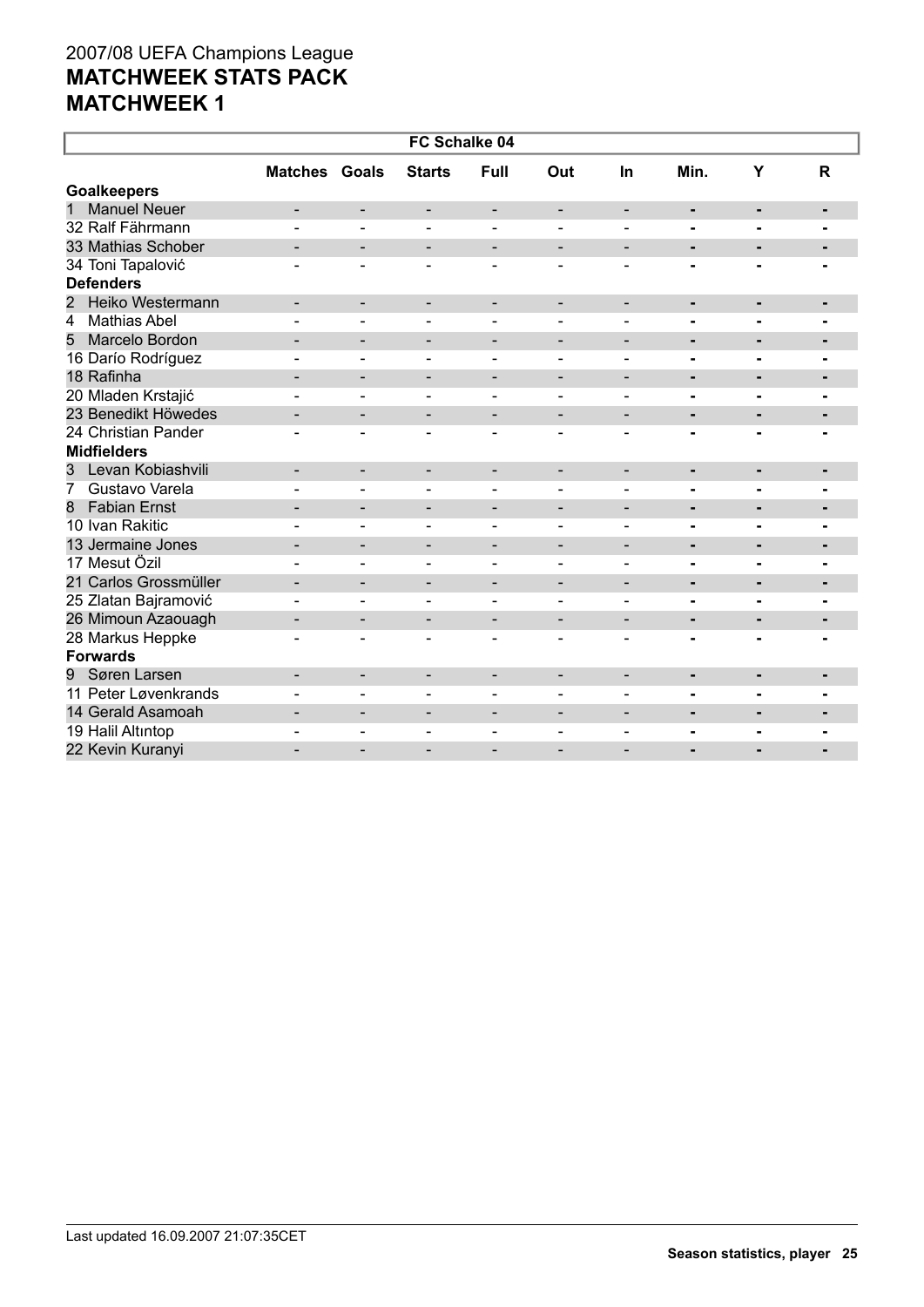| FC Schalke 04            |                              |                              |                              |                          |                              |                              |                |                          |                |  |
|--------------------------|------------------------------|------------------------------|------------------------------|--------------------------|------------------------------|------------------------------|----------------|--------------------------|----------------|--|
|                          | <b>Matches Goals</b>         |                              | <b>Starts</b>                | Full                     | Out                          | In                           | Min.           | Y                        | $\mathbf R$    |  |
| <b>Goalkeepers</b>       |                              |                              |                              |                          |                              |                              |                |                          |                |  |
| <b>Manuel Neuer</b><br>1 |                              | $\qquad \qquad \blacksquare$ | $\overline{\phantom{a}}$     | $\overline{\phantom{a}}$ | $\overline{\phantom{a}}$     | $\overline{\phantom{a}}$     | ۰              | $\blacksquare$           | $\blacksquare$ |  |
| 32 Ralf Fährmann         |                              |                              |                              |                          |                              |                              | $\blacksquare$ | $\blacksquare$           | $\blacksquare$ |  |
| 33 Mathias Schober       | -                            | $\overline{\phantom{a}}$     | -                            | $\overline{\phantom{a}}$ | $\overline{\phantom{a}}$     | $\overline{\phantom{a}}$     | $\blacksquare$ | $\blacksquare$           | $\blacksquare$ |  |
| 34 Toni Tapalović        |                              | $\blacksquare$               | $\blacksquare$               | $\blacksquare$           | $\overline{\phantom{a}}$     |                              |                |                          |                |  |
| <b>Defenders</b>         |                              |                              |                              |                          |                              |                              |                |                          |                |  |
| Heiko Westermann<br>2    | $\blacksquare$               | $\overline{\phantom{a}}$     | $\overline{\phantom{a}}$     | $\overline{\phantom{a}}$ | $\overline{\phantom{a}}$     | $\overline{\phantom{a}}$     | ٠              | ٠                        | $\blacksquare$ |  |
| <b>Mathias Abel</b><br>4 |                              |                              |                              |                          |                              |                              |                |                          |                |  |
| Marcelo Bordon<br>5      |                              | $\overline{\phantom{a}}$     | $\overline{\phantom{a}}$     | $\overline{\phantom{0}}$ | $\overline{\phantom{a}}$     | $\qquad \qquad \blacksquare$ | -              | $\blacksquare$           | $\blacksquare$ |  |
| 16 Darío Rodríguez       |                              |                              |                              | $\overline{a}$           |                              |                              | $\blacksquare$ | $\blacksquare$           |                |  |
| 18 Rafinha               | $\qquad \qquad \blacksquare$ | $\overline{\phantom{a}}$     | -                            | $\overline{\phantom{a}}$ | $\overline{\phantom{a}}$     | $\overline{\phantom{a}}$     | $\blacksquare$ | ٠                        | $\blacksquare$ |  |
| 20 Mladen Krstajić       |                              | $\blacksquare$               | Ξ.                           | $\blacksquare$           |                              |                              | $\blacksquare$ | Ξ.                       |                |  |
| 23 Benedikt Höwedes      | $\overline{\phantom{a}}$     | -                            | -                            | -                        | $\overline{\phantom{a}}$     | $\overline{\phantom{a}}$     | $\blacksquare$ | ٠                        |                |  |
| 24 Christian Pander      |                              | $\overline{\phantom{0}}$     | $\blacksquare$               | $\blacksquare$           | $\blacksquare$               |                              |                |                          |                |  |
| <b>Midfielders</b>       |                              |                              |                              |                          |                              |                              |                |                          |                |  |
| Levan Kobiashvili<br>3   | $\overline{\phantom{a}}$     | $\overline{\phantom{a}}$     | $\overline{\phantom{a}}$     | $\overline{\phantom{a}}$ | $\qquad \qquad \blacksquare$ | $\overline{\phantom{a}}$     | ٠              | $\blacksquare$           | $\blacksquare$ |  |
| 7<br>Gustavo Varela      |                              |                              |                              |                          |                              |                              | $\blacksquare$ | $\blacksquare$           |                |  |
| <b>Fabian Ernst</b><br>8 |                              | $\overline{\phantom{a}}$     | $\qquad \qquad \blacksquare$ | $\overline{\phantom{a}}$ | $\overline{\phantom{a}}$     | $\overline{\phantom{a}}$     | ٠              | ٠                        |                |  |
| 10 Ivan Rakitic          |                              | $\blacksquare$               | $\blacksquare$               | $\blacksquare$           |                              | $\blacksquare$               |                |                          |                |  |
| 13 Jermaine Jones        | $\overline{\phantom{0}}$     | $\overline{\phantom{a}}$     | -                            | $\overline{\phantom{a}}$ | $\overline{\phantom{a}}$     | $\overline{\phantom{a}}$     | ٠              | ٠                        | ٠              |  |
| 17 Mesut Özil            |                              | ۳                            | $\equiv$                     | $\sim$                   | $\blacksquare$               | $\blacksquare$               | $\blacksquare$ | $\blacksquare$           | $\blacksquare$ |  |
| 21 Carlos Grossmüller    |                              | $\blacksquare$               | $\qquad \qquad \blacksquare$ | $\overline{\phantom{a}}$ | $\overline{\phantom{a}}$     | $\blacksquare$               | $\blacksquare$ | $\blacksquare$           | $\blacksquare$ |  |
| 25 Zlatan Bajramović     |                              | $\overline{a}$               | $\blacksquare$               | $\blacksquare$           | $\overline{\phantom{a}}$     | ۳                            | $\blacksquare$ | $\blacksquare$           | $\blacksquare$ |  |
| 26 Mimoun Azaouagh       |                              | $\overline{\phantom{a}}$     | -                            | $\overline{\phantom{a}}$ | $\overline{a}$               | $\overline{\phantom{a}}$     | $\blacksquare$ | $\blacksquare$           | $\blacksquare$ |  |
| 28 Markus Heppke         |                              | $\blacksquare$               | $\overline{\phantom{0}}$     | $\blacksquare$           |                              |                              | $\blacksquare$ | $\blacksquare$           |                |  |
| <b>Forwards</b>          |                              |                              |                              |                          |                              |                              |                |                          |                |  |
| Søren Larsen<br>9        | $\qquad \qquad \blacksquare$ | $\overline{\phantom{a}}$     | $\overline{\phantom{a}}$     | $\overline{\phantom{a}}$ | $\overline{\phantom{a}}$     | $\overline{\phantom{a}}$     | ٠              | $\blacksquare$           | ٠              |  |
| 11 Peter Løvenkrands     |                              | L.                           | $\overline{a}$               | $\blacksquare$           |                              |                              | $\blacksquare$ | $\overline{\phantom{0}}$ |                |  |
| 14 Gerald Asamoah        |                              | $\overline{\phantom{a}}$     | -                            | $\qquad \qquad$          |                              |                              | ٠              | -                        | $\blacksquare$ |  |
| 19 Halil Altıntop        |                              | $\overline{a}$               | ۳                            | $\overline{a}$           |                              |                              | $\blacksquare$ | $\blacksquare$           | $\blacksquare$ |  |
| 22 Kevin Kuranyi         |                              |                              |                              |                          |                              |                              |                |                          |                |  |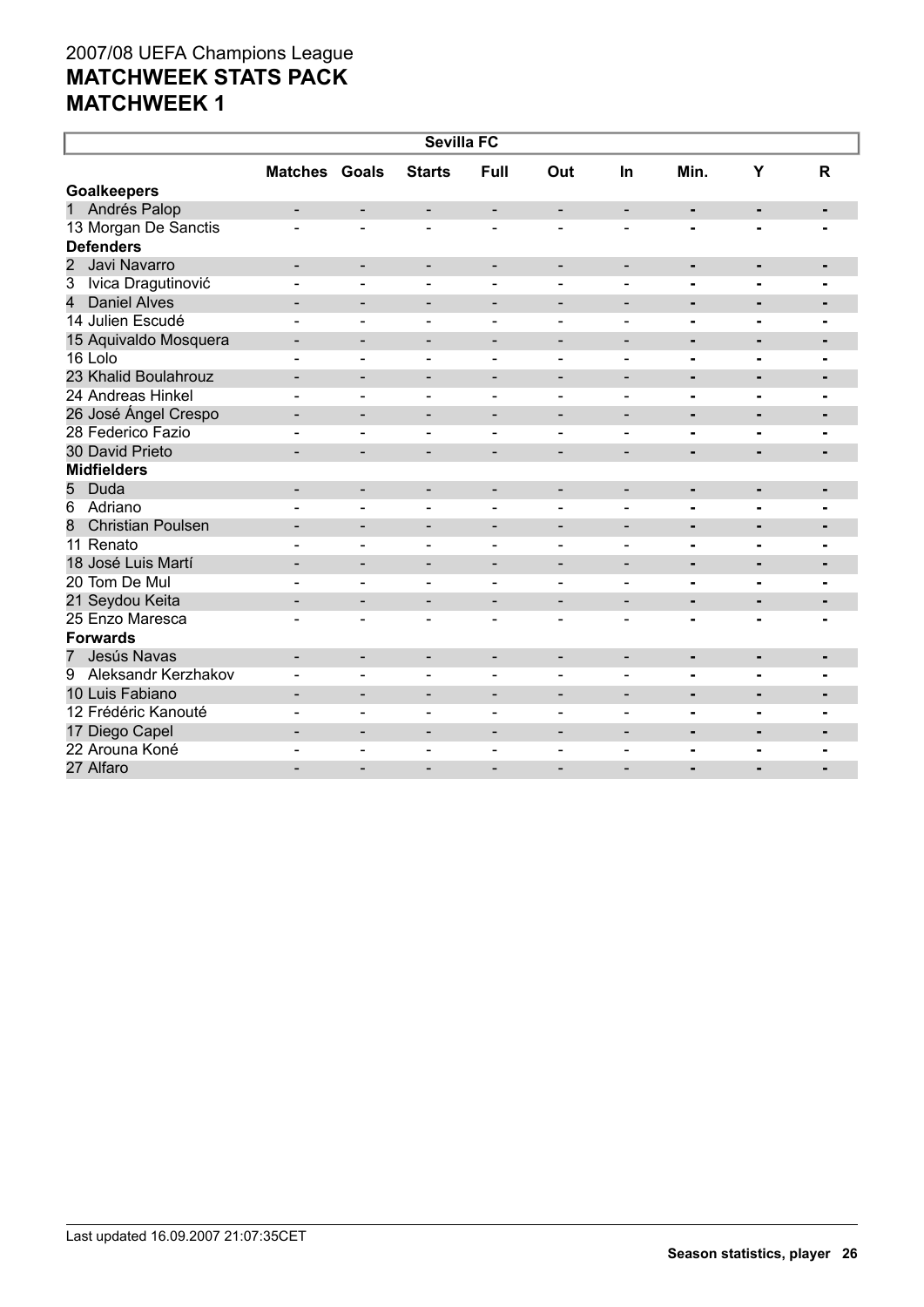| <b>Sevilla FC</b>                    |                          |                          |                              |                          |                          |                          |                              |                |                |  |
|--------------------------------------|--------------------------|--------------------------|------------------------------|--------------------------|--------------------------|--------------------------|------------------------------|----------------|----------------|--|
|                                      | <b>Matches Goals</b>     |                          | <b>Starts</b>                | <b>Full</b>              | Out                      | <b>In</b>                | Min.                         | Y              | R              |  |
| <b>Goalkeepers</b>                   |                          |                          |                              |                          |                          |                          |                              |                |                |  |
| Andrés Palop<br>1                    |                          | $\overline{\phantom{0}}$ | -                            | $\overline{\phantom{a}}$ | $\overline{\phantom{0}}$ | $\overline{\phantom{a}}$ | $\qquad \qquad \blacksquare$ | $\blacksquare$ | ٠              |  |
| 13 Morgan De Sanctis                 |                          | $\blacksquare$           |                              |                          |                          |                          |                              |                |                |  |
| <b>Defenders</b>                     |                          |                          |                              |                          |                          |                          |                              |                |                |  |
| $\overline{2}$<br>Javi Navarro       |                          | $\overline{\phantom{a}}$ | $\qquad \qquad -$            | $\overline{\phantom{a}}$ |                          |                          | $\blacksquare$               | ٠              | $\blacksquare$ |  |
| $\overline{3}$<br>Ivica Dragutinović |                          | L.                       |                              | $\blacksquare$           |                          |                          | $\blacksquare$               | $\blacksquare$ |                |  |
| 4<br><b>Daniel Alves</b>             | -                        | $\overline{\phantom{a}}$ | -                            | $\overline{\phantom{a}}$ | $\qquad \qquad -$        | $\overline{\phantom{a}}$ | $\blacksquare$               | $\blacksquare$ | ۰              |  |
| 14 Julien Escudé                     |                          | L.                       | $\overline{a}$               | $\blacksquare$           | $\blacksquare$           | ۳                        | $\blacksquare$               | $\blacksquare$ | $\blacksquare$ |  |
| 15 Aquivaldo Mosquera                |                          | $\overline{\phantom{a}}$ | -                            | $\overline{\phantom{a}}$ | $\qquad \qquad$          | $\blacksquare$           | ٠                            | $\blacksquare$ | $\blacksquare$ |  |
| 16 Lolo                              |                          | $\overline{\phantom{0}}$ | $\blacksquare$               | $\blacksquare$           | $\blacksquare$           | $\blacksquare$           | $\blacksquare$               | $\blacksquare$ | $\blacksquare$ |  |
| 23 Khalid Boulahrouz                 | -                        | $\overline{\phantom{0}}$ | $\qquad \qquad \blacksquare$ | $\overline{\phantom{a}}$ | $\overline{\phantom{a}}$ | $\overline{\phantom{a}}$ | ۰                            | ٠              | $\blacksquare$ |  |
| 24 Andreas Hinkel                    |                          | $\overline{a}$           |                              | $\blacksquare$           |                          |                          | $\blacksquare$               | $\blacksquare$ | Ξ.             |  |
| 26 José Ángel Crespo                 | -                        | $\overline{\phantom{a}}$ | $\qquad \qquad -$            | $\overline{\phantom{a}}$ | $\overline{\phantom{a}}$ | $\overline{\phantom{a}}$ | $\blacksquare$               | ٠              | $\blacksquare$ |  |
| 28 Federico Fazio                    |                          | L.                       | ۳                            | $\overline{a}$           | ÷                        | $\overline{a}$           | $\blacksquare$               | $\blacksquare$ | $\blacksquare$ |  |
| 30 David Prieto                      |                          |                          |                              |                          |                          |                          | $\blacksquare$               |                |                |  |
| <b>Midfielders</b>                   |                          |                          |                              |                          |                          |                          |                              |                |                |  |
| 5<br>Duda                            | $\overline{\phantom{0}}$ | $\overline{\phantom{a}}$ | -                            | $\overline{\phantom{a}}$ | $\overline{\phantom{a}}$ | $\overline{\phantom{a}}$ | ۰                            | ٠              | ٠              |  |
| 6<br>Adriano                         |                          | $\blacksquare$           | $\overline{\phantom{0}}$     | $\blacksquare$           |                          | $\overline{\phantom{0}}$ | $\blacksquare$               | $\blacksquare$ |                |  |
| <b>Christian Poulsen</b><br>8        |                          | $\overline{\phantom{a}}$ | $\qquad \qquad \blacksquare$ | $\overline{\phantom{a}}$ | $\overline{\phantom{a}}$ | $\overline{\phantom{a}}$ | ۰                            | $\blacksquare$ | $\blacksquare$ |  |
| 11 Renato                            |                          | $\blacksquare$           | $\overline{\phantom{0}}$     | $\blacksquare$           | $\overline{\phantom{a}}$ | $\blacksquare$           | $\blacksquare$               | $\blacksquare$ | $\blacksquare$ |  |
| 18 José Luis Martí                   | $\blacksquare$           | $\overline{\phantom{0}}$ | $\overline{\phantom{a}}$     | $\overline{\phantom{a}}$ | $\overline{\phantom{a}}$ | $\blacksquare$           | $\blacksquare$               | $\blacksquare$ | $\blacksquare$ |  |
| 20 Tom De Mul                        |                          | $\overline{\phantom{a}}$ | $\blacksquare$               | $\overline{\phantom{a}}$ | $\blacksquare$           | $\blacksquare$           | $\blacksquare$               | $\blacksquare$ | $\blacksquare$ |  |
| 21 Seydou Keita                      | -                        | $\overline{\phantom{a}}$ | -                            | $\overline{\phantom{a}}$ | $\overline{\phantom{a}}$ | $\overline{\phantom{a}}$ | ٠                            | ٠              | $\blacksquare$ |  |
| 25 Enzo Maresca                      | $\overline{\phantom{0}}$ | $\blacksquare$           | $\overline{\phantom{a}}$     | $\blacksquare$           | $\overline{\phantom{a}}$ | $\blacksquare$           | $\blacksquare$               | $\blacksquare$ | $\blacksquare$ |  |
| <b>Forwards</b>                      |                          |                          |                              |                          |                          |                          |                              |                |                |  |
| Jesús Navas<br>$\overline{7}$        | $\overline{\phantom{0}}$ | $\overline{\phantom{a}}$ | $\overline{\phantom{a}}$     | $\overline{\phantom{a}}$ | $\overline{\phantom{a}}$ | $\overline{\phantom{a}}$ | ۰                            | $\blacksquare$ | ٠              |  |
| 9<br>Aleksandr Kerzhakov             |                          | $\overline{a}$           | $\overline{\phantom{0}}$     | $\blacksquare$           | $\overline{a}$           | $\overline{a}$           | L.                           | $\blacksquare$ |                |  |
| 10 Luis Fabiano                      | $\overline{\phantom{0}}$ | $\overline{\phantom{a}}$ | $\qquad \qquad -$            | $\overline{\phantom{a}}$ | $\overline{\phantom{a}}$ | $\overline{\phantom{a}}$ | ٠                            | $\blacksquare$ |                |  |
| 12 Frédéric Kanouté                  |                          | $\blacksquare$           | ۳                            | $\blacksquare$           | $\overline{\phantom{a}}$ | $\blacksquare$           | $\blacksquare$               | $\blacksquare$ | $\blacksquare$ |  |
| 17 Diego Capel                       | $\overline{\phantom{0}}$ | $\overline{\phantom{a}}$ | -                            | $\overline{\phantom{a}}$ | $\overline{\phantom{a}}$ | $\overline{\phantom{a}}$ | ٠                            | ٠              | $\blacksquare$ |  |
| 22 Arouna Koné                       |                          | ۳                        | $\blacksquare$               | $\sim$                   |                          |                          | -                            | $\blacksquare$ | $\blacksquare$ |  |
| 27 Alfaro                            |                          |                          |                              |                          |                          |                          |                              |                |                |  |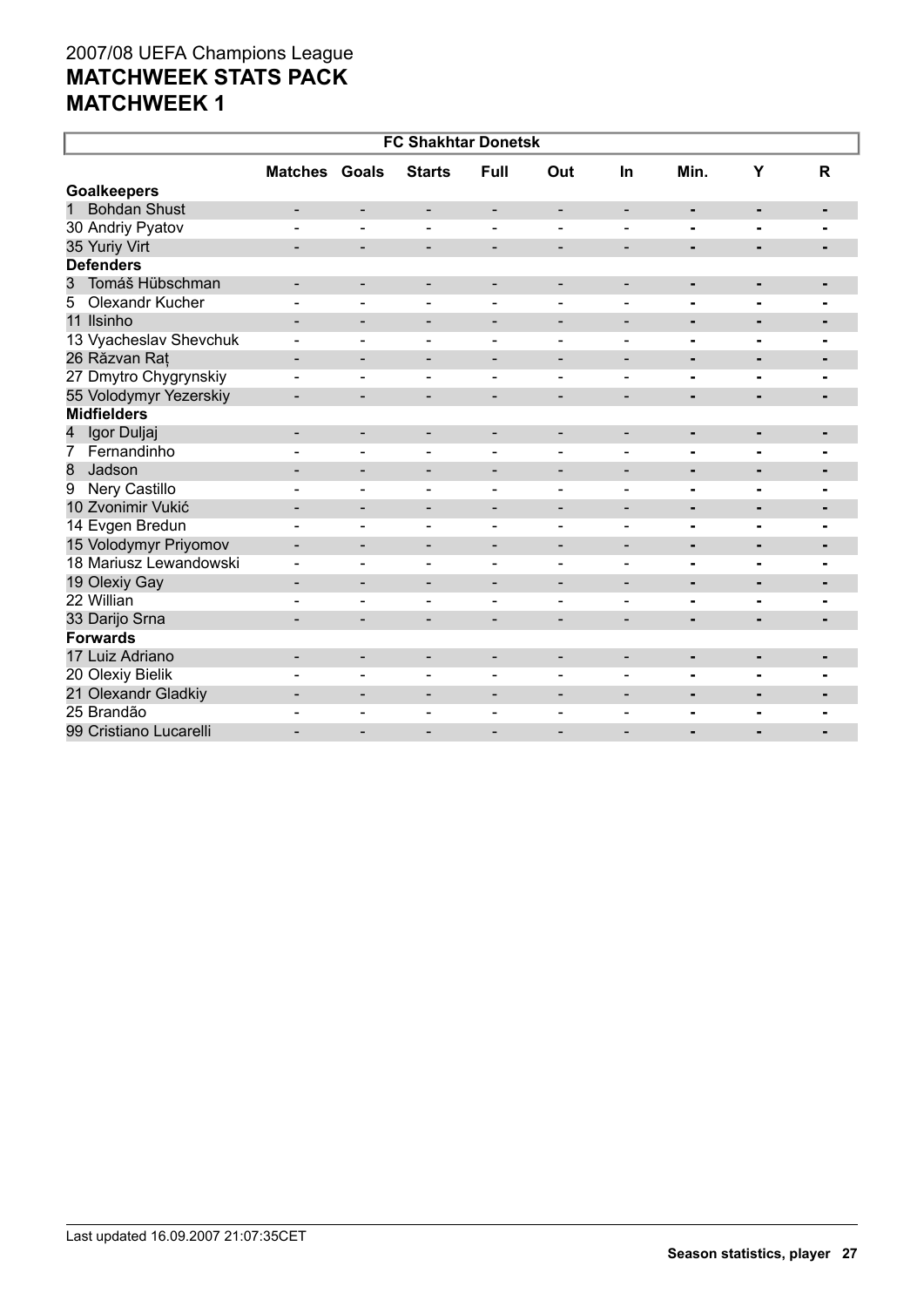|                                     |                          |                          | <b>FC Shakhtar Donetsk</b> |                          |                              |                              |                |                |                |
|-------------------------------------|--------------------------|--------------------------|----------------------------|--------------------------|------------------------------|------------------------------|----------------|----------------|----------------|
|                                     | <b>Matches Goals</b>     |                          | <b>Starts</b>              | Full                     | Out                          | In                           | Min.           | Υ              | $\mathsf{R}$   |
| <b>Goalkeepers</b>                  |                          |                          |                            |                          |                              |                              |                |                |                |
| <b>Bohdan Shust</b><br>$\mathbf{1}$ | $\overline{\phantom{a}}$ | -                        | $\overline{\phantom{a}}$   | $\overline{\phantom{a}}$ | $\qquad \qquad \blacksquare$ | $\overline{\phantom{a}}$     | $\blacksquare$ | $\blacksquare$ | ٠              |
| 30 Andriy Pyatov                    |                          | ÷,                       | $\blacksquare$             | $\blacksquare$           | $\overline{a}$               | $\overline{\phantom{a}}$     | -              |                |                |
| 35 Yuriy Virt                       | $\overline{\phantom{a}}$ | -                        | $\overline{\phantom{a}}$   | $\overline{\phantom{a}}$ | $\qquad \qquad \blacksquare$ | $\overline{\phantom{a}}$     | ٠              | ۰              |                |
| <b>Defenders</b>                    |                          |                          |                            |                          |                              |                              |                |                |                |
| Tomáš Hübschman<br>3                | $\overline{\phantom{a}}$ | -                        | $\overline{\phantom{a}}$   | $\overline{\phantom{a}}$ | -                            | $\qquad \qquad \blacksquare$ | ٠              | $\blacksquare$ | $\blacksquare$ |
| Olexandr Kucher<br>5                |                          |                          | $\sim$                     |                          |                              |                              | $\blacksquare$ | $\blacksquare$ |                |
| 11 Ilsinho                          | $\overline{\phantom{0}}$ | $\qquad \qquad -$        | $\overline{\phantom{a}}$   | $\overline{\phantom{a}}$ | $\overline{\phantom{0}}$     | $\overline{\phantom{0}}$     | $\blacksquare$ | ۰              | ٠              |
| 13 Vyacheslav Shevchuk              |                          |                          |                            |                          |                              |                              |                |                |                |
| 26 Răzvan Raț                       |                          | $\overline{\phantom{0}}$ | $\overline{\phantom{a}}$   |                          |                              |                              | $\blacksquare$ | ۰              | ٠              |
| 27 Dmytro Chygrynskiy               |                          | ÷,                       | $\blacksquare$             |                          |                              | $\blacksquare$               | $\blacksquare$ | -              | ۰              |
| 55 Volodymyr Yezerskiy              |                          | $\overline{\phantom{0}}$ | $\overline{\phantom{a}}$   | $\overline{\phantom{a}}$ | $\overline{a}$               |                              | $\blacksquare$ |                |                |
| <b>Midfielders</b>                  |                          |                          |                            |                          |                              |                              |                |                |                |
| Igor Duljaj<br>4                    | -                        | -                        | -                          | $\overline{\phantom{a}}$ | -                            | $\overline{\phantom{0}}$     | ٠              | ٠              | ٠              |
| Fernandinho<br>7                    |                          | ۳                        | $\sim$                     |                          |                              |                              | $\blacksquare$ | ۰              | $\blacksquare$ |
| 8<br>Jadson                         | $\overline{\phantom{a}}$ | -                        | $\overline{\phantom{a}}$   | $\overline{\phantom{a}}$ | $\qquad \qquad \blacksquare$ | $\overline{\phantom{a}}$     | ۰              | $\blacksquare$ | ٠              |
| Nery Castillo<br>9                  |                          | $\overline{\phantom{0}}$ | $\overline{\phantom{a}}$   | $\blacksquare$           | $\overline{\phantom{0}}$     | $\overline{\phantom{a}}$     |                | ۰              |                |
| 10 Zvonimir Vukić                   | $\overline{\phantom{a}}$ | -                        | $\overline{\phantom{a}}$   | $\overline{\phantom{a}}$ | -                            | $\overline{\phantom{a}}$     | $\blacksquare$ | ۰              | $\blacksquare$ |
| 14 Evgen Bredun                     |                          | $\overline{\phantom{0}}$ |                            | $\blacksquare$           |                              |                              | $\blacksquare$ | ۰              | ٠.             |
| 15 Volodymyr Priyomov               |                          | $\blacksquare$           | $\overline{\phantom{a}}$   | $\qquad \qquad$          | $\overline{\phantom{0}}$     |                              | $\blacksquare$ | $\blacksquare$ | -              |
| 18 Mariusz Lewandowski              |                          |                          | $\sim$                     | $\sim$                   | $\overline{a}$               |                              |                | ۰              | $\blacksquare$ |
| 19 Olexiy Gay                       | $\overline{\phantom{a}}$ | $\qquad \qquad -$        | $\overline{\phantom{a}}$   | $\overline{\phantom{a}}$ | $\overline{\phantom{0}}$     | $\overline{\phantom{0}}$     | $\blacksquare$ | ۰              | $\blacksquare$ |
| 22 Willian                          |                          |                          |                            |                          |                              |                              |                |                |                |
| 33 Darijo Srna                      |                          | -                        |                            |                          |                              |                              | $\blacksquare$ | $\blacksquare$ | $\blacksquare$ |
| <b>Forwards</b>                     |                          |                          |                            |                          |                              |                              |                |                |                |
| 17 Luiz Adriano                     |                          | $\overline{\phantom{0}}$ | $\overline{\phantom{a}}$   | $\overline{\phantom{a}}$ | $\overline{a}$               | $\overline{\phantom{a}}$     | ۰              | $\blacksquare$ | $\blacksquare$ |
| 20 Olexiy Bielik                    |                          | $\blacksquare$           | $\blacksquare$             | $\overline{\phantom{0}}$ | $\blacksquare$               |                              | $\blacksquare$ | $\blacksquare$ | ٠              |
| 21 Olexandr Gladkiy                 | $\overline{\phantom{a}}$ | -                        | $\overline{\phantom{a}}$   | $\overline{\phantom{a}}$ | $\overline{\phantom{0}}$     | $\overline{\phantom{0}}$     | ٠              | ٠              | $\blacksquare$ |
| 25 Brandão                          |                          |                          |                            |                          |                              |                              |                |                |                |
| 99 Cristiano Lucarelli              |                          |                          |                            |                          | $\overline{\phantom{0}}$     |                              |                |                |                |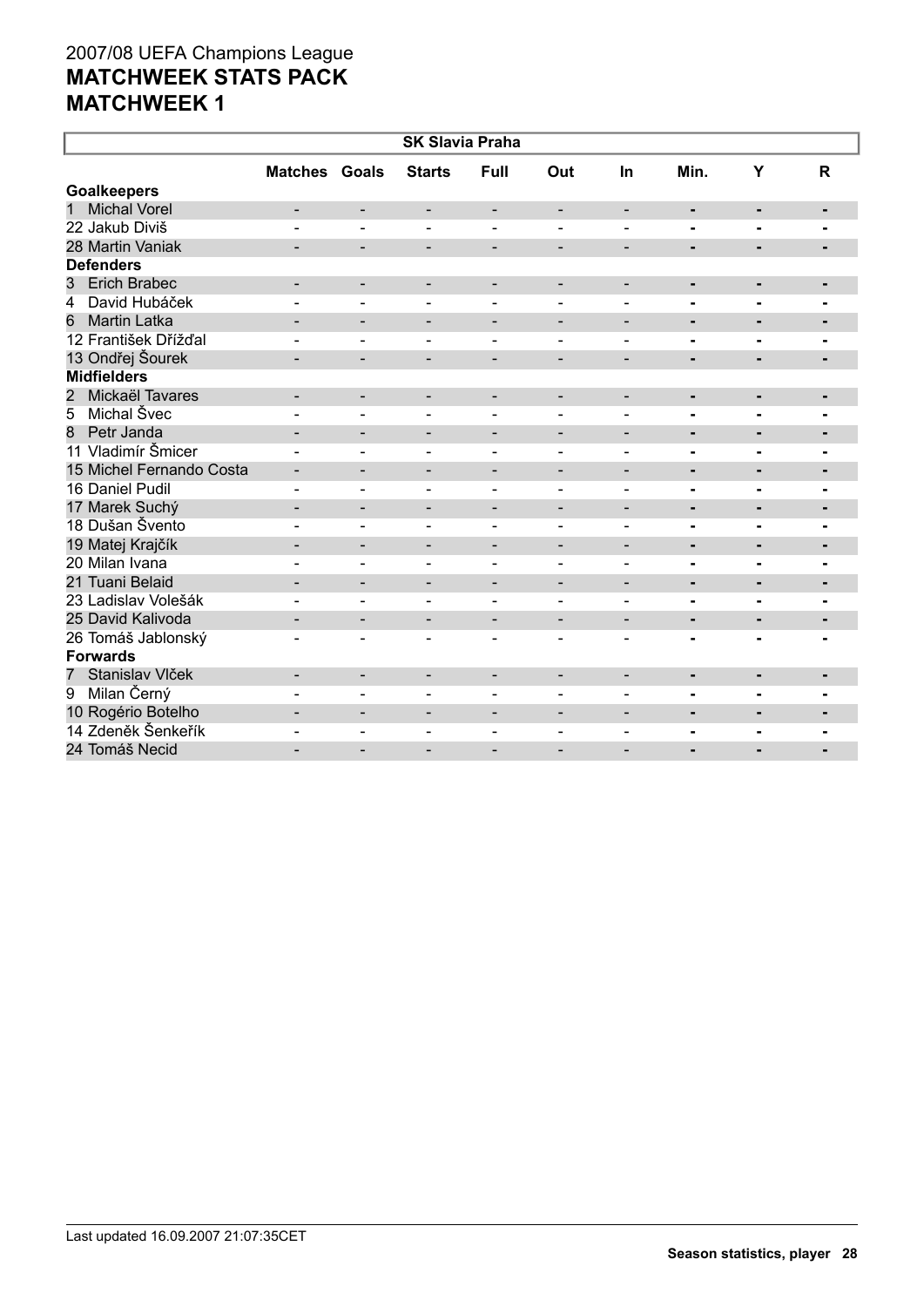| <b>SK Slavia Praha</b>            |                          |                          |                          |                              |                              |                              |                |                |                |  |
|-----------------------------------|--------------------------|--------------------------|--------------------------|------------------------------|------------------------------|------------------------------|----------------|----------------|----------------|--|
|                                   | <b>Matches</b>           | Goals                    | <b>Starts</b>            | Full                         | Out                          | In                           | Min.           | Y              | R              |  |
| <b>Goalkeepers</b>                |                          |                          |                          |                              |                              |                              |                |                |                |  |
| <b>Michal Vorel</b><br>1          |                          | -                        | $\overline{\phantom{a}}$ | $\overline{\phantom{a}}$     | -                            | $\overline{\phantom{a}}$     | ۰              | $\blacksquare$ | ٠              |  |
| 22 Jakub Diviš                    |                          | $\overline{\phantom{0}}$ |                          |                              |                              | $\overline{\phantom{0}}$     | $\blacksquare$ | Ξ.             |                |  |
| 28 Martin Vaniak                  | $\blacksquare$           | $\overline{\phantom{0}}$ | $\overline{\phantom{a}}$ | $\overline{\phantom{a}}$     | $\overline{\phantom{a}}$     | $\overline{\phantom{a}}$     | $\blacksquare$ | $\blacksquare$ | $\blacksquare$ |  |
| <b>Defenders</b>                  |                          |                          |                          |                              |                              |                              |                |                |                |  |
| <b>Erich Brabec</b><br>3          | $\overline{\phantom{0}}$ | -                        | $\overline{\phantom{a}}$ | $\overline{\phantom{a}}$     | -                            | $\overline{\phantom{0}}$     | ٠              | ٠              | ٠              |  |
| David Hubáček<br>4                |                          | ÷,                       | $\blacksquare$           | $\blacksquare$               | ÷,                           | $\blacksquare$               | $\blacksquare$ | $\blacksquare$ | $\blacksquare$ |  |
| <b>Martin Latka</b><br>6          |                          | $\overline{\phantom{a}}$ | $\blacksquare$           | $\overline{\phantom{a}}$     | $\overline{a}$               | $\blacksquare$               | $\blacksquare$ | $\blacksquare$ | $\blacksquare$ |  |
| 12 František Dřížďal              |                          |                          |                          | $\blacksquare$               | $\overline{a}$               |                              | $\blacksquare$ | ÷,             | $\blacksquare$ |  |
| 13 Ondřej Šourek                  |                          |                          |                          |                              |                              |                              | $\blacksquare$ |                |                |  |
| <b>Midfielders</b>                |                          |                          |                          |                              |                              |                              |                |                |                |  |
| Mickaël Tavares<br>$\overline{2}$ | -                        | $\overline{\phantom{0}}$ | -                        | $\overline{\phantom{a}}$     | -                            | $\qquad \qquad \blacksquare$ | ٠              | ٠              | ٠              |  |
| Michal Švec<br>5                  |                          |                          |                          |                              |                              |                              | L.             | Ĭ.             |                |  |
| Petr Janda<br>8                   | $\blacksquare$           | $\overline{\phantom{0}}$ | $\overline{\phantom{a}}$ | $\overline{\phantom{a}}$     | -                            | $\overline{\phantom{a}}$     | $\blacksquare$ | $\blacksquare$ | $\blacksquare$ |  |
| 11 Vladimír Šmicer                |                          | ÷,                       | $\blacksquare$           | $\blacksquare$               | $\overline{a}$               | $\blacksquare$               | $\blacksquare$ | $\blacksquare$ | $\blacksquare$ |  |
| 15 Michel Fernando Costa          | $\overline{\phantom{a}}$ | -                        | $\overline{\phantom{a}}$ | -                            | -                            | $\overline{\phantom{a}}$     | ۰              | ٠              | $\blacksquare$ |  |
| 16 Daniel Pudil                   | $\overline{\phantom{0}}$ | ÷,                       | $\blacksquare$           | $\blacksquare$               |                              | $\overline{\phantom{0}}$     | $\blacksquare$ | ٠              | ۰              |  |
| 17 Marek Suchý                    | $\overline{\phantom{a}}$ | -                        | $\overline{\phantom{a}}$ | $\overline{\phantom{a}}$     | $\qquad \qquad \blacksquare$ | $\overline{\phantom{a}}$     | ٠              | ٠              |                |  |
| 18 Dušan Švento                   |                          | $\overline{\phantom{0}}$ | $\sim$                   | $\sim$                       | $\blacksquare$               | $\blacksquare$               | $\blacksquare$ |                |                |  |
| 19 Matej Krajčík                  | $\overline{\phantom{a}}$ | -                        | $\overline{\phantom{a}}$ | $\overline{\phantom{a}}$     | -                            | $\overline{\phantom{a}}$     | ۰              | ٠              | ٠              |  |
| 20 Milan Ivana                    |                          | ÷,                       | $\blacksquare$           | $\blacksquare$               | $\blacksquare$               | $\blacksquare$               | $\blacksquare$ | $\blacksquare$ | ۰              |  |
| 21 Tuani Belaid                   |                          | $\overline{\phantom{0}}$ | $\blacksquare$           | $\overline{\phantom{a}}$     | $\overline{a}$               | $\blacksquare$               | $\blacksquare$ | $\blacksquare$ | ٠              |  |
| 23 Ladislav Volešák               |                          | ÷,                       | $\blacksquare$           | $\blacksquare$               | $\overline{a}$               | $\blacksquare$               | $\blacksquare$ | $\blacksquare$ | $\blacksquare$ |  |
| 25 David Kalivoda                 |                          | $\overline{\phantom{0}}$ | $\qquad \qquad -$        |                              | -                            |                              | $\blacksquare$ | L.             | ٠              |  |
| 26 Tomáš Jablonský                | $\overline{a}$           | $\overline{\phantom{0}}$ | $\overline{\phantom{a}}$ | $\overline{\phantom{a}}$     | $\overline{a}$               | $\qquad \qquad \blacksquare$ |                |                |                |  |
| <b>Forwards</b>                   |                          |                          |                          |                              |                              |                              |                |                |                |  |
| Stanislav Vlček<br>$\overline{7}$ | $\overline{\phantom{a}}$ | $\overline{\phantom{a}}$ | $\overline{\phantom{a}}$ | $\overline{\phantom{a}}$     | -                            | $\overline{\phantom{a}}$     | ۰              | $\blacksquare$ | ٠              |  |
| Milan Černý<br>$\overline{9}$     |                          | $\blacksquare$           | $\blacksquare$           | $\blacksquare$               | L.                           | $\blacksquare$               | $\blacksquare$ | $\blacksquare$ | $\overline{a}$ |  |
| 10 Rogério Botelho                |                          | -                        | $\overline{\phantom{0}}$ | $\qquad \qquad \blacksquare$ |                              |                              | ٠              | $\blacksquare$ | $\blacksquare$ |  |
| 14 Zdeněk Šenkeřík                |                          | $\overline{\phantom{0}}$ | $\overline{\phantom{a}}$ | $\blacksquare$               | $\blacksquare$               | $\overline{\phantom{0}}$     | $\blacksquare$ | ۰              | $\blacksquare$ |  |
| 24 Tomáš Necid                    |                          |                          |                          |                              |                              |                              |                |                |                |  |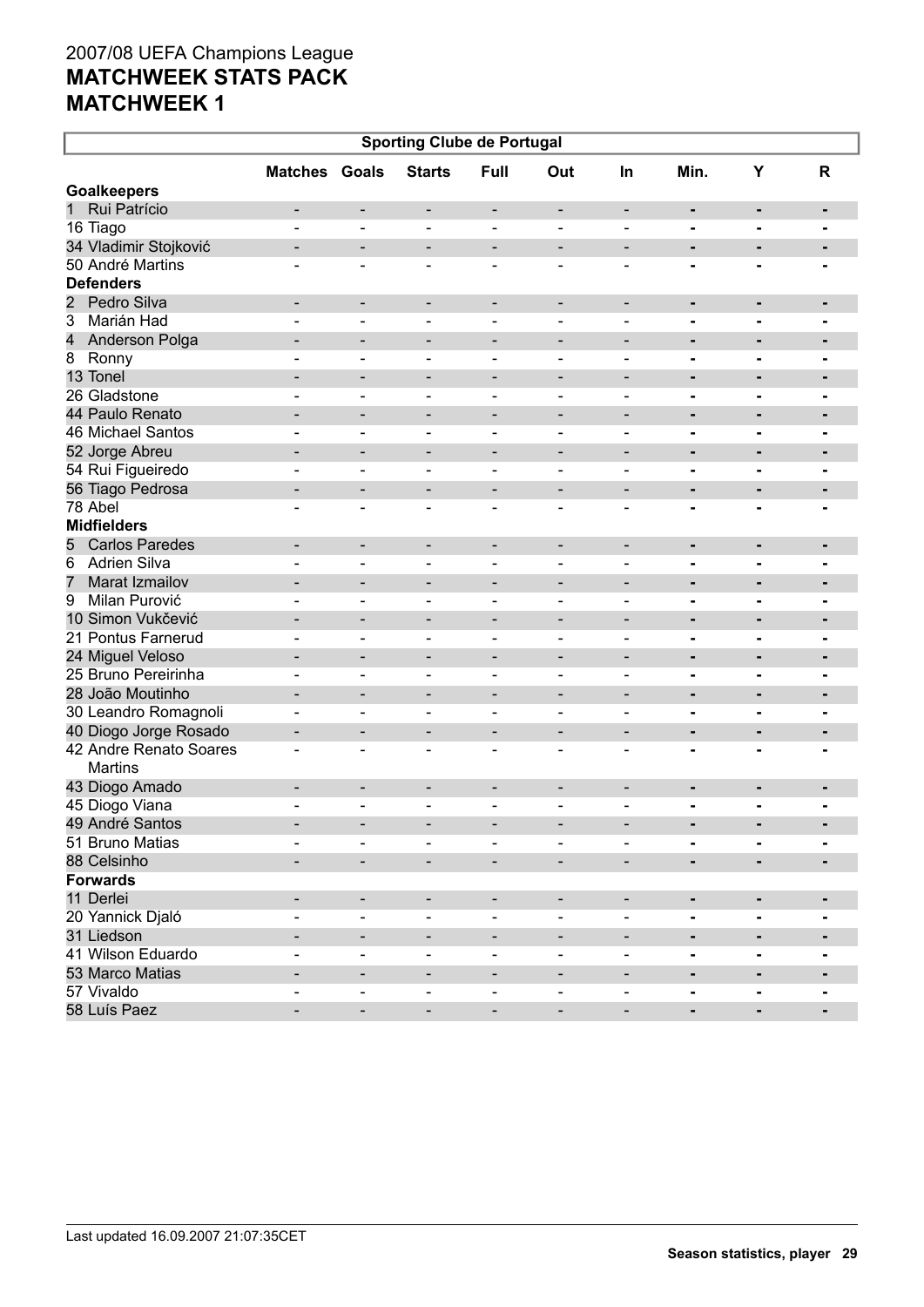| <b>Matches Goals</b><br><b>Starts</b><br>Full<br>Min.<br>Υ<br>Out<br>R<br><b>In</b><br><b>Goalkeepers</b><br>Rui Patrício<br>$\mathbf{1}$<br>$\overline{\phantom{a}}$<br>-<br>$\overline{\phantom{a}}$<br>$\overline{\phantom{a}}$<br>-<br>$\qquad \qquad \blacksquare$<br>٠<br>٠<br>16 Tiago<br>÷,<br>$\blacksquare$<br>$\overline{\phantom{0}}$<br>$\blacksquare$<br>$\blacksquare$<br>$\blacksquare$<br>$\blacksquare$<br>$\overline{\phantom{a}}$<br>$\blacksquare$<br>34 Vladimir Stojković<br>$\overline{\phantom{a}}$<br>$\qquad \qquad \blacksquare$<br>$\qquad \qquad \blacksquare$<br>۰<br>-<br>$\qquad \qquad \blacksquare$<br>$\qquad \qquad \blacksquare$<br>$\overline{\phantom{0}}$<br>50 André Martins<br>$\blacksquare$<br>$\overline{\phantom{0}}$<br>$\overline{\phantom{a}}$<br>÷<br>$\blacksquare$<br>$\blacksquare$<br>-<br><b>Defenders</b><br>$\overline{2}$<br>Pedro Silva<br>$\overline{\phantom{a}}$<br>-<br>$\overline{\phantom{a}}$<br>$\overline{\phantom{a}}$<br>-<br>$\qquad \qquad \blacksquare$<br>۰<br>٠<br>3<br>Marián Had<br>÷,<br>۳<br>$\blacksquare$<br>$\blacksquare$<br>$\blacksquare$<br>$\blacksquare$<br>$\blacksquare$<br>$\blacksquare$<br>4<br>Anderson Polga<br>-<br>$\qquad \qquad \blacksquare$<br>۰<br>$\overline{\phantom{0}}$<br>$\qquad \qquad \blacksquare$<br>$\overline{\phantom{0}}$<br>$\overline{\phantom{0}}$<br>8<br>Ronny<br>$\overline{\phantom{0}}$<br>$\blacksquare$<br>$\blacksquare$<br>$\blacksquare$<br>$\blacksquare$<br>Ξ.<br>$\blacksquare$<br>$\overline{\phantom{a}}$<br>$\blacksquare$<br>13 Tonel<br>-<br>$\qquad \qquad \blacksquare$<br>۰<br>-<br>$\overline{\phantom{0}}$<br>$\qquad \qquad \blacksquare$<br>$\overline{\phantom{0}}$<br>$\overline{\phantom{0}}$<br>$\blacksquare$<br>26 Gladstone<br>$\overline{\phantom{0}}$<br>$\blacksquare$<br>$\blacksquare$<br>$\blacksquare$<br>-<br>Ξ.<br>$\blacksquare$<br>$\overline{\phantom{0}}$<br>$\blacksquare$<br>44 Paulo Renato<br>-<br>$\qquad \qquad \blacksquare$<br>۰<br>-<br>$\overline{\phantom{0}}$<br>$\qquad \qquad \blacksquare$<br>$\overline{\phantom{0}}$<br>$\overline{\phantom{0}}$<br>٠<br>46 Michael Santos<br>$\blacksquare$<br>$\blacksquare$<br>$\blacksquare$<br>$\blacksquare$<br>-<br>Ξ.<br>$\blacksquare$<br>$\overline{\phantom{0}}$<br>$\blacksquare$<br>52 Jorge Abreu<br>-<br>$\qquad \qquad \blacksquare$<br>$\qquad \qquad \blacksquare$<br>$\overline{\phantom{0}}$<br>۰<br>-<br>٠<br>$\qquad \qquad \blacksquare$<br>-<br>54 Rui Figueiredo<br>$\blacksquare$<br>$\overline{\phantom{0}}$<br>$\overline{\phantom{0}}$<br>$\blacksquare$<br>-<br>-<br>$\blacksquare$<br>$\overline{\phantom{a}}$<br>$\blacksquare$<br>56 Tiago Pedrosa<br>$\overline{\phantom{a}}$<br>$\qquad \qquad \blacksquare$<br>$\qquad \qquad \blacksquare$<br>$\overline{\phantom{a}}$<br>۰<br>$\blacksquare$<br>$\qquad \qquad \blacksquare$<br>$\overline{\phantom{0}}$<br>$\blacksquare$<br>78 Abel<br>$\overline{\phantom{0}}$<br>$\overline{\phantom{0}}$<br>$\overline{\phantom{a}}$<br>$\overline{\phantom{a}}$<br>- | <b>Sporting Clube de Portugal</b> |  |  |  |  |  |  |  |  |  |  |
|------------------------------------------------------------------------------------------------------------------------------------------------------------------------------------------------------------------------------------------------------------------------------------------------------------------------------------------------------------------------------------------------------------------------------------------------------------------------------------------------------------------------------------------------------------------------------------------------------------------------------------------------------------------------------------------------------------------------------------------------------------------------------------------------------------------------------------------------------------------------------------------------------------------------------------------------------------------------------------------------------------------------------------------------------------------------------------------------------------------------------------------------------------------------------------------------------------------------------------------------------------------------------------------------------------------------------------------------------------------------------------------------------------------------------------------------------------------------------------------------------------------------------------------------------------------------------------------------------------------------------------------------------------------------------------------------------------------------------------------------------------------------------------------------------------------------------------------------------------------------------------------------------------------------------------------------------------------------------------------------------------------------------------------------------------------------------------------------------------------------------------------------------------------------------------------------------------------------------------------------------------------------------------------------------------------------------------------------------------------------------------------------------------------------------------------------------------------------------------------------------------------------------------------------------------------------------------------------------------------------------------------------------------------------------------------------------------------------------------------------------------------------------------------------------------------------------------------------------------------------------------------------------------------------------------------------------------------------------------------------------------------------------------------------------------------------|-----------------------------------|--|--|--|--|--|--|--|--|--|--|
|                                                                                                                                                                                                                                                                                                                                                                                                                                                                                                                                                                                                                                                                                                                                                                                                                                                                                                                                                                                                                                                                                                                                                                                                                                                                                                                                                                                                                                                                                                                                                                                                                                                                                                                                                                                                                                                                                                                                                                                                                                                                                                                                                                                                                                                                                                                                                                                                                                                                                                                                                                                                                                                                                                                                                                                                                                                                                                                                                                                                                                                                        |                                   |  |  |  |  |  |  |  |  |  |  |
|                                                                                                                                                                                                                                                                                                                                                                                                                                                                                                                                                                                                                                                                                                                                                                                                                                                                                                                                                                                                                                                                                                                                                                                                                                                                                                                                                                                                                                                                                                                                                                                                                                                                                                                                                                                                                                                                                                                                                                                                                                                                                                                                                                                                                                                                                                                                                                                                                                                                                                                                                                                                                                                                                                                                                                                                                                                                                                                                                                                                                                                                        |                                   |  |  |  |  |  |  |  |  |  |  |
|                                                                                                                                                                                                                                                                                                                                                                                                                                                                                                                                                                                                                                                                                                                                                                                                                                                                                                                                                                                                                                                                                                                                                                                                                                                                                                                                                                                                                                                                                                                                                                                                                                                                                                                                                                                                                                                                                                                                                                                                                                                                                                                                                                                                                                                                                                                                                                                                                                                                                                                                                                                                                                                                                                                                                                                                                                                                                                                                                                                                                                                                        |                                   |  |  |  |  |  |  |  |  |  |  |
|                                                                                                                                                                                                                                                                                                                                                                                                                                                                                                                                                                                                                                                                                                                                                                                                                                                                                                                                                                                                                                                                                                                                                                                                                                                                                                                                                                                                                                                                                                                                                                                                                                                                                                                                                                                                                                                                                                                                                                                                                                                                                                                                                                                                                                                                                                                                                                                                                                                                                                                                                                                                                                                                                                                                                                                                                                                                                                                                                                                                                                                                        |                                   |  |  |  |  |  |  |  |  |  |  |
|                                                                                                                                                                                                                                                                                                                                                                                                                                                                                                                                                                                                                                                                                                                                                                                                                                                                                                                                                                                                                                                                                                                                                                                                                                                                                                                                                                                                                                                                                                                                                                                                                                                                                                                                                                                                                                                                                                                                                                                                                                                                                                                                                                                                                                                                                                                                                                                                                                                                                                                                                                                                                                                                                                                                                                                                                                                                                                                                                                                                                                                                        |                                   |  |  |  |  |  |  |  |  |  |  |
|                                                                                                                                                                                                                                                                                                                                                                                                                                                                                                                                                                                                                                                                                                                                                                                                                                                                                                                                                                                                                                                                                                                                                                                                                                                                                                                                                                                                                                                                                                                                                                                                                                                                                                                                                                                                                                                                                                                                                                                                                                                                                                                                                                                                                                                                                                                                                                                                                                                                                                                                                                                                                                                                                                                                                                                                                                                                                                                                                                                                                                                                        |                                   |  |  |  |  |  |  |  |  |  |  |
|                                                                                                                                                                                                                                                                                                                                                                                                                                                                                                                                                                                                                                                                                                                                                                                                                                                                                                                                                                                                                                                                                                                                                                                                                                                                                                                                                                                                                                                                                                                                                                                                                                                                                                                                                                                                                                                                                                                                                                                                                                                                                                                                                                                                                                                                                                                                                                                                                                                                                                                                                                                                                                                                                                                                                                                                                                                                                                                                                                                                                                                                        |                                   |  |  |  |  |  |  |  |  |  |  |
|                                                                                                                                                                                                                                                                                                                                                                                                                                                                                                                                                                                                                                                                                                                                                                                                                                                                                                                                                                                                                                                                                                                                                                                                                                                                                                                                                                                                                                                                                                                                                                                                                                                                                                                                                                                                                                                                                                                                                                                                                                                                                                                                                                                                                                                                                                                                                                                                                                                                                                                                                                                                                                                                                                                                                                                                                                                                                                                                                                                                                                                                        |                                   |  |  |  |  |  |  |  |  |  |  |
|                                                                                                                                                                                                                                                                                                                                                                                                                                                                                                                                                                                                                                                                                                                                                                                                                                                                                                                                                                                                                                                                                                                                                                                                                                                                                                                                                                                                                                                                                                                                                                                                                                                                                                                                                                                                                                                                                                                                                                                                                                                                                                                                                                                                                                                                                                                                                                                                                                                                                                                                                                                                                                                                                                                                                                                                                                                                                                                                                                                                                                                                        |                                   |  |  |  |  |  |  |  |  |  |  |
|                                                                                                                                                                                                                                                                                                                                                                                                                                                                                                                                                                                                                                                                                                                                                                                                                                                                                                                                                                                                                                                                                                                                                                                                                                                                                                                                                                                                                                                                                                                                                                                                                                                                                                                                                                                                                                                                                                                                                                                                                                                                                                                                                                                                                                                                                                                                                                                                                                                                                                                                                                                                                                                                                                                                                                                                                                                                                                                                                                                                                                                                        |                                   |  |  |  |  |  |  |  |  |  |  |
|                                                                                                                                                                                                                                                                                                                                                                                                                                                                                                                                                                                                                                                                                                                                                                                                                                                                                                                                                                                                                                                                                                                                                                                                                                                                                                                                                                                                                                                                                                                                                                                                                                                                                                                                                                                                                                                                                                                                                                                                                                                                                                                                                                                                                                                                                                                                                                                                                                                                                                                                                                                                                                                                                                                                                                                                                                                                                                                                                                                                                                                                        |                                   |  |  |  |  |  |  |  |  |  |  |
|                                                                                                                                                                                                                                                                                                                                                                                                                                                                                                                                                                                                                                                                                                                                                                                                                                                                                                                                                                                                                                                                                                                                                                                                                                                                                                                                                                                                                                                                                                                                                                                                                                                                                                                                                                                                                                                                                                                                                                                                                                                                                                                                                                                                                                                                                                                                                                                                                                                                                                                                                                                                                                                                                                                                                                                                                                                                                                                                                                                                                                                                        |                                   |  |  |  |  |  |  |  |  |  |  |
|                                                                                                                                                                                                                                                                                                                                                                                                                                                                                                                                                                                                                                                                                                                                                                                                                                                                                                                                                                                                                                                                                                                                                                                                                                                                                                                                                                                                                                                                                                                                                                                                                                                                                                                                                                                                                                                                                                                                                                                                                                                                                                                                                                                                                                                                                                                                                                                                                                                                                                                                                                                                                                                                                                                                                                                                                                                                                                                                                                                                                                                                        |                                   |  |  |  |  |  |  |  |  |  |  |
|                                                                                                                                                                                                                                                                                                                                                                                                                                                                                                                                                                                                                                                                                                                                                                                                                                                                                                                                                                                                                                                                                                                                                                                                                                                                                                                                                                                                                                                                                                                                                                                                                                                                                                                                                                                                                                                                                                                                                                                                                                                                                                                                                                                                                                                                                                                                                                                                                                                                                                                                                                                                                                                                                                                                                                                                                                                                                                                                                                                                                                                                        |                                   |  |  |  |  |  |  |  |  |  |  |
|                                                                                                                                                                                                                                                                                                                                                                                                                                                                                                                                                                                                                                                                                                                                                                                                                                                                                                                                                                                                                                                                                                                                                                                                                                                                                                                                                                                                                                                                                                                                                                                                                                                                                                                                                                                                                                                                                                                                                                                                                                                                                                                                                                                                                                                                                                                                                                                                                                                                                                                                                                                                                                                                                                                                                                                                                                                                                                                                                                                                                                                                        |                                   |  |  |  |  |  |  |  |  |  |  |
|                                                                                                                                                                                                                                                                                                                                                                                                                                                                                                                                                                                                                                                                                                                                                                                                                                                                                                                                                                                                                                                                                                                                                                                                                                                                                                                                                                                                                                                                                                                                                                                                                                                                                                                                                                                                                                                                                                                                                                                                                                                                                                                                                                                                                                                                                                                                                                                                                                                                                                                                                                                                                                                                                                                                                                                                                                                                                                                                                                                                                                                                        |                                   |  |  |  |  |  |  |  |  |  |  |
|                                                                                                                                                                                                                                                                                                                                                                                                                                                                                                                                                                                                                                                                                                                                                                                                                                                                                                                                                                                                                                                                                                                                                                                                                                                                                                                                                                                                                                                                                                                                                                                                                                                                                                                                                                                                                                                                                                                                                                                                                                                                                                                                                                                                                                                                                                                                                                                                                                                                                                                                                                                                                                                                                                                                                                                                                                                                                                                                                                                                                                                                        |                                   |  |  |  |  |  |  |  |  |  |  |
|                                                                                                                                                                                                                                                                                                                                                                                                                                                                                                                                                                                                                                                                                                                                                                                                                                                                                                                                                                                                                                                                                                                                                                                                                                                                                                                                                                                                                                                                                                                                                                                                                                                                                                                                                                                                                                                                                                                                                                                                                                                                                                                                                                                                                                                                                                                                                                                                                                                                                                                                                                                                                                                                                                                                                                                                                                                                                                                                                                                                                                                                        |                                   |  |  |  |  |  |  |  |  |  |  |
|                                                                                                                                                                                                                                                                                                                                                                                                                                                                                                                                                                                                                                                                                                                                                                                                                                                                                                                                                                                                                                                                                                                                                                                                                                                                                                                                                                                                                                                                                                                                                                                                                                                                                                                                                                                                                                                                                                                                                                                                                                                                                                                                                                                                                                                                                                                                                                                                                                                                                                                                                                                                                                                                                                                                                                                                                                                                                                                                                                                                                                                                        |                                   |  |  |  |  |  |  |  |  |  |  |
| <b>Midfielders</b>                                                                                                                                                                                                                                                                                                                                                                                                                                                                                                                                                                                                                                                                                                                                                                                                                                                                                                                                                                                                                                                                                                                                                                                                                                                                                                                                                                                                                                                                                                                                                                                                                                                                                                                                                                                                                                                                                                                                                                                                                                                                                                                                                                                                                                                                                                                                                                                                                                                                                                                                                                                                                                                                                                                                                                                                                                                                                                                                                                                                                                                     |                                   |  |  |  |  |  |  |  |  |  |  |
| <b>Carlos Paredes</b>                                                                                                                                                                                                                                                                                                                                                                                                                                                                                                                                                                                                                                                                                                                                                                                                                                                                                                                                                                                                                                                                                                                                                                                                                                                                                                                                                                                                                                                                                                                                                                                                                                                                                                                                                                                                                                                                                                                                                                                                                                                                                                                                                                                                                                                                                                                                                                                                                                                                                                                                                                                                                                                                                                                                                                                                                                                                                                                                                                                                                                                  |                                   |  |  |  |  |  |  |  |  |  |  |
| 5<br>$\overline{\phantom{a}}$<br>-<br>$\overline{\phantom{a}}$<br>$\overline{\phantom{a}}$<br>-<br>$\qquad \qquad \blacksquare$<br>٠<br>۰<br>٠                                                                                                                                                                                                                                                                                                                                                                                                                                                                                                                                                                                                                                                                                                                                                                                                                                                                                                                                                                                                                                                                                                                                                                                                                                                                                                                                                                                                                                                                                                                                                                                                                                                                                                                                                                                                                                                                                                                                                                                                                                                                                                                                                                                                                                                                                                                                                                                                                                                                                                                                                                                                                                                                                                                                                                                                                                                                                                                         |                                   |  |  |  |  |  |  |  |  |  |  |
| <b>Adrien Silva</b><br>6<br>$\blacksquare$<br>-<br>$\qquad \qquad \blacksquare$<br>$\blacksquare$<br>-<br>$\overline{a}$<br>-                                                                                                                                                                                                                                                                                                                                                                                                                                                                                                                                                                                                                                                                                                                                                                                                                                                                                                                                                                                                                                                                                                                                                                                                                                                                                                                                                                                                                                                                                                                                                                                                                                                                                                                                                                                                                                                                                                                                                                                                                                                                                                                                                                                                                                                                                                                                                                                                                                                                                                                                                                                                                                                                                                                                                                                                                                                                                                                                          |                                   |  |  |  |  |  |  |  |  |  |  |
| $\overline{7}$<br>Marat Izmailov<br>-<br>$\qquad \qquad \blacksquare$<br>۰<br>-<br>$\overline{\phantom{0}}$<br>$\qquad \qquad \blacksquare$<br>-<br>$\overline{\phantom{0}}$<br>$\blacksquare$                                                                                                                                                                                                                                                                                                                                                                                                                                                                                                                                                                                                                                                                                                                                                                                                                                                                                                                                                                                                                                                                                                                                                                                                                                                                                                                                                                                                                                                                                                                                                                                                                                                                                                                                                                                                                                                                                                                                                                                                                                                                                                                                                                                                                                                                                                                                                                                                                                                                                                                                                                                                                                                                                                                                                                                                                                                                         |                                   |  |  |  |  |  |  |  |  |  |  |
| Milan Purović<br>9<br>-<br>-<br>$\overline{\phantom{0}}$<br>$\overline{\phantom{a}}$<br>$\qquad \qquad$<br>$\overline{\phantom{0}}$<br>-<br>-<br>$\blacksquare$                                                                                                                                                                                                                                                                                                                                                                                                                                                                                                                                                                                                                                                                                                                                                                                                                                                                                                                                                                                                                                                                                                                                                                                                                                                                                                                                                                                                                                                                                                                                                                                                                                                                                                                                                                                                                                                                                                                                                                                                                                                                                                                                                                                                                                                                                                                                                                                                                                                                                                                                                                                                                                                                                                                                                                                                                                                                                                        |                                   |  |  |  |  |  |  |  |  |  |  |
| 10 Simon Vukčević<br>-<br>$\qquad \qquad \blacksquare$<br>۰<br>-<br>٠<br>$\qquad \qquad \blacksquare$<br>$\qquad \qquad \blacksquare$<br>-<br>$\overline{\phantom{0}}$                                                                                                                                                                                                                                                                                                                                                                                                                                                                                                                                                                                                                                                                                                                                                                                                                                                                                                                                                                                                                                                                                                                                                                                                                                                                                                                                                                                                                                                                                                                                                                                                                                                                                                                                                                                                                                                                                                                                                                                                                                                                                                                                                                                                                                                                                                                                                                                                                                                                                                                                                                                                                                                                                                                                                                                                                                                                                                 |                                   |  |  |  |  |  |  |  |  |  |  |
| 21 Pontus Farnerud<br>-<br>-<br>-<br>$\qquad \qquad \blacksquare$<br>$\qquad \qquad$<br>-<br>-<br>$\blacksquare$                                                                                                                                                                                                                                                                                                                                                                                                                                                                                                                                                                                                                                                                                                                                                                                                                                                                                                                                                                                                                                                                                                                                                                                                                                                                                                                                                                                                                                                                                                                                                                                                                                                                                                                                                                                                                                                                                                                                                                                                                                                                                                                                                                                                                                                                                                                                                                                                                                                                                                                                                                                                                                                                                                                                                                                                                                                                                                                                                       |                                   |  |  |  |  |  |  |  |  |  |  |
| 24 Miguel Veloso<br>-<br>$\qquad \qquad \blacksquare$<br>$\overline{\phantom{0}}$<br>۰<br>$\blacksquare$<br>٠<br>$\qquad \qquad \blacksquare$<br>$\qquad \qquad \blacksquare$<br>-                                                                                                                                                                                                                                                                                                                                                                                                                                                                                                                                                                                                                                                                                                                                                                                                                                                                                                                                                                                                                                                                                                                                                                                                                                                                                                                                                                                                                                                                                                                                                                                                                                                                                                                                                                                                                                                                                                                                                                                                                                                                                                                                                                                                                                                                                                                                                                                                                                                                                                                                                                                                                                                                                                                                                                                                                                                                                     |                                   |  |  |  |  |  |  |  |  |  |  |
| 25 Bruno Pereirinha<br>-<br>-<br>-<br>$\overline{\phantom{a}}$<br>$\qquad \qquad$<br>$\overline{\phantom{0}}$<br>-<br>-<br>$\blacksquare$                                                                                                                                                                                                                                                                                                                                                                                                                                                                                                                                                                                                                                                                                                                                                                                                                                                                                                                                                                                                                                                                                                                                                                                                                                                                                                                                                                                                                                                                                                                                                                                                                                                                                                                                                                                                                                                                                                                                                                                                                                                                                                                                                                                                                                                                                                                                                                                                                                                                                                                                                                                                                                                                                                                                                                                                                                                                                                                              |                                   |  |  |  |  |  |  |  |  |  |  |
| 28 João Moutinho<br>$\overline{\phantom{a}}$<br>$\qquad \qquad \blacksquare$<br>$\overline{\phantom{a}}$<br>$\qquad \qquad \blacksquare$<br>$\qquad \qquad \blacksquare$<br>۰<br>$\blacksquare$<br>٠<br>-                                                                                                                                                                                                                                                                                                                                                                                                                                                                                                                                                                                                                                                                                                                                                                                                                                                                                                                                                                                                                                                                                                                                                                                                                                                                                                                                                                                                                                                                                                                                                                                                                                                                                                                                                                                                                                                                                                                                                                                                                                                                                                                                                                                                                                                                                                                                                                                                                                                                                                                                                                                                                                                                                                                                                                                                                                                              |                                   |  |  |  |  |  |  |  |  |  |  |
| 30 Leandro Romagnoli<br>Ξ.<br>-<br>$\blacksquare$<br>-<br>$\qquad \qquad$<br>$\overline{\phantom{0}}$<br>$\overline{\phantom{a}}$<br>$\blacksquare$<br>$\blacksquare$                                                                                                                                                                                                                                                                                                                                                                                                                                                                                                                                                                                                                                                                                                                                                                                                                                                                                                                                                                                                                                                                                                                                                                                                                                                                                                                                                                                                                                                                                                                                                                                                                                                                                                                                                                                                                                                                                                                                                                                                                                                                                                                                                                                                                                                                                                                                                                                                                                                                                                                                                                                                                                                                                                                                                                                                                                                                                                  |                                   |  |  |  |  |  |  |  |  |  |  |
| 40 Diogo Jorge Rosado<br>$\overline{\phantom{a}}$<br>$\qquad \qquad \blacksquare$<br>$\overline{\phantom{a}}$<br>$\overline{\phantom{a}}$<br>-<br>$\qquad \qquad \blacksquare$<br>۰<br>$\blacksquare$<br>٠                                                                                                                                                                                                                                                                                                                                                                                                                                                                                                                                                                                                                                                                                                                                                                                                                                                                                                                                                                                                                                                                                                                                                                                                                                                                                                                                                                                                                                                                                                                                                                                                                                                                                                                                                                                                                                                                                                                                                                                                                                                                                                                                                                                                                                                                                                                                                                                                                                                                                                                                                                                                                                                                                                                                                                                                                                                             |                                   |  |  |  |  |  |  |  |  |  |  |
| 42 Andre Renato Soares<br>$\blacksquare$<br>$\overline{\phantom{0}}$<br>$\qquad \qquad \blacksquare$<br>$\blacksquare$<br>-<br><b>Martins</b>                                                                                                                                                                                                                                                                                                                                                                                                                                                                                                                                                                                                                                                                                                                                                                                                                                                                                                                                                                                                                                                                                                                                                                                                                                                                                                                                                                                                                                                                                                                                                                                                                                                                                                                                                                                                                                                                                                                                                                                                                                                                                                                                                                                                                                                                                                                                                                                                                                                                                                                                                                                                                                                                                                                                                                                                                                                                                                                          |                                   |  |  |  |  |  |  |  |  |  |  |
| 43 Diogo Amado<br>-<br>۰<br>-<br>$\qquad \qquad \blacksquare$                                                                                                                                                                                                                                                                                                                                                                                                                                                                                                                                                                                                                                                                                                                                                                                                                                                                                                                                                                                                                                                                                                                                                                                                                                                                                                                                                                                                                                                                                                                                                                                                                                                                                                                                                                                                                                                                                                                                                                                                                                                                                                                                                                                                                                                                                                                                                                                                                                                                                                                                                                                                                                                                                                                                                                                                                                                                                                                                                                                                          |                                   |  |  |  |  |  |  |  |  |  |  |
| 45 Diogo Viana<br>-                                                                                                                                                                                                                                                                                                                                                                                                                                                                                                                                                                                                                                                                                                                                                                                                                                                                                                                                                                                                                                                                                                                                                                                                                                                                                                                                                                                                                                                                                                                                                                                                                                                                                                                                                                                                                                                                                                                                                                                                                                                                                                                                                                                                                                                                                                                                                                                                                                                                                                                                                                                                                                                                                                                                                                                                                                                                                                                                                                                                                                                    |                                   |  |  |  |  |  |  |  |  |  |  |
| 49 André Santos                                                                                                                                                                                                                                                                                                                                                                                                                                                                                                                                                                                                                                                                                                                                                                                                                                                                                                                                                                                                                                                                                                                                                                                                                                                                                                                                                                                                                                                                                                                                                                                                                                                                                                                                                                                                                                                                                                                                                                                                                                                                                                                                                                                                                                                                                                                                                                                                                                                                                                                                                                                                                                                                                                                                                                                                                                                                                                                                                                                                                                                        |                                   |  |  |  |  |  |  |  |  |  |  |
| 51 Bruno Matias                                                                                                                                                                                                                                                                                                                                                                                                                                                                                                                                                                                                                                                                                                                                                                                                                                                                                                                                                                                                                                                                                                                                                                                                                                                                                                                                                                                                                                                                                                                                                                                                                                                                                                                                                                                                                                                                                                                                                                                                                                                                                                                                                                                                                                                                                                                                                                                                                                                                                                                                                                                                                                                                                                                                                                                                                                                                                                                                                                                                                                                        |                                   |  |  |  |  |  |  |  |  |  |  |
| 88 Celsinho<br>-<br>٠<br>-<br>٠                                                                                                                                                                                                                                                                                                                                                                                                                                                                                                                                                                                                                                                                                                                                                                                                                                                                                                                                                                                                                                                                                                                                                                                                                                                                                                                                                                                                                                                                                                                                                                                                                                                                                                                                                                                                                                                                                                                                                                                                                                                                                                                                                                                                                                                                                                                                                                                                                                                                                                                                                                                                                                                                                                                                                                                                                                                                                                                                                                                                                                        |                                   |  |  |  |  |  |  |  |  |  |  |
| <b>Forwards</b>                                                                                                                                                                                                                                                                                                                                                                                                                                                                                                                                                                                                                                                                                                                                                                                                                                                                                                                                                                                                                                                                                                                                                                                                                                                                                                                                                                                                                                                                                                                                                                                                                                                                                                                                                                                                                                                                                                                                                                                                                                                                                                                                                                                                                                                                                                                                                                                                                                                                                                                                                                                                                                                                                                                                                                                                                                                                                                                                                                                                                                                        |                                   |  |  |  |  |  |  |  |  |  |  |
| 11 Derlei<br>-<br>$\overline{\phantom{a}}$<br>۰<br>۰                                                                                                                                                                                                                                                                                                                                                                                                                                                                                                                                                                                                                                                                                                                                                                                                                                                                                                                                                                                                                                                                                                                                                                                                                                                                                                                                                                                                                                                                                                                                                                                                                                                                                                                                                                                                                                                                                                                                                                                                                                                                                                                                                                                                                                                                                                                                                                                                                                                                                                                                                                                                                                                                                                                                                                                                                                                                                                                                                                                                                   |                                   |  |  |  |  |  |  |  |  |  |  |
| 20 Yannick Djaló<br>$\blacksquare$<br>۰<br>Ξ.<br>-<br>-<br>$\overline{\phantom{a}}$<br>$\blacksquare$                                                                                                                                                                                                                                                                                                                                                                                                                                                                                                                                                                                                                                                                                                                                                                                                                                                                                                                                                                                                                                                                                                                                                                                                                                                                                                                                                                                                                                                                                                                                                                                                                                                                                                                                                                                                                                                                                                                                                                                                                                                                                                                                                                                                                                                                                                                                                                                                                                                                                                                                                                                                                                                                                                                                                                                                                                                                                                                                                                  |                                   |  |  |  |  |  |  |  |  |  |  |
| 31 Liedson<br>$\blacksquare$<br>-<br>٠<br>-<br>$\overline{\phantom{a}}$<br>-<br>-                                                                                                                                                                                                                                                                                                                                                                                                                                                                                                                                                                                                                                                                                                                                                                                                                                                                                                                                                                                                                                                                                                                                                                                                                                                                                                                                                                                                                                                                                                                                                                                                                                                                                                                                                                                                                                                                                                                                                                                                                                                                                                                                                                                                                                                                                                                                                                                                                                                                                                                                                                                                                                                                                                                                                                                                                                                                                                                                                                                      |                                   |  |  |  |  |  |  |  |  |  |  |
| 41 Wilson Eduardo<br>$\overline{\phantom{0}}$<br>$\blacksquare$<br>$\overline{\phantom{a}}$<br>۰<br>Ξ.<br>$\overline{\phantom{0}}$<br>-<br>$\blacksquare$                                                                                                                                                                                                                                                                                                                                                                                                                                                                                                                                                                                                                                                                                                                                                                                                                                                                                                                                                                                                                                                                                                                                                                                                                                                                                                                                                                                                                                                                                                                                                                                                                                                                                                                                                                                                                                                                                                                                                                                                                                                                                                                                                                                                                                                                                                                                                                                                                                                                                                                                                                                                                                                                                                                                                                                                                                                                                                              |                                   |  |  |  |  |  |  |  |  |  |  |
| 53 Marco Matias<br>۰<br>۰<br>۰<br>-<br>$\overline{\phantom{a}}$<br>-                                                                                                                                                                                                                                                                                                                                                                                                                                                                                                                                                                                                                                                                                                                                                                                                                                                                                                                                                                                                                                                                                                                                                                                                                                                                                                                                                                                                                                                                                                                                                                                                                                                                                                                                                                                                                                                                                                                                                                                                                                                                                                                                                                                                                                                                                                                                                                                                                                                                                                                                                                                                                                                                                                                                                                                                                                                                                                                                                                                                   |                                   |  |  |  |  |  |  |  |  |  |  |
| 57 Vivaldo<br>$\overline{\phantom{0}}$<br>$\overline{\phantom{0}}$<br>$\frac{1}{2}$<br>-<br>-                                                                                                                                                                                                                                                                                                                                                                                                                                                                                                                                                                                                                                                                                                                                                                                                                                                                                                                                                                                                                                                                                                                                                                                                                                                                                                                                                                                                                                                                                                                                                                                                                                                                                                                                                                                                                                                                                                                                                                                                                                                                                                                                                                                                                                                                                                                                                                                                                                                                                                                                                                                                                                                                                                                                                                                                                                                                                                                                                                          |                                   |  |  |  |  |  |  |  |  |  |  |
| 58 Luís Paez<br>$\blacksquare$<br>$\qquad \qquad \blacksquare$<br>۰<br>$\overline{\phantom{0}}$<br>-                                                                                                                                                                                                                                                                                                                                                                                                                                                                                                                                                                                                                                                                                                                                                                                                                                                                                                                                                                                                                                                                                                                                                                                                                                                                                                                                                                                                                                                                                                                                                                                                                                                                                                                                                                                                                                                                                                                                                                                                                                                                                                                                                                                                                                                                                                                                                                                                                                                                                                                                                                                                                                                                                                                                                                                                                                                                                                                                                                   |                                   |  |  |  |  |  |  |  |  |  |  |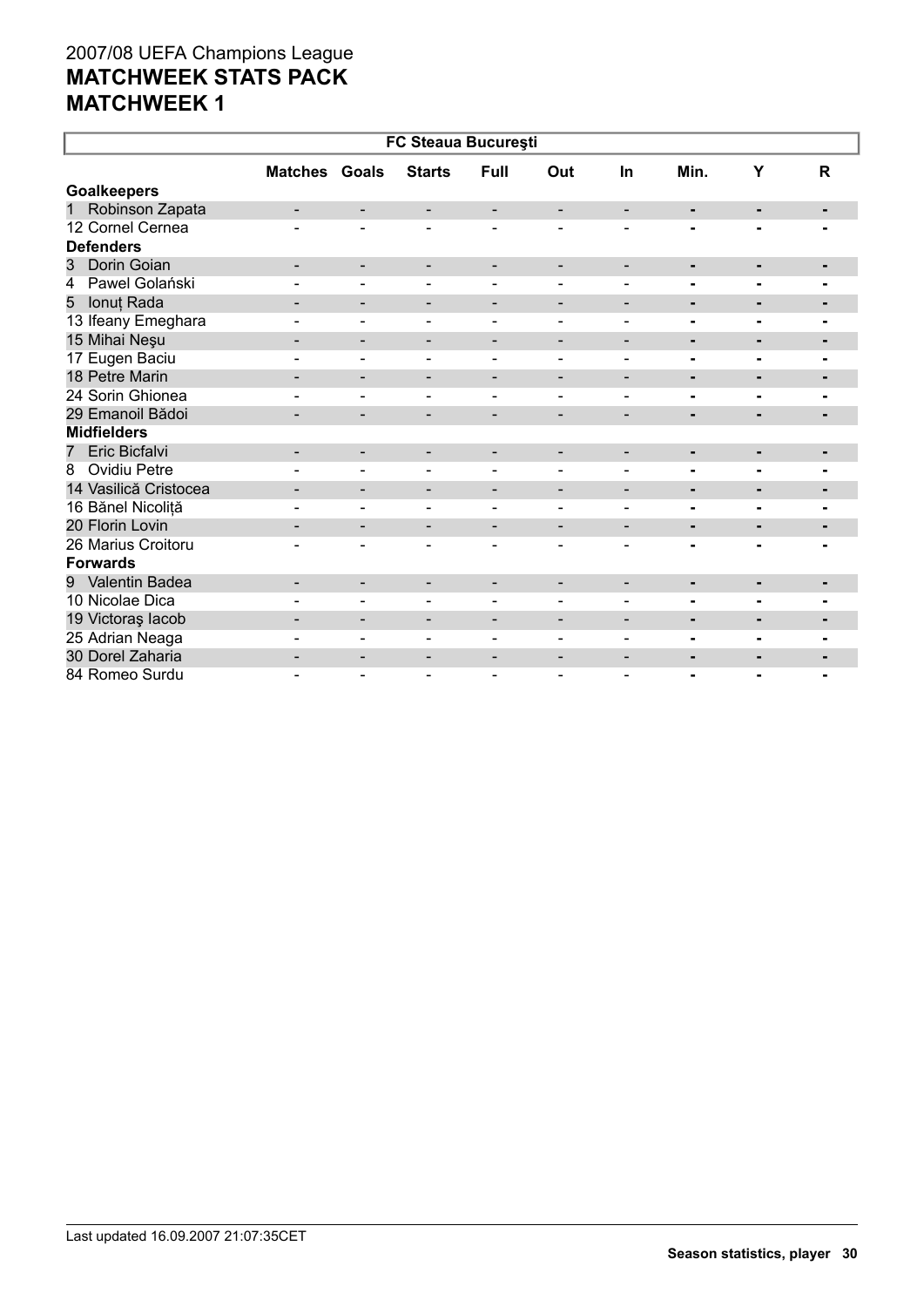| FC Steaua București            |                              |                              |                              |                          |                          |                          |                |                |                |  |  |
|--------------------------------|------------------------------|------------------------------|------------------------------|--------------------------|--------------------------|--------------------------|----------------|----------------|----------------|--|--|
|                                | <b>Matches Goals</b>         |                              | <b>Starts</b>                | <b>Full</b>              | Out                      | <b>In</b>                | Min.           | Y              | R              |  |  |
| <b>Goalkeepers</b>             |                              |                              |                              |                          |                          |                          |                |                |                |  |  |
| Robinson Zapata<br>$\mathbf 1$ | $\overline{\phantom{0}}$     | $\overline{\phantom{a}}$     | $\overline{\phantom{0}}$     | $\overline{\phantom{a}}$ | $\overline{\phantom{a}}$ | $\overline{\phantom{a}}$ | ٠              | $\blacksquare$ | ۰.             |  |  |
| 12 Cornel Cernea               |                              |                              |                              |                          |                          |                          |                |                |                |  |  |
| <b>Defenders</b>               |                              |                              |                              |                          |                          |                          |                |                |                |  |  |
| Dorin Goian<br>3               | -                            | $\overline{\phantom{a}}$     | -                            | -                        | $\overline{\phantom{a}}$ | $\overline{\phantom{a}}$ | ٠              | ٠              | ٠              |  |  |
| Pawel Golański<br>4            |                              |                              |                              |                          |                          |                          |                |                |                |  |  |
| Ionuț Rada<br>5                |                              | $\overline{\phantom{a}}$     | -                            | $\overline{\phantom{a}}$ | $\overline{\phantom{a}}$ | $\overline{\phantom{a}}$ | ۰              | ٠              | $\blacksquare$ |  |  |
| 13 Ifeany Emeghara             |                              | $\overline{\phantom{0}}$     | -                            | $\overline{\phantom{a}}$ | $\overline{\phantom{0}}$ | $\blacksquare$           | ۰              | $\blacksquare$ |                |  |  |
| 15 Mihai Neşu                  | -                            | $\overline{\phantom{a}}$     | -                            | $\overline{\phantom{a}}$ | $\overline{\phantom{a}}$ | $\overline{\phantom{a}}$ | $\blacksquare$ | $\blacksquare$ | ٠              |  |  |
| 17 Eugen Baciu                 |                              | $\blacksquare$               | ٠                            | $\overline{\phantom{a}}$ | $\overline{\phantom{0}}$ |                          |                | ۰              |                |  |  |
| 18 Petre Marin                 |                              | $\overline{\phantom{a}}$     | -                            | $\overline{\phantom{a}}$ | $\overline{\phantom{a}}$ | $\overline{\phantom{a}}$ | $\blacksquare$ | $\blacksquare$ | $\blacksquare$ |  |  |
| 24 Sorin Ghionea               |                              | $\blacksquare$               | $\qquad \qquad$              | $\overline{\phantom{a}}$ | $\overline{\phantom{0}}$ | $\overline{\phantom{0}}$ | ۰              |                |                |  |  |
| 29 Emanoil Bădoi               |                              | $\overline{\phantom{0}}$     | -                            | $\overline{\phantom{a}}$ | $\overline{\phantom{a}}$ | $\overline{\phantom{a}}$ | ٠              | -              | $\blacksquare$ |  |  |
| <b>Midfielders</b>             |                              |                              |                              |                          |                          |                          |                |                |                |  |  |
| Eric Bicfalvi<br>7             | -                            | $\overline{\phantom{a}}$     | -                            | $\overline{\phantom{a}}$ | $\overline{\phantom{a}}$ | -                        | ۰              | -              | $\blacksquare$ |  |  |
| <b>Ovidiu Petre</b><br>8       |                              | $\qquad \qquad \blacksquare$ | $\qquad \qquad \blacksquare$ | $\blacksquare$           | $\overline{\phantom{a}}$ | $\overline{\phantom{a}}$ |                | ۰              |                |  |  |
| 14 Vasilică Cristocea          | $\qquad \qquad \blacksquare$ | $\overline{\phantom{a}}$     | -                            | $\overline{\phantom{a}}$ | $\overline{\phantom{a}}$ | $\overline{\phantom{a}}$ | ٠              | ۰              | $\blacksquare$ |  |  |
| 16 Bănel Nicoliță              |                              | $\overline{\phantom{0}}$     | $\blacksquare$               | $\blacksquare$           | $\blacksquare$           | $\blacksquare$           |                | ۰              |                |  |  |
| 20 Florin Lovin                |                              | $\overline{\phantom{a}}$     | -                            | $\overline{\phantom{a}}$ | $\overline{\phantom{a}}$ | $\overline{\phantom{a}}$ | ٠              | ٠              | ۰              |  |  |
| 26 Marius Croitoru             |                              |                              | ۰                            | $\blacksquare$           | $\blacksquare$           |                          |                |                |                |  |  |
| <b>Forwards</b>                |                              |                              |                              |                          |                          |                          |                |                |                |  |  |
| 9 Valentin Badea               |                              | $\overline{\phantom{a}}$     | -                            | -                        | $\overline{\phantom{a}}$ | $\overline{\phantom{a}}$ | ۰              | $\blacksquare$ | $\blacksquare$ |  |  |
| 10 Nicolae Dica                |                              | $\blacksquare$               |                              | $\overline{\phantom{a}}$ |                          |                          | $\blacksquare$ |                | $\blacksquare$ |  |  |
| 19 Victoraș lacob              | $\overline{\phantom{0}}$     | $\overline{\phantom{a}}$     | $\overline{\phantom{a}}$     | $\overline{\phantom{a}}$ | $\overline{\phantom{a}}$ | $\overline{\phantom{a}}$ | ۰              | $\blacksquare$ | ۰              |  |  |
| 25 Adrian Neaga                |                              | $\blacksquare$               | $\blacksquare$               | $\overline{\phantom{a}}$ |                          |                          | -              | $\blacksquare$ |                |  |  |
| 30 Dorel Zaharia               |                              | -                            |                              | $\overline{\phantom{a}}$ | $\overline{\phantom{0}}$ | $\overline{\phantom{0}}$ | ٠              | ٠              | ۰              |  |  |
| 84 Romeo Surdu                 |                              |                              |                              | $\overline{\phantom{0}}$ | $\overline{\phantom{0}}$ |                          | $\blacksquare$ |                |                |  |  |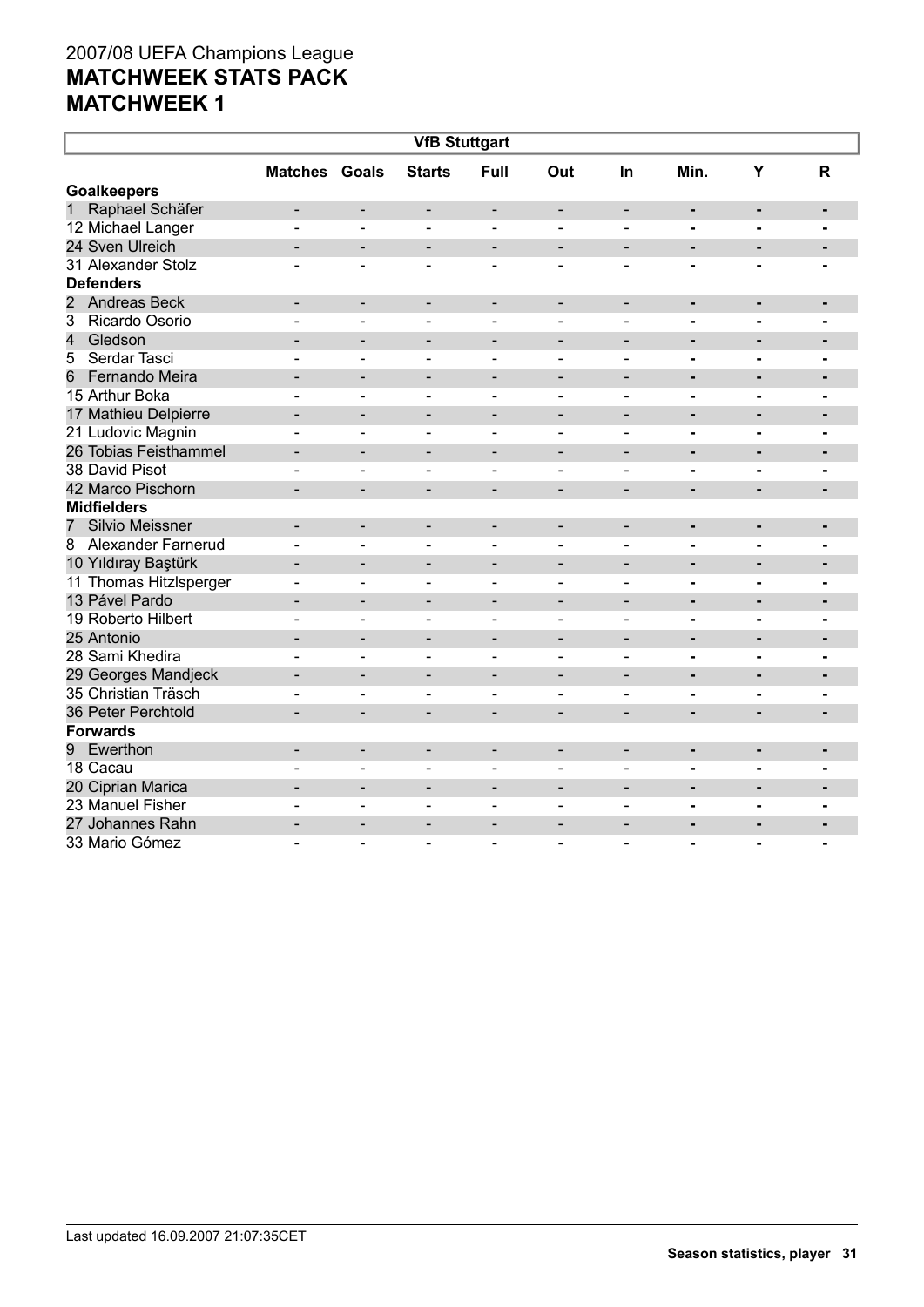| <b>VfB Stuttgart</b>                  |                              |                              |                              |                          |                              |                              |                              |                              |                |  |  |
|---------------------------------------|------------------------------|------------------------------|------------------------------|--------------------------|------------------------------|------------------------------|------------------------------|------------------------------|----------------|--|--|
|                                       | <b>Matches Goals</b>         |                              | <b>Starts</b>                | <b>Full</b>              | Out                          | <b>In</b>                    | Min.                         | Y                            | R              |  |  |
| <b>Goalkeepers</b>                    |                              |                              |                              |                          |                              |                              |                              |                              |                |  |  |
| Raphael Schäfer<br>1                  | $\overline{\phantom{0}}$     | $\overline{a}$               | $\overline{\phantom{a}}$     | $\overline{\phantom{a}}$ | $\qquad \qquad \blacksquare$ | $\overline{\phantom{a}}$     | ٠                            | ٠                            | $\blacksquare$ |  |  |
| 12 Michael Langer                     |                              | ÷                            | $\blacksquare$               | $\blacksquare$           | $\blacksquare$               | $\overline{a}$               | $\blacksquare$               | $\blacksquare$               |                |  |  |
| 24 Sven Ulreich                       | $\overline{\phantom{0}}$     | $\overline{\phantom{0}}$     | -                            | $\overline{\phantom{a}}$ | $\overline{\phantom{a}}$     | $\overline{\phantom{0}}$     | $\blacksquare$               | ٠                            |                |  |  |
| 31 Alexander Stolz                    | ۳                            | ۳                            | $\sim$                       | $\sim$                   | ÷                            | $\sim$                       | $\blacksquare$               | $\blacksquare$               |                |  |  |
| <b>Defenders</b>                      |                              |                              |                              |                          |                              |                              |                              |                              |                |  |  |
| $\overline{2}$<br><b>Andreas Beck</b> | $\overline{\phantom{0}}$     | $\overline{\phantom{a}}$     | $\overline{\phantom{a}}$     | $\overline{\phantom{a}}$ | $\qquad \qquad -$            | $\overline{\phantom{a}}$     | $\qquad \qquad \blacksquare$ | $\qquad \qquad \blacksquare$ | $\blacksquare$ |  |  |
| 3<br>Ricardo Osorio                   | $\overline{a}$               | L,                           | $\blacksquare$               | $\blacksquare$           | $\overline{\phantom{0}}$     | $\blacksquare$               | $\blacksquare$               | $\blacksquare$               |                |  |  |
| 4<br>Gledson                          |                              | $\overline{\phantom{0}}$     | $\overline{\phantom{0}}$     | $\overline{\phantom{a}}$ | $\overline{\phantom{a}}$     | $\qquad \qquad \blacksquare$ | $\blacksquare$               | $\blacksquare$               | $\blacksquare$ |  |  |
| Serdar Tasci<br>5                     |                              |                              | $\overline{a}$               | $\overline{\phantom{a}}$ | $\overline{a}$               |                              | $\blacksquare$               | $\blacksquare$               |                |  |  |
| 6<br>Fernando Meira                   |                              |                              |                              |                          |                              |                              | $\blacksquare$               | ÷,                           |                |  |  |
| 15 Arthur Boka                        | ۳                            | $\blacksquare$               | $\blacksquare$               | $\blacksquare$           | $\blacksquare$               | $\blacksquare$               | $\blacksquare$               | $\blacksquare$               | $\blacksquare$ |  |  |
| 17 Mathieu Delpierre                  | $\blacksquare$               | $\qquad \qquad \blacksquare$ | $\overline{\phantom{a}}$     | $\overline{\phantom{a}}$ | $\overline{\phantom{0}}$     | $\blacksquare$               | $\blacksquare$               | $\blacksquare$               | $\blacksquare$ |  |  |
| 21 Ludovic Magnin                     | $\blacksquare$               | $\qquad \qquad \blacksquare$ | $\blacksquare$               | $\blacksquare$           | $\overline{\phantom{a}}$     | $\blacksquare$               | $\blacksquare$               | $\blacksquare$               | $\blacksquare$ |  |  |
| 26 Tobias Feisthammel                 |                              | $\qquad \qquad \blacksquare$ | $\qquad \qquad \blacksquare$ | $\overline{\phantom{a}}$ | $\overline{\phantom{0}}$     | $\qquad \qquad \blacksquare$ | $\blacksquare$               | $\blacksquare$               |                |  |  |
| 38 David Pisot                        |                              | $\blacksquare$               | $\sim$                       | $\sim$                   | $\blacksquare$               | $\blacksquare$               | $\blacksquare$               | ۰                            |                |  |  |
| 42 Marco Pischorn                     |                              |                              |                              |                          |                              |                              |                              | $\overline{a}$               |                |  |  |
| <b>Midfielders</b>                    |                              |                              |                              |                          |                              |                              |                              |                              |                |  |  |
| <b>Silvio Meissner</b><br>7           | $\overline{\phantom{0}}$     | $\qquad \qquad \blacksquare$ | $\qquad \qquad \blacksquare$ | $\overline{\phantom{a}}$ | $\overline{\phantom{0}}$     |                              | $\blacksquare$               | ٠                            | $\blacksquare$ |  |  |
| <b>Alexander Farnerud</b><br>8        |                              | ÷                            | $\sim$                       | $\sim$                   | ÷                            | $\overline{a}$               | $\blacksquare$               | $\blacksquare$               | $\blacksquare$ |  |  |
| 10 Yıldıray Baştürk                   | ۳                            | $\overline{\phantom{0}}$     | $\overline{\phantom{0}}$     | $\overline{\phantom{a}}$ | $\blacksquare$               | $\overline{\phantom{0}}$     | $\blacksquare$               | $\blacksquare$               | $\blacksquare$ |  |  |
| 11 Thomas Hitzlsperger                | $\blacksquare$               | $\blacksquare$               | $\blacksquare$               | $\blacksquare$           | $\overline{\phantom{a}}$     | $\blacksquare$               | $\blacksquare$               | $\blacksquare$               | $\blacksquare$ |  |  |
| 13 Pável Pardo                        | $\overline{\phantom{0}}$     | $\overline{\phantom{0}}$     | $\overline{\phantom{a}}$     |                          | $\overline{\phantom{a}}$     | $\overline{\phantom{a}}$     | $\blacksquare$               | ٠                            |                |  |  |
| 19 Roberto Hilbert                    |                              | ÷                            | $\overline{\phantom{0}}$     | $\blacksquare$           | $\overline{\phantom{a}}$     | $\blacksquare$               | $\blacksquare$               | $\blacksquare$               |                |  |  |
| 25 Antonio                            |                              | $\overline{a}$               | $\qquad \qquad \blacksquare$ | $\overline{\phantom{a}}$ | $\overline{\phantom{0}}$     |                              | $\blacksquare$               | $\blacksquare$               | $\blacksquare$ |  |  |
| 28 Sami Khedira                       |                              | L,                           | $\overline{\phantom{0}}$     |                          |                              |                              | $\blacksquare$               | $\blacksquare$               |                |  |  |
| 29 Georges Mandjeck                   | ٠                            | $\overline{a}$               | $\qquad \qquad \blacksquare$ | $\overline{\phantom{a}}$ | $\overline{a}$               | $\qquad \qquad$              | $\blacksquare$               |                              | $\blacksquare$ |  |  |
| 35 Christian Träsch                   | $\blacksquare$               | $\overline{a}$               | $\overline{\phantom{0}}$     | $\blacksquare$           | $\blacksquare$               | $\blacksquare$               | $\blacksquare$               | Ξ.                           | $\blacksquare$ |  |  |
| 36 Peter Perchtold                    | $\overline{\phantom{0}}$     | $\overline{\phantom{0}}$     | ۰                            | $\blacksquare$           | $\overline{\phantom{a}}$     | $\overline{\phantom{a}}$     | $\blacksquare$               | $\blacksquare$               | $\blacksquare$ |  |  |
| <b>Forwards</b>                       |                              |                              |                              |                          |                              |                              |                              |                              |                |  |  |
| Ewerthon<br>9                         | $\qquad \qquad \blacksquare$ | -                            | $\overline{\phantom{a}}$     | $\overline{\phantom{a}}$ | $\overline{\phantom{a}}$     | $\qquad \qquad \blacksquare$ | $\blacksquare$               | ٠                            |                |  |  |
| 18 Cacau                              |                              | ÷                            | $\blacksquare$               | $\blacksquare$           | $\blacksquare$               | $\blacksquare$               | $\blacksquare$               | $\blacksquare$               |                |  |  |
| 20 Ciprian Marica                     |                              | $\overline{a}$               | $\overline{\phantom{0}}$     | $\overline{\phantom{a}}$ | $\overline{\phantom{0}}$     | $\overline{\phantom{0}}$     | $\blacksquare$               | $\blacksquare$               | $\blacksquare$ |  |  |
| 23 Manuel Fisher                      |                              | $\blacksquare$               | $\blacksquare$               | $\sim$                   | $\overline{\phantom{a}}$     | $\overline{a}$               |                              | -                            |                |  |  |
| 27 Johannes Rahn                      | $\overline{\phantom{0}}$     | $\blacksquare$               | $\blacksquare$               | $\overline{\phantom{a}}$ | $\overline{\phantom{a}}$     | $\overline{\phantom{0}}$     | $\blacksquare$               | $\blacksquare$               |                |  |  |
| 33 Mario Gómez                        |                              |                              | $\sim$                       | $\overline{a}$           | $\overline{a}$               |                              | $\blacksquare$               | $\blacksquare$               | $\overline{a}$ |  |  |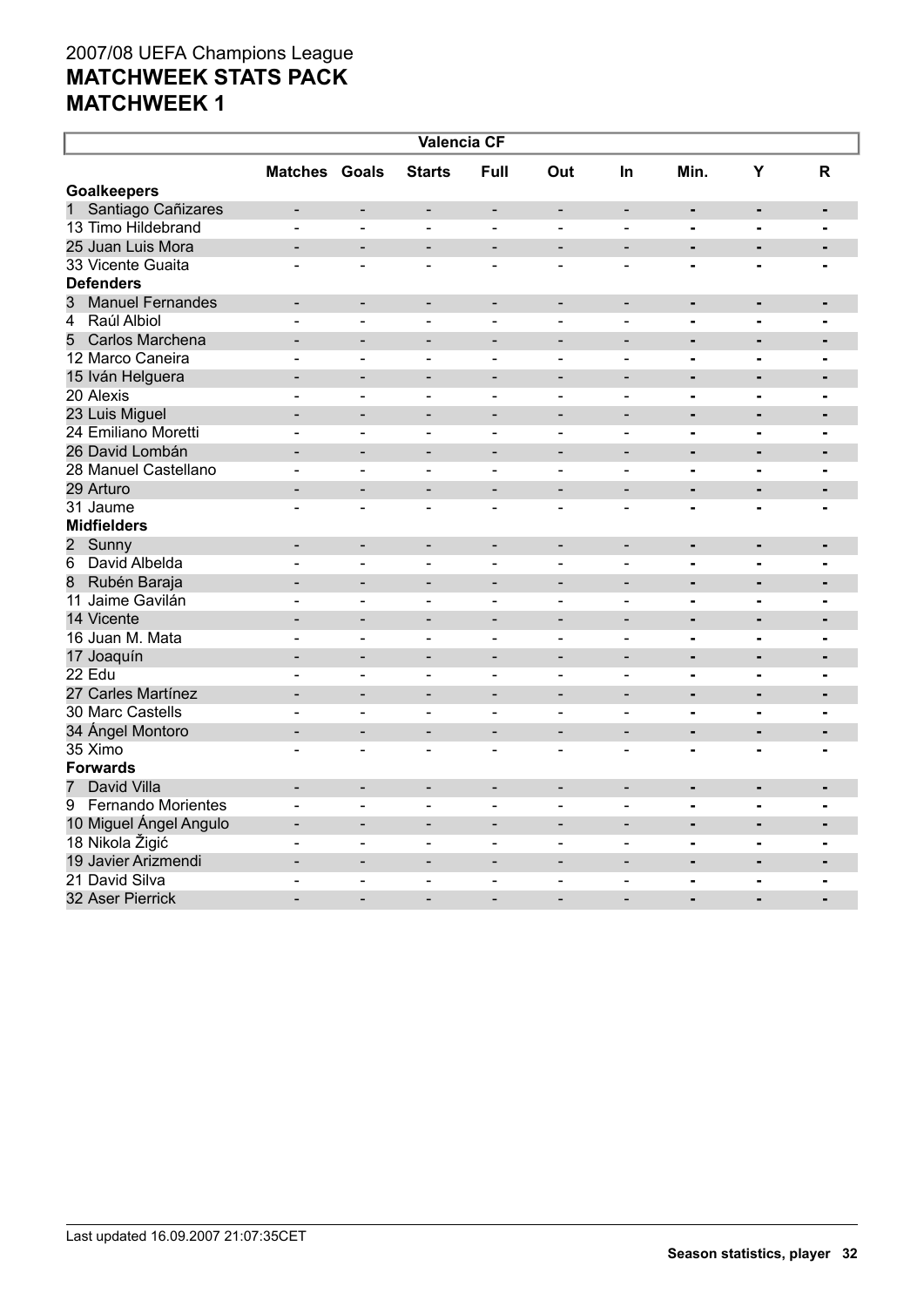| <b>Valencia CF</b>            |                          |                              |                          |                              |                              |                              |                              |                |                |  |  |
|-------------------------------|--------------------------|------------------------------|--------------------------|------------------------------|------------------------------|------------------------------|------------------------------|----------------|----------------|--|--|
|                               | <b>Matches Goals</b>     |                              | <b>Starts</b>            | Full                         | Out                          | <b>In</b>                    | Min.                         | Y              | $\mathsf{R}$   |  |  |
| <b>Goalkeepers</b>            |                          |                              |                          |                              |                              |                              |                              |                |                |  |  |
| Santiago Cañizares<br>1       | $\overline{a}$           |                              | $\overline{a}$           | $\overline{\phantom{0}}$     | $\qquad \qquad \blacksquare$ | $\qquad \qquad \blacksquare$ | $\blacksquare$               | $\blacksquare$ | $\blacksquare$ |  |  |
| 13 Timo Hildebrand            | $\overline{\phantom{0}}$ | $\qquad \qquad \blacksquare$ | $\overline{\phantom{a}}$ | $\overline{\phantom{a}}$     | $\qquad \qquad \blacksquare$ | $\qquad \qquad \blacksquare$ | $\overline{\phantom{0}}$     | $\blacksquare$ | $\blacksquare$ |  |  |
| 25 Juan Luis Mora             |                          | $\overline{\phantom{0}}$     |                          |                              | $\overline{\phantom{0}}$     | $\overline{a}$               | $\blacksquare$               |                | $\blacksquare$ |  |  |
| 33 Vicente Guaita             | $\blacksquare$           | $\overline{\phantom{a}}$     | $\overline{\phantom{a}}$ | $\blacksquare$               | $\overline{\phantom{0}}$     | $\blacksquare$               | $\blacksquare$               | $\blacksquare$ |                |  |  |
| <b>Defenders</b>              |                          |                              |                          |                              |                              |                              |                              |                |                |  |  |
| 3<br><b>Manuel Fernandes</b>  | $\overline{\phantom{a}}$ | $\overline{\phantom{a}}$     | $\overline{\phantom{a}}$ | $\overline{\phantom{a}}$     | $\overline{\phantom{a}}$     | $\overline{\phantom{a}}$     | ٠                            | ٠              | $\blacksquare$ |  |  |
| Raúl Albiol<br>4              | $\blacksquare$           | $\blacksquare$               | $\overline{\phantom{a}}$ | $\blacksquare$               | $\overline{\phantom{0}}$     | $\blacksquare$               | -                            | $\blacksquare$ | $\blacksquare$ |  |  |
| Carlos Marchena<br>5          | $\overline{a}$           | $\overline{a}$               | ۰                        | $\overline{\phantom{a}}$     | $\overline{\phantom{a}}$     |                              | $\blacksquare$               | $\blacksquare$ | $\blacksquare$ |  |  |
| 12 Marco Caneira              | $\overline{\phantom{0}}$ | $\qquad \qquad \blacksquare$ | $\overline{\phantom{a}}$ | $\blacksquare$               | $\qquad \qquad \blacksquare$ | $\overline{\phantom{a}}$     | -                            | $\blacksquare$ | $\blacksquare$ |  |  |
| 15 Iván Helguera              |                          | $\overline{\phantom{0}}$     | -                        | $\overline{\phantom{0}}$     | $\overline{\phantom{0}}$     | $\overline{\phantom{0}}$     | $\blacksquare$               | $\blacksquare$ | $\blacksquare$ |  |  |
| 20 Alexis                     | $\overline{a}$           | $\blacksquare$               | $\overline{\phantom{a}}$ | $\blacksquare$               | $\blacksquare$               | $\blacksquare$               | $\blacksquare$               | $\blacksquare$ | $\blacksquare$ |  |  |
| 23 Luis Miguel                | $\overline{\phantom{0}}$ | $\blacksquare$               | $\overline{\phantom{0}}$ | $\qquad \qquad \blacksquare$ | $\overline{\phantom{a}}$     | $\blacksquare$               | $\blacksquare$               | $\blacksquare$ | $\blacksquare$ |  |  |
| 24 Emiliano Moretti           | ÷                        | $\sim$                       | $\sim$                   | $\overline{a}$               | $\blacksquare$               | ÷                            | $\blacksquare$               | $\blacksquare$ | $\blacksquare$ |  |  |
| 26 David Lombán               |                          | $\overline{a}$               |                          |                              |                              |                              |                              |                |                |  |  |
| 28 Manuel Castellano          | $\overline{a}$           | L,                           | $\blacksquare$           | $\blacksquare$               | $\blacksquare$               | $\overline{\phantom{0}}$     | $\blacksquare$               | $\blacksquare$ | $\blacksquare$ |  |  |
| 29 Arturo                     | $\overline{\phantom{0}}$ | $\blacksquare$               | $\overline{\phantom{0}}$ | $\blacksquare$               | $\blacksquare$               | $\blacksquare$               | $\blacksquare$               | ÷              | $\blacksquare$ |  |  |
| 31 Jaume                      |                          | $\overline{\phantom{0}}$     | $\blacksquare$           | $\overline{\phantom{a}}$     | $\overline{\phantom{a}}$     | $\overline{\phantom{0}}$     | $\blacksquare$               | $\blacksquare$ | $\blacksquare$ |  |  |
| <b>Midfielders</b>            |                          |                              |                          |                              |                              |                              |                              |                |                |  |  |
| 2 Sunny                       | $\blacksquare$           | $\blacksquare$               | $\overline{\phantom{a}}$ | $\overline{\phantom{a}}$     | $\qquad \qquad -$            | $\overline{\phantom{m}}$     | $\blacksquare$               | $\blacksquare$ | $\blacksquare$ |  |  |
| David Albelda<br>6            | ۳                        | $\blacksquare$               | $\overline{\phantom{a}}$ | $\blacksquare$               | $\overline{\phantom{0}}$     | $\blacksquare$               | $\blacksquare$               | $\blacksquare$ | $\blacksquare$ |  |  |
| 8<br>Rubén Baraja             |                          | $\blacksquare$               | $\overline{\phantom{0}}$ | $\overline{\phantom{a}}$     | $\overline{\phantom{a}}$     | $\overline{\phantom{a}}$     | ä,                           | $\blacksquare$ |                |  |  |
| 11 Jaime Gavilán              |                          | $\overline{\phantom{0}}$     |                          |                              | $\blacksquare$               | $\blacksquare$               | $\blacksquare$               | $\blacksquare$ |                |  |  |
| 14 Vicente                    |                          | $\overline{\phantom{0}}$     | $\overline{\phantom{a}}$ | $\blacksquare$               | $\overline{\phantom{0}}$     | $\overline{\phantom{0}}$     | $\blacksquare$               | $\blacksquare$ | $\blacksquare$ |  |  |
| 16 Juan M. Mata               |                          | $\overline{a}$               | $\sim$                   | $\overline{\phantom{a}}$     | $\overline{a}$               | $\blacksquare$               | $\blacksquare$               | $\blacksquare$ | $\blacksquare$ |  |  |
| 17 Joaquín                    | $\overline{\phantom{0}}$ | $\overline{\phantom{a}}$     | $\overline{\phantom{a}}$ | $\overline{\phantom{a}}$     | $\qquad \qquad -$            | $\overline{\phantom{a}}$     | $\blacksquare$               | $\blacksquare$ | $\blacksquare$ |  |  |
| 22 Edu                        | $\overline{a}$           | $\blacksquare$               | $\sim$                   | $\blacksquare$               | $\blacksquare$               | $\sim$                       | -                            | $\blacksquare$ | $\blacksquare$ |  |  |
| 27 Carles Martínez            | ۰                        | $\blacksquare$               | $\overline{\phantom{0}}$ | $\overline{\phantom{m}}$     | $\qquad \qquad -$            | $\overline{\phantom{0}}$     | $\qquad \qquad \blacksquare$ | $\blacksquare$ | ٠              |  |  |
| 30 Marc Castells              | $\overline{\phantom{0}}$ | $\blacksquare$               | $\blacksquare$           | $\blacksquare$               | $\overline{\phantom{0}}$     | $\blacksquare$               | $\blacksquare$               | $\blacksquare$ | $\blacksquare$ |  |  |
| 34 Ángel Montoro              | L                        | $\overline{\phantom{0}}$     | $\overline{\phantom{0}}$ | $\blacksquare$               | $\overline{\phantom{0}}$     | $\overline{\phantom{0}}$     | $\blacksquare$               | $\blacksquare$ | $\blacksquare$ |  |  |
| 35 Ximo                       | $\blacksquare$           | $\overline{\phantom{a}}$     | $\blacksquare$           | $\overline{\phantom{a}}$     | $\blacksquare$               | $\overline{a}$               | $\blacksquare$               | $\blacksquare$ | $\blacksquare$ |  |  |
| <b>Forwards</b>               |                          |                              |                          |                              |                              |                              |                              |                |                |  |  |
| David Villa<br>$\overline{7}$ | $\overline{\phantom{0}}$ | $\overline{\phantom{a}}$     | $\overline{\phantom{a}}$ | $\overline{\phantom{a}}$     | $\qquad \qquad -$            | $\blacksquare$               | ٠                            | $\blacksquare$ | ٠              |  |  |
| 9 Fernando Morientes          | $\overline{\phantom{0}}$ | $\overline{\phantom{0}}$     | $\overline{\phantom{a}}$ | $\blacksquare$               | $\overline{\phantom{0}}$     | $\blacksquare$               | -                            | $\blacksquare$ | $\blacksquare$ |  |  |
| 10 Miguel Ángel Angulo        | $\overline{a}$           |                              |                          |                              |                              |                              | $\blacksquare$               | $\blacksquare$ | $\blacksquare$ |  |  |
| 18 Nikola Žigić               | $\overline{\phantom{0}}$ | $\overline{\phantom{a}}$     | $\blacksquare$           | $\blacksquare$               | $\overline{\phantom{a}}$     | $\qquad \qquad \blacksquare$ | -                            | $\blacksquare$ | $\blacksquare$ |  |  |
| 19 Javier Arizmendi           |                          | $\overline{\phantom{0}}$     | $\overline{\phantom{0}}$ | $\overline{\phantom{0}}$     | $\overline{\phantom{a}}$     | $\overline{\phantom{0}}$     | $\blacksquare$               | $\blacksquare$ | $\blacksquare$ |  |  |
| 21 David Silva                | $\overline{a}$           | $\blacksquare$               | $\overline{\phantom{a}}$ | $\blacksquare$               | $\overline{a}$               | $\blacksquare$               | $\blacksquare$               | $\blacksquare$ | $\blacksquare$ |  |  |
| 32 Aser Pierrick              |                          | $\blacksquare$               | $\blacksquare$           | $\blacksquare$               | $\blacksquare$               | $\overline{a}$               | $\blacksquare$               | $\blacksquare$ | $\blacksquare$ |  |  |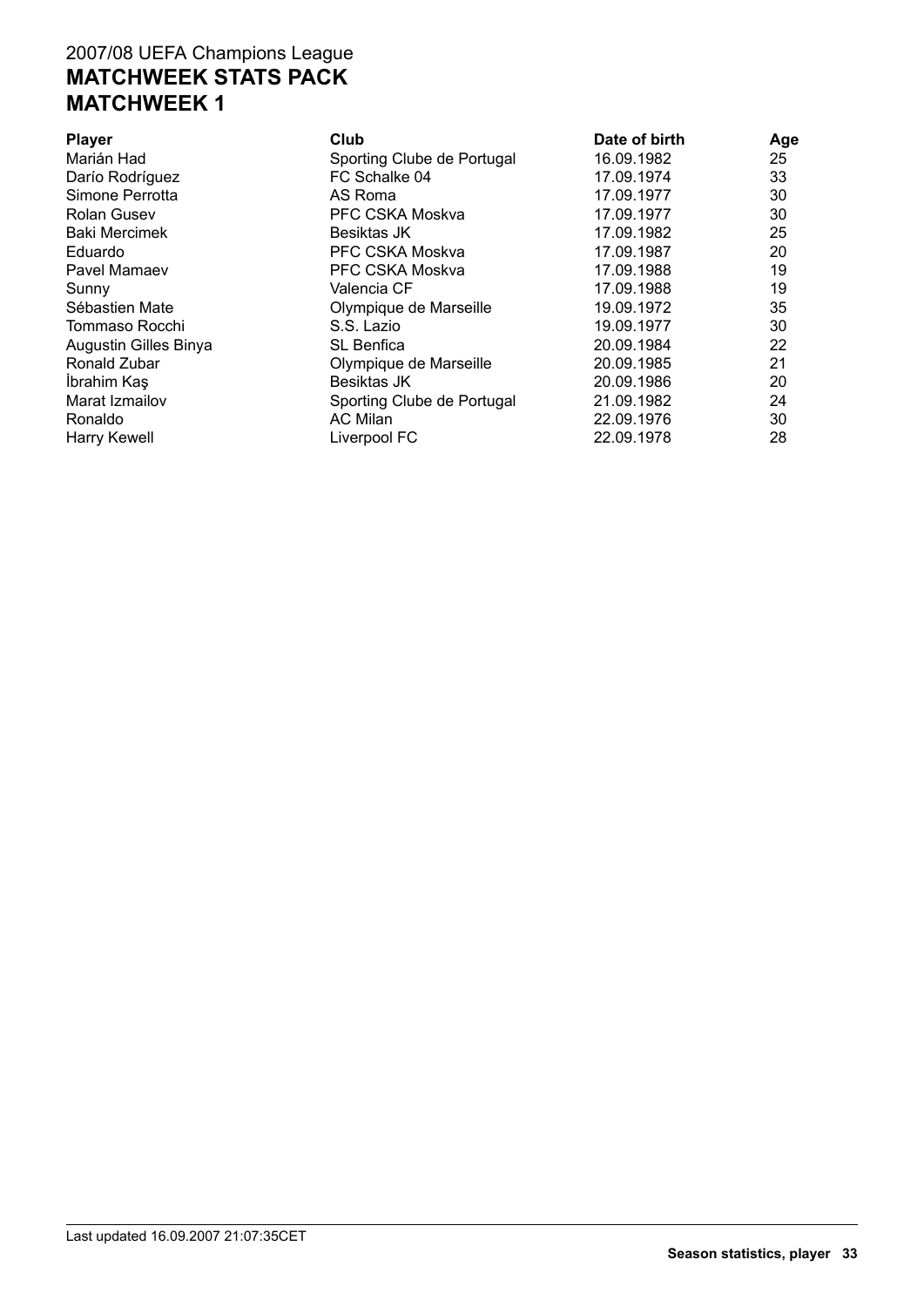| Club                       | Date of birth | Age |
|----------------------------|---------------|-----|
| Sporting Clube de Portugal | 16.09.1982    | 25  |
| FC Schalke 04              | 17.09.1974    | 33  |
| AS Roma                    | 17.09.1977    | 30  |
| PFC CSKA Moskva            | 17.09.1977    | 30  |
| <b>Besiktas JK</b>         | 17.09.1982    | 25  |
| PFC CSKA Moskva            | 17.09.1987    | 20  |
| PFC CSKA Moskva            | 17.09.1988    | 19  |
| Valencia CF                | 17.09.1988    | 19  |
| Olympique de Marseille     | 19.09.1972    | 35  |
| S.S. Lazio                 | 19.09.1977    | 30  |
| <b>SL</b> Benfica          | 20.09.1984    | 22  |
| Olympique de Marseille     | 20.09.1985    | 21  |
| <b>Besiktas JK</b>         | 20.09.1986    | 20  |
| Sporting Clube de Portugal | 21.09.1982    | 24  |
| AC Milan                   | 22.09.1976    | 30  |
| Liverpool FC               | 22.09.1978    | 28  |
|                            |               |     |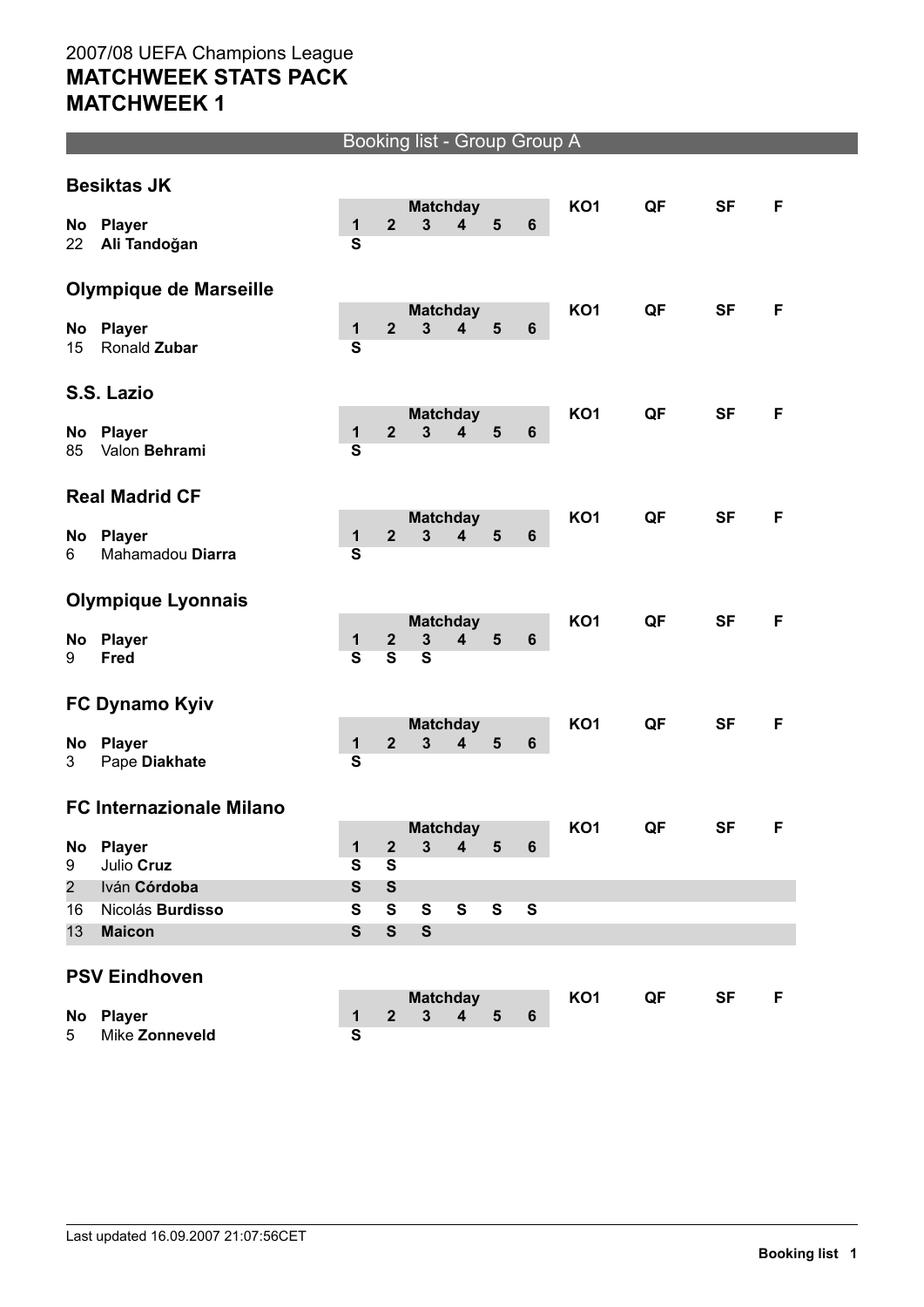#### Booking list - Group Group A

|                | <b>Besiktas JK</b>                |                                         |                                             |                                   |                         |                         |                         |                 |    |           |    |
|----------------|-----------------------------------|-----------------------------------------|---------------------------------------------|-----------------------------------|-------------------------|-------------------------|-------------------------|-----------------|----|-----------|----|
| No             | <b>Player</b>                     | $\mathbf{1}$                            | $\overline{2}$                              | <b>Matchday</b><br>$\overline{3}$ | 4                       | 5                       | $6\phantom{1}$          | <b>KO1</b>      | QF | <b>SF</b> | F. |
| 22             | Ali Tandoğan                      | $\overline{\mathbf{s}}$                 |                                             |                                   |                         |                         |                         |                 |    |           |    |
|                | <b>Olympique de Marseille</b>     |                                         |                                             |                                   |                         |                         |                         |                 |    |           |    |
| No             | <b>Player</b>                     | $\mathbf 1$                             | $\overline{2}$                              | <b>Matchday</b><br>$\overline{3}$ | $\overline{\mathbf{4}}$ | 5                       | $6\phantom{1}$          | <b>KO1</b>      | QF | <b>SF</b> | F  |
| 15             | Ronald Zubar                      | $\overline{\mathbf{s}}$                 |                                             |                                   |                         |                         |                         |                 |    |           |    |
|                | S.S. Lazio                        |                                         |                                             |                                   |                         |                         |                         |                 |    |           |    |
|                |                                   |                                         | $\overline{2}$                              | <b>Matchday</b><br>$\mathbf{3}$   |                         | 5                       |                         | <b>KO1</b>      | QF | <b>SF</b> | F. |
| No<br>85       | <b>Player</b><br>Valon Behrami    | $\mathbf{1}$<br>$\overline{\mathbf{s}}$ |                                             |                                   | 4                       |                         | 6                       |                 |    |           |    |
|                | <b>Real Madrid CF</b>             |                                         |                                             |                                   |                         |                         |                         |                 |    |           |    |
|                |                                   |                                         | $\mathbf{2}$                                | <b>Matchday</b><br>3              | $\overline{\mathbf{4}}$ | 5                       | $6\phantom{1}6$         | <b>KO1</b>      | QF | <b>SF</b> | F  |
| No<br>6        | <b>Player</b><br>Mahamadou Diarra | $\mathbf{1}$<br>$\overline{\mathbf{s}}$ |                                             |                                   |                         |                         |                         |                 |    |           |    |
|                |                                   |                                         |                                             |                                   |                         |                         |                         |                 |    |           |    |
|                | <b>Olympique Lyonnais</b>         |                                         |                                             |                                   |                         |                         |                         |                 |    |           |    |
| No             | Player                            | $\mathbf{1}$                            | $\boldsymbol{2}$                            | <b>Matchday</b><br>$\mathbf{3}$   | $\overline{\mathbf{4}}$ | 5                       | $6\phantom{1}6$         | <b>KO1</b>      | QF | <b>SF</b> | F  |
| 9              | Fred                              | $\overline{\mathbf{s}}$                 | $\overline{\mathbf{s}}$                     | $\overline{\mathbf{s}}$           |                         |                         |                         |                 |    |           |    |
|                |                                   |                                         |                                             |                                   |                         |                         |                         |                 |    |           |    |
|                | FC Dynamo Kyiv                    |                                         |                                             | <b>Matchday</b>                   |                         |                         |                         | KO <sub>1</sub> | QF | <b>SF</b> | F  |
| No             | <b>Player</b>                     | $\mathbf{1}$                            | $\mathbf{2}$                                | $\overline{\mathbf{3}}$           | 4                       | $5\phantom{1}$          | $\boldsymbol{6}$        |                 |    |           |    |
| 3              | Pape Diakhate                     | S                                       |                                             |                                   |                         |                         |                         |                 |    |           |    |
|                | <b>FC Internazionale Milano</b>   |                                         |                                             |                                   |                         |                         |                         |                 |    |           |    |
|                |                                   |                                         |                                             | <b>Matchday</b><br>$\overline{3}$ | 4                       | 5                       | $6\phantom{1}$          | <b>KO1</b>      | QF | <b>SF</b> | F  |
| No<br>9        | <b>Player</b><br>Julio Cruz       | $\mathbf 1$<br>$\overline{\mathbf{s}}$  | $\boldsymbol{2}$<br>$\overline{\mathbf{s}}$ |                                   |                         |                         |                         |                 |    |           |    |
| $\overline{2}$ | Iván Córdoba                      | S                                       | $\mathbf{s}$                                |                                   |                         |                         |                         |                 |    |           |    |
| 16             | Nicolás Burdisso                  | $\overline{\mathbf{s}}$                 | $\mathbf{s}$                                | $\mathbf{s}$                      | $\overline{\mathbf{s}}$ | $\overline{\mathbf{s}}$ | $\overline{\mathbf{s}}$ |                 |    |           |    |
| 13             | <b>Maicon</b>                     | $\mathbf{s}$                            | $\mathbf{s}$                                | $\mathbf{s}$                      |                         |                         |                         |                 |    |           |    |
|                | <b>PSV Eindhoven</b>              |                                         |                                             |                                   |                         |                         |                         |                 |    |           |    |
|                |                                   |                                         |                                             |                                   | <b>Matchday</b>         |                         |                         | KO <sub>1</sub> | QF | <b>SF</b> | F  |
| No<br>5        | Player<br>Mike Zonneveld          | $\mathbf{1}$<br>$\overline{\mathbf{s}}$ | $\mathbf{2}$                                | $\mathbf{3}$                      | 4                       | 5                       | $6\phantom{1}$          |                 |    |           |    |
|                |                                   |                                         |                                             |                                   |                         |                         |                         |                 |    |           |    |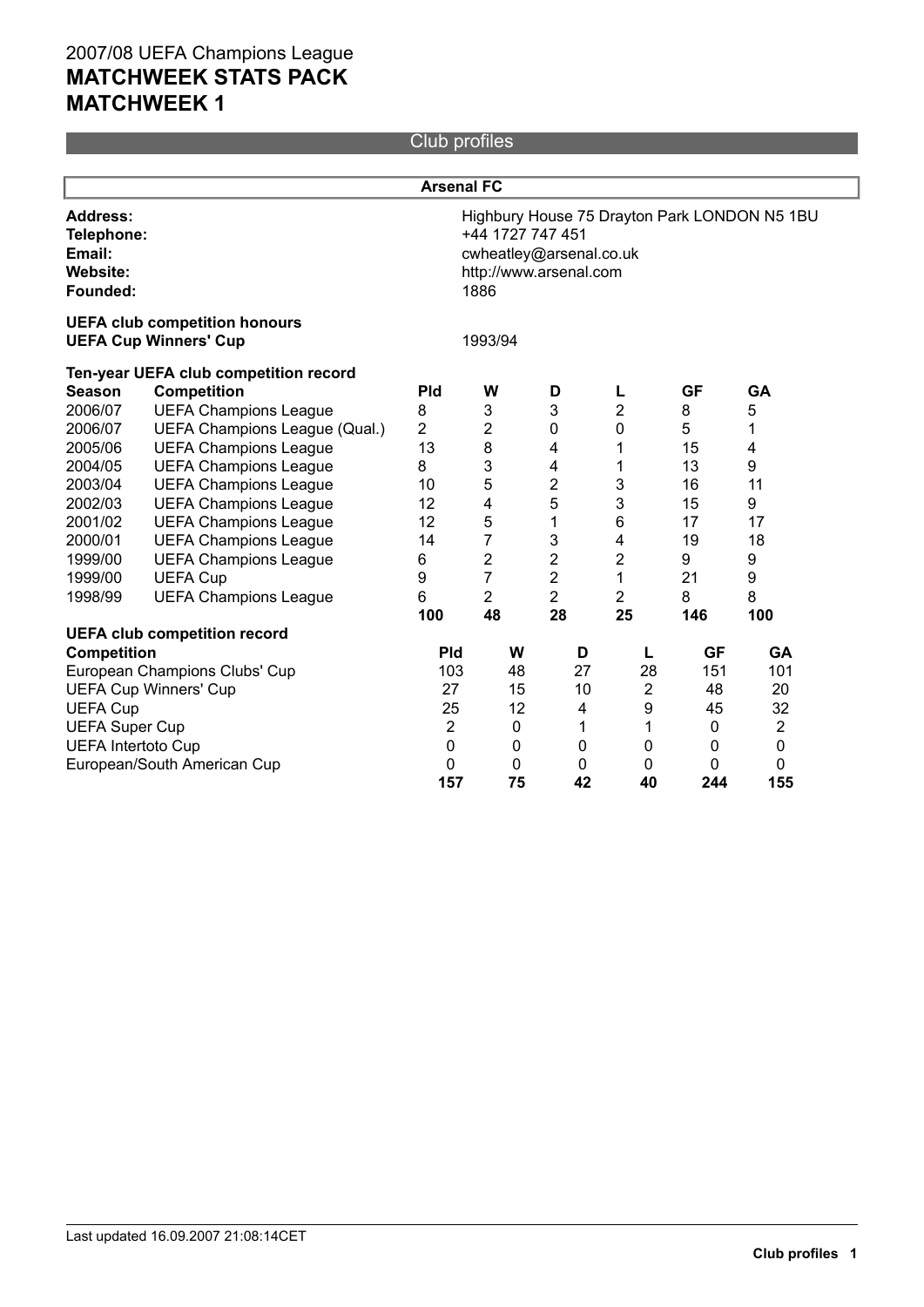Club profiles

|                                                                 |                                                                      | <b>Arsenal FC</b>                                                                                                             |                |                |                |              |                |  |  |  |
|-----------------------------------------------------------------|----------------------------------------------------------------------|-------------------------------------------------------------------------------------------------------------------------------|----------------|----------------|----------------|--------------|----------------|--|--|--|
| <b>Address:</b><br>Telephone:<br>Email:<br>Website:<br>Founded: |                                                                      | Highbury House 75 Drayton Park LONDON N5 1BU<br>+44 1727 747 451<br>cwheatley@arsenal.co.uk<br>http://www.arsenal.com<br>1886 |                |                |                |              |                |  |  |  |
|                                                                 | <b>UEFA club competition honours</b><br><b>UEFA Cup Winners' Cup</b> | 1993/94                                                                                                                       |                |                |                |              |                |  |  |  |
|                                                                 | Ten-year UEFA club competition record                                |                                                                                                                               |                |                |                |              |                |  |  |  |
| <b>Season</b>                                                   | <b>Competition</b>                                                   | Pld                                                                                                                           | W              | D              | L              | <b>GF</b>    | GA             |  |  |  |
| 2006/07                                                         | <b>UEFA Champions League</b>                                         | 8                                                                                                                             | 3              | 3              | 2              | 8            | 5              |  |  |  |
| 2006/07                                                         | UEFA Champions League (Qual.)                                        | $\overline{2}$                                                                                                                | $\overline{c}$ | 0              | 0              | 5            | 1              |  |  |  |
| 2005/06                                                         | <b>UEFA Champions League</b>                                         | 13                                                                                                                            | 8              | 4              | 1              | 15           | 4              |  |  |  |
| 2004/05                                                         | <b>UEFA Champions League</b>                                         | 8                                                                                                                             | 3              | 4              | 1              | 13           | 9              |  |  |  |
| 2003/04                                                         | <b>UEFA Champions League</b>                                         | 10                                                                                                                            | 5              | $\mathbf 2$    | 3              | 16           | 11             |  |  |  |
| 2002/03                                                         | <b>UEFA Champions League</b>                                         | 12                                                                                                                            | 4              | 5              | 3              | 15           | 9              |  |  |  |
| 2001/02                                                         | <b>UEFA Champions League</b>                                         | 12                                                                                                                            | 5              | 1              | 6              | 17           | 17             |  |  |  |
| 2000/01                                                         | <b>UEFA Champions League</b>                                         | 14                                                                                                                            | $\overline{7}$ | 3              | 4              | 19           | 18             |  |  |  |
| 1999/00                                                         | <b>UEFA Champions League</b>                                         | 6                                                                                                                             | $\overline{c}$ | $\overline{2}$ | 2              | 9            | 9              |  |  |  |
| 1999/00                                                         | <b>UEFA Cup</b>                                                      | 9                                                                                                                             | $\overline{7}$ | $\overline{2}$ | 1              | 21           | 9              |  |  |  |
| 1998/99                                                         | <b>UEFA Champions League</b>                                         | 6                                                                                                                             | $\overline{2}$ | $\overline{2}$ | $\overline{2}$ | 8            | 8              |  |  |  |
|                                                                 |                                                                      | 100                                                                                                                           | 48             | 28             | 25             | 146          | 100            |  |  |  |
|                                                                 | <b>UEFA club competition record</b>                                  |                                                                                                                               |                |                |                |              |                |  |  |  |
| <b>Competition</b>                                              |                                                                      | <b>Pld</b>                                                                                                                    | W              | D              | L              | <b>GF</b>    | <b>GA</b>      |  |  |  |
|                                                                 | European Champions Clubs' Cup                                        | 103                                                                                                                           | 48             | 27             | 28             | 151          | 101            |  |  |  |
|                                                                 | <b>UEFA Cup Winners' Cup</b>                                         | 27                                                                                                                            | 15             | 10             | $\overline{2}$ | 48           | 20             |  |  |  |
| <b>UEFA Cup</b>                                                 |                                                                      | 25                                                                                                                            | 12             | 4              | 9              | 45           | 32             |  |  |  |
| <b>UEFA Super Cup</b>                                           |                                                                      | $\overline{2}$                                                                                                                | 0              | 1              | 1              | $\mathbf 0$  | $\overline{2}$ |  |  |  |
| <b>UEFA Intertoto Cup</b>                                       |                                                                      | 0                                                                                                                             | 0              | 0              | $\Omega$       | $\mathbf{0}$ | 0              |  |  |  |
|                                                                 | European/South American Cup                                          | 0                                                                                                                             | 0              | 0              | 0              | 0            | 0              |  |  |  |
|                                                                 |                                                                      | 157                                                                                                                           | 75             | 42             | 40             | 244          | 155            |  |  |  |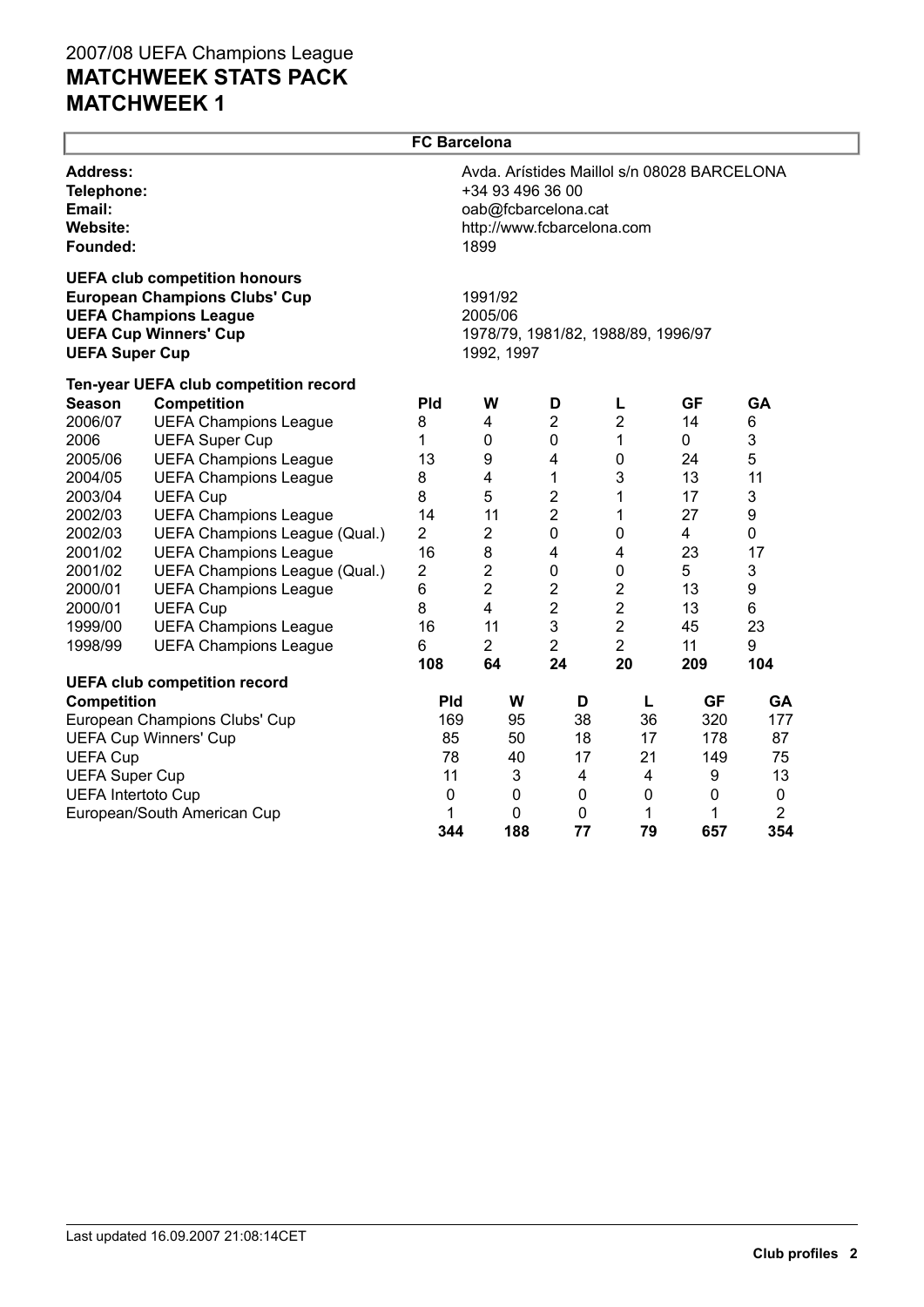|                                                                 |                                                                                                                                              | <b>FC Barcelona</b>     |                                                                                                                              |                               |                     |           |           |  |  |
|-----------------------------------------------------------------|----------------------------------------------------------------------------------------------------------------------------------------------|-------------------------|------------------------------------------------------------------------------------------------------------------------------|-------------------------------|---------------------|-----------|-----------|--|--|
| <b>Address:</b><br>Telephone:<br>Email:<br>Website:<br>Founded: |                                                                                                                                              |                         | Avda. Arístides Maillol s/n 08028 BARCELONA<br>+34 93 496 36 00<br>oab@fcbarcelona.cat<br>http://www.fcbarcelona.com<br>1899 |                               |                     |           |           |  |  |
| <b>UEFA Super Cup</b>                                           | <b>UEFA club competition honours</b><br><b>European Champions Clubs' Cup</b><br><b>UEFA Champions League</b><br><b>UEFA Cup Winners' Cup</b> |                         | 1991/92<br>2005/06<br>1978/79, 1981/82, 1988/89, 1996/97<br>1992, 1997                                                       |                               |                     |           |           |  |  |
|                                                                 | Ten-year UEFA club competition record                                                                                                        |                         |                                                                                                                              |                               |                     |           |           |  |  |
| <b>Season</b>                                                   | <b>Competition</b>                                                                                                                           | Pld                     | W                                                                                                                            | D                             | L                   | <b>GF</b> | GA        |  |  |
| 2006/07                                                         | <b>UEFA Champions League</b>                                                                                                                 | 8                       | 4                                                                                                                            | $\overline{2}$                | $\overline{2}$      | 14        | 6         |  |  |
| 2006                                                            | <b>UEFA Super Cup</b>                                                                                                                        | 1                       | 0                                                                                                                            | $\mathbf 0$                   | 1                   | 0         | 3         |  |  |
| 2005/06                                                         | <b>UEFA Champions League</b>                                                                                                                 | 13                      | $\boldsymbol{9}$                                                                                                             | 4                             | $\pmb{0}$           | 24        | 5         |  |  |
| 2004/05                                                         | <b>UEFA Champions League</b>                                                                                                                 | 8                       | 4                                                                                                                            | 1                             | 3                   | 13        | 11        |  |  |
| 2003/04                                                         | <b>UEFA Cup</b>                                                                                                                              | 8                       | 5<br>11                                                                                                                      | $\overline{2}$                | 1                   | 17        | 3         |  |  |
| 2002/03<br>2002/03                                              | <b>UEFA Champions League</b>                                                                                                                 | 14<br>$\overline{2}$    | $\overline{2}$                                                                                                               | $\overline{2}$<br>$\mathbf 0$ | 1                   | 27        | 9         |  |  |
| 2001/02                                                         | UEFA Champions League (Qual.)<br><b>UEFA Champions League</b>                                                                                | 16                      | 8                                                                                                                            | 4                             | 0<br>$\overline{4}$ | 4<br>23   | 0<br>17   |  |  |
| 2001/02                                                         | UEFA Champions League (Qual.)                                                                                                                | $\overline{\mathbf{c}}$ | $\boldsymbol{2}$                                                                                                             | $\boldsymbol{0}$              | $\pmb{0}$           | 5         | 3         |  |  |
| 2000/01                                                         | <b>UEFA Champions League</b>                                                                                                                 | 6                       | $\overline{2}$                                                                                                               | 2                             | $\overline{c}$      | 13        | 9         |  |  |
| 2000/01                                                         | <b>UEFA Cup</b>                                                                                                                              | 8                       | $\overline{\mathbf{4}}$                                                                                                      | $\overline{c}$                | $\overline{2}$      | 13        | 6         |  |  |
| 1999/00                                                         | <b>UEFA Champions League</b>                                                                                                                 | 16                      | 11                                                                                                                           | 3                             | $\overline{2}$      | 45        | 23        |  |  |
| 1998/99                                                         | <b>UEFA Champions League</b>                                                                                                                 | 6                       | $\overline{2}$                                                                                                               | $\overline{2}$                | $\overline{2}$      | 11        | 9         |  |  |
|                                                                 |                                                                                                                                              | 108                     | 64                                                                                                                           | 24                            | 20                  | 209       | 104       |  |  |
|                                                                 | <b>UEFA club competition record</b>                                                                                                          |                         |                                                                                                                              |                               |                     |           |           |  |  |
| <b>Competition</b>                                              |                                                                                                                                              | <b>Pld</b>              | W                                                                                                                            | D                             | L                   | <b>GF</b> | GA        |  |  |
|                                                                 | European Champions Clubs' Cup                                                                                                                | 169                     | 95                                                                                                                           | 38                            | 36                  | 320       | 177       |  |  |
|                                                                 | <b>UEFA Cup Winners' Cup</b>                                                                                                                 | 85                      | 50                                                                                                                           | 18                            | 17                  | 178       | 87        |  |  |
| <b>UEFA Cup</b>                                                 |                                                                                                                                              | 78                      | 40                                                                                                                           | 17                            | 21                  | 149       | 75        |  |  |
| <b>UEFA Super Cup</b>                                           |                                                                                                                                              | 11                      | 3                                                                                                                            | 4                             | 4                   | 9         | 13        |  |  |
| <b>UEFA Intertoto Cup</b>                                       |                                                                                                                                              | 0                       | 0                                                                                                                            | 0                             | $\mathbf 0$         | 0         | $\pmb{0}$ |  |  |
|                                                                 | European/South American Cup                                                                                                                  | 1                       | $\mathbf 0$                                                                                                                  | 0                             | 1                   | 1         | 2         |  |  |
|                                                                 |                                                                                                                                              | 344                     | 188                                                                                                                          | 77                            | 79                  | 657       | 354       |  |  |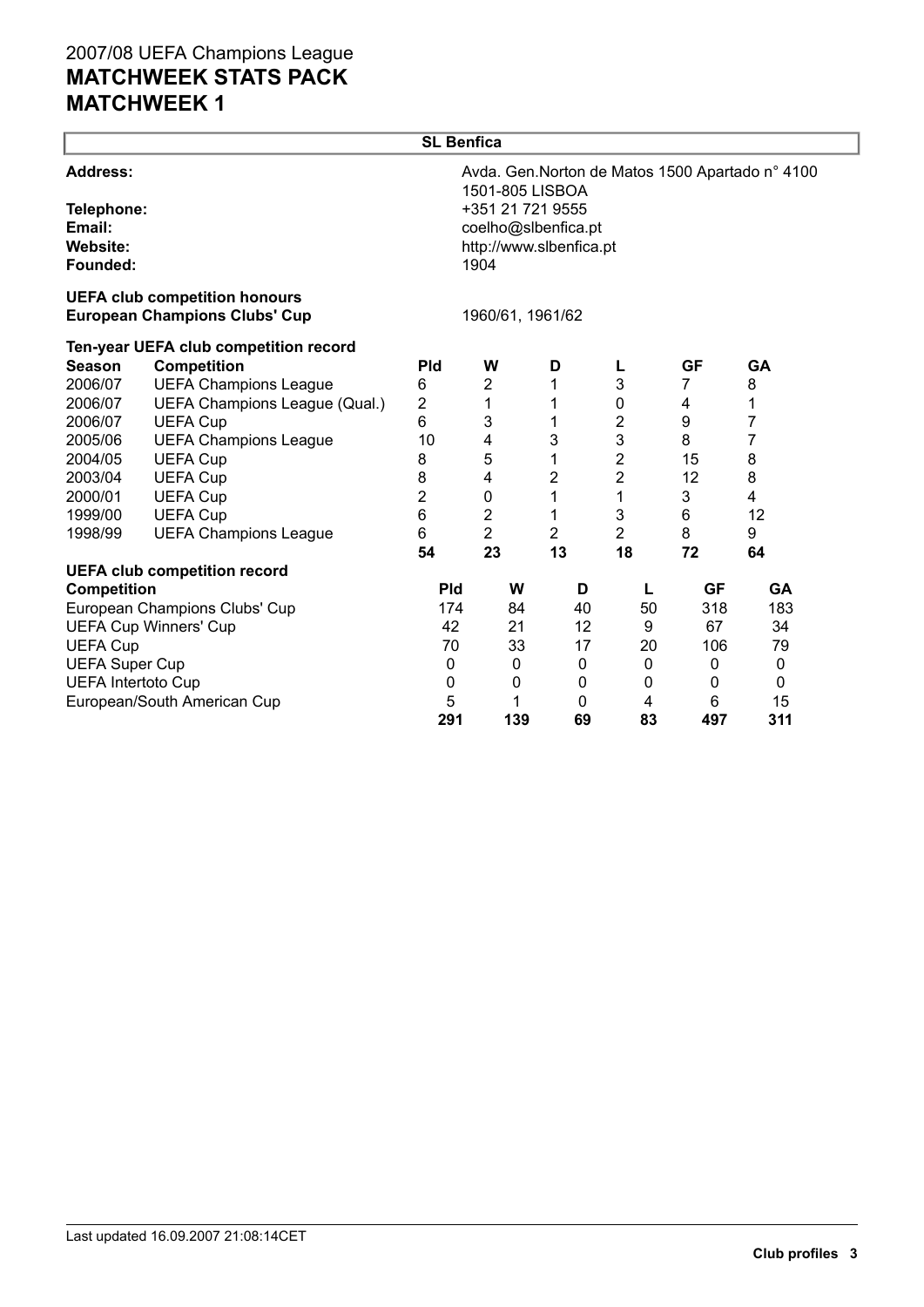|                                                                 |                                                                              | <b>SL Benfica</b>                                                                                                                                 |                |                |                |           |           |  |  |  |
|-----------------------------------------------------------------|------------------------------------------------------------------------------|---------------------------------------------------------------------------------------------------------------------------------------------------|----------------|----------------|----------------|-----------|-----------|--|--|--|
| <b>Address:</b><br>Telephone:<br>Email:<br>Website:<br>Founded: |                                                                              | Avda. Gen. Norton de Matos 1500 Apartado nº 4100<br>1501-805 LISBOA<br>+351 21 721 9555<br>coelho@slbenfica.pt<br>http://www.slbenfica.pt<br>1904 |                |                |                |           |           |  |  |  |
|                                                                 | <b>UEFA club competition honours</b><br><b>European Champions Clubs' Cup</b> | 1960/61, 1961/62                                                                                                                                  |                |                |                |           |           |  |  |  |
| <b>Season</b>                                                   | Ten-year UEFA club competition record<br><b>Competition</b>                  | <b>Pld</b>                                                                                                                                        | W              | D              |                | <b>GF</b> | <b>GA</b> |  |  |  |
| 2006/07                                                         | <b>UEFA Champions League</b>                                                 | 6                                                                                                                                                 | $\overline{2}$ |                | 3              | 7         | 8         |  |  |  |
| 2006/07                                                         | UEFA Champions League (Qual.)                                                | 2                                                                                                                                                 | 1              |                | 0              | 4         | 1         |  |  |  |
| 2006/07                                                         | <b>UEFA Cup</b>                                                              | 6                                                                                                                                                 | 3              |                | 2              | 9         | 7         |  |  |  |
| 2005/06                                                         | <b>UEFA Champions League</b>                                                 | 10                                                                                                                                                | 4              | 3              | 3              | 8         | 7         |  |  |  |
| 2004/05                                                         | <b>UEFA Cup</b>                                                              | 8                                                                                                                                                 | 5              | 1              | $\overline{2}$ | 15        | 8         |  |  |  |
| 2003/04                                                         | <b>UEFA Cup</b>                                                              | 8                                                                                                                                                 | $\overline{4}$ | 2              | $\overline{2}$ | 12        | 8         |  |  |  |
| 2000/01                                                         | <b>UEFA Cup</b>                                                              | $\overline{c}$                                                                                                                                    | 0              | 1              | 1              | 3         | 4         |  |  |  |
| 1999/00                                                         | <b>UEFA Cup</b>                                                              | $\,6$                                                                                                                                             | $\overline{2}$ | 1              | 3              | 6         | 12        |  |  |  |
| 1998/99                                                         | <b>UEFA Champions League</b>                                                 | 6                                                                                                                                                 | 2              | $\overline{2}$ | $\overline{2}$ | 8         | 9         |  |  |  |
|                                                                 |                                                                              | 54                                                                                                                                                | 23             | 13             | 18             | 72        | 64        |  |  |  |
|                                                                 | <b>UEFA club competition record</b>                                          |                                                                                                                                                   |                |                |                |           |           |  |  |  |
| <b>Competition</b>                                              |                                                                              | <b>Pld</b>                                                                                                                                        | W              | D              | L              | <b>GF</b> | GA        |  |  |  |
|                                                                 | European Champions Clubs' Cup                                                | 174                                                                                                                                               | 84             | 40             | 50             | 318       | 183       |  |  |  |
|                                                                 | <b>UEFA Cup Winners' Cup</b>                                                 | 42                                                                                                                                                | 21             | 12             | 9              | 67        | 34        |  |  |  |
| <b>UEFA Cup</b>                                                 |                                                                              | 70                                                                                                                                                | 33             | 17             | 20             | 106       | 79        |  |  |  |
| <b>UEFA Super Cup</b>                                           |                                                                              | 0                                                                                                                                                 | 0              | 0              | 0              | 0         | 0         |  |  |  |
| <b>UEFA Intertoto Cup</b>                                       |                                                                              | 0                                                                                                                                                 | 0              | 0              | 0              | 0         | 0         |  |  |  |
|                                                                 | European/South American Cup                                                  | 5<br>291                                                                                                                                          | 1<br>139       | 0<br>69        | 4<br>83        | 6<br>497  | 15<br>311 |  |  |  |
|                                                                 |                                                                              |                                                                                                                                                   |                |                |                |           |           |  |  |  |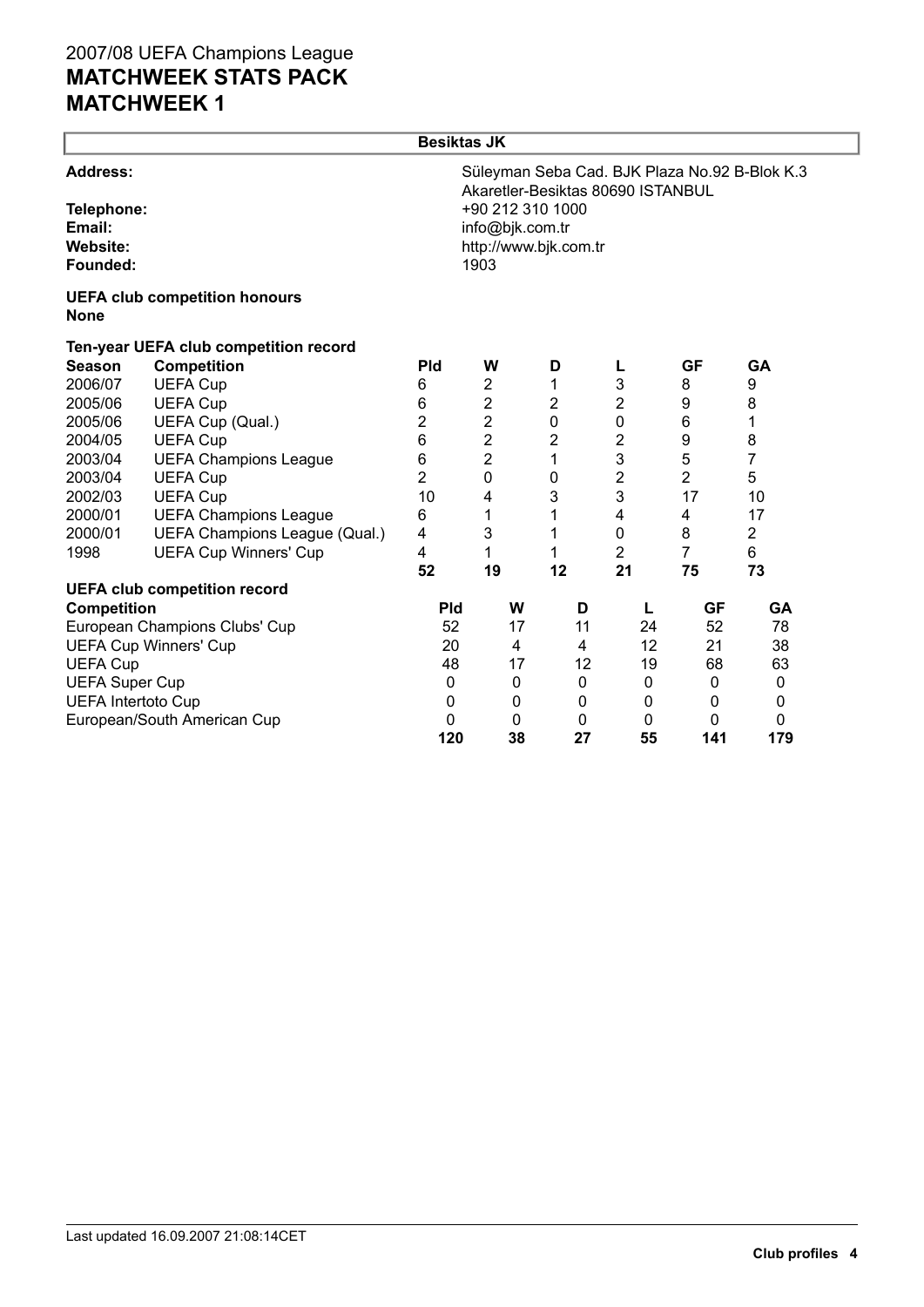| Süleyman Seba Cad. BJK Plaza No.92 B-Blok K.3 |
|-----------------------------------------------|
|                                               |
|                                               |
| <b>GA</b>                                     |
|                                               |
|                                               |
|                                               |
|                                               |
|                                               |
|                                               |
| 10                                            |
|                                               |
|                                               |
|                                               |
| 73                                            |
| <b>GA</b>                                     |
| 78                                            |
| 38                                            |
| 63                                            |
| 0                                             |
| 0                                             |
| 0                                             |
| 179                                           |
| 17                                            |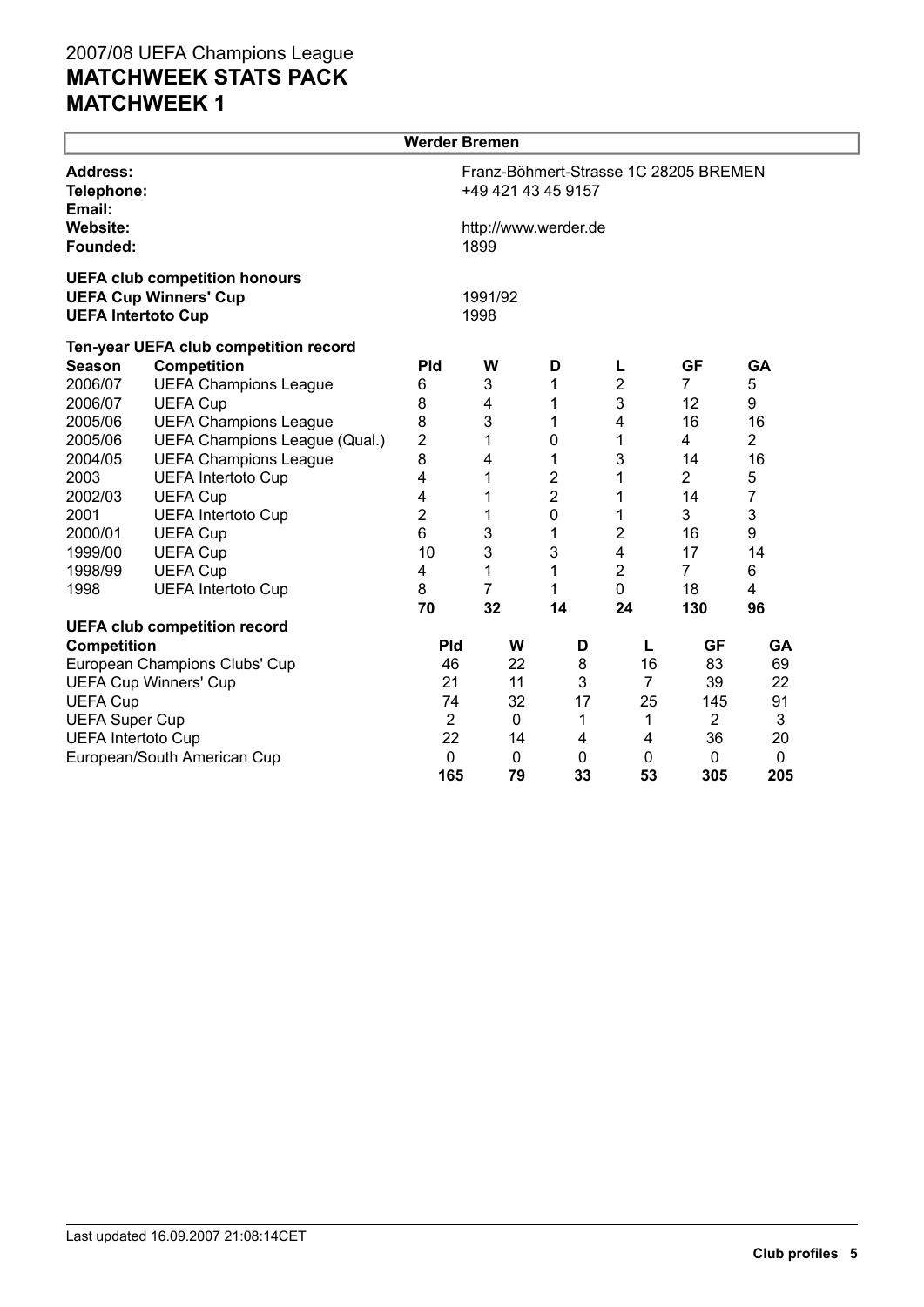|                                         |                                                                      | <b>Werder Bremen</b>                                        |                 |                      |                |                |                |  |  |  |
|-----------------------------------------|----------------------------------------------------------------------|-------------------------------------------------------------|-----------------|----------------------|----------------|----------------|----------------|--|--|--|
| <b>Address:</b><br>Telephone:<br>Email: |                                                                      | Franz-Böhmert-Strasse 1C 28205 BREMEN<br>+49 421 43 45 9157 |                 |                      |                |                |                |  |  |  |
| Website:<br>Founded:                    |                                                                      |                                                             | 1899            | http://www.werder.de |                |                |                |  |  |  |
| <b>UEFA Intertoto Cup</b>               | <b>UEFA club competition honours</b><br><b>UEFA Cup Winners' Cup</b> |                                                             | 1991/92<br>1998 |                      |                |                |                |  |  |  |
|                                         | Ten-year UEFA club competition record                                |                                                             |                 |                      |                |                |                |  |  |  |
| <b>Season</b>                           | <b>Competition</b>                                                   | <b>Pld</b>                                                  | W               | D                    | L              | <b>GF</b>      | GA             |  |  |  |
| 2006/07                                 | <b>UEFA Champions League</b>                                         | 6                                                           | 3               | 1                    | 2              | $\overline{7}$ | 5              |  |  |  |
| 2006/07                                 | <b>UEFA Cup</b>                                                      | 8                                                           | 4               | 1                    | 3              | 12             | 9              |  |  |  |
| 2005/06                                 | <b>UEFA Champions League</b>                                         | 8                                                           | 3               | 1                    | 4              | 16             | 16             |  |  |  |
| 2005/06                                 | UEFA Champions League (Qual.)                                        | 2                                                           | 1               | 0                    | 1              | 4              | $\overline{2}$ |  |  |  |
| 2004/05                                 | <b>UEFA Champions League</b>                                         | 8                                                           | 4               | 1                    | 3              | 14             | 16             |  |  |  |
| 2003                                    | <b>UEFA Intertoto Cup</b>                                            | 4                                                           | 1               | $\overline{2}$       | 1              | $\overline{2}$ | 5              |  |  |  |
| 2002/03                                 | <b>UEFA Cup</b>                                                      | 4                                                           | 1               | $\overline{2}$       | 1              | 14             | 7              |  |  |  |
| 2001                                    | <b>UEFA Intertoto Cup</b>                                            | $\overline{2}$                                              | 1               | 0                    | 1              | 3              | 3              |  |  |  |
| 2000/01                                 | <b>UEFA Cup</b>                                                      | 6                                                           | 3               | 1                    | 2              | 16             | 9              |  |  |  |
| 1999/00                                 | <b>UEFA Cup</b>                                                      | 10                                                          | 3               | 3                    | 4              | 17             | 14             |  |  |  |
| 1998/99                                 | <b>UEFA Cup</b>                                                      | 4                                                           | 1               | 1                    | $\overline{2}$ | $\overline{7}$ | 6              |  |  |  |
| 1998                                    | <b>UEFA Intertoto Cup</b>                                            | 8                                                           | $\overline{7}$  | 1                    | 0              | 18             | 4              |  |  |  |
|                                         |                                                                      | 70                                                          | 32              | 14                   | 24             | 130            | 96             |  |  |  |
|                                         | <b>UEFA club competition record</b>                                  |                                                             |                 |                      |                |                |                |  |  |  |
| <b>Competition</b>                      |                                                                      | <b>Pld</b>                                                  | W               | D                    | L              | <b>GF</b>      | GA             |  |  |  |
|                                         | European Champions Clubs' Cup                                        | 46                                                          | 22              | 8                    | 16             | 83             | 69             |  |  |  |
|                                         | <b>UEFA Cup Winners' Cup</b>                                         | 21                                                          | 11              | 3                    | $\overline{7}$ | 39             | 22             |  |  |  |
| <b>UEFA Cup</b>                         |                                                                      | 74                                                          | 32              | 17                   | 25             | 145            | 91             |  |  |  |
| <b>UEFA Super Cup</b>                   |                                                                      | $\overline{2}$                                              | $\mathbf 0$     | 1                    | 1              | $\overline{2}$ | 3              |  |  |  |
| <b>UEFA Intertoto Cup</b>               |                                                                      | 22                                                          | 14              | 4                    | 4              | 36             | 20             |  |  |  |
|                                         | European/South American Cup                                          | 0                                                           | 0               | 0                    | 0              | 0              | $\mathbf 0$    |  |  |  |
|                                         |                                                                      | 165                                                         | 79              | 33                   | 53             | 305            | 205            |  |  |  |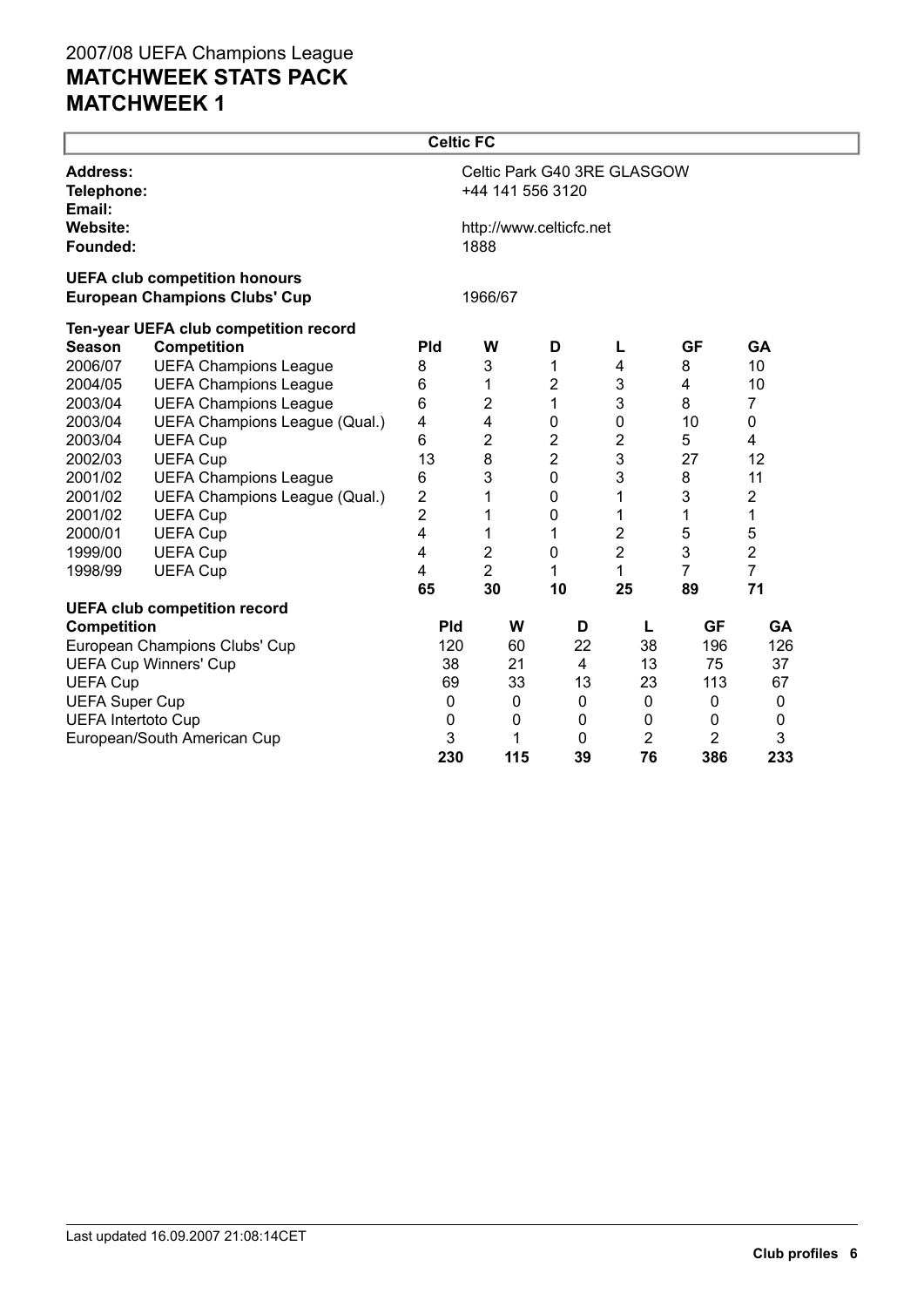|                                                                              |                                       | <b>Celtic FC</b> |                                 |                |                             |                |                         |  |  |
|------------------------------------------------------------------------------|---------------------------------------|------------------|---------------------------------|----------------|-----------------------------|----------------|-------------------------|--|--|
| <b>Address:</b><br>Telephone:<br>Email:                                      |                                       |                  | +44 141 556 3120                |                | Celtic Park G40 3RE GLASGOW |                |                         |  |  |
| <b>Website:</b><br>Founded:                                                  |                                       |                  | http://www.celticfc.net<br>1888 |                |                             |                |                         |  |  |
| <b>UEFA club competition honours</b><br><b>European Champions Clubs' Cup</b> |                                       | 1966/67          |                                 |                |                             |                |                         |  |  |
|                                                                              | Ten-year UEFA club competition record |                  |                                 |                |                             |                |                         |  |  |
| <b>Season</b>                                                                | <b>Competition</b>                    | <b>Pld</b>       | W                               | D              | L                           | <b>GF</b>      | <b>GA</b>               |  |  |
| 2006/07                                                                      | <b>UEFA Champions League</b>          | 8                | $\ensuremath{\mathsf{3}}$       | 1              | 4                           | 8              | 10                      |  |  |
| 2004/05                                                                      | <b>UEFA Champions League</b>          | 6                | 1                               | 2              | 3                           | 4              | 10                      |  |  |
| 2003/04                                                                      | <b>UEFA Champions League</b>          | 6                | 2                               | 1              | 3                           | 8              | $\overline{7}$          |  |  |
| 2003/04                                                                      | UEFA Champions League (Qual.)         | 4                | 4                               | 0              | $\pmb{0}$                   | 10             | 0                       |  |  |
| 2003/04                                                                      | <b>UEFA Cup</b>                       | 6                | 2                               | 2              | $\overline{2}$              | 5              | 4                       |  |  |
| 2002/03                                                                      | <b>UEFA Cup</b>                       | 13               | 8                               | $\overline{2}$ | 3                           | 27             | 12                      |  |  |
| 2001/02                                                                      | <b>UEFA Champions League</b>          | 6                | 3                               | $\mathbf 0$    | 3                           | 8              | 11                      |  |  |
| 2001/02                                                                      | UEFA Champions League (Qual.)         | $\overline{c}$   | 1                               | $\mathbf 0$    | 1                           | 3              | $\overline{\mathbf{c}}$ |  |  |
| 2001/02                                                                      | <b>UEFA Cup</b>                       | $\overline{2}$   | 1                               | 0              | 1                           | 1              | 1                       |  |  |
| 2000/01                                                                      | <b>UEFA Cup</b>                       | 4                | 1                               | 1              | 2                           | 5              | 5                       |  |  |
| 1999/00                                                                      | <b>UEFA Cup</b>                       | 4                | 2                               | $\pmb{0}$      | $\overline{2}$              | 3              | $\overline{2}$          |  |  |
| 1998/99                                                                      | <b>UEFA Cup</b>                       | 4                | $\overline{2}$                  | 1              | 1                           | 7              | $\overline{7}$          |  |  |
|                                                                              |                                       | 65               | 30                              | 10             | 25                          | 89             | 71                      |  |  |
|                                                                              | <b>UEFA club competition record</b>   |                  |                                 |                |                             |                |                         |  |  |
| <b>Competition</b>                                                           |                                       | <b>Pld</b>       | W                               | D              | L                           | <b>GF</b>      | <b>GA</b>               |  |  |
|                                                                              | European Champions Clubs' Cup         | 120              | 60                              | 22             | 38                          | 196            | 126                     |  |  |
|                                                                              | <b>UEFA Cup Winners' Cup</b>          | 38               | 21                              | $\overline{4}$ | 13                          | 75             | 37                      |  |  |
| <b>UEFA Cup</b>                                                              |                                       | 69               | 33                              | 13             | 23                          | 113            | 67                      |  |  |
| <b>UEFA Super Cup</b>                                                        |                                       | $\mathbf 0$      | 0                               | 0              | 0                           | 0              | 0                       |  |  |
| <b>UEFA Intertoto Cup</b>                                                    |                                       | $\mathbf 0$      | 0                               | 0              | 0                           | 0              | $\mathbf 0$             |  |  |
|                                                                              | European/South American Cup           | 3                | 1                               | 0              | 2                           | $\overline{2}$ | 3                       |  |  |
|                                                                              |                                       | 230              | 115                             | 39             | 76                          | 386            | 233                     |  |  |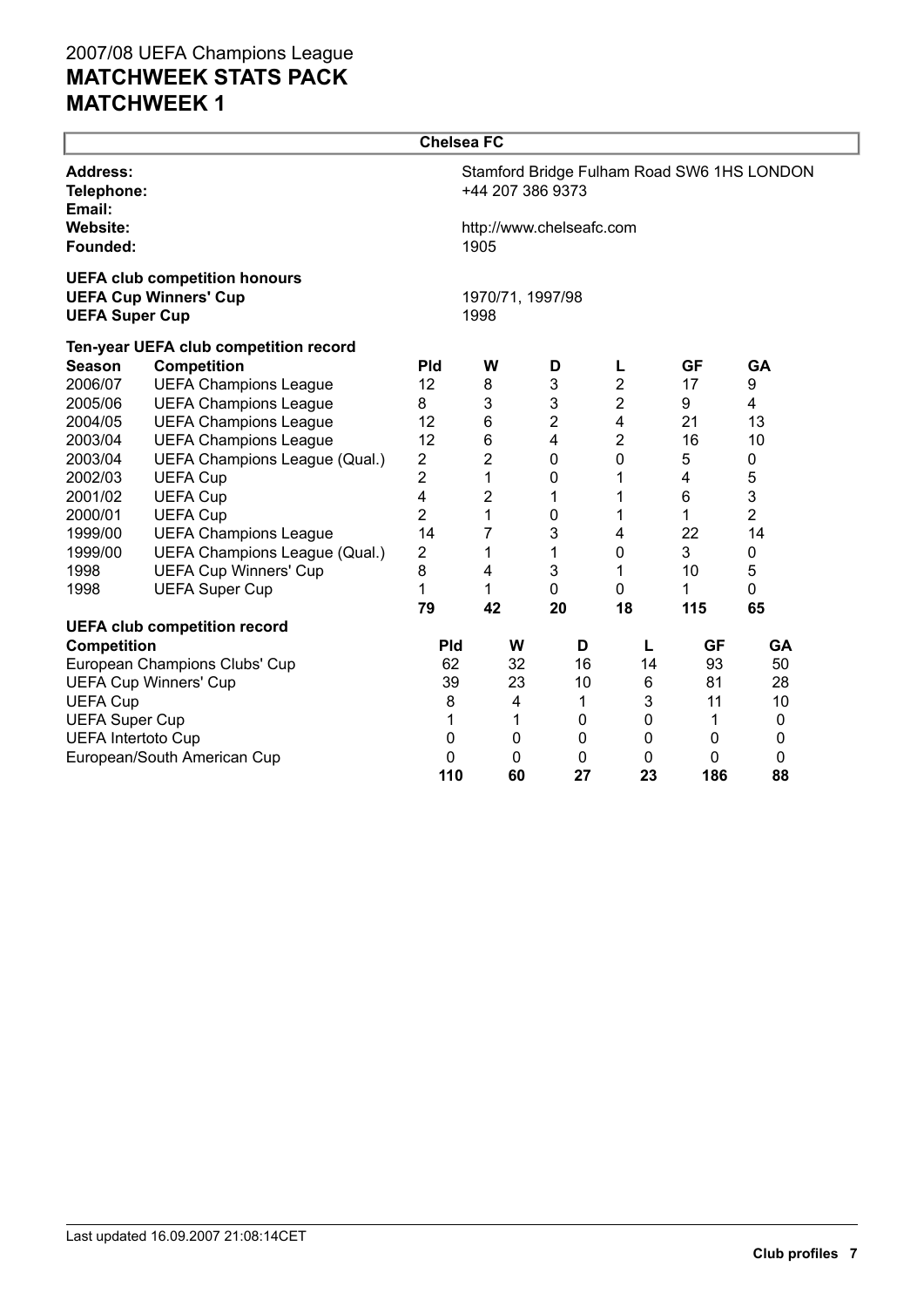|                                                                                               |                                       | <b>Chelsea FC</b> |                          |                          |                         |           |                                            |  |
|-----------------------------------------------------------------------------------------------|---------------------------------------|-------------------|--------------------------|--------------------------|-------------------------|-----------|--------------------------------------------|--|
| Address:<br>Telephone:<br>Email:                                                              |                                       |                   | +44 207 386 9373         |                          |                         |           | Stamford Bridge Fulham Road SW6 1HS LONDON |  |
| <b>Website:</b><br>Founded:                                                                   |                                       |                   | 1905                     | http://www.chelseafc.com |                         |           |                                            |  |
| <b>UEFA club competition honours</b><br><b>UEFA Cup Winners' Cup</b><br><b>UEFA Super Cup</b> |                                       |                   | 1970/71, 1997/98<br>1998 |                          |                         |           |                                            |  |
|                                                                                               | Ten-year UEFA club competition record |                   |                          |                          |                         |           |                                            |  |
| <b>Season</b>                                                                                 | <b>Competition</b>                    | <b>Pld</b>        | W                        | D                        | L                       | GF        | <b>GA</b>                                  |  |
| 2006/07                                                                                       | <b>UEFA Champions League</b>          | 12                | 8                        | 3                        | 2                       | 17        | 9                                          |  |
| 2005/06                                                                                       | <b>UEFA Champions League</b>          | 8                 | $\mathsf 3$              | 3                        | 2                       | 9         | 4                                          |  |
| 2004/05                                                                                       | <b>UEFA Champions League</b>          | 12                | $\,6$                    | $\overline{2}$           | $\overline{\mathbf{4}}$ | 21        | 13                                         |  |
| 2003/04                                                                                       | <b>UEFA Champions League</b>          | 12                | $\,6$                    | $\overline{\mathbf{4}}$  | $\overline{2}$          | 16        | 10                                         |  |
| 2003/04                                                                                       | UEFA Champions League (Qual.)         | $\overline{2}$    | $\overline{2}$           | $\mathbf 0$              | 0                       | 5         | 0                                          |  |
| 2002/03                                                                                       | <b>UEFA Cup</b>                       | 2                 | 1                        | 0                        | 1                       | 4         | 5                                          |  |
| 2001/02                                                                                       | <b>UEFA Cup</b>                       | 4                 | $\overline{\mathbf{c}}$  | 1                        | 1                       | 6         | 3                                          |  |
| 2000/01                                                                                       | <b>UEFA Cup</b>                       | $\overline{2}$    | 1                        | 0                        | 1                       | 1         | $\overline{2}$                             |  |
| 1999/00                                                                                       | <b>UEFA Champions League</b>          | 14                | 7                        | 3                        | 4                       | 22        | 14                                         |  |
| 1999/00                                                                                       | UEFA Champions League (Qual.)         | 2                 | 1                        | 1                        | 0                       | 3         | 0                                          |  |
| 1998                                                                                          | <b>UEFA Cup Winners' Cup</b>          | 8                 | 4                        | 3                        | 1                       | 10        | 5                                          |  |
| 1998                                                                                          | <b>UEFA Super Cup</b>                 | 1                 | 1                        | 0                        | 0                       | 1         | 0                                          |  |
|                                                                                               |                                       | 79                | 42                       | 20                       | 18                      | 115       | 65                                         |  |
|                                                                                               | <b>UEFA club competition record</b>   |                   |                          |                          |                         |           |                                            |  |
| <b>Competition</b>                                                                            |                                       | <b>Pld</b>        | W                        | D                        | L                       | <b>GF</b> | <b>GA</b>                                  |  |
|                                                                                               | European Champions Clubs' Cup         | 62                | 32                       | 16                       | 14                      | 93        | 50                                         |  |
|                                                                                               | <b>UEFA Cup Winners' Cup</b>          | 39                | 23                       | 10                       | 6                       | 81        | 28                                         |  |
| <b>UEFA Cup</b>                                                                               |                                       | 8                 | 4                        | 1                        | 3                       | 11        | 10                                         |  |
| <b>UEFA Super Cup</b>                                                                         |                                       | 1                 | 1                        | 0                        | 0                       | 1         | 0                                          |  |
| <b>UEFA Intertoto Cup</b>                                                                     |                                       | 0                 | 0                        | 0                        | 0                       | 0         | 0                                          |  |
|                                                                                               | European/South American Cup           | 0                 | 0                        | 0                        | 0                       | $\Omega$  | 0                                          |  |
|                                                                                               |                                       | 110               | 60                       | 27                       | 23                      | 186       | 88                                         |  |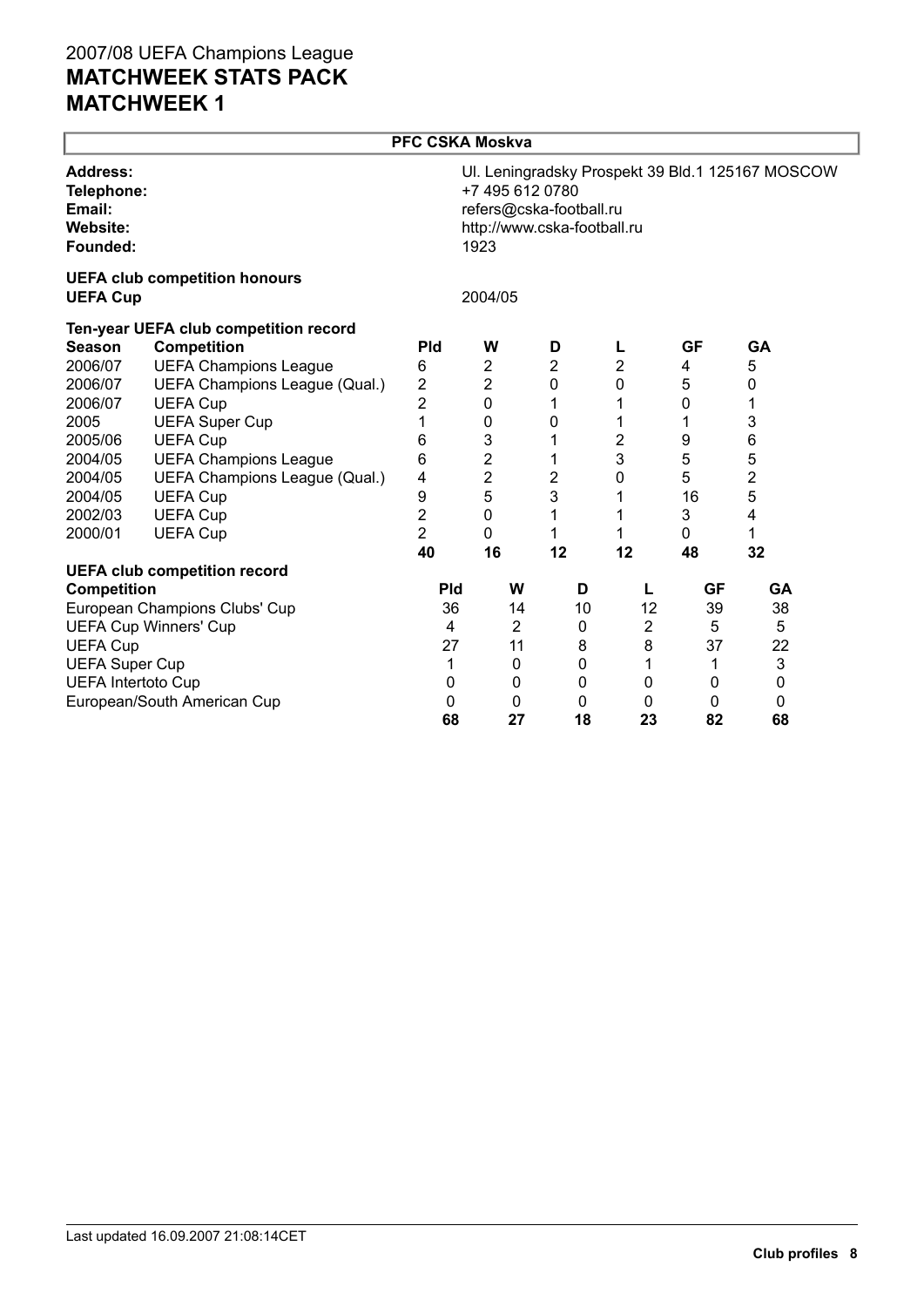|                                                                 |                                       | <b>PFC CSKA Moskva</b> |                                                                                   |                |              |              |                                                  |  |
|-----------------------------------------------------------------|---------------------------------------|------------------------|-----------------------------------------------------------------------------------|----------------|--------------|--------------|--------------------------------------------------|--|
| <b>Address:</b><br>Telephone:<br>Email:<br>Website:<br>Founded: |                                       |                        | +7 495 612 0780<br>refers@cska-football.ru<br>http://www.cska-football.ru<br>1923 |                |              |              | Ul. Leningradsky Prospekt 39 Bld.1 125167 MOSCOW |  |
| <b>UEFA Cup</b>                                                 | <b>UEFA club competition honours</b>  |                        | 2004/05                                                                           |                |              |              |                                                  |  |
|                                                                 | Ten-year UEFA club competition record |                        |                                                                                   |                |              |              |                                                  |  |
| <b>Season</b>                                                   | <b>Competition</b>                    | <b>Pld</b>             | W                                                                                 | D              | L            | <b>GF</b>    | GA                                               |  |
| 2006/07                                                         | <b>UEFA Champions League</b>          | 6                      | $\overline{2}$                                                                    | 2              | 2            | 4            | 5                                                |  |
| 2006/07                                                         | UEFA Champions League (Qual.)         | 2                      | $\overline{2}$                                                                    | 0              | 0            | 5            | 0                                                |  |
| 2006/07                                                         | <b>UEFA Cup</b>                       | $\overline{c}$         | 0                                                                                 | 1              | 1            | $\mathbf 0$  | 1                                                |  |
| 2005                                                            | <b>UEFA Super Cup</b>                 | 1                      | 0                                                                                 | 0              | 1            | 1            | 3                                                |  |
| 2005/06                                                         | <b>UEFA Cup</b>                       | 6                      | 3                                                                                 | 1              | 2            | 9            | 6                                                |  |
| 2004/05                                                         | <b>UEFA Champions League</b>          | 6                      | 2                                                                                 | 1              | 3            | 5            | 5                                                |  |
| 2004/05                                                         | UEFA Champions League (Qual.)         | 4                      | $\overline{c}$                                                                    | $\overline{2}$ | 0            | 5            | $\overline{c}$                                   |  |
| 2004/05                                                         | <b>UEFA Cup</b>                       | 9                      | $\overline{5}$                                                                    | 3              | 1            | 16           | 5                                                |  |
| 2002/03                                                         | <b>UEFA Cup</b>                       | 2                      | 0                                                                                 | 1              | 1            | 3            | 4                                                |  |
| 2000/01                                                         | <b>UEFA Cup</b>                       | $\overline{2}$         | 0                                                                                 | 1              | 1            | $\mathbf{0}$ | 1                                                |  |
|                                                                 |                                       | 40                     | 16                                                                                | 12             | 12           | 48           | 32                                               |  |
|                                                                 | <b>UEFA club competition record</b>   |                        |                                                                                   |                |              |              |                                                  |  |
| <b>Competition</b>                                              |                                       | <b>Pld</b>             | W                                                                                 | D              | L            | <b>GF</b>    | GA                                               |  |
|                                                                 | European Champions Clubs' Cup         | 36                     | 14                                                                                | 10             | 12           | 39           | 38                                               |  |
|                                                                 | <b>UEFA Cup Winners' Cup</b>          | 4                      | $\overline{2}$                                                                    | 0              | $\mathbf{2}$ | 5            | 5                                                |  |
| <b>UEFA Cup</b>                                                 |                                       | 27                     | 11                                                                                | 8              | 8            | 37           | 22                                               |  |
| <b>UEFA Super Cup</b>                                           |                                       | 1                      | 0                                                                                 | 0              | 1            | 1            | 3                                                |  |
| <b>UEFA Intertoto Cup</b>                                       |                                       | 0                      | 0                                                                                 | 0              | 0            | 0            | 0                                                |  |
|                                                                 | European/South American Cup           | $\mathbf{0}$           | 0                                                                                 | 0              | $\mathbf{0}$ | 0            | $\Omega$                                         |  |
|                                                                 |                                       | 68                     | 27                                                                                | 18             | 23           | 82           | 68                                               |  |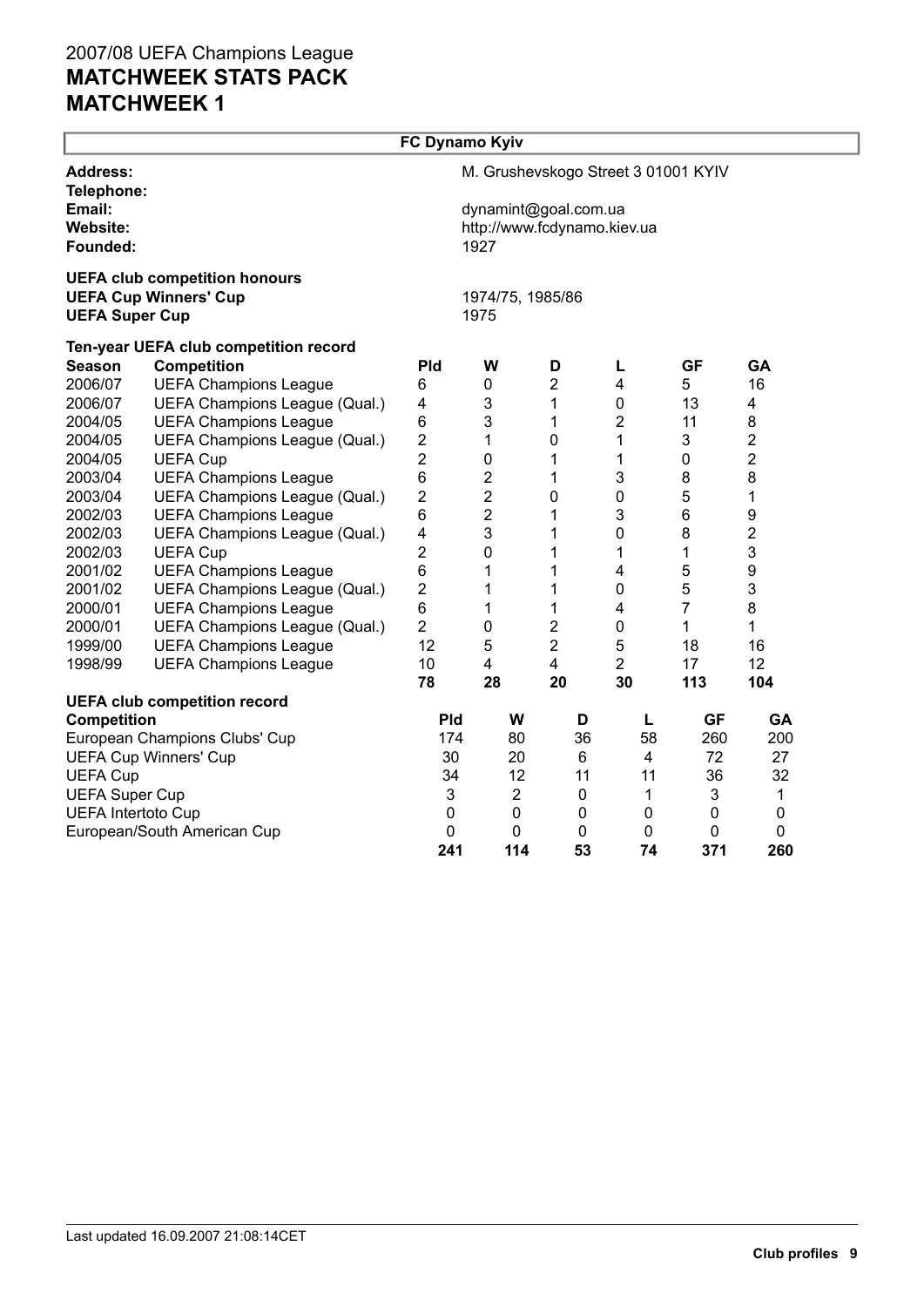|                               |                                       | FC Dynamo Kyiv          |                             |                |                                     |                |                |  |  |  |  |
|-------------------------------|---------------------------------------|-------------------------|-----------------------------|----------------|-------------------------------------|----------------|----------------|--|--|--|--|
| <b>Address:</b><br>Telephone: |                                       |                         |                             |                | M. Grushevskogo Street 3 01001 KYIV |                |                |  |  |  |  |
| Email:                        |                                       |                         | dynamint@goal.com.ua        |                |                                     |                |                |  |  |  |  |
| Website:                      |                                       |                         | http://www.fcdynamo.kiev.ua |                |                                     |                |                |  |  |  |  |
| Founded:                      |                                       |                         | 1927                        |                |                                     |                |                |  |  |  |  |
|                               | <b>UEFA club competition honours</b>  |                         |                             |                |                                     |                |                |  |  |  |  |
|                               | <b>UEFA Cup Winners' Cup</b>          |                         | 1974/75, 1985/86            |                |                                     |                |                |  |  |  |  |
| <b>UEFA Super Cup</b>         |                                       |                         | 1975                        |                |                                     |                |                |  |  |  |  |
|                               | Ten-year UEFA club competition record |                         |                             |                |                                     |                |                |  |  |  |  |
| <b>Season</b>                 | <b>Competition</b>                    | Pld                     | W                           | D              | L                                   | <b>GF</b>      | GA             |  |  |  |  |
| 2006/07                       | <b>UEFA Champions League</b>          | 6                       | 0                           | $\overline{2}$ | $\overline{4}$                      | 5              | 16             |  |  |  |  |
| 2006/07                       | UEFA Champions League (Qual.)         | 4                       | $\mathsf 3$                 | 1              | 0                                   | 13             | 4              |  |  |  |  |
| 2004/05                       | <b>UEFA Champions League</b>          | 6                       | 3                           | 1              | 2                                   | 11             | 8              |  |  |  |  |
| 2004/05                       | UEFA Champions League (Qual.)         | $\overline{\mathbf{c}}$ | 1                           | 0              | 1                                   | 3              | 2              |  |  |  |  |
| 2004/05                       | <b>UEFA Cup</b>                       | $\overline{\mathbf{c}}$ | 0                           | 1              | 1                                   | $\mathbf 0$    | 2              |  |  |  |  |
| 2003/04                       | <b>UEFA Champions League</b>          | 6                       | 2                           | 1              | 3                                   | 8              | 8              |  |  |  |  |
| 2003/04                       | UEFA Champions League (Qual.)         | 2                       | $\overline{2}$              | 0              | 0                                   | 5              | 1              |  |  |  |  |
| 2002/03                       | <b>UEFA Champions League</b>          | 6                       | $\overline{c}$              | 1              | 3                                   | 6              | 9              |  |  |  |  |
| 2002/03                       | UEFA Champions League (Qual.)         | 4                       | 3                           | 1              | 0                                   | 8              | $\overline{c}$ |  |  |  |  |
| 2002/03                       | <b>UEFA Cup</b>                       | $\overline{2}$          | $\mathbf 0$                 | 1              | 1                                   | 1              | 3              |  |  |  |  |
| 2001/02                       | <b>UEFA Champions League</b>          | 6                       | 1                           | 1              | $\overline{\mathbf{4}}$             | 5              | 9              |  |  |  |  |
| 2001/02                       | UEFA Champions League (Qual.)         | $\overline{2}$          | 1                           | 1              | 0                                   | 5              | 3              |  |  |  |  |
| 2000/01                       | <b>UEFA Champions League</b>          | 6                       | 1                           | 1              | $\overline{\mathbf{4}}$             | $\overline{7}$ | 8              |  |  |  |  |
| 2000/01                       | UEFA Champions League (Qual.)         | $\overline{2}$          | $\mathbf 0$                 | $\overline{2}$ | $\pmb{0}$                           | 1              | $\mathbf{1}$   |  |  |  |  |
| 1999/00                       | <b>UEFA Champions League</b>          | 12                      | 5                           | $\overline{2}$ | 5                                   | 18             | 16             |  |  |  |  |
| 1998/99                       | <b>UEFA Champions League</b>          | 10                      | 4                           | 4              | $\overline{2}$                      | 17             | 12             |  |  |  |  |
|                               |                                       | 78                      | 28                          | 20             | 30                                  | 113            | 104            |  |  |  |  |
|                               | <b>UEFA club competition record</b>   |                         |                             |                |                                     |                |                |  |  |  |  |
| <b>Competition</b>            |                                       | Pld                     | W                           | D              | L                                   | <b>GF</b>      | GA             |  |  |  |  |
|                               | European Champions Clubs' Cup         | 174                     | 80                          | 36             | 58                                  | 260            | 200            |  |  |  |  |
|                               | <b>UEFA Cup Winners' Cup</b>          | 30                      | 20                          | 6              | 4                                   | 72             | 27             |  |  |  |  |
| <b>UEFA Cup</b>               |                                       | 34                      | 12                          | 11             | 11                                  | 36             | 32             |  |  |  |  |
| <b>UEFA Super Cup</b>         |                                       | 3                       | $\overline{c}$              | $\pmb{0}$      | $\mathbf{1}$                        | 3              | 1              |  |  |  |  |
| <b>UEFA Intertoto Cup</b>     |                                       | $\pmb{0}$               | $\mathbf 0$                 | 0              | $\mathbf 0$                         | $\mathbf 0$    | $\mathbf 0$    |  |  |  |  |
|                               | European/South American Cup           | 0                       | 0                           | 0              | $\mathbf 0$                         | 0              | 0              |  |  |  |  |
|                               |                                       | 241                     | 114                         | 53             | 74                                  | 371            | 260            |  |  |  |  |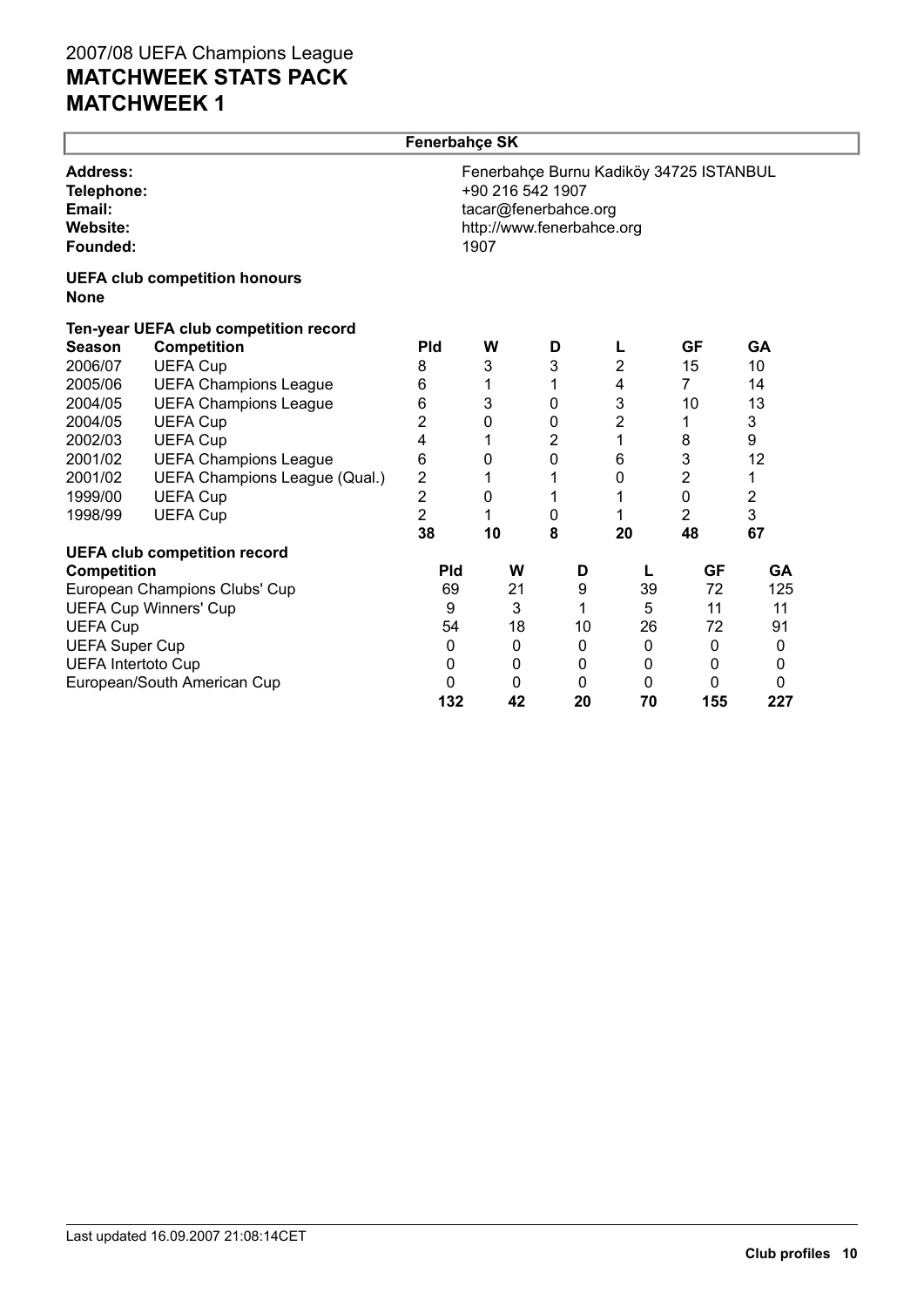|                                                                 |                                       | <b>Fenerbahce SK</b> |                          |                                                   |                |                                         |           |  |
|-----------------------------------------------------------------|---------------------------------------|----------------------|--------------------------|---------------------------------------------------|----------------|-----------------------------------------|-----------|--|
| <b>Address:</b><br>Telephone:<br>Email:<br>Website:<br>Founded: |                                       |                      | +90 216 542 1907<br>1907 | tacar@fenerbahce.org<br>http://www.fenerbahce.org |                | Fenerbahçe Burnu Kadiköy 34725 ISTANBUL |           |  |
| <b>None</b>                                                     | <b>UEFA club competition honours</b>  |                      |                          |                                                   |                |                                         |           |  |
|                                                                 | Ten-year UEFA club competition record |                      |                          |                                                   |                |                                         |           |  |
| <b>Season</b>                                                   | <b>Competition</b>                    | <b>Pld</b>           | W                        | D                                                 | L              | GF                                      | <b>GA</b> |  |
| 2006/07                                                         | <b>UEFA Cup</b>                       | 8                    | 3                        | 3                                                 | $\overline{2}$ | 15                                      | 10        |  |
| 2005/06                                                         | <b>UEFA Champions League</b>          | 6                    | 1                        | 1                                                 | 4              | $\overline{7}$                          | 14        |  |
| 2004/05                                                         | <b>UEFA Champions League</b>          | 6                    | 3                        | 0                                                 | 3              | 10                                      | 13        |  |
| 2004/05                                                         | <b>UEFA Cup</b>                       | 2                    | 0                        | 0                                                 | 2              | 1                                       | 3         |  |
| 2002/03                                                         | <b>UEFA Cup</b>                       | 4                    | 1                        | 2                                                 | 1              | 8                                       | 9         |  |
| 2001/02                                                         | <b>UEFA Champions League</b>          | 6                    | 0                        | 0                                                 | 6              | $\mathfrak{B}$                          | 12        |  |
| 2001/02                                                         | UEFA Champions League (Qual.)         | 2                    | 1                        | 1                                                 | 0              | 2                                       | 1         |  |
| 1999/00                                                         | <b>UEFA Cup</b>                       | $\overline{2}$       | 0                        | 1                                                 | 1              | 0                                       | 2         |  |
| 1998/99                                                         | <b>UEFA Cup</b>                       | $\overline{2}$       | 1                        | 0                                                 | 1              | $\overline{2}$                          | 3         |  |
|                                                                 |                                       | 38                   | 10                       | 8                                                 | 20             | 48                                      | 67        |  |
|                                                                 | <b>UEFA club competition record</b>   |                      |                          |                                                   |                |                                         |           |  |
| <b>Competition</b>                                              |                                       | <b>Pld</b>           | W                        | D                                                 | L              | <b>GF</b>                               | <b>GA</b> |  |
|                                                                 | European Champions Clubs' Cup         | 69                   | 21                       | 9                                                 | 39             | 72                                      | 125       |  |
|                                                                 | <b>UEFA Cup Winners' Cup</b>          | 9                    | 3                        | 1                                                 | 5              | 11                                      | 11        |  |
| <b>UEFA Cup</b>                                                 |                                       | 54                   | 18                       | 10                                                | 26             | 72                                      | 91        |  |
| <b>UEFA Super Cup</b>                                           |                                       | 0                    | 0                        | 0                                                 | 0              | 0                                       | 0         |  |
| <b>UEFA Intertoto Cup</b>                                       |                                       | 0                    | 0                        | 0                                                 | 0              | 0                                       | 0         |  |
|                                                                 | European/South American Cup           | 0                    | 0                        | 0                                                 | 0              | 0                                       | 0         |  |
|                                                                 |                                       | 132                  | 42                       | 20                                                | 70             | 155                                     | 227       |  |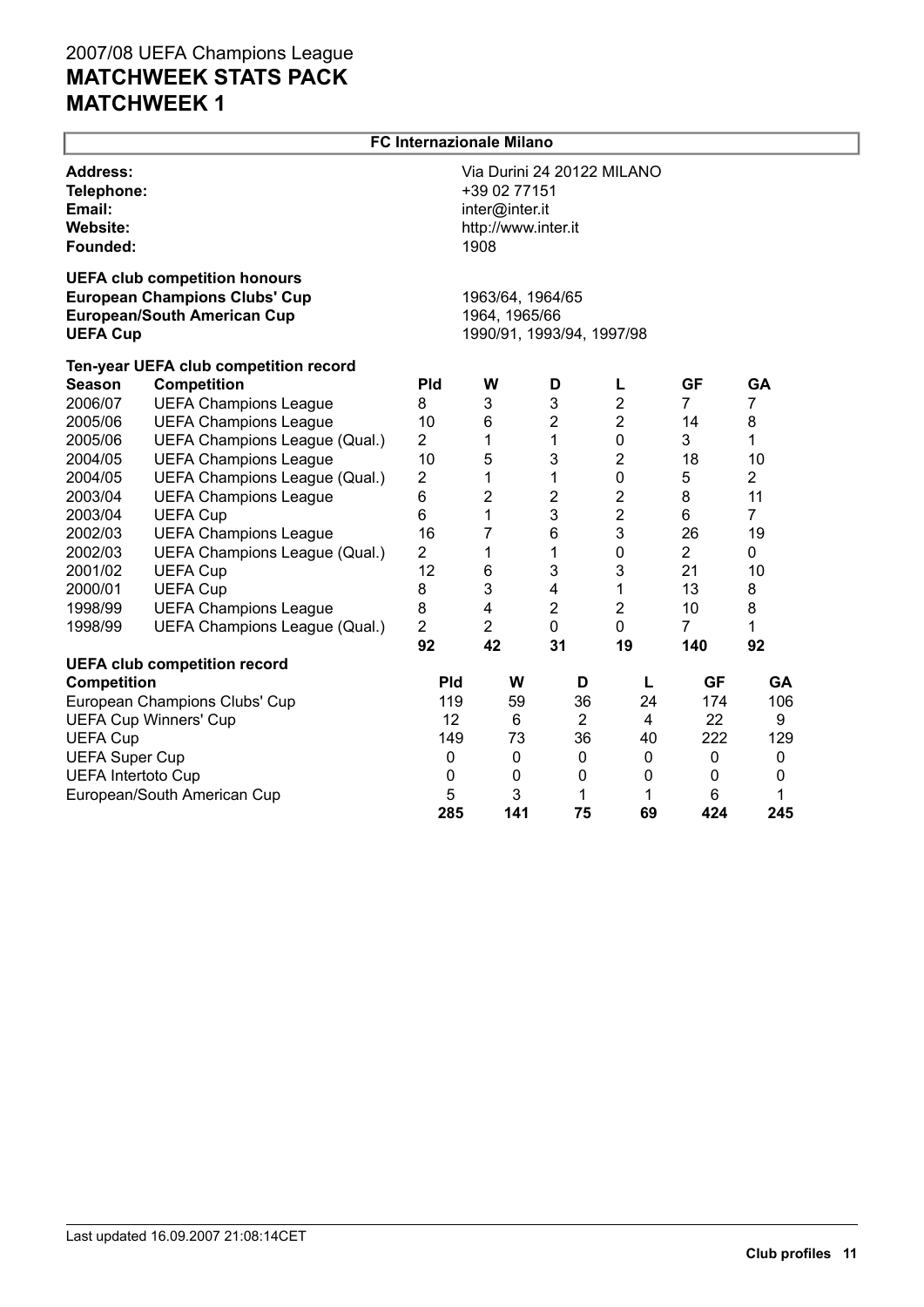|                                                                 | <b>FC Internazionale Milano</b>                                                                                    |                |                                                               |                            |                |                |                |  |  |  |
|-----------------------------------------------------------------|--------------------------------------------------------------------------------------------------------------------|----------------|---------------------------------------------------------------|----------------------------|----------------|----------------|----------------|--|--|--|
| <b>Address:</b><br>Telephone:<br>Email:<br>Website:<br>Founded: |                                                                                                                    |                | +39 02 77151<br>inter@inter.it<br>http://www.inter.it<br>1908 | Via Durini 24 20122 MILANO |                |                |                |  |  |  |
| <b>UEFA Cup</b>                                                 | <b>UEFA club competition honours</b><br><b>European Champions Clubs' Cup</b><br><b>European/South American Cup</b> |                | 1963/64, 1964/65<br>1964, 1965/66                             | 1990/91, 1993/94, 1997/98  |                |                |                |  |  |  |
|                                                                 | Ten-year UEFA club competition record                                                                              |                |                                                               |                            |                |                |                |  |  |  |
| <b>Season</b>                                                   | <b>Competition</b>                                                                                                 | Pld            | W                                                             | D                          | L              | <b>GF</b>      | GA             |  |  |  |
| 2006/07                                                         | <b>UEFA Champions League</b>                                                                                       | 8              | 3                                                             | 3                          | $\overline{2}$ | $\overline{7}$ | $\overline{7}$ |  |  |  |
| 2005/06                                                         | <b>UEFA Champions League</b>                                                                                       | 10             | 6                                                             | $\overline{2}$             | $\overline{2}$ | 14             | 8              |  |  |  |
| 2005/06                                                         | UEFA Champions League (Qual.)                                                                                      | $\overline{2}$ | 1                                                             | $\mathbf{1}$               | $\mathbf 0$    | 3              | 1              |  |  |  |
| 2004/05                                                         | <b>UEFA Champions League</b>                                                                                       | 10             | 5                                                             | $\mathfrak{B}$             | 2              | 18             | 10             |  |  |  |
| 2004/05                                                         | UEFA Champions League (Qual.)                                                                                      | $\overline{2}$ | 1                                                             | 1                          | $\mathbf 0$    | 5              | $\overline{2}$ |  |  |  |
| 2003/04                                                         | <b>UEFA Champions League</b>                                                                                       | 6              | $\overline{2}$                                                | $\mathbf{2}$               | $\overline{2}$ | 8              | 11             |  |  |  |
| 2003/04                                                         | <b>UEFA Cup</b>                                                                                                    | 6              | 1                                                             | 3                          | $\overline{2}$ | 6              | $\overline{7}$ |  |  |  |
| 2002/03                                                         | <b>UEFA Champions League</b>                                                                                       | 16             | $\overline{7}$                                                | 6                          | 3              | 26             | 19             |  |  |  |
| 2002/03                                                         | UEFA Champions League (Qual.)                                                                                      | $\overline{2}$ | 1                                                             | 1                          | $\mathbf 0$    | $\overline{2}$ | 0              |  |  |  |
| 2001/02                                                         | <b>UEFA Cup</b>                                                                                                    | 12             | 6                                                             | 3                          | 3              | 21             | 10             |  |  |  |
| 2000/01                                                         | <b>UEFA Cup</b>                                                                                                    | 8              | 3                                                             | 4                          | 1              | 13             | 8              |  |  |  |
| 1998/99                                                         | <b>UEFA Champions League</b>                                                                                       | 8              | 4                                                             | $\overline{2}$             | $\overline{2}$ | 10             | 8              |  |  |  |
| 1998/99                                                         | UEFA Champions League (Qual.)                                                                                      | $\overline{2}$ | $\overline{2}$                                                | $\mathbf 0$                | $\mathbf 0$    | $\overline{7}$ | 1              |  |  |  |
|                                                                 |                                                                                                                    | 92             | 42                                                            | 31                         | 19             | 140            | 92             |  |  |  |
|                                                                 | <b>UEFA club competition record</b>                                                                                |                |                                                               |                            |                |                |                |  |  |  |
| Competition                                                     |                                                                                                                    | <b>Pld</b>     | W                                                             | D                          | L              | <b>GF</b>      | <b>GA</b>      |  |  |  |
|                                                                 | European Champions Clubs' Cup                                                                                      | 119            | 59                                                            | 36                         | 24             | 174            | 106            |  |  |  |
|                                                                 | <b>UEFA Cup Winners' Cup</b>                                                                                       | 12<br>149      | 6                                                             | $\overline{2}$             | $\overline{4}$ | 22             | 9              |  |  |  |
| <b>UEFA Cup</b>                                                 |                                                                                                                    |                | 73                                                            | 36                         | 40             | 222            | 129            |  |  |  |
|                                                                 | <b>UEFA Super Cup</b>                                                                                              |                | 0                                                             | 0                          | 0              | $\mathbf 0$    | 0              |  |  |  |
| <b>UEFA Intertoto Cup</b>                                       |                                                                                                                    | $\pmb{0}$      | 0                                                             | 0                          | 0              | 0              | 0              |  |  |  |
|                                                                 | European/South American Cup                                                                                        | 5              | 3                                                             | 1                          | 1              | 6              | 1              |  |  |  |
|                                                                 |                                                                                                                    | 285            | 141                                                           | 75                         | 69             | 424            | 245            |  |  |  |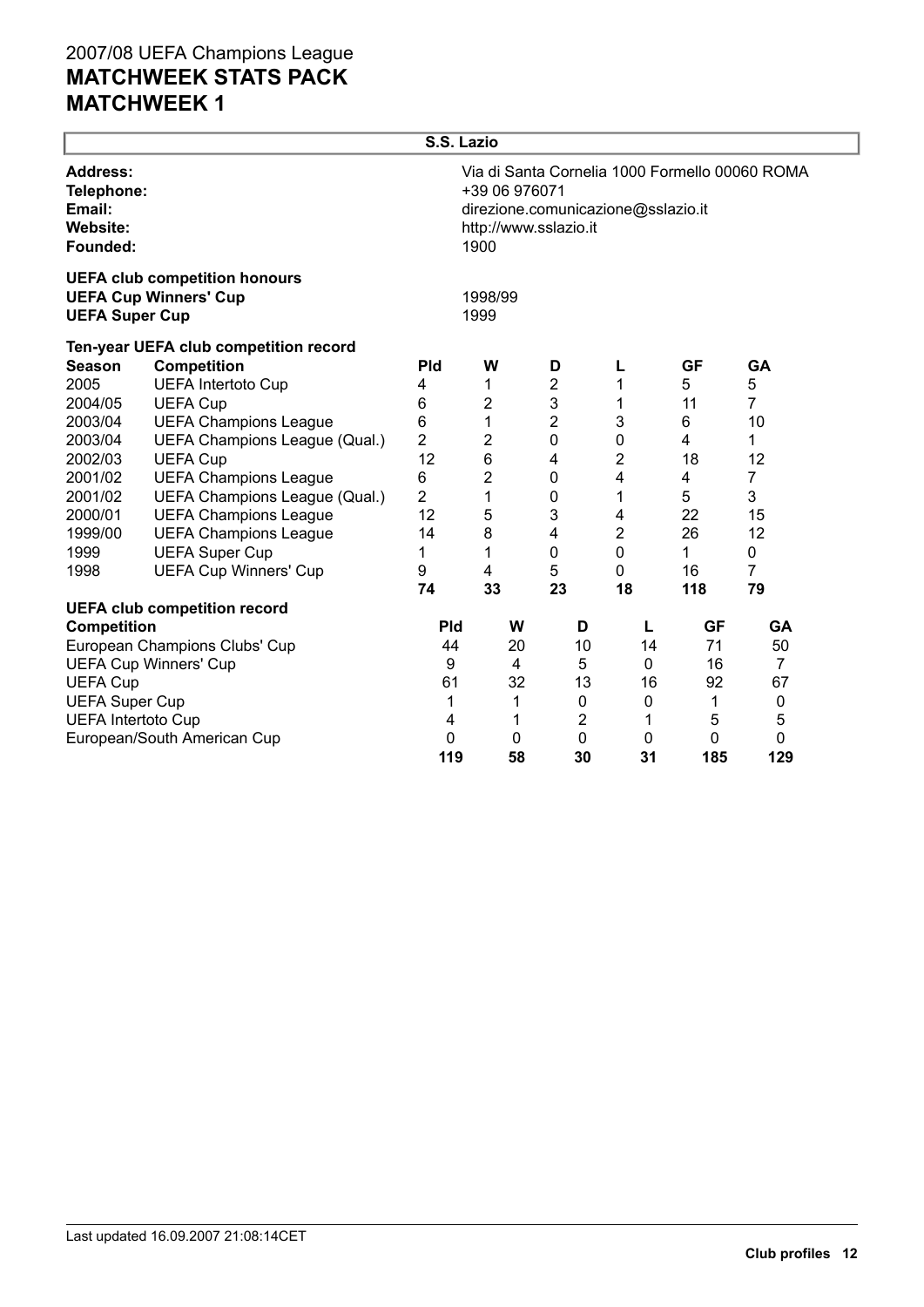| Via di Santa Cornelia 1000 Formello 00060 ROMA<br>+39 06 976071<br>direzione.comunicazione@sslazio.it<br>http://www.sslazio.it<br>1900 |                                                                                                |                                                                                                             |                                                                                                                  |                                                                    |                                                                                         |  |  |
|----------------------------------------------------------------------------------------------------------------------------------------|------------------------------------------------------------------------------------------------|-------------------------------------------------------------------------------------------------------------|------------------------------------------------------------------------------------------------------------------|--------------------------------------------------------------------|-----------------------------------------------------------------------------------------|--|--|
|                                                                                                                                        |                                                                                                |                                                                                                             |                                                                                                                  |                                                                    |                                                                                         |  |  |
|                                                                                                                                        |                                                                                                |                                                                                                             |                                                                                                                  |                                                                    |                                                                                         |  |  |
| <b>Pld</b>                                                                                                                             | W                                                                                              | D                                                                                                           | L                                                                                                                | <b>GF</b>                                                          | <b>GA</b>                                                                               |  |  |
| 4                                                                                                                                      | 1                                                                                              | 2                                                                                                           | 1                                                                                                                | 5                                                                  | 5                                                                                       |  |  |
| 6                                                                                                                                      | $\overline{2}$                                                                                 | 3                                                                                                           | 1                                                                                                                | 11                                                                 | 7                                                                                       |  |  |
| 6                                                                                                                                      | 1                                                                                              | $\overline{2}$                                                                                              | 3                                                                                                                | 6                                                                  | 10                                                                                      |  |  |
| 2                                                                                                                                      | 2                                                                                              |                                                                                                             | 0                                                                                                                | 4                                                                  | 1                                                                                       |  |  |
|                                                                                                                                        |                                                                                                | 4                                                                                                           | 2                                                                                                                | 18                                                                 | 12                                                                                      |  |  |
|                                                                                                                                        |                                                                                                |                                                                                                             | 4                                                                                                                | 4                                                                  | 7                                                                                       |  |  |
|                                                                                                                                        | 1                                                                                              | 0                                                                                                           | 1                                                                                                                |                                                                    | 3                                                                                       |  |  |
|                                                                                                                                        |                                                                                                |                                                                                                             | 4                                                                                                                |                                                                    | 15                                                                                      |  |  |
|                                                                                                                                        |                                                                                                |                                                                                                             |                                                                                                                  |                                                                    | 12                                                                                      |  |  |
| 1                                                                                                                                      |                                                                                                |                                                                                                             |                                                                                                                  |                                                                    | 0                                                                                       |  |  |
|                                                                                                                                        |                                                                                                |                                                                                                             |                                                                                                                  |                                                                    | 7                                                                                       |  |  |
|                                                                                                                                        |                                                                                                |                                                                                                             |                                                                                                                  |                                                                    | 79                                                                                      |  |  |
|                                                                                                                                        |                                                                                                |                                                                                                             |                                                                                                                  |                                                                    |                                                                                         |  |  |
|                                                                                                                                        |                                                                                                |                                                                                                             |                                                                                                                  |                                                                    | GA                                                                                      |  |  |
|                                                                                                                                        |                                                                                                |                                                                                                             |                                                                                                                  |                                                                    | 50<br>$\overline{7}$                                                                    |  |  |
|                                                                                                                                        |                                                                                                |                                                                                                             |                                                                                                                  |                                                                    | 67                                                                                      |  |  |
|                                                                                                                                        |                                                                                                |                                                                                                             |                                                                                                                  |                                                                    | $\mathbf 0$                                                                             |  |  |
|                                                                                                                                        |                                                                                                |                                                                                                             |                                                                                                                  |                                                                    | 5                                                                                       |  |  |
|                                                                                                                                        |                                                                                                |                                                                                                             |                                                                                                                  |                                                                    | 0                                                                                       |  |  |
| 119                                                                                                                                    | 58                                                                                             | 30                                                                                                          | 31                                                                                                               | 185                                                                | 129                                                                                     |  |  |
|                                                                                                                                        | 12<br>6<br>$\overline{2}$<br>12<br>14<br>9<br>74<br><b>Pld</b><br>44<br>9<br>61<br>1<br>4<br>0 | S.S. Lazio<br>1998/99<br>1999<br>$\,6$<br>$\overline{2}$<br>5<br>8<br>1<br>4<br>33<br>W<br>4<br>1<br>1<br>0 | $\mathbf 0$<br>$\mathbf 0$<br>3<br>4<br>$\mathbf 0$<br>5<br>23<br>D<br>20<br>5<br>32<br>0<br>$\overline{2}$<br>0 | 2<br>0<br>0<br>18<br>L<br>10<br>14<br>0<br>13<br>16<br>0<br>1<br>0 | 5<br>22<br>26<br>$\mathbf 1$<br>16<br>118<br><b>GF</b><br>71<br>16<br>92<br>1<br>5<br>0 |  |  |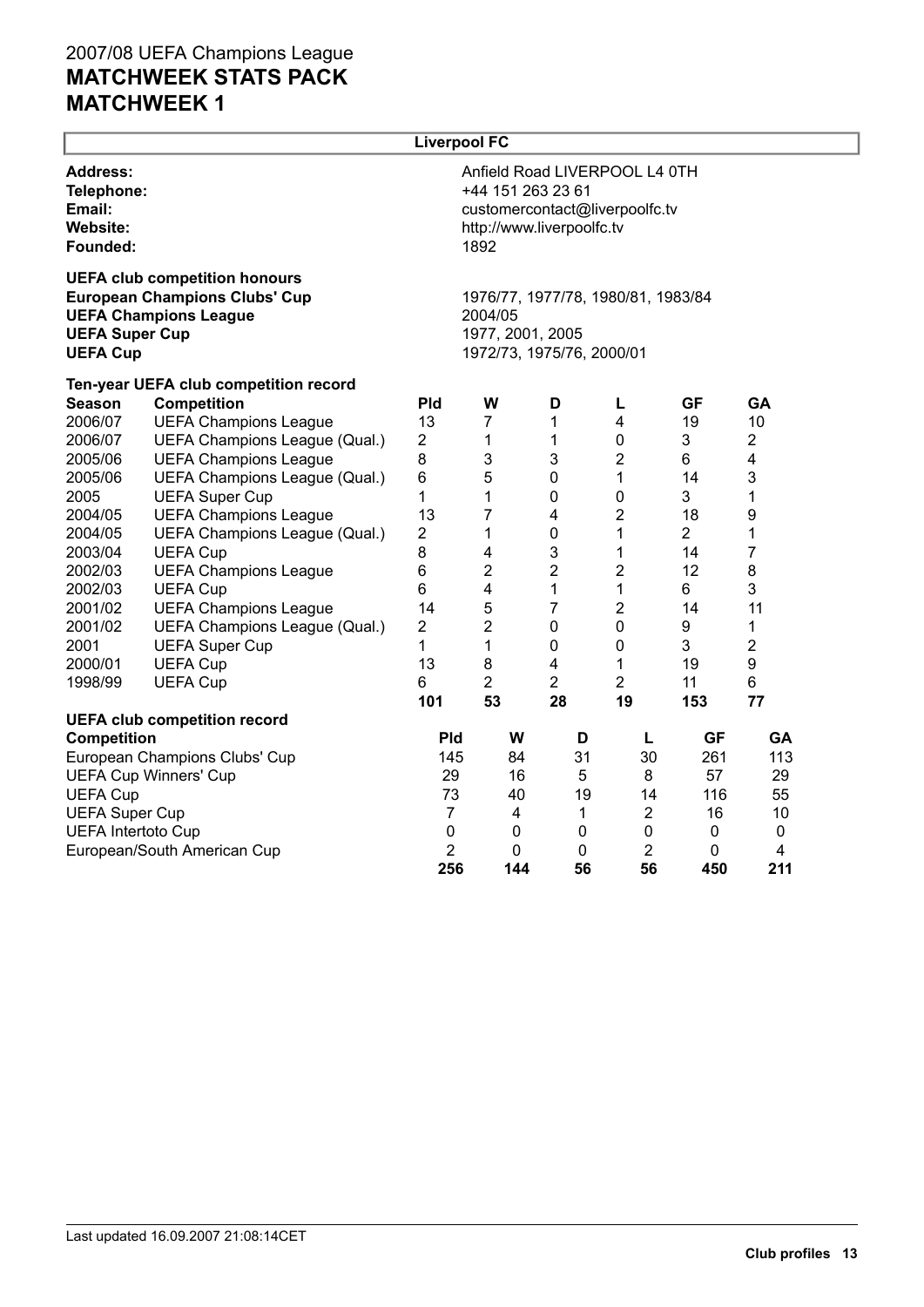|                                                                        |                                                                                                              |                | <b>Liverpool FC</b>                                                                                                       |     |                |                  |                |                |  |
|------------------------------------------------------------------------|--------------------------------------------------------------------------------------------------------------|----------------|---------------------------------------------------------------------------------------------------------------------------|-----|----------------|------------------|----------------|----------------|--|
| <b>Address:</b><br>Telephone:<br>Email:<br><b>Website:</b><br>Founded: |                                                                                                              |                | Anfield Road LIVERPOOL L4 0TH<br>+44 151 263 23 61<br>customercontact@liverpoolfc.tv<br>http://www.liverpoolfc.tv<br>1892 |     |                |                  |                |                |  |
| <b>UEFA Super Cup</b><br><b>UEFA Cup</b>                               | <b>UEFA club competition honours</b><br><b>European Champions Clubs' Cup</b><br><b>UEFA Champions League</b> |                | 1976/77, 1977/78, 1980/81, 1983/84<br>2004/05<br>1977, 2001, 2005<br>1972/73, 1975/76, 2000/01                            |     |                |                  |                |                |  |
|                                                                        | Ten-year UEFA club competition record                                                                        |                |                                                                                                                           |     |                |                  |                |                |  |
| <b>Season</b>                                                          | <b>Competition</b>                                                                                           | <b>Pld</b>     | W                                                                                                                         |     | D              | L                | <b>GF</b>      | GA             |  |
| 2006/07                                                                | <b>UEFA Champions League</b>                                                                                 | 13             | $\overline{7}$                                                                                                            |     | 1              | 4                | 19             | 10             |  |
| 2006/07                                                                | UEFA Champions League (Qual.)                                                                                | 2              | 1                                                                                                                         |     | $\mathbf 1$    | 0                | 3              | 2              |  |
| 2005/06                                                                | <b>UEFA Champions League</b>                                                                                 | 8              | 3                                                                                                                         |     | 3              | $\overline{c}$   | 6              | 4              |  |
| 2005/06                                                                | UEFA Champions League (Qual.)                                                                                | 6              | 5                                                                                                                         |     | $\pmb{0}$      | 1                | 14             | 3              |  |
| 2005                                                                   | <b>UEFA Super Cup</b>                                                                                        | 1              | 1                                                                                                                         |     | $\mathbf 0$    | 0                | 3              | 1              |  |
| 2004/05                                                                | <b>UEFA Champions League</b>                                                                                 | 13             | 7                                                                                                                         |     | 4              | $\overline{c}$   | 18             | 9              |  |
| 2004/05                                                                | UEFA Champions League (Qual.)                                                                                | 2              | 1                                                                                                                         |     | $\mathbf 0$    | 1                | $\overline{2}$ | 1              |  |
| 2003/04                                                                | <b>UEFA Cup</b>                                                                                              | 8              | $\overline{4}$                                                                                                            |     | 3              | 1                | 14             | $\overline{7}$ |  |
| 2002/03                                                                | <b>UEFA Champions League</b>                                                                                 | 6              | $\overline{2}$                                                                                                            |     | $\overline{2}$ | $\boldsymbol{2}$ | 12             | 8              |  |
| 2002/03                                                                | <b>UEFA Cup</b>                                                                                              | 6              | 4                                                                                                                         |     | $\mathbf 1$    | 1                | 6              | 3              |  |
| 2001/02                                                                | <b>UEFA Champions League</b>                                                                                 | 14             | 5                                                                                                                         |     | $\overline{7}$ | $\overline{c}$   | 14             | 11             |  |
| 2001/02                                                                | UEFA Champions League (Qual.)                                                                                | $\overline{2}$ | $\overline{2}$                                                                                                            |     | $\mathbf 0$    | $\mathbf 0$      | 9              | 1              |  |
| 2001                                                                   | <b>UEFA Super Cup</b>                                                                                        | 1              | 1                                                                                                                         |     | $\mathbf 0$    | 0                | 3              | $\overline{2}$ |  |
| 2000/01                                                                | <b>UEFA Cup</b>                                                                                              | 13             | 8                                                                                                                         |     | 4              | 1                | 19             | 9              |  |
| 1998/99                                                                | <b>UEFA Cup</b>                                                                                              | 6              | $\overline{2}$                                                                                                            |     | $\overline{2}$ | $\overline{2}$   | 11             | 6              |  |
|                                                                        |                                                                                                              | 101            | 53                                                                                                                        |     | 28             | 19               | 153            | 77             |  |
|                                                                        | <b>UEFA club competition record</b>                                                                          |                |                                                                                                                           |     |                |                  |                |                |  |
| <b>Competition</b>                                                     |                                                                                                              | <b>Pld</b>     |                                                                                                                           | W   | D              | L                | GF             | <b>GA</b>      |  |
|                                                                        | European Champions Clubs' Cup                                                                                | 145            |                                                                                                                           | 84  | 31             | 30               | 261            | 113            |  |
|                                                                        | <b>UEFA Cup Winners' Cup</b>                                                                                 | 29             |                                                                                                                           | 16  | 5              | 8                | 57             | 29             |  |
|                                                                        | <b>UEFA Cup</b>                                                                                              |                | 73                                                                                                                        | 40  | 19             | 14               | 116            | 55             |  |
| <b>UEFA Super Cup</b>                                                  |                                                                                                              | $\overline{7}$ |                                                                                                                           | 4   | 1              | $\overline{2}$   | 16             | 10             |  |
| <b>UEFA Intertoto Cup</b>                                              |                                                                                                              | $\mathbf 0$    |                                                                                                                           | 0   | 0              | 0                | 0              | 0              |  |
|                                                                        | European/South American Cup                                                                                  | $\overline{2}$ |                                                                                                                           | 0   | 0              | $\overline{2}$   | 0              | 4              |  |
|                                                                        |                                                                                                              | 256            |                                                                                                                           | 144 | 56             | 56               | 450            | 211            |  |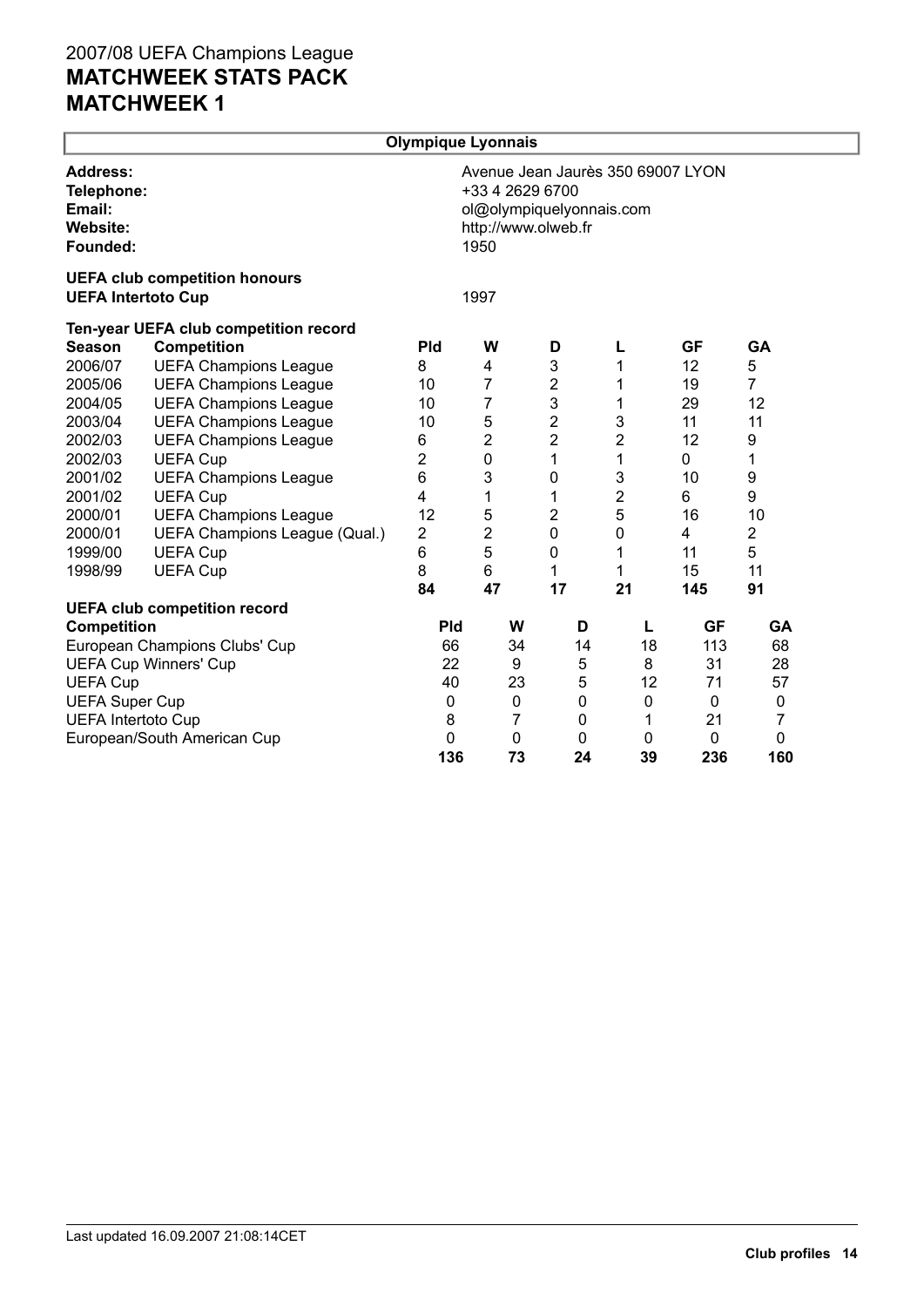|                                                                 |                                                                   | Olympique Lyonnais |                         |                                                 |                                   |           |             |  |
|-----------------------------------------------------------------|-------------------------------------------------------------------|--------------------|-------------------------|-------------------------------------------------|-----------------------------------|-----------|-------------|--|
| <b>Address:</b><br>Telephone:<br>Email:<br>Website:<br>Founded: |                                                                   |                    | +33 4 2629 6700<br>1950 | ol@olympiquelyonnais.com<br>http://www.olweb.fr | Avenue Jean Jaurès 350 69007 LYON |           |             |  |
|                                                                 | <b>UEFA club competition honours</b><br><b>UEFA Intertoto Cup</b> |                    | 1997                    |                                                 |                                   |           |             |  |
|                                                                 | Ten-year UEFA club competition record                             |                    |                         |                                                 |                                   |           |             |  |
| <b>Season</b>                                                   | <b>Competition</b>                                                | <b>Pld</b>         | W                       | D                                               | L                                 | <b>GF</b> | GA          |  |
| 2006/07                                                         | <b>UEFA Champions League</b>                                      | 8                  | 4                       | 3                                               | 1                                 | 12        | 5           |  |
| 2005/06                                                         | <b>UEFA Champions League</b>                                      | 10                 | 7                       | $\overline{\mathbf{c}}$                         | 1                                 | 19        | 7           |  |
| 2004/05                                                         | <b>UEFA Champions League</b>                                      | 10                 | 7                       | 3                                               | 1                                 | 29        | 12          |  |
| 2003/04                                                         | <b>UEFA Champions League</b>                                      | 10                 | 5                       | $\overline{\mathbf{c}}$                         | 3                                 | 11        | 11          |  |
| 2002/03                                                         | <b>UEFA Champions League</b>                                      | 6                  | 2                       | $\overline{\mathbf{c}}$                         | $\overline{2}$                    | 12        | 9           |  |
| 2002/03                                                         | <b>UEFA Cup</b>                                                   | $\overline{2}$     | $\mathbf 0$             | 1                                               | 1                                 | 0         | 1           |  |
| 2001/02                                                         | <b>UEFA Champions League</b>                                      | 6                  | 3                       | 0                                               | 3                                 | 10        | 9           |  |
| 2001/02                                                         | <b>UEFA Cup</b>                                                   | 4                  | 1                       | 1                                               | 2                                 | 6         | 9           |  |
| 2000/01                                                         | <b>UEFA Champions League</b>                                      | 12                 | 5                       | 2                                               | 5                                 | 16        | 10          |  |
| 2000/01                                                         | UEFA Champions League (Qual.)                                     | 2                  | $\overline{2}$          | $\mathbf 0$                                     | 0                                 | 4         | 2           |  |
| 1999/00                                                         | <b>UEFA Cup</b>                                                   | 6                  | 5                       | 0                                               | 1                                 | 11        | 5           |  |
| 1998/99                                                         | <b>UEFA Cup</b>                                                   | 8                  | 6                       | 1                                               | 1                                 | 15        | 11          |  |
|                                                                 |                                                                   | 84                 | 47                      | 17                                              | 21                                | 145       | 91          |  |
|                                                                 | <b>UEFA club competition record</b>                               |                    |                         |                                                 |                                   |           |             |  |
| <b>Competition</b>                                              |                                                                   | <b>Pld</b>         | W                       | D                                               | L                                 | <b>GF</b> | GA          |  |
|                                                                 | European Champions Clubs' Cup                                     | 66                 | 34                      | 14                                              | 18                                | 113       | 68          |  |
|                                                                 | <b>UEFA Cup Winners' Cup</b>                                      | 22                 | 9                       | 5                                               | 8                                 | 31        | 28          |  |
| <b>UEFA Cup</b>                                                 |                                                                   | 40                 | 23                      | 5                                               | 12                                | 71        | 57          |  |
| <b>UEFA Super Cup</b>                                           |                                                                   | $\mathbf 0$        | $\pmb{0}$               | 0                                               | 0                                 | 0         | $\mathbf 0$ |  |
| <b>UEFA Intertoto Cup</b>                                       |                                                                   | 8                  | 7                       | 0                                               | 1                                 | 21        | 7           |  |
|                                                                 | European/South American Cup                                       | 0                  | 0                       | 0                                               | 0                                 | 0         | 0           |  |
|                                                                 |                                                                   | 136                | 73                      | 24                                              | 39                                | 236       | 160         |  |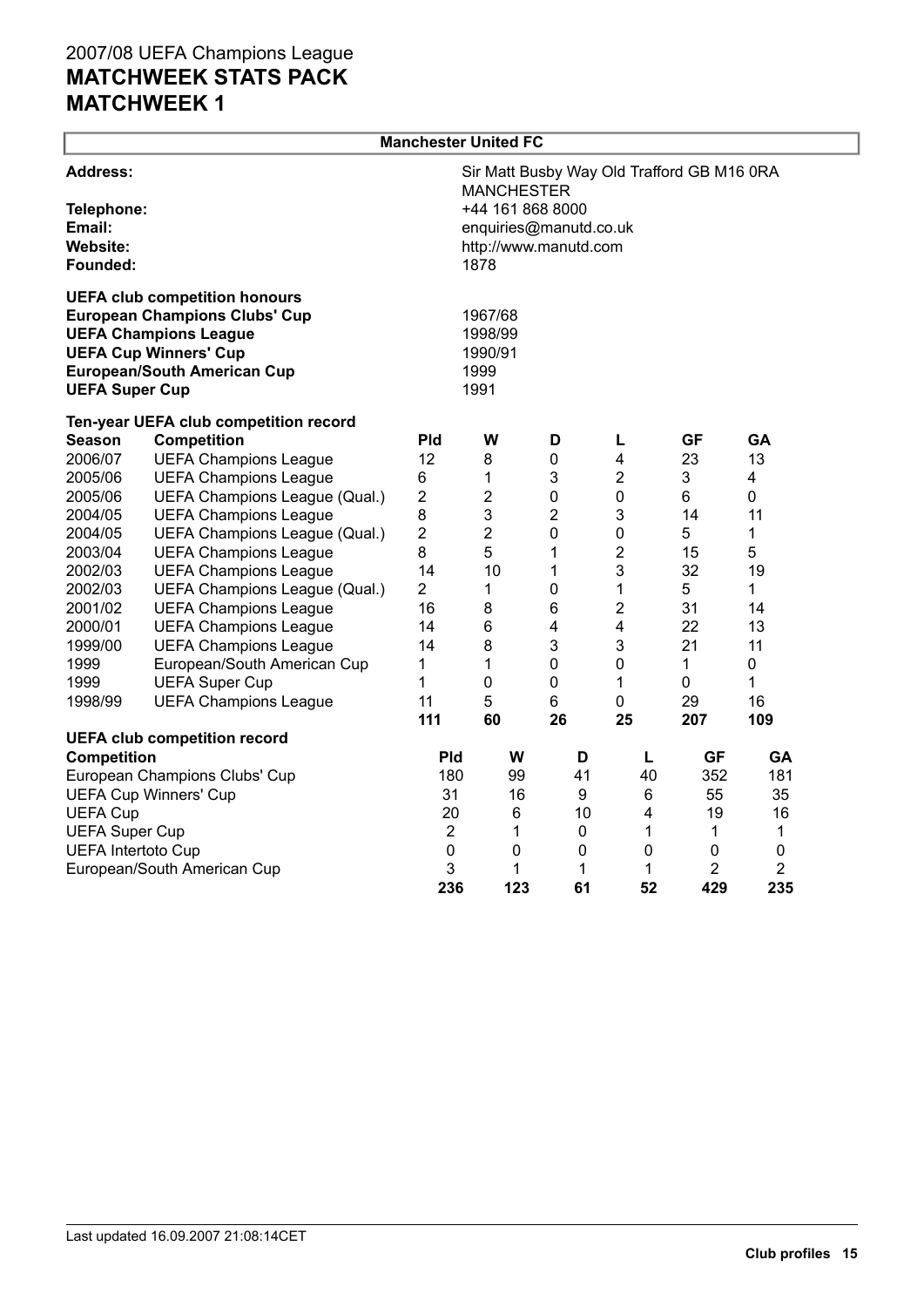|                                                                 |                                                                                                                                                                                    |                                                                                                                                                | <b>Manchester United FC</b>                   |                |                         |                |             |  |
|-----------------------------------------------------------------|------------------------------------------------------------------------------------------------------------------------------------------------------------------------------------|------------------------------------------------------------------------------------------------------------------------------------------------|-----------------------------------------------|----------------|-------------------------|----------------|-------------|--|
| <b>Address:</b><br>Telephone:<br>Email:<br>Website:<br>Founded: |                                                                                                                                                                                    | Sir Matt Busby Way Old Trafford GB M16 0RA<br><b>MANCHESTER</b><br>+44 161 868 8000<br>enquiries@manutd.co.uk<br>http://www.manutd.com<br>1878 |                                               |                |                         |                |             |  |
| <b>UEFA Super Cup</b>                                           | <b>UEFA club competition honours</b><br><b>European Champions Clubs' Cup</b><br><b>UEFA Champions League</b><br><b>UEFA Cup Winners' Cup</b><br><b>European/South American Cup</b> |                                                                                                                                                | 1967/68<br>1998/99<br>1990/91<br>1999<br>1991 |                |                         |                |             |  |
|                                                                 | Ten-year UEFA club competition record                                                                                                                                              |                                                                                                                                                |                                               |                |                         |                |             |  |
| Season                                                          | <b>Competition</b>                                                                                                                                                                 | <b>Pld</b>                                                                                                                                     | W                                             | D              | L                       | <b>GF</b>      | <b>GA</b>   |  |
| 2006/07                                                         | <b>UEFA Champions League</b>                                                                                                                                                       | 12                                                                                                                                             | 8                                             | 0              | 4                       | 23             | 13          |  |
| 2005/06                                                         | <b>UEFA Champions League</b>                                                                                                                                                       | 6                                                                                                                                              | 1                                             | 3              | $\boldsymbol{2}$        | 3              | 4           |  |
| 2005/06                                                         | UEFA Champions League (Qual.)                                                                                                                                                      | 2                                                                                                                                              | $\overline{c}$                                | 0              | 0                       | 6              | 0           |  |
| 2004/05                                                         | <b>UEFA Champions League</b>                                                                                                                                                       | 8                                                                                                                                              | 3                                             | $\overline{2}$ | 3                       | 14             | 11          |  |
| 2004/05                                                         | UEFA Champions League (Qual.)                                                                                                                                                      | $\overline{2}$                                                                                                                                 | $\overline{2}$                                | $\pmb{0}$      | $\pmb{0}$               | 5              | 1           |  |
| 2003/04                                                         | <b>UEFA Champions League</b>                                                                                                                                                       | 8                                                                                                                                              | 5                                             | $\mathbf{1}$   | $\overline{2}$          | 15             | 5           |  |
| 2002/03                                                         | <b>UEFA Champions League</b>                                                                                                                                                       | 14                                                                                                                                             | 10                                            | 1              | 3                       | 32             | 19          |  |
| 2002/03                                                         | UEFA Champions League (Qual.)                                                                                                                                                      | $\overline{2}$                                                                                                                                 | 1                                             | $\pmb{0}$      | 1                       | 5              | 1           |  |
| 2001/02                                                         | <b>UEFA Champions League</b>                                                                                                                                                       | 16                                                                                                                                             | 8                                             | 6              | 2                       | 31             | 14          |  |
| 2000/01                                                         | <b>UEFA Champions League</b>                                                                                                                                                       | 14                                                                                                                                             | 6                                             | 4              | $\overline{\mathbf{4}}$ | 22             | 13          |  |
| 1999/00                                                         | <b>UEFA Champions League</b>                                                                                                                                                       | 14                                                                                                                                             | 8                                             | 3              | 3                       | 21             | 11          |  |
| 1999                                                            | European/South American Cup                                                                                                                                                        | 1                                                                                                                                              | 1                                             | $\mathbf 0$    | $\mathbf 0$             | 1              | $\mathbf 0$ |  |
| 1999                                                            | <b>UEFA Super Cup</b>                                                                                                                                                              | 1                                                                                                                                              | 0                                             | 0              | $\mathbf{1}$            | $\pmb{0}$      | 1           |  |
| 1998/99                                                         | <b>UEFA Champions League</b>                                                                                                                                                       | 11                                                                                                                                             | 5<br>60                                       | 6<br>26        | $\pmb{0}$               | 29             | 16          |  |
|                                                                 | <b>UEFA club competition record</b>                                                                                                                                                | 111                                                                                                                                            |                                               |                | 25                      | 207            | 109         |  |
| <b>Competition</b>                                              |                                                                                                                                                                                    | <b>Pld</b>                                                                                                                                     | W                                             | D              | L                       | <b>GF</b>      | <b>GA</b>   |  |
|                                                                 | European Champions Clubs' Cup                                                                                                                                                      | 180                                                                                                                                            | 99                                            | 41             | 40                      | 352            | 181         |  |
|                                                                 | <b>UEFA Cup Winners' Cup</b>                                                                                                                                                       | 31                                                                                                                                             | 16                                            | 9              | 6                       | 55             | 35          |  |
| <b>UEFA Cup</b>                                                 |                                                                                                                                                                                    | 20                                                                                                                                             | 6                                             | 10             | 4                       | 19             | 16          |  |
| <b>UEFA Super Cup</b>                                           |                                                                                                                                                                                    | $\overline{2}$                                                                                                                                 | 1                                             | $\pmb{0}$      | 1                       | 1              | 1           |  |
| <b>UEFA Intertoto Cup</b>                                       |                                                                                                                                                                                    | 0                                                                                                                                              | 0                                             | 0              | 0                       | $\mathbf 0$    | 0           |  |
|                                                                 | European/South American Cup                                                                                                                                                        | 3                                                                                                                                              | 1                                             | 1              | 1                       | $\overline{2}$ | 2           |  |
|                                                                 |                                                                                                                                                                                    | 236                                                                                                                                            | 123                                           | 61             | 52                      | 429            | 235         |  |

┙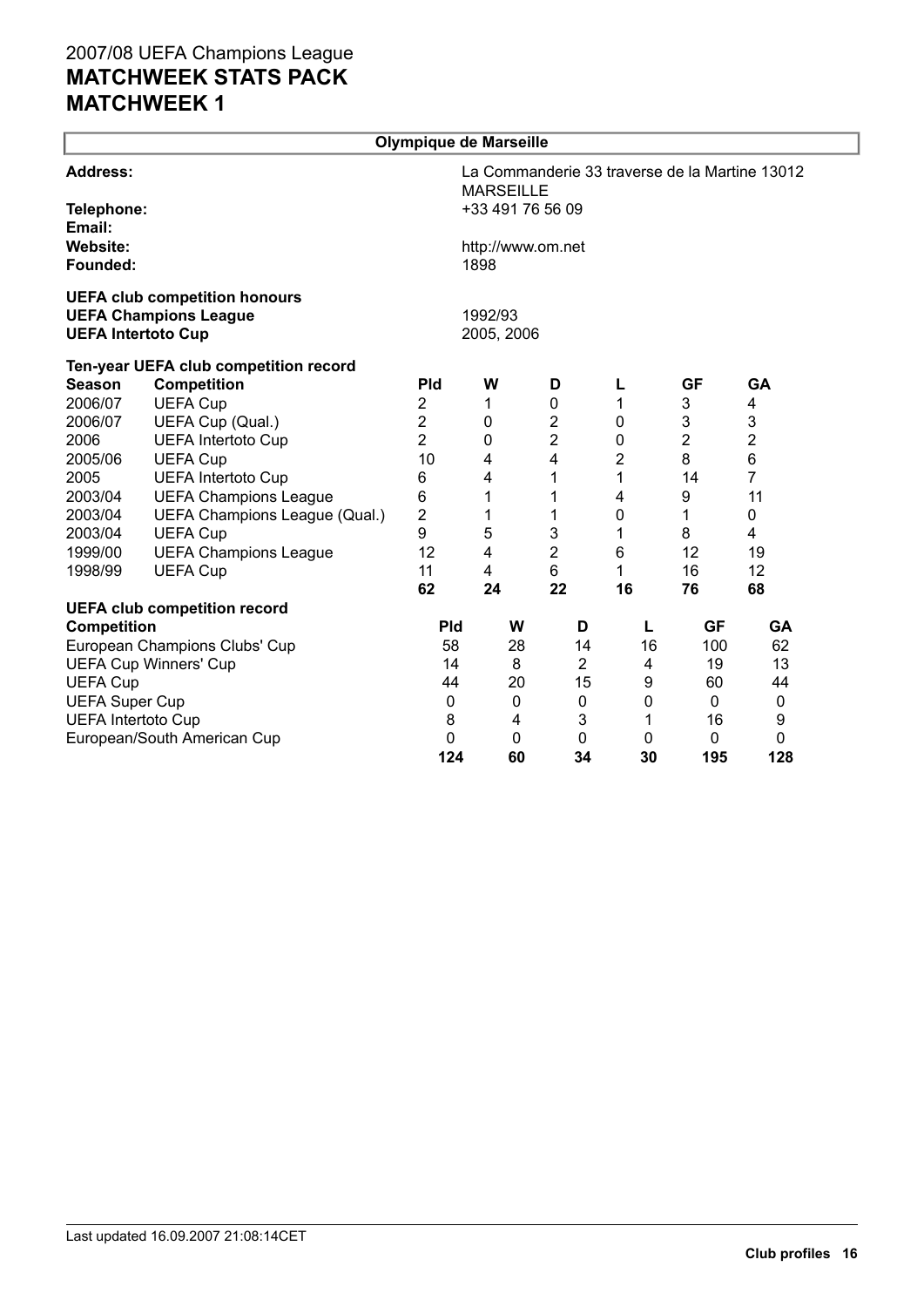|                           |                                                                      | Olympique de Marseille |                           |                  |    |                           |                                                |  |  |
|---------------------------|----------------------------------------------------------------------|------------------------|---------------------------|------------------|----|---------------------------|------------------------------------------------|--|--|
| <b>Address:</b>           |                                                                      |                        | <b>MARSEILLE</b>          |                  |    |                           | La Commanderie 33 traverse de la Martine 13012 |  |  |
| Telephone:<br>Email:      |                                                                      |                        | +33 491 76 56 09          |                  |    |                           |                                                |  |  |
| Website:<br>Founded:      |                                                                      |                        | http://www.om.net<br>1898 |                  |    |                           |                                                |  |  |
|                           | <b>UEFA club competition honours</b><br><b>UEFA Champions League</b> |                        | 1992/93                   |                  |    |                           |                                                |  |  |
|                           | <b>UEFA Intertoto Cup</b>                                            |                        | 2005, 2006                |                  |    |                           |                                                |  |  |
|                           | Ten-year UEFA club competition record                                |                        |                           |                  |    |                           |                                                |  |  |
| <b>Season</b>             | <b>Competition</b>                                                   | <b>Pld</b>             | W                         | D                | L  | GF                        | <b>GA</b>                                      |  |  |
| 2006/07                   | <b>UEFA Cup</b>                                                      | $\overline{2}$         | 1                         | 0                | 1  | 3                         | 4                                              |  |  |
| 2006/07                   | UEFA Cup (Qual.)                                                     | $\overline{2}$         | $\mathbf 0$               | $\boldsymbol{2}$ | 0  | $\ensuremath{\mathsf{3}}$ | $\ensuremath{\mathsf{3}}$                      |  |  |
| 2006                      | <b>UEFA Intertoto Cup</b>                                            | $\overline{2}$         | $\mathbf 0$               | $\overline{2}$   | 0  | 2                         | 2                                              |  |  |
| 2005/06                   | <b>UEFA Cup</b>                                                      | 10                     | 4                         | 4                | 2  | 8                         | 6                                              |  |  |
| 2005                      | <b>UEFA Intertoto Cup</b>                                            | 6                      | 4                         | 1                | 1  | 14                        | 7                                              |  |  |
| 2003/04                   | <b>UEFA Champions League</b>                                         | 6                      | 1                         | 1                | 4  | 9                         | 11                                             |  |  |
| 2003/04                   | UEFA Champions League (Qual.)                                        | 2                      | 1                         | 1                | 0  | 1                         | 0                                              |  |  |
| 2003/04                   | <b>UEFA Cup</b>                                                      | 9                      | 5                         | 3                | 1  | 8                         | 4                                              |  |  |
| 1999/00                   | <b>UEFA Champions League</b>                                         | 12                     | 4                         | $\mathbf 2$      | 6  | 12                        | 19                                             |  |  |
| 1998/99                   | <b>UEFA Cup</b>                                                      | 11                     | 4                         | 6                | 1  | 16                        | 12                                             |  |  |
|                           |                                                                      | 62                     | 24                        | 22               | 16 | 76                        | 68                                             |  |  |
| <b>Competition</b>        | <b>UEFA club competition record</b>                                  | <b>Pld</b>             | W                         | D                | L  | <b>GF</b>                 | GA                                             |  |  |
|                           | European Champions Clubs' Cup                                        | 58                     | 28                        | 14               | 16 | 100                       | 62                                             |  |  |
|                           | <b>UEFA Cup Winners' Cup</b>                                         | 14                     | 8                         | $\overline{2}$   | 4  | 19                        | 13                                             |  |  |
| <b>UEFA Cup</b>           |                                                                      | 44                     | 20                        | 15               | 9  | 60                        | 44                                             |  |  |
| <b>UEFA Super Cup</b>     |                                                                      | 0                      | 0                         | 0                | 0  | $\mathbf{0}$              | 0                                              |  |  |
| <b>UEFA Intertoto Cup</b> |                                                                      | 8                      | 4                         | 3                | 1  | 16                        | 9                                              |  |  |
|                           | European/South American Cup                                          | 0                      | 0                         | 0                | 0  | 0                         | 0                                              |  |  |
|                           |                                                                      | 124                    | 60                        | 34               | 30 | 195                       | 128                                            |  |  |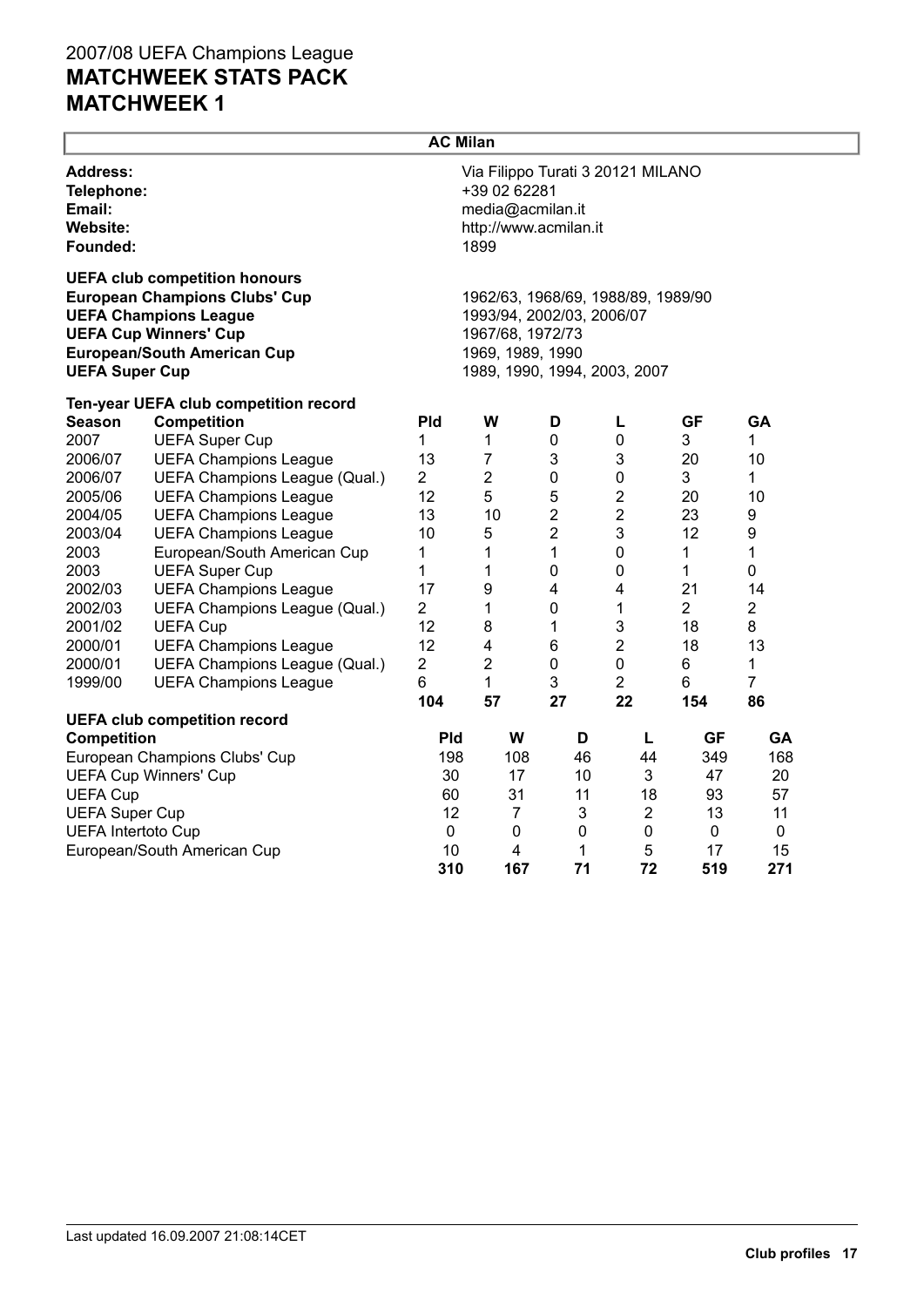|                                                                        |                                                                                                                                                                                    | <b>AC Milan</b> |                                                                                                                                         |              |                  |                |                |  |
|------------------------------------------------------------------------|------------------------------------------------------------------------------------------------------------------------------------------------------------------------------------|-----------------|-----------------------------------------------------------------------------------------------------------------------------------------|--------------|------------------|----------------|----------------|--|
| <b>Address:</b><br>Telephone:<br>Email:<br><b>Website:</b><br>Founded: |                                                                                                                                                                                    |                 | Via Filippo Turati 3 20121 MILANO<br>+39 02 62281<br>media@acmilan.it<br>http://www.acmilan.it<br>1899                                  |              |                  |                |                |  |
| <b>UEFA Super Cup</b>                                                  | <b>UEFA club competition honours</b><br><b>European Champions Clubs' Cup</b><br><b>UEFA Champions League</b><br><b>UEFA Cup Winners' Cup</b><br><b>European/South American Cup</b> |                 | 1962/63, 1968/69, 1988/89, 1989/90<br>1993/94, 2002/03, 2006/07<br>1967/68, 1972/73<br>1969, 1989, 1990<br>1989, 1990, 1994, 2003, 2007 |              |                  |                |                |  |
|                                                                        | Ten-year UEFA club competition record                                                                                                                                              |                 |                                                                                                                                         |              |                  |                |                |  |
| <b>Season</b>                                                          | <b>Competition</b>                                                                                                                                                                 | <b>Pld</b>      | W                                                                                                                                       | D            | L                | <b>GF</b>      | GA             |  |
| 2007                                                                   | <b>UEFA Super Cup</b>                                                                                                                                                              | 1               | 1                                                                                                                                       | 0            | $\mathbf 0$      | 3              | 1              |  |
| 2006/07                                                                | <b>UEFA Champions League</b>                                                                                                                                                       | 13              | $\overline{7}$                                                                                                                          | 3            | 3                | 20             | 10             |  |
| 2006/07                                                                | UEFA Champions League (Qual.)                                                                                                                                                      | $\overline{2}$  | $\overline{2}$                                                                                                                          | 0            | $\pmb{0}$        | 3              | 1              |  |
| 2005/06                                                                | <b>UEFA Champions League</b>                                                                                                                                                       | 12              | 5                                                                                                                                       | 5            | $\boldsymbol{2}$ | 20             | 10             |  |
| 2004/05                                                                | <b>UEFA Champions League</b>                                                                                                                                                       | 13              | 10                                                                                                                                      | $\mathbf{2}$ | $\overline{c}$   | 23             | 9              |  |
| 2003/04                                                                | <b>UEFA Champions League</b>                                                                                                                                                       | 10              | 5                                                                                                                                       | $\mathbf{2}$ | 3                | 12             | 9              |  |
| 2003                                                                   | European/South American Cup                                                                                                                                                        | 1               | $\mathbf 1$                                                                                                                             | $\mathbf{1}$ | $\pmb{0}$        | 1              | 1              |  |
| 2003                                                                   | <b>UEFA Super Cup</b>                                                                                                                                                              | 1               | 1                                                                                                                                       | $\pmb{0}$    | 0                | 1              | 0              |  |
| 2002/03                                                                | <b>UEFA Champions League</b>                                                                                                                                                       | 17              | 9                                                                                                                                       | 4            | 4                | 21             | 14             |  |
| 2002/03                                                                | UEFA Champions League (Qual.)                                                                                                                                                      | $\overline{2}$  | 1                                                                                                                                       | $\pmb{0}$    | 1                | $\overline{2}$ | $\overline{2}$ |  |
| 2001/02                                                                | <b>UEFA Cup</b>                                                                                                                                                                    | 12              | 8                                                                                                                                       | 1            | 3                | 18             | 8              |  |
| 2000/01                                                                | <b>UEFA Champions League</b>                                                                                                                                                       | 12              | 4                                                                                                                                       | 6            | $\overline{2}$   | 18             | 13             |  |
| 2000/01                                                                | UEFA Champions League (Qual.)                                                                                                                                                      | $\overline{2}$  | 2                                                                                                                                       | 0            | $\pmb{0}$        | 6              | 1              |  |
| 1999/00                                                                | <b>UEFA Champions League</b>                                                                                                                                                       | 6               | 1                                                                                                                                       | 3            | $\overline{2}$   | 6              | 7              |  |
|                                                                        |                                                                                                                                                                                    | 104             | 57                                                                                                                                      | 27           | 22               | 154            | 86             |  |
|                                                                        | <b>UEFA club competition record</b>                                                                                                                                                |                 |                                                                                                                                         |              |                  |                |                |  |
| <b>Competition</b>                                                     |                                                                                                                                                                                    | <b>Pld</b>      | W                                                                                                                                       | D            | L                | <b>GF</b>      | GA             |  |
|                                                                        | European Champions Clubs' Cup                                                                                                                                                      | 198             | 108                                                                                                                                     | 46           | 44               | 349            | 168            |  |
|                                                                        | <b>UEFA Cup Winners' Cup</b>                                                                                                                                                       | 30<br>60        | 17                                                                                                                                      | 10           | 3                | 47             | 20             |  |
|                                                                        | <b>UEFA Cup</b>                                                                                                                                                                    |                 | 31                                                                                                                                      | 11           | 18               | 93             | 57             |  |
| <b>UEFA Super Cup</b>                                                  |                                                                                                                                                                                    | 12              | $\overline{7}$                                                                                                                          | 3            | $\overline{2}$   | 13             | 11             |  |
| <b>UEFA Intertoto Cup</b>                                              |                                                                                                                                                                                    | $\mathbf 0$     | 0                                                                                                                                       | $\mathbf 0$  | 0                | 0              | 0              |  |
|                                                                        | European/South American Cup                                                                                                                                                        | 10              | 4                                                                                                                                       | 1            | 5                | 17             | 15             |  |
|                                                                        |                                                                                                                                                                                    | 310             | 167                                                                                                                                     | 71           | 72               | 519            | 271            |  |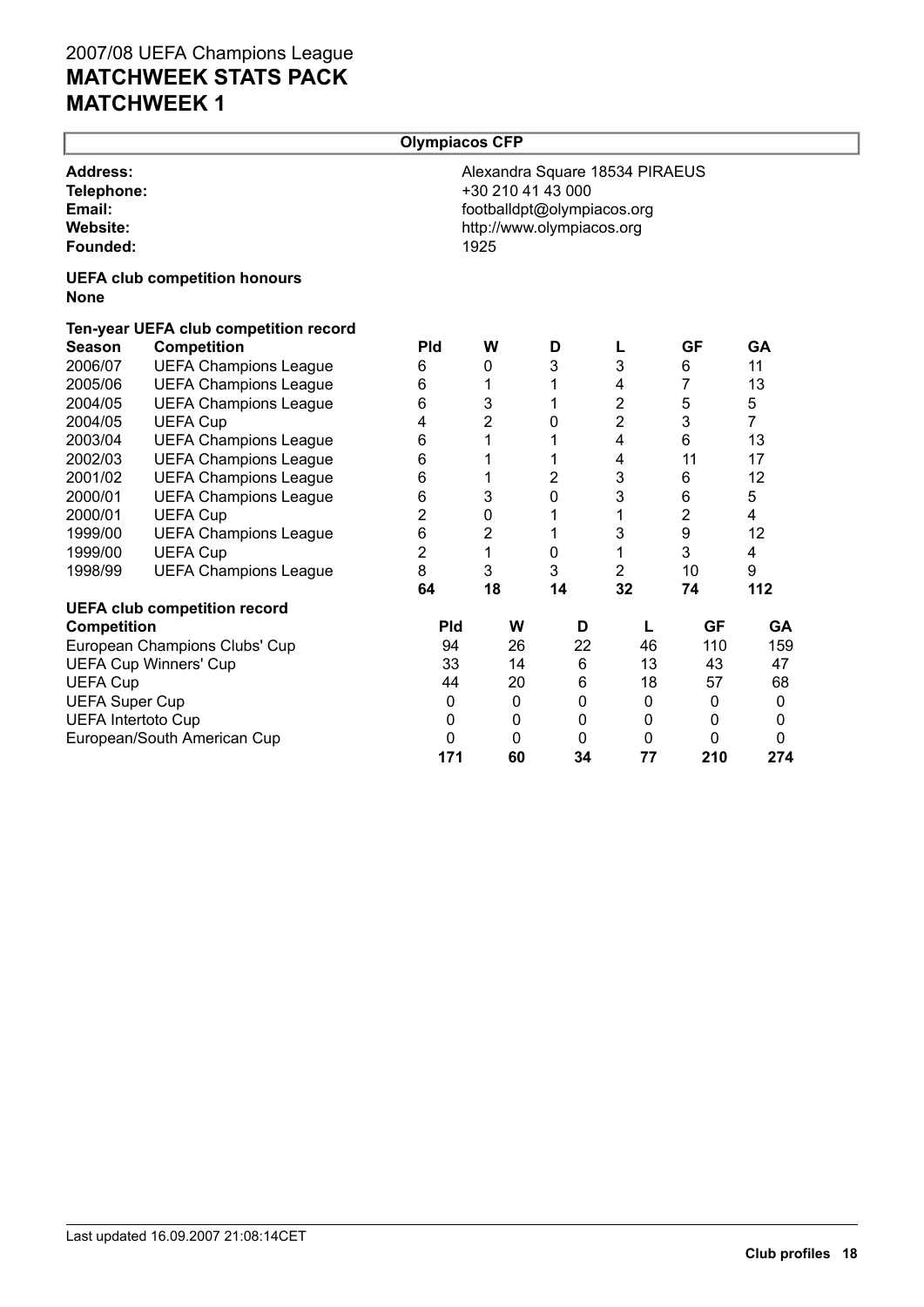|                                                                        |                                       | <b>Olympiacos CFP</b> |                           |    |                                                         |                                |                  |                |
|------------------------------------------------------------------------|---------------------------------------|-----------------------|---------------------------|----|---------------------------------------------------------|--------------------------------|------------------|----------------|
| <b>Address:</b><br>Telephone:<br>Email:<br><b>Website:</b><br>Founded: |                                       |                       | +30 210 41 43 000<br>1925 |    | footballdpt@olympiacos.org<br>http://www.olympiacos.org | Alexandra Square 18534 PIRAEUS |                  |                |
| <b>None</b>                                                            | <b>UEFA club competition honours</b>  |                       |                           |    |                                                         |                                |                  |                |
|                                                                        | Ten-year UEFA club competition record |                       |                           |    |                                                         |                                |                  |                |
| <b>Season</b>                                                          | <b>Competition</b>                    | <b>Pld</b>            | W                         |    | D                                                       |                                | <b>GF</b>        | GA             |
| 2006/07                                                                | <b>UEFA Champions League</b>          | 6                     | 0                         |    | 3                                                       | 3                              | 6                | 11             |
| 2005/06                                                                | <b>UEFA Champions League</b>          | 6                     | 1                         |    | 1                                                       | 4                              | 7                | 13             |
| 2004/05                                                                | <b>UEFA Champions League</b>          | 6                     | 3                         |    | 1                                                       | $\overline{c}$                 | 5                | 5              |
| 2004/05                                                                | <b>UEFA Cup</b>                       | 4                     | $\overline{2}$            |    | 0                                                       | $\overline{2}$                 | 3                | $\overline{7}$ |
| 2003/04                                                                | <b>UEFA Champions League</b>          | 6                     | 1                         |    | 1                                                       | $\overline{4}$                 | $6\phantom{1}$   | 13             |
| 2002/03                                                                | <b>UEFA Champions League</b>          | 6                     | 1                         |    | 1                                                       | 4                              | 11               | 17             |
| 2001/02                                                                | <b>UEFA Champions League</b>          | 6                     | 1                         |    | 2                                                       | 3                              | 6                | 12             |
| 2000/01                                                                | <b>UEFA Champions League</b>          | 6                     | $\mathsf 3$               |    | 0                                                       | 3                              | 6                | 5              |
| 2000/01                                                                | <b>UEFA Cup</b>                       | $\overline{c}$        | $\pmb{0}$                 |    | 1                                                       | 1                              | $\overline{2}$   | 4              |
| 1999/00                                                                | <b>UEFA Champions League</b>          | 6                     | $\overline{2}$            |    | 1                                                       | 3                              | $\boldsymbol{9}$ | 12             |
| 1999/00                                                                | <b>UEFA Cup</b>                       | $\overline{2}$        | 1                         |    | 0                                                       | 1                              | 3                | 4              |
| 1998/99                                                                | <b>UEFA Champions League</b>          | 8                     | 3                         |    | 3                                                       | $\overline{c}$                 | 10               | 9              |
|                                                                        |                                       | 64                    | 18                        |    | 14                                                      | 32                             | 74               | 112            |
|                                                                        | <b>UEFA club competition record</b>   |                       |                           |    |                                                         |                                |                  |                |
| <b>Competition</b>                                                     |                                       | <b>Pld</b>            |                           | W  | D                                                       | L                              | <b>GF</b>        | GA             |
|                                                                        | European Champions Clubs' Cup         | 94                    |                           | 26 | 22                                                      | 46                             | 110              | 159            |
|                                                                        | <b>UEFA Cup Winners' Cup</b>          | 33                    |                           | 14 | $\,6$                                                   | 13                             | 43               | 47             |
| <b>UEFA Cup</b>                                                        |                                       | 44                    |                           | 20 | 6                                                       | 18                             | 57               | 68             |
| <b>UEFA Super Cup</b>                                                  |                                       | $\mathbf 0$           |                           | 0  | $\mathbf 0$                                             | $\mathbf 0$                    | 0                | $\mathbf{0}$   |
| <b>UEFA Intertoto Cup</b>                                              |                                       | $\mathbf 0$           |                           | 0  | $\mathbf 0$                                             | $\mathbf 0$                    | 0                | 0              |
|                                                                        | European/South American Cup           | 0                     |                           | 0  | $\mathbf 0$                                             | 0                              | 0                | 0              |
|                                                                        |                                       | 171                   |                           | 60 | 34                                                      | 77                             | 210              | 274            |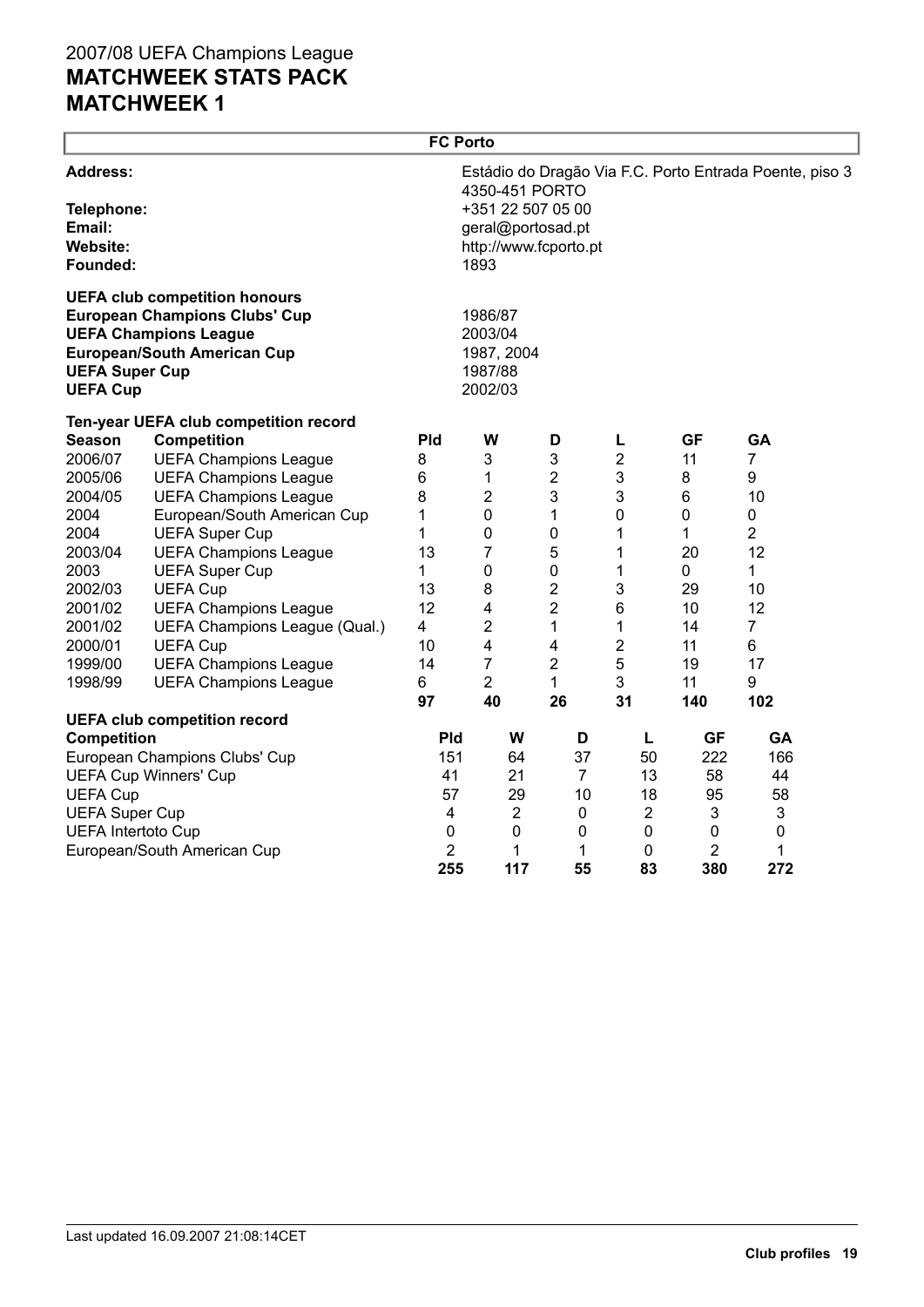|                                                                        |                                                                                                                                                    | <b>FC Porto</b> |                                                                                           |                |                         |                |                                                         |  |
|------------------------------------------------------------------------|----------------------------------------------------------------------------------------------------------------------------------------------------|-----------------|-------------------------------------------------------------------------------------------|----------------|-------------------------|----------------|---------------------------------------------------------|--|
| <b>Address:</b><br>Telephone:<br>Email:<br><b>Website:</b><br>Founded: |                                                                                                                                                    |                 | 4350-451 PORTO<br>+351 22 507 05 00<br>geral@portosad.pt<br>http://www.fcporto.pt<br>1893 |                |                         |                | Estádio do Dragão Via F.C. Porto Entrada Poente, piso 3 |  |
| <b>UEFA Super Cup</b><br><b>UEFA Cup</b>                               | <b>UEFA club competition honours</b><br><b>European Champions Clubs' Cup</b><br><b>UEFA Champions League</b><br><b>European/South American Cup</b> |                 | 1986/87<br>2003/04<br>1987, 2004<br>1987/88<br>2002/03                                    |                |                         |                |                                                         |  |
|                                                                        | Ten-year UEFA club competition record                                                                                                              |                 |                                                                                           |                |                         |                |                                                         |  |
| <b>Season</b>                                                          | <b>Competition</b>                                                                                                                                 | <b>Pld</b>      | W                                                                                         | D              | L                       | <b>GF</b>      | <b>GA</b>                                               |  |
| 2006/07                                                                | <b>UEFA Champions League</b>                                                                                                                       | 8               | 3                                                                                         | 3              | $\overline{\mathbf{c}}$ | 11             | $\overline{7}$                                          |  |
| 2005/06                                                                | <b>UEFA Champions League</b>                                                                                                                       | 6               | 1                                                                                         | $\overline{2}$ | 3                       | 8              | 9                                                       |  |
| 2004/05                                                                | <b>UEFA Champions League</b>                                                                                                                       | 8               | 2                                                                                         | 3              | 3                       | 6              | 10                                                      |  |
| 2004                                                                   | European/South American Cup                                                                                                                        | 1               | 0                                                                                         | 1              | 0                       | 0              | 0                                                       |  |
| 2004                                                                   | <b>UEFA Super Cup</b>                                                                                                                              | 1               | 0                                                                                         | 0              | 1                       | 1              | 2                                                       |  |
| 2003/04                                                                | <b>UEFA Champions League</b>                                                                                                                       | 13              | 7                                                                                         | 5              | 1                       | 20             | 12                                                      |  |
| 2003                                                                   | <b>UEFA Super Cup</b>                                                                                                                              | 1               | $\pmb{0}$                                                                                 | 0              | 1                       | 0              | 1                                                       |  |
| 2002/03                                                                | <b>UEFA Cup</b>                                                                                                                                    | 13              | 8                                                                                         | $\overline{2}$ | 3                       | 29             | 10                                                      |  |
| 2001/02                                                                | <b>UEFA Champions League</b>                                                                                                                       | 12              | 4                                                                                         | 2              | 6                       | 10             | 12                                                      |  |
| 2001/02                                                                | UEFA Champions League (Qual.)                                                                                                                      | 4               | 2                                                                                         | 1              | 1                       | 14             | $\overline{7}$                                          |  |
| 2000/01                                                                | <b>UEFA Cup</b>                                                                                                                                    | 10              | $\overline{\mathbf{4}}$                                                                   | 4              | $\boldsymbol{2}$        | 11             | 6                                                       |  |
| 1999/00                                                                | <b>UEFA Champions League</b>                                                                                                                       | 14              | 7                                                                                         | $\overline{2}$ | 5                       | 19             | 17                                                      |  |
| 1998/99                                                                | <b>UEFA Champions League</b>                                                                                                                       | 6               | $\overline{2}$                                                                            | $\mathbf{1}$   | 3                       | 11             | 9                                                       |  |
|                                                                        |                                                                                                                                                    | 97              | 40                                                                                        | 26             | 31                      | 140            | 102                                                     |  |
|                                                                        | <b>UEFA club competition record</b>                                                                                                                |                 |                                                                                           |                |                         |                |                                                         |  |
| <b>Competition</b>                                                     |                                                                                                                                                    | Pld             | W                                                                                         | D              | L                       | <b>GF</b>      | <b>GA</b>                                               |  |
|                                                                        | European Champions Clubs' Cup                                                                                                                      | 151             | 64                                                                                        | 37             | 50                      | 222            | 166                                                     |  |
|                                                                        | <b>UEFA Cup Winners' Cup</b>                                                                                                                       | 41              | 21                                                                                        | $\overline{7}$ | 13                      | 58             | 44                                                      |  |
| <b>UEFA Cup</b>                                                        |                                                                                                                                                    | 57              | 29                                                                                        | 10             | 18                      | 95             | 58                                                      |  |
| <b>UEFA Super Cup</b>                                                  |                                                                                                                                                    | 4               | $\overline{2}$                                                                            | 0              | $\overline{2}$          | 3              | 3                                                       |  |
| <b>UEFA Intertoto Cup</b>                                              |                                                                                                                                                    | 0               | 0                                                                                         | 0              | $\mathbf 0$             | $\mathbf 0$    | $\pmb{0}$                                               |  |
|                                                                        | European/South American Cup                                                                                                                        | 2               | 1                                                                                         | 1              | 0                       | $\overline{2}$ | 1                                                       |  |
|                                                                        |                                                                                                                                                    | 255             | 117                                                                                       | 55             | 83                      | 380            | 272                                                     |  |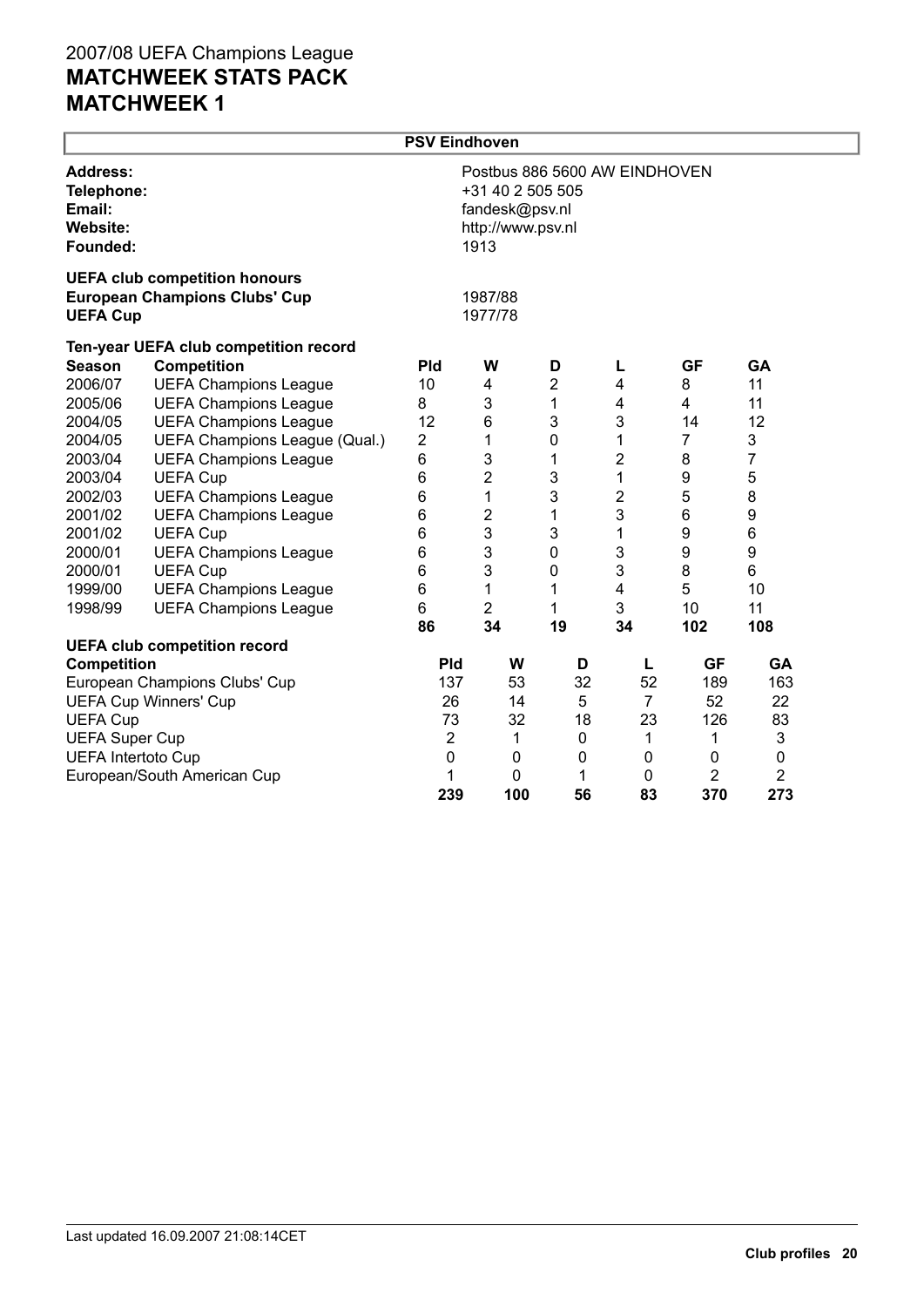|                                                   |                                                                              | <b>PSV Eindhoven</b> |                                             |                  |                               |                  |                |  |
|---------------------------------------------------|------------------------------------------------------------------------------|----------------------|---------------------------------------------|------------------|-------------------------------|------------------|----------------|--|
| <b>Address:</b><br>Email:<br>Website:<br>Founded: | Telephone:                                                                   |                      | fandesk@psv.nl<br>http://www.psv.nl<br>1913 | +31 40 2 505 505 | Postbus 886 5600 AW EINDHOVEN |                  |                |  |
| <b>UEFA Cup</b>                                   | <b>UEFA club competition honours</b><br><b>European Champions Clubs' Cup</b> |                      | 1987/88<br>1977/78                          |                  |                               |                  |                |  |
|                                                   | Ten-year UEFA club competition record                                        |                      |                                             |                  |                               |                  |                |  |
| <b>Season</b>                                     | Competition                                                                  | <b>Pld</b>           | W                                           | D                | L                             | <b>GF</b>        | <b>GA</b>      |  |
| 2006/07                                           | <b>UEFA Champions League</b>                                                 | 10                   | 4                                           | $\overline{2}$   | 4                             | 8                | 11             |  |
| 2005/06                                           | <b>UEFA Champions League</b>                                                 | 8                    | 3                                           | 1                | 4                             | $\overline{4}$   | 11             |  |
| 2004/05                                           | <b>UEFA Champions League</b>                                                 | 12                   | 6                                           | 3                | 3                             | 14               | 12             |  |
| 2004/05                                           | UEFA Champions League (Qual.)                                                | 2                    | 1                                           | $\mathbf 0$      | 1                             | $\overline{7}$   | 3              |  |
| 2003/04                                           | <b>UEFA Champions League</b>                                                 | 6                    | 3                                           | 1                | 2                             | 8                | 7              |  |
| 2003/04                                           | <b>UEFA Cup</b>                                                              | 6                    | $\overline{2}$                              | 3                | 1                             | $\boldsymbol{9}$ | 5              |  |
| 2002/03                                           | <b>UEFA Champions League</b>                                                 | 6                    | 1                                           | 3                | $\overline{c}$                | 5                | 8              |  |
| 2001/02                                           | <b>UEFA Champions League</b>                                                 | 6                    | $\overline{2}$                              | $\mathbf 1$      | 3                             | $\,6$            | 9              |  |
| 2001/02                                           | <b>UEFA Cup</b>                                                              | 6                    | 3                                           | 3                | 1                             | $\boldsymbol{9}$ | 6              |  |
| 2000/01                                           | <b>UEFA Champions League</b>                                                 | 6                    | 3                                           | $\mathbf 0$      | 3                             | 9                | 9              |  |
| 2000/01                                           | <b>UEFA Cup</b>                                                              | 6                    | 3                                           | $\mathbf 0$      | 3                             | 8                | 6              |  |
| 1999/00                                           | <b>UEFA Champions League</b>                                                 | 6                    | 1                                           | 1                | 4                             | 5                | 10             |  |
| 1998/99                                           | <b>UEFA Champions League</b>                                                 | 6                    | $\overline{c}$                              | 1                | 3                             | 10               | 11             |  |
|                                                   |                                                                              | 86                   | 34                                          | 19               | 34                            | 102              | 108            |  |
|                                                   | <b>UEFA club competition record</b>                                          |                      |                                             |                  |                               |                  |                |  |
| <b>Competition</b>                                |                                                                              | <b>Pld</b>           | W                                           | D                | L                             | <b>GF</b>        | <b>GA</b>      |  |
|                                                   | European Champions Clubs' Cup                                                | 137                  | 53                                          | 32               | 52                            | 189              | 163            |  |
|                                                   | <b>UEFA Cup Winners' Cup</b>                                                 | 26                   | 14                                          | 5                | $\overline{7}$                | 52               | 22             |  |
| <b>UEFA Cup</b>                                   |                                                                              | 73                   | 32                                          | 18               | 23                            | 126              | 83             |  |
| <b>UEFA Super Cup</b>                             |                                                                              | $\overline{2}$       | 1                                           | $\mathbf 0$      | 1                             | 1                | 3              |  |
| <b>UEFA Intertoto Cup</b>                         |                                                                              | 0                    | $\mathbf 0$                                 | $\mathbf 0$      | 0                             | 0                | $\pmb{0}$      |  |
|                                                   | European/South American Cup                                                  | 1                    | 0                                           | 1                | 0                             | $\overline{2}$   | $\overline{2}$ |  |
|                                                   |                                                                              | 239                  | 100                                         | 56               | 83                            | 370              | 273            |  |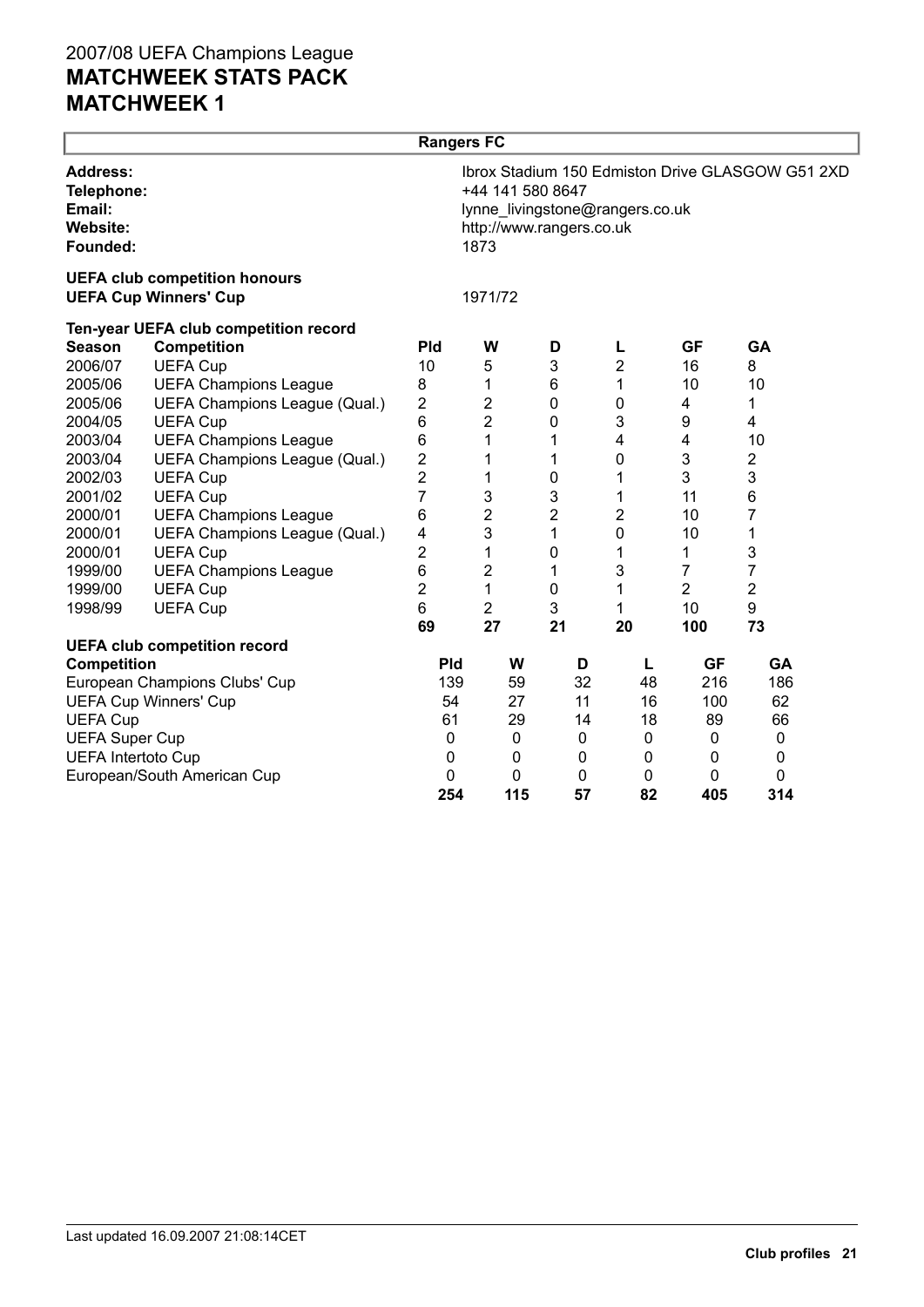|                                                                        |                                       | <b>Rangers FC</b> |                                                      |                |                                 |                |                                                  |  |
|------------------------------------------------------------------------|---------------------------------------|-------------------|------------------------------------------------------|----------------|---------------------------------|----------------|--------------------------------------------------|--|
| <b>Address:</b><br>Telephone:<br>Email:<br><b>Website:</b><br>Founded: | <b>UEFA club competition honours</b>  |                   | +44 141 580 8647<br>http://www.rangers.co.uk<br>1873 |                | lynne_livingstone@rangers.co.uk |                | Ibrox Stadium 150 Edmiston Drive GLASGOW G51 2XD |  |
|                                                                        | <b>UEFA Cup Winners' Cup</b>          |                   | 1971/72                                              |                |                                 |                |                                                  |  |
|                                                                        | Ten-year UEFA club competition record |                   |                                                      |                |                                 |                |                                                  |  |
| <b>Season</b>                                                          | <b>Competition</b>                    | <b>Pld</b>        | W                                                    | D              | L                               | <b>GF</b>      | <b>GA</b>                                        |  |
| 2006/07                                                                | <b>UEFA Cup</b>                       | 10                | 5                                                    | 3              | 2                               | 16             | 8                                                |  |
| 2005/06                                                                | <b>UEFA Champions League</b>          | 8                 | 1                                                    | 6              | 1                               | 10             | 10                                               |  |
| 2005/06                                                                | UEFA Champions League (Qual.)         | 2                 | $\overline{2}$                                       | $\pmb{0}$      | 0                               | 4              | 1                                                |  |
| 2004/05                                                                | <b>UEFA Cup</b>                       | 6                 | $\overline{2}$                                       | $\mathbf 0$    | 3                               | 9              | 4                                                |  |
| 2003/04                                                                | <b>UEFA Champions League</b>          | 6                 | 1                                                    | 1              | $\overline{\mathbf{4}}$         | 4              | 10                                               |  |
| 2003/04                                                                | UEFA Champions League (Qual.)         | $\overline{c}$    | 1                                                    | 1              | 0                               | 3              | 2                                                |  |
| 2002/03                                                                | <b>UEFA Cup</b>                       | $\overline{2}$    | 1                                                    | $\pmb{0}$      | 1                               | 3              | 3                                                |  |
| 2001/02                                                                | <b>UEFA Cup</b>                       | $\overline{7}$    | 3                                                    | 3              | 1                               | 11             | 6                                                |  |
| 2000/01                                                                | <b>UEFA Champions League</b>          | 6                 | $\mathbf 2$                                          | $\overline{2}$ | 2                               | 10             | 7                                                |  |
| 2000/01                                                                | UEFA Champions League (Qual.)         | 4                 | 3                                                    | 1              | 0                               | 10             | 1                                                |  |
| 2000/01                                                                | <b>UEFA Cup</b>                       | $\overline{2}$    | 1                                                    | $\mathbf 0$    | 1                               | 1              | 3                                                |  |
| 1999/00                                                                | <b>UEFA Champions League</b>          | 6                 | $\boldsymbol{2}$                                     | 1              | 3                               | $\overline{7}$ | $\overline{7}$                                   |  |
| 1999/00                                                                | <b>UEFA Cup</b>                       | $\overline{2}$    | 1                                                    | $\pmb{0}$      | 1                               | $\overline{2}$ | $\overline{2}$                                   |  |
| 1998/99                                                                | <b>UEFA Cup</b>                       | 6                 | $\overline{c}$                                       | 3              | 1                               | 10             | 9                                                |  |
|                                                                        |                                       | 69                | 27                                                   | 21             | 20                              | 100            | 73                                               |  |
|                                                                        | <b>UEFA club competition record</b>   |                   |                                                      |                |                                 |                |                                                  |  |
| <b>Competition</b>                                                     |                                       | <b>Pld</b>        | W                                                    | D              | L                               | <b>GF</b>      | GA                                               |  |
|                                                                        | European Champions Clubs' Cup         | 139               | 59                                                   | 32             | 48                              | 216            | 186                                              |  |
|                                                                        | <b>UEFA Cup Winners' Cup</b>          | 54                | 27                                                   | 11             | 16                              | 100            | 62                                               |  |
| <b>UEFA Cup</b>                                                        |                                       | 61                | 29                                                   | 14             | 18                              | 89             | 66                                               |  |
| <b>UEFA Super Cup</b>                                                  |                                       | $\mathbf 0$       | 0                                                    | 0              | 0                               | 0              | $\mathbf 0$                                      |  |
| <b>UEFA Intertoto Cup</b>                                              |                                       | 0                 | 0                                                    | 0              | $\mathbf 0$                     | $\mathbf{0}$   | 0                                                |  |
|                                                                        | European/South American Cup           | $\mathbf{0}$      | $\mathbf 0$                                          | 0              | 0                               | 0              | 0                                                |  |
|                                                                        |                                       | 254               | 115                                                  | 57             | 82                              | 405            | 314                                              |  |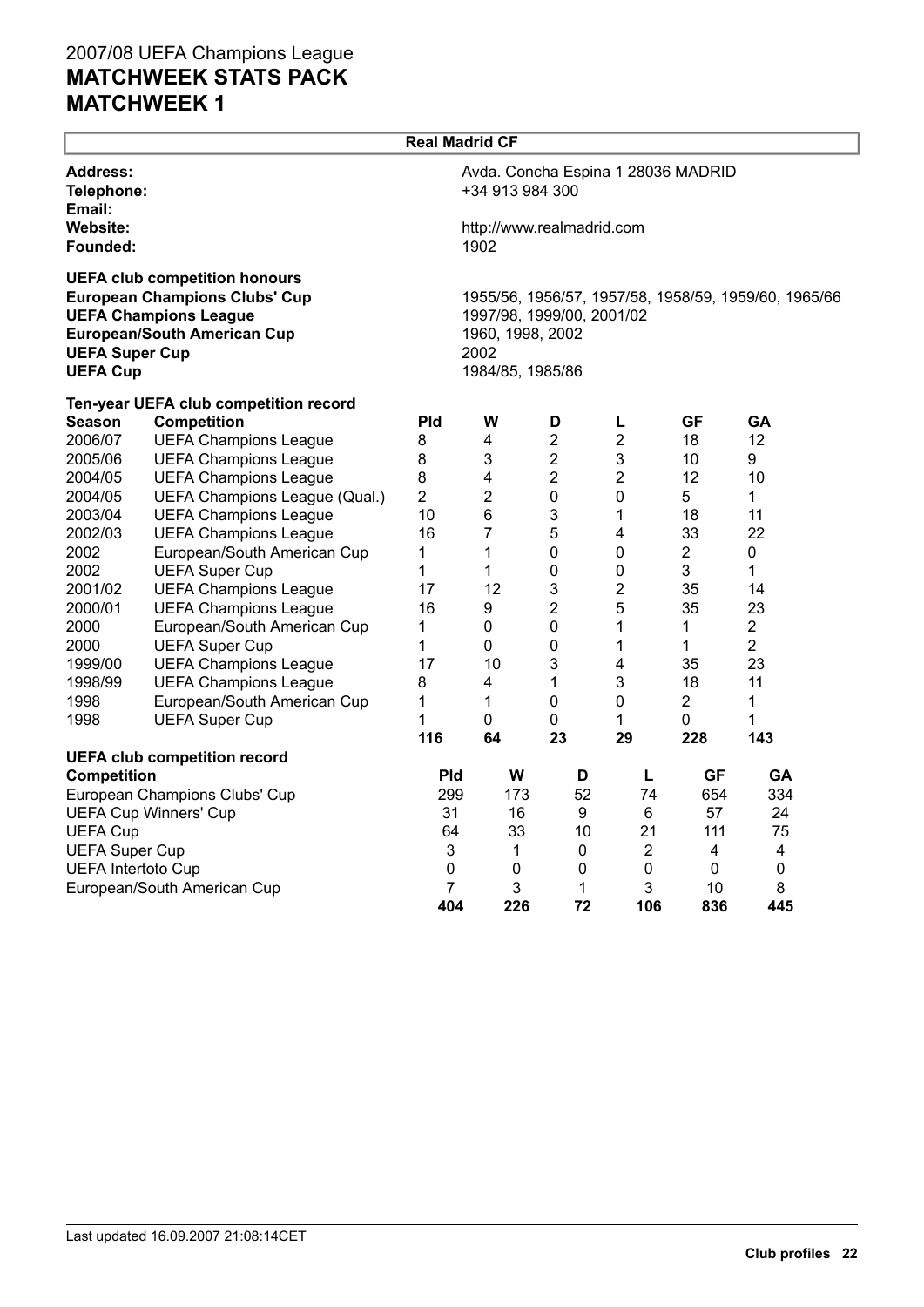| <b>Real Madrid CF</b>                    |                                                                                                                                                    |                |                                                                                                                                   |                |                                    |                |                |  |  |  |
|------------------------------------------|----------------------------------------------------------------------------------------------------------------------------------------------------|----------------|-----------------------------------------------------------------------------------------------------------------------------------|----------------|------------------------------------|----------------|----------------|--|--|--|
| <b>Address:</b><br>Telephone:<br>Email:  |                                                                                                                                                    |                | +34 913 984 300                                                                                                                   |                | Avda. Concha Espina 1 28036 MADRID |                |                |  |  |  |
| Website:<br>Founded:                     |                                                                                                                                                    |                | http://www.realmadrid.com<br>1902                                                                                                 |                |                                    |                |                |  |  |  |
| <b>UEFA Super Cup</b><br><b>UEFA Cup</b> | <b>UEFA club competition honours</b><br><b>European Champions Clubs' Cup</b><br><b>UEFA Champions League</b><br><b>European/South American Cup</b> |                | 1955/56, 1956/57, 1957/58, 1958/59, 1959/60, 1965/66<br>1997/98, 1999/00, 2001/02<br>1960, 1998, 2002<br>2002<br>1984/85, 1985/86 |                |                                    |                |                |  |  |  |
|                                          | Ten-year UEFA club competition record                                                                                                              |                |                                                                                                                                   |                |                                    |                |                |  |  |  |
| <b>Season</b>                            | <b>Competition</b>                                                                                                                                 | <b>Pld</b>     | W                                                                                                                                 | D              | L                                  | <b>GF</b>      | GA             |  |  |  |
| 2006/07                                  | <b>UEFA Champions League</b>                                                                                                                       | 8              | 4                                                                                                                                 | $\overline{2}$ | $\overline{2}$                     | 18             | 12             |  |  |  |
| 2005/06                                  | <b>UEFA Champions League</b>                                                                                                                       | 8              | 3                                                                                                                                 | $\overline{2}$ | 3                                  | 10             | 9              |  |  |  |
| 2004/05                                  | <b>UEFA Champions League</b>                                                                                                                       | 8              | $\overline{\mathbf{4}}$                                                                                                           | $\overline{2}$ | $\overline{2}$                     | 12             | 10             |  |  |  |
| 2004/05                                  | UEFA Champions League (Qual.)                                                                                                                      | $\overline{2}$ | $\overline{2}$                                                                                                                    | 0              | 0                                  | 5              | $\mathbf{1}$   |  |  |  |
| 2003/04                                  | <b>UEFA Champions League</b>                                                                                                                       | 10             | 6                                                                                                                                 | 3              | 1                                  | 18             | 11             |  |  |  |
| 2002/03                                  | <b>UEFA Champions League</b>                                                                                                                       | 16             | 7                                                                                                                                 | 5              | 4                                  | 33             | 22             |  |  |  |
| 2002                                     | European/South American Cup                                                                                                                        | 1              | $\mathbf{1}$                                                                                                                      | 0              | 0                                  | $\overline{2}$ | 0              |  |  |  |
| 2002                                     | <b>UEFA Super Cup</b>                                                                                                                              | 1              | 1                                                                                                                                 | 0              | 0                                  | 3              | 1              |  |  |  |
| 2001/02                                  | <b>UEFA Champions League</b>                                                                                                                       | 17             | 12                                                                                                                                | 3              | 2                                  | 35             | 14             |  |  |  |
| 2000/01                                  | <b>UEFA Champions League</b>                                                                                                                       | 16             | 9                                                                                                                                 | 2              | 5                                  | 35             | 23             |  |  |  |
| 2000                                     | European/South American Cup                                                                                                                        | 1              | 0                                                                                                                                 | 0              | 1                                  | 1              | $\overline{c}$ |  |  |  |
| 2000                                     | <b>UEFA Super Cup</b>                                                                                                                              | 1              | 0                                                                                                                                 | 0              | 1                                  | 1              | $\overline{2}$ |  |  |  |
| 1999/00                                  | <b>UEFA Champions League</b>                                                                                                                       | 17             | 10                                                                                                                                | 3              | 4                                  | 35             | 23             |  |  |  |
| 1998/99                                  | <b>UEFA Champions League</b>                                                                                                                       | 8              | 4                                                                                                                                 | 1              | 3                                  | 18             | 11             |  |  |  |
| 1998                                     | European/South American Cup                                                                                                                        | 1              | 1                                                                                                                                 | 0              | 0                                  | $\overline{2}$ | 1              |  |  |  |
| 1998                                     | <b>UEFA Super Cup</b>                                                                                                                              | 1              | 0                                                                                                                                 | 0              | 1                                  | 0              | 1              |  |  |  |
|                                          |                                                                                                                                                    | 116            | 64                                                                                                                                | 23             | 29                                 | 228            | 143            |  |  |  |
|                                          | <b>UEFA club competition record</b>                                                                                                                |                |                                                                                                                                   |                |                                    |                |                |  |  |  |
| <b>Competition</b>                       |                                                                                                                                                    | Pld            | W                                                                                                                                 | D              | L                                  | <b>GF</b>      | <b>GA</b>      |  |  |  |
|                                          | European Champions Clubs' Cup                                                                                                                      | 299            | 173                                                                                                                               | 52             | 74                                 | 654            | 334            |  |  |  |
|                                          | <b>UEFA Cup Winners' Cup</b>                                                                                                                       | 31             | 16                                                                                                                                | 9              | 6                                  | 57             | 24             |  |  |  |
| <b>UEFA Cup</b>                          |                                                                                                                                                    | 64             | 33                                                                                                                                | 10             | 21                                 | 111            | 75             |  |  |  |
| <b>UEFA Super Cup</b>                    |                                                                                                                                                    | 3              | 1                                                                                                                                 | $\pmb{0}$      | $\boldsymbol{2}$                   | 4              | 4              |  |  |  |
| <b>UEFA Intertoto Cup</b>                |                                                                                                                                                    | 0              | 0                                                                                                                                 | 0              | $\pmb{0}$                          | 0              | 0              |  |  |  |
|                                          | European/South American Cup                                                                                                                        | 7              | 3                                                                                                                                 | 1              | 3                                  | 10             | 8              |  |  |  |
|                                          |                                                                                                                                                    | 404            | 226                                                                                                                               | 72             | 106                                | 836            | 445            |  |  |  |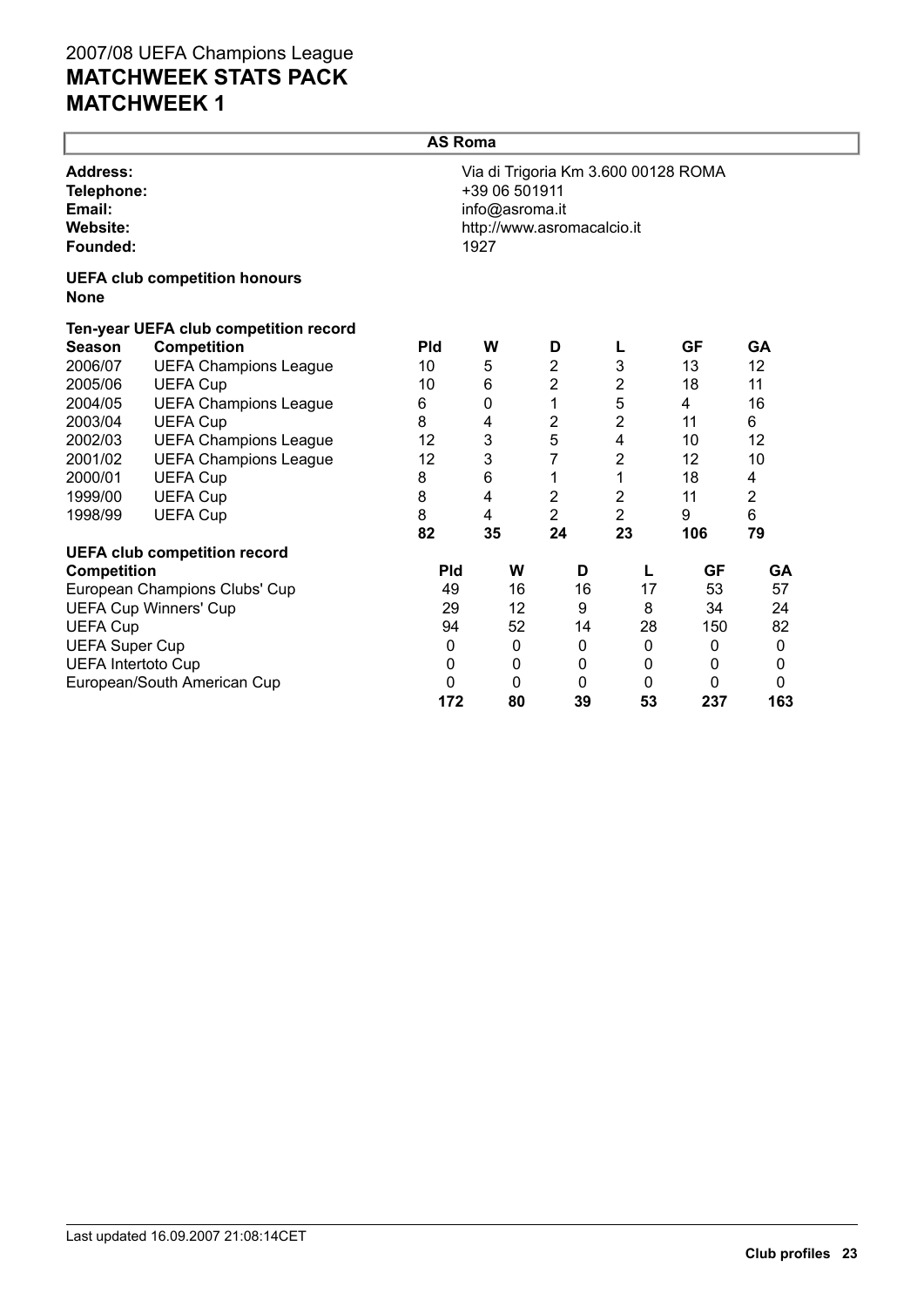|                                                                        |                                       | <b>AS Roma</b> |                                         |                                                                   |                |             |                |
|------------------------------------------------------------------------|---------------------------------------|----------------|-----------------------------------------|-------------------------------------------------------------------|----------------|-------------|----------------|
| <b>Address:</b><br>Telephone:<br>Email:<br><b>Website:</b><br>Founded: |                                       |                | +39 06 501911<br>info@asroma.it<br>1927 | Via di Trigoria Km 3.600 00128 ROMA<br>http://www.asromacalcio.it |                |             |                |
| <b>None</b>                                                            | <b>UEFA club competition honours</b>  |                |                                         |                                                                   |                |             |                |
|                                                                        | Ten-year UEFA club competition record |                |                                         |                                                                   |                |             |                |
| <b>Season</b>                                                          | <b>Competition</b>                    | <b>Pld</b>     | W                                       | D                                                                 | L              | <b>GF</b>   | <b>GA</b>      |
| 2006/07                                                                | <b>UEFA Champions League</b>          | 10             | 5                                       | 2                                                                 | 3              | 13          | 12             |
| 2005/06                                                                | <b>UEFA Cup</b>                       | 10             | 6                                       | 2                                                                 | $\overline{2}$ | 18          | 11             |
| 2004/05                                                                | <b>UEFA Champions League</b>          | 6              | 0                                       | 1                                                                 | 5              | 4           | 16             |
| 2003/04                                                                | <b>UEFA Cup</b>                       | 8              | 4                                       | 2                                                                 | 2              | 11          | 6              |
| 2002/03                                                                | <b>UEFA Champions League</b>          | 12             | 3                                       | 5                                                                 | 4              | 10          | 12             |
| 2001/02                                                                | <b>UEFA Champions League</b>          | 12             | 3                                       | 7                                                                 | 2              | 12          | 10             |
| 2000/01                                                                | <b>UEFA Cup</b>                       | 8              | 6                                       | 1                                                                 | 1              | 18          | 4              |
| 1999/00                                                                | <b>UEFA Cup</b>                       | 8              | 4                                       | 2                                                                 | 2              | 11          | $\overline{2}$ |
| 1998/99                                                                | <b>UEFA Cup</b>                       | 8              | 4                                       | $\overline{2}$                                                    | $\overline{2}$ | 9           | 6              |
|                                                                        |                                       | 82             | 35                                      | 24                                                                | 23             | 106         | 79             |
|                                                                        | <b>UEFA club competition record</b>   |                |                                         |                                                                   |                |             |                |
| <b>Competition</b>                                                     |                                       | <b>Pld</b>     | W                                       | D                                                                 | L              | GF          | GA             |
|                                                                        | European Champions Clubs' Cup         | 49             | 16                                      | 16                                                                | 17             | 53          | 57             |
|                                                                        | <b>UEFA Cup Winners' Cup</b>          | 29             | 12                                      | 9                                                                 | 8              | 34          | 24             |
| <b>UEFA Cup</b>                                                        |                                       | 94             | 52                                      | 14                                                                | 28             | 150         | 82             |
| <b>UEFA Super Cup</b>                                                  |                                       | 0              | 0                                       | 0                                                                 | $\mathbf 0$    | $\mathbf 0$ | $\mathbf 0$    |
| <b>UEFA Intertoto Cup</b>                                              |                                       | 0              | $\mathbf 0$                             | 0                                                                 | 0              | 0           | 0              |
|                                                                        | European/South American Cup           | 0              | 0                                       | 0                                                                 | 0              | 0           | 0              |
|                                                                        |                                       | 172            | 80                                      | 39                                                                | 53             | 237         | 163            |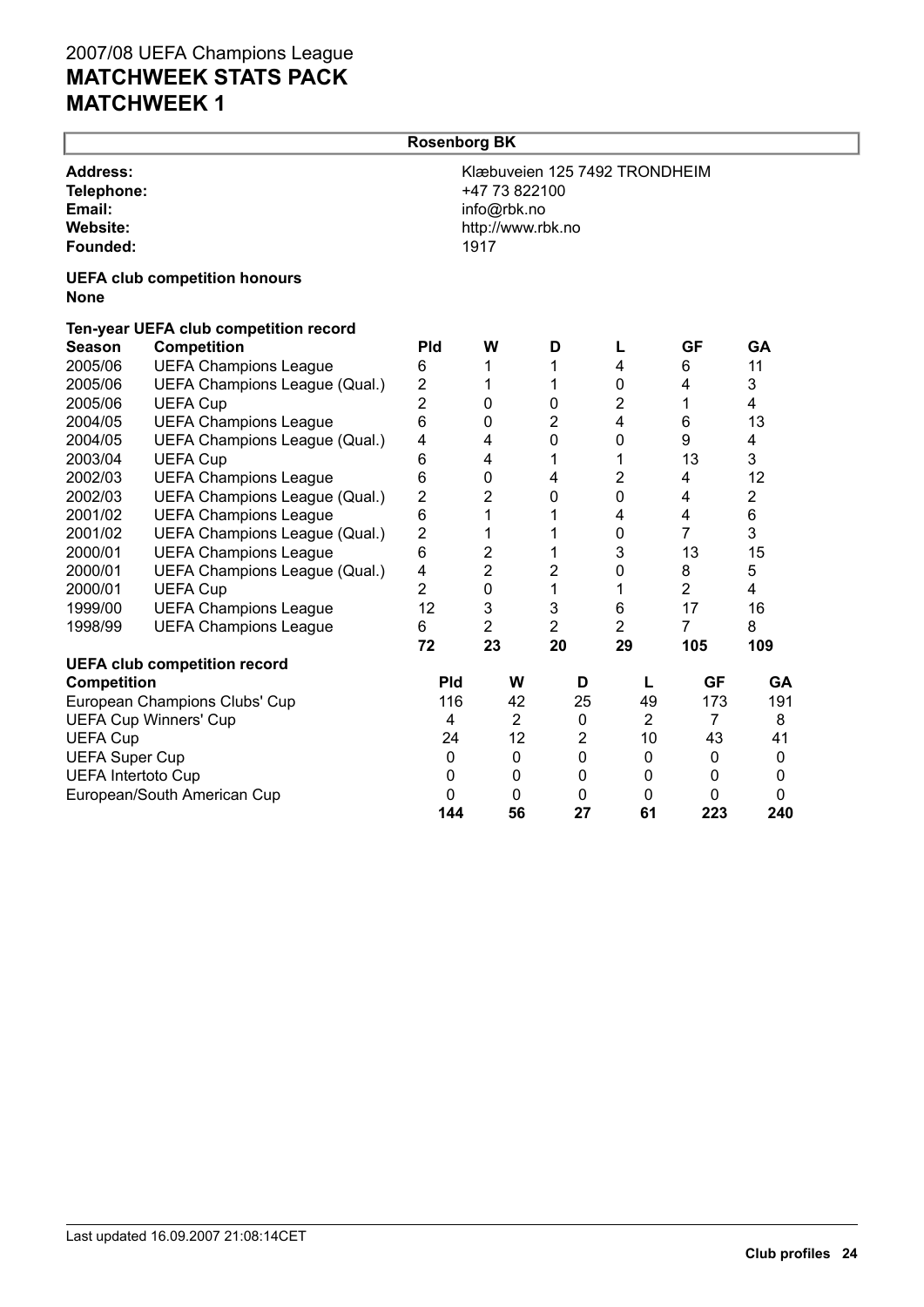|                                                                 | <b>Rosenborg BK</b>                   |                |                         |                                                                                            |                |                         |                |                |  |  |  |
|-----------------------------------------------------------------|---------------------------------------|----------------|-------------------------|--------------------------------------------------------------------------------------------|----------------|-------------------------|----------------|----------------|--|--|--|
| <b>Address:</b><br>Telephone:<br>Email:<br>Website:<br>Founded: | <b>UEFA club competition honours</b>  |                |                         | Klæbuveien 125 7492 TRONDHEIM<br>+47 73 822100<br>info@rbk.no<br>http://www.rbk.no<br>1917 |                |                         |                |                |  |  |  |
| <b>None</b>                                                     |                                       |                |                         |                                                                                            |                |                         |                |                |  |  |  |
|                                                                 | Ten-year UEFA club competition record |                |                         |                                                                                            |                |                         |                |                |  |  |  |
| <b>Season</b>                                                   | <b>Competition</b>                    | Pld            | W                       |                                                                                            | D              | Г                       | <b>GF</b>      | <b>GA</b>      |  |  |  |
| 2005/06                                                         | <b>UEFA Champions League</b>          | 6              | 1                       |                                                                                            | 1              | $\overline{\mathbf{4}}$ | 6              | 11             |  |  |  |
| 2005/06                                                         | UEFA Champions League (Qual.)         | $\overline{2}$ | 1                       |                                                                                            | 1              | 0                       | 4              | 3              |  |  |  |
| 2005/06                                                         | <b>UEFA Cup</b>                       | $\overline{c}$ | $\mathbf 0$             |                                                                                            | 0              | $\overline{2}$          | 1              | 4              |  |  |  |
| 2004/05                                                         | <b>UEFA Champions League</b>          | 6              | $\mathbf 0$             |                                                                                            | $\overline{2}$ | $\overline{4}$          | 6              | 13             |  |  |  |
| 2004/05                                                         | UEFA Champions League (Qual.)         | 4              | $\overline{\mathbf{4}}$ |                                                                                            | 0              | 0                       | 9              | 4              |  |  |  |
| 2003/04                                                         | <b>UEFA Cup</b>                       | 6              | 4                       |                                                                                            | 1              | 1                       | 13             | 3              |  |  |  |
| 2002/03                                                         | <b>UEFA Champions League</b>          | 6              | $\mathbf 0$             |                                                                                            | 4              | $\overline{2}$          | 4              | 12             |  |  |  |
| 2002/03                                                         | UEFA Champions League (Qual.)         | $\overline{2}$ | $\overline{2}$          |                                                                                            | 0              | 0                       | 4              | $\overline{2}$ |  |  |  |
| 2001/02                                                         | <b>UEFA Champions League</b>          | 6              | 1                       |                                                                                            | 1              | 4                       | 4              | 6              |  |  |  |
| 2001/02                                                         | UEFA Champions League (Qual.)         | $\overline{c}$ | 1                       |                                                                                            | 1              | 0                       | $\overline{7}$ | 3              |  |  |  |
| 2000/01                                                         | <b>UEFA Champions League</b>          | 6              | $\overline{\mathbf{c}}$ |                                                                                            | 1              | 3                       | 13             | 15             |  |  |  |
| 2000/01                                                         | UEFA Champions League (Qual.)         | 4              | $\overline{2}$          |                                                                                            | $\overline{c}$ | $\mathbf 0$             | 8              | 5              |  |  |  |
| 2000/01                                                         | <b>UEFA Cup</b>                       | $\overline{2}$ | $\mathbf 0$             |                                                                                            | 1              | 1                       | $\overline{2}$ | 4              |  |  |  |
| 1999/00                                                         | <b>UEFA Champions League</b>          | 12             | 3                       |                                                                                            | 3              | 6                       | 17             | 16             |  |  |  |
| 1998/99                                                         | <b>UEFA Champions League</b>          | 6              | $\overline{2}$          |                                                                                            | $\overline{2}$ | $\overline{2}$          | $\overline{7}$ | 8              |  |  |  |
|                                                                 |                                       | 72             | 23                      |                                                                                            | 20             | 29                      | 105            | 109            |  |  |  |
|                                                                 | <b>UEFA club competition record</b>   |                |                         |                                                                                            |                |                         |                |                |  |  |  |
| <b>Competition</b>                                              |                                       | <b>Pld</b>     |                         | W                                                                                          | D              | L                       | <b>GF</b>      | GA             |  |  |  |
|                                                                 | European Champions Clubs' Cup         | 116            |                         | 42                                                                                         | 25             | 49                      | 173            | 191            |  |  |  |
|                                                                 | <b>UEFA Cup Winners' Cup</b>          | 4              |                         | $\overline{2}$                                                                             | $\pmb{0}$      | $\overline{2}$          | $\overline{7}$ | 8              |  |  |  |
| <b>UEFA Cup</b>                                                 |                                       | 24             |                         | 12                                                                                         | $\overline{2}$ | 10                      | 43             | 41             |  |  |  |
| <b>UEFA Super Cup</b>                                           |                                       | 0              |                         | $\mathbf 0$                                                                                | 0              | $\boldsymbol{0}$        | $\pmb{0}$      | $\mathbf 0$    |  |  |  |
| <b>UEFA Intertoto Cup</b>                                       |                                       | 0              |                         | 0                                                                                          | 0              | 0                       | 0              | 0              |  |  |  |
|                                                                 | European/South American Cup           | $\mathbf 0$    |                         | $\mathbf 0$                                                                                | 0              | 0                       | 0              | 0              |  |  |  |
|                                                                 |                                       | 144            |                         | 56                                                                                         | 27             | 61                      | 223            | 240            |  |  |  |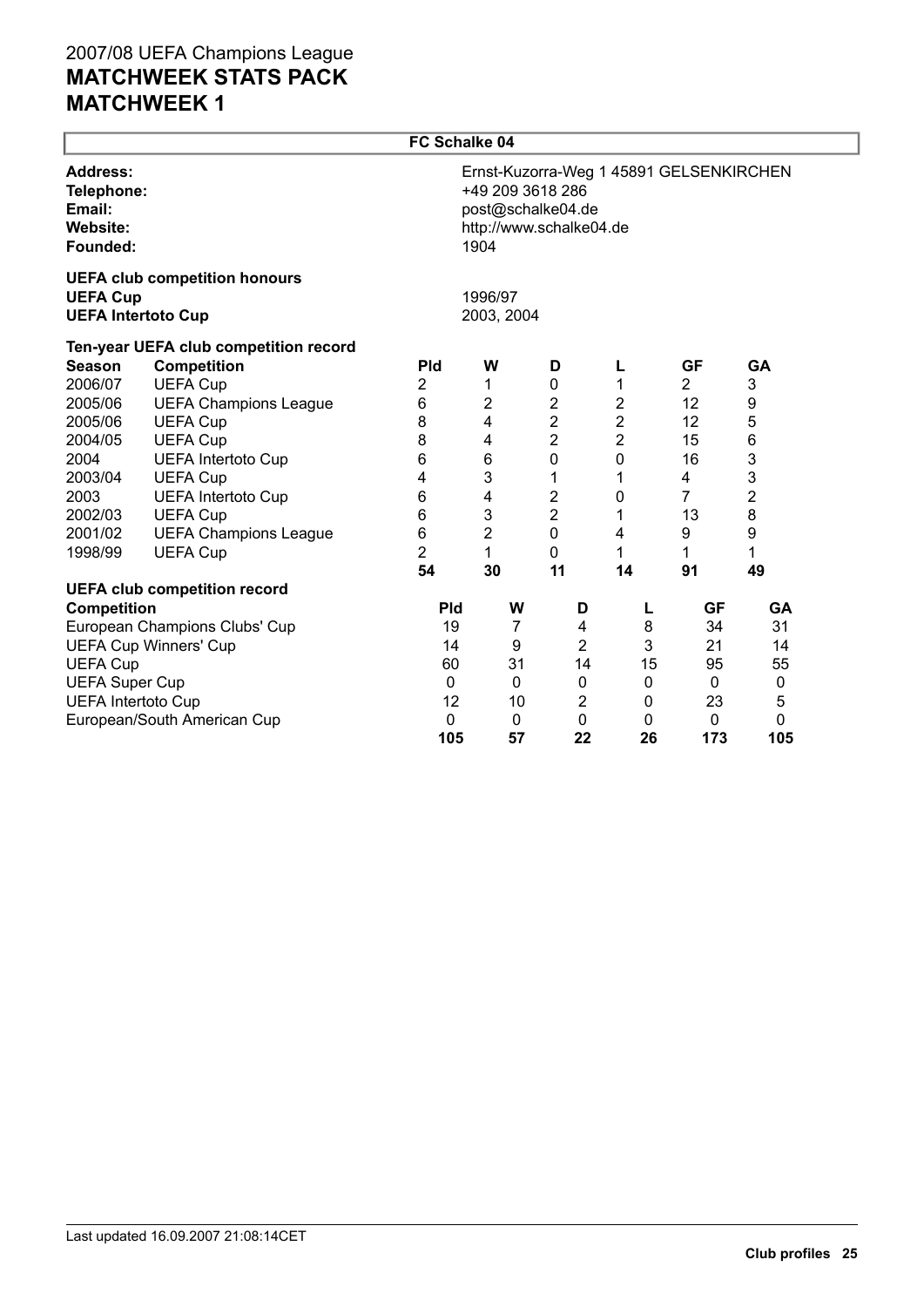|                                                                 | FC Schalke 04                         |                                                                                                                     |                       |                |                |                  |                |           |  |  |  |
|-----------------------------------------------------------------|---------------------------------------|---------------------------------------------------------------------------------------------------------------------|-----------------------|----------------|----------------|------------------|----------------|-----------|--|--|--|
| <b>Address:</b><br>Telephone:<br>Email:<br>Website:<br>Founded: |                                       | Ernst-Kuzorra-Weg 1 45891 GELSENKIRCHEN<br>+49 209 3618 286<br>post@schalke04.de<br>http://www.schalke04.de<br>1904 |                       |                |                |                  |                |           |  |  |  |
| <b>UEFA Cup</b><br><b>UEFA Intertoto Cup</b>                    | <b>UEFA club competition honours</b>  |                                                                                                                     | 1996/97<br>2003, 2004 |                |                |                  |                |           |  |  |  |
|                                                                 | Ten-year UEFA club competition record |                                                                                                                     |                       |                |                |                  |                |           |  |  |  |
| <b>Season</b>                                                   | <b>Competition</b>                    | <b>Pld</b>                                                                                                          | W                     |                | D              | L                | <b>GF</b>      | <b>GA</b> |  |  |  |
| 2006/07                                                         | <b>UEFA Cup</b>                       | 2                                                                                                                   | 1                     |                | $\mathbf 0$    | 1                | $\overline{2}$ | 3         |  |  |  |
| 2005/06                                                         | <b>UEFA Champions League</b>          | 6                                                                                                                   | $\overline{2}$        |                | $\overline{2}$ | $\overline{2}$   | 12             | 9         |  |  |  |
| 2005/06                                                         | <b>UEFA Cup</b>                       | 8                                                                                                                   | $\overline{4}$        |                | $\mathbf 2$    | $\boldsymbol{2}$ | 12             | 5         |  |  |  |
| 2004/05                                                         | <b>UEFA Cup</b>                       | 8                                                                                                                   | 4                     |                | $\overline{2}$ | $\overline{2}$   | 15             | 6         |  |  |  |
| 2004                                                            | <b>UEFA Intertoto Cup</b>             | 6                                                                                                                   | 6                     |                | $\mathbf 0$    | 0                | 16             | 3         |  |  |  |
| 2003/04                                                         | <b>UEFA Cup</b>                       | 4                                                                                                                   | 3                     |                | 1              | 1                | 4              | 3         |  |  |  |
| 2003                                                            | <b>UEFA Intertoto Cup</b>             | 6                                                                                                                   | 4                     |                | 2              | 0                | 7              | 2         |  |  |  |
| 2002/03                                                         | <b>UEFA Cup</b>                       | 6                                                                                                                   | 3                     |                | $\mathbf 2$    | 1                | 13             | 8         |  |  |  |
| 2001/02                                                         | <b>UEFA Champions League</b>          | $\,6$                                                                                                               | $\overline{c}$        |                | $\mathbf 0$    | 4                | 9              | 9         |  |  |  |
| 1998/99                                                         | <b>UEFA Cup</b>                       | $\overline{2}$                                                                                                      | 1                     |                | 0              | 1                | 1              | 1         |  |  |  |
|                                                                 |                                       | 54                                                                                                                  | 30                    |                | 11             | 14               | 91             | 49        |  |  |  |
|                                                                 | <b>UEFA club competition record</b>   |                                                                                                                     |                       |                |                |                  |                |           |  |  |  |
| Competition                                                     |                                       | <b>Pld</b>                                                                                                          |                       | W              | D              | L                | GF             | GA        |  |  |  |
|                                                                 | European Champions Clubs' Cup         | 19                                                                                                                  |                       | $\overline{7}$ | 4              | 8                | 34             | 31        |  |  |  |
|                                                                 | <b>UEFA Cup Winners' Cup</b>          | 14                                                                                                                  |                       | 9              | $\overline{2}$ | 3                | 21             | 14        |  |  |  |
| <b>UEFA Cup</b>                                                 |                                       | 60                                                                                                                  |                       | 31             | 14             | 15               | 95             | 55        |  |  |  |
| <b>UEFA Super Cup</b>                                           |                                       | 0                                                                                                                   |                       | $\pmb{0}$      | 0              | $\pmb{0}$        | 0              | $\pmb{0}$ |  |  |  |
| <b>UEFA Intertoto Cup</b>                                       |                                       | 12                                                                                                                  |                       | 10             | 2              | 0                | 23             | 5         |  |  |  |
|                                                                 | European/South American Cup           | 0<br>105                                                                                                            |                       | $\pmb{0}$      | 0              | $\mathbf{0}$     | $\mathbf 0$    | 0         |  |  |  |
|                                                                 |                                       |                                                                                                                     |                       | 57             | 22             | 26               | 173            | 105       |  |  |  |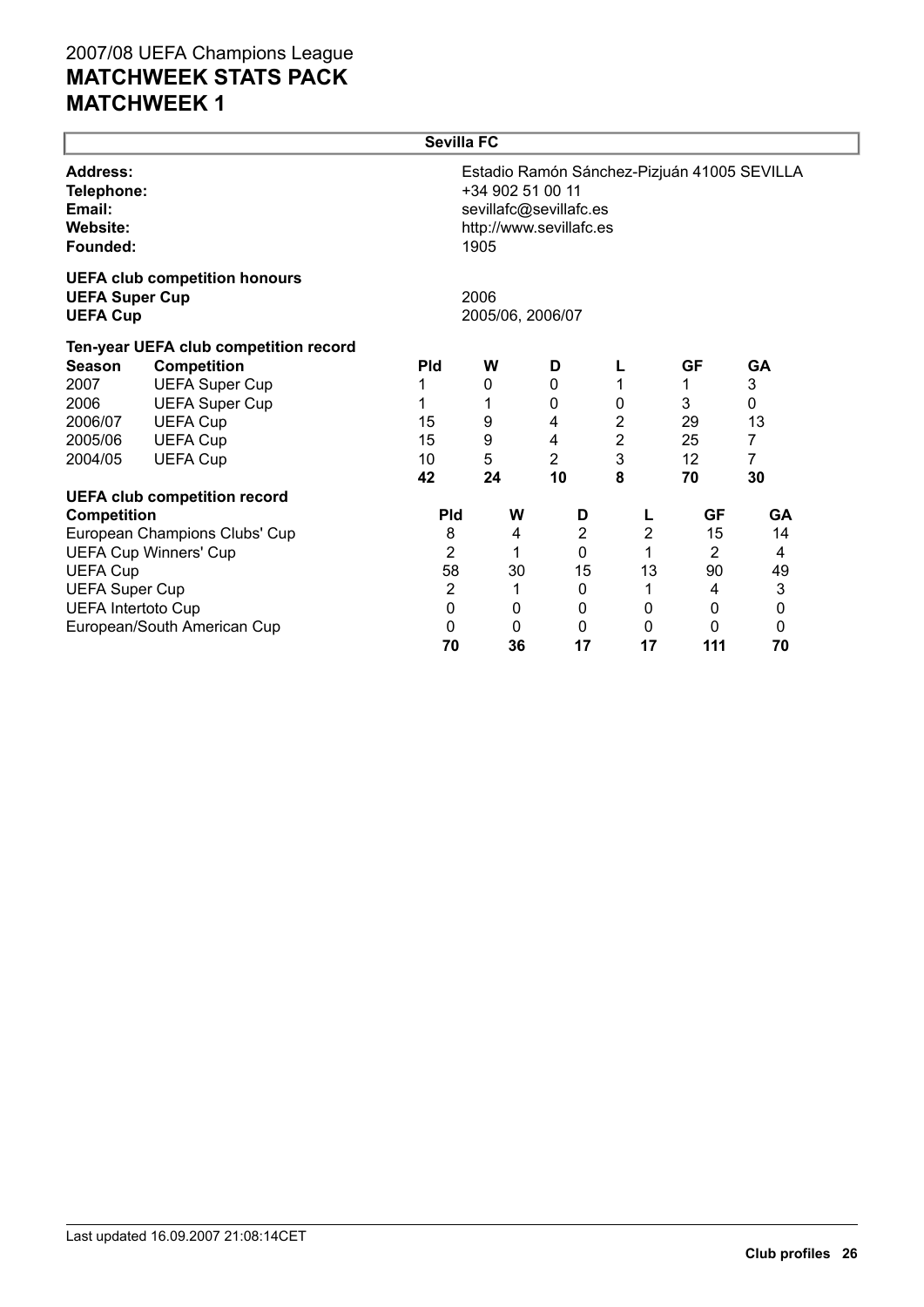|                                                                 |                                       | <b>Sevilla FC</b> |                                                                               |                |                |                |                                             |
|-----------------------------------------------------------------|---------------------------------------|-------------------|-------------------------------------------------------------------------------|----------------|----------------|----------------|---------------------------------------------|
| <b>Address:</b><br>Telephone:<br>Email:<br>Website:<br>Founded: |                                       |                   | +34 902 51 00 11<br>sevillafc@sevillafc.es<br>http://www.sevillafc.es<br>1905 |                |                |                | Estadio Ramón Sánchez-Pizjuán 41005 SEVILLA |
| <b>UEFA Super Cup</b><br><b>UEFA Cup</b>                        | <b>UEFA club competition honours</b>  |                   | 2006<br>2005/06, 2006/07                                                      |                |                |                |                                             |
|                                                                 | Ten-year UEFA club competition record |                   |                                                                               |                |                |                |                                             |
| <b>Season</b>                                                   | <b>Competition</b>                    | <b>Pld</b>        | W                                                                             | D              |                | <b>GF</b>      | <b>GA</b>                                   |
| 2007                                                            | <b>UEFA Super Cup</b>                 |                   | 0                                                                             | $\mathbf 0$    | 1              | 1              | 3                                           |
| 2006                                                            | <b>UEFA Super Cup</b>                 |                   |                                                                               | 0              | 0              | 3              | 0                                           |
| 2006/07                                                         | <b>UEFA Cup</b>                       | 15                | 9                                                                             | 4              | 2              | 29             | 13                                          |
| 2005/06                                                         | <b>UEFA Cup</b>                       | 15                | 9                                                                             | 4              | 2              | 25             | 7                                           |
| 2004/05                                                         | <b>UEFA Cup</b>                       | 10                | 5                                                                             | 2              | 3              | 12             | 7                                           |
|                                                                 |                                       | 42                | 24                                                                            | 10             | 8              | 70             | 30                                          |
|                                                                 | <b>UEFA club competition record</b>   |                   |                                                                               |                |                |                |                                             |
| <b>Competition</b>                                              |                                       | <b>Pld</b>        | W                                                                             | D              | L              | <b>GF</b>      | <b>GA</b>                                   |
|                                                                 | European Champions Clubs' Cup         | 8                 | 4                                                                             | $\overline{2}$ | $\overline{2}$ | 15             | 14                                          |
|                                                                 | <b>UEFA Cup Winners' Cup</b>          | 2                 | 1                                                                             | $\mathbf{0}$   | 1              | $\overline{2}$ | 4                                           |
| <b>UEFA Cup</b>                                                 |                                       | 58                | 30                                                                            | 15             | 13             | 90             | 49                                          |
| <b>UEFA Super Cup</b>                                           |                                       | 2                 | 1                                                                             | 0              | 1              | 4              | 3                                           |
| <b>UEFA Intertoto Cup</b>                                       |                                       | 0                 | 0                                                                             | 0              | 0              | $\mathbf{0}$   | 0                                           |
|                                                                 | European/South American Cup           | 0                 | 0                                                                             | 0              | 0              | 0              | 0                                           |
|                                                                 |                                       | 70                | 36                                                                            | 17             | 17             | 111            | 70                                          |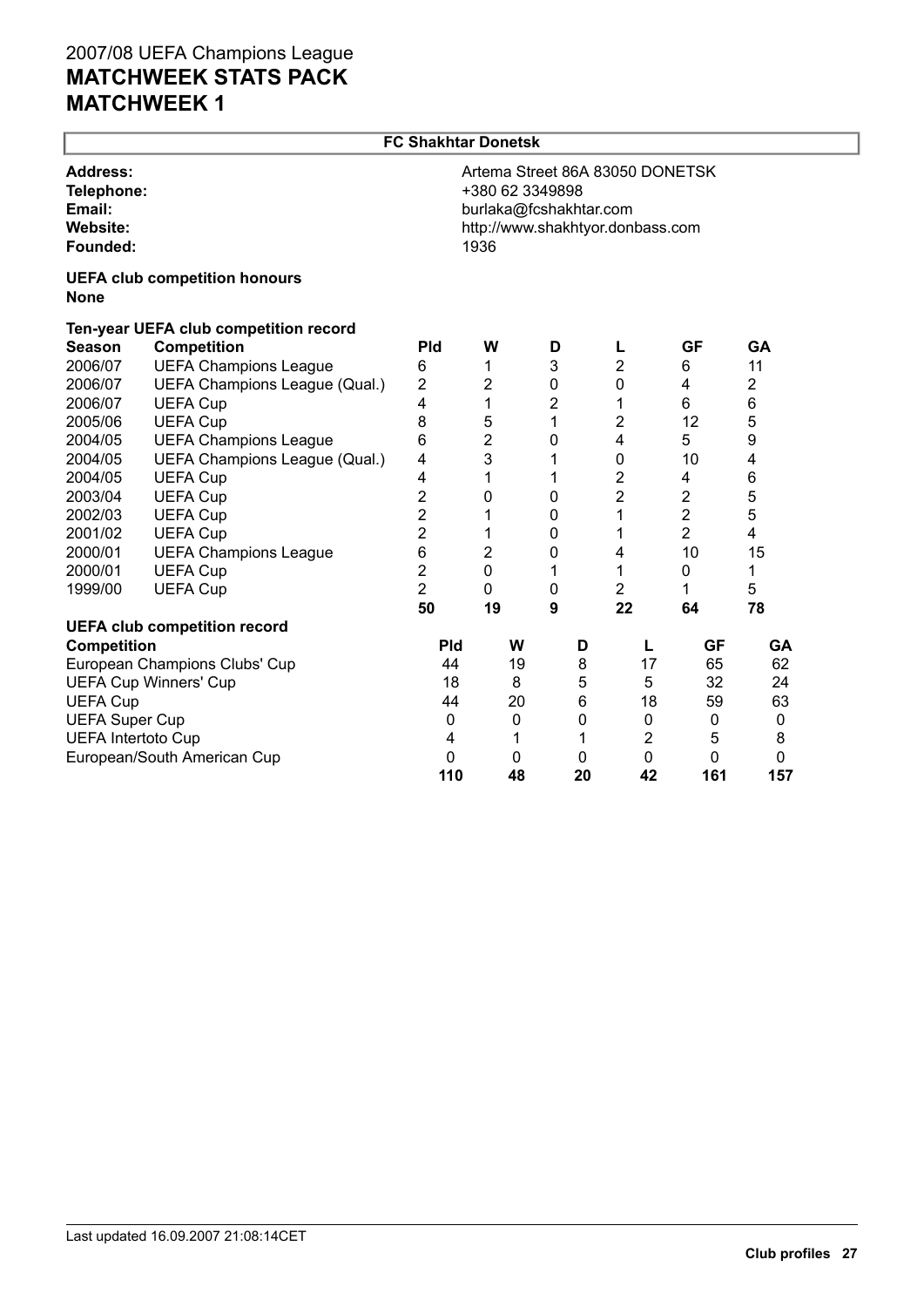ſ

|                                                                 | <b>FC Shakhtar Donetsk</b>            |                                                                                                                          |                |                |         |                         |                    |                 |  |
|-----------------------------------------------------------------|---------------------------------------|--------------------------------------------------------------------------------------------------------------------------|----------------|----------------|---------|-------------------------|--------------------|-----------------|--|
| Address:<br>Telephone:<br>Email:<br><b>Website:</b><br>Founded: |                                       | Artema Street 86A 83050 DONETSK<br>+380 62 3349898<br>burlaka@fcshakhtar.com<br>http://www.shakhtyor.donbass.com<br>1936 |                |                |         |                         |                    |                 |  |
| <b>None</b>                                                     | <b>UEFA club competition honours</b>  |                                                                                                                          |                |                |         |                         |                    |                 |  |
|                                                                 | Ten-year UEFA club competition record |                                                                                                                          |                |                |         |                         |                    |                 |  |
| <b>Season</b>                                                   | <b>Competition</b>                    | <b>Pld</b>                                                                                                               | W              | D              |         | L                       | <b>GF</b>          | GA              |  |
| 2006/07                                                         | <b>UEFA Champions League</b>          | 6                                                                                                                        | 1              | 3              |         | $\overline{\mathbf{c}}$ | 6                  | 11              |  |
| 2006/07                                                         | UEFA Champions League (Qual.)         | $\overline{2}$                                                                                                           | $\overline{2}$ | 0              |         | $\mathbf 0$             | 4                  | $\overline{2}$  |  |
| 2006/07                                                         | <b>UEFA Cup</b>                       | 4                                                                                                                        | 1              | $\overline{2}$ |         | 1                       | 6                  | 6               |  |
| 2005/06                                                         | <b>UEFA Cup</b>                       | 8                                                                                                                        | 5              | 1              |         | $\overline{2}$          | 12                 | 5               |  |
| 2004/05                                                         | <b>UEFA Champions League</b>          | 6                                                                                                                        | $\overline{2}$ | 0              |         | 4                       | 5                  | 9               |  |
| 2004/05                                                         | UEFA Champions League (Qual.)         | 4                                                                                                                        | 3              | 1              |         | $\mathbf 0$             | 10                 | 4               |  |
| 2004/05                                                         | <b>UEFA Cup</b>                       | 4                                                                                                                        | 1              | 1              |         | $\overline{\mathbf{c}}$ | 4                  | $6\phantom{1}6$ |  |
| 2003/04                                                         | <b>UEFA Cup</b>                       | 2                                                                                                                        | 0              | 0              |         | $\overline{2}$          | $\overline{2}$     | 5               |  |
| 2002/03                                                         | <b>UEFA Cup</b>                       | $\overline{\mathbf{c}}$                                                                                                  | 1              | 0              |         | 1                       | $\overline{2}$     | 5               |  |
| 2001/02                                                         | <b>UEFA Cup</b>                       | $\overline{2}$                                                                                                           | 1              | 0              |         | 1                       | $\overline{2}$     | 4               |  |
| 2000/01                                                         | <b>UEFA Champions League</b>          | 6                                                                                                                        | $\overline{2}$ | 0              |         | 4                       | 10                 | 15              |  |
| 2000/01                                                         | <b>UEFA Cup</b>                       | $\overline{2}$                                                                                                           | $\mathbf 0$    | 1              |         | 1                       | 0                  | 1               |  |
| 1999/00                                                         | <b>UEFA Cup</b>                       | $\overline{2}$                                                                                                           | 0              | 0              |         | $\overline{2}$          | 1                  | 5               |  |
|                                                                 |                                       | 50                                                                                                                       | 19             | 9              |         | 22                      | 64                 | 78              |  |
|                                                                 | <b>UEFA club competition record</b>   |                                                                                                                          |                |                |         |                         |                    |                 |  |
| <b>Competition</b>                                              |                                       | Pld                                                                                                                      | W              |                | D       | L                       | <b>GF</b>          | <b>GA</b>       |  |
|                                                                 | European Champions Clubs' Cup         | 44                                                                                                                       | 19             |                | 8       | 17                      | 65                 | 62              |  |
|                                                                 | <b>UEFA Cup Winners' Cup</b>          | 18                                                                                                                       | 8              |                | 5       | 5                       | 32                 | 24              |  |
| <b>UEFA Cup</b>                                                 |                                       | 44                                                                                                                       | 20             |                | 6       | 18                      | 59                 | 63              |  |
| <b>UEFA Super Cup</b>                                           |                                       | $\mathbf{0}$                                                                                                             | 0              |                | 0       | 0                       | 0                  | 0               |  |
| <b>UEFA Intertoto Cup</b>                                       |                                       | 4                                                                                                                        | 1              |                | 1       | $\overline{2}$          | 5                  | 8               |  |
|                                                                 | European/South American Cup           | $\mathbf 0$<br>110                                                                                                       | 0<br>48        |                | 0<br>20 | $\mathbf 0$<br>42       | $\mathbf 0$<br>161 | 0<br>157        |  |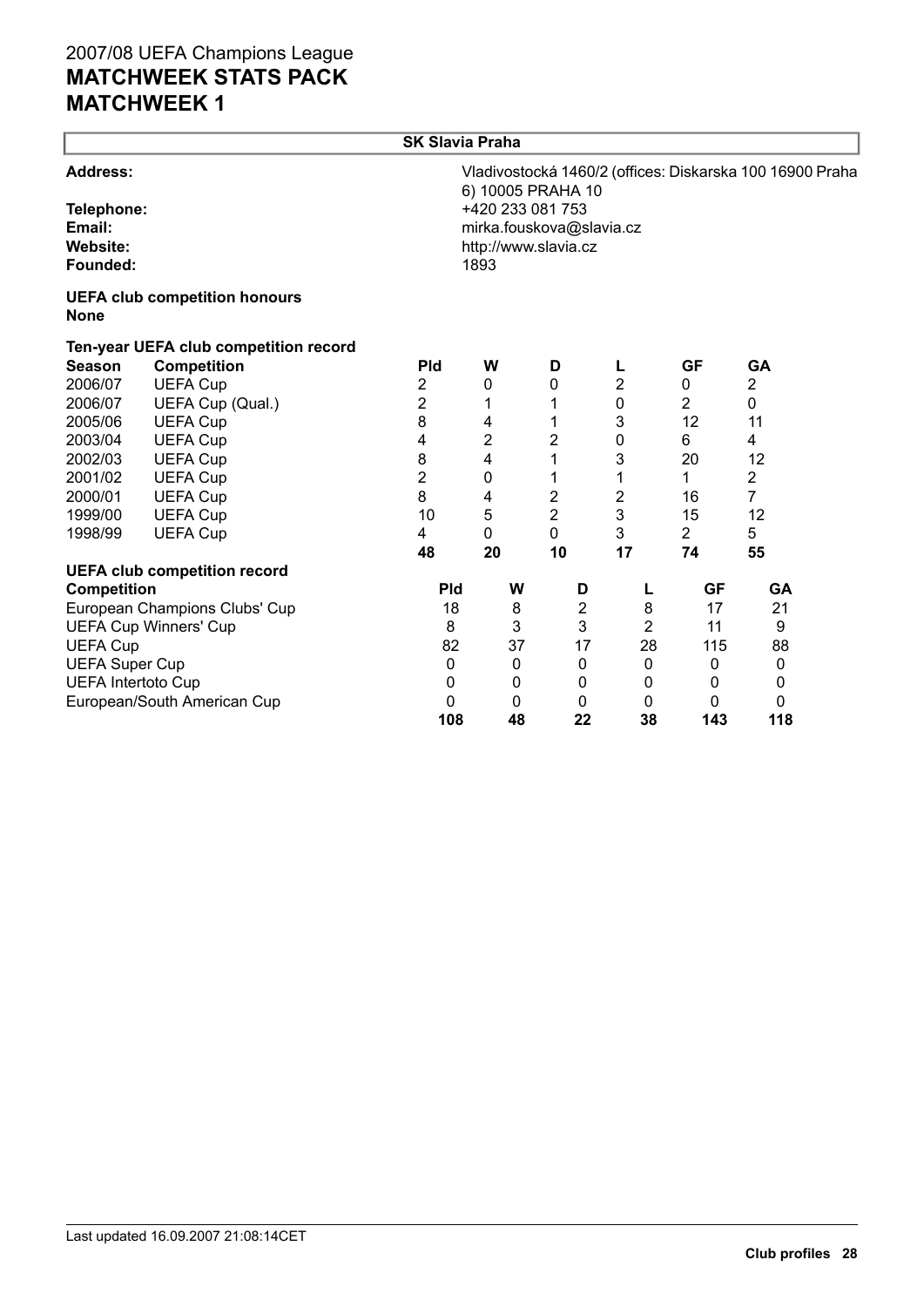|                                                                 |                                       | <b>SK Slavia Praha</b> |                |                                                                                           |                |                |                                                          |  |
|-----------------------------------------------------------------|---------------------------------------|------------------------|----------------|-------------------------------------------------------------------------------------------|----------------|----------------|----------------------------------------------------------|--|
| <b>Address:</b><br>Telephone:<br>Email:<br>Website:<br>Founded: |                                       |                        | 1893           | 6) 10005 PRAHA 10<br>+420 233 081 753<br>mirka.fouskova@slavia.cz<br>http://www.slavia.cz |                |                | Vladivostocká 1460/2 (offices: Diskarska 100 16900 Praha |  |
| <b>None</b>                                                     | <b>UEFA club competition honours</b>  |                        |                |                                                                                           |                |                |                                                          |  |
|                                                                 | Ten-year UEFA club competition record |                        |                |                                                                                           |                |                |                                                          |  |
| <b>Season</b>                                                   | <b>Competition</b>                    | <b>Pld</b>             | W              | D                                                                                         | L              | <b>GF</b>      | <b>GA</b>                                                |  |
| 2006/07                                                         | <b>UEFA Cup</b>                       | 2                      | 0              | 0                                                                                         | $\overline{2}$ | 0              | $\overline{2}$                                           |  |
| 2006/07                                                         | UEFA Cup (Qual.)                      | 2                      | 1              | 1                                                                                         | 0              | $\overline{2}$ | 0                                                        |  |
| 2005/06                                                         | <b>UEFA Cup</b>                       | 8                      | 4              | 1                                                                                         | 3              | 12             | 11                                                       |  |
| 2003/04                                                         | <b>UEFA Cup</b>                       | 4                      | $\overline{2}$ | $\overline{c}$                                                                            | 0              | 6              | 4                                                        |  |
| 2002/03                                                         | <b>UEFA Cup</b>                       | 8                      | 4              | 1                                                                                         | 3              | 20             | 12                                                       |  |
| 2001/02                                                         | <b>UEFA Cup</b>                       | $\overline{2}$         | 0              | 1                                                                                         | 1              | 1              | $\overline{2}$                                           |  |
| 2000/01                                                         | <b>UEFA Cup</b>                       | 8                      | 4              | 2                                                                                         | 2              | 16             | $\overline{7}$                                           |  |
| 1999/00                                                         | <b>UEFA Cup</b>                       | 10                     | 5              | $\overline{2}$                                                                            | 3              | 15             | 12                                                       |  |
| 1998/99                                                         | <b>UEFA Cup</b>                       | 4                      | $\mathbf 0$    | 0                                                                                         | 3              | $\overline{2}$ | 5                                                        |  |
|                                                                 |                                       | 48                     | 20             | 10                                                                                        | 17             | 74             | 55                                                       |  |
|                                                                 | <b>UEFA club competition record</b>   |                        |                |                                                                                           |                |                |                                                          |  |
| <b>Competition</b>                                              |                                       | <b>Pld</b>             | W              | D                                                                                         | L              | GF             | GA                                                       |  |
|                                                                 | European Champions Clubs' Cup         | 18                     | 8              | $\overline{\mathbf{c}}$                                                                   | 8              | 17             | 21                                                       |  |
|                                                                 | <b>UEFA Cup Winners' Cup</b>          | 8                      | 3              | 3                                                                                         | $\overline{2}$ | 11             | 9                                                        |  |
| <b>UEFA Cup</b>                                                 |                                       | 82                     | 37             | 17                                                                                        | 28             | 115            | 88                                                       |  |
| <b>UEFA Super Cup</b>                                           |                                       | 0                      | 0              | 0                                                                                         | $\mathbf 0$    | 0              | $\mathbf 0$                                              |  |
| <b>UEFA Intertoto Cup</b>                                       |                                       | $\mathbf 0$            | 0              | 0                                                                                         | 0              | 0              | 0                                                        |  |
|                                                                 | European/South American Cup           | $\mathbf{0}$           | 0              | 0                                                                                         | 0              | 0              | 0                                                        |  |
|                                                                 |                                       | 108                    | 48             | 22                                                                                        | 38             | 143            | 118                                                      |  |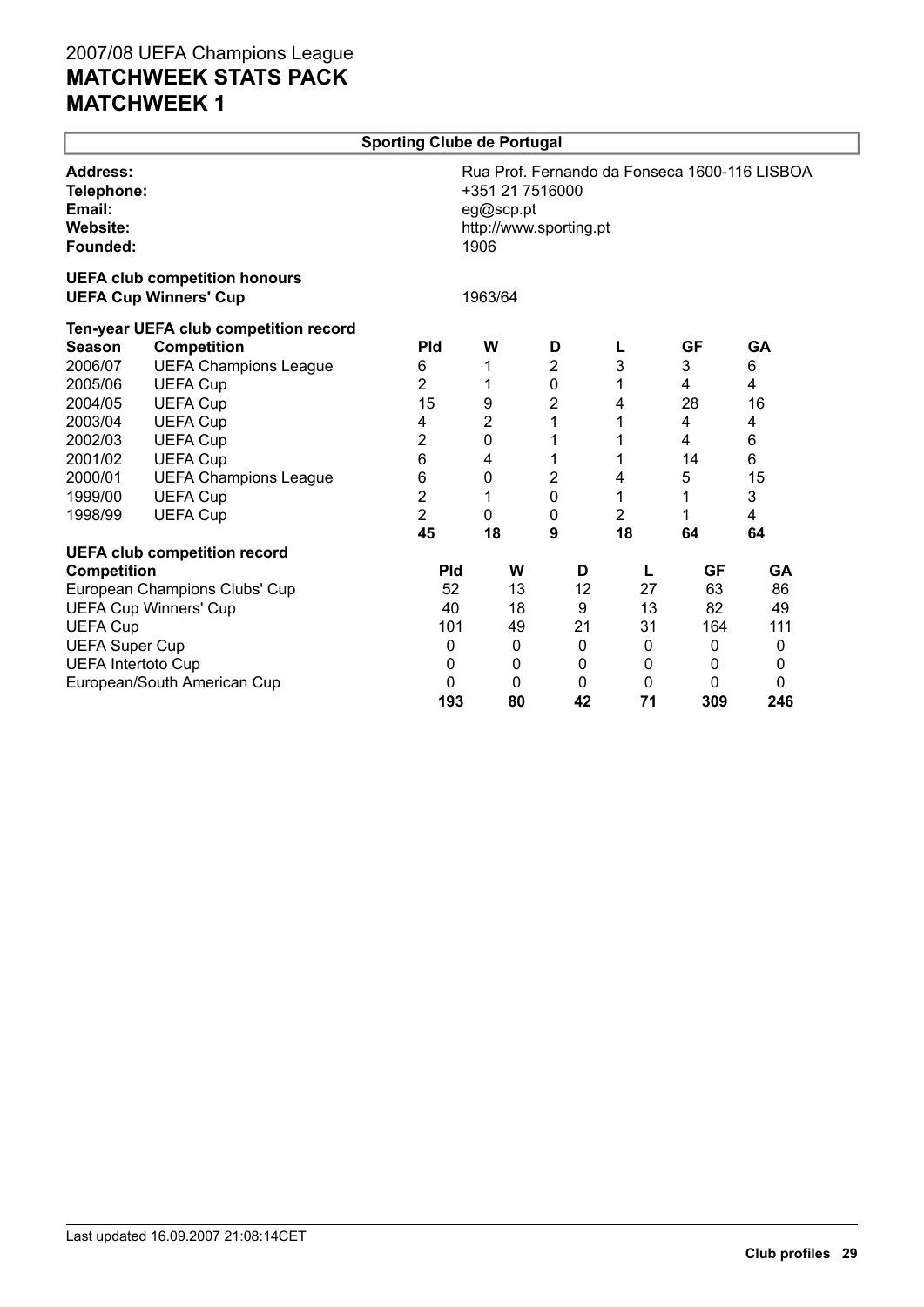|                                                          |                                                                      | <b>Sporting Clube de Portugal</b> |         |                                                        |             |              |                                               |  |
|----------------------------------------------------------|----------------------------------------------------------------------|-----------------------------------|---------|--------------------------------------------------------|-------------|--------------|-----------------------------------------------|--|
| <b>Address:</b><br>Email:<br><b>Website:</b><br>Founded: | Telephone:                                                           |                                   |         | +351 21 7516000<br>eg@scp.pt<br>http://www.sporting.pt |             |              | Rua Prof. Fernando da Fonseca 1600-116 LISBOA |  |
|                                                          | <b>UEFA club competition honours</b><br><b>UEFA Cup Winners' Cup</b> |                                   | 1963/64 |                                                        |             |              |                                               |  |
|                                                          | Ten-year UEFA club competition record                                |                                   |         |                                                        |             |              |                                               |  |
| <b>Season</b>                                            | <b>Competition</b>                                                   | <b>Pld</b>                        | W       | D                                                      | L           | <b>GF</b>    | <b>GA</b>                                     |  |
| 2006/07                                                  | <b>UEFA Champions League</b>                                         | 6                                 | 1       | $\overline{2}$                                         | 3           | 3            | 6                                             |  |
| 2005/06                                                  | <b>UEFA Cup</b>                                                      | $\overline{2}$                    | 1       | $\mathbf 0$                                            | 1           | 4            | 4                                             |  |
| 2004/05                                                  | <b>UEFA Cup</b>                                                      | 15                                | 9       | 2                                                      | 4           | 28           | 16                                            |  |
| 2003/04                                                  | <b>UEFA Cup</b>                                                      | 4                                 | 2       | 1                                                      | 1           | 4            | 4                                             |  |
| 2002/03                                                  | <b>UEFA Cup</b>                                                      | $\overline{\mathbf{c}}$           | 0       | 1                                                      | 1           | 4            | 6                                             |  |
| 2001/02                                                  | <b>UEFA Cup</b>                                                      | 6                                 | 4       | 1                                                      | 1           | 14           | 6                                             |  |
| 2000/01                                                  | <b>UEFA Champions League</b>                                         | 6                                 | 0       | 2                                                      | 4           | 5            | 15                                            |  |
| 1999/00                                                  | <b>UEFA Cup</b>                                                      | $\overline{2}$                    | 1       | $\mathbf 0$                                            | 1           | 1            | 3                                             |  |
| 1998/99                                                  | <b>UEFA Cup</b>                                                      | $\overline{2}$                    | 0       | 0                                                      | 2           | 1            | 4                                             |  |
|                                                          |                                                                      | 45                                | 18      | 9                                                      | 18          | 64           | 64                                            |  |
|                                                          | <b>UEFA club competition record</b>                                  |                                   |         |                                                        |             |              |                                               |  |
| <b>Competition</b>                                       |                                                                      | Pld                               | W       | D                                                      | L           | <b>GF</b>    | <b>GA</b>                                     |  |
|                                                          | European Champions Clubs' Cup                                        | 52                                | 13      |                                                        | 12<br>27    | 63           | 86                                            |  |
|                                                          | <b>UEFA Cup Winners' Cup</b>                                         | 40                                | 18      | 9                                                      | 13          | 82           | 49                                            |  |
| <b>UEFA Cup</b>                                          |                                                                      | 101                               | 49      | 21                                                     | 31          | 164          | 111                                           |  |
| <b>UEFA Super Cup</b>                                    |                                                                      | 0                                 | 0       | 0                                                      | 0           | 0            | 0                                             |  |
| <b>UEFA Intertoto Cup</b>                                |                                                                      | 0                                 | 0       | 0                                                      | 0           | $\mathbf{0}$ | 0                                             |  |
|                                                          | European/South American Cup                                          | $\Omega$                          | 0       | 0                                                      | $\mathbf 0$ | 0            | $\mathbf 0$                                   |  |
|                                                          |                                                                      | 193                               | 80      | 42                                                     | 71          | 309          | 246                                           |  |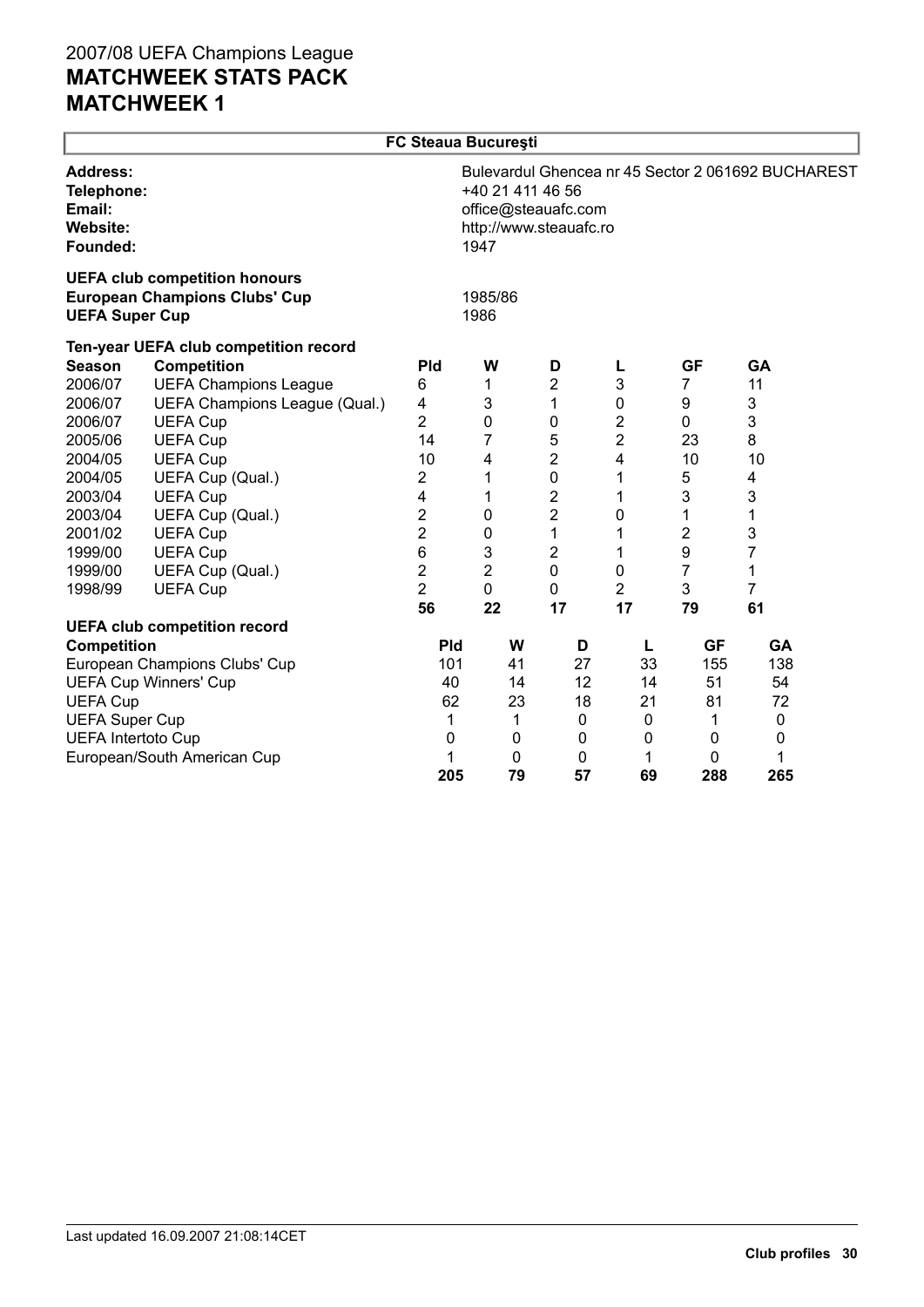|                                                          | <b>FC Steaua București</b>                                                   |                |                                                                                                                                 |                |                |              |                |  |  |
|----------------------------------------------------------|------------------------------------------------------------------------------|----------------|---------------------------------------------------------------------------------------------------------------------------------|----------------|----------------|--------------|----------------|--|--|
| <b>Address:</b><br>Email:<br><b>Website:</b><br>Founded: | Telephone:                                                                   |                | Bulevardul Ghencea nr 45 Sector 2 061692 BUCHAREST<br>+40 21 411 46 56<br>office@steauafc.com<br>http://www.steauafc.ro<br>1947 |                |                |              |                |  |  |
| <b>UEFA Super Cup</b>                                    | <b>UEFA club competition honours</b><br><b>European Champions Clubs' Cup</b> |                | 1985/86<br>1986                                                                                                                 |                |                |              |                |  |  |
|                                                          | Ten-year UEFA club competition record                                        |                |                                                                                                                                 |                |                |              |                |  |  |
| <b>Season</b>                                            | <b>Competition</b>                                                           | Pld            | W                                                                                                                               | D              | L              | <b>GF</b>    | GA             |  |  |
| 2006/07                                                  | <b>UEFA Champions League</b>                                                 | 6              | 1                                                                                                                               | $\overline{2}$ | 3              | 7            | 11             |  |  |
| 2006/07                                                  | UEFA Champions League (Qual.)                                                | 4              | 3                                                                                                                               | 1              | 0              | 9            | 3              |  |  |
| 2006/07                                                  | <b>UEFA Cup</b>                                                              | $\overline{2}$ | 0                                                                                                                               | 0              | 2              | 0            | 3              |  |  |
| 2005/06                                                  | <b>UEFA Cup</b>                                                              | 14             | 7                                                                                                                               | 5              | 2              | 23           | 8              |  |  |
| 2004/05                                                  | <b>UEFA Cup</b>                                                              | 10             | 4                                                                                                                               | 2              | 4              | 10           | 10             |  |  |
| 2004/05                                                  | UEFA Cup (Qual.)                                                             | $\overline{2}$ | 1                                                                                                                               | 0              | 1              | 5            | 4              |  |  |
| 2003/04                                                  | <b>UEFA Cup</b>                                                              | 4              | 1                                                                                                                               | 2              | 1              | 3            | 3              |  |  |
| 2003/04                                                  | UEFA Cup (Qual.)                                                             | $\overline{2}$ | $\pmb{0}$                                                                                                                       | $\overline{2}$ | 0              | 1            | 1              |  |  |
| 2001/02                                                  | <b>UEFA Cup</b>                                                              | $\overline{c}$ | 0                                                                                                                               | 1              | 1              | 2            | 3              |  |  |
| 1999/00                                                  | <b>UEFA Cup</b>                                                              | 6              | 3                                                                                                                               | 2              | 1              | 9            | 7              |  |  |
| 1999/00                                                  | UEFA Cup (Qual.)                                                             | $\overline{c}$ | $\overline{2}$                                                                                                                  | 0              | 0              | 7            | 1              |  |  |
| 1998/99                                                  | <b>UEFA Cup</b>                                                              | $\overline{2}$ | 0                                                                                                                               | 0              | $\overline{2}$ | 3            | $\overline{7}$ |  |  |
|                                                          |                                                                              | 56             | 22                                                                                                                              | 17             | 17             | 79           | 61             |  |  |
|                                                          | <b>UEFA club competition record</b>                                          |                |                                                                                                                                 |                |                |              |                |  |  |
| <b>Competition</b>                                       |                                                                              | <b>Pld</b>     | W                                                                                                                               | D              | L              | <b>GF</b>    | GA             |  |  |
|                                                          | European Champions Clubs' Cup                                                | 101<br>40      | 41                                                                                                                              | 27             | 33             | 155          | 138<br>54      |  |  |
|                                                          | <b>UEFA Cup Winners' Cup</b>                                                 | 62             | 14<br>23                                                                                                                        | 12<br>18       | 14             | 51<br>81     | 72             |  |  |
| <b>UEFA Cup</b>                                          |                                                                              |                |                                                                                                                                 |                | 21             |              |                |  |  |
| <b>UEFA Super Cup</b><br><b>UEFA Intertoto Cup</b>       |                                                                              | 1<br>0         | 1<br>0                                                                                                                          | 0<br>0         | 0<br>0         | 1<br>0       | 0<br>0         |  |  |
|                                                          | European/South American Cup                                                  | 1              | $\mathbf{0}$                                                                                                                    | 0              | 1              | $\mathbf{0}$ | 1              |  |  |
|                                                          |                                                                              | 205            | 79                                                                                                                              | 57             | 69             | 288          | 265            |  |  |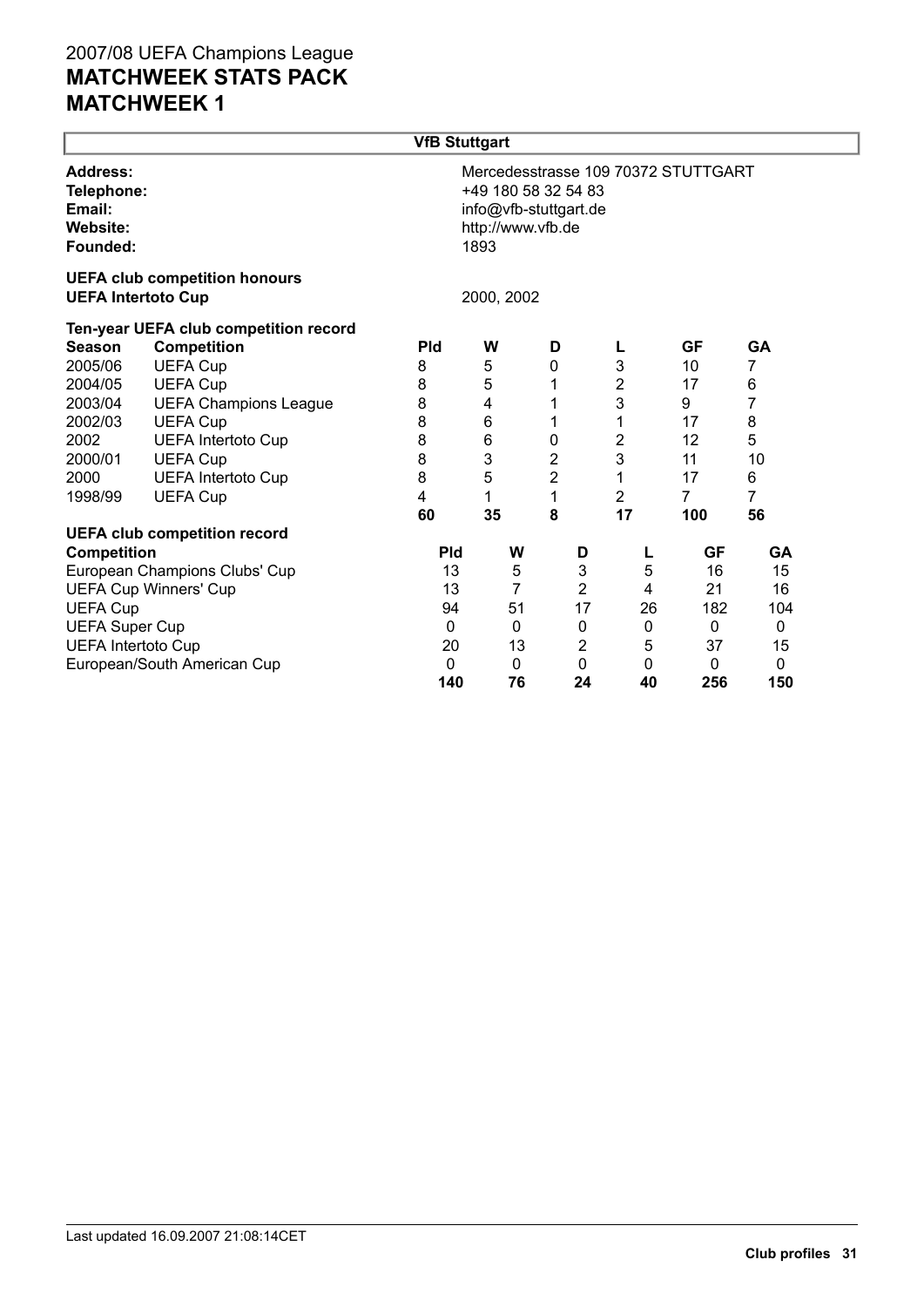|                                                                 |                                                                   | <b>VfB Stuttgart</b> |                                                                           |   |                           |                  |                                     |              |  |
|-----------------------------------------------------------------|-------------------------------------------------------------------|----------------------|---------------------------------------------------------------------------|---|---------------------------|------------------|-------------------------------------|--------------|--|
| Address:<br>Telephone:<br>Email:<br><b>Website:</b><br>Founded: |                                                                   |                      | +49 180 58 32 54 83<br>info@vfb-stuttgart.de<br>http://www.vfb.de<br>1893 |   |                           |                  | Mercedesstrasse 109 70372 STUTTGART |              |  |
|                                                                 | <b>UEFA club competition honours</b><br><b>UEFA Intertoto Cup</b> |                      | 2000, 2002                                                                |   |                           |                  |                                     |              |  |
|                                                                 | Ten-year UEFA club competition record                             |                      |                                                                           |   |                           |                  |                                     |              |  |
| <b>Season</b>                                                   | <b>Competition</b>                                                | <b>Pld</b>           | W                                                                         | D |                           | L                | <b>GF</b>                           | GA           |  |
| 2005/06                                                         | <b>UEFA Cup</b>                                                   | 8                    | 5                                                                         | 0 |                           | 3                | 10                                  | 7            |  |
| 2004/05                                                         | <b>UEFA Cup</b>                                                   | 8                    | 5                                                                         | 1 |                           | $\overline{2}$   | 17                                  | 6            |  |
| 2003/04                                                         | <b>UEFA Champions League</b>                                      | 8                    | 4                                                                         | 1 |                           | 3                | 9                                   | 7            |  |
| 2002/03                                                         | <b>UEFA Cup</b>                                                   | 8                    | 6                                                                         | 1 |                           | 1                | 17                                  | 8            |  |
| 2002                                                            | <b>UEFA Intertoto Cup</b>                                         | 8                    | 6                                                                         | 0 |                           | $\boldsymbol{2}$ | 12                                  | 5            |  |
| 2000/01                                                         | <b>UEFA Cup</b>                                                   | 8                    | 3                                                                         | 2 |                           | 3                | 11                                  | 10           |  |
| 2000                                                            | <b>UEFA Intertoto Cup</b>                                         | 8                    | 5                                                                         | 2 |                           | 1                | 17                                  | 6            |  |
| 1998/99                                                         | <b>UEFA Cup</b>                                                   | 4                    | 1                                                                         | 1 |                           | $\overline{2}$   | $\overline{7}$                      | 7            |  |
|                                                                 |                                                                   | 60                   | 35                                                                        | 8 |                           | 17               | 100                                 | 56           |  |
|                                                                 | <b>UEFA club competition record</b>                               |                      |                                                                           |   |                           |                  |                                     |              |  |
| Competition                                                     |                                                                   | <b>Pld</b>           | W                                                                         |   | D                         | L                | <b>GF</b>                           | GA           |  |
|                                                                 | European Champions Clubs' Cup                                     | 13                   | 5                                                                         |   | $\ensuremath{\mathsf{3}}$ | 5                | 16                                  | 15           |  |
|                                                                 | <b>UEFA Cup Winners' Cup</b>                                      | 13                   | $\overline{7}$                                                            |   | $\overline{c}$            | 4                | 21                                  | 16           |  |
| <b>UEFA Cup</b>                                                 |                                                                   | 94                   | 51                                                                        |   | 17                        | 26               | 182                                 | 104          |  |
| <b>UEFA Super Cup</b>                                           |                                                                   | 0                    | 0                                                                         |   | $\boldsymbol{0}$          | 0                | 0                                   | 0            |  |
| <b>UEFA Intertoto Cup</b>                                       |                                                                   | 20                   | 13                                                                        |   | $\overline{2}$            | 5                | 37                                  | 15           |  |
|                                                                 | European/South American Cup                                       | 0                    | 0                                                                         |   | $\mathbf 0$               | $\mathbf 0$      | 0                                   | $\mathbf{0}$ |  |
|                                                                 |                                                                   | 140                  | 76                                                                        |   | 24                        | 40               | 256                                 | 150          |  |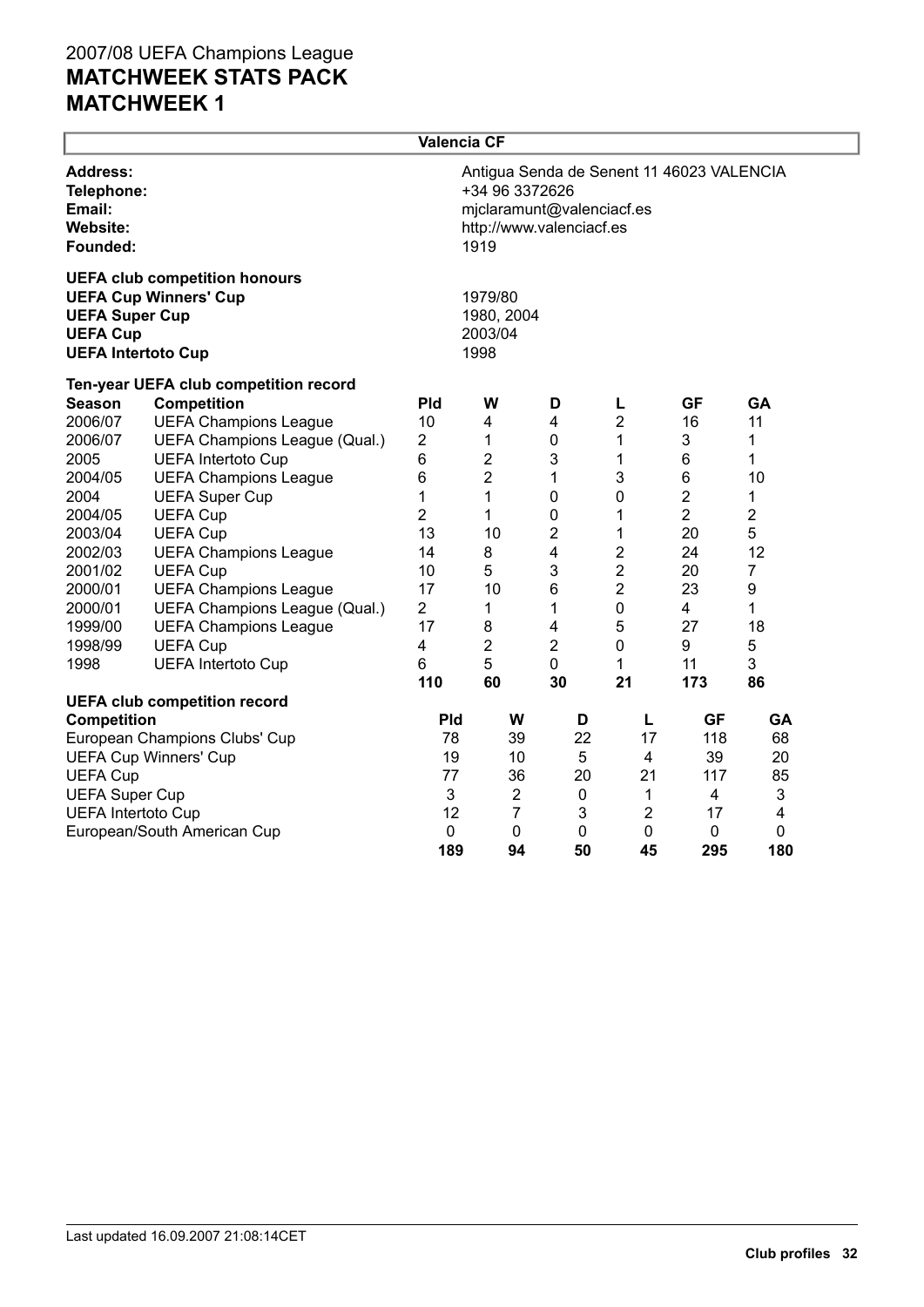|                                                                       |                                                                      | Valencia CF             |                                                                                                                              |                         |                  |                |                         |  |  |
|-----------------------------------------------------------------------|----------------------------------------------------------------------|-------------------------|------------------------------------------------------------------------------------------------------------------------------|-------------------------|------------------|----------------|-------------------------|--|--|
| <b>Address:</b><br>Telephone:<br>Email:<br>Website:<br>Founded:       |                                                                      |                         | Antigua Senda de Senent 11 46023 VALENCIA<br>+34 96 3372626<br>mjclaramunt@valenciacf.es<br>http://www.valenciacf.es<br>1919 |                         |                  |                |                         |  |  |
| <b>UEFA Super Cup</b><br><b>UEFA Cup</b><br><b>UEFA Intertoto Cup</b> | <b>UEFA club competition honours</b><br><b>UEFA Cup Winners' Cup</b> |                         | 1979/80<br>1980, 2004<br>2003/04<br>1998                                                                                     |                         |                  |                |                         |  |  |
|                                                                       | Ten-year UEFA club competition record                                |                         |                                                                                                                              |                         |                  |                |                         |  |  |
| <b>Season</b>                                                         | <b>Competition</b>                                                   | <b>Pld</b>              | W                                                                                                                            | D                       | L                | <b>GF</b>      | <b>GA</b>               |  |  |
| 2006/07                                                               | <b>UEFA Champions League</b>                                         | 10                      | 4                                                                                                                            | $\overline{\mathbf{4}}$ | $\overline{2}$   | 16             | 11                      |  |  |
| 2006/07                                                               | UEFA Champions League (Qual.)                                        | $\overline{2}$          | 1                                                                                                                            | $\mathbf 0$             | 1                | 3              | 1                       |  |  |
| 2005                                                                  | <b>UEFA Intertoto Cup</b>                                            | 6                       | 2                                                                                                                            | 3                       | 1                | 6              | 1                       |  |  |
| 2004/05                                                               | <b>UEFA Champions League</b>                                         | 6                       | $\overline{2}$                                                                                                               | 1                       | 3                | 6              | 10                      |  |  |
| 2004                                                                  | <b>UEFA Super Cup</b>                                                | 1                       | 1                                                                                                                            | $\boldsymbol{0}$        | 0                | $\overline{2}$ | 1                       |  |  |
| 2004/05                                                               | <b>UEFA Cup</b>                                                      | $\overline{2}$          | 1                                                                                                                            | 0                       | 1                | $\overline{2}$ | $\overline{2}$          |  |  |
| 2003/04                                                               | <b>UEFA Cup</b>                                                      | 13                      | 10                                                                                                                           | 2                       | 1                | 20             | 5                       |  |  |
| 2002/03                                                               | <b>UEFA Champions League</b>                                         | 14                      | 8                                                                                                                            | 4                       | $\boldsymbol{2}$ | 24             | 12                      |  |  |
| 2001/02                                                               | <b>UEFA Cup</b>                                                      | 10                      | 5                                                                                                                            | 3                       | $\overline{2}$   | 20             | 7                       |  |  |
| 2000/01                                                               | <b>UEFA Champions League</b>                                         | 17                      | 10                                                                                                                           | $6\phantom{1}$          | $\overline{2}$   | 23             | 9                       |  |  |
| 2000/01                                                               | UEFA Champions League (Qual.)                                        | $\overline{2}$          | 1                                                                                                                            | 1                       | $\mathbf 0$      | 4              | 1                       |  |  |
| 1999/00                                                               | <b>UEFA Champions League</b>                                         | 17                      | 8                                                                                                                            | $\overline{\mathbf{4}}$ | 5                | 27             | 18                      |  |  |
| 1998/99                                                               | <b>UEFA Cup</b>                                                      | $\overline{\mathbf{4}}$ | $\overline{2}$                                                                                                               | 2                       | 0                | 9              | 5                       |  |  |
| 1998                                                                  | <b>UEFA Intertoto Cup</b>                                            | 6                       | 5                                                                                                                            | $\mathbf 0$             | 1                | 11             | 3                       |  |  |
|                                                                       |                                                                      | 110                     | 60                                                                                                                           | 30                      | 21               | 173            | 86                      |  |  |
|                                                                       | <b>UEFA club competition record</b>                                  |                         |                                                                                                                              |                         |                  |                |                         |  |  |
| <b>Competition</b>                                                    |                                                                      | <b>Pld</b>              | W                                                                                                                            | D                       | Г                | <b>GF</b>      | GA                      |  |  |
|                                                                       | European Champions Clubs' Cup                                        | 78                      | 39                                                                                                                           | 22                      | 17               | 118            | 68                      |  |  |
| <b>UEFA Cup Winners' Cup</b>                                          | 19                                                                   | 10                      | 5                                                                                                                            | 4                       | 39               | 20             |                         |  |  |
| <b>UEFA Cup</b>                                                       |                                                                      | 77                      | 36                                                                                                                           | 20                      | 21               | 117            | 85                      |  |  |
| <b>UEFA Super Cup</b>                                                 |                                                                      | 3                       | $\overline{2}$                                                                                                               | 0                       | 1                | 4              | 3                       |  |  |
| <b>UEFA Intertoto Cup</b>                                             |                                                                      | 12                      | $\overline{7}$                                                                                                               | 3                       | $\overline{2}$   | 17             | $\overline{\mathbf{4}}$ |  |  |
|                                                                       | European/South American Cup                                          | 0                       | $\mathbf 0$                                                                                                                  | 0                       | 0                | $\pmb{0}$      | 0                       |  |  |
|                                                                       |                                                                      | 189                     | 94                                                                                                                           | 50                      | 45               | 295            | 180                     |  |  |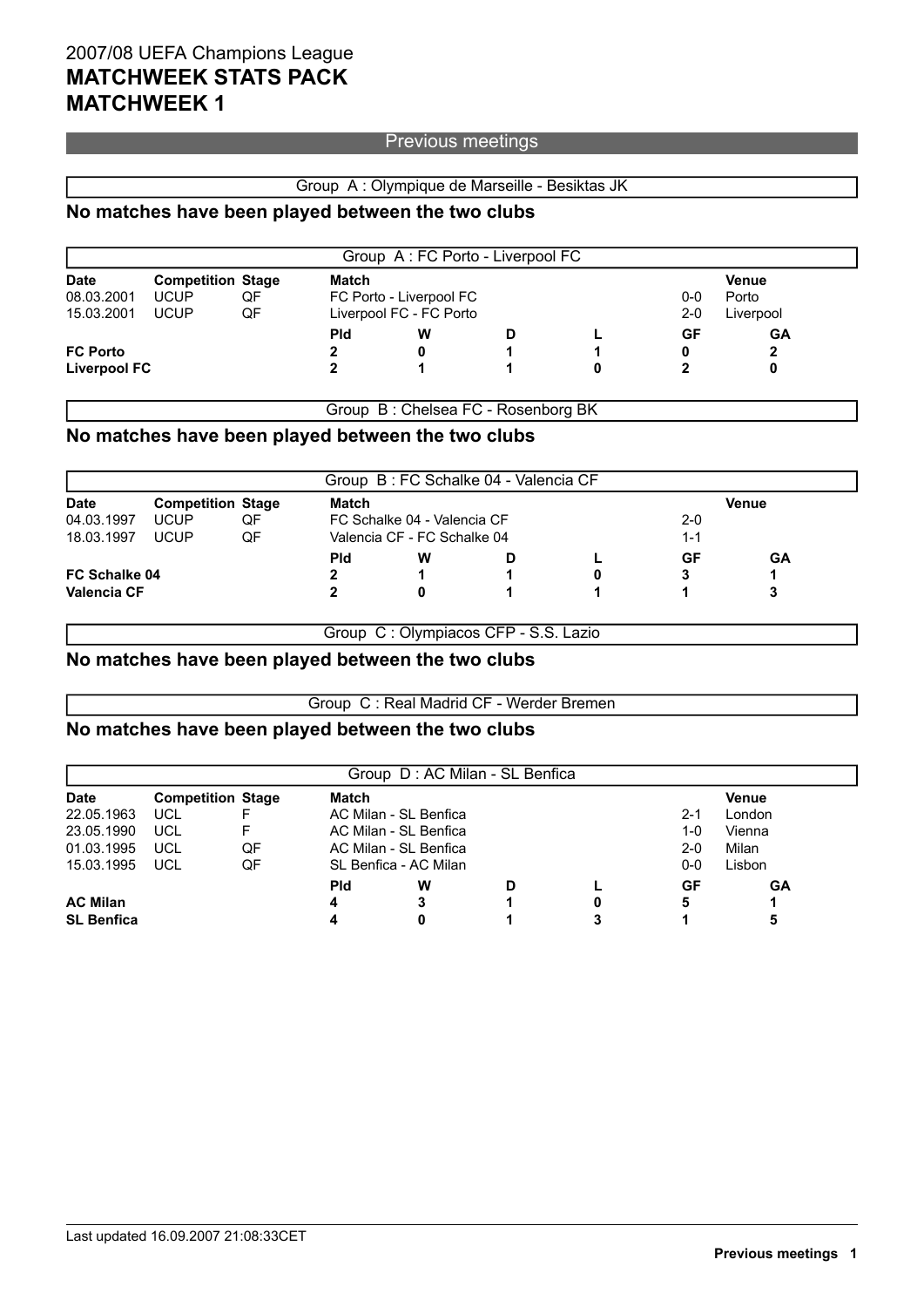### Previous meetings

### Group A : Olympique de Marseille - Besiktas JK

### **No matches have been played between the two clubs**

|                 |                          |    |            |                         | Group A: FC Porto - Liverpool FC |         |           |              |  |
|-----------------|--------------------------|----|------------|-------------------------|----------------------------------|---------|-----------|--------------|--|
| <b>Date</b>     | <b>Competition Stage</b> |    | Match      |                         |                                  |         |           | <b>Venue</b> |  |
| 08.03.2001      | <b>UCUP</b>              | QF |            | FC Porto - Liverpool FC | Porto                            |         |           |              |  |
| 15.03.2001      | <b>UCUP</b>              | QF |            | Liverpool FC - FC Porto |                                  | $2 - 0$ | Liverpool |              |  |
|                 |                          |    | <b>Pld</b> | W                       | D                                |         | GF        | GA           |  |
| <b>FC Porto</b> |                          |    |            |                         |                                  |         | 0         |              |  |
| Liverpool FC    |                          |    |            |                         |                                  | 0       |           |              |  |

Group B : Chelsea FC - Rosenborg BK

### **No matches have been played between the two clubs**

|               |    | Match                    |   |  |                                                            | Venue                                |    |  |
|---------------|----|--------------------------|---|--|------------------------------------------------------------|--------------------------------------|----|--|
| <b>UCUP</b>   | QF |                          |   |  | $2-0$                                                      |                                      |    |  |
| <b>UCUP</b>   | QF |                          |   |  |                                                            | $1 - 1$                              |    |  |
|               |    | <b>Pld</b>               | w |  |                                                            | GF                                   | GА |  |
| FC Schalke 04 |    |                          |   |  | 0                                                          | 3                                    |    |  |
| Valencia CF   |    |                          |   |  |                                                            |                                      |    |  |
|               |    | <b>Competition Stage</b> |   |  | FC Schalke 04 - Valencia CF<br>Valencia CF - FC Schalke 04 | Group B: FC Schalke 04 - Valencia CF |    |  |

Group C : Olympiacos CFP - S.S. Lazio

### **No matches have been played between the two clubs**

Group C : Real Madrid CF - Werder Bremen

### **No matches have been played between the two clubs**

|                   |            |                          |            |                       | Group D: AC Milan - SL Benfica |        |         |              |  |
|-------------------|------------|--------------------------|------------|-----------------------|--------------------------------|--------|---------|--------------|--|
| <b>Date</b>       |            | <b>Competition Stage</b> | Match      |                       |                                |        |         | <b>Venue</b> |  |
| 22.05.1963        | <b>UCL</b> |                          |            | AC Milan - SL Benfica |                                |        | $2 - 1$ | London       |  |
| 23.05.1990        | UCL        |                          |            | AC Milan - SL Benfica | 1-0                            | Vienna |         |              |  |
| 01.03.1995        | UCL        | QF                       |            | AC Milan - SL Benfica | $2 - 0$                        | Milan  |         |              |  |
| 15.03.1995        | <b>UCL</b> | QF                       |            | SL Benfica - AC Milan |                                |        | 0-0     | Lisbon       |  |
|                   |            |                          | <b>Pld</b> | w                     | D                              |        | GF      | GA           |  |
| <b>AC Milan</b>   |            |                          | 4          | 3                     |                                | 0      | 5       |              |  |
| <b>SL Benfica</b> |            |                          |            | 0                     |                                |        |         |              |  |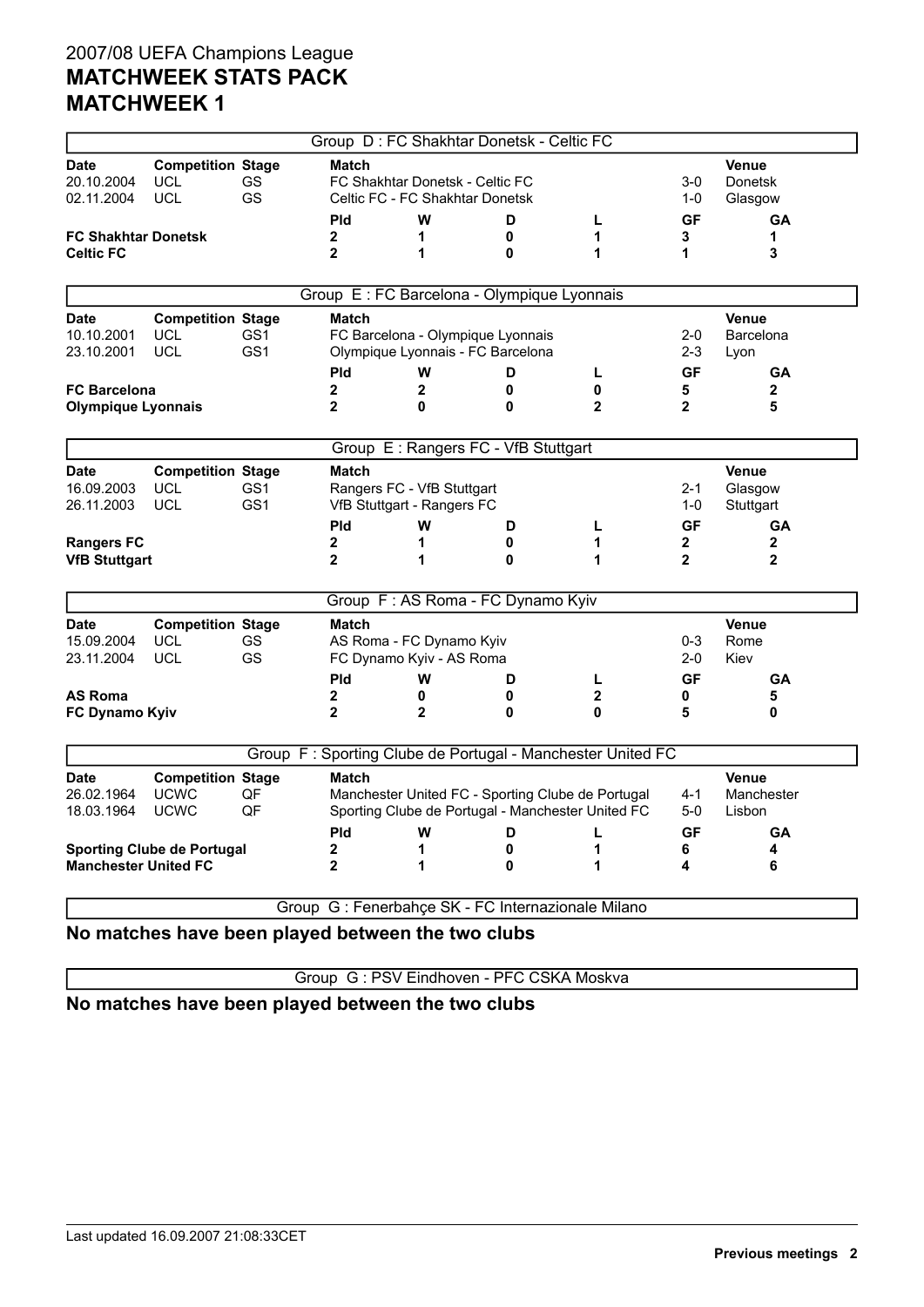|                                           |                                                        |                        |                              |                                                                    | Group D: FC Shakhtar Donetsk - Celtic FC                               |                                                                                                        |                              |                                      |
|-------------------------------------------|--------------------------------------------------------|------------------------|------------------------------|--------------------------------------------------------------------|------------------------------------------------------------------------|--------------------------------------------------------------------------------------------------------|------------------------------|--------------------------------------|
| Date<br>20.10.2004<br>02.11.2004          | <b>Competition Stage</b><br>UCL<br>UCL                 | GS<br><b>GS</b>        | <b>Match</b>                 | FC Shakhtar Donetsk - Celtic FC<br>Celtic FC - FC Shakhtar Donetsk |                                                                        |                                                                                                        | 3-0<br>1-0                   | Venue<br><b>Donetsk</b><br>Glasgow   |
|                                           |                                                        |                        | <b>Pld</b>                   | W                                                                  | D                                                                      | L                                                                                                      | <b>GF</b>                    | <b>GA</b>                            |
| <b>FC Shakhtar Donetsk</b><br>Celtic FC   |                                                        |                        | 2<br>$\mathbf{2}$            | 1<br>1                                                             | 0<br>0                                                                 | 1<br>1                                                                                                 | 3<br>1                       | 1<br>3                               |
|                                           |                                                        |                        |                              |                                                                    | Group E: FC Barcelona - Olympique Lyonnais                             |                                                                                                        |                              |                                      |
| Date<br>10.10.2001<br>23.10.2001          | <b>Competition Stage</b><br>UCL<br>UCL                 | GS1<br>GS <sub>1</sub> | <b>Match</b>                 |                                                                    | FC Barcelona - Olympique Lyonnais<br>Olympique Lyonnais - FC Barcelona |                                                                                                        | $2-0$<br>2-3                 | Venue<br>Barcelona<br>Lyon           |
| <b>FC Barcelona</b>                       |                                                        |                        | <b>Pld</b><br>2              | w<br>2                                                             | D<br>0                                                                 | L<br>0                                                                                                 | GF<br>5                      | <b>GA</b><br>2                       |
| <b>Olympique Lyonnais</b>                 |                                                        |                        | $\mathbf{2}$                 | $\mathbf{0}$                                                       | $\bf{0}$                                                               | $\overline{2}$                                                                                         | $\overline{2}$               | 5                                    |
|                                           |                                                        |                        |                              |                                                                    | Group E: Rangers FC - VfB Stuttgart                                    |                                                                                                        |                              |                                      |
| Date<br>16.09.2003<br>26.11.2003          | <b>Competition Stage</b><br><b>UCL</b><br>UCL          | GS1<br>GS1             | <b>Match</b>                 | Rangers FC - VfB Stuttgart<br>VfB Stuttgart - Rangers FC           |                                                                        |                                                                                                        | 2-1<br>1-0                   | Venue<br>Glasgow<br>Stuttgart        |
|                                           |                                                        |                        | <b>Pld</b>                   | W                                                                  | D                                                                      | L                                                                                                      | <b>GF</b>                    | GA                                   |
| <b>Rangers FC</b><br><b>VfB Stuttgart</b> |                                                        |                        | $\mathbf{2}$<br>$\mathbf{2}$ | 1<br>1                                                             | 0<br>$\mathbf{0}$                                                      | 1<br>1                                                                                                 | $\mathbf{2}$<br>$\mathbf{2}$ | $\mathbf{2}$<br>$\mathbf{2}$         |
|                                           |                                                        |                        |                              |                                                                    | Group F: AS Roma - FC Dynamo Kyiv                                      |                                                                                                        |                              |                                      |
| Date<br>15.09.2004<br>23.11.2004          | <b>Competition Stage</b><br><b>UCL</b><br>UCL          | GS<br>GS               | <b>Match</b>                 | AS Roma - FC Dynamo Kyiv<br>FC Dynamo Kyiv - AS Roma               |                                                                        |                                                                                                        | $0 - 3$<br>$2-0$             | Venue<br>Rome<br>Kiev                |
| AS Roma                                   |                                                        |                        | <b>Pld</b><br>$\mathbf{2}$   | W<br>0                                                             | D<br>0                                                                 | L<br>2                                                                                                 | GF<br>0                      | <b>GA</b><br>5                       |
| FC Dynamo Kyiv                            |                                                        |                        | $\mathbf{2}$                 | $\mathbf{2}$                                                       | 0                                                                      | 0                                                                                                      | 5                            | 0                                    |
|                                           |                                                        |                        |                              |                                                                    |                                                                        | Group F: Sporting Clube de Portugal - Manchester United FC                                             |                              |                                      |
| <b>Date</b><br>26.02.1964<br>18.03.1964   | <b>Competition Stage</b><br><b>UCWC</b><br><b>UCWC</b> | QF<br>QF               | Match                        |                                                                    |                                                                        | Manchester United FC - Sporting Clube de Portugal<br>Sporting Clube de Portugal - Manchester United FC | 4-1<br>5-0                   | <b>Venue</b><br>Manchester<br>Lisbon |
|                                           |                                                        |                        | <b>Pld</b>                   | W                                                                  | D                                                                      | L                                                                                                      | GF                           | <b>GA</b>                            |
| <b>Manchester United FC</b>               | <b>Sporting Clube de Portugal</b>                      |                        | 2<br>$\mathbf{2}$            | 1<br>1                                                             | 0<br>0                                                                 | 1<br>1                                                                                                 | 6<br>4                       | 4<br>6                               |
|                                           |                                                        |                        |                              |                                                                    |                                                                        | Group G: Fenerbahçe SK - FC Internazionale Milano                                                      |                              |                                      |
|                                           | No matches have been played between the two clubs      |                        |                              |                                                                    |                                                                        |                                                                                                        |                              |                                      |

Group G : PSV Eindhoven - PFC CSKA Moskva

**No matches have been played between the two clubs**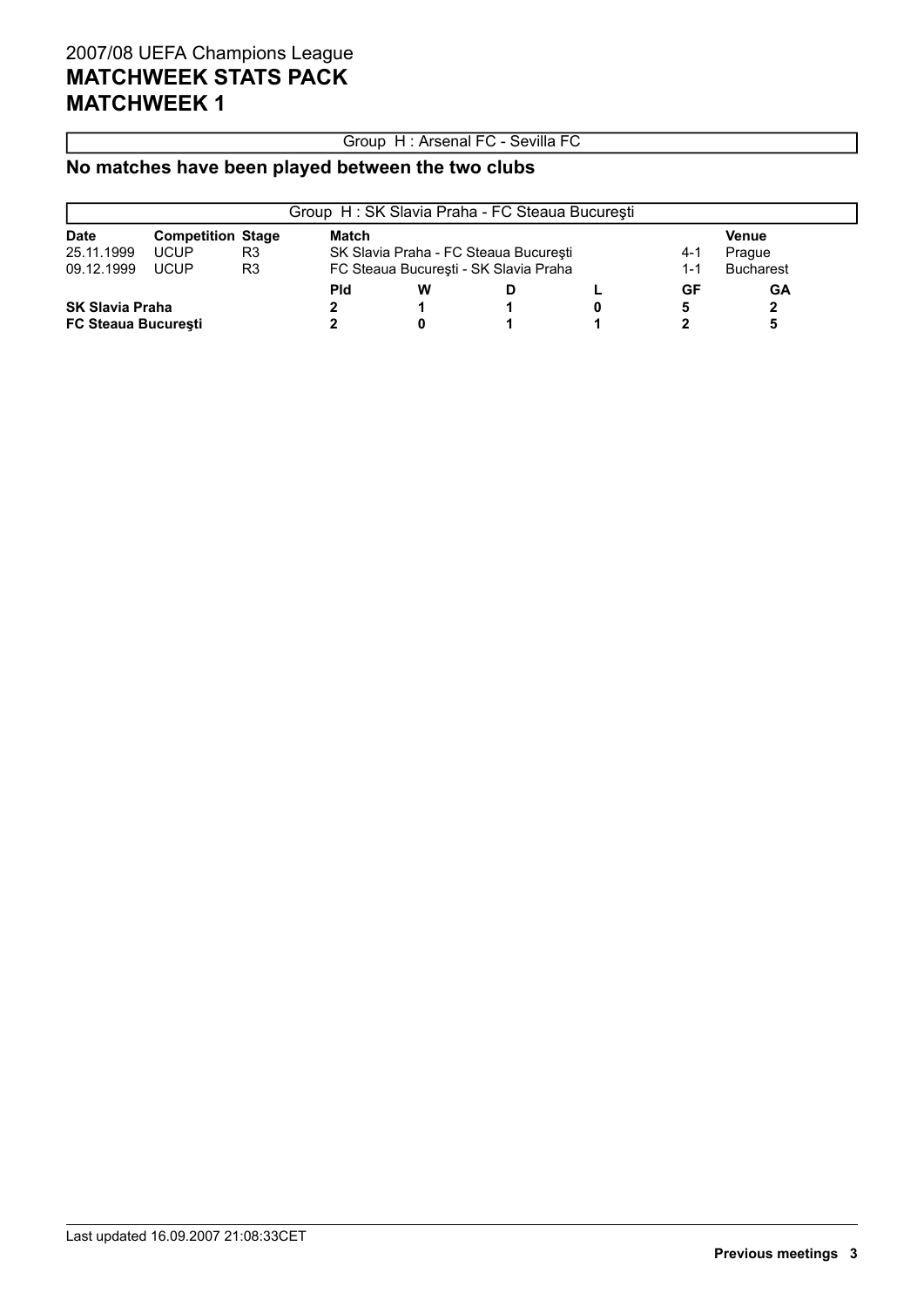### Group H : Arsenal FC - Sevilla FC

### **No matches have been played between the two clubs**

|                            |                          |    | Group H: SK Slavia Praha - FC Steaua București |                                       |                                       |         |                  |              |  |
|----------------------------|--------------------------|----|------------------------------------------------|---------------------------------------|---------------------------------------|---------|------------------|--------------|--|
| <b>Date</b>                | <b>Competition Stage</b> |    | Match                                          |                                       |                                       |         |                  | <b>Venue</b> |  |
| 25.11.1999                 | <b>UCUP</b>              | R3 |                                                | SK Slavia Praha - FC Steaua București | 4-1                                   | Prague  |                  |              |  |
| 09.12.1999                 | <b>UCUP</b>              | R3 |                                                |                                       | FC Steaua București - SK Slavia Praha | $1 - 1$ | <b>Bucharest</b> |              |  |
|                            |                          |    | <b>Pld</b>                                     | w                                     | D                                     |         | GF               | GA           |  |
| <b>SK Slavia Praha</b>     |                          |    |                                                |                                       |                                       |         | 5                |              |  |
| <b>FC Steaua Bucuresti</b> |                          |    |                                                |                                       |                                       |         |                  |              |  |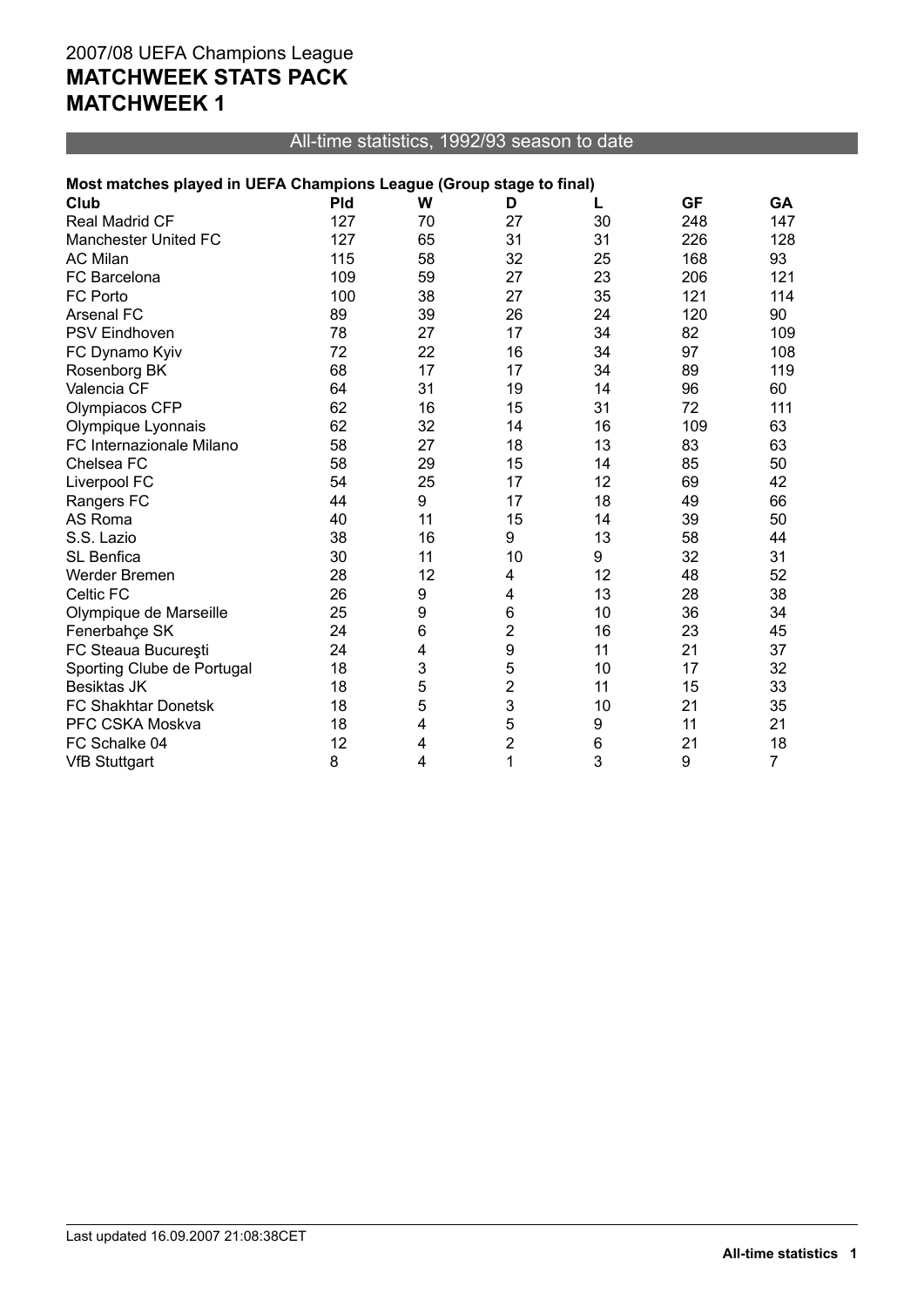### All-time statistics, 1992/93 season to date

### **Most matches played in UEFA Champions League (Group stage to final)**

| Club                        | <b>Pld</b> | W  | D                       | L  | <b>GF</b> | GА  |
|-----------------------------|------------|----|-------------------------|----|-----------|-----|
| Real Madrid CF              | 127        | 70 | 27                      | 30 | 248       | 147 |
| <b>Manchester United FC</b> | 127        | 65 | 31                      | 31 | 226       | 128 |
| <b>AC Milan</b>             | 115        | 58 | 32                      | 25 | 168       | 93  |
| FC Barcelona                | 109        | 59 | 27                      | 23 | 206       | 121 |
| <b>FC Porto</b>             | 100        | 38 | 27                      | 35 | 121       | 114 |
| <b>Arsenal FC</b>           | 89         | 39 | 26                      | 24 | 120       | 90  |
| <b>PSV Eindhoven</b>        | 78         | 27 | 17                      | 34 | 82        | 109 |
| FC Dynamo Kyiv              | 72         | 22 | 16                      | 34 | 97        | 108 |
| Rosenborg BK                | 68         | 17 | 17                      | 34 | 89        | 119 |
| Valencia CF                 | 64         | 31 | 19                      | 14 | 96        | 60  |
| Olympiacos CFP              | 62         | 16 | 15                      | 31 | 72        | 111 |
| Olympique Lyonnais          | 62         | 32 | 14                      | 16 | 109       | 63  |
| FC Internazionale Milano    | 58         | 27 | 18                      | 13 | 83        | 63  |
| Chelsea FC                  | 58         | 29 | 15                      | 14 | 85        | 50  |
| Liverpool FC                | 54         | 25 | 17                      | 12 | 69        | 42  |
| Rangers FC                  | 44         | 9  | 17                      | 18 | 49        | 66  |
| AS Roma                     | 40         | 11 | 15                      | 14 | 39        | 50  |
| S.S. Lazio                  | 38         | 16 | 9                       | 13 | 58        | 44  |
| SL Benfica                  | 30         | 11 | 10                      | 9  | 32        | 31  |
| Werder Bremen               | 28         | 12 | 4                       | 12 | 48        | 52  |
| Celtic FC                   | 26         | 9  | 4                       | 13 | 28        | 38  |
| Olympique de Marseille      | 25         | 9  | 6                       | 10 | 36        | 34  |
| Fenerbahçe SK               | 24         | 6  | $\overline{\mathbf{c}}$ | 16 | 23        | 45  |
| FC Steaua București         | 24         | 4  | 9                       | 11 | 21        | 37  |
| Sporting Clube de Portugal  | 18         | 3  | 5                       | 10 | 17        | 32  |
| Besiktas JK                 | 18         | 5  | $\overline{c}$          | 11 | 15        | 33  |
| FC Shakhtar Donetsk         | 18         | 5  | 3                       | 10 | 21        | 35  |
| PFC CSKA Moskva             | 18         | 4  | 5                       | 9  | 11        | 21  |
| FC Schalke 04               | 12         | 4  | $\overline{\mathbf{c}}$ | 6  | 21        | 18  |
| <b>VfB Stuttgart</b>        | 8          | 4  | 1                       | 3  | 9         | 7   |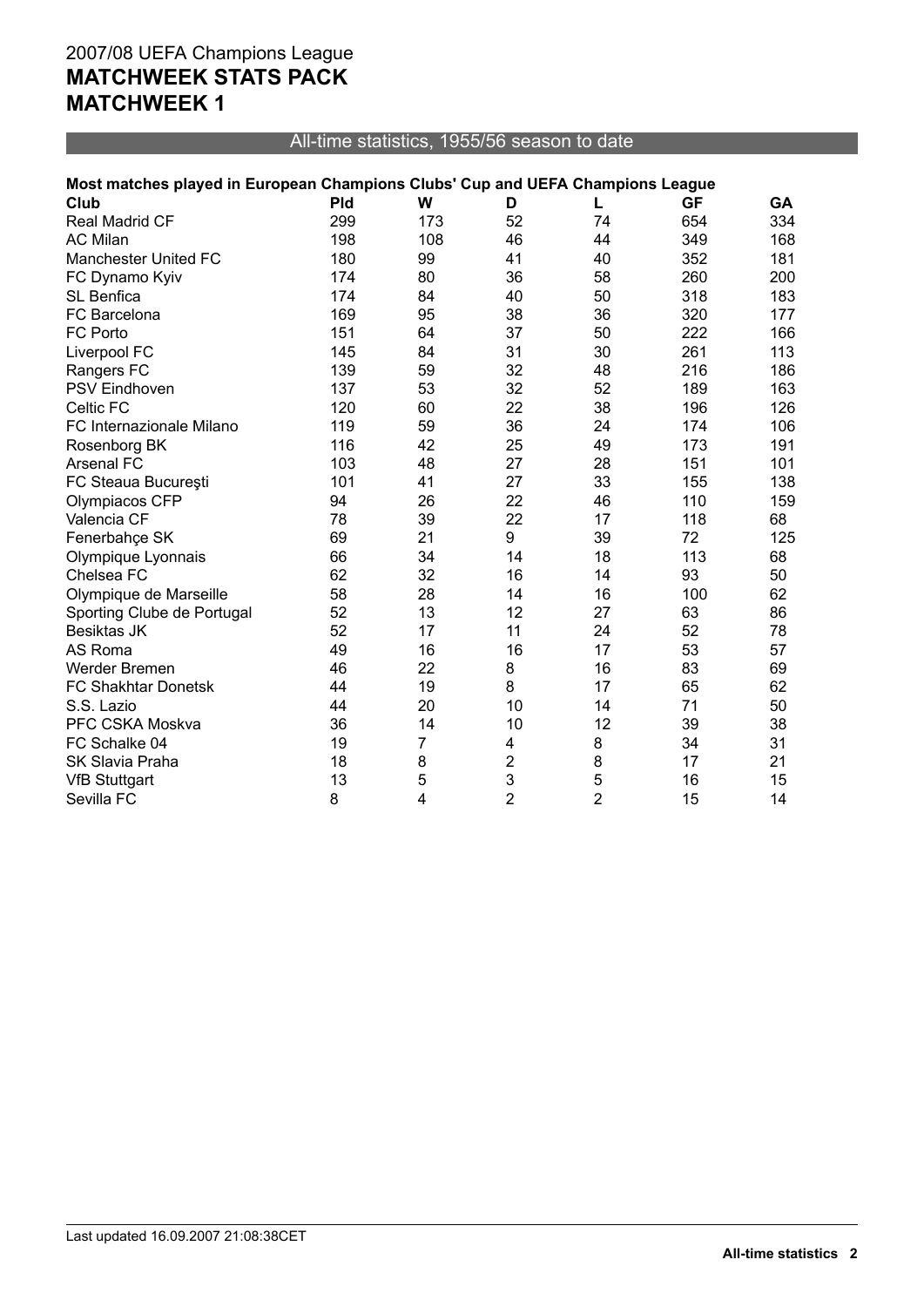All-time statistics, 1955/56 season to date

| Most matches played in European Champions Clubs' Cup and UEFA Champions League |  |  |  |  |
|--------------------------------------------------------------------------------|--|--|--|--|
|                                                                                |  |  |  |  |

| Club                        | <b>Pld</b> | W              | D              | L              | <b>GF</b> | GA  |
|-----------------------------|------------|----------------|----------------|----------------|-----------|-----|
| <b>Real Madrid CF</b>       | 299        | 173            | 52             | 74             | 654       | 334 |
| <b>AC Milan</b>             | 198        | 108            | 46             | 44             | 349       | 168 |
| <b>Manchester United FC</b> | 180        | 99             | 41             | 40             | 352       | 181 |
| FC Dynamo Kyiv              | 174        | 80             | 36             | 58             | 260       | 200 |
| SL Benfica                  | 174        | 84             | 40             | 50             | 318       | 183 |
| FC Barcelona                | 169        | 95             | 38             | 36             | 320       | 177 |
| FC Porto                    | 151        | 64             | 37             | 50             | 222       | 166 |
| Liverpool FC                | 145        | 84             | 31             | 30             | 261       | 113 |
| Rangers FC                  | 139        | 59             | 32             | 48             | 216       | 186 |
| <b>PSV Eindhoven</b>        | 137        | 53             | 32             | 52             | 189       | 163 |
| Celtic FC                   | 120        | 60             | 22             | 38             | 196       | 126 |
| FC Internazionale Milano    | 119        | 59             | 36             | 24             | 174       | 106 |
| Rosenborg BK                | 116        | 42             | 25             | 49             | 173       | 191 |
| Arsenal FC                  | 103        | 48             | 27             | 28             | 151       | 101 |
| FC Steaua București         | 101        | 41             | 27             | 33             | 155       | 138 |
| Olympiacos CFP              | 94         | 26             | 22             | 46             | 110       | 159 |
| Valencia CF                 | 78         | 39             | 22             | 17             | 118       | 68  |
| Fenerbahçe SK               | 69         | 21             | 9              | 39             | 72        | 125 |
| Olympique Lyonnais          | 66         | 34             | 14             | 18             | 113       | 68  |
| Chelsea FC                  | 62         | 32             | 16             | 14             | 93        | 50  |
| Olympique de Marseille      | 58         | 28             | 14             | 16             | 100       | 62  |
| Sporting Clube de Portugal  | 52         | 13             | 12             | 27             | 63        | 86  |
| <b>Besiktas JK</b>          | 52         | 17             | 11             | 24             | 52        | 78  |
| AS Roma                     | 49         | 16             | 16             | 17             | 53        | 57  |
| Werder Bremen               | 46         | 22             | 8              | 16             | 83        | 69  |
| <b>FC Shakhtar Donetsk</b>  | 44         | 19             | 8              | 17             | 65        | 62  |
| S.S. Lazio                  | 44         | 20             | 10             | 14             | 71        | 50  |
| PFC CSKA Moskva             | 36         | 14             | 10             | 12             | 39        | 38  |
| FC Schalke 04               | 19         | $\overline{7}$ | 4              | 8              | 34        | 31  |
| SK Slavia Praha             | 18         | 8              | $\overline{2}$ | 8              | 17        | 21  |
| <b>VfB Stuttgart</b>        | 13         | 5              | 3              | 5              | 16        | 15  |
| Sevilla FC                  | 8          | 4              | $\overline{2}$ | $\overline{2}$ | 15        | 14  |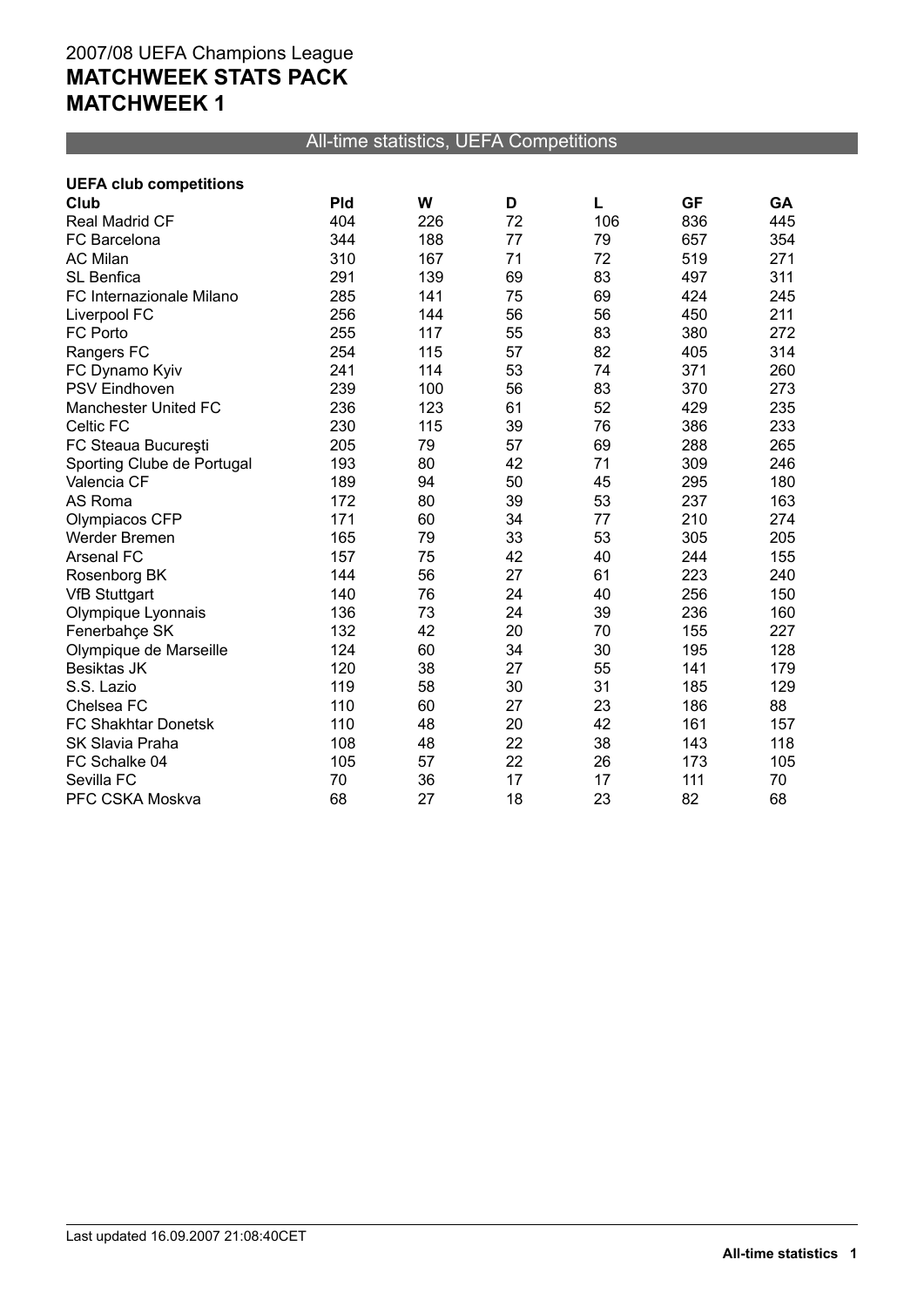### All-time statistics, UEFA Competitions

| <b>UEFA club competitions</b> |            |     |    |     |           |     |
|-------------------------------|------------|-----|----|-----|-----------|-----|
| Club                          | <b>Pld</b> | W   | D  |     | <b>GF</b> | GA  |
| <b>Real Madrid CF</b>         | 404        | 226 | 72 | 106 | 836       | 445 |
| FC Barcelona                  | 344        | 188 | 77 | 79  | 657       | 354 |
| <b>AC Milan</b>               | 310        | 167 | 71 | 72  | 519       | 271 |
| SL Benfica                    | 291        | 139 | 69 | 83  | 497       | 311 |
| FC Internazionale Milano      | 285        | 141 | 75 | 69  | 424       | 245 |
| Liverpool FC                  | 256        | 144 | 56 | 56  | 450       | 211 |
| FC Porto                      | 255        | 117 | 55 | 83  | 380       | 272 |
| Rangers FC                    | 254        | 115 | 57 | 82  | 405       | 314 |
| FC Dynamo Kyiv                | 241        | 114 | 53 | 74  | 371       | 260 |
| <b>PSV Eindhoven</b>          | 239        | 100 | 56 | 83  | 370       | 273 |
| Manchester United FC          | 236        | 123 | 61 | 52  | 429       | 235 |
| Celtic FC                     | 230        | 115 | 39 | 76  | 386       | 233 |
| FC Steaua București           | 205        | 79  | 57 | 69  | 288       | 265 |
| Sporting Clube de Portugal    | 193        | 80  | 42 | 71  | 309       | 246 |
| Valencia CF                   | 189        | 94  | 50 | 45  | 295       | 180 |
| AS Roma                       | 172        | 80  | 39 | 53  | 237       | 163 |
| Olympiacos CFP                | 171        | 60  | 34 | 77  | 210       | 274 |
| Werder Bremen                 | 165        | 79  | 33 | 53  | 305       | 205 |
| <b>Arsenal FC</b>             | 157        | 75  | 42 | 40  | 244       | 155 |
| Rosenborg BK                  | 144        | 56  | 27 | 61  | 223       | 240 |
| <b>VfB Stuttgart</b>          | 140        | 76  | 24 | 40  | 256       | 150 |
| Olympique Lyonnais            | 136        | 73  | 24 | 39  | 236       | 160 |
| Fenerbahçe SK                 | 132        | 42  | 20 | 70  | 155       | 227 |
| Olympique de Marseille        | 124        | 60  | 34 | 30  | 195       | 128 |
| Besiktas JK                   | 120        | 38  | 27 | 55  | 141       | 179 |
| S.S. Lazio                    | 119        | 58  | 30 | 31  | 185       | 129 |
| Chelsea FC                    | 110        | 60  | 27 | 23  | 186       | 88  |
| FC Shakhtar Donetsk           | 110        | 48  | 20 | 42  | 161       | 157 |
| <b>SK Slavia Praha</b>        | 108        | 48  | 22 | 38  | 143       | 118 |
| FC Schalke 04                 | 105        | 57  | 22 | 26  | 173       | 105 |
| Sevilla FC                    | 70         | 36  | 17 | 17  | 111       | 70  |
| PFC CSKA Moskva               | 68         | 27  | 18 | 23  | 82        | 68  |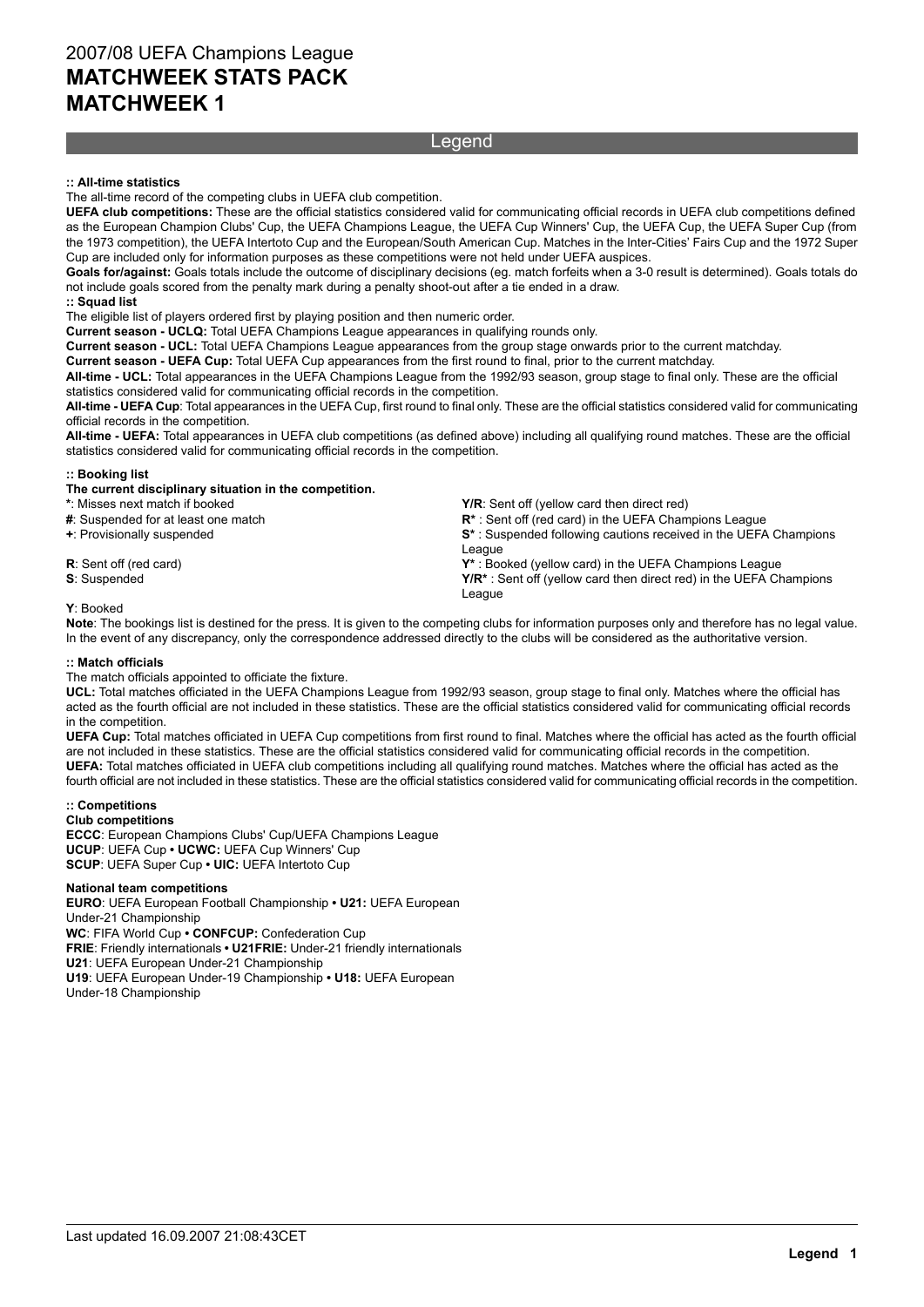#### Legend

#### **:: All-time statistics**

The all-time record of the competing clubs in UEFA club competition.

**UEFA club competitions:** These are the official statistics considered valid for communicating official records in UEFA club competitions defined as the European Champion Clubs' Cup, the UEFA Champions League, the UEFA Cup Winners' Cup, the UEFA Cup, the UEFA Super Cup (from the 1973 competition), the UEFA Intertoto Cup and the European/South American Cup. Matches in the Inter-Cities' Fairs Cup and the 1972 Super Cup are included only for information purposes as these competitions were not held under UEFA auspices.

**Goals for/against:** Goals totals include the outcome of disciplinary decisions (eg. match forfeits when a 3-0 result is determined). Goals totals do not include goals scored from the penalty mark during a penalty shoot-out after a tie ended in a draw. **:: Squad list**

The eligible list of players ordered first by playing position and then numeric order.

**Current season - UCLQ:** Total UEFA Champions League appearances in qualifying rounds only.

**Current season - UCL:** Total UEFA Champions League appearances from the group stage onwards prior to the current matchday.

**Current season - UEFA Cup:** Total UEFA Cup appearances from the first round to final, prior to the current matchday.

**All-time - UCL:** Total appearances in the UEFA Champions League from the 1992/93 season, group stage to final only. These are the official statistics considered valid for communicating official records in the competition.

**All-time - UEFA Cup**: Total appearances in the UEFA Cup, first round to final only. These are the official statistics considered valid for communicating official records in the competition.

**All-time - UEFA:** Total appearances in UEFA club competitions (as defined above) including all qualifying round matches. These are the official statistics considered valid for communicating official records in the competition.

#### **:: Booking list**

#### **The current disciplinary situation in the competition.**

**+**: Provisionally suspended

**S**: Suspended

\*: Misses next match if booked **Y** and the sent of the **Y/R**: Sent off (yellow card then direct red)<br> **#**: Suspended for at least one match **A** and the UEFA Cham  $\mathbb{R}^*$ : Sent off (red card) in the UEFA Champions League

**S\*** : Suspended following cautions received in the UEFA Champions League

**R**: Sent off (red card) **Y\*** : Booked (yellow card) in the UEFA Champions League **Y/R\*** : Sent off (yellow card then direct red) in the UEFA Champions League

**Y**: Booked **Note**: The bookings list is destined for the press. It is given to the competing clubs for information purposes only and therefore has no legal value. In the event of any discrepancy, only the correspondence addressed directly to the clubs will be considered as the authoritative version.

#### **:: Match officials**

The match officials appointed to officiate the fixture.

**UCL:** Total matches officiated in the UEFA Champions League from 1992/93 season, group stage to final only. Matches where the official has acted as the fourth official are not included in these statistics. These are the official statistics considered valid for communicating official records in the competition.

**UEFA Cup:** Total matches officiated in UEFA Cup competitions from first round to final. Matches where the official has acted as the fourth official are not included in these statistics. These are the official statistics considered valid for communicating official records in the competition. **UEFA:** Total matches officiated in UEFA club competitions including all qualifying round matches. Matches where the official has acted as the fourth official are not included in these statistics. These are the official statistics considered valid for communicating official records in the competition.

#### **:: Competitions**

**Club competitions**

**ECCC**: European Champions Clubs' Cup/UEFA Champions League **UCUP**: UEFA Cup **• UCWC:** UEFA Cup Winners' Cup

**SCUP**: UEFA Super Cup **• UIC:** UEFA Intertoto Cup

#### **National team competitions**

**EURO**: UEFA European Football Championship **• U21:** UEFA European Under-21 Championship **WC**: FIFA World Cup **• CONFCUP:** Confederation Cup **FRIE**: Friendly internationals **• U21FRIE:** Under-21 friendly internationals **U21**: UEFA European Under-21 Championship

**U19**: UEFA European Under-19 Championship **• U18:** UEFA European Under-18 Championship